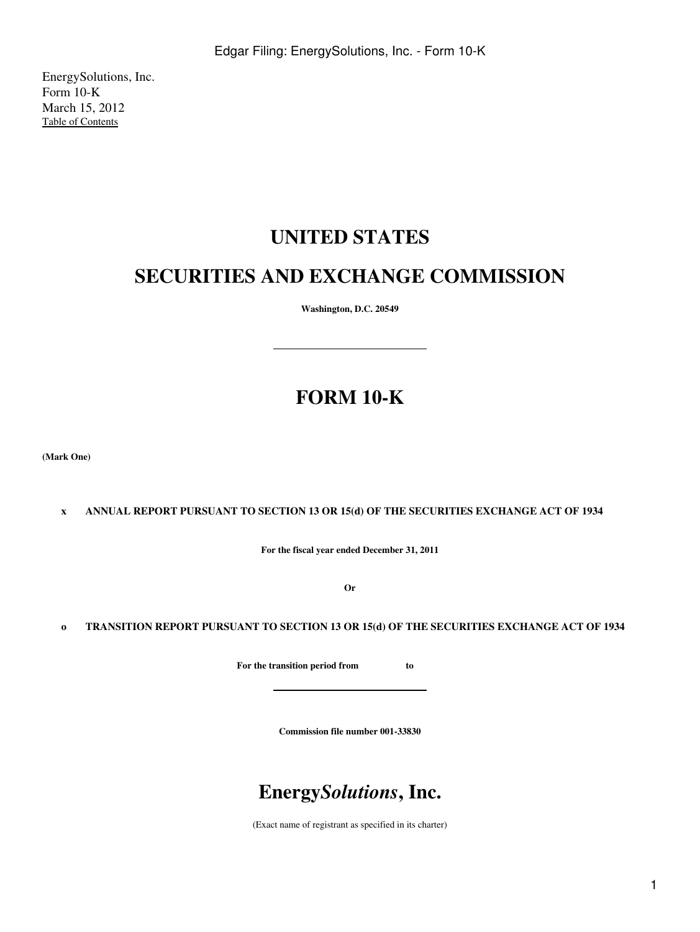EnergySolutions, Inc. Form 10-K March 15, 2012 [Table of Contents](#page-3-0)

# **UNITED STATES**

# **SECURITIES AND EXCHANGE COMMISSION**

**Washington, D.C. 20549**

# **FORM 10-K**

**(Mark One)**

## **x ANNUAL REPORT PURSUANT TO SECTION 13 OR 15(d) OF THE SECURITIES EXCHANGE ACT OF 1934**

**For the fiscal year ended December 31, 2011**

**Or**

**o TRANSITION REPORT PURSUANT TO SECTION 13 OR 15(d) OF THE SECURITIES EXCHANGE ACT OF 1934**

**For the transition period from to** 

**Commission file number 001-33830**

# **Energy***Solutions***, Inc.**

(Exact name of registrant as specified in its charter)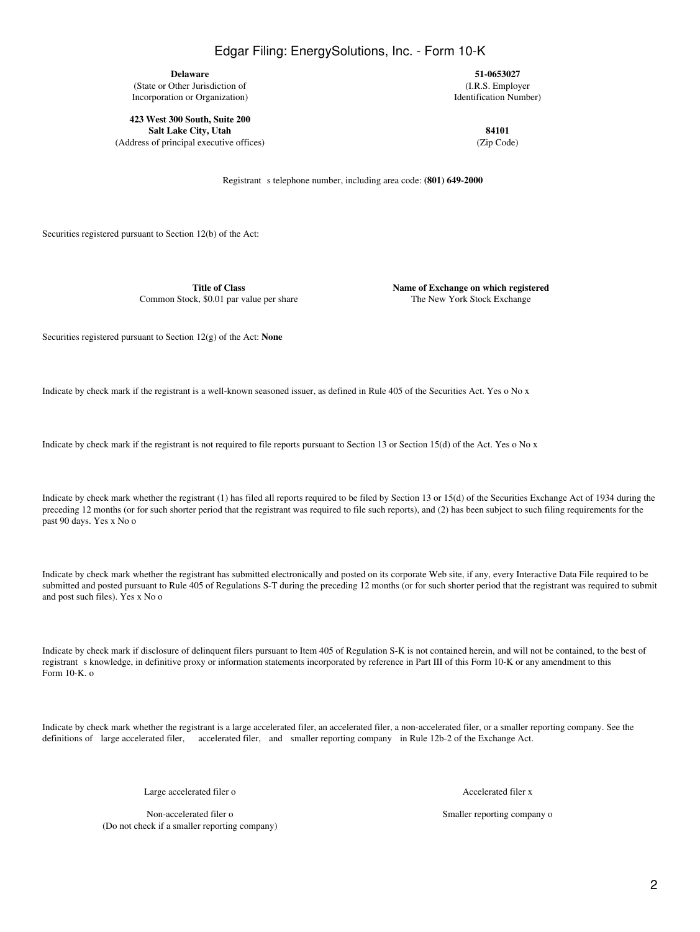(State or Other Jurisdiction of Incorporation or Organization)

**423 West 300 South, Suite 200 Salt Lake City, Utah 84101** (Address of principal executive offices) (Zip Code)

Registrant s telephone number, including area code: **(801) 649-2000** 

Securities registered pursuant to Section 12(b) of the Act:

Common Stock, \$0.01 par value per share

**Title of Class Name of Exchange on which registered**

Securities registered pursuant to Section 12(g) of the Act: **None**

Indicate by check mark if the registrant is a well-known seasoned issuer, as defined in Rule 405 of the Securities Act. Yes o No x

Indicate by check mark if the registrant is not required to file reports pursuant to Section 13 or Section 15(d) of the Act. Yes o No x

Indicate by check mark whether the registrant (1) has filed all reports required to be filed by Section 13 or 15(d) of the Securities Exchange Act of 1934 during the preceding 12 months (or for such shorter period that the registrant was required to file such reports), and (2) has been subject to such filing requirements for the past 90 days. Yes x No o

Indicate by check mark whether the registrant has submitted electronically and posted on its corporate Web site, if any, every Interactive Data File required to be submitted and posted pursuant to Rule 405 of Regulations S-T during the preceding 12 months (or for such shorter period that the registrant was required to submit and post such files). Yes x No o

Indicate by check mark if disclosure of delinquent filers pursuant to Item 405 of Regulation S-K is not contained herein, and will not be contained, to the best of registrant s knowledge, in definitive proxy or information statements incorporated by reference in Part III of this Form 10-K or any amendment to this Form 10-K. o

Indicate by check mark whether the registrant is a large accelerated filer, an accelerated filer, a non-accelerated filer, or a smaller reporting company. See the definitions of large accelerated filer, accelerated filer, and smaller reporting company in Rule 12b-2 of the Exchange Act.

Large accelerated filer o Accelerated filer o Accelerated filer x

Non-accelerated filer o Smaller reporting company o (Do not check if a smaller reporting company)

**Delaware 51-0653027** (I.R.S. Employer Identification Number)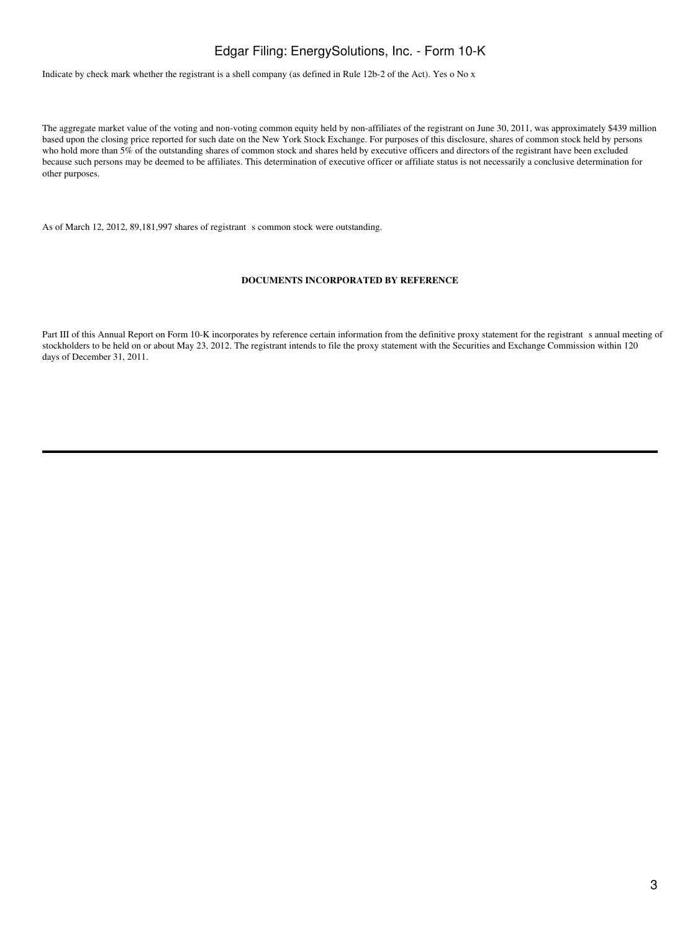Indicate by check mark whether the registrant is a shell company (as defined in Rule 12b-2 of the Act). Yes o No x

The aggregate market value of the voting and non-voting common equity held by non-affiliates of the registrant on June 30, 2011, was approximately \$439 million based upon the closing price reported for such date on the New York Stock Exchange. For purposes of this disclosure, shares of common stock held by persons who hold more than 5% of the outstanding shares of common stock and shares held by executive officers and directors of the registrant have been excluded because such persons may be deemed to be affiliates. This determination of executive officer or affiliate status is not necessarily a conclusive determination for other purposes.

As of March 12, 2012, 89,181,997 shares of registrant s common stock were outstanding.

## **DOCUMENTS INCORPORATED BY REFERENCE**

Part III of this Annual Report on Form 10-K incorporates by reference certain information from the definitive proxy statement for the registrant s annual meeting of stockholders to be held on or about May 23, 2012. The registrant intends to file the proxy statement with the Securities and Exchange Commission within 120 days of December 31, 2011.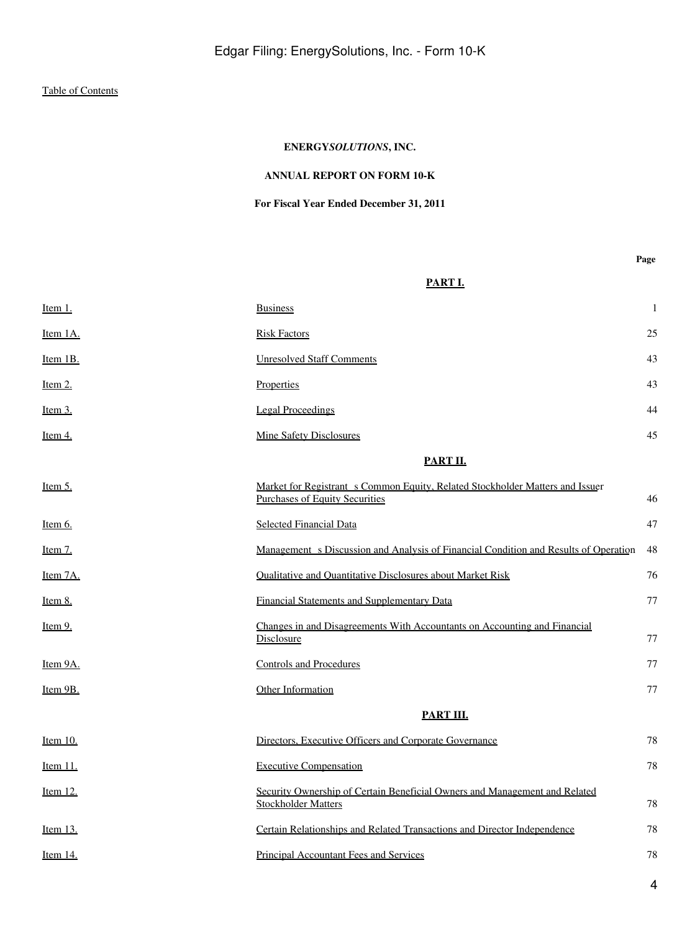## **ENERGY***SOLUTIONS***, INC.**

## **ANNUAL REPORT ON FORM 10-K**

## **For Fiscal Year Ended December 31, 2011**

<span id="page-3-0"></span>

| PART I.                                                                                                                |              |
|------------------------------------------------------------------------------------------------------------------------|--------------|
| <b>Business</b>                                                                                                        | $\mathbf{1}$ |
| <b>Risk Factors</b>                                                                                                    | 25           |
| <b>Unresolved Staff Comments</b>                                                                                       | 43           |
| Properties                                                                                                             | 43           |
| <b>Legal Proceedings</b>                                                                                               | 44           |
| <b>Mine Safety Disclosures</b>                                                                                         | 45           |
| PART II.                                                                                                               |              |
| Market for Registrant s Common Equity, Related Stockholder Matters and Issuer<br><b>Purchases of Equity Securities</b> | 46           |
| Selected Financial Data                                                                                                | 47           |
| Management s Discussion and Analysis of Financial Condition and Results of Operation                                   | 48           |
| Qualitative and Quantitative Disclosures about Market Risk                                                             | 76           |
| Financial Statements and Supplementary Data                                                                            | 77           |
| Changes in and Disagreements With Accountants on Accounting and Financial<br>Disclosure                                | 77           |
| <b>Controls and Procedures</b>                                                                                         | 77           |
| Other Information                                                                                                      | 77           |
| PART III.                                                                                                              |              |
| Directors, Executive Officers and Corporate Governance                                                                 | 78           |
| <b>Executive Compensation</b>                                                                                          | 78           |
| Security Ownership of Certain Beneficial Owners and Management and Related<br><b>Stockholder Matters</b>               | 78           |
| Certain Relationships and Related Transactions and Director Independence                                               | 78           |
| Principal Accountant Fees and Services                                                                                 | 78           |
|                                                                                                                        |              |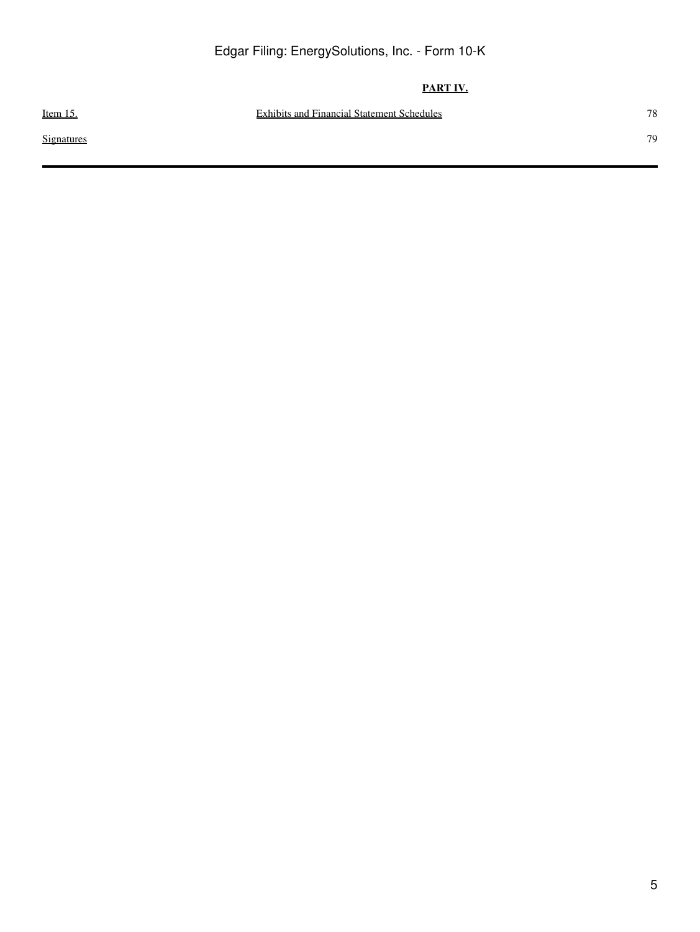# **[PART IV.](#page-161-6)**

[Item 15.](#page-162-0) [Exhibits and Financial Statement Schedules](#page-162-0) 78 **[Signatures](#page-163-0)** 79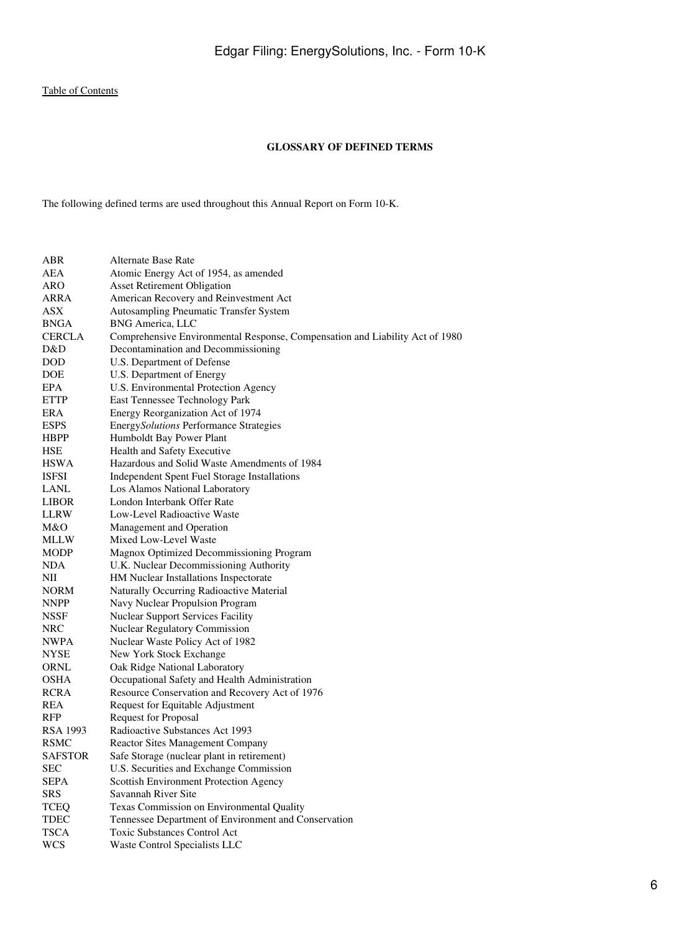## **GLOSSARY OF DEFINED TERMS**

The following defined terms are used throughout this Annual Report on Form 10-K.

| ABR            | Alternate Base Rate                                                          |
|----------------|------------------------------------------------------------------------------|
| AEA            | Atomic Energy Act of 1954, as amended                                        |
| ARO            | <b>Asset Retirement Obligation</b>                                           |
| ARRA           | American Recovery and Reinvestment Act                                       |
| ASX            | Autosampling Pneumatic Transfer System                                       |
| <b>BNGA</b>    | BNG America, LLC                                                             |
| <b>CERCLA</b>  | Comprehensive Environmental Response, Compensation and Liability Act of 1980 |
| D&D            | Decontamination and Decommissioning                                          |
| DOD            | U.S. Department of Defense                                                   |
| DOE            | U.S. Department of Energy                                                    |
| EPA            | U.S. Environmental Protection Agency                                         |
| ETTP           | East Tennessee Technology Park                                               |
| ERA            | Energy Reorganization Act of 1974                                            |
| <b>ESPS</b>    | EnergySolutions Performance Strategies                                       |
| <b>HBPP</b>    | Humboldt Bay Power Plant                                                     |
| <b>HSE</b>     | <b>Health and Safety Executive</b>                                           |
| <b>HSWA</b>    | Hazardous and Solid Waste Amendments of 1984                                 |
| <b>ISFSI</b>   | Independent Spent Fuel Storage Installations                                 |
| LANL           | Los Alamos National Laboratory                                               |
| <b>LIBOR</b>   | London Interbank Offer Rate                                                  |
| LLRW           | Low-Level Radioactive Waste                                                  |
| M&O            | Management and Operation                                                     |
| MLLW           | Mixed Low-Level Waste                                                        |
| MODP           | Magnox Optimized Decommissioning Program                                     |
| NDA            | U.K. Nuclear Decommissioning Authority                                       |
| NП             | HM Nuclear Installations Inspectorate                                        |
| <b>NORM</b>    | Naturally Occurring Radioactive Material                                     |
| <b>NNPP</b>    | Navy Nuclear Propulsion Program                                              |
| NSSF           | Nuclear Support Services Facility                                            |
| NRC            | <b>Nuclear Regulatory Commission</b>                                         |
| <b>NWPA</b>    | Nuclear Waste Policy Act of 1982                                             |
| <b>NYSE</b>    | New York Stock Exchange                                                      |
| ORNL           | Oak Ridge National Laboratory                                                |
| <b>OSHA</b>    | Occupational Safety and Health Administration                                |
| <b>RCRA</b>    | Resource Conservation and Recovery Act of 1976                               |
| <b>REA</b>     | Request for Equitable Adjustment                                             |
| RFP            | <b>Request for Proposal</b>                                                  |
| RSA 1993       | Radioactive Substances Act 1993                                              |
| <b>RSMC</b>    |                                                                              |
| <b>SAFSTOR</b> | <b>Reactor Sites Management Company</b>                                      |
| <b>SEC</b>     | Safe Storage (nuclear plant in retirement)                                   |
|                | U.S. Securities and Exchange Commission                                      |
| <b>SEPA</b>    | Scottish Environment Protection Agency                                       |
| <b>SRS</b>     | Savannah River Site                                                          |
| <b>TCEQ</b>    | Texas Commission on Environmental Quality                                    |
| <b>TDEC</b>    | Tennessee Department of Environment and Conservation                         |
| <b>TSCA</b>    | <b>Toxic Substances Control Act</b>                                          |
| WCS            | Waste Control Specialists LLC                                                |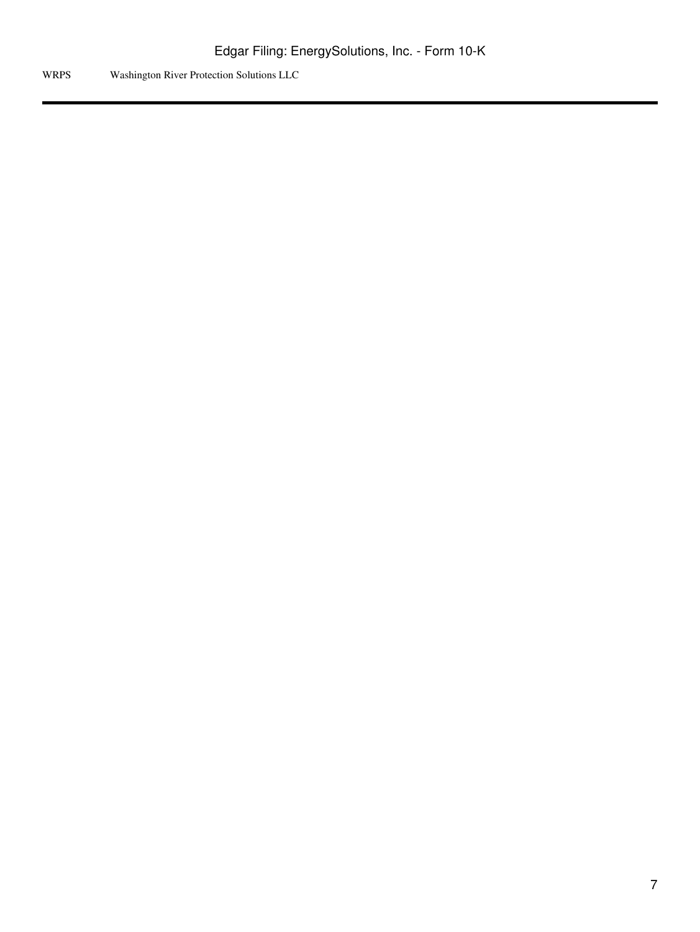WRPS Washington River Protection Solutions LLC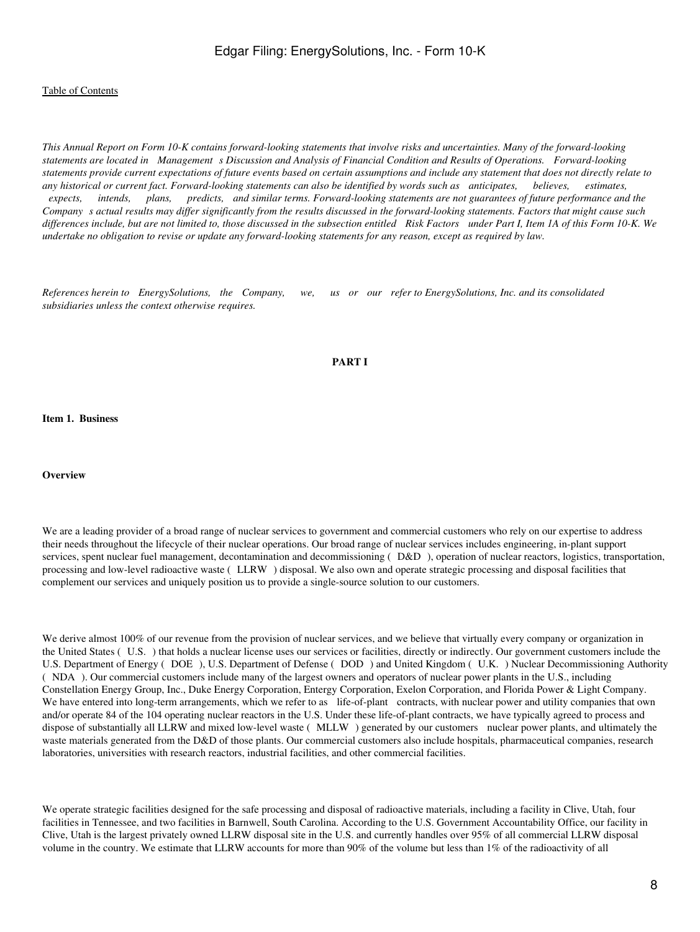*This Annual Report on Form 10-K contains forward-looking statements that involve risks and uncertainties. Many of the forward-looking* statements are located in Management s Discussion and Analysis of Financial Condition and Results of Operations. Forward-looking *statements provide current expectations of future events based on certain assumptions and include any statement that does not directly relate to any historical or current fact. Forward-looking statements can also be identified by words such as anticipates, believes, estimates, expects, intends, plans, predicts, and similar terms. Forward-looking statements are not guarantees of future performance and the Companys actual results may differ significantly from the results discussed in the forward-looking statements. Factors that might cause such differences include, but are not limited to, those discussed in the subsection entitled Risk Factors under Part I, Item 1A of this Form 10-K. We undertake no obligation to revise or update any forward-looking statements for any reason, except as required by law.*

*References herein to EnergySolutions, the Company, we, us or our refer to EnergySolutions, Inc. and its consolidated subsidiaries unless the context otherwise requires.*

## **PART I**

<span id="page-7-1"></span><span id="page-7-0"></span>**Item 1. Business**

**Overview**

We are a leading provider of a broad range of nuclear services to government and commercial customers who rely on our expertise to address their needs throughout the lifecycle of their nuclear operations. Our broad range of nuclear services includes engineering, in-plant support services, spent nuclear fuel management, decontamination and decommissioning (D&D), operation of nuclear reactors, logistics, transportation, processing and low-level radioactive waste (LLRW) disposal. We also own and operate strategic processing and disposal facilities that complement our services and uniquely position us to provide a single-source solution to our customers.

We derive almost 100% of our revenue from the provision of nuclear services, and we believe that virtually every company or organization in the United States (U.S.) that holds a nuclear license uses our services or facilities, directly or indirectly. Our government customers include the U.S. Department of Energy (DOE), U.S. Department of Defense (DOD) and United Kingdom (U.K.) Nuclear Decommissioning Authority (NDA). Our commercial customers include many of the largest owners and operators of nuclear power plants in the U.S., including Constellation Energy Group, Inc., Duke Energy Corporation, Entergy Corporation, Exelon Corporation, and Florida Power & Light Company. We have entered into long-term arrangements, which we refer to as life-of-plant contracts, with nuclear power and utility companies that own and/or operate 84 of the 104 operating nuclear reactors in the U.S. Under these life-of-plant contracts, we have typically agreed to process and dispose of substantially all LLRW and mixed low-level waste (MLLW) generated by our customers nuclear power plants, and ultimately the waste materials generated from the D&D of those plants. Our commercial customers also include hospitals, pharmaceutical companies, research laboratories, universities with research reactors, industrial facilities, and other commercial facilities.

We operate strategic facilities designed for the safe processing and disposal of radioactive materials, including a facility in Clive, Utah, four facilities in Tennessee, and two facilities in Barnwell, South Carolina. According to the U.S. Government Accountability Office, our facility in Clive, Utah is the largest privately owned LLRW disposal site in the U.S. and currently handles over 95% of all commercial LLRW disposal volume in the country. We estimate that LLRW accounts for more than 90% of the volume but less than 1% of the radioactivity of all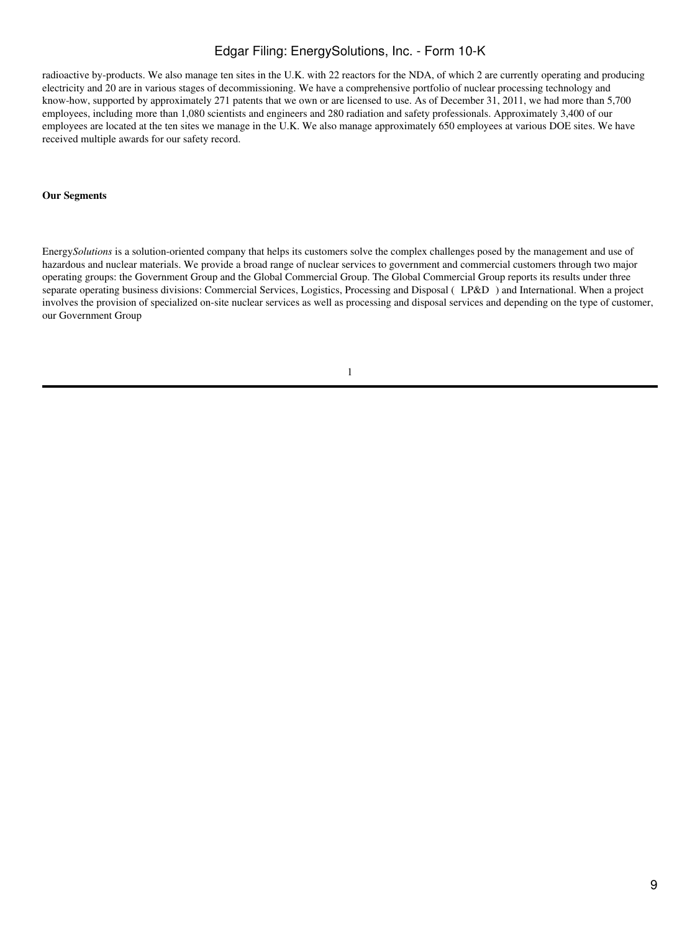radioactive by-products. We also manage ten sites in the U.K. with 22 reactors for the NDA, of which 2 are currently operating and producing electricity and 20 are in various stages of decommissioning. We have a comprehensive portfolio of nuclear processing technology and know-how, supported by approximately 271 patents that we own or are licensed to use. As of December 31, 2011, we had more than 5,700 employees, including more than 1,080 scientists and engineers and 280 radiation and safety professionals. Approximately 3,400 of our employees are located at the ten sites we manage in the U.K. We also manage approximately 650 employees at various DOE sites. We have received multiple awards for our safety record.

#### **Our Segments**

Energy*Solutions* is a solution-oriented company that helps its customers solve the complex challenges posed by the management and use of hazardous and nuclear materials. We provide a broad range of nuclear services to government and commercial customers through two major operating groups: the Government Group and the Global Commercial Group. The Global Commercial Group reports its results under three separate operating business divisions: Commercial Services, Logistics, Processing and Disposal (LP&D) and International. When a project involves the provision of specialized on-site nuclear services as well as processing and disposal services and depending on the type of customer, our Government Group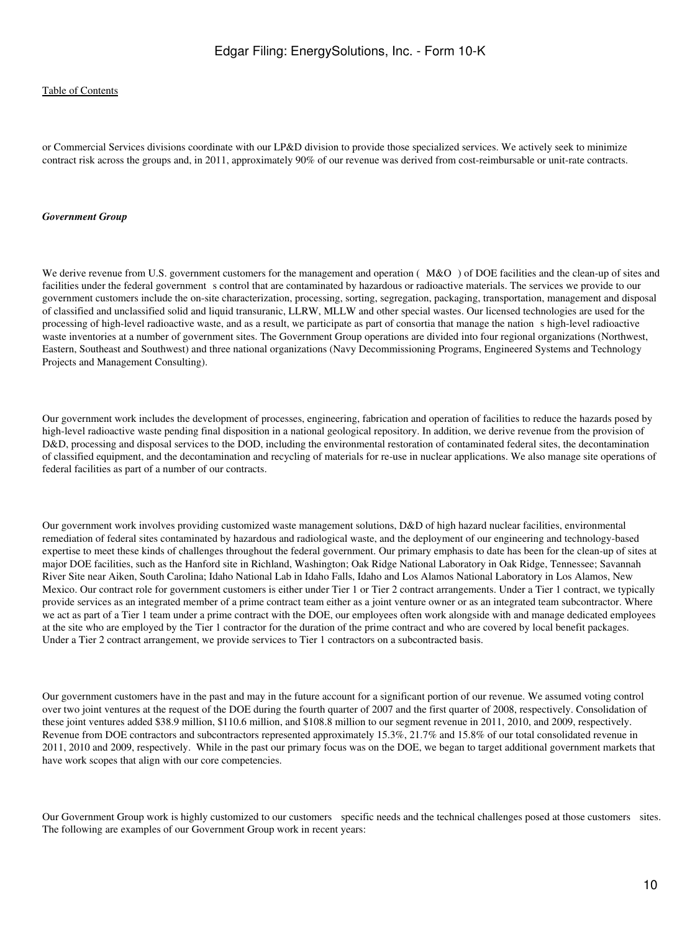or Commercial Services divisions coordinate with our LP&D division to provide those specialized services. We actively seek to minimize contract risk across the groups and, in 2011, approximately 90% of our revenue was derived from cost-reimbursable or unit-rate contracts.

#### *Government Group*

We derive revenue from U.S. government customers for the management and operation (M&O) of DOE facilities and the clean-up of sites and facilities under the federal government s control that are contaminated by hazardous or radioactive materials. The services we provide to our government customers include the on-site characterization, processing, sorting, segregation, packaging, transportation, management and disposal of classified and unclassified solid and liquid transuranic, LLRW, MLLW and other special wastes. Our licensed technologies are used for the processing of high-level radioactive waste, and as a result, we participate as part of consortia that manage the nations high-level radioactive waste inventories at a number of government sites. The Government Group operations are divided into four regional organizations (Northwest, Eastern, Southeast and Southwest) and three national organizations (Navy Decommissioning Programs, Engineered Systems and Technology Projects and Management Consulting).

Our government work includes the development of processes, engineering, fabrication and operation of facilities to reduce the hazards posed by high-level radioactive waste pending final disposition in a national geological repository. In addition, we derive revenue from the provision of D&D, processing and disposal services to the DOD, including the environmental restoration of contaminated federal sites, the decontamination of classified equipment, and the decontamination and recycling of materials for re-use in nuclear applications. We also manage site operations of federal facilities as part of a number of our contracts.

Our government work involves providing customized waste management solutions, D&D of high hazard nuclear facilities, environmental remediation of federal sites contaminated by hazardous and radiological waste, and the deployment of our engineering and technology-based expertise to meet these kinds of challenges throughout the federal government. Our primary emphasis to date has been for the clean-up of sites at major DOE facilities, such as the Hanford site in Richland, Washington; Oak Ridge National Laboratory in Oak Ridge, Tennessee; Savannah River Site near Aiken, South Carolina; Idaho National Lab in Idaho Falls, Idaho and Los Alamos National Laboratory in Los Alamos, New Mexico. Our contract role for government customers is either under Tier 1 or Tier 2 contract arrangements. Under a Tier 1 contract, we typically provide services as an integrated member of a prime contract team either as a joint venture owner or as an integrated team subcontractor. Where we act as part of a Tier 1 team under a prime contract with the DOE, our employees often work alongside with and manage dedicated employees at the site who are employed by the Tier 1 contractor for the duration of the prime contract and who are covered by local benefit packages. Under a Tier 2 contract arrangement, we provide services to Tier 1 contractors on a subcontracted basis.

Our government customers have in the past and may in the future account for a significant portion of our revenue. We assumed voting control over two joint ventures at the request of the DOE during the fourth quarter of 2007 and the first quarter of 2008, respectively. Consolidation of these joint ventures added \$38.9 million, \$110.6 million, and \$108.8 million to our segment revenue in 2011, 2010, and 2009, respectively. Revenue from DOE contractors and subcontractors represented approximately 15.3%, 21.7% and 15.8% of our total consolidated revenue in 2011, 2010 and 2009, respectively. While in the past our primary focus was on the DOE, we began to target additional government markets that have work scopes that align with our core competencies.

Our Government Group work is highly customized to our customers specific needs and the technical challenges posed at those customers sites. The following are examples of our Government Group work in recent years: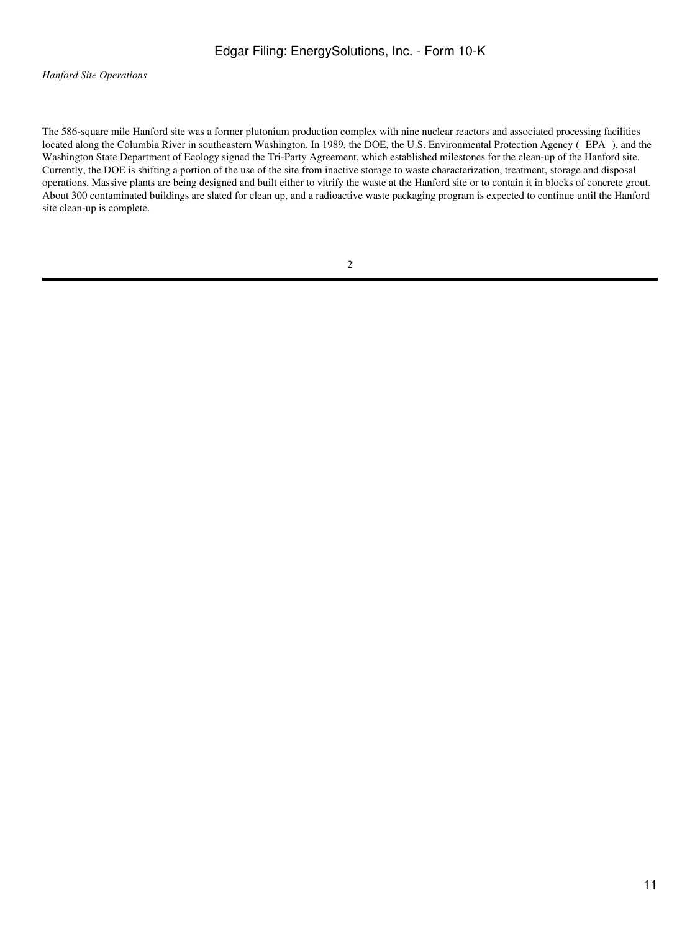*Hanford Site Operations*

The 586-square mile Hanford site was a former plutonium production complex with nine nuclear reactors and associated processing facilities located along the Columbia River in southeastern Washington. In 1989, the DOE, the U.S. Environmental Protection Agency (EPA), and the Washington State Department of Ecology signed the Tri-Party Agreement, which established milestones for the clean-up of the Hanford site. Currently, the DOE is shifting a portion of the use of the site from inactive storage to waste characterization, treatment, storage and disposal operations. Massive plants are being designed and built either to vitrify the waste at the Hanford site or to contain it in blocks of concrete grout. About 300 contaminated buildings are slated for clean up, and a radioactive waste packaging program is expected to continue until the Hanford site clean-up is complete.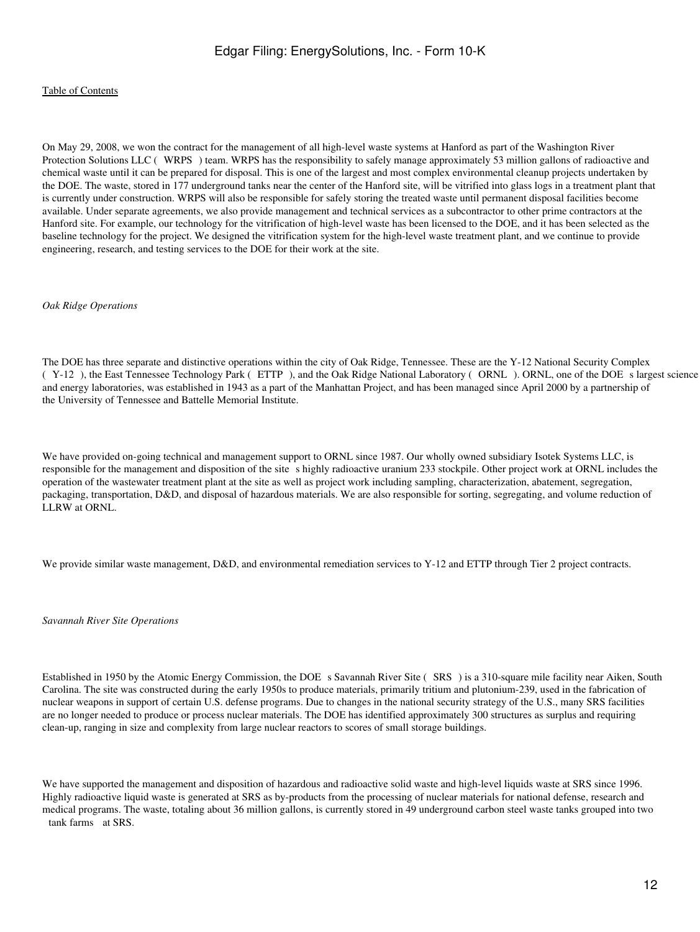On May 29, 2008, we won the contract for the management of all high-level waste systems at Hanford as part of the Washington River Protection Solutions LLC (WRPS) team. WRPS has the responsibility to safely manage approximately 53 million gallons of radioactive and chemical waste until it can be prepared for disposal. This is one of the largest and most complex environmental cleanup projects undertaken by the DOE. The waste, stored in 177 underground tanks near the center of the Hanford site, will be vitrified into glass logs in a treatment plant that is currently under construction. WRPS will also be responsible for safely storing the treated waste until permanent disposal facilities become available. Under separate agreements, we also provide management and technical services as a subcontractor to other prime contractors at the Hanford site. For example, our technology for the vitrification of high-level waste has been licensed to the DOE, and it has been selected as the baseline technology for the project. We designed the vitrification system for the high-level waste treatment plant, and we continue to provide engineering, research, and testing services to the DOE for their work at the site.

*Oak Ridge Operations*

The DOE has three separate and distinctive operations within the city of Oak Ridge, Tennessee. These are the Y-12 National Security Complex (Y-12), the East Tennessee Technology Park (ETTP), and the Oak Ridge National Laboratory (ORNL). ORNL, one of the DOEs largest science and energy laboratories, was established in 1943 as a part of the Manhattan Project, and has been managed since April 2000 by a partnership of the University of Tennessee and Battelle Memorial Institute.

We have provided on-going technical and management support to ORNL since 1987. Our wholly owned subsidiary Isotek Systems LLC, is responsible for the management and disposition of the sites highly radioactive uranium 233 stockpile. Other project work at ORNL includes the operation of the wastewater treatment plant at the site as well as project work including sampling, characterization, abatement, segregation, packaging, transportation, D&D, and disposal of hazardous materials. We are also responsible for sorting, segregating, and volume reduction of LLRW at ORNL.

We provide similar waste management, D&D, and environmental remediation services to Y-12 and ETTP through Tier 2 project contracts.

*Savannah River Site Operations*

Established in 1950 by the Atomic Energy Commission, the DOE s Savannah River Site (SRS) is a 310-square mile facility near Aiken, South Carolina. The site was constructed during the early 1950s to produce materials, primarily tritium and plutonium-239, used in the fabrication of nuclear weapons in support of certain U.S. defense programs. Due to changes in the national security strategy of the U.S., many SRS facilities are no longer needed to produce or process nuclear materials. The DOE has identified approximately 300 structures as surplus and requiring clean-up, ranging in size and complexity from large nuclear reactors to scores of small storage buildings.

We have supported the management and disposition of hazardous and radioactive solid waste and high-level liquids waste at SRS since 1996. Highly radioactive liquid waste is generated at SRS as by-products from the processing of nuclear materials for national defense, research and medical programs. The waste, totaling about 36 million gallons, is currently stored in 49 underground carbon steel waste tanks grouped into two tank farms at SRS.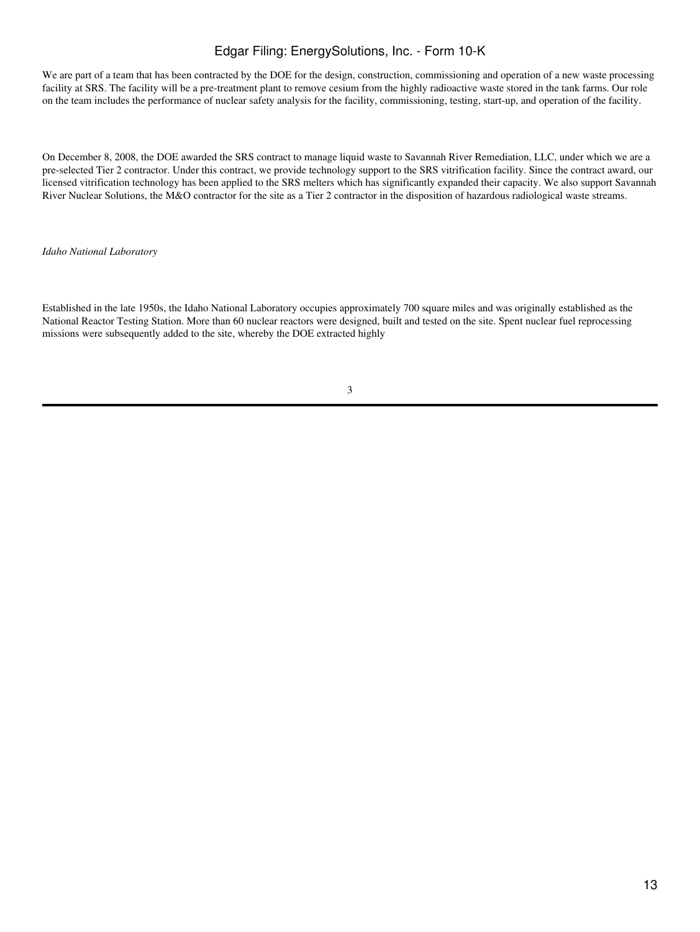We are part of a team that has been contracted by the DOE for the design, construction, commissioning and operation of a new waste processing facility at SRS. The facility will be a pre-treatment plant to remove cesium from the highly radioactive waste stored in the tank farms. Our role on the team includes the performance of nuclear safety analysis for the facility, commissioning, testing, start-up, and operation of the facility.

On December 8, 2008, the DOE awarded the SRS contract to manage liquid waste to Savannah River Remediation, LLC, under which we are a pre-selected Tier 2 contractor. Under this contract, we provide technology support to the SRS vitrification facility. Since the contract award, our licensed vitrification technology has been applied to the SRS melters which has significantly expanded their capacity. We also support Savannah River Nuclear Solutions, the M&O contractor for the site as a Tier 2 contractor in the disposition of hazardous radiological waste streams.

#### *Idaho National Laboratory*

Established in the late 1950s, the Idaho National Laboratory occupies approximately 700 square miles and was originally established as the National Reactor Testing Station. More than 60 nuclear reactors were designed, built and tested on the site. Spent nuclear fuel reprocessing missions were subsequently added to the site, whereby the DOE extracted highly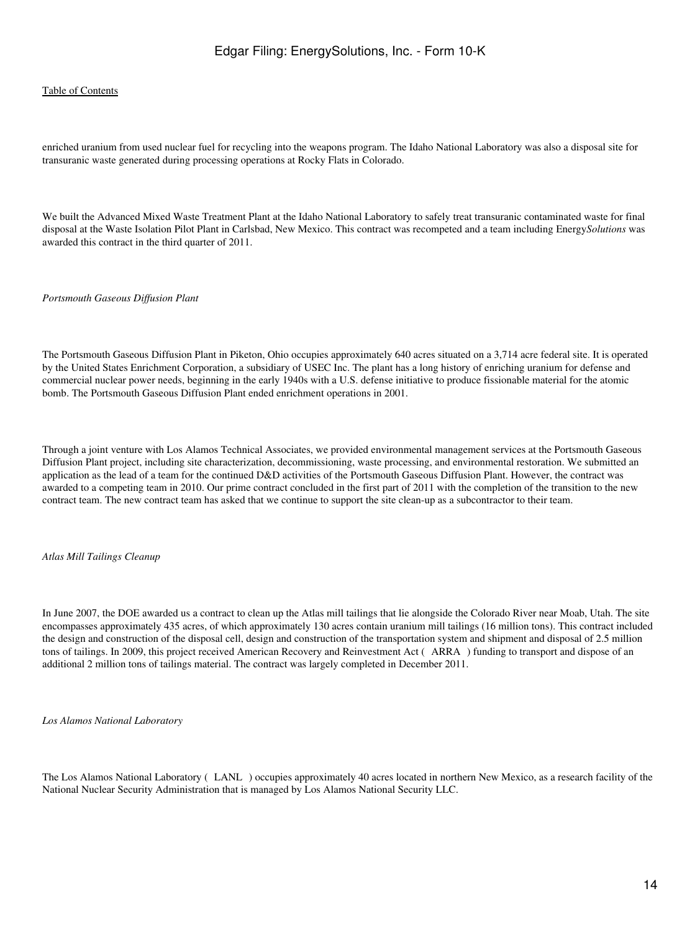enriched uranium from used nuclear fuel for recycling into the weapons program. The Idaho National Laboratory was also a disposal site for transuranic waste generated during processing operations at Rocky Flats in Colorado.

We built the Advanced Mixed Waste Treatment Plant at the Idaho National Laboratory to safely treat transuranic contaminated waste for final disposal at the Waste Isolation Pilot Plant in Carlsbad, New Mexico. This contract was recompeted and a team including Energy*Solutions* was awarded this contract in the third quarter of 2011.

*Portsmouth Gaseous Diffusion Plant*

The Portsmouth Gaseous Diffusion Plant in Piketon, Ohio occupies approximately 640 acres situated on a 3,714 acre federal site. It is operated by the United States Enrichment Corporation, a subsidiary of USEC Inc. The plant has a long history of enriching uranium for defense and commercial nuclear power needs, beginning in the early 1940s with a U.S. defense initiative to produce fissionable material for the atomic bomb. The Portsmouth Gaseous Diffusion Plant ended enrichment operations in 2001.

Through a joint venture with Los Alamos Technical Associates, we provided environmental management services at the Portsmouth Gaseous Diffusion Plant project, including site characterization, decommissioning, waste processing, and environmental restoration. We submitted an application as the lead of a team for the continued D&D activities of the Portsmouth Gaseous Diffusion Plant. However, the contract was awarded to a competing team in 2010. Our prime contract concluded in the first part of 2011 with the completion of the transition to the new contract team. The new contract team has asked that we continue to support the site clean-up as a subcontractor to their team.

#### *Atlas Mill Tailings Cleanup*

In June 2007, the DOE awarded us a contract to clean up the Atlas mill tailings that lie alongside the Colorado River near Moab, Utah. The site encompasses approximately 435 acres, of which approximately 130 acres contain uranium mill tailings (16 million tons). This contract included the design and construction of the disposal cell, design and construction of the transportation system and shipment and disposal of 2.5 million tons of tailings. In 2009, this project received American Recovery and Reinvestment Act (ARRA) funding to transport and dispose of an additional 2 million tons of tailings material. The contract was largely completed in December 2011.

*Los Alamos National Laboratory*

The Los Alamos National Laboratory (LANL) occupies approximately 40 acres located in northern New Mexico, as a research facility of the National Nuclear Security Administration that is managed by Los Alamos National Security LLC.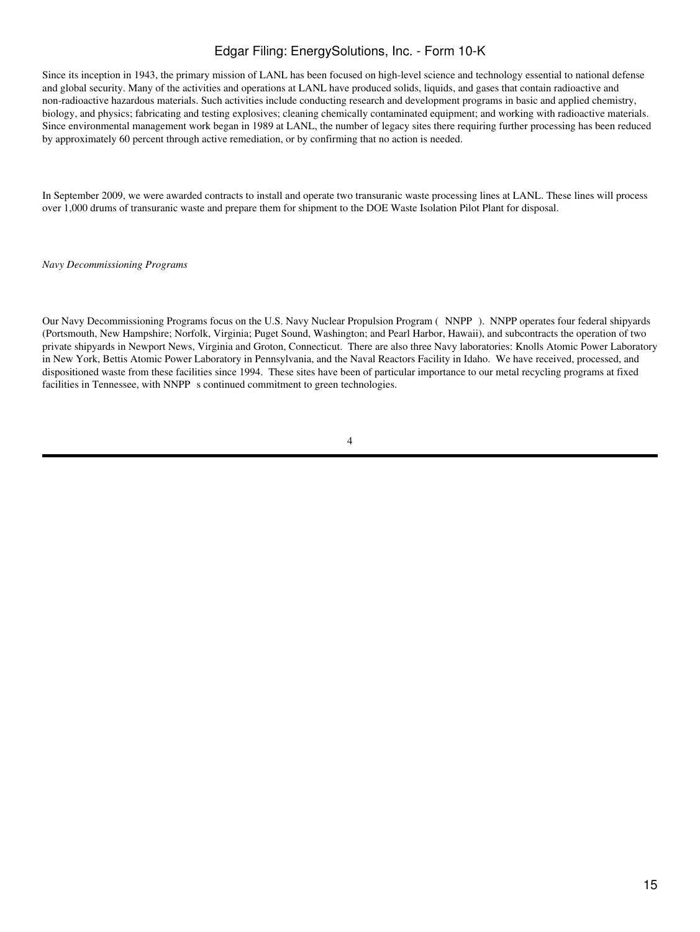Since its inception in 1943, the primary mission of LANL has been focused on high-level science and technology essential to national defense and global security. Many of the activities and operations at LANL have produced solids, liquids, and gases that contain radioactive and non-radioactive hazardous materials. Such activities include conducting research and development programs in basic and applied chemistry, biology, and physics; fabricating and testing explosives; cleaning chemically contaminated equipment; and working with radioactive materials. Since environmental management work began in 1989 at LANL, the number of legacy sites there requiring further processing has been reduced by approximately 60 percent through active remediation, or by confirming that no action is needed.

In September 2009, we were awarded contracts to install and operate two transuranic waste processing lines at LANL. These lines will process over 1,000 drums of transuranic waste and prepare them for shipment to the DOE Waste Isolation Pilot Plant for disposal.

*Navy Decommissioning Programs*

Our Navy Decommissioning Programs focus on the U.S. Navy Nuclear Propulsion Program (NNPP). NNPP operates four federal shipyards (Portsmouth, New Hampshire; Norfolk, Virginia; Puget Sound, Washington; and Pearl Harbor, Hawaii), and subcontracts the operation of two private shipyards in Newport News, Virginia and Groton, Connecticut. There are also three Navy laboratories: Knolls Atomic Power Laboratory in New York, Bettis Atomic Power Laboratory in Pennsylvania, and the Naval Reactors Facility in Idaho. We have received, processed, and dispositioned waste from these facilities since 1994. These sites have been of particular importance to our metal recycling programs at fixed facilities in Tennessee, with NNPP s continued commitment to green technologies.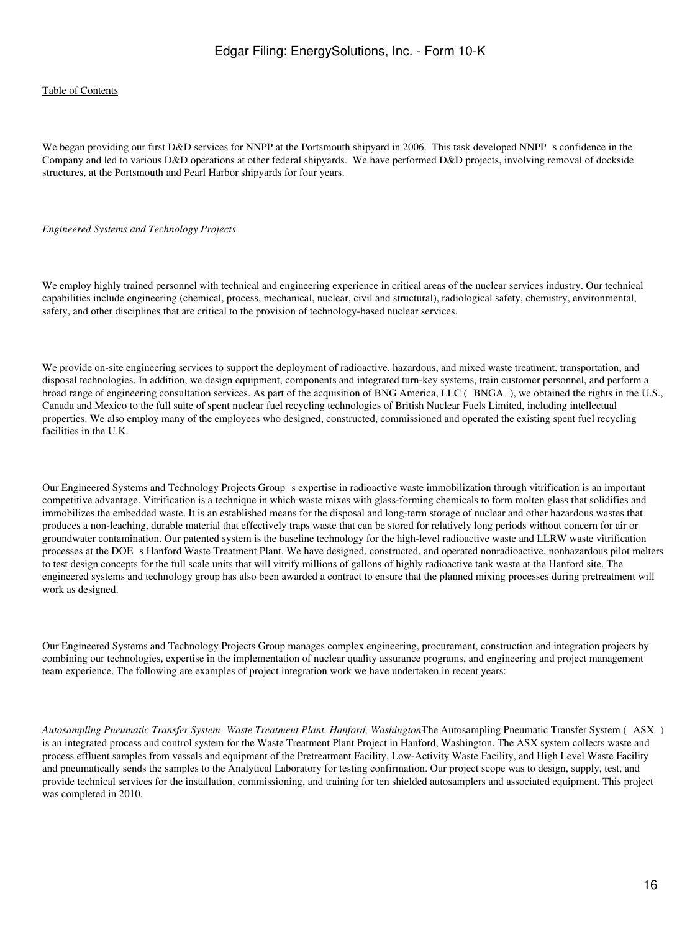We began providing our first D&D services for NNPP at the Portsmouth shipyard in 2006. This task developed NNPP s confidence in the Company and led to various D&D operations at other federal shipyards. We have performed D&D projects, involving removal of dockside structures, at the Portsmouth and Pearl Harbor shipyards for four years.

#### *Engineered Systems and Technology Projects*

We employ highly trained personnel with technical and engineering experience in critical areas of the nuclear services industry. Our technical capabilities include engineering (chemical, process, mechanical, nuclear, civil and structural), radiological safety, chemistry, environmental, safety, and other disciplines that are critical to the provision of technology-based nuclear services.

We provide on-site engineering services to support the deployment of radioactive, hazardous, and mixed waste treatment, transportation, and disposal technologies. In addition, we design equipment, components and integrated turn-key systems, train customer personnel, and perform a broad range of engineering consultation services. As part of the acquisition of BNG America, LLC (BNGA), we obtained the rights in the U.S., Canada and Mexico to the full suite of spent nuclear fuel recycling technologies of British Nuclear Fuels Limited, including intellectual properties. We also employ many of the employees who designed, constructed, commissioned and operated the existing spent fuel recycling facilities in the U.K.

Our Engineered Systems and Technology Projects Group s expertise in radioactive waste immobilization through vitrification is an important competitive advantage. Vitrification is a technique in which waste mixes with glass-forming chemicals to form molten glass that solidifies and immobilizes the embedded waste. It is an established means for the disposal and long-term storage of nuclear and other hazardous wastes that produces a non-leaching, durable material that effectively traps waste that can be stored for relatively long periods without concern for air or groundwater contamination. Our patented system is the baseline technology for the high-level radioactive waste and LLRW waste vitrification processes at the DOEs Hanford Waste Treatment Plant. We have designed, constructed, and operated nonradioactive, nonhazardous pilot melters to test design concepts for the full scale units that will vitrify millions of gallons of highly radioactive tank waste at the Hanford site. The engineered systems and technology group has also been awarded a contract to ensure that the planned mixing processes during pretreatment will work as designed.

Our Engineered Systems and Technology Projects Group manages complex engineering, procurement, construction and integration projects by combining our technologies, expertise in the implementation of nuclear quality assurance programs, and engineering and project management team experience. The following are examples of project integration work we have undertaken in recent years:

*Autosampling Pneumatic Transfer SystemWaste Treatment Plant, Hanford, Washington-*The Autosampling Pneumatic Transfer System (ASX) is an integrated process and control system for the Waste Treatment Plant Project in Hanford, Washington. The ASX system collects waste and process effluent samples from vessels and equipment of the Pretreatment Facility, Low-Activity Waste Facility, and High Level Waste Facility and pneumatically sends the samples to the Analytical Laboratory for testing confirmation. Our project scope was to design, supply, test, and provide technical services for the installation, commissioning, and training for ten shielded autosamplers and associated equipment. This project was completed in 2010.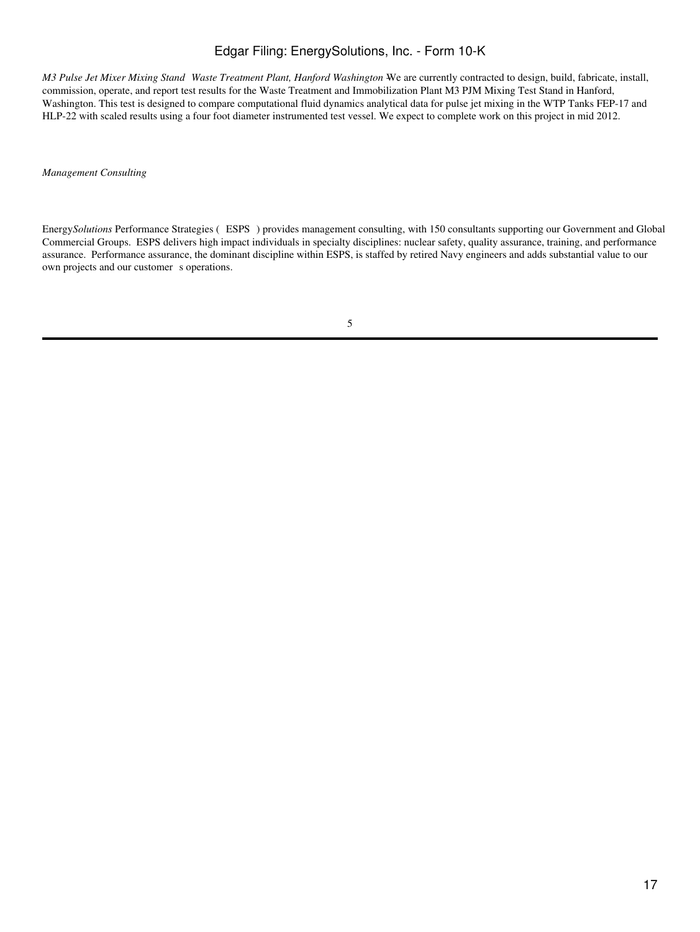*M3 Pulse Jet Mixer Mixing Stand Waste Treatment Plant, Hanford Washington* We are currently contracted to design, build, fabricate, install, commission, operate, and report test results for the Waste Treatment and Immobilization Plant M3 PJM Mixing Test Stand in Hanford, Washington. This test is designed to compare computational fluid dynamics analytical data for pulse jet mixing in the WTP Tanks FEP-17 and HLP-22 with scaled results using a four foot diameter instrumented test vessel. We expect to complete work on this project in mid 2012.

*Management Consulting*

Energy*Solutions* Performance Strategies (ESPS) provides management consulting, with 150 consultants supporting our Government and Global Commercial Groups. ESPS delivers high impact individuals in specialty disciplines: nuclear safety, quality assurance, training, and performance assurance. Performance assurance, the dominant discipline within ESPS, is staffed by retired Navy engineers and adds substantial value to our own projects and our customer s operations.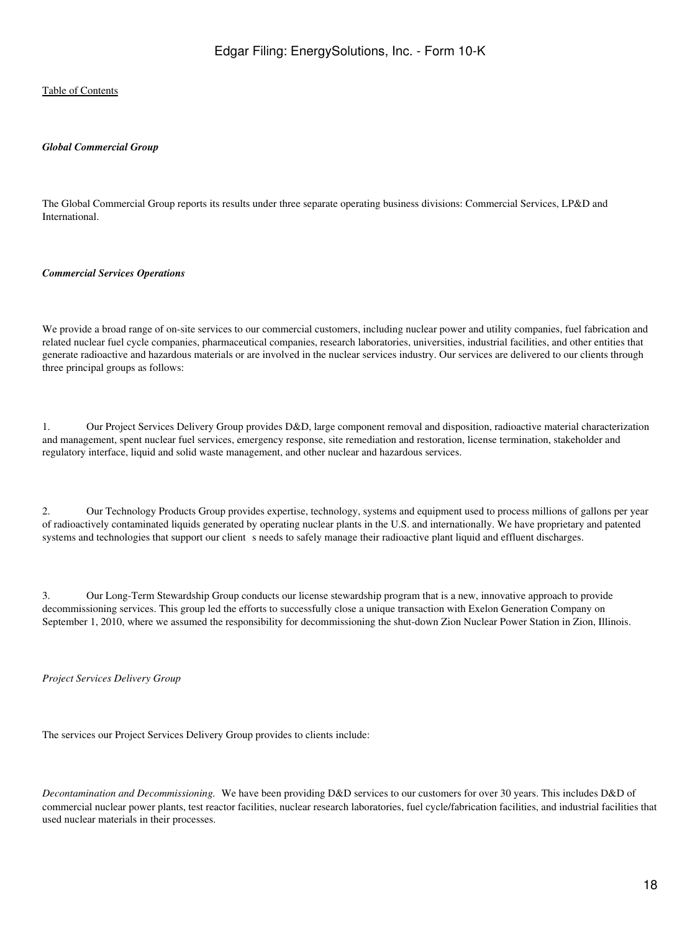#### *Global Commercial Group*

The Global Commercial Group reports its results under three separate operating business divisions: Commercial Services, LP&D and International.

#### *Commercial Services Operations*

We provide a broad range of on-site services to our commercial customers, including nuclear power and utility companies, fuel fabrication and related nuclear fuel cycle companies, pharmaceutical companies, research laboratories, universities, industrial facilities, and other entities that generate radioactive and hazardous materials or are involved in the nuclear services industry. Our services are delivered to our clients through three principal groups as follows:

1. Our Project Services Delivery Group provides D&D, large component removal and disposition, radioactive material characterization and management, spent nuclear fuel services, emergency response, site remediation and restoration, license termination, stakeholder and regulatory interface, liquid and solid waste management, and other nuclear and hazardous services.

2. Our Technology Products Group provides expertise, technology, systems and equipment used to process millions of gallons per year of radioactively contaminated liquids generated by operating nuclear plants in the U.S. and internationally. We have proprietary and patented systems and technologies that support our client s needs to safely manage their radioactive plant liquid and effluent discharges.

3. Our Long-Term Stewardship Group conducts our license stewardship program that is a new, innovative approach to provide decommissioning services. This group led the efforts to successfully close a unique transaction with Exelon Generation Company on September 1, 2010, where we assumed the responsibility for decommissioning the shut-down Zion Nuclear Power Station in Zion, Illinois.

*Project Services Delivery Group*

The services our Project Services Delivery Group provides to clients include:

*Decontamination and Decommissioning.* We have been providing D&D services to our customers for over 30 years. This includes D&D of commercial nuclear power plants, test reactor facilities, nuclear research laboratories, fuel cycle/fabrication facilities, and industrial facilities that used nuclear materials in their processes.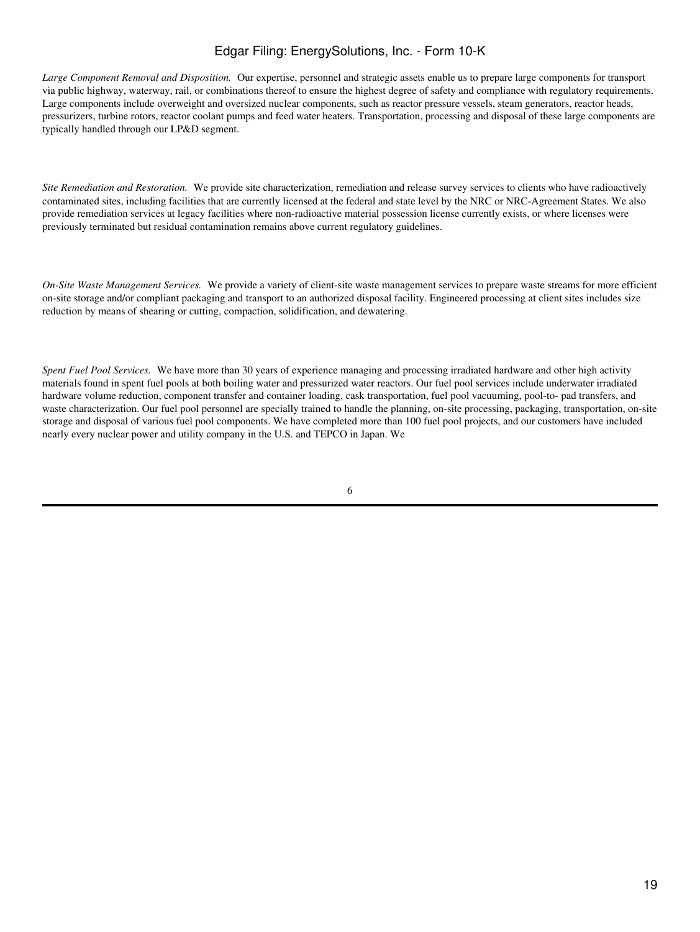*Large Component Removal and Disposition.* Our expertise, personnel and strategic assets enable us to prepare large components for transport via public highway, waterway, rail, or combinations thereof to ensure the highest degree of safety and compliance with regulatory requirements. Large components include overweight and oversized nuclear components, such as reactor pressure vessels, steam generators, reactor heads, pressurizers, turbine rotors, reactor coolant pumps and feed water heaters. Transportation, processing and disposal of these large components are typically handled through our LP&D segment.

*Site Remediation and Restoration.* We provide site characterization, remediation and release survey services to clients who have radioactively contaminated sites, including facilities that are currently licensed at the federal and state level by the NRC or NRC-Agreement States. We also provide remediation services at legacy facilities where non-radioactive material possession license currently exists, or where licenses were previously terminated but residual contamination remains above current regulatory guidelines.

*On-Site Waste Management Services.* We provide a variety of client-site waste management services to prepare waste streams for more efficient on-site storage and/or compliant packaging and transport to an authorized disposal facility. Engineered processing at client sites includes size reduction by means of shearing or cutting, compaction, solidification, and dewatering.

*Spent Fuel Pool Services.* We have more than 30 years of experience managing and processing irradiated hardware and other high activity materials found in spent fuel pools at both boiling water and pressurized water reactors. Our fuel pool services include underwater irradiated hardware volume reduction, component transfer and container loading, cask transportation, fuel pool vacuuming, pool-to- pad transfers, and waste characterization. Our fuel pool personnel are specially trained to handle the planning, on-site processing, packaging, transportation, on-site storage and disposal of various fuel pool components. We have completed more than 100 fuel pool projects, and our customers have included nearly every nuclear power and utility company in the U.S. and TEPCO in Japan. We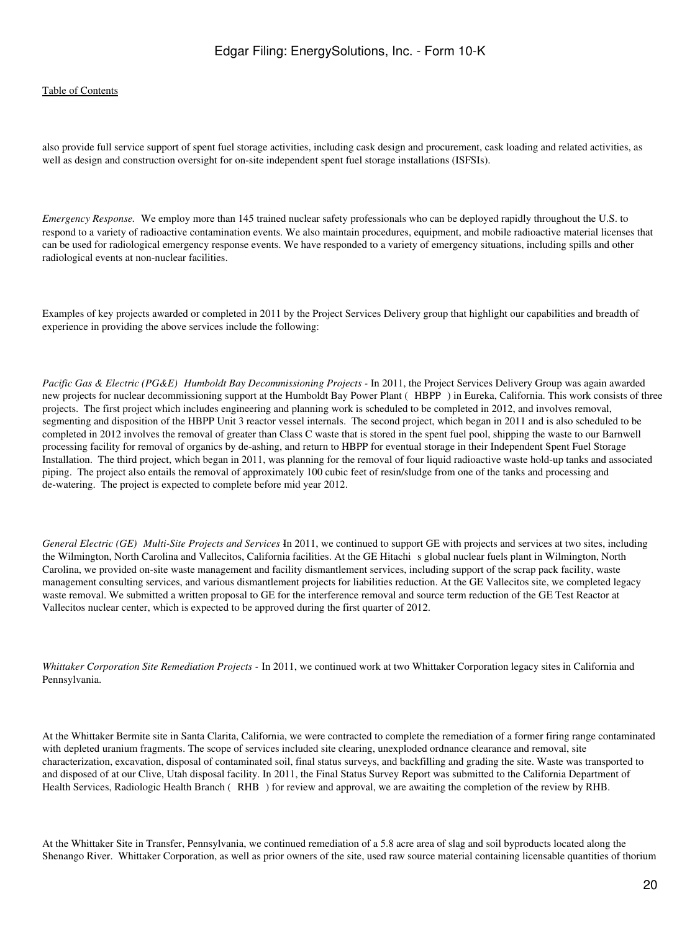also provide full service support of spent fuel storage activities, including cask design and procurement, cask loading and related activities, as well as design and construction oversight for on-site independent spent fuel storage installations (ISFSIs).

*Emergency Response.* We employ more than 145 trained nuclear safety professionals who can be deployed rapidly throughout the U.S. to respond to a variety of radioactive contamination events. We also maintain procedures, equipment, and mobile radioactive material licenses that can be used for radiological emergency response events. We have responded to a variety of emergency situations, including spills and other radiological events at non-nuclear facilities.

Examples of key projects awarded or completed in 2011 by the Project Services Delivery group that highlight our capabilities and breadth of experience in providing the above services include the following:

Pacific Gas & Electric (PG&E) Humboldt Bay Decommissioning Projects - In 2011, the Project Services Delivery Group was again awarded new projects for nuclear decommissioning support at the Humboldt Bay Power Plant (HBPP) in Eureka, California. This work consists of three projects. The first project which includes engineering and planning work is scheduled to be completed in 2012, and involves removal, segmenting and disposition of the HBPP Unit 3 reactor vessel internals. The second project, which began in 2011 and is also scheduled to be completed in 2012 involves the removal of greater than Class C waste that is stored in the spent fuel pool, shipping the waste to our Barnwell processing facility for removal of organics by de-ashing, and return to HBPP for eventual storage in their Independent Spent Fuel Storage Installation. The third project, which began in 2011, was planning for the removal of four liquid radioactive waste hold-up tanks and associated piping. The project also entails the removal of approximately 100 cubic feet of resin/sludge from one of the tanks and processing and de-watering. The project is expected to complete before mid year 2012.

*General Electric (GE) Multi-Site Projects and Services* In 2011, we continued to support GE with projects and services at two sites, including the Wilmington, North Carolina and Vallecitos, California facilities. At the GE Hitachi s global nuclear fuels plant in Wilmington, North Carolina, we provided on-site waste management and facility dismantlement services, including support of the scrap pack facility, waste management consulting services, and various dismantlement projects for liabilities reduction. At the GE Vallecitos site, we completed legacy waste removal. We submitted a written proposal to GE for the interference removal and source term reduction of the GE Test Reactor at Vallecitos nuclear center, which is expected to be approved during the first quarter of 2012.

*Whittaker Corporation Site Remediation Projects -* In 2011, we continued work at two Whittaker Corporation legacy sites in California and Pennsylvania.

At the Whittaker Bermite site in Santa Clarita, California, we were contracted to complete the remediation of a former firing range contaminated with depleted uranium fragments. The scope of services included site clearing, unexploded ordnance clearance and removal, site characterization, excavation, disposal of contaminated soil, final status surveys, and backfilling and grading the site. Waste was transported to and disposed of at our Clive, Utah disposal facility. In 2011, the Final Status Survey Report was submitted to the California Department of Health Services, Radiologic Health Branch (RHB) for review and approval, we are awaiting the completion of the review by RHB.

At the Whittaker Site in Transfer, Pennsylvania, we continued remediation of a 5.8 acre area of slag and soil byproducts located along the Shenango River. Whittaker Corporation, as well as prior owners of the site, used raw source material containing licensable quantities of thorium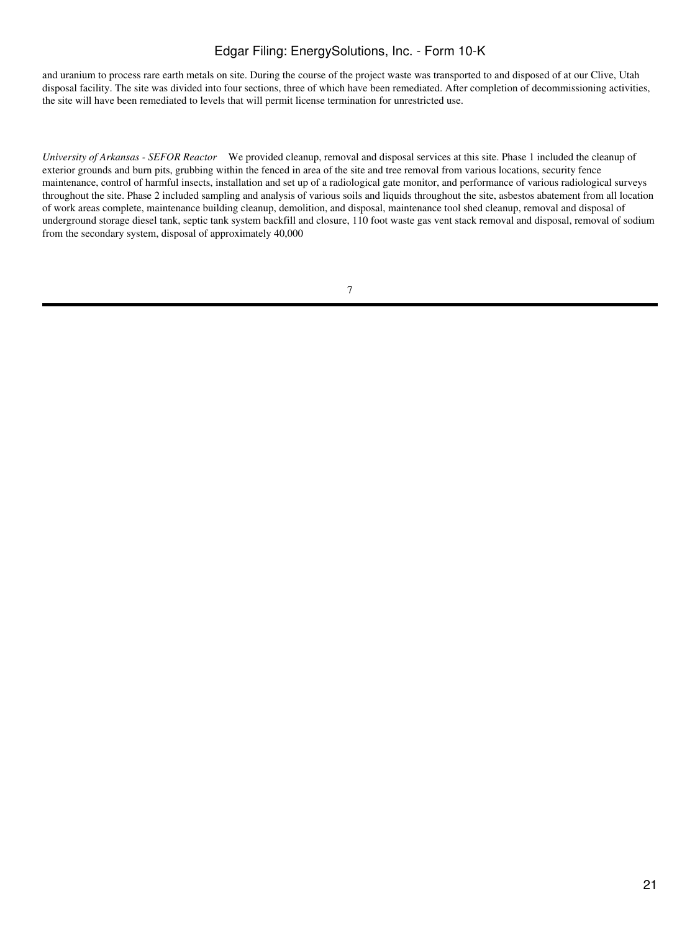and uranium to process rare earth metals on site. During the course of the project waste was transported to and disposed of at our Clive, Utah disposal facility. The site was divided into four sections, three of which have been remediated. After completion of decommissioning activities, the site will have been remediated to levels that will permit license termination for unrestricted use.

*University of Arkansas - SEFOR Reactor* We provided cleanup, removal and disposal services at this site. Phase 1 included the cleanup of exterior grounds and burn pits, grubbing within the fenced in area of the site and tree removal from various locations, security fence maintenance, control of harmful insects, installation and set up of a radiological gate monitor, and performance of various radiological surveys throughout the site. Phase 2 included sampling and analysis of various soils and liquids throughout the site, asbestos abatement from all location of work areas complete, maintenance building cleanup, demolition, and disposal, maintenance tool shed cleanup, removal and disposal of underground storage diesel tank, septic tank system backfill and closure, 110 foot waste gas vent stack removal and disposal, removal of sodium from the secondary system, disposal of approximately 40,000

<sup>7</sup>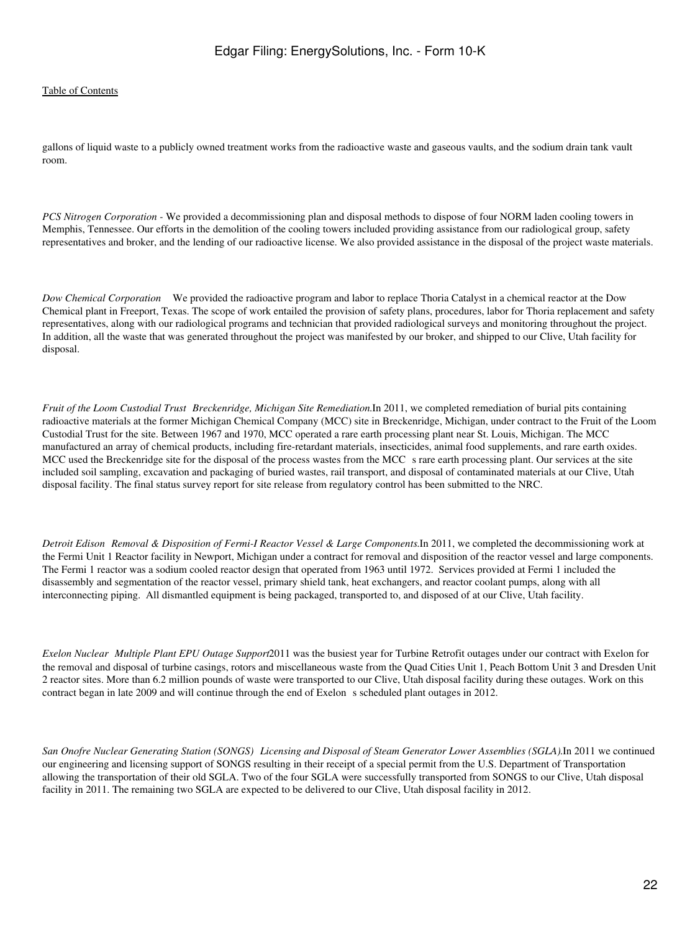gallons of liquid waste to a publicly owned treatment works from the radioactive waste and gaseous vaults, and the sodium drain tank vault room.

*PCS Nitrogen Corporation -* We provided a decommissioning plan and disposal methods to dispose of four NORM laden cooling towers in Memphis, Tennessee. Our efforts in the demolition of the cooling towers included providing assistance from our radiological group, safety representatives and broker, and the lending of our radioactive license. We also provided assistance in the disposal of the project waste materials.

*Dow Chemical Corporation*  We provided the radioactive program and labor to replace Thoria Catalyst in a chemical reactor at the Dow Chemical plant in Freeport, Texas. The scope of work entailed the provision of safety plans, procedures, labor for Thoria replacement and safety representatives, along with our radiological programs and technician that provided radiological surveys and monitoring throughout the project. In addition, all the waste that was generated throughout the project was manifested by our broker, and shipped to our Clive, Utah facility for disposal.

*Fruit of the Loom Custodial Trust Breckenridge, Michigan Site Remediation.* In 2011, we completed remediation of burial pits containing radioactive materials at the former Michigan Chemical Company (MCC) site in Breckenridge, Michigan, under contract to the Fruit of the Loom Custodial Trust for the site. Between 1967 and 1970, MCC operated a rare earth processing plant near St. Louis, Michigan. The MCC manufactured an array of chemical products, including fire-retardant materials, insecticides, animal food supplements, and rare earth oxides. MCC used the Breckenridge site for the disposal of the process wastes from the MCC s rare earth processing plant. Our services at the site included soil sampling, excavation and packaging of buried wastes, rail transport, and disposal of contaminated materials at our Clive, Utah disposal facility. The final status survey report for site release from regulatory control has been submitted to the NRC.

*Detroit Edison Removal & Disposition of Fermi-I Reactor Vessel & Large Components.* In 2011, we completed the decommissioning work at the Fermi Unit 1 Reactor facility in Newport, Michigan under a contract for removal and disposition of the reactor vessel and large components. The Fermi 1 reactor was a sodium cooled reactor design that operated from 1963 until 1972. Services provided at Fermi 1 included the disassembly and segmentation of the reactor vessel, primary shield tank, heat exchangers, and reactor coolant pumps, along with all interconnecting piping. All dismantled equipment is being packaged, transported to, and disposed of at our Clive, Utah facility.

*Exelon Nuclear Multiple Plant EPU Outage Support*2011 was the busiest year for Turbine Retrofit outages under our contract with Exelon for the removal and disposal of turbine casings, rotors and miscellaneous waste from the Quad Cities Unit 1, Peach Bottom Unit 3 and Dresden Unit 2 reactor sites. More than 6.2 million pounds of waste were transported to our Clive, Utah disposal facility during these outages. Work on this contract began in late 2009 and will continue through the end of Exelon s scheduled plant outages in 2012.

*San Onofre Nuclear Generating Station (SONGS) Licensing and Disposal of Steam Generator Lower Assemblies (SGLA). In 2011 we continued* our engineering and licensing support of SONGS resulting in their receipt of a special permit from the U.S. Department of Transportation allowing the transportation of their old SGLA. Two of the four SGLA were successfully transported from SONGS to our Clive, Utah disposal facility in 2011. The remaining two SGLA are expected to be delivered to our Clive, Utah disposal facility in 2012.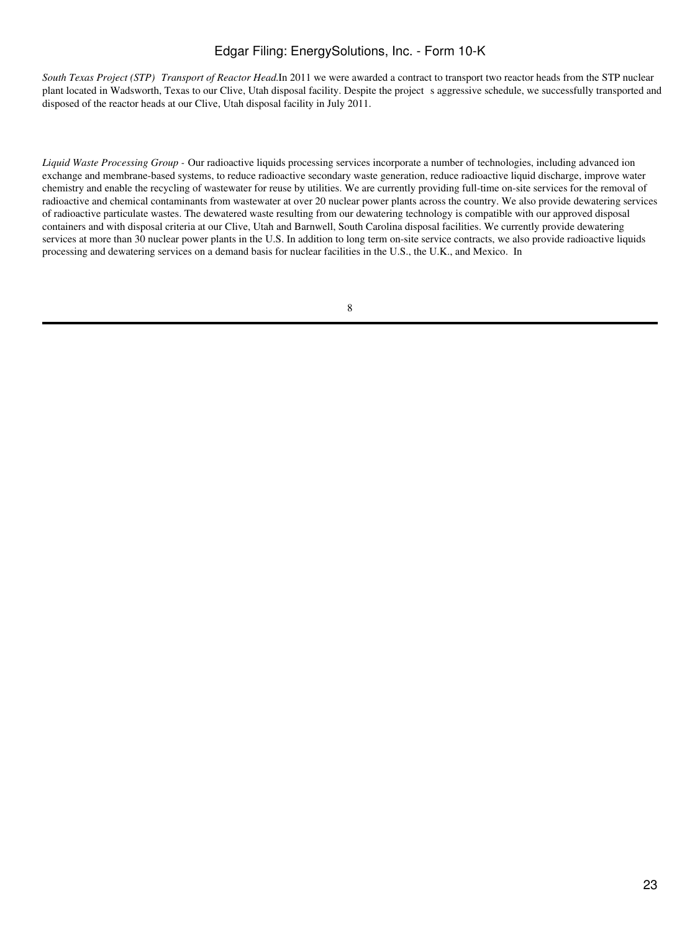South Texas Project (STP) Transport of Reactor Head.In 2011 we were awarded a contract to transport two reactor heads from the STP nuclear plant located in Wadsworth, Texas to our Clive, Utah disposal facility. Despite the project s aggressive schedule, we successfully transported and disposed of the reactor heads at our Clive, Utah disposal facility in July 2011.

*Liquid Waste Processing Group -* Our radioactive liquids processing services incorporate a number of technologies, including advanced ion exchange and membrane-based systems, to reduce radioactive secondary waste generation, reduce radioactive liquid discharge, improve water chemistry and enable the recycling of wastewater for reuse by utilities. We are currently providing full-time on-site services for the removal of radioactive and chemical contaminants from wastewater at over 20 nuclear power plants across the country. We also provide dewatering services of radioactive particulate wastes. The dewatered waste resulting from our dewatering technology is compatible with our approved disposal containers and with disposal criteria at our Clive, Utah and Barnwell, South Carolina disposal facilities. We currently provide dewatering services at more than 30 nuclear power plants in the U.S. In addition to long term on-site service contracts, we also provide radioactive liquids processing and dewatering services on a demand basis for nuclear facilities in the U.S., the U.K., and Mexico. In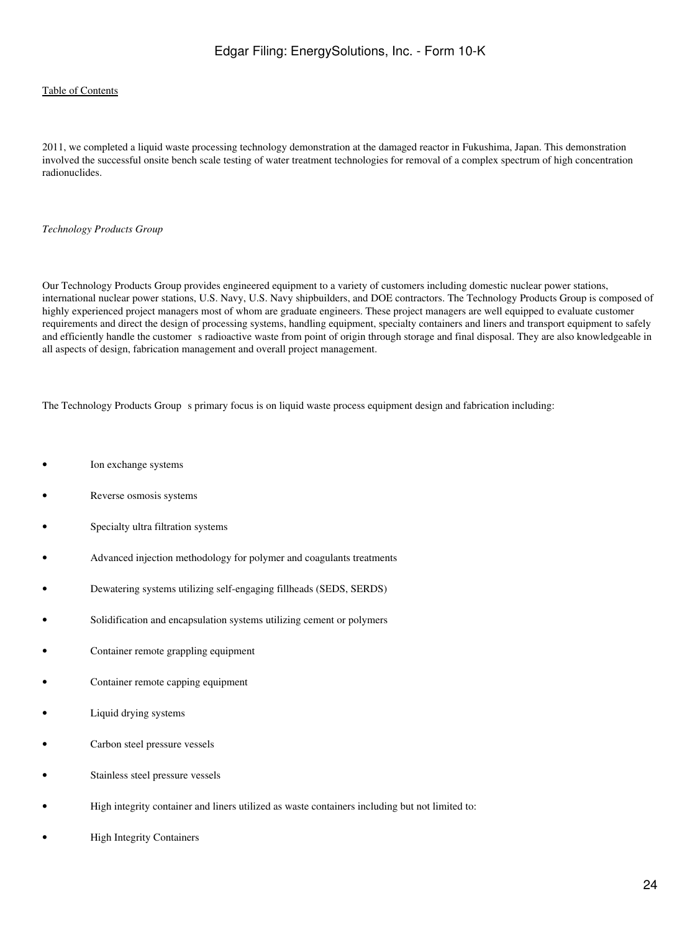2011, we completed a liquid waste processing technology demonstration at the damaged reactor in Fukushima, Japan. This demonstration involved the successful onsite bench scale testing of water treatment technologies for removal of a complex spectrum of high concentration radionuclides.

#### *Technology Products Group*

Our Technology Products Group provides engineered equipment to a variety of customers including domestic nuclear power stations, international nuclear power stations, U.S. Navy, U.S. Navy shipbuilders, and DOE contractors. The Technology Products Group is composed of highly experienced project managers most of whom are graduate engineers. These project managers are well equipped to evaluate customer requirements and direct the design of processing systems, handling equipment, specialty containers and liners and transport equipment to safely and efficiently handle the customer s radioactive waste from point of origin through storage and final disposal. They are also knowledgeable in all aspects of design, fabrication management and overall project management.

The Technology Products Group s primary focus is on liquid waste process equipment design and fabrication including:

- Ion exchange systems
- Reverse osmosis systems
- Specialty ultra filtration systems
- Advanced injection methodology for polymer and coagulants treatments
- Dewatering systems utilizing self-engaging fillheads (SEDS, SERDS)
- Solidification and encapsulation systems utilizing cement or polymers
- Container remote grappling equipment
- Container remote capping equipment
- Liquid drying systems
- Carbon steel pressure vessels
- Stainless steel pressure vessels
- High integrity container and liners utilized as waste containers including but not limited to:
- High Integrity Containers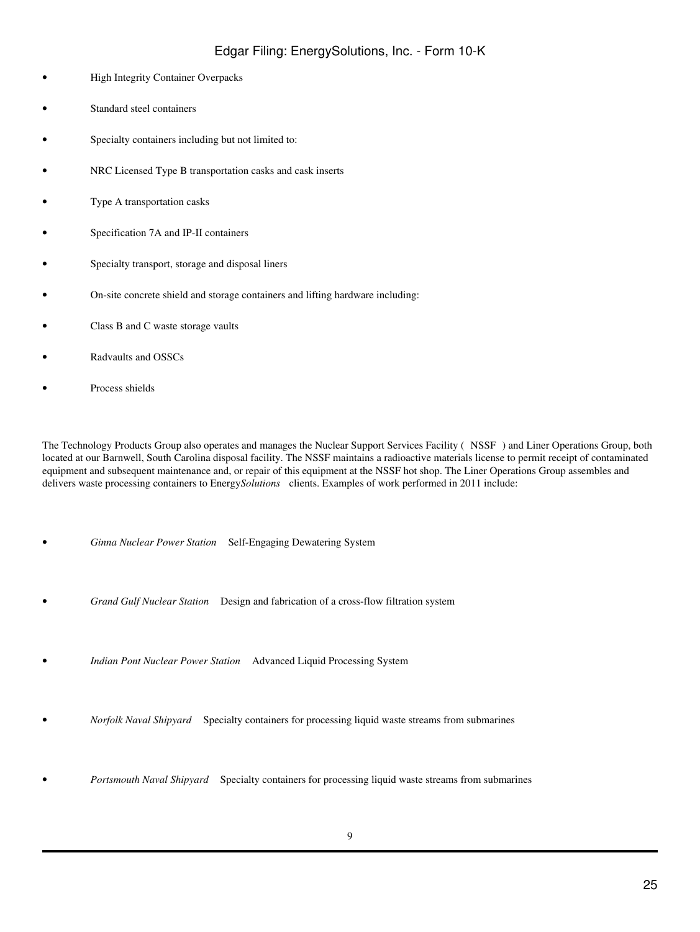- High Integrity Container Overpacks
- Standard steel containers
- Specialty containers including but not limited to:
- NRC Licensed Type B transportation casks and cask inserts
- Type A transportation casks
- Specification 7A and IP-II containers
- Specialty transport, storage and disposal liners
- On-site concrete shield and storage containers and lifting hardware including:
- Class B and C waste storage vaults
- Radvaults and OSSCs
- Process shields

The Technology Products Group also operates and manages the Nuclear Support Services Facility (NSSF) and Liner Operations Group, both located at our Barnwell, South Carolina disposal facility. The NSSF maintains a radioactive materials license to permit receipt of contaminated equipment and subsequent maintenance and, or repair of this equipment at the NSSF hot shop. The Liner Operations Group assembles and delivers waste processing containers to Energy*Solutions* clients. Examples of work performed in 2011 include:

- *Ginna Nuclear Power Station* Self-Engaging Dewatering System
- *Grand Gulf Nuclear Station* Design and fabrication of a cross-flow filtration system
- *Indian Pont Nuclear Power Station* Advanced Liquid Processing System
- *Norfolk Naval Shipyard* Specialty containers for processing liquid waste streams from submarines
- *Portsmouth Naval Shipyard* Specialty containers for processing liquid waste streams from submarines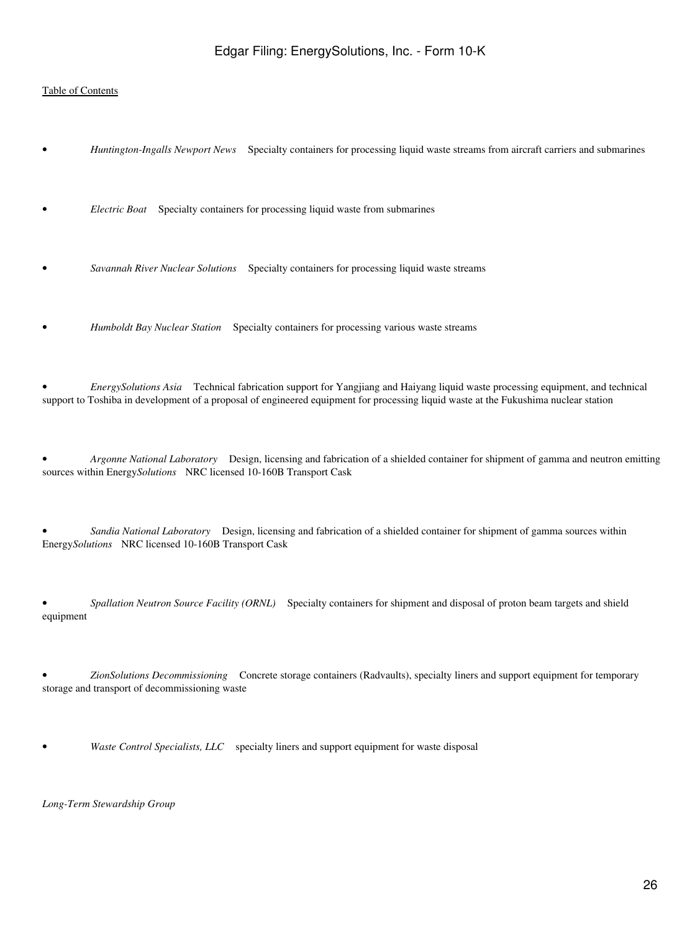- *Huntington-Ingalls Newport News* Specialty containers for processing liquid waste streams from aircraft carriers and submarines
- *Electric Boat* Specialty containers for processing liquid waste from submarines
- *Savannah River Nuclear Solutions* Specialty containers for processing liquid waste streams
- *Humboldt Bay Nuclear Station* Specialty containers for processing various waste streams

• *EnergySolutions Asia* Technical fabrication support for Yangjiang and Haiyang liquid waste processing equipment, and technical support to Toshiba in development of a proposal of engineered equipment for processing liquid waste at the Fukushima nuclear station

• *Argonne National Laboratory* Design, licensing and fabrication of a shielded container for shipment of gamma and neutron emitting sources within Energy*Solutions* NRC licensed 10-160B Transport Cask

• *Sandia National Laboratory* Design, licensing and fabrication of a shielded container for shipment of gamma sources within Energy*Solutions* NRC licensed 10-160B Transport Cask

• *Spallation Neutron Source Facility (ORNL)* Specialty containers for shipment and disposal of proton beam targets and shield equipment

• *ZionSolutions Decommissioning* Concrete storage containers (Radvaults), specialty liners and support equipment for temporary storage and transport of decommissioning waste

• *Waste Control Specialists, LLC* specialty liners and support equipment for waste disposal

*Long-Term Stewardship Group*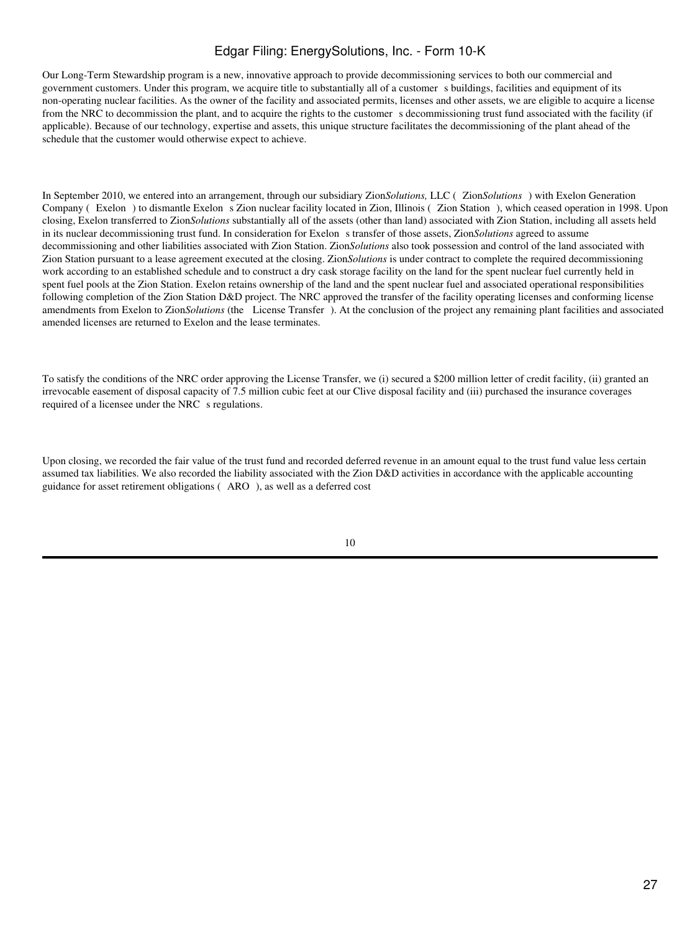Our Long-Term Stewardship program is a new, innovative approach to provide decommissioning services to both our commercial and government customers. Under this program, we acquire title to substantially all of a customer s buildings, facilities and equipment of its non-operating nuclear facilities. As the owner of the facility and associated permits, licenses and other assets, we are eligible to acquire a license from the NRC to decommission the plant, and to acquire the rights to the customer s decommissioning trust fund associated with the facility (if applicable). Because of our technology, expertise and assets, this unique structure facilitates the decommissioning of the plant ahead of the schedule that the customer would otherwise expect to achieve.

In September 2010, we entered into an arrangement, through our subsidiary Zion*Solutions,* LLC (Zion*Solutions*) with Exelon Generation Company (Exelon) to dismantle Exelon s Zion nuclear facility located in Zion, Illinois (Zion Station), which ceased operation in 1998. Upon closing, Exelon transferred to Zion*Solutions* substantially all of the assets (other than land) associated with Zion Station, including all assets held in its nuclear decommissioning trust fund. In consideration for Exelon s transfer of those assets, Zion*Solutions* agreed to assume decommissioning and other liabilities associated with Zion Station. Zion*Solutions* also took possession and control of the land associated with Zion Station pursuant to a lease agreement executed at the closing. Zion*Solutions* is under contract to complete the required decommissioning work according to an established schedule and to construct a dry cask storage facility on the land for the spent nuclear fuel currently held in spent fuel pools at the Zion Station. Exelon retains ownership of the land and the spent nuclear fuel and associated operational responsibilities following completion of the Zion Station D&D project. The NRC approved the transfer of the facility operating licenses and conforming license amendments from Exelon to Zion*Solutions* (the License Transfer). At the conclusion of the project any remaining plant facilities and associated amended licenses are returned to Exelon and the lease terminates.

To satisfy the conditions of the NRC order approving the License Transfer, we (i) secured a \$200 million letter of credit facility, (ii) granted an irrevocable easement of disposal capacity of 7.5 million cubic feet at our Clive disposal facility and (iii) purchased the insurance coverages required of a licensee under the NRC s regulations.

Upon closing, we recorded the fair value of the trust fund and recorded deferred revenue in an amount equal to the trust fund value less certain assumed tax liabilities. We also recorded the liability associated with the Zion D&D activities in accordance with the applicable accounting guidance for asset retirement obligations (ARO), as well as a deferred cost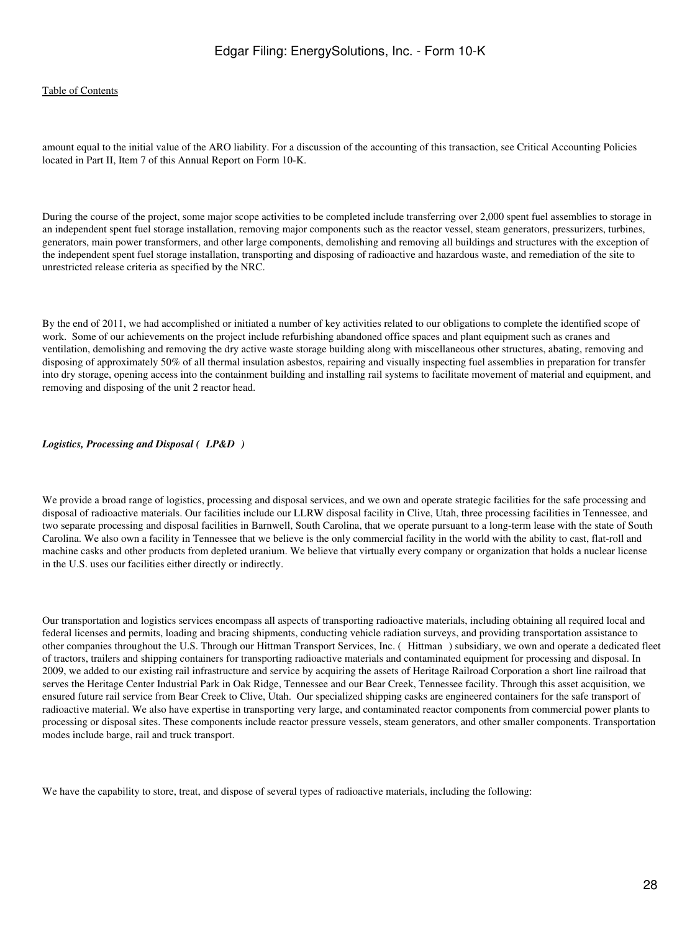amount equal to the initial value of the ARO liability. For a discussion of the accounting of this transaction, see Critical Accounting Policies located in Part II, Item 7 of this Annual Report on Form 10-K.

During the course of the project, some major scope activities to be completed include transferring over 2,000 spent fuel assemblies to storage in an independent spent fuel storage installation, removing major components such as the reactor vessel, steam generators, pressurizers, turbines, generators, main power transformers, and other large components, demolishing and removing all buildings and structures with the exception of the independent spent fuel storage installation, transporting and disposing of radioactive and hazardous waste, and remediation of the site to unrestricted release criteria as specified by the NRC.

By the end of 2011, we had accomplished or initiated a number of key activities related to our obligations to complete the identified scope of work. Some of our achievements on the project include refurbishing abandoned office spaces and plant equipment such as cranes and ventilation, demolishing and removing the dry active waste storage building along with miscellaneous other structures, abating, removing and disposing of approximately 50% of all thermal insulation asbestos, repairing and visually inspecting fuel assemblies in preparation for transfer into dry storage, opening access into the containment building and installing rail systems to facilitate movement of material and equipment, and removing and disposing of the unit 2 reactor head.

#### *Logistics, Processing and Disposal (LP&D)*

We provide a broad range of logistics, processing and disposal services, and we own and operate strategic facilities for the safe processing and disposal of radioactive materials. Our facilities include our LLRW disposal facility in Clive, Utah, three processing facilities in Tennessee, and two separate processing and disposal facilities in Barnwell, South Carolina, that we operate pursuant to a long-term lease with the state of South Carolina. We also own a facility in Tennessee that we believe is the only commercial facility in the world with the ability to cast, flat-roll and machine casks and other products from depleted uranium. We believe that virtually every company or organization that holds a nuclear license in the U.S. uses our facilities either directly or indirectly.

Our transportation and logistics services encompass all aspects of transporting radioactive materials, including obtaining all required local and federal licenses and permits, loading and bracing shipments, conducting vehicle radiation surveys, and providing transportation assistance to other companies throughout the U.S. Through our Hittman Transport Services, Inc. (Hittman) subsidiary, we own and operate a dedicated fleet of tractors, trailers and shipping containers for transporting radioactive materials and contaminated equipment for processing and disposal. In 2009, we added to our existing rail infrastructure and service by acquiring the assets of Heritage Railroad Corporation a short line railroad that serves the Heritage Center Industrial Park in Oak Ridge, Tennessee and our Bear Creek, Tennessee facility. Through this asset acquisition, we ensured future rail service from Bear Creek to Clive, Utah. Our specialized shipping casks are engineered containers for the safe transport of radioactive material. We also have expertise in transporting very large, and contaminated reactor components from commercial power plants to processing or disposal sites. These components include reactor pressure vessels, steam generators, and other smaller components. Transportation modes include barge, rail and truck transport.

We have the capability to store, treat, and dispose of several types of radioactive materials, including the following: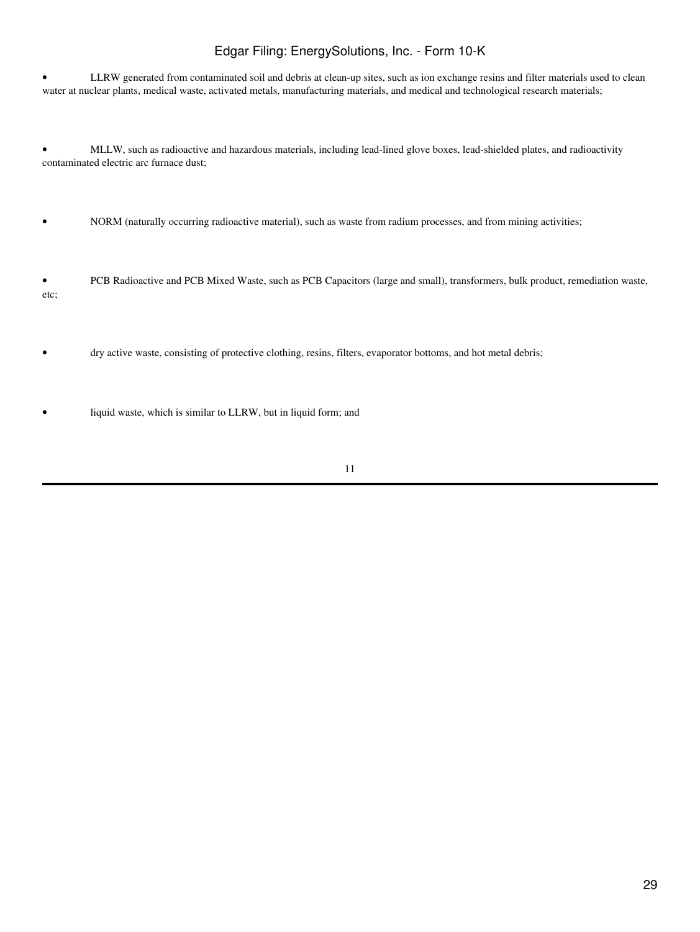• LLRW generated from contaminated soil and debris at clean-up sites, such as ion exchange resins and filter materials used to clean water at nuclear plants, medical waste, activated metals, manufacturing materials, and medical and technological research materials;

• MLLW, such as radioactive and hazardous materials, including lead-lined glove boxes, lead-shielded plates, and radioactivity contaminated electric arc furnace dust;

• NORM (naturally occurring radioactive material), such as waste from radium processes, and from mining activities;

• PCB Radioactive and PCB Mixed Waste, such as PCB Capacitors (large and small), transformers, bulk product, remediation waste, etc;

• dry active waste, consisting of protective clothing, resins, filters, evaporator bottoms, and hot metal debris;

• liquid waste, which is similar to LLRW, but in liquid form; and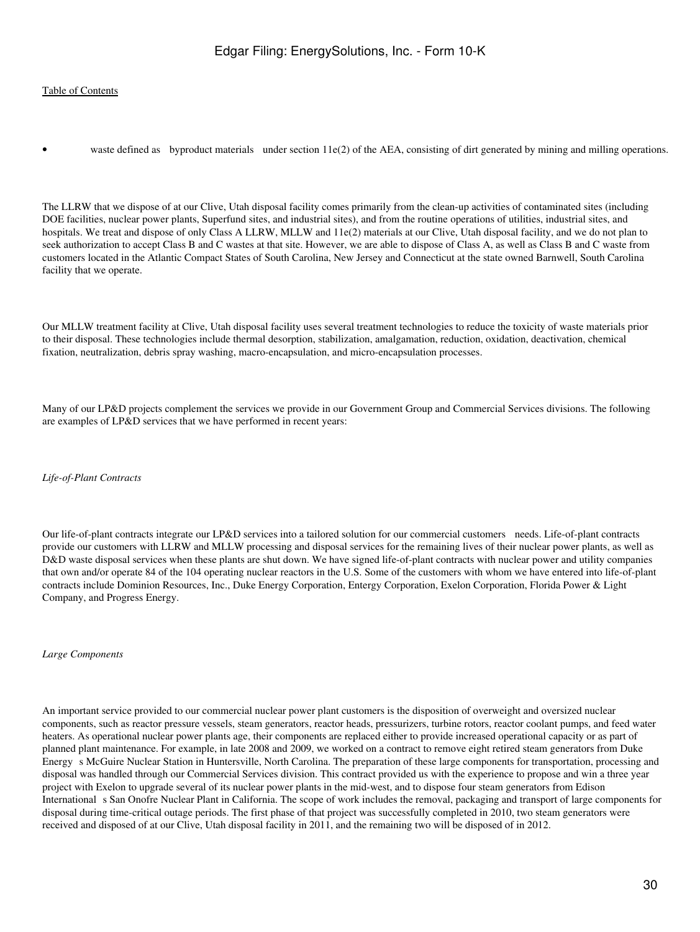waste defined as byproduct materials under section 11e(2) of the AEA, consisting of dirt generated by mining and milling operations.

The LLRW that we dispose of at our Clive, Utah disposal facility comes primarily from the clean-up activities of contaminated sites (including DOE facilities, nuclear power plants, Superfund sites, and industrial sites), and from the routine operations of utilities, industrial sites, and hospitals. We treat and dispose of only Class A LLRW, MLLW and 11e(2) materials at our Clive, Utah disposal facility, and we do not plan to seek authorization to accept Class B and C wastes at that site. However, we are able to dispose of Class A, as well as Class B and C waste from customers located in the Atlantic Compact States of South Carolina, New Jersey and Connecticut at the state owned Barnwell, South Carolina facility that we operate.

Our MLLW treatment facility at Clive, Utah disposal facility uses several treatment technologies to reduce the toxicity of waste materials prior to their disposal. These technologies include thermal desorption, stabilization, amalgamation, reduction, oxidation, deactivation, chemical fixation, neutralization, debris spray washing, macro-encapsulation, and micro-encapsulation processes.

Many of our LP&D projects complement the services we provide in our Government Group and Commercial Services divisions. The following are examples of LP&D services that we have performed in recent years:

*Life-of-Plant Contracts*

Our life-of-plant contracts integrate our LP&D services into a tailored solution for our commercial customers needs. Life-of-plant contracts provide our customers with LLRW and MLLW processing and disposal services for the remaining lives of their nuclear power plants, as well as D&D waste disposal services when these plants are shut down. We have signed life-of-plant contracts with nuclear power and utility companies that own and/or operate 84 of the 104 operating nuclear reactors in the U.S. Some of the customers with whom we have entered into life-of-plant contracts include Dominion Resources, Inc., Duke Energy Corporation, Entergy Corporation, Exelon Corporation, Florida Power & Light Company, and Progress Energy.

#### *Large Components*

An important service provided to our commercial nuclear power plant customers is the disposition of overweight and oversized nuclear components, such as reactor pressure vessels, steam generators, reactor heads, pressurizers, turbine rotors, reactor coolant pumps, and feed water heaters. As operational nuclear power plants age, their components are replaced either to provide increased operational capacity or as part of planned plant maintenance. For example, in late 2008 and 2009, we worked on a contract to remove eight retired steam generators from Duke Energys McGuire Nuclear Station in Huntersville, North Carolina. The preparation of these large components for transportation, processing and disposal was handled through our Commercial Services division. This contract provided us with the experience to propose and win a three year project with Exelon to upgrade several of its nuclear power plants in the mid-west, and to dispose four steam generators from Edison International s San Onofre Nuclear Plant in California. The scope of work includes the removal, packaging and transport of large components for disposal during time-critical outage periods. The first phase of that project was successfully completed in 2010, two steam generators were received and disposed of at our Clive, Utah disposal facility in 2011, and the remaining two will be disposed of in 2012.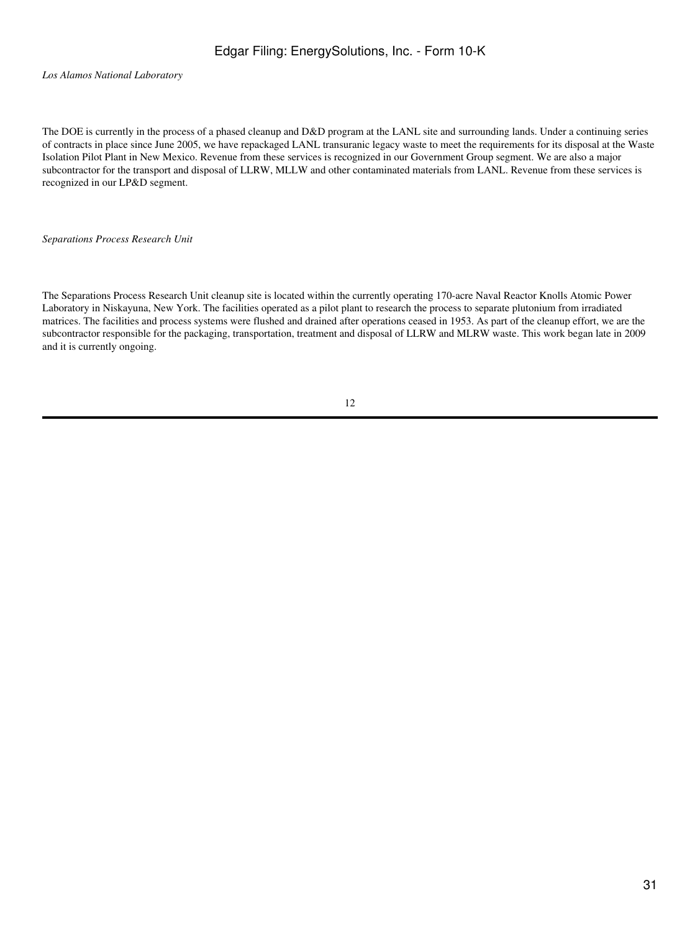#### *Los Alamos National Laboratory*

The DOE is currently in the process of a phased cleanup and D&D program at the LANL site and surrounding lands. Under a continuing series of contracts in place since June 2005, we have repackaged LANL transuranic legacy waste to meet the requirements for its disposal at the Waste Isolation Pilot Plant in New Mexico. Revenue from these services is recognized in our Government Group segment. We are also a major subcontractor for the transport and disposal of LLRW, MLLW and other contaminated materials from LANL. Revenue from these services is recognized in our LP&D segment.

#### *Separations Process Research Unit*

The Separations Process Research Unit cleanup site is located within the currently operating 170-acre Naval Reactor Knolls Atomic Power Laboratory in Niskayuna, New York. The facilities operated as a pilot plant to research the process to separate plutonium from irradiated matrices. The facilities and process systems were flushed and drained after operations ceased in 1953. As part of the cleanup effort, we are the subcontractor responsible for the packaging, transportation, treatment and disposal of LLRW and MLRW waste. This work began late in 2009 and it is currently ongoing.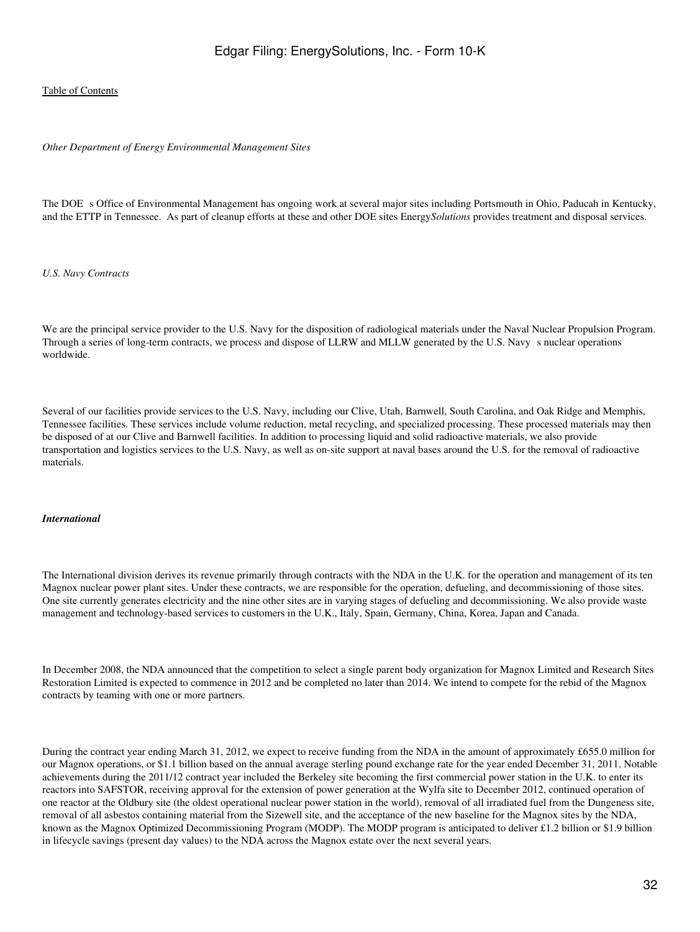*Other Department of Energy Environmental Management Sites*

The DOEs Office of Environmental Management has ongoing work at several major sites including Portsmouth in Ohio, Paducah in Kentucky, and the ETTP in Tennessee. As part of cleanup efforts at these and other DOE sites Energy*Solutions* provides treatment and disposal services.

*U.S. Navy Contracts*

We are the principal service provider to the U.S. Navy for the disposition of radiological materials under the Naval Nuclear Propulsion Program. Through a series of long-term contracts, we process and dispose of LLRW and MLLW generated by the U.S. Navys nuclear operations worldwide.

Several of our facilities provide services to the U.S. Navy, including our Clive, Utah, Barnwell, South Carolina, and Oak Ridge and Memphis, Tennessee facilities. These services include volume reduction, metal recycling, and specialized processing. These processed materials may then be disposed of at our Clive and Barnwell facilities. In addition to processing liquid and solid radioactive materials, we also provide transportation and logistics services to the U.S. Navy, as well as on-site support at naval bases around the U.S. for the removal of radioactive materials.

#### *International*

The International division derives its revenue primarily through contracts with the NDA in the U.K. for the operation and management of its ten Magnox nuclear power plant sites. Under these contracts, we are responsible for the operation, defueling, and decommissioning of those sites. One site currently generates electricity and the nine other sites are in varying stages of defueling and decommissioning. We also provide waste management and technology-based services to customers in the U.K., Italy, Spain, Germany, China, Korea, Japan and Canada.

In December 2008, the NDA announced that the competition to select a single parent body organization for Magnox Limited and Research Sites Restoration Limited is expected to commence in 2012 and be completed no later than 2014. We intend to compete for the rebid of the Magnox contracts by teaming with one or more partners.

During the contract year ending March 31, 2012, we expect to receive funding from the NDA in the amount of approximately £655.0 million for our Magnox operations, or \$1.1 billion based on the annual average sterling pound exchange rate for the year ended December 31, 2011. Notable achievements during the 2011/12 contract year included the Berkeley site becoming the first commercial power station in the U.K. to enter its reactors into SAFSTOR, receiving approval for the extension of power generation at the Wylfa site to December 2012, continued operation of one reactor at the Oldbury site (the oldest operational nuclear power station in the world), removal of all irradiated fuel from the Dungeness site, removal of all asbestos containing material from the Sizewell site, and the acceptance of the new baseline for the Magnox sites by the NDA, known as the Magnox Optimized Decommissioning Program (MODP). The MODP program is anticipated to deliver £1.2 billion or \$1.9 billion in lifecycle savings (present day values) to the NDA across the Magnox estate over the next several years.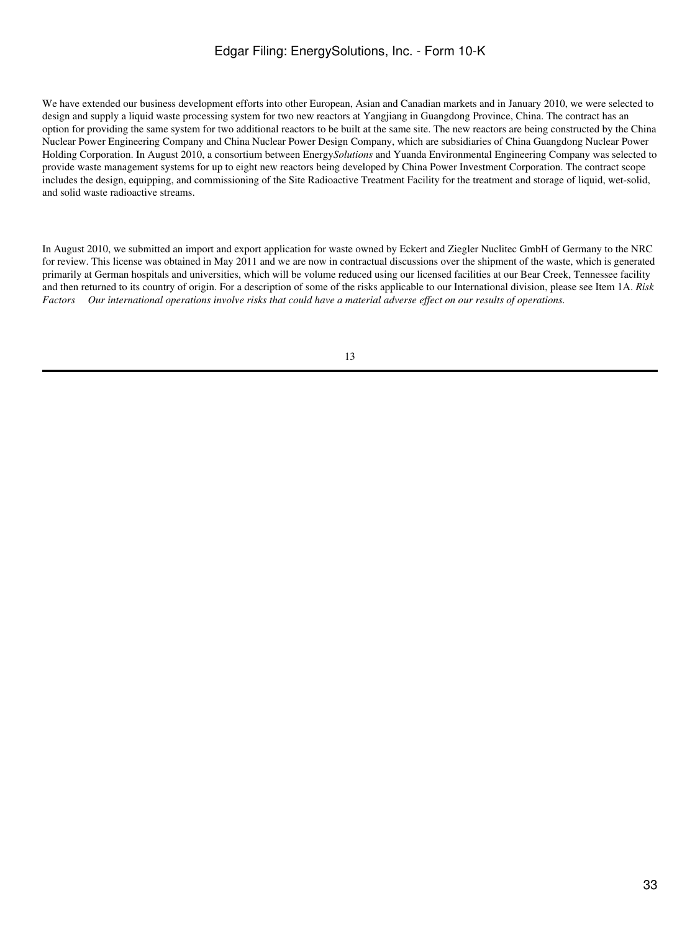We have extended our business development efforts into other European, Asian and Canadian markets and in January 2010, we were selected to design and supply a liquid waste processing system for two new reactors at Yangjiang in Guangdong Province, China. The contract has an option for providing the same system for two additional reactors to be built at the same site. The new reactors are being constructed by the China Nuclear Power Engineering Company and China Nuclear Power Design Company, which are subsidiaries of China Guangdong Nuclear Power Holding Corporation. In August 2010, a consortium between Energy*Solutions* and Yuanda Environmental Engineering Company was selected to provide waste management systems for up to eight new reactors being developed by China Power Investment Corporation. The contract scope includes the design, equipping, and commissioning of the Site Radioactive Treatment Facility for the treatment and storage of liquid, wet-solid, and solid waste radioactive streams.

In August 2010, we submitted an import and export application for waste owned by Eckert and Ziegler Nuclitec GmbH of Germany to the NRC for review. This license was obtained in May 2011 and we are now in contractual discussions over the shipment of the waste, which is generated primarily at German hospitals and universities, which will be volume reduced using our licensed facilities at our Bear Creek, Tennessee facility and then returned to its country of origin. For a description of some of the risks applicable to our International division, please see Item 1A. *Risk* Factors Our international operations involve risks that could have a material adverse effect on our results of operations.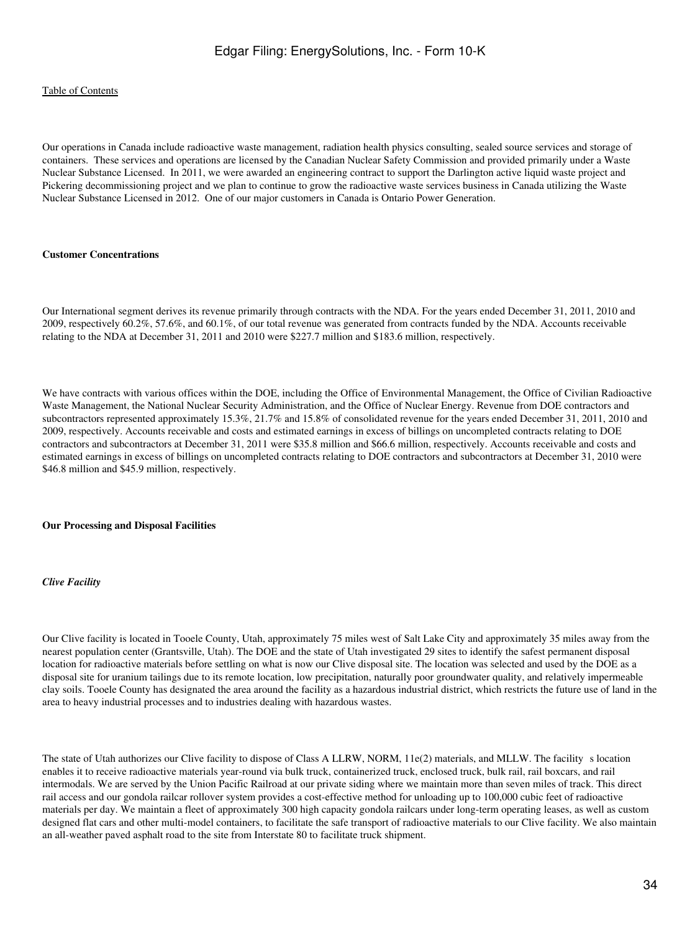Our operations in Canada include radioactive waste management, radiation health physics consulting, sealed source services and storage of containers. These services and operations are licensed by the Canadian Nuclear Safety Commission and provided primarily under a Waste Nuclear Substance Licensed. In 2011, we were awarded an engineering contract to support the Darlington active liquid waste project and Pickering decommissioning project and we plan to continue to grow the radioactive waste services business in Canada utilizing the Waste Nuclear Substance Licensed in 2012. One of our major customers in Canada is Ontario Power Generation.

#### **Customer Concentrations**

Our International segment derives its revenue primarily through contracts with the NDA. For the years ended December 31, 2011, 2010 and 2009, respectively 60.2%, 57.6%, and 60.1%, of our total revenue was generated from contracts funded by the NDA. Accounts receivable relating to the NDA at December 31, 2011 and 2010 were \$227.7 million and \$183.6 million, respectively.

We have contracts with various offices within the DOE, including the Office of Environmental Management, the Office of Civilian Radioactive Waste Management, the National Nuclear Security Administration, and the Office of Nuclear Energy. Revenue from DOE contractors and subcontractors represented approximately 15.3%, 21.7% and 15.8% of consolidated revenue for the years ended December 31, 2011, 2010 and 2009, respectively. Accounts receivable and costs and estimated earnings in excess of billings on uncompleted contracts relating to DOE contractors and subcontractors at December 31, 2011 were \$35.8 million and \$66.6 million, respectively. Accounts receivable and costs and estimated earnings in excess of billings on uncompleted contracts relating to DOE contractors and subcontractors at December 31, 2010 were \$46.8 million and \$45.9 million, respectively.

**Our Processing and Disposal Facilities**

#### *Clive Facility*

Our Clive facility is located in Tooele County, Utah, approximately 75 miles west of Salt Lake City and approximately 35 miles away from the nearest population center (Grantsville, Utah). The DOE and the state of Utah investigated 29 sites to identify the safest permanent disposal location for radioactive materials before settling on what is now our Clive disposal site. The location was selected and used by the DOE as a disposal site for uranium tailings due to its remote location, low precipitation, naturally poor groundwater quality, and relatively impermeable clay soils. Tooele County has designated the area around the facility as a hazardous industrial district, which restricts the future use of land in the area to heavy industrial processes and to industries dealing with hazardous wastes.

The state of Utah authorizes our Clive facility to dispose of Class A LLRW, NORM, 11e(2) materials, and MLLW. The facility s location enables it to receive radioactive materials year-round via bulk truck, containerized truck, enclosed truck, bulk rail, rail boxcars, and rail intermodals. We are served by the Union Pacific Railroad at our private siding where we maintain more than seven miles of track. This direct rail access and our gondola railcar rollover system provides a cost-effective method for unloading up to 100,000 cubic feet of radioactive materials per day. We maintain a fleet of approximately 300 high capacity gondola railcars under long-term operating leases, as well as custom designed flat cars and other multi-model containers, to facilitate the safe transport of radioactive materials to our Clive facility. We also maintain an all-weather paved asphalt road to the site from Interstate 80 to facilitate truck shipment.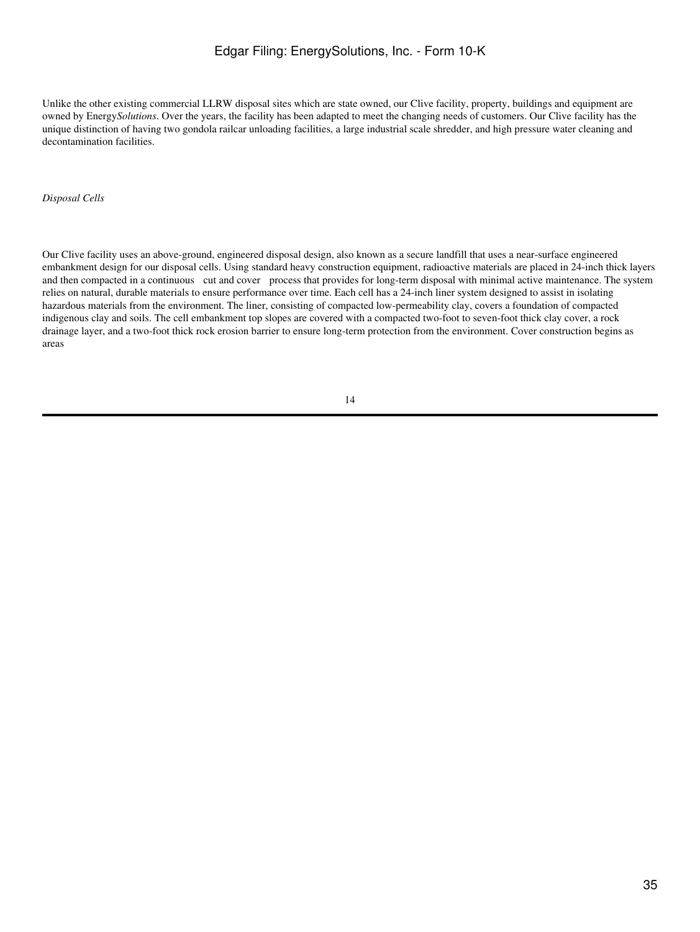Unlike the other existing commercial LLRW disposal sites which are state owned, our Clive facility, property, buildings and equipment are owned by Energy*Solutions*. Over the years, the facility has been adapted to meet the changing needs of customers. Our Clive facility has the unique distinction of having two gondola railcar unloading facilities, a large industrial scale shredder, and high pressure water cleaning and decontamination facilities.

#### *Disposal Cells*

Our Clive facility uses an above-ground, engineered disposal design, also known as a secure landfill that uses a near-surface engineered embankment design for our disposal cells. Using standard heavy construction equipment, radioactive materials are placed in 24-inch thick layers and then compacted in a continuous cut and cover process that provides for long-term disposal with minimal active maintenance. The system relies on natural, durable materials to ensure performance over time. Each cell has a 24-inch liner system designed to assist in isolating hazardous materials from the environment. The liner, consisting of compacted low-permeability clay, covers a foundation of compacted indigenous clay and soils. The cell embankment top slopes are covered with a compacted two-foot to seven-foot thick clay cover, a rock drainage layer, and a two-foot thick rock erosion barrier to ensure long-term protection from the environment. Cover construction begins as areas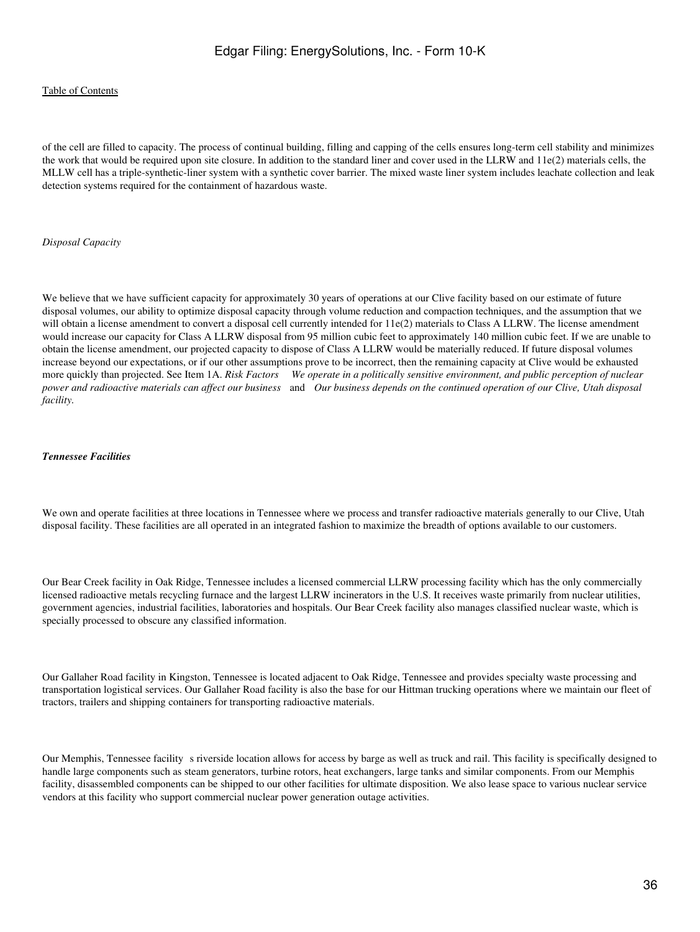### [Table of Contents](#page-3-0)

of the cell are filled to capacity. The process of continual building, filling and capping of the cells ensures long-term cell stability and minimizes the work that would be required upon site closure. In addition to the standard liner and cover used in the LLRW and 11e(2) materials cells, the MLLW cell has a triple-synthetic-liner system with a synthetic cover barrier. The mixed waste liner system includes leachate collection and leak detection systems required for the containment of hazardous waste.

#### *Disposal Capacity*

We believe that we have sufficient capacity for approximately 30 years of operations at our Clive facility based on our estimate of future disposal volumes, our ability to optimize disposal capacity through volume reduction and compaction techniques, and the assumption that we will obtain a license amendment to convert a disposal cell currently intended for 11e(2) materials to Class A LLRW. The license amendment would increase our capacity for Class A LLRW disposal from 95 million cubic feet to approximately 140 million cubic feet. If we are unable to obtain the license amendment, our projected capacity to dispose of Class A LLRW would be materially reduced. If future disposal volumes increase beyond our expectations, or if our other assumptions prove to be incorrect, then the remaining capacity at Clive would be exhausted more quickly than projected. See Item 1A. Risk Factors We operate in a politically sensitive environment, and public perception of nuclear *power and radioactive materials can affect our business* and *Our business depends on the continued operation of our Clive, Utah disposal facility.*

#### *Tennessee Facilities*

We own and operate facilities at three locations in Tennessee where we process and transfer radioactive materials generally to our Clive, Utah disposal facility. These facilities are all operated in an integrated fashion to maximize the breadth of options available to our customers.

Our Bear Creek facility in Oak Ridge, Tennessee includes a licensed commercial LLRW processing facility which has the only commercially licensed radioactive metals recycling furnace and the largest LLRW incinerators in the U.S. It receives waste primarily from nuclear utilities, government agencies, industrial facilities, laboratories and hospitals. Our Bear Creek facility also manages classified nuclear waste, which is specially processed to obscure any classified information.

Our Gallaher Road facility in Kingston, Tennessee is located adjacent to Oak Ridge, Tennessee and provides specialty waste processing and transportation logistical services. Our Gallaher Road facility is also the base for our Hittman trucking operations where we maintain our fleet of tractors, trailers and shipping containers for transporting radioactive materials.

Our Memphis, Tennessee facility s riverside location allows for access by barge as well as truck and rail. This facility is specifically designed to handle large components such as steam generators, turbine rotors, heat exchangers, large tanks and similar components. From our Memphis facility, disassembled components can be shipped to our other facilities for ultimate disposition. We also lease space to various nuclear service vendors at this facility who support commercial nuclear power generation outage activities.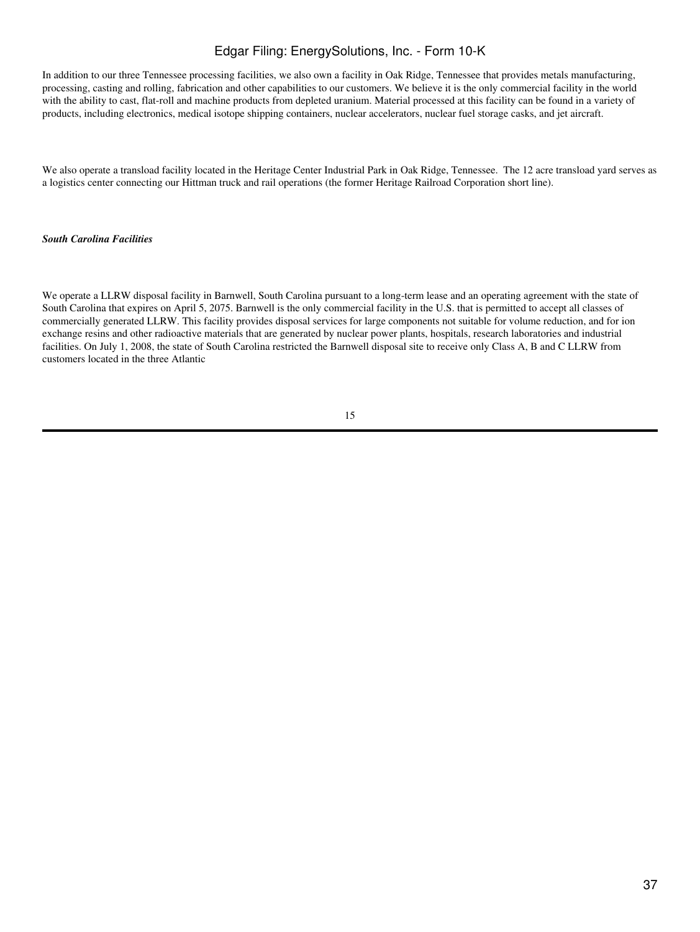In addition to our three Tennessee processing facilities, we also own a facility in Oak Ridge, Tennessee that provides metals manufacturing, processing, casting and rolling, fabrication and other capabilities to our customers. We believe it is the only commercial facility in the world with the ability to cast, flat-roll and machine products from depleted uranium. Material processed at this facility can be found in a variety of products, including electronics, medical isotope shipping containers, nuclear accelerators, nuclear fuel storage casks, and jet aircraft.

We also operate a transload facility located in the Heritage Center Industrial Park in Oak Ridge, Tennessee. The 12 acre transload yard serves as a logistics center connecting our Hittman truck and rail operations (the former Heritage Railroad Corporation short line).

### *South Carolina Facilities*

We operate a LLRW disposal facility in Barnwell, South Carolina pursuant to a long-term lease and an operating agreement with the state of South Carolina that expires on April 5, 2075. Barnwell is the only commercial facility in the U.S. that is permitted to accept all classes of commercially generated LLRW. This facility provides disposal services for large components not suitable for volume reduction, and for ion exchange resins and other radioactive materials that are generated by nuclear power plants, hospitals, research laboratories and industrial facilities. On July 1, 2008, the state of South Carolina restricted the Barnwell disposal site to receive only Class A, B and C LLRW from customers located in the three Atlantic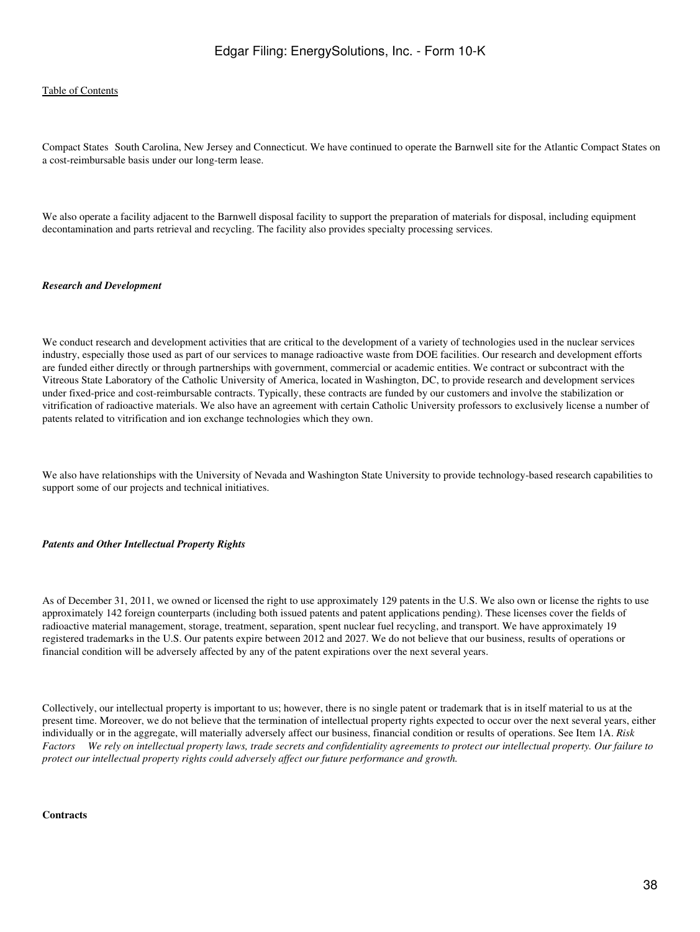Compact States South Carolina, New Jersey and Connecticut. We have continued to operate the Barnwell site for the Atlantic Compact States on a cost-reimbursable basis under our long-term lease.

We also operate a facility adjacent to the Barnwell disposal facility to support the preparation of materials for disposal, including equipment decontamination and parts retrieval and recycling. The facility also provides specialty processing services.

### *Research and Development*

We conduct research and development activities that are critical to the development of a variety of technologies used in the nuclear services industry, especially those used as part of our services to manage radioactive waste from DOE facilities. Our research and development efforts are funded either directly or through partnerships with government, commercial or academic entities. We contract or subcontract with the Vitreous State Laboratory of the Catholic University of America, located in Washington, DC, to provide research and development services under fixed-price and cost-reimbursable contracts. Typically, these contracts are funded by our customers and involve the stabilization or vitrification of radioactive materials. We also have an agreement with certain Catholic University professors to exclusively license a number of patents related to vitrification and ion exchange technologies which they own.

We also have relationships with the University of Nevada and Washington State University to provide technology-based research capabilities to support some of our projects and technical initiatives.

### *Patents and Other Intellectual Property Rights*

As of December 31, 2011, we owned or licensed the right to use approximately 129 patents in the U.S. We also own or license the rights to use approximately 142 foreign counterparts (including both issued patents and patent applications pending). These licenses cover the fields of radioactive material management, storage, treatment, separation, spent nuclear fuel recycling, and transport. We have approximately 19 registered trademarks in the U.S. Our patents expire between 2012 and 2027. We do not believe that our business, results of operations or financial condition will be adversely affected by any of the patent expirations over the next several years.

Collectively, our intellectual property is important to us; however, there is no single patent or trademark that is in itself material to us at the present time. Moreover, we do not believe that the termination of intellectual property rights expected to occur over the next several years, either individually or in the aggregate, will materially adversely affect our business, financial condition or results of operations. See Item 1A. *Risk FactorsWe rely on intellectual property laws, trade secrets and confidentiality agreements to protect our intellectual property. Our failure to protect our intellectual property rights could adversely affect our future performance and growth.*

### **Contracts**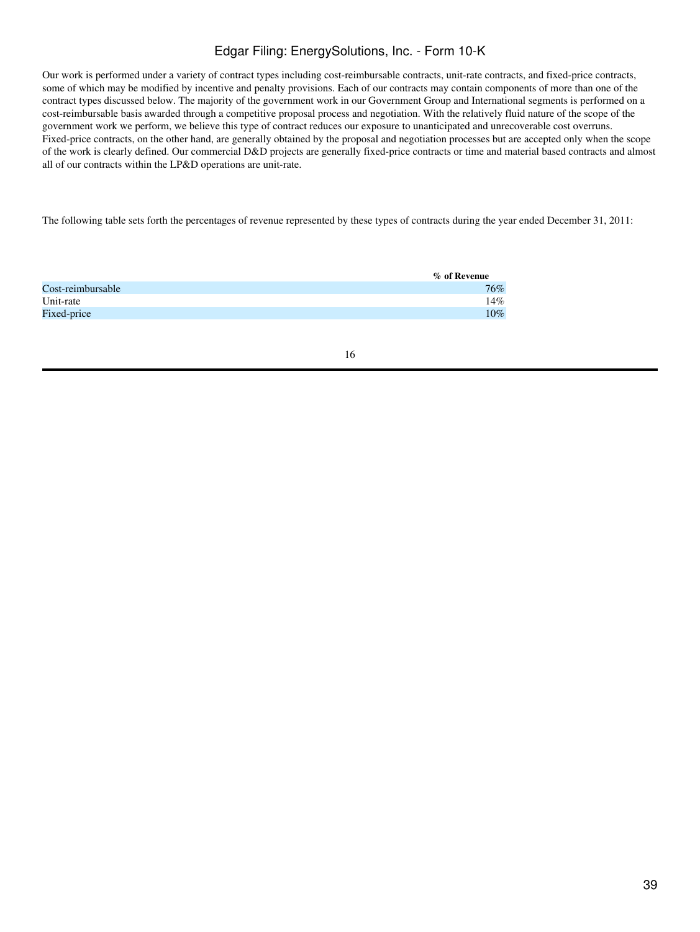Our work is performed under a variety of contract types including cost-reimbursable contracts, unit-rate contracts, and fixed-price contracts, some of which may be modified by incentive and penalty provisions. Each of our contracts may contain components of more than one of the contract types discussed below. The majority of the government work in our Government Group and International segments is performed on a cost-reimbursable basis awarded through a competitive proposal process and negotiation. With the relatively fluid nature of the scope of the government work we perform, we believe this type of contract reduces our exposure to unanticipated and unrecoverable cost overruns. Fixed-price contracts, on the other hand, are generally obtained by the proposal and negotiation processes but are accepted only when the scope of the work is clearly defined. Our commercial D&D projects are generally fixed-price contracts or time and material based contracts and almost all of our contracts within the LP&D operations are unit-rate.

The following table sets forth the percentages of revenue represented by these types of contracts during the year ended December 31, 2011:

|                   | $\%$ of Revenue |
|-------------------|-----------------|
| Cost-reimbursable | 76%             |
| Unit-rate         | 14%             |
| Fixed-price       | $10\%$          |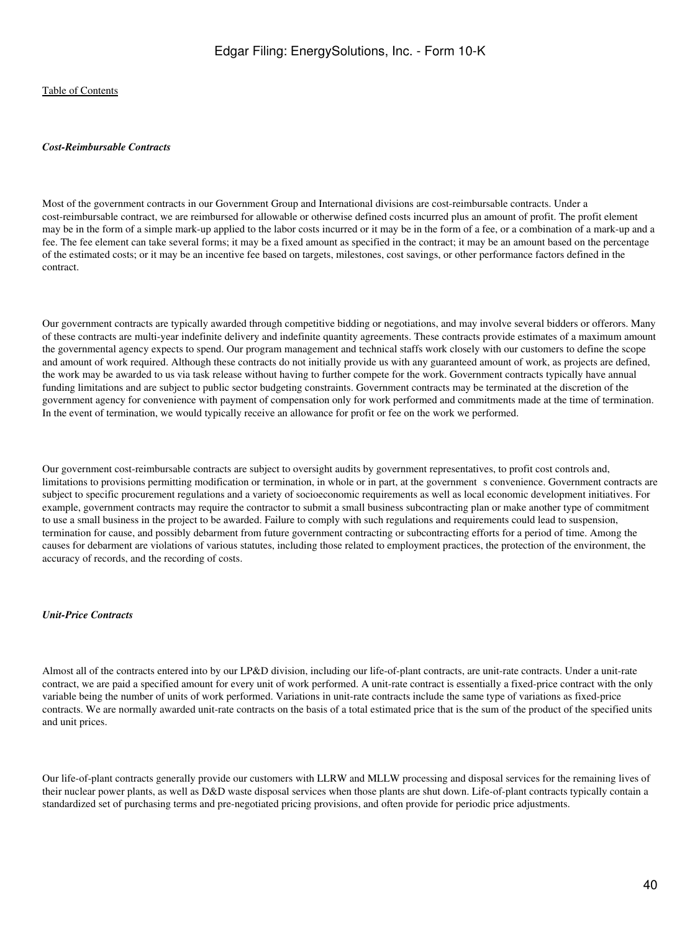### *Cost-Reimbursable Contracts*

Most of the government contracts in our Government Group and International divisions are cost-reimbursable contracts. Under a cost-reimbursable contract, we are reimbursed for allowable or otherwise defined costs incurred plus an amount of profit. The profit element may be in the form of a simple mark-up applied to the labor costs incurred or it may be in the form of a fee, or a combination of a mark-up and a fee. The fee element can take several forms; it may be a fixed amount as specified in the contract; it may be an amount based on the percentage of the estimated costs; or it may be an incentive fee based on targets, milestones, cost savings, or other performance factors defined in the contract.

Our government contracts are typically awarded through competitive bidding or negotiations, and may involve several bidders or offerors. Many of these contracts are multi-year indefinite delivery and indefinite quantity agreements. These contracts provide estimates of a maximum amount the governmental agency expects to spend. Our program management and technical staffs work closely with our customers to define the scope and amount of work required. Although these contracts do not initially provide us with any guaranteed amount of work, as projects are defined, the work may be awarded to us via task release without having to further compete for the work. Government contracts typically have annual funding limitations and are subject to public sector budgeting constraints. Government contracts may be terminated at the discretion of the government agency for convenience with payment of compensation only for work performed and commitments made at the time of termination. In the event of termination, we would typically receive an allowance for profit or fee on the work we performed.

Our government cost-reimbursable contracts are subject to oversight audits by government representatives, to profit cost controls and, limitations to provisions permitting modification or termination, in whole or in part, at the government s convenience. Government contracts are subject to specific procurement regulations and a variety of socioeconomic requirements as well as local economic development initiatives. For example, government contracts may require the contractor to submit a small business subcontracting plan or make another type of commitment to use a small business in the project to be awarded. Failure to comply with such regulations and requirements could lead to suspension, termination for cause, and possibly debarment from future government contracting or subcontracting efforts for a period of time. Among the causes for debarment are violations of various statutes, including those related to employment practices, the protection of the environment, the accuracy of records, and the recording of costs.

### *Unit-Price Contracts*

Almost all of the contracts entered into by our LP&D division, including our life-of-plant contracts, are unit-rate contracts. Under a unit-rate contract, we are paid a specified amount for every unit of work performed. A unit-rate contract is essentially a fixed-price contract with the only variable being the number of units of work performed. Variations in unit-rate contracts include the same type of variations as fixed-price contracts. We are normally awarded unit-rate contracts on the basis of a total estimated price that is the sum of the product of the specified units and unit prices.

Our life-of-plant contracts generally provide our customers with LLRW and MLLW processing and disposal services for the remaining lives of their nuclear power plants, as well as D&D waste disposal services when those plants are shut down. Life-of-plant contracts typically contain a standardized set of purchasing terms and pre-negotiated pricing provisions, and often provide for periodic price adjustments.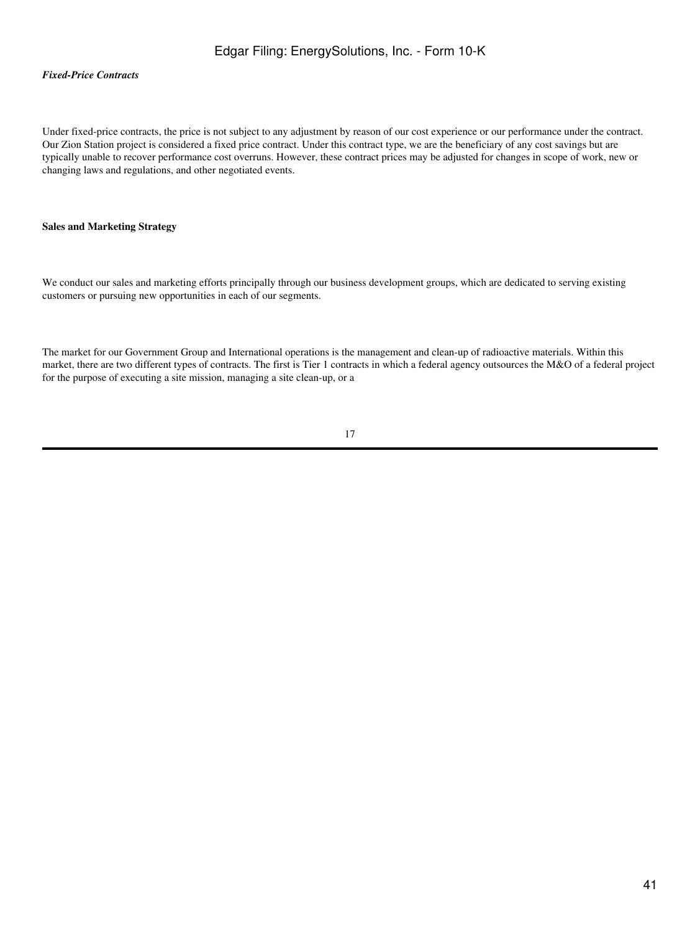### *Fixed-Price Contracts*

Under fixed-price contracts, the price is not subject to any adjustment by reason of our cost experience or our performance under the contract. Our Zion Station project is considered a fixed price contract. Under this contract type, we are the beneficiary of any cost savings but are typically unable to recover performance cost overruns. However, these contract prices may be adjusted for changes in scope of work, new or changing laws and regulations, and other negotiated events.

### **Sales and Marketing Strategy**

We conduct our sales and marketing efforts principally through our business development groups, which are dedicated to serving existing customers or pursuing new opportunities in each of our segments.

The market for our Government Group and International operations is the management and clean-up of radioactive materials. Within this market, there are two different types of contracts. The first is Tier 1 contracts in which a federal agency outsources the M&O of a federal project for the purpose of executing a site mission, managing a site clean-up, or a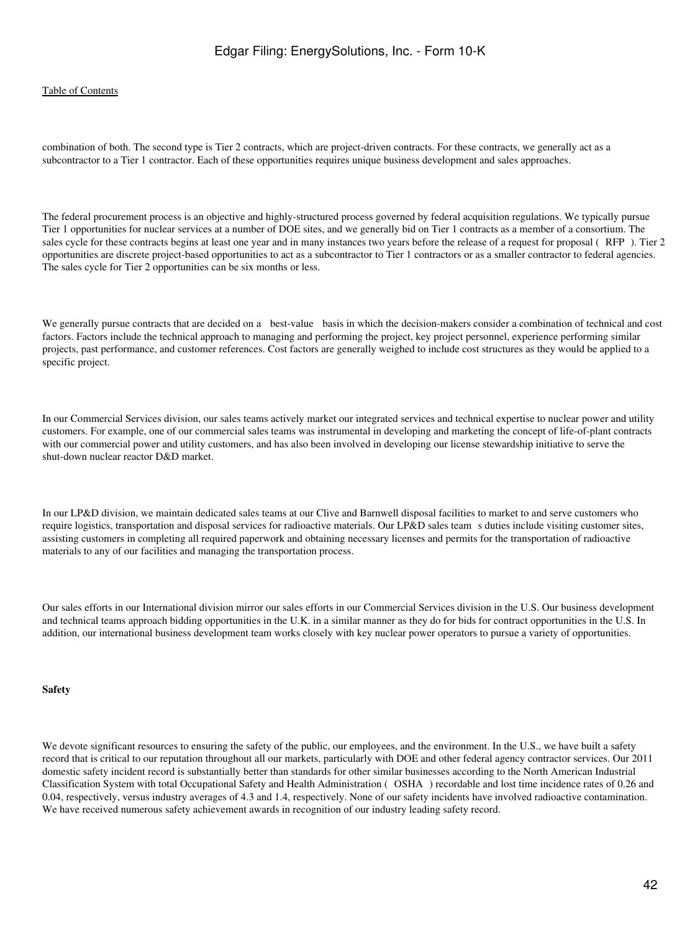combination of both. The second type is Tier 2 contracts, which are project-driven contracts. For these contracts, we generally act as a subcontractor to a Tier 1 contractor. Each of these opportunities requires unique business development and sales approaches.

The federal procurement process is an objective and highly-structured process governed by federal acquisition regulations. We typically pursue Tier 1 opportunities for nuclear services at a number of DOE sites, and we generally bid on Tier 1 contracts as a member of a consortium. The sales cycle for these contracts begins at least one year and in many instances two years before the release of a request for proposal (RFP). Tier 2 opportunities are discrete project-based opportunities to act as a subcontractor to Tier 1 contractors or as a smaller contractor to federal agencies. The sales cycle for Tier 2 opportunities can be six months or less.

We generally pursue contracts that are decided on a best-value basis in which the decision-makers consider a combination of technical and cost factors. Factors include the technical approach to managing and performing the project, key project personnel, experience performing similar projects, past performance, and customer references. Cost factors are generally weighed to include cost structures as they would be applied to a specific project.

In our Commercial Services division, our sales teams actively market our integrated services and technical expertise to nuclear power and utility customers. For example, one of our commercial sales teams was instrumental in developing and marketing the concept of life-of-plant contracts with our commercial power and utility customers, and has also been involved in developing our license stewardship initiative to serve the shut-down nuclear reactor D&D market.

In our LP&D division, we maintain dedicated sales teams at our Clive and Barnwell disposal facilities to market to and serve customers who require logistics, transportation and disposal services for radioactive materials. Our LP&D sales teams duties include visiting customer sites, assisting customers in completing all required paperwork and obtaining necessary licenses and permits for the transportation of radioactive materials to any of our facilities and managing the transportation process.

Our sales efforts in our International division mirror our sales efforts in our Commercial Services division in the U.S. Our business development and technical teams approach bidding opportunities in the U.K. in a similar manner as they do for bids for contract opportunities in the U.S. In addition, our international business development team works closely with key nuclear power operators to pursue a variety of opportunities.

### **Safety**

We devote significant resources to ensuring the safety of the public, our employees, and the environment. In the U.S., we have built a safety record that is critical to our reputation throughout all our markets, particularly with DOE and other federal agency contractor services. Our 2011 domestic safety incident record is substantially better than standards for other similar businesses according to the North American Industrial Classification System with total Occupational Safety and Health Administration (OSHA) recordable and lost time incidence rates of 0.26 and 0.04, respectively, versus industry averages of 4.3 and 1.4, respectively. None of our safety incidents have involved radioactive contamination. We have received numerous safety achievement awards in recognition of our industry leading safety record.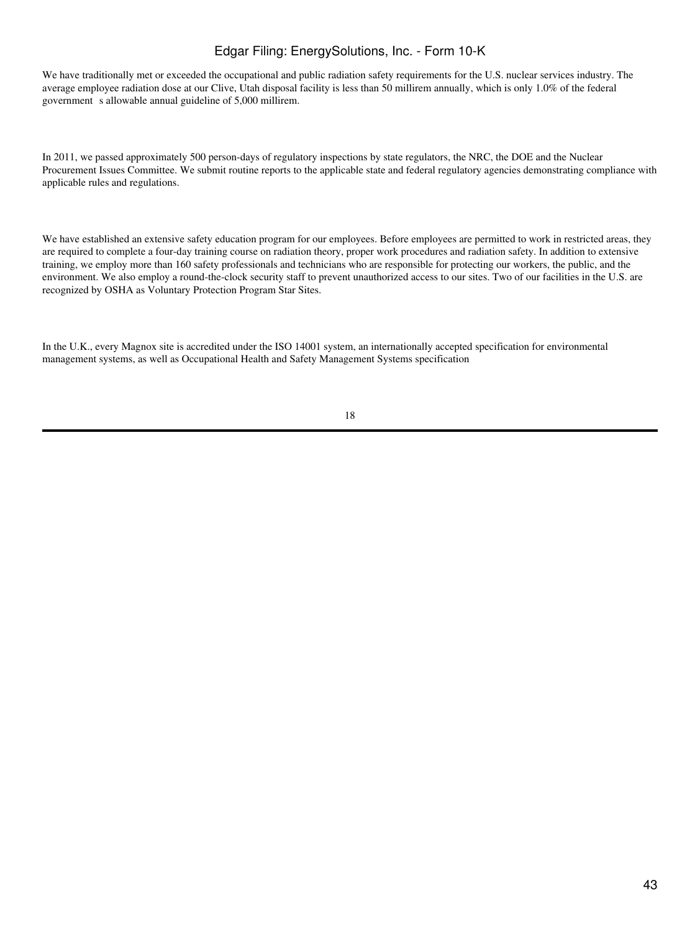We have traditionally met or exceeded the occupational and public radiation safety requirements for the U.S. nuclear services industry. The average employee radiation dose at our Clive, Utah disposal facility is less than 50 millirem annually, which is only 1.0% of the federal government s allowable annual guideline of 5,000 millirem.

In 2011, we passed approximately 500 person-days of regulatory inspections by state regulators, the NRC, the DOE and the Nuclear Procurement Issues Committee. We submit routine reports to the applicable state and federal regulatory agencies demonstrating compliance with applicable rules and regulations.

We have established an extensive safety education program for our employees. Before employees are permitted to work in restricted areas, they are required to complete a four-day training course on radiation theory, proper work procedures and radiation safety. In addition to extensive training, we employ more than 160 safety professionals and technicians who are responsible for protecting our workers, the public, and the environment. We also employ a round-the-clock security staff to prevent unauthorized access to our sites. Two of our facilities in the U.S. are recognized by OSHA as Voluntary Protection Program Star Sites.

In the U.K., every Magnox site is accredited under the ISO 14001 system, an internationally accepted specification for environmental management systems, as well as Occupational Health and Safety Management Systems specification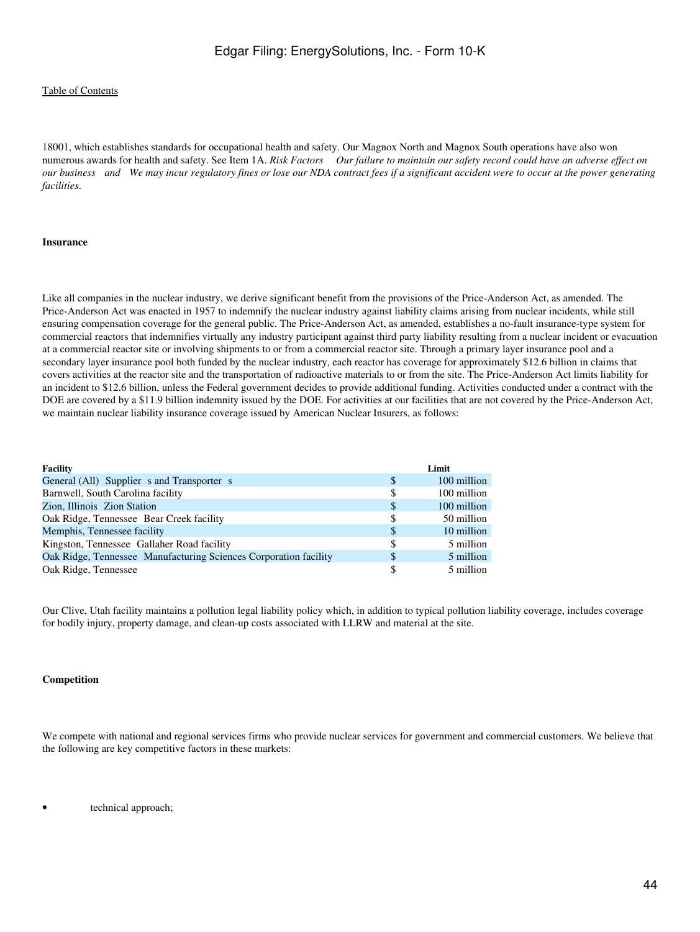### [Table of Contents](#page-3-0)

18001, which establishes standards for occupational health and safety. Our Magnox North and Magnox South operations have also won numerous awards for health and safety. See Item 1A. Risk Factors Our failure to maintain our safety record could have an adverse effect on *our business and We may incur regulatory fines or lose our NDA contract fees if a significant accident were to occur at the power generating facilities*.

### **Insurance**

Like all companies in the nuclear industry, we derive significant benefit from the provisions of the Price-Anderson Act, as amended. The Price-Anderson Act was enacted in 1957 to indemnify the nuclear industry against liability claims arising from nuclear incidents, while still ensuring compensation coverage for the general public. The Price-Anderson Act, as amended, establishes a no-fault insurance-type system for commercial reactors that indemnifies virtually any industry participant against third party liability resulting from a nuclear incident or evacuation at a commercial reactor site or involving shipments to or from a commercial reactor site. Through a primary layer insurance pool and a secondary layer insurance pool both funded by the nuclear industry, each reactor has coverage for approximately \$12.6 billion in claims that covers activities at the reactor site and the transportation of radioactive materials to or from the site. The Price-Anderson Act limits liability for an incident to \$12.6 billion, unless the Federal government decides to provide additional funding. Activities conducted under a contract with the DOE are covered by a \$11.9 billion indemnity issued by the DOE. For activities at our facilities that are not covered by the Price-Anderson Act, we maintain nuclear liability insurance coverage issued by American Nuclear Insurers, as follows:

| Facility                                                         |    | Limit       |
|------------------------------------------------------------------|----|-------------|
| General (All) Supplier s and Transporter s                       | \$ | 100 million |
| Barnwell, South Carolina facility                                | \$ | 100 million |
| Zion, Illinois Zion Station                                      | \$ | 100 million |
| Oak Ridge, Tennessee Bear Creek facility                         | S  | 50 million  |
| Memphis, Tennessee facility                                      | \$ | 10 million  |
| Kingston, Tennessee Gallaher Road facility                       | S  | 5 million   |
| Oak Ridge, Tennessee Manufacturing Sciences Corporation facility | \$ | 5 million   |
| Oak Ridge, Tennessee                                             | S  | 5 million   |

Our Clive, Utah facility maintains a pollution legal liability policy which, in addition to typical pollution liability coverage, includes coverage for bodily injury, property damage, and clean-up costs associated with LLRW and material at the site.

### **Competition**

We compete with national and regional services firms who provide nuclear services for government and commercial customers. We believe that the following are key competitive factors in these markets:

technical approach;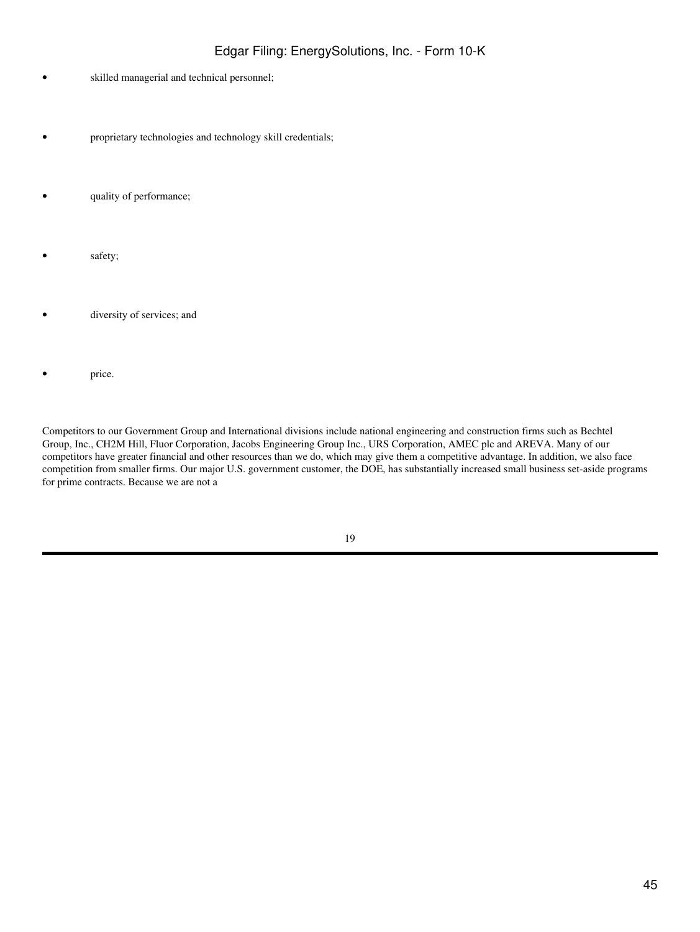- skilled managerial and technical personnel;
- proprietary technologies and technology skill credentials;
- quality of performance;
- safety;
- diversity of services; and
- price.

Competitors to our Government Group and International divisions include national engineering and construction firms such as Bechtel Group, Inc., CH2M Hill, Fluor Corporation, Jacobs Engineering Group Inc., URS Corporation, AMEC plc and AREVA. Many of our competitors have greater financial and other resources than we do, which may give them a competitive advantage. In addition, we also face competition from smaller firms. Our major U.S. government customer, the DOE, has substantially increased small business set-aside programs for prime contracts. Because we are not a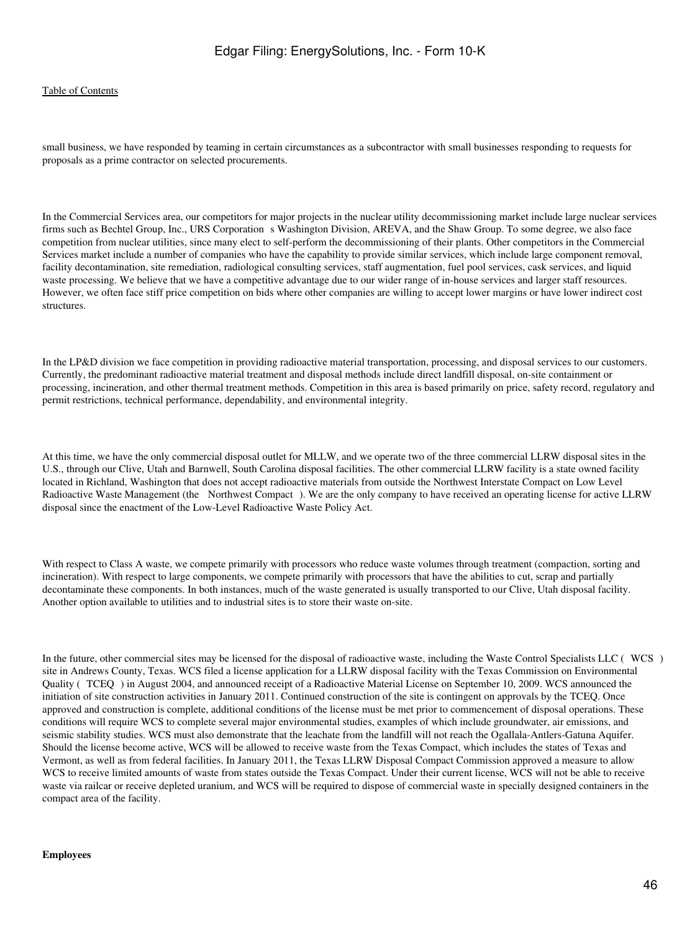small business, we have responded by teaming in certain circumstances as a subcontractor with small businesses responding to requests for proposals as a prime contractor on selected procurements.

In the Commercial Services area, our competitors for major projects in the nuclear utility decommissioning market include large nuclear services firms such as Bechtel Group, Inc., URS Corporation s Washington Division, AREVA, and the Shaw Group. To some degree, we also face competition from nuclear utilities, since many elect to self-perform the decommissioning of their plants. Other competitors in the Commercial Services market include a number of companies who have the capability to provide similar services, which include large component removal, facility decontamination, site remediation, radiological consulting services, staff augmentation, fuel pool services, cask services, and liquid waste processing. We believe that we have a competitive advantage due to our wider range of in-house services and larger staff resources. However, we often face stiff price competition on bids where other companies are willing to accept lower margins or have lower indirect cost structures.

In the LP&D division we face competition in providing radioactive material transportation, processing, and disposal services to our customers. Currently, the predominant radioactive material treatment and disposal methods include direct landfill disposal, on-site containment or processing, incineration, and other thermal treatment methods. Competition in this area is based primarily on price, safety record, regulatory and permit restrictions, technical performance, dependability, and environmental integrity.

At this time, we have the only commercial disposal outlet for MLLW, and we operate two of the three commercial LLRW disposal sites in the U.S., through our Clive, Utah and Barnwell, South Carolina disposal facilities. The other commercial LLRW facility is a state owned facility located in Richland, Washington that does not accept radioactive materials from outside the Northwest Interstate Compact on Low Level Radioactive Waste Management (the Northwest Compact). We are the only company to have received an operating license for active LLRW disposal since the enactment of the Low-Level Radioactive Waste Policy Act.

With respect to Class A waste, we compete primarily with processors who reduce waste volumes through treatment (compaction, sorting and incineration). With respect to large components, we compete primarily with processors that have the abilities to cut, scrap and partially decontaminate these components. In both instances, much of the waste generated is usually transported to our Clive, Utah disposal facility. Another option available to utilities and to industrial sites is to store their waste on-site.

In the future, other commercial sites may be licensed for the disposal of radioactive waste, including the Waste Control Specialists LLC (WCS) site in Andrews County, Texas. WCS filed a license application for a LLRW disposal facility with the Texas Commission on Environmental Quality (TCEQ) in August 2004, and announced receipt of a Radioactive Material License on September 10, 2009. WCS announced the initiation of site construction activities in January 2011. Continued construction of the site is contingent on approvals by the TCEQ. Once approved and construction is complete, additional conditions of the license must be met prior to commencement of disposal operations. These conditions will require WCS to complete several major environmental studies, examples of which include groundwater, air emissions, and seismic stability studies. WCS must also demonstrate that the leachate from the landfill will not reach the Ogallala-Antlers-Gatuna Aquifer. Should the license become active, WCS will be allowed to receive waste from the Texas Compact, which includes the states of Texas and Vermont, as well as from federal facilities. In January 2011, the Texas LLRW Disposal Compact Commission approved a measure to allow WCS to receive limited amounts of waste from states outside the Texas Compact. Under their current license, WCS will not be able to receive waste via railcar or receive depleted uranium, and WCS will be required to dispose of commercial waste in specially designed containers in the compact area of the facility.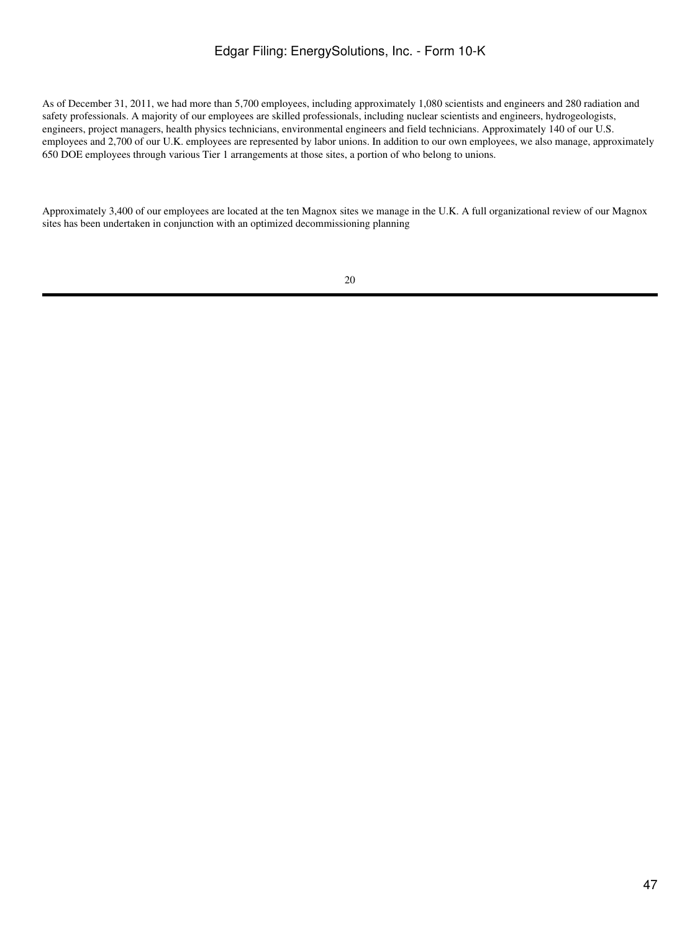As of December 31, 2011, we had more than 5,700 employees, including approximately 1,080 scientists and engineers and 280 radiation and safety professionals. A majority of our employees are skilled professionals, including nuclear scientists and engineers, hydrogeologists, engineers, project managers, health physics technicians, environmental engineers and field technicians. Approximately 140 of our U.S. employees and 2,700 of our U.K. employees are represented by labor unions. In addition to our own employees, we also manage, approximately 650 DOE employees through various Tier 1 arrangements at those sites, a portion of who belong to unions.

Approximately 3,400 of our employees are located at the ten Magnox sites we manage in the U.K. A full organizational review of our Magnox sites has been undertaken in conjunction with an optimized decommissioning planning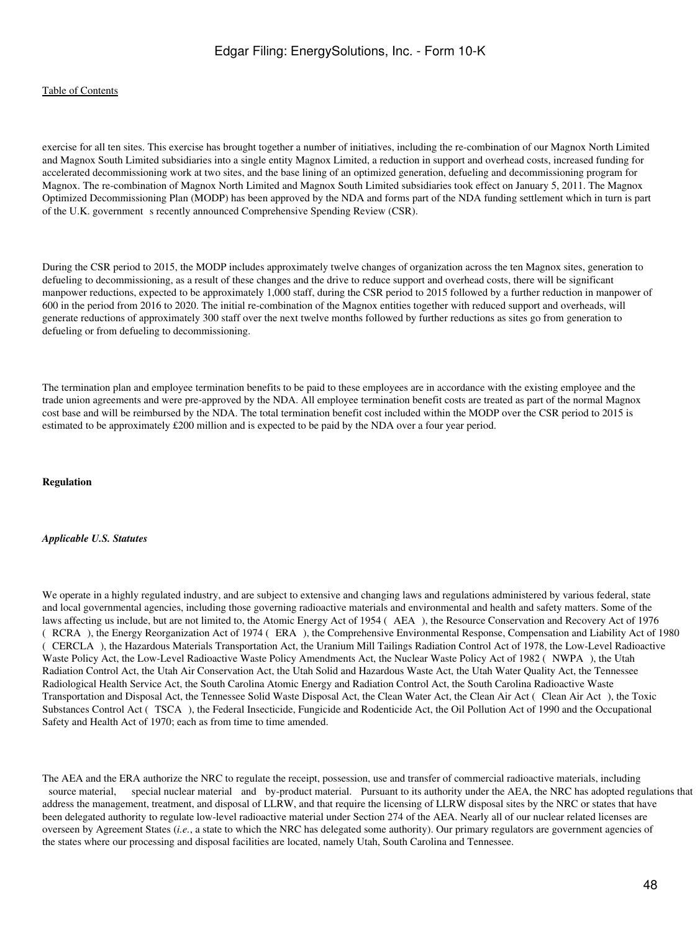### [Table of Contents](#page-3-0)

exercise for all ten sites. This exercise has brought together a number of initiatives, including the re-combination of our Magnox North Limited and Magnox South Limited subsidiaries into a single entity Magnox Limited, a reduction in support and overhead costs, increased funding for accelerated decommissioning work at two sites, and the base lining of an optimized generation, defueling and decommissioning program for Magnox. The re-combination of Magnox North Limited and Magnox South Limited subsidiaries took effect on January 5, 2011. The Magnox Optimized Decommissioning Plan (MODP) has been approved by the NDA and forms part of the NDA funding settlement which in turn is part of the U.K. government s recently announced Comprehensive Spending Review (CSR).

During the CSR period to 2015, the MODP includes approximately twelve changes of organization across the ten Magnox sites, generation to defueling to decommissioning, as a result of these changes and the drive to reduce support and overhead costs, there will be significant manpower reductions, expected to be approximately 1,000 staff, during the CSR period to 2015 followed by a further reduction in manpower of 600 in the period from 2016 to 2020. The initial re-combination of the Magnox entities together with reduced support and overheads, will generate reductions of approximately 300 staff over the next twelve months followed by further reductions as sites go from generation to defueling or from defueling to decommissioning.

The termination plan and employee termination benefits to be paid to these employees are in accordance with the existing employee and the trade union agreements and were pre-approved by the NDA. All employee termination benefit costs are treated as part of the normal Magnox cost base and will be reimbursed by the NDA. The total termination benefit cost included within the MODP over the CSR period to 2015 is estimated to be approximately £200 million and is expected to be paid by the NDA over a four year period.

### **Regulation**

#### *Applicable U.S. Statutes*

We operate in a highly regulated industry, and are subject to extensive and changing laws and regulations administered by various federal, state and local governmental agencies, including those governing radioactive materials and environmental and health and safety matters. Some of the laws affecting us include, but are not limited to, the Atomic Energy Act of 1954 (AEA), the Resource Conservation and Recovery Act of 1976 (RCRA), the Energy Reorganization Act of 1974 (ERA), the Comprehensive Environmental Response, Compensation and Liability Act of 1980 (CERCLA), the Hazardous Materials Transportation Act, the Uranium Mill Tailings Radiation Control Act of 1978, the Low-Level Radioactive Waste Policy Act, the Low-Level Radioactive Waste Policy Amendments Act, the Nuclear Waste Policy Act of 1982 (NWPA), the Utah Radiation Control Act, the Utah Air Conservation Act, the Utah Solid and Hazardous Waste Act, the Utah Water Quality Act, the Tennessee Radiological Health Service Act, the South Carolina Atomic Energy and Radiation Control Act, the South Carolina Radioactive Waste Transportation and Disposal Act, the Tennessee Solid Waste Disposal Act, the Clean Water Act, the Clean Air Act (Clean Air Act), the Toxic Substances Control Act (TSCA), the Federal Insecticide, Fungicide and Rodenticide Act, the Oil Pollution Act of 1990 and the Occupational Safety and Health Act of 1970; each as from time to time amended.

The AEA and the ERA authorize the NRC to regulate the receipt, possession, use and transfer of commercial radioactive materials, including source material, special nuclear material and by-product material. Pursuant to its authority under the AEA, the NRC has adopted regulations that address the management, treatment, and disposal of LLRW, and that require the licensing of LLRW disposal sites by the NRC or states that have been delegated authority to regulate low-level radioactive material under Section 274 of the AEA. Nearly all of our nuclear related licenses are overseen by Agreement States (*i.e.*, a state to which the NRC has delegated some authority). Our primary regulators are government agencies of the states where our processing and disposal facilities are located, namely Utah, South Carolina and Tennessee.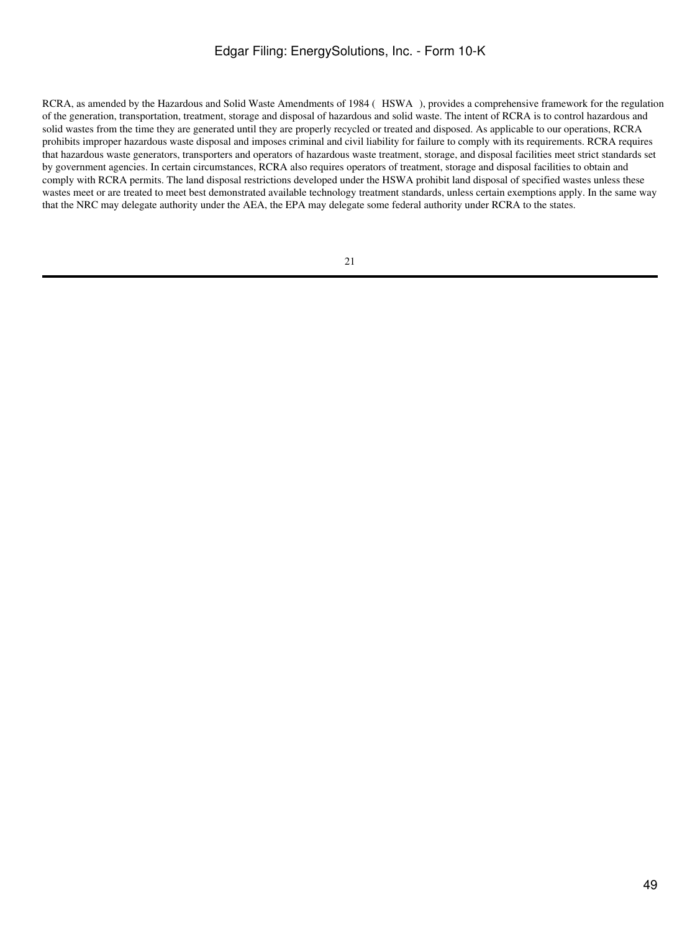RCRA, as amended by the Hazardous and Solid Waste Amendments of 1984 (HSWA), provides a comprehensive framework for the regulation of the generation, transportation, treatment, storage and disposal of hazardous and solid waste. The intent of RCRA is to control hazardous and solid wastes from the time they are generated until they are properly recycled or treated and disposed. As applicable to our operations, RCRA prohibits improper hazardous waste disposal and imposes criminal and civil liability for failure to comply with its requirements. RCRA requires that hazardous waste generators, transporters and operators of hazardous waste treatment, storage, and disposal facilities meet strict standards set by government agencies. In certain circumstances, RCRA also requires operators of treatment, storage and disposal facilities to obtain and comply with RCRA permits. The land disposal restrictions developed under the HSWA prohibit land disposal of specified wastes unless these wastes meet or are treated to meet best demonstrated available technology treatment standards, unless certain exemptions apply. In the same way that the NRC may delegate authority under the AEA, the EPA may delegate some federal authority under RCRA to the states.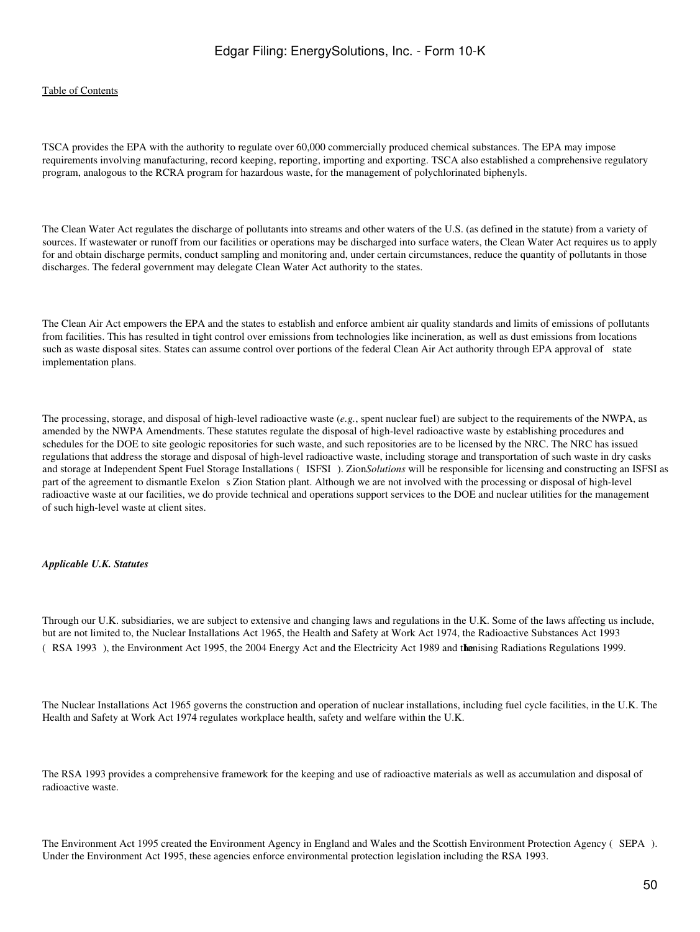TSCA provides the EPA with the authority to regulate over 60,000 commercially produced chemical substances. The EPA may impose requirements involving manufacturing, record keeping, reporting, importing and exporting. TSCA also established a comprehensive regulatory program, analogous to the RCRA program for hazardous waste, for the management of polychlorinated biphenyls.

The Clean Water Act regulates the discharge of pollutants into streams and other waters of the U.S. (as defined in the statute) from a variety of sources. If wastewater or runoff from our facilities or operations may be discharged into surface waters, the Clean Water Act requires us to apply for and obtain discharge permits, conduct sampling and monitoring and, under certain circumstances, reduce the quantity of pollutants in those discharges. The federal government may delegate Clean Water Act authority to the states.

The Clean Air Act empowers the EPA and the states to establish and enforce ambient air quality standards and limits of emissions of pollutants from facilities. This has resulted in tight control over emissions from technologies like incineration, as well as dust emissions from locations such as waste disposal sites. States can assume control over portions of the federal Clean Air Act authority through EPA approval of state implementation plans.

The processing, storage, and disposal of high-level radioactive waste (*e.g.*, spent nuclear fuel) are subject to the requirements of the NWPA, as amended by the NWPA Amendments. These statutes regulate the disposal of high-level radioactive waste by establishing procedures and schedules for the DOE to site geologic repositories for such waste, and such repositories are to be licensed by the NRC. The NRC has issued regulations that address the storage and disposal of high-level radioactive waste, including storage and transportation of such waste in dry casks and storage at Independent Spent Fuel Storage Installations (ISFSI). Zion*Solutions* will be responsible for licensing and constructing an ISFSI as part of the agreement to dismantle Exelon s Zion Station plant. Although we are not involved with the processing or disposal of high-level radioactive waste at our facilities, we do provide technical and operations support services to the DOE and nuclear utilities for the management of such high-level waste at client sites.

### *Applicable U.K. Statutes*

Through our U.K. subsidiaries, we are subject to extensive and changing laws and regulations in the U.K. Some of the laws affecting us include, but are not limited to, the Nuclear Installations Act 1965, the Health and Safety at Work Act 1974, the Radioactive Substances Act 1993 (RSA 1993), the Environment Act 1995, the 2004 Energy Act and the Electricity Act 1989 and thenising Radiations Regulations 1999.

The Nuclear Installations Act 1965 governs the construction and operation of nuclear installations, including fuel cycle facilities, in the U.K. The Health and Safety at Work Act 1974 regulates workplace health, safety and welfare within the U.K.

The RSA 1993 provides a comprehensive framework for the keeping and use of radioactive materials as well as accumulation and disposal of radioactive waste.

The Environment Act 1995 created the Environment Agency in England and Wales and the Scottish Environment Protection Agency (SEPA). Under the Environment Act 1995, these agencies enforce environmental protection legislation including the RSA 1993.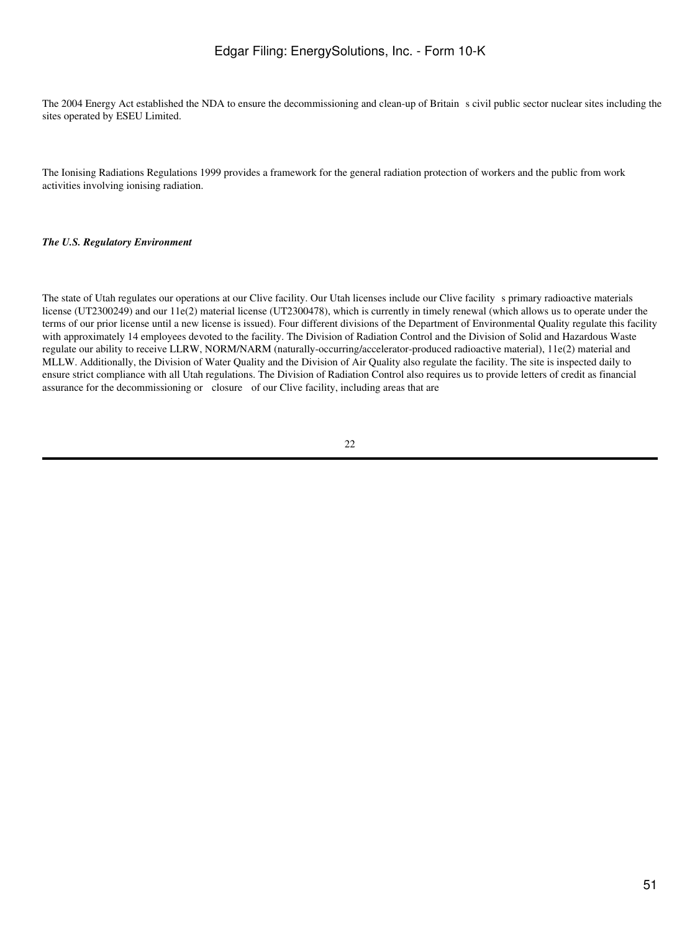The 2004 Energy Act established the NDA to ensure the decommissioning and clean-up of Britain s civil public sector nuclear sites including the sites operated by ESEU Limited.

The Ionising Radiations Regulations 1999 provides a framework for the general radiation protection of workers and the public from work activities involving ionising radiation.

### *The U.S. Regulatory Environment*

The state of Utah regulates our operations at our Clive facility. Our Utah licenses include our Clive facility s primary radioactive materials license (UT2300249) and our 11e(2) material license (UT2300478), which is currently in timely renewal (which allows us to operate under the terms of our prior license until a new license is issued). Four different divisions of the Department of Environmental Quality regulate this facility with approximately 14 employees devoted to the facility. The Division of Radiation Control and the Division of Solid and Hazardous Waste regulate our ability to receive LLRW, NORM/NARM (naturally-occurring/accelerator-produced radioactive material), 11e(2) material and MLLW. Additionally, the Division of Water Quality and the Division of Air Quality also regulate the facility. The site is inspected daily to ensure strict compliance with all Utah regulations. The Division of Radiation Control also requires us to provide letters of credit as financial assurance for the decommissioning or closure of our Clive facility, including areas that are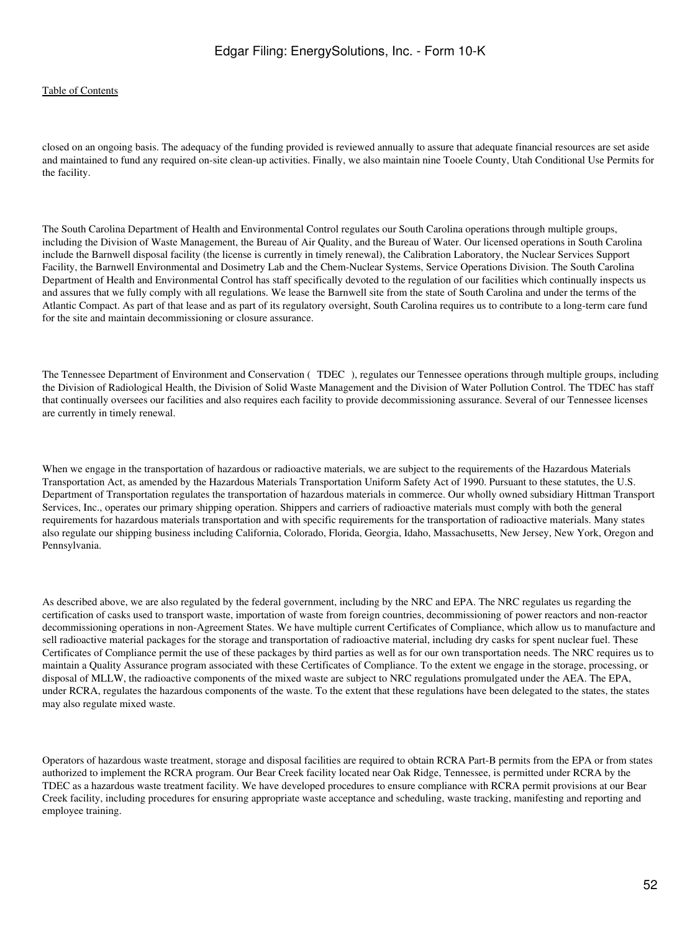closed on an ongoing basis. The adequacy of the funding provided is reviewed annually to assure that adequate financial resources are set aside and maintained to fund any required on-site clean-up activities. Finally, we also maintain nine Tooele County, Utah Conditional Use Permits for the facility.

The South Carolina Department of Health and Environmental Control regulates our South Carolina operations through multiple groups, including the Division of Waste Management, the Bureau of Air Quality, and the Bureau of Water. Our licensed operations in South Carolina include the Barnwell disposal facility (the license is currently in timely renewal), the Calibration Laboratory, the Nuclear Services Support Facility, the Barnwell Environmental and Dosimetry Lab and the Chem-Nuclear Systems, Service Operations Division. The South Carolina Department of Health and Environmental Control has staff specifically devoted to the regulation of our facilities which continually inspects us and assures that we fully comply with all regulations. We lease the Barnwell site from the state of South Carolina and under the terms of the Atlantic Compact. As part of that lease and as part of its regulatory oversight, South Carolina requires us to contribute to a long-term care fund for the site and maintain decommissioning or closure assurance.

The Tennessee Department of Environment and Conservation (TDEC), regulates our Tennessee operations through multiple groups, including the Division of Radiological Health, the Division of Solid Waste Management and the Division of Water Pollution Control. The TDEC has staff that continually oversees our facilities and also requires each facility to provide decommissioning assurance. Several of our Tennessee licenses are currently in timely renewal.

When we engage in the transportation of hazardous or radioactive materials, we are subject to the requirements of the Hazardous Materials Transportation Act, as amended by the Hazardous Materials Transportation Uniform Safety Act of 1990. Pursuant to these statutes, the U.S. Department of Transportation regulates the transportation of hazardous materials in commerce. Our wholly owned subsidiary Hittman Transport Services, Inc., operates our primary shipping operation. Shippers and carriers of radioactive materials must comply with both the general requirements for hazardous materials transportation and with specific requirements for the transportation of radioactive materials. Many states also regulate our shipping business including California, Colorado, Florida, Georgia, Idaho, Massachusetts, New Jersey, New York, Oregon and Pennsylvania.

As described above, we are also regulated by the federal government, including by the NRC and EPA. The NRC regulates us regarding the certification of casks used to transport waste, importation of waste from foreign countries, decommissioning of power reactors and non-reactor decommissioning operations in non-Agreement States. We have multiple current Certificates of Compliance, which allow us to manufacture and sell radioactive material packages for the storage and transportation of radioactive material, including dry casks for spent nuclear fuel. These Certificates of Compliance permit the use of these packages by third parties as well as for our own transportation needs. The NRC requires us to maintain a Quality Assurance program associated with these Certificates of Compliance. To the extent we engage in the storage, processing, or disposal of MLLW, the radioactive components of the mixed waste are subject to NRC regulations promulgated under the AEA. The EPA, under RCRA, regulates the hazardous components of the waste. To the extent that these regulations have been delegated to the states, the states may also regulate mixed waste.

Operators of hazardous waste treatment, storage and disposal facilities are required to obtain RCRA Part-B permits from the EPA or from states authorized to implement the RCRA program. Our Bear Creek facility located near Oak Ridge, Tennessee, is permitted under RCRA by the TDEC as a hazardous waste treatment facility. We have developed procedures to ensure compliance with RCRA permit provisions at our Bear Creek facility, including procedures for ensuring appropriate waste acceptance and scheduling, waste tracking, manifesting and reporting and employee training.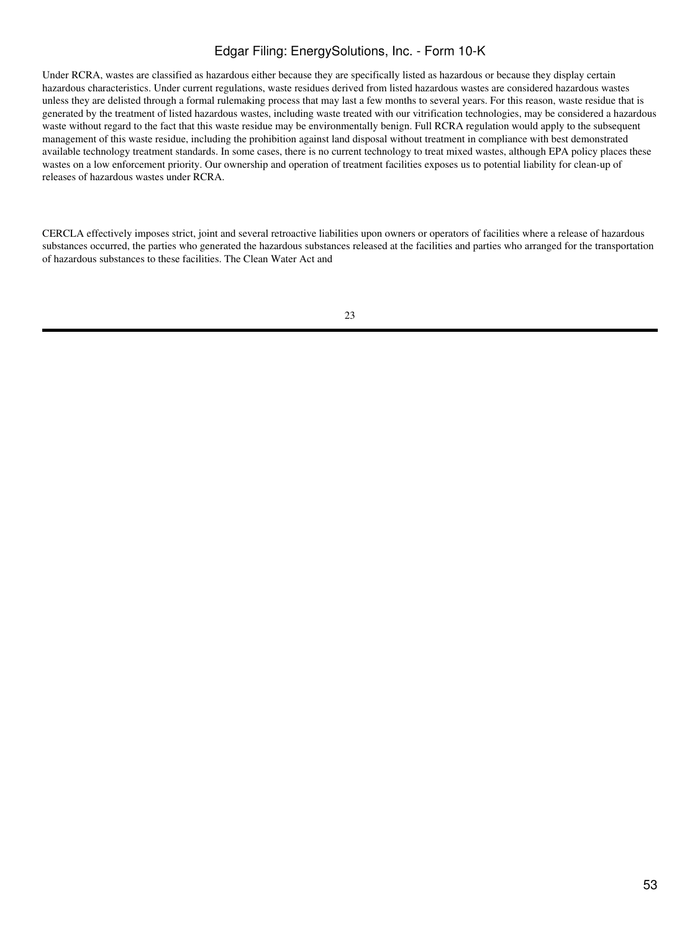Under RCRA, wastes are classified as hazardous either because they are specifically listed as hazardous or because they display certain hazardous characteristics. Under current regulations, waste residues derived from listed hazardous wastes are considered hazardous wastes unless they are delisted through a formal rulemaking process that may last a few months to several years. For this reason, waste residue that is generated by the treatment of listed hazardous wastes, including waste treated with our vitrification technologies, may be considered a hazardous waste without regard to the fact that this waste residue may be environmentally benign. Full RCRA regulation would apply to the subsequent management of this waste residue, including the prohibition against land disposal without treatment in compliance with best demonstrated available technology treatment standards. In some cases, there is no current technology to treat mixed wastes, although EPA policy places these wastes on a low enforcement priority. Our ownership and operation of treatment facilities exposes us to potential liability for clean-up of releases of hazardous wastes under RCRA.

CERCLA effectively imposes strict, joint and several retroactive liabilities upon owners or operators of facilities where a release of hazardous substances occurred, the parties who generated the hazardous substances released at the facilities and parties who arranged for the transportation of hazardous substances to these facilities. The Clean Water Act and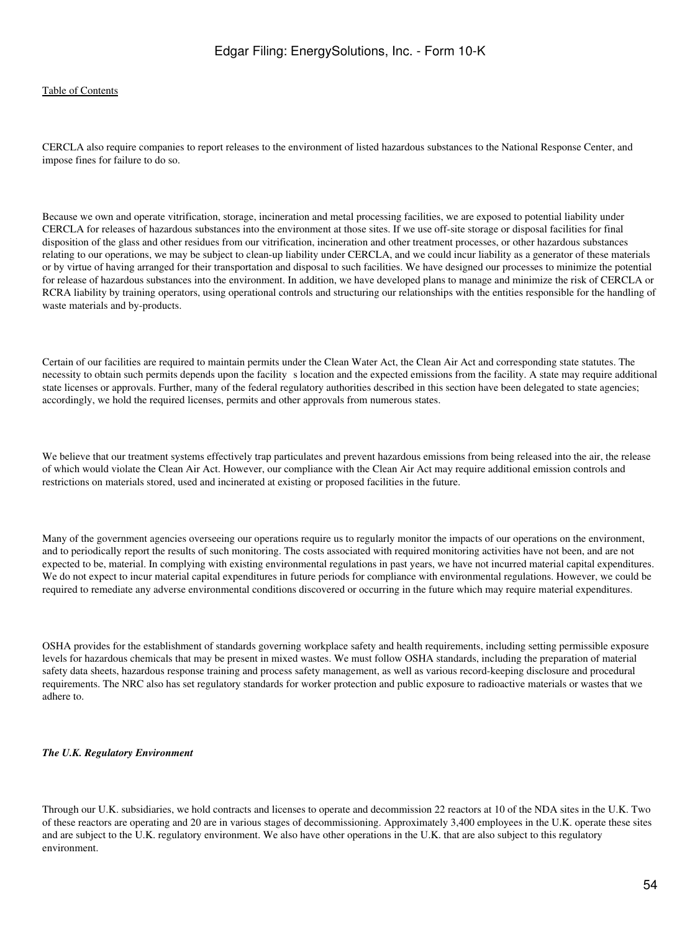CERCLA also require companies to report releases to the environment of listed hazardous substances to the National Response Center, and impose fines for failure to do so.

Because we own and operate vitrification, storage, incineration and metal processing facilities, we are exposed to potential liability under CERCLA for releases of hazardous substances into the environment at those sites. If we use off-site storage or disposal facilities for final disposition of the glass and other residues from our vitrification, incineration and other treatment processes, or other hazardous substances relating to our operations, we may be subject to clean-up liability under CERCLA, and we could incur liability as a generator of these materials or by virtue of having arranged for their transportation and disposal to such facilities. We have designed our processes to minimize the potential for release of hazardous substances into the environment. In addition, we have developed plans to manage and minimize the risk of CERCLA or RCRA liability by training operators, using operational controls and structuring our relationships with the entities responsible for the handling of waste materials and by-products.

Certain of our facilities are required to maintain permits under the Clean Water Act, the Clean Air Act and corresponding state statutes. The necessity to obtain such permits depends upon the facility s location and the expected emissions from the facility. A state may require additional state licenses or approvals. Further, many of the federal regulatory authorities described in this section have been delegated to state agencies; accordingly, we hold the required licenses, permits and other approvals from numerous states.

We believe that our treatment systems effectively trap particulates and prevent hazardous emissions from being released into the air, the release of which would violate the Clean Air Act. However, our compliance with the Clean Air Act may require additional emission controls and restrictions on materials stored, used and incinerated at existing or proposed facilities in the future.

Many of the government agencies overseeing our operations require us to regularly monitor the impacts of our operations on the environment, and to periodically report the results of such monitoring. The costs associated with required monitoring activities have not been, and are not expected to be, material. In complying with existing environmental regulations in past years, we have not incurred material capital expenditures. We do not expect to incur material capital expenditures in future periods for compliance with environmental regulations. However, we could be required to remediate any adverse environmental conditions discovered or occurring in the future which may require material expenditures.

OSHA provides for the establishment of standards governing workplace safety and health requirements, including setting permissible exposure levels for hazardous chemicals that may be present in mixed wastes. We must follow OSHA standards, including the preparation of material safety data sheets, hazardous response training and process safety management, as well as various record-keeping disclosure and procedural requirements. The NRC also has set regulatory standards for worker protection and public exposure to radioactive materials or wastes that we adhere to.

### *The U.K. Regulatory Environment*

Through our U.K. subsidiaries, we hold contracts and licenses to operate and decommission 22 reactors at 10 of the NDA sites in the U.K. Two of these reactors are operating and 20 are in various stages of decommissioning. Approximately 3,400 employees in the U.K. operate these sites and are subject to the U.K. regulatory environment. We also have other operations in the U.K. that are also subject to this regulatory environment.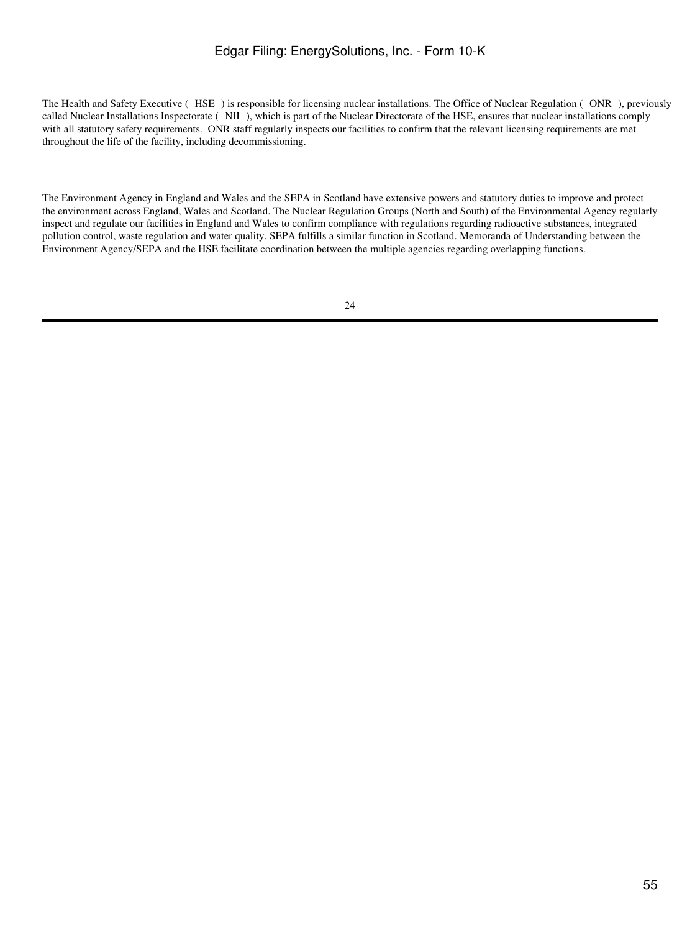The Health and Safety Executive (HSE) is responsible for licensing nuclear installations. The Office of Nuclear Regulation (ONR), previously called Nuclear Installations Inspectorate (NII), which is part of the Nuclear Directorate of the HSE, ensures that nuclear installations comply with all statutory safety requirements. ONR staff regularly inspects our facilities to confirm that the relevant licensing requirements are met throughout the life of the facility, including decommissioning.

The Environment Agency in England and Wales and the SEPA in Scotland have extensive powers and statutory duties to improve and protect the environment across England, Wales and Scotland. The Nuclear Regulation Groups (North and South) of the Environmental Agency regularly inspect and regulate our facilities in England and Wales to confirm compliance with regulations regarding radioactive substances, integrated pollution control, waste regulation and water quality. SEPA fulfills a similar function in Scotland. Memoranda of Understanding between the Environment Agency/SEPA and the HSE facilitate coordination between the multiple agencies regarding overlapping functions.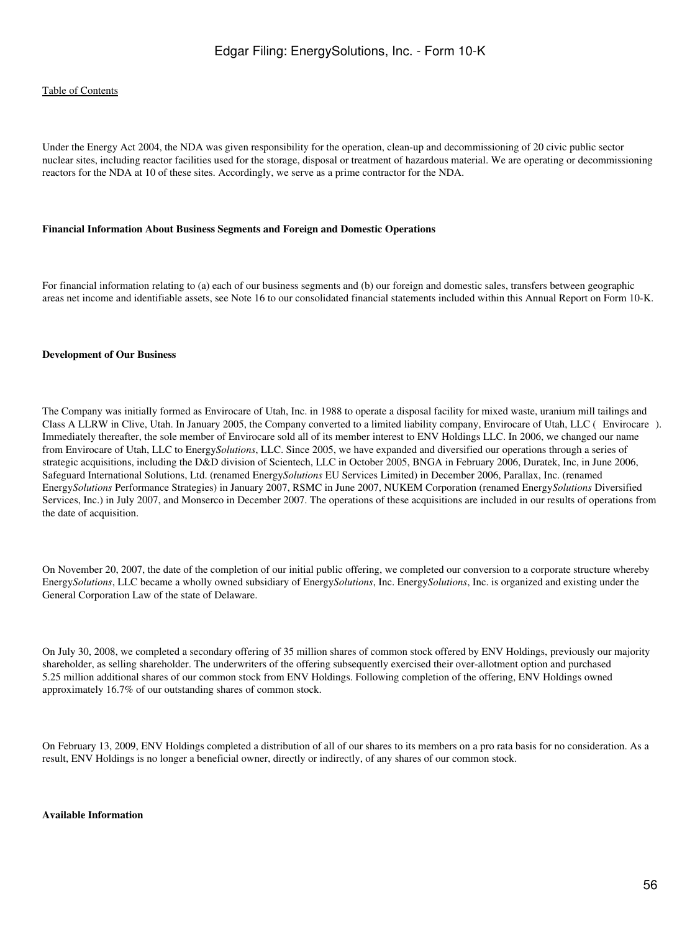Under the Energy Act 2004, the NDA was given responsibility for the operation, clean-up and decommissioning of 20 civic public sector nuclear sites, including reactor facilities used for the storage, disposal or treatment of hazardous material. We are operating or decommissioning reactors for the NDA at 10 of these sites. Accordingly, we serve as a prime contractor for the NDA.

### **Financial Information About Business Segments and Foreign and Domestic Operations**

For financial information relating to (a) each of our business segments and (b) our foreign and domestic sales, transfers between geographic areas net income and identifiable assets, see Note 16 to our consolidated financial statements included within this Annual Report on Form 10-K.

#### **Development of Our Business**

The Company was initially formed as Envirocare of Utah, Inc. in 1988 to operate a disposal facility for mixed waste, uranium mill tailings and Class A LLRW in Clive, Utah. In January 2005, the Company converted to a limited liability company, Envirocare of Utah, LLC (Envirocare). Immediately thereafter, the sole member of Envirocare sold all of its member interest to ENV Holdings LLC. In 2006, we changed our name from Envirocare of Utah, LLC to Energy*Solutions*, LLC. Since 2005, we have expanded and diversified our operations through a series of strategic acquisitions, including the D&D division of Scientech, LLC in October 2005, BNGA in February 2006, Duratek, Inc, in June 2006, Safeguard International Solutions, Ltd. (renamed Energy*Solutions* EU Services Limited) in December 2006, Parallax, Inc. (renamed Energy*Solutions* Performance Strategies) in January 2007, RSMC in June 2007, NUKEM Corporation (renamed Energy*Solutions* Diversified Services, Inc.) in July 2007, and Monserco in December 2007. The operations of these acquisitions are included in our results of operations from the date of acquisition.

On November 20, 2007, the date of the completion of our initial public offering, we completed our conversion to a corporate structure whereby Energy*Solutions*, LLC became a wholly owned subsidiary of Energy*Solutions*, Inc. Energy*Solutions*, Inc. is organized and existing under the General Corporation Law of the state of Delaware.

On July 30, 2008, we completed a secondary offering of 35 million shares of common stock offered by ENV Holdings, previously our majority shareholder, as selling shareholder. The underwriters of the offering subsequently exercised their over-allotment option and purchased 5.25 million additional shares of our common stock from ENV Holdings. Following completion of the offering, ENV Holdings owned approximately 16.7% of our outstanding shares of common stock.

On February 13, 2009, ENV Holdings completed a distribution of all of our shares to its members on a pro rata basis for no consideration. As a result, ENV Holdings is no longer a beneficial owner, directly or indirectly, of any shares of our common stock.

#### **Available Information**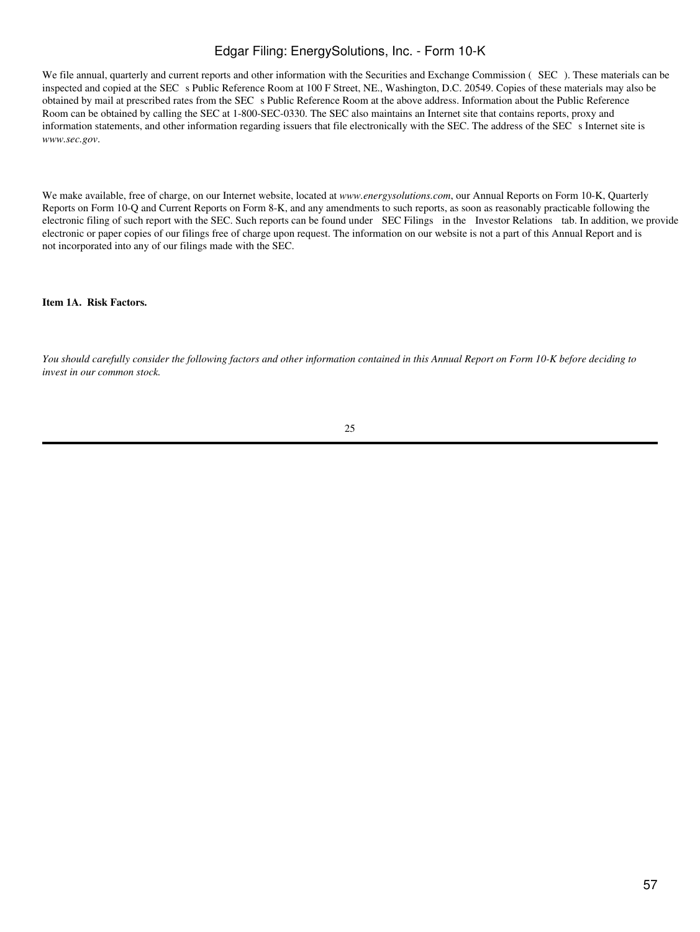We file annual, quarterly and current reports and other information with the Securities and Exchange Commission (SEC). These materials can be inspected and copied at the SEC s Public Reference Room at 100 F Street, NE., Washington, D.C. 20549. Copies of these materials may also be obtained by mail at prescribed rates from the SEC s Public Reference Room at the above address. Information about the Public Reference Room can be obtained by calling the SEC at 1-800-SEC-0330. The SEC also maintains an Internet site that contains reports, proxy and information statements, and other information regarding issuers that file electronically with the SEC. The address of the SEC s Internet site is *www.sec.gov*.

We make available, free of charge, on our Internet website, located at *www.energysolutions.com*, our Annual Reports on Form 10-K, Quarterly Reports on Form 10-Q and Current Reports on Form 8-K, and any amendments to such reports, as soon as reasonably practicable following the electronic filing of such report with the SEC. Such reports can be found under SEC Filings in the Investor Relations tab. In addition, we provide electronic or paper copies of our filings free of charge upon request. The information on our website is not a part of this Annual Report and is not incorporated into any of our filings made with the SEC.

### **Item 1A. Risk Factors.**

*You should carefully consider the following factors and other information contained in this Annual Report on Form 10-K before deciding to invest in our common stock.*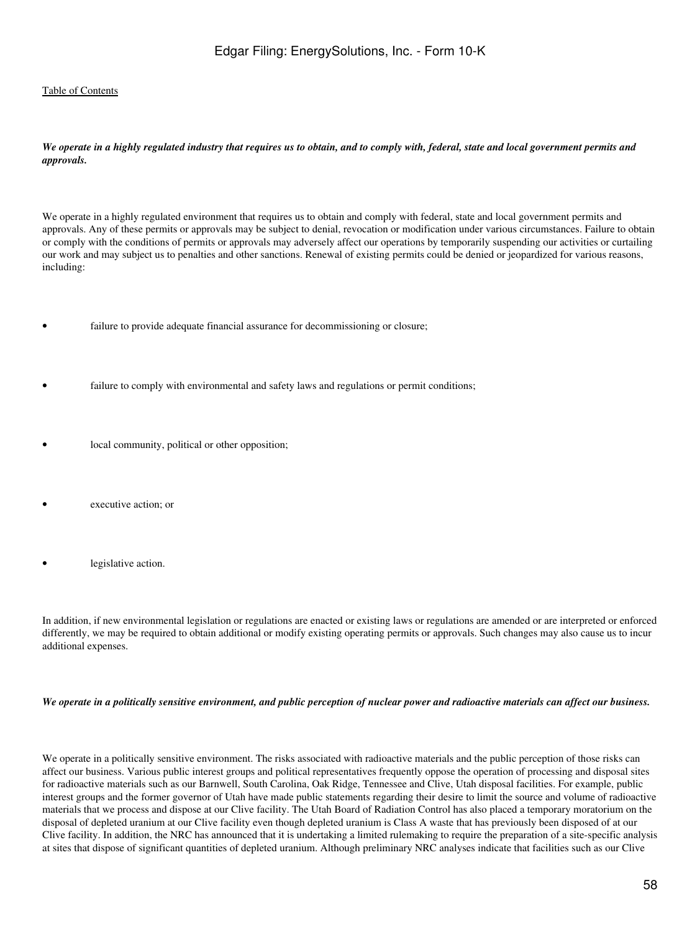### *We operate in a highly regulated industry that requires us to obtain, and to comply with, federal, state and local government permits and approvals.*

We operate in a highly regulated environment that requires us to obtain and comply with federal, state and local government permits and approvals. Any of these permits or approvals may be subject to denial, revocation or modification under various circumstances. Failure to obtain or comply with the conditions of permits or approvals may adversely affect our operations by temporarily suspending our activities or curtailing our work and may subject us to penalties and other sanctions. Renewal of existing permits could be denied or jeopardized for various reasons, including:

- failure to provide adequate financial assurance for decommissioning or closure;
- failure to comply with environmental and safety laws and regulations or permit conditions;
- local community, political or other opposition;
- executive action: or
- legislative action.

In addition, if new environmental legislation or regulations are enacted or existing laws or regulations are amended or are interpreted or enforced differently, we may be required to obtain additional or modify existing operating permits or approvals. Such changes may also cause us to incur additional expenses.

#### *We operate in a politically sensitive environment, and public perception of nuclear power and radioactive materials can affect our business.*

We operate in a politically sensitive environment. The risks associated with radioactive materials and the public perception of those risks can affect our business. Various public interest groups and political representatives frequently oppose the operation of processing and disposal sites for radioactive materials such as our Barnwell, South Carolina, Oak Ridge, Tennessee and Clive, Utah disposal facilities. For example, public interest groups and the former governor of Utah have made public statements regarding their desire to limit the source and volume of radioactive materials that we process and dispose at our Clive facility. The Utah Board of Radiation Control has also placed a temporary moratorium on the disposal of depleted uranium at our Clive facility even though depleted uranium is Class A waste that has previously been disposed of at our Clive facility. In addition, the NRC has announced that it is undertaking a limited rulemaking to require the preparation of a site-specific analysis at sites that dispose of significant quantities of depleted uranium. Although preliminary NRC analyses indicate that facilities such as our Clive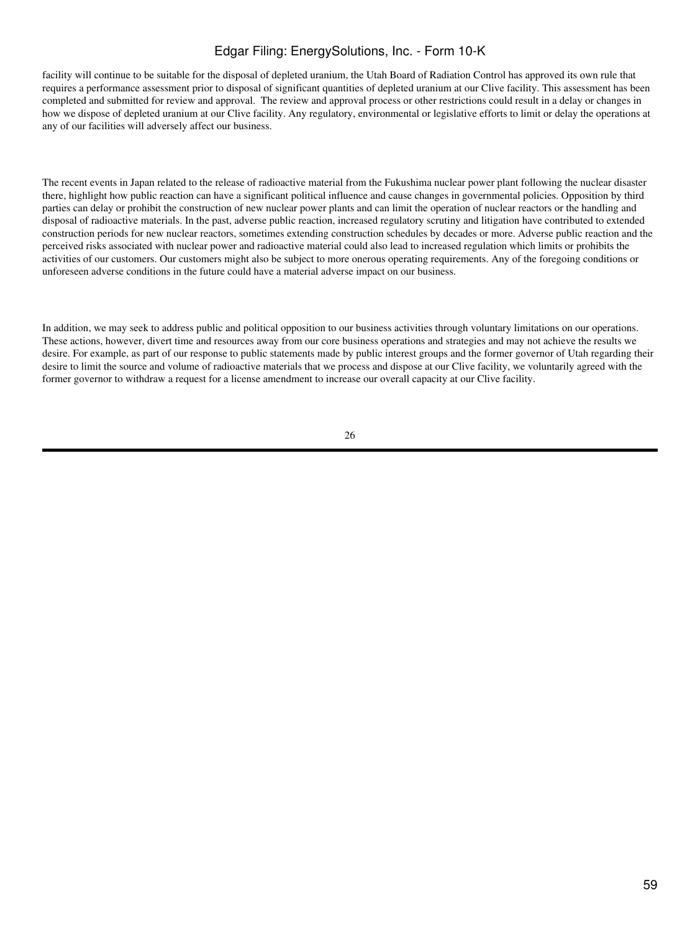facility will continue to be suitable for the disposal of depleted uranium, the Utah Board of Radiation Control has approved its own rule that requires a performance assessment prior to disposal of significant quantities of depleted uranium at our Clive facility. This assessment has been completed and submitted for review and approval. The review and approval process or other restrictions could result in a delay or changes in how we dispose of depleted uranium at our Clive facility. Any regulatory, environmental or legislative efforts to limit or delay the operations at any of our facilities will adversely affect our business.

The recent events in Japan related to the release of radioactive material from the Fukushima nuclear power plant following the nuclear disaster there, highlight how public reaction can have a significant political influence and cause changes in governmental policies. Opposition by third parties can delay or prohibit the construction of new nuclear power plants and can limit the operation of nuclear reactors or the handling and disposal of radioactive materials. In the past, adverse public reaction, increased regulatory scrutiny and litigation have contributed to extended construction periods for new nuclear reactors, sometimes extending construction schedules by decades or more. Adverse public reaction and the perceived risks associated with nuclear power and radioactive material could also lead to increased regulation which limits or prohibits the activities of our customers. Our customers might also be subject to more onerous operating requirements. Any of the foregoing conditions or unforeseen adverse conditions in the future could have a material adverse impact on our business.

In addition, we may seek to address public and political opposition to our business activities through voluntary limitations on our operations. These actions, however, divert time and resources away from our core business operations and strategies and may not achieve the results we desire. For example, as part of our response to public statements made by public interest groups and the former governor of Utah regarding their desire to limit the source and volume of radioactive materials that we process and dispose at our Clive facility, we voluntarily agreed with the former governor to withdraw a request for a license amendment to increase our overall capacity at our Clive facility.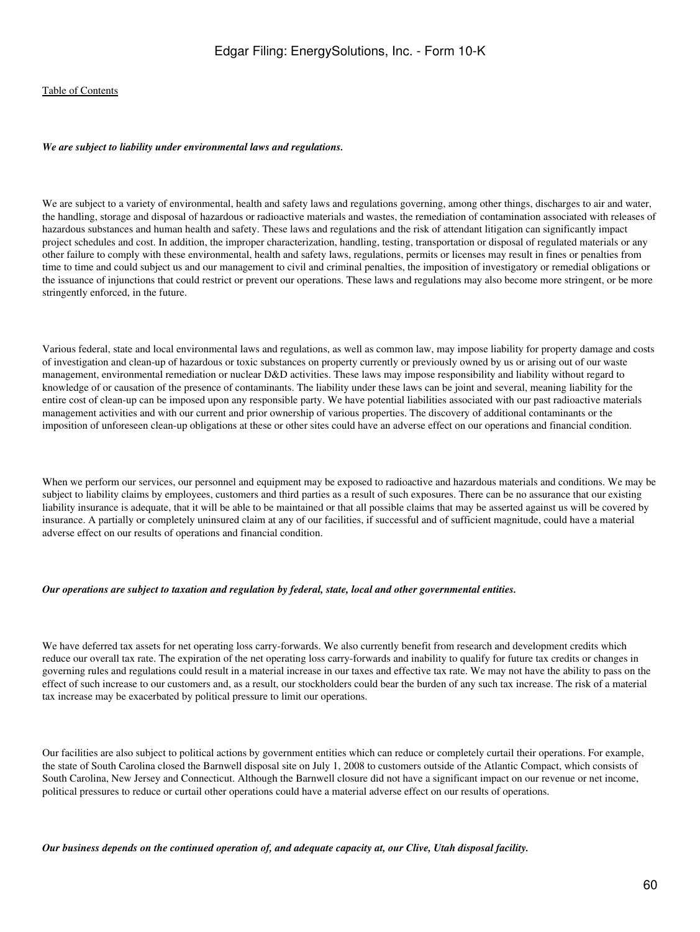## *We are subject to liability under environmental laws and regulations.*

We are subject to a variety of environmental, health and safety laws and regulations governing, among other things, discharges to air and water, the handling, storage and disposal of hazardous or radioactive materials and wastes, the remediation of contamination associated with releases of hazardous substances and human health and safety. These laws and regulations and the risk of attendant litigation can significantly impact project schedules and cost. In addition, the improper characterization, handling, testing, transportation or disposal of regulated materials or any other failure to comply with these environmental, health and safety laws, regulations, permits or licenses may result in fines or penalties from time to time and could subject us and our management to civil and criminal penalties, the imposition of investigatory or remedial obligations or the issuance of injunctions that could restrict or prevent our operations. These laws and regulations may also become more stringent, or be more stringently enforced, in the future.

Various federal, state and local environmental laws and regulations, as well as common law, may impose liability for property damage and costs of investigation and clean-up of hazardous or toxic substances on property currently or previously owned by us or arising out of our waste management, environmental remediation or nuclear D&D activities. These laws may impose responsibility and liability without regard to knowledge of or causation of the presence of contaminants. The liability under these laws can be joint and several, meaning liability for the entire cost of clean-up can be imposed upon any responsible party. We have potential liabilities associated with our past radioactive materials management activities and with our current and prior ownership of various properties. The discovery of additional contaminants or the imposition of unforeseen clean-up obligations at these or other sites could have an adverse effect on our operations and financial condition.

When we perform our services, our personnel and equipment may be exposed to radioactive and hazardous materials and conditions. We may be subject to liability claims by employees, customers and third parties as a result of such exposures. There can be no assurance that our existing liability insurance is adequate, that it will be able to be maintained or that all possible claims that may be asserted against us will be covered by insurance. A partially or completely uninsured claim at any of our facilities, if successful and of sufficient magnitude, could have a material adverse effect on our results of operations and financial condition.

## *Our operations are subject to taxation and regulation by federal, state, local and other governmental entities.*

We have deferred tax assets for net operating loss carry-forwards. We also currently benefit from research and development credits which reduce our overall tax rate. The expiration of the net operating loss carry-forwards and inability to qualify for future tax credits or changes in governing rules and regulations could result in a material increase in our taxes and effective tax rate. We may not have the ability to pass on the effect of such increase to our customers and, as a result, our stockholders could bear the burden of any such tax increase. The risk of a material tax increase may be exacerbated by political pressure to limit our operations.

Our facilities are also subject to political actions by government entities which can reduce or completely curtail their operations. For example, the state of South Carolina closed the Barnwell disposal site on July 1, 2008 to customers outside of the Atlantic Compact, which consists of South Carolina, New Jersey and Connecticut. Although the Barnwell closure did not have a significant impact on our revenue or net income, political pressures to reduce or curtail other operations could have a material adverse effect on our results of operations.

*Our business depends on the continued operation of, and adequate capacity at, our Clive, Utah disposal facility.*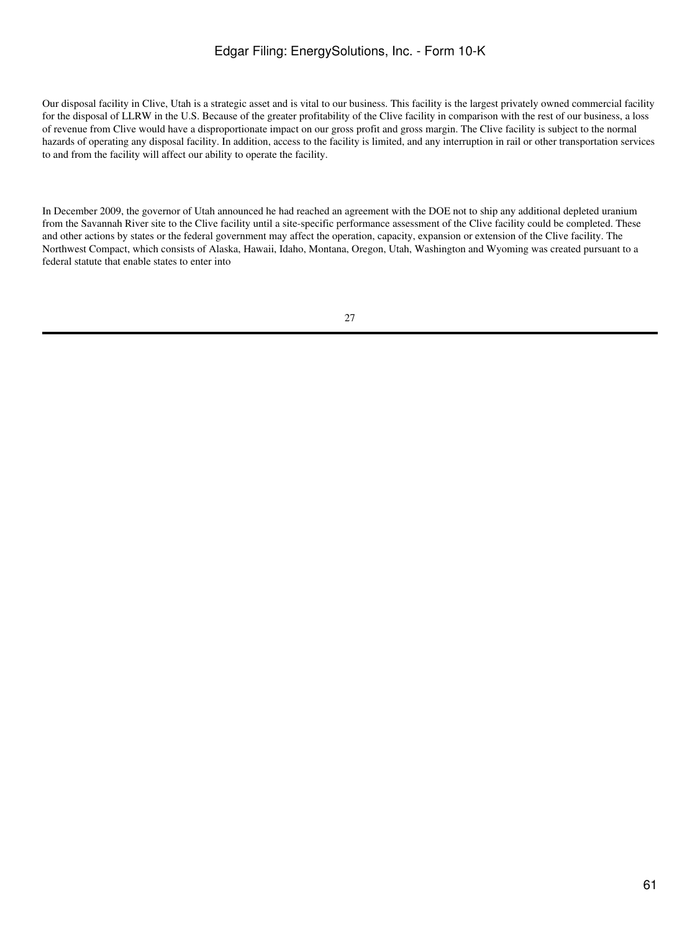Our disposal facility in Clive, Utah is a strategic asset and is vital to our business. This facility is the largest privately owned commercial facility for the disposal of LLRW in the U.S. Because of the greater profitability of the Clive facility in comparison with the rest of our business, a loss of revenue from Clive would have a disproportionate impact on our gross profit and gross margin. The Clive facility is subject to the normal hazards of operating any disposal facility. In addition, access to the facility is limited, and any interruption in rail or other transportation services to and from the facility will affect our ability to operate the facility.

In December 2009, the governor of Utah announced he had reached an agreement with the DOE not to ship any additional depleted uranium from the Savannah River site to the Clive facility until a site-specific performance assessment of the Clive facility could be completed. These and other actions by states or the federal government may affect the operation, capacity, expansion or extension of the Clive facility. The Northwest Compact, which consists of Alaska, Hawaii, Idaho, Montana, Oregon, Utah, Washington and Wyoming was created pursuant to a federal statute that enable states to enter into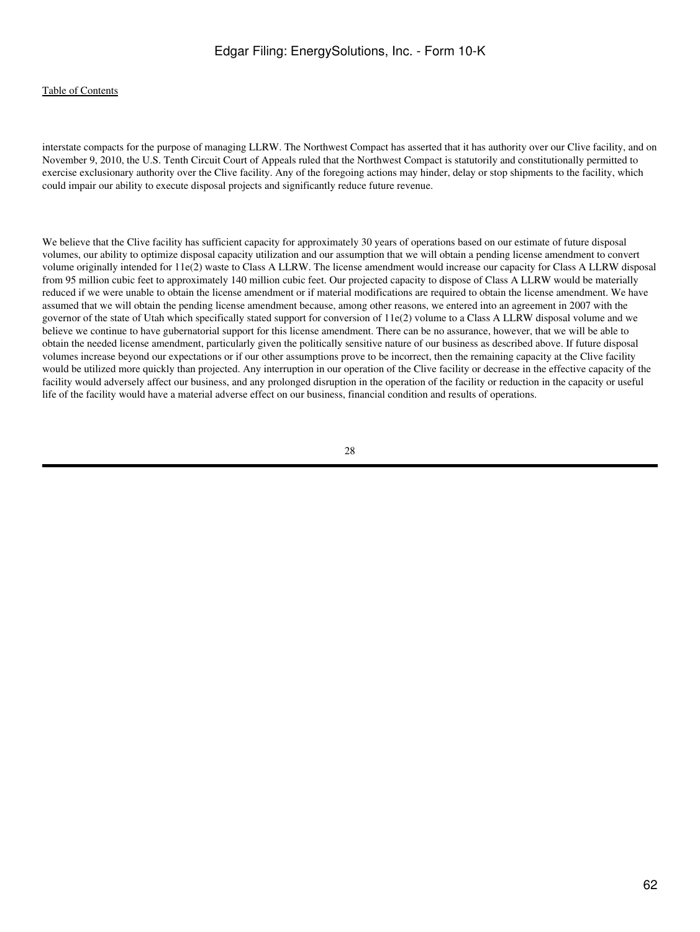## [Table of Contents](#page-3-0)

interstate compacts for the purpose of managing LLRW. The Northwest Compact has asserted that it has authority over our Clive facility, and on November 9, 2010, the U.S. Tenth Circuit Court of Appeals ruled that the Northwest Compact is statutorily and constitutionally permitted to exercise exclusionary authority over the Clive facility. Any of the foregoing actions may hinder, delay or stop shipments to the facility, which could impair our ability to execute disposal projects and significantly reduce future revenue.

We believe that the Clive facility has sufficient capacity for approximately 30 years of operations based on our estimate of future disposal volumes, our ability to optimize disposal capacity utilization and our assumption that we will obtain a pending license amendment to convert volume originally intended for 11e(2) waste to Class A LLRW. The license amendment would increase our capacity for Class A LLRW disposal from 95 million cubic feet to approximately 140 million cubic feet. Our projected capacity to dispose of Class A LLRW would be materially reduced if we were unable to obtain the license amendment or if material modifications are required to obtain the license amendment. We have assumed that we will obtain the pending license amendment because, among other reasons, we entered into an agreement in 2007 with the governor of the state of Utah which specifically stated support for conversion of 11e(2) volume to a Class A LLRW disposal volume and we believe we continue to have gubernatorial support for this license amendment. There can be no assurance, however, that we will be able to obtain the needed license amendment, particularly given the politically sensitive nature of our business as described above. If future disposal volumes increase beyond our expectations or if our other assumptions prove to be incorrect, then the remaining capacity at the Clive facility would be utilized more quickly than projected. Any interruption in our operation of the Clive facility or decrease in the effective capacity of the facility would adversely affect our business, and any prolonged disruption in the operation of the facility or reduction in the capacity or useful life of the facility would have a material adverse effect on our business, financial condition and results of operations.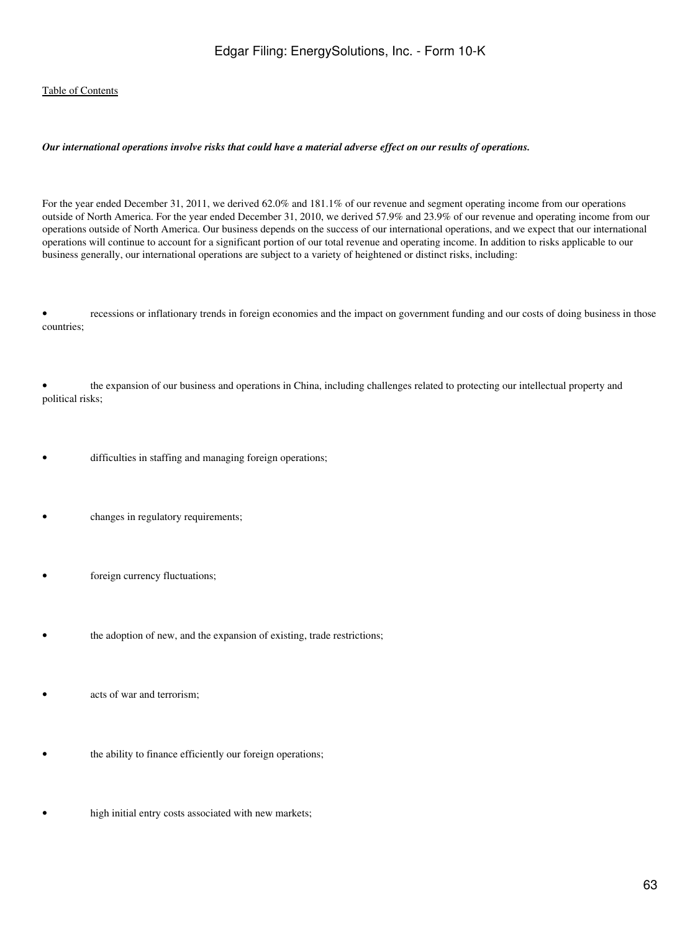### *Our international operations involve risks that could have a material adverse effect on our results of operations.*

For the year ended December 31, 2011, we derived 62.0% and 181.1% of our revenue and segment operating income from our operations outside of North America. For the year ended December 31, 2010, we derived 57.9% and 23.9% of our revenue and operating income from our operations outside of North America. Our business depends on the success of our international operations, and we expect that our international operations will continue to account for a significant portion of our total revenue and operating income. In addition to risks applicable to our business generally, our international operations are subject to a variety of heightened or distinct risks, including:

• recessions or inflationary trends in foreign economies and the impact on government funding and our costs of doing business in those countries;

• the expansion of our business and operations in China, including challenges related to protecting our intellectual property and political risks;

- difficulties in staffing and managing foreign operations;
- changes in regulatory requirements;
- foreign currency fluctuations;
- the adoption of new, and the expansion of existing, trade restrictions;
- acts of war and terrorism;
- the ability to finance efficiently our foreign operations;
- high initial entry costs associated with new markets;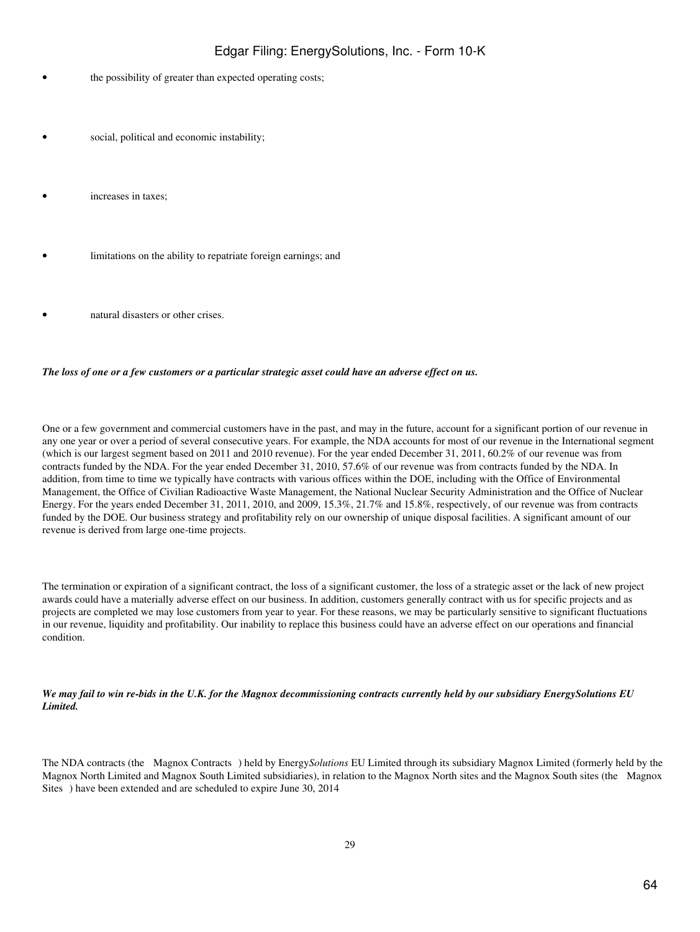- the possibility of greater than expected operating costs;
- social, political and economic instability;
- increases in taxes;
- limitations on the ability to repatriate foreign earnings; and
- natural disasters or other crises.

#### *The loss of one or a few customers or a particular strategic asset could have an adverse effect on us.*

One or a few government and commercial customers have in the past, and may in the future, account for a significant portion of our revenue in any one year or over a period of several consecutive years. For example, the NDA accounts for most of our revenue in the International segment (which is our largest segment based on 2011 and 2010 revenue). For the year ended December 31, 2011, 60.2% of our revenue was from contracts funded by the NDA. For the year ended December 31, 2010, 57.6% of our revenue was from contracts funded by the NDA. In addition, from time to time we typically have contracts with various offices within the DOE, including with the Office of Environmental Management, the Office of Civilian Radioactive Waste Management, the National Nuclear Security Administration and the Office of Nuclear Energy. For the years ended December 31, 2011, 2010, and 2009, 15.3%, 21.7% and 15.8%, respectively, of our revenue was from contracts funded by the DOE. Our business strategy and profitability rely on our ownership of unique disposal facilities. A significant amount of our revenue is derived from large one-time projects.

The termination or expiration of a significant contract, the loss of a significant customer, the loss of a strategic asset or the lack of new project awards could have a materially adverse effect on our business. In addition, customers generally contract with us for specific projects and as projects are completed we may lose customers from year to year. For these reasons, we may be particularly sensitive to significant fluctuations in our revenue, liquidity and profitability. Our inability to replace this business could have an adverse effect on our operations and financial condition.

*We may fail to win re-bids in the U.K. for the Magnox decommissioning contracts currently held by our subsidiary EnergySolutions EU Limited.*

The NDA contracts (the Magnox Contracts) held by Energy*Solutions* EU Limited through its subsidiary Magnox Limited (formerly held by the Magnox North Limited and Magnox South Limited subsidiaries), in relation to the Magnox North sites and the Magnox South sites (the Magnox Sites) have been extended and are scheduled to expire June 30, 2014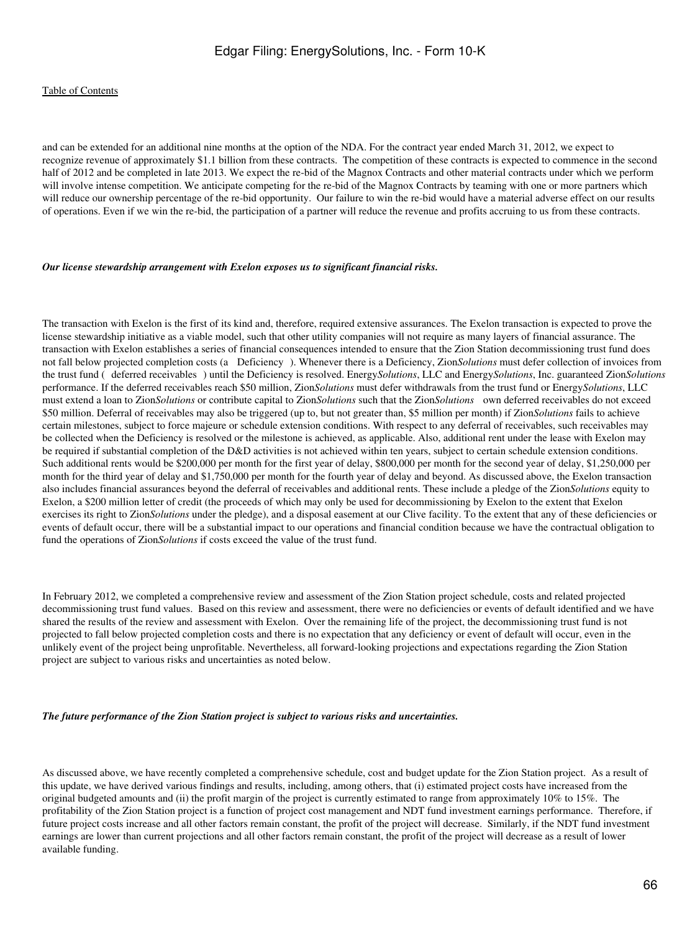and can be extended for an additional nine months at the option of the NDA. For the contract year ended March 31, 2012, we expect to recognize revenue of approximately \$1.1 billion from these contracts. The competition of these contracts is expected to commence in the second half of 2012 and be completed in late 2013. We expect the re-bid of the Magnox Contracts and other material contracts under which we perform will involve intense competition. We anticipate competing for the re-bid of the Magnox Contracts by teaming with one or more partners which will reduce our ownership percentage of the re-bid opportunity. Our failure to win the re-bid would have a material adverse effect on our results of operations. Even if we win the re-bid, the participation of a partner will reduce the revenue and profits accruing to us from these contracts.

#### *Our license stewardship arrangement with Exelon exposes us to significant financial risks.*

The transaction with Exelon is the first of its kind and, therefore, required extensive assurances. The Exelon transaction is expected to prove the license stewardship initiative as a viable model, such that other utility companies will not require as many layers of financial assurance. The transaction with Exelon establishes a series of financial consequences intended to ensure that the Zion Station decommissioning trust fund does not fall below projected completion costs (a Deficiency). Whenever there is a Deficiency, Zion*Solutions* must defer collection of invoices from the trust fund (deferred receivables) until the Deficiency is resolved. Energy*Solutions*, LLC and Energy*Solutions*, Inc. guaranteed Zion*Solutions* performance. If the deferred receivables reach \$50 million, Zion*Solutions* must defer withdrawals from the trust fund or Energy*Solutions*, LLC must extend a loan to Zion*Solutions* or contribute capital to Zion*Solutions* such that the Zion*Solutions* own deferred receivables do not exceed \$50 million. Deferral of receivables may also be triggered (up to, but not greater than, \$5 million per month) if Zion*Solutions* fails to achieve certain milestones, subject to force majeure or schedule extension conditions. With respect to any deferral of receivables, such receivables may be collected when the Deficiency is resolved or the milestone is achieved, as applicable. Also, additional rent under the lease with Exelon may be required if substantial completion of the D&D activities is not achieved within ten years, subject to certain schedule extension conditions. Such additional rents would be \$200,000 per month for the first year of delay, \$800,000 per month for the second year of delay, \$1,250,000 per month for the third year of delay and \$1,750,000 per month for the fourth year of delay and beyond. As discussed above, the Exelon transaction also includes financial assurances beyond the deferral of receivables and additional rents. These include a pledge of the Zion*Solutions* equity to Exelon, a \$200 million letter of credit (the proceeds of which may only be used for decommissioning by Exelon to the extent that Exelon exercises its right to Zion*Solutions* under the pledge), and a disposal easement at our Clive facility. To the extent that any of these deficiencies or events of default occur, there will be a substantial impact to our operations and financial condition because we have the contractual obligation to fund the operations of Zion*Solutions* if costs exceed the value of the trust fund.

In February 2012, we completed a comprehensive review and assessment of the Zion Station project schedule, costs and related projected decommissioning trust fund values. Based on this review and assessment, there were no deficiencies or events of default identified and we have shared the results of the review and assessment with Exelon. Over the remaining life of the project, the decommissioning trust fund is not projected to fall below projected completion costs and there is no expectation that any deficiency or event of default will occur, even in the unlikely event of the project being unprofitable. Nevertheless, all forward-looking projections and expectations regarding the Zion Station project are subject to various risks and uncertainties as noted below.

### *The future performance of the Zion Station project is subject to various risks and uncertainties.*

As discussed above, we have recently completed a comprehensive schedule, cost and budget update for the Zion Station project. As a result of this update, we have derived various findings and results, including, among others, that (i) estimated project costs have increased from the original budgeted amounts and (ii) the profit margin of the project is currently estimated to range from approximately 10% to 15%. The profitability of the Zion Station project is a function of project cost management and NDT fund investment earnings performance. Therefore, if future project costs increase and all other factors remain constant, the profit of the project will decrease. Similarly, if the NDT fund investment earnings are lower than current projections and all other factors remain constant, the profit of the project will decrease as a result of lower available funding.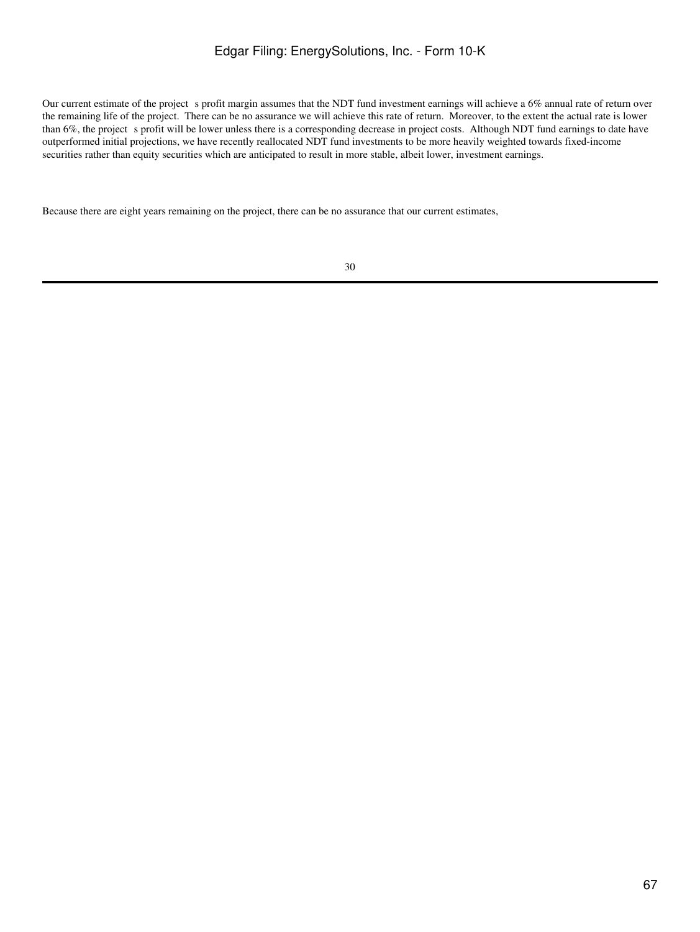Our current estimate of the project s profit margin assumes that the NDT fund investment earnings will achieve a 6% annual rate of return over the remaining life of the project. There can be no assurance we will achieve this rate of return. Moreover, to the extent the actual rate is lower than 6%, the project s profit will be lower unless there is a corresponding decrease in project costs. Although NDT fund earnings to date have outperformed initial projections, we have recently reallocated NDT fund investments to be more heavily weighted towards fixed-income securities rather than equity securities which are anticipated to result in more stable, albeit lower, investment earnings.

Because there are eight years remaining on the project, there can be no assurance that our current estimates,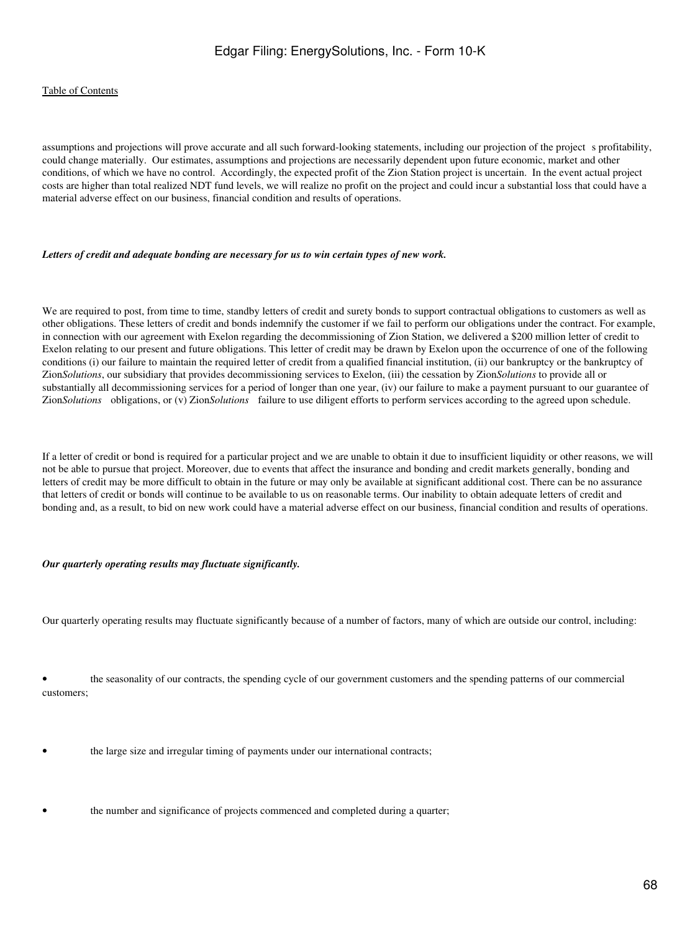assumptions and projections will prove accurate and all such forward-looking statements, including our projection of the project s profitability, could change materially. Our estimates, assumptions and projections are necessarily dependent upon future economic, market and other conditions, of which we have no control. Accordingly, the expected profit of the Zion Station project is uncertain. In the event actual project costs are higher than total realized NDT fund levels, we will realize no profit on the project and could incur a substantial loss that could have a material adverse effect on our business, financial condition and results of operations.

### *Letters of credit and adequate bonding are necessary for us to win certain types of new work.*

We are required to post, from time to time, standby letters of credit and surety bonds to support contractual obligations to customers as well as other obligations. These letters of credit and bonds indemnify the customer if we fail to perform our obligations under the contract. For example, in connection with our agreement with Exelon regarding the decommissioning of Zion Station, we delivered a \$200 million letter of credit to Exelon relating to our present and future obligations. This letter of credit may be drawn by Exelon upon the occurrence of one of the following conditions (i) our failure to maintain the required letter of credit from a qualified financial institution, (ii) our bankruptcy or the bankruptcy of Zion*Solutions*, our subsidiary that provides decommissioning services to Exelon, (iii) the cessation by Zion*Solutions* to provide all or substantially all decommissioning services for a period of longer than one year, (iv) our failure to make a payment pursuant to our guarantee of Zion*Solutions* obligations, or (v) Zion*Solutions* failure to use diligent efforts to perform services according to the agreed upon schedule.

If a letter of credit or bond is required for a particular project and we are unable to obtain it due to insufficient liquidity or other reasons, we will not be able to pursue that project. Moreover, due to events that affect the insurance and bonding and credit markets generally, bonding and letters of credit may be more difficult to obtain in the future or may only be available at significant additional cost. There can be no assurance that letters of credit or bonds will continue to be available to us on reasonable terms. Our inability to obtain adequate letters of credit and bonding and, as a result, to bid on new work could have a material adverse effect on our business, financial condition and results of operations.

### *Our quarterly operating results may fluctuate significantly.*

Our quarterly operating results may fluctuate significantly because of a number of factors, many of which are outside our control, including:

• the seasonality of our contracts, the spending cycle of our government customers and the spending patterns of our commercial customers;

- the large size and irregular timing of payments under our international contracts;
- the number and significance of projects commenced and completed during a quarter;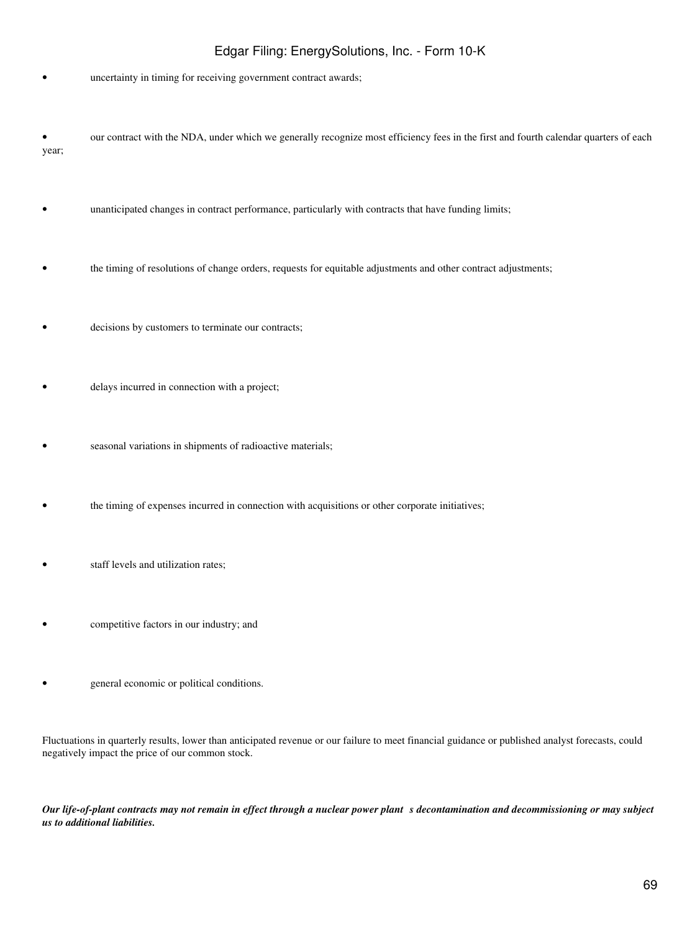uncertainty in timing for receiving government contract awards;

• our contract with the NDA, under which we generally recognize most efficiency fees in the first and fourth calendar quarters of each year;

- unanticipated changes in contract performance, particularly with contracts that have funding limits;
- the timing of resolutions of change orders, requests for equitable adjustments and other contract adjustments;
- decisions by customers to terminate our contracts;
- delays incurred in connection with a project;
- seasonal variations in shipments of radioactive materials;
- the timing of expenses incurred in connection with acquisitions or other corporate initiatives;
- staff levels and utilization rates;
- competitive factors in our industry; and
- general economic or political conditions.

Fluctuations in quarterly results, lower than anticipated revenue or our failure to meet financial guidance or published analyst forecasts, could negatively impact the price of our common stock.

*Our life-of-plant contracts may not remain in effect through a nuclear power plant s decontamination and decommissioning or may subject us to additional liabilities.*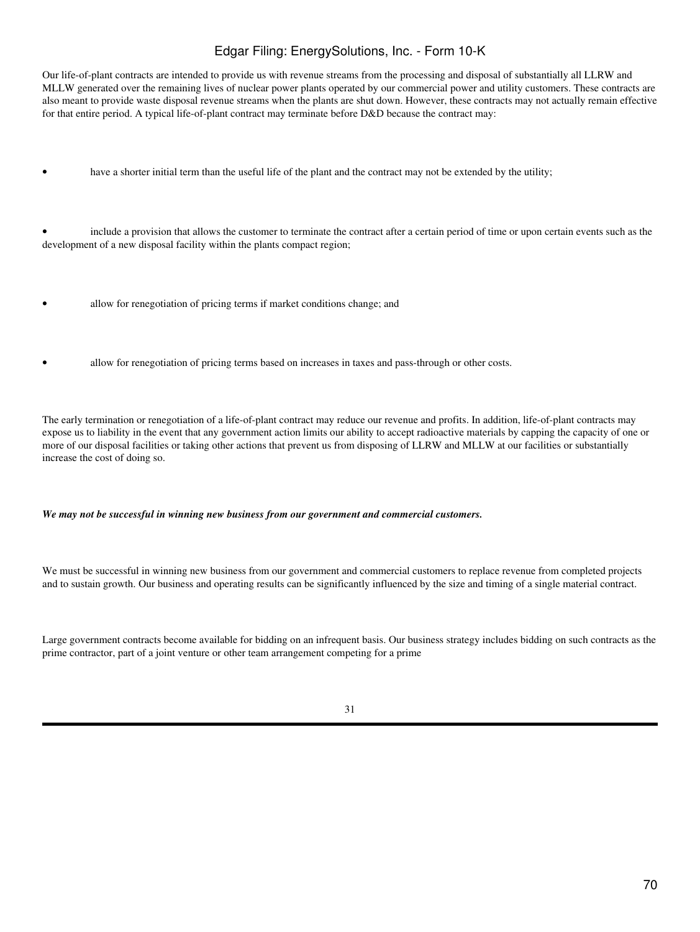Our life-of-plant contracts are intended to provide us with revenue streams from the processing and disposal of substantially all LLRW and MLLW generated over the remaining lives of nuclear power plants operated by our commercial power and utility customers. These contracts are also meant to provide waste disposal revenue streams when the plants are shut down. However, these contracts may not actually remain effective for that entire period. A typical life-of-plant contract may terminate before D&D because the contract may:

• have a shorter initial term than the useful life of the plant and the contract may not be extended by the utility;

• include a provision that allows the customer to terminate the contract after a certain period of time or upon certain events such as the development of a new disposal facility within the plants compact region;

- allow for renegotiation of pricing terms if market conditions change; and
- allow for renegotiation of pricing terms based on increases in taxes and pass-through or other costs.

The early termination or renegotiation of a life-of-plant contract may reduce our revenue and profits. In addition, life-of-plant contracts may expose us to liability in the event that any government action limits our ability to accept radioactive materials by capping the capacity of one or more of our disposal facilities or taking other actions that prevent us from disposing of LLRW and MLLW at our facilities or substantially increase the cost of doing so.

### *We may not be successful in winning new business from our government and commercial customers.*

We must be successful in winning new business from our government and commercial customers to replace revenue from completed projects and to sustain growth. Our business and operating results can be significantly influenced by the size and timing of a single material contract.

Large government contracts become available for bidding on an infrequent basis. Our business strategy includes bidding on such contracts as the prime contractor, part of a joint venture or other team arrangement competing for a prime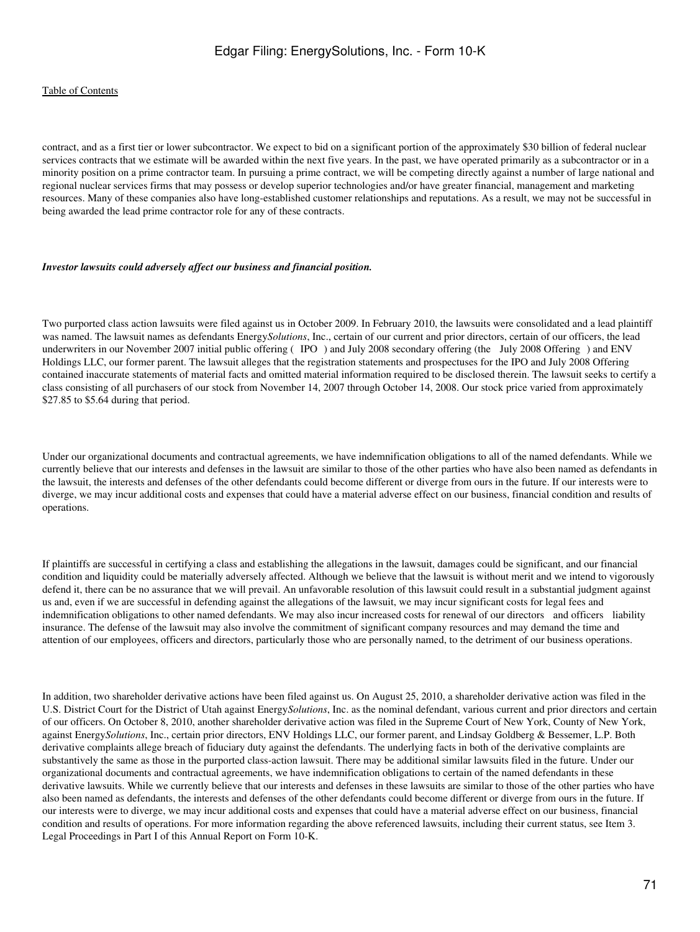contract, and as a first tier or lower subcontractor. We expect to bid on a significant portion of the approximately \$30 billion of federal nuclear services contracts that we estimate will be awarded within the next five years. In the past, we have operated primarily as a subcontractor or in a minority position on a prime contractor team. In pursuing a prime contract, we will be competing directly against a number of large national and regional nuclear services firms that may possess or develop superior technologies and/or have greater financial, management and marketing resources. Many of these companies also have long-established customer relationships and reputations. As a result, we may not be successful in being awarded the lead prime contractor role for any of these contracts.

### *Investor lawsuits could adversely affect our business and financial position.*

Two purported class action lawsuits were filed against us in October 2009. In February 2010, the lawsuits were consolidated and a lead plaintiff was named. The lawsuit names as defendants Energy*Solutions*, Inc., certain of our current and prior directors, certain of our officers, the lead underwriters in our November 2007 initial public offering (IPO) and July 2008 secondary offering (the July 2008 Offering) and ENV Holdings LLC, our former parent. The lawsuit alleges that the registration statements and prospectuses for the IPO and July 2008 Offering contained inaccurate statements of material facts and omitted material information required to be disclosed therein. The lawsuit seeks to certify a class consisting of all purchasers of our stock from November 14, 2007 through October 14, 2008. Our stock price varied from approximately \$27.85 to \$5.64 during that period.

Under our organizational documents and contractual agreements, we have indemnification obligations to all of the named defendants. While we currently believe that our interests and defenses in the lawsuit are similar to those of the other parties who have also been named as defendants in the lawsuit, the interests and defenses of the other defendants could become different or diverge from ours in the future. If our interests were to diverge, we may incur additional costs and expenses that could have a material adverse effect on our business, financial condition and results of operations.

If plaintiffs are successful in certifying a class and establishing the allegations in the lawsuit, damages could be significant, and our financial condition and liquidity could be materially adversely affected. Although we believe that the lawsuit is without merit and we intend to vigorously defend it, there can be no assurance that we will prevail. An unfavorable resolution of this lawsuit could result in a substantial judgment against us and, even if we are successful in defending against the allegations of the lawsuit, we may incur significant costs for legal fees and indemnification obligations to other named defendants. We may also incur increased costs for renewal of our directors and officers liability insurance. The defense of the lawsuit may also involve the commitment of significant company resources and may demand the time and attention of our employees, officers and directors, particularly those who are personally named, to the detriment of our business operations.

In addition, two shareholder derivative actions have been filed against us. On August 25, 2010, a shareholder derivative action was filed in the U.S. District Court for the District of Utah against Energy*Solutions*, Inc. as the nominal defendant, various current and prior directors and certain of our officers. On October 8, 2010, another shareholder derivative action was filed in the Supreme Court of New York, County of New York, against Energy*Solutions*, Inc., certain prior directors, ENV Holdings LLC, our former parent, and Lindsay Goldberg & Bessemer, L.P. Both derivative complaints allege breach of fiduciary duty against the defendants. The underlying facts in both of the derivative complaints are substantively the same as those in the purported class-action lawsuit. There may be additional similar lawsuits filed in the future. Under our organizational documents and contractual agreements, we have indemnification obligations to certain of the named defendants in these derivative lawsuits. While we currently believe that our interests and defenses in these lawsuits are similar to those of the other parties who have also been named as defendants, the interests and defenses of the other defendants could become different or diverge from ours in the future. If our interests were to diverge, we may incur additional costs and expenses that could have a material adverse effect on our business, financial condition and results of operations. For more information regarding the above referenced lawsuits, including their current status, see Item 3. Legal Proceedings in Part I of this Annual Report on Form 10-K.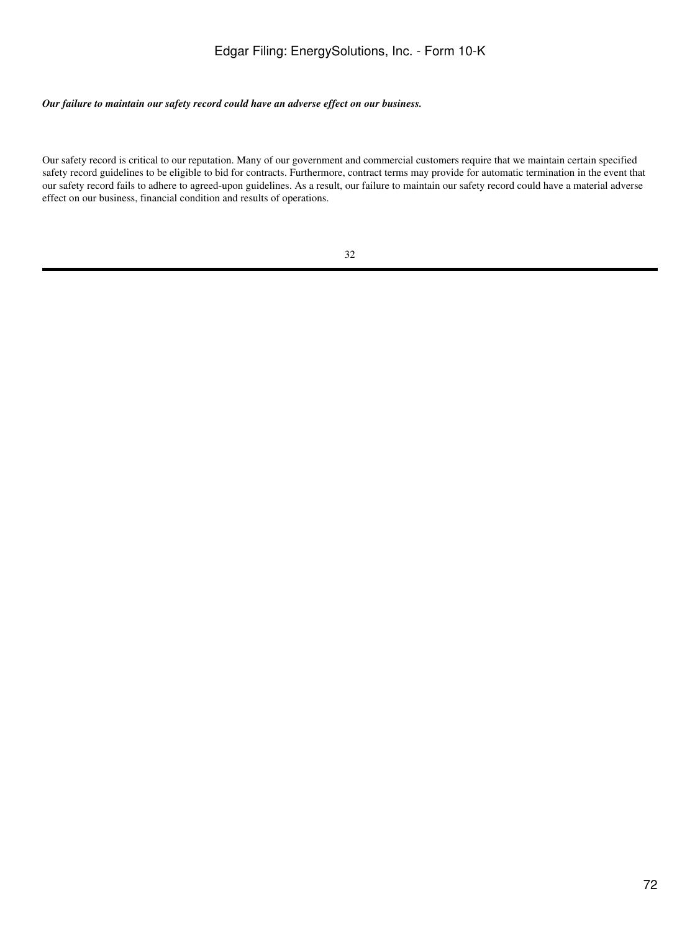## *Our failure to maintain our safety record could have an adverse effect on our business.*

Our safety record is critical to our reputation. Many of our government and commercial customers require that we maintain certain specified safety record guidelines to be eligible to bid for contracts. Furthermore, contract terms may provide for automatic termination in the event that our safety record fails to adhere to agreed-upon guidelines. As a result, our failure to maintain our safety record could have a material adverse effect on our business, financial condition and results of operations.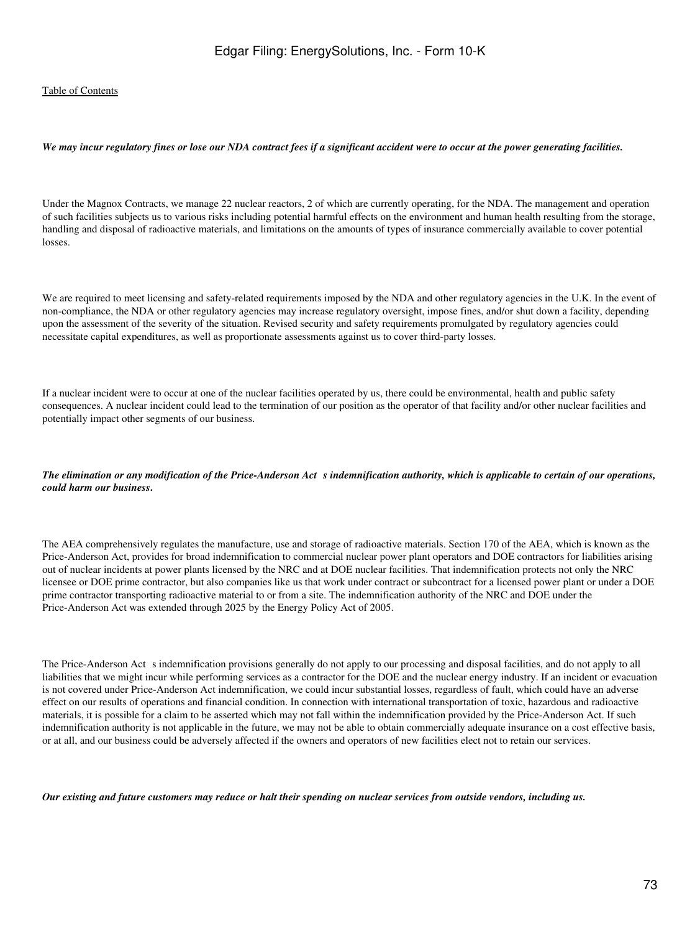### *We may incur regulatory fines or lose our NDA contract fees if a significant accident were to occur at the power generating facilities.*

Under the Magnox Contracts, we manage 22 nuclear reactors, 2 of which are currently operating, for the NDA. The management and operation of such facilities subjects us to various risks including potential harmful effects on the environment and human health resulting from the storage, handling and disposal of radioactive materials, and limitations on the amounts of types of insurance commercially available to cover potential losses.

We are required to meet licensing and safety-related requirements imposed by the NDA and other regulatory agencies in the U.K. In the event of non-compliance, the NDA or other regulatory agencies may increase regulatory oversight, impose fines, and/or shut down a facility, depending upon the assessment of the severity of the situation. Revised security and safety requirements promulgated by regulatory agencies could necessitate capital expenditures, as well as proportionate assessments against us to cover third-party losses.

If a nuclear incident were to occur at one of the nuclear facilities operated by us, there could be environmental, health and public safety consequences. A nuclear incident could lead to the termination of our position as the operator of that facility and/or other nuclear facilities and potentially impact other segments of our business.

### *The elimination or any modification of the Price-Anderson Acts indemnification authority, which is applicable to certain of our operations, could harm our business***.**

The AEA comprehensively regulates the manufacture, use and storage of radioactive materials. Section 170 of the AEA, which is known as the Price-Anderson Act, provides for broad indemnification to commercial nuclear power plant operators and DOE contractors for liabilities arising out of nuclear incidents at power plants licensed by the NRC and at DOE nuclear facilities. That indemnification protects not only the NRC licensee or DOE prime contractor, but also companies like us that work under contract or subcontract for a licensed power plant or under a DOE prime contractor transporting radioactive material to or from a site. The indemnification authority of the NRC and DOE under the Price-Anderson Act was extended through 2025 by the Energy Policy Act of 2005.

The Price-Anderson Act s indemnification provisions generally do not apply to our processing and disposal facilities, and do not apply to all liabilities that we might incur while performing services as a contractor for the DOE and the nuclear energy industry. If an incident or evacuation is not covered under Price-Anderson Act indemnification, we could incur substantial losses, regardless of fault, which could have an adverse effect on our results of operations and financial condition. In connection with international transportation of toxic, hazardous and radioactive materials, it is possible for a claim to be asserted which may not fall within the indemnification provided by the Price-Anderson Act. If such indemnification authority is not applicable in the future, we may not be able to obtain commercially adequate insurance on a cost effective basis, or at all, and our business could be adversely affected if the owners and operators of new facilities elect not to retain our services.

### *Our existing and future customers may reduce or halt their spending on nuclear services from outside vendors, including us.*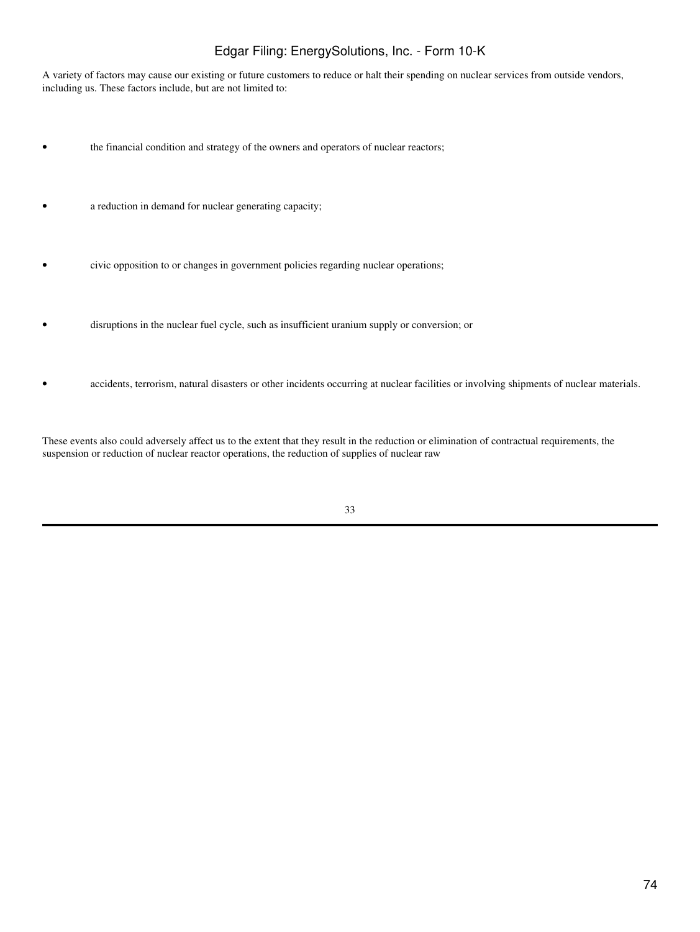A variety of factors may cause our existing or future customers to reduce or halt their spending on nuclear services from outside vendors, including us. These factors include, but are not limited to:

- the financial condition and strategy of the owners and operators of nuclear reactors;
- a reduction in demand for nuclear generating capacity;
- civic opposition to or changes in government policies regarding nuclear operations;
- disruptions in the nuclear fuel cycle, such as insufficient uranium supply or conversion; or
- accidents, terrorism, natural disasters or other incidents occurring at nuclear facilities or involving shipments of nuclear materials.

These events also could adversely affect us to the extent that they result in the reduction or elimination of contractual requirements, the suspension or reduction of nuclear reactor operations, the reduction of supplies of nuclear raw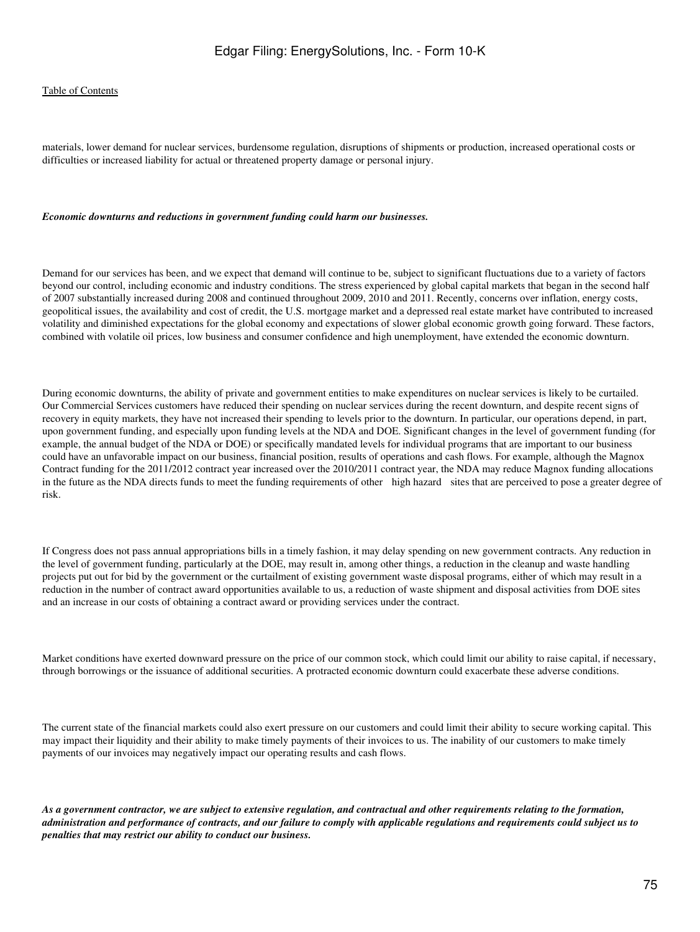materials, lower demand for nuclear services, burdensome regulation, disruptions of shipments or production, increased operational costs or difficulties or increased liability for actual or threatened property damage or personal injury.

#### *Economic downturns and reductions in government funding could harm our businesses.*

Demand for our services has been, and we expect that demand will continue to be, subject to significant fluctuations due to a variety of factors beyond our control, including economic and industry conditions. The stress experienced by global capital markets that began in the second half of 2007 substantially increased during 2008 and continued throughout 2009, 2010 and 2011. Recently, concerns over inflation, energy costs, geopolitical issues, the availability and cost of credit, the U.S. mortgage market and a depressed real estate market have contributed to increased volatility and diminished expectations for the global economy and expectations of slower global economic growth going forward. These factors, combined with volatile oil prices, low business and consumer confidence and high unemployment, have extended the economic downturn.

During economic downturns, the ability of private and government entities to make expenditures on nuclear services is likely to be curtailed. Our Commercial Services customers have reduced their spending on nuclear services during the recent downturn, and despite recent signs of recovery in equity markets, they have not increased their spending to levels prior to the downturn. In particular, our operations depend, in part, upon government funding, and especially upon funding levels at the NDA and DOE. Significant changes in the level of government funding (for example, the annual budget of the NDA or DOE) or specifically mandated levels for individual programs that are important to our business could have an unfavorable impact on our business, financial position, results of operations and cash flows. For example, although the Magnox Contract funding for the 2011/2012 contract year increased over the 2010/2011 contract year, the NDA may reduce Magnox funding allocations in the future as the NDA directs funds to meet the funding requirements of other high hazard sites that are perceived to pose a greater degree of risk.

If Congress does not pass annual appropriations bills in a timely fashion, it may delay spending on new government contracts. Any reduction in the level of government funding, particularly at the DOE, may result in, among other things, a reduction in the cleanup and waste handling projects put out for bid by the government or the curtailment of existing government waste disposal programs, either of which may result in a reduction in the number of contract award opportunities available to us, a reduction of waste shipment and disposal activities from DOE sites and an increase in our costs of obtaining a contract award or providing services under the contract.

Market conditions have exerted downward pressure on the price of our common stock, which could limit our ability to raise capital, if necessary, through borrowings or the issuance of additional securities. A protracted economic downturn could exacerbate these adverse conditions.

The current state of the financial markets could also exert pressure on our customers and could limit their ability to secure working capital. This may impact their liquidity and their ability to make timely payments of their invoices to us. The inability of our customers to make timely payments of our invoices may negatively impact our operating results and cash flows.

*As a government contractor, we are subject to extensive regulation, and contractual and other requirements relating to the formation, administration and performance of contracts, and our failure to comply with applicable regulations and requirements could subject us to penalties that may restrict our ability to conduct our business.*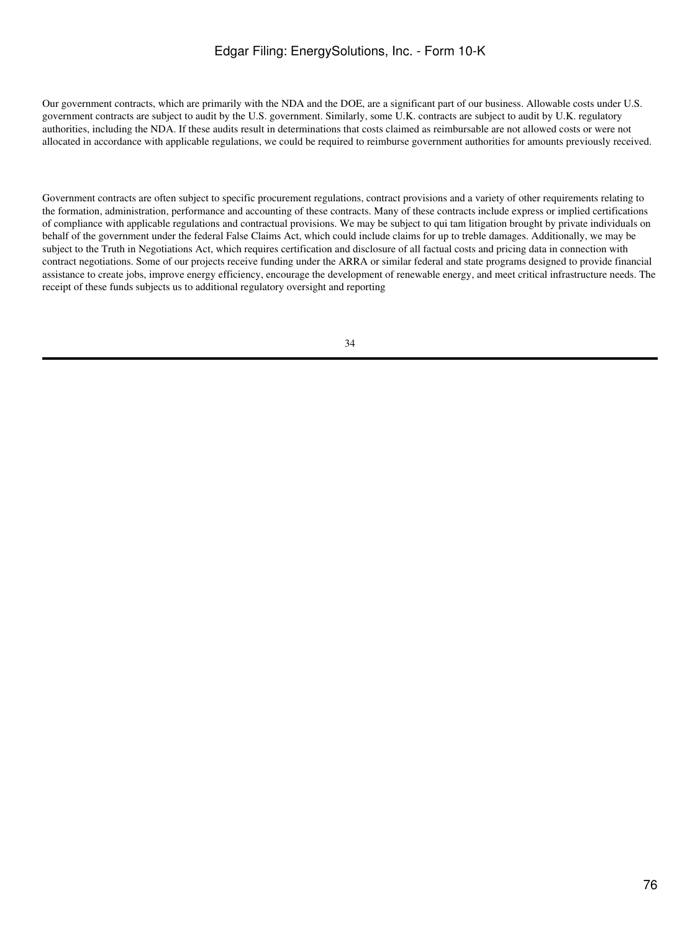Our government contracts, which are primarily with the NDA and the DOE, are a significant part of our business. Allowable costs under U.S. government contracts are subject to audit by the U.S. government. Similarly, some U.K. contracts are subject to audit by U.K. regulatory authorities, including the NDA. If these audits result in determinations that costs claimed as reimbursable are not allowed costs or were not allocated in accordance with applicable regulations, we could be required to reimburse government authorities for amounts previously received.

Government contracts are often subject to specific procurement regulations, contract provisions and a variety of other requirements relating to the formation, administration, performance and accounting of these contracts. Many of these contracts include express or implied certifications of compliance with applicable regulations and contractual provisions. We may be subject to qui tam litigation brought by private individuals on behalf of the government under the federal False Claims Act, which could include claims for up to treble damages. Additionally, we may be subject to the Truth in Negotiations Act, which requires certification and disclosure of all factual costs and pricing data in connection with contract negotiations. Some of our projects receive funding under the ARRA or similar federal and state programs designed to provide financial assistance to create jobs, improve energy efficiency, encourage the development of renewable energy, and meet critical infrastructure needs. The receipt of these funds subjects us to additional regulatory oversight and reporting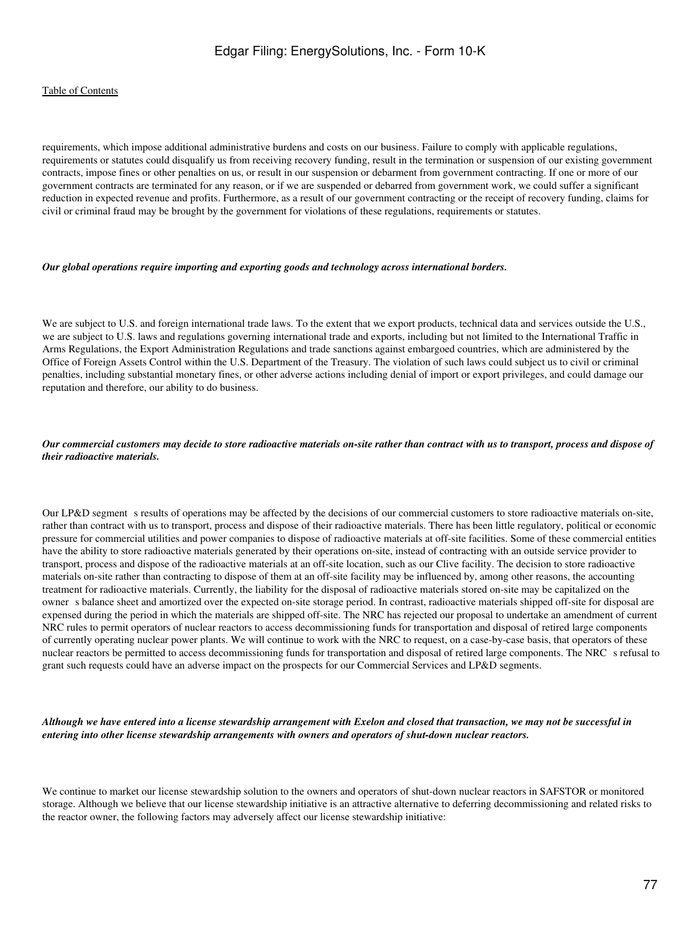requirements, which impose additional administrative burdens and costs on our business. Failure to comply with applicable regulations, requirements or statutes could disqualify us from receiving recovery funding, result in the termination or suspension of our existing government contracts, impose fines or other penalties on us, or result in our suspension or debarment from government contracting. If one or more of our government contracts are terminated for any reason, or if we are suspended or debarred from government work, we could suffer a significant reduction in expected revenue and profits. Furthermore, as a result of our government contracting or the receipt of recovery funding, claims for civil or criminal fraud may be brought by the government for violations of these regulations, requirements or statutes.

#### *Our global operations require importing and exporting goods and technology across international borders.*

We are subject to U.S. and foreign international trade laws. To the extent that we export products, technical data and services outside the U.S., we are subject to U.S. laws and regulations governing international trade and exports, including but not limited to the International Traffic in Arms Regulations, the Export Administration Regulations and trade sanctions against embargoed countries, which are administered by the Office of Foreign Assets Control within the U.S. Department of the Treasury. The violation of such laws could subject us to civil or criminal penalties, including substantial monetary fines, or other adverse actions including denial of import or export privileges, and could damage our reputation and therefore, our ability to do business.

### *Our commercial customers may decide to store radioactive materials on-site rather than contract with us to transport, process and dispose of their radioactive materials.*

Our LP&D segment s results of operations may be affected by the decisions of our commercial customers to store radioactive materials on-site, rather than contract with us to transport, process and dispose of their radioactive materials. There has been little regulatory, political or economic pressure for commercial utilities and power companies to dispose of radioactive materials at off-site facilities. Some of these commercial entities have the ability to store radioactive materials generated by their operations on-site, instead of contracting with an outside service provider to transport, process and dispose of the radioactive materials at an off-site location, such as our Clive facility. The decision to store radioactive materials on-site rather than contracting to dispose of them at an off-site facility may be influenced by, among other reasons, the accounting treatment for radioactive materials. Currently, the liability for the disposal of radioactive materials stored on-site may be capitalized on the owner s balance sheet and amortized over the expected on-site storage period. In contrast, radioactive materials shipped off-site for disposal are expensed during the period in which the materials are shipped off-site. The NRC has rejected our proposal to undertake an amendment of current NRC rules to permit operators of nuclear reactors to access decommissioning funds for transportation and disposal of retired large components of currently operating nuclear power plants. We will continue to work with the NRC to request, on a case-by-case basis, that operators of these nuclear reactors be permitted to access decommissioning funds for transportation and disposal of retired large components. The NRC s refusal to grant such requests could have an adverse impact on the prospects for our Commercial Services and LP&D segments.

*Although we have entered into a license stewardship arrangement with Exelon and closed that transaction, we may not be successful in entering into other license stewardship arrangements with owners and operators of shut-down nuclear reactors.*

We continue to market our license stewardship solution to the owners and operators of shut-down nuclear reactors in SAFSTOR or monitored storage. Although we believe that our license stewardship initiative is an attractive alternative to deferring decommissioning and related risks to the reactor owner, the following factors may adversely affect our license stewardship initiative: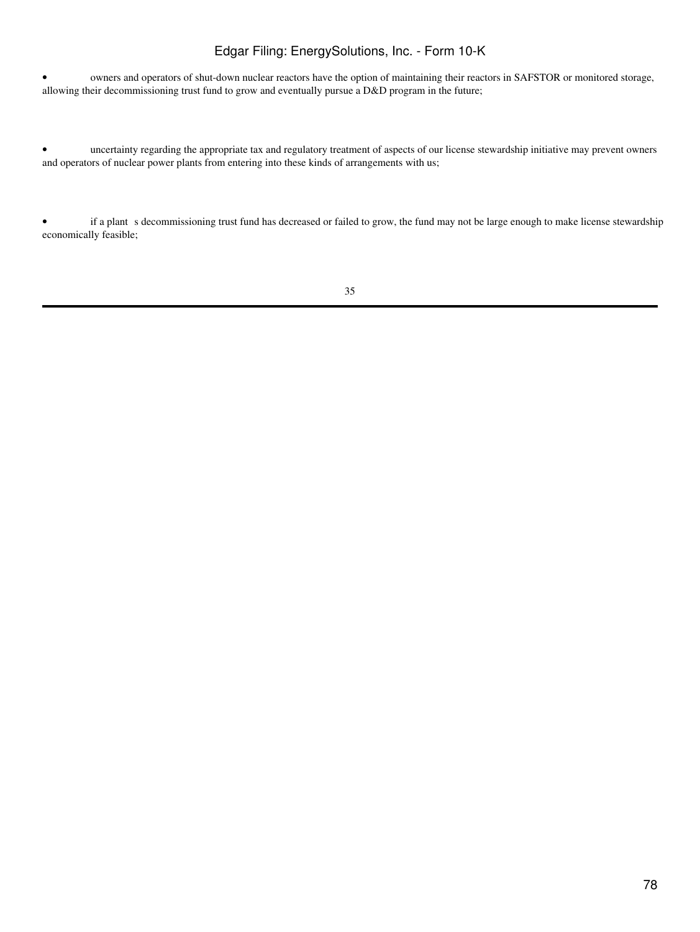• owners and operators of shut-down nuclear reactors have the option of maintaining their reactors in SAFSTOR or monitored storage, allowing their decommissioning trust fund to grow and eventually pursue a D&D program in the future;

• uncertainty regarding the appropriate tax and regulatory treatment of aspects of our license stewardship initiative may prevent owners and operators of nuclear power plants from entering into these kinds of arrangements with us;

• if a plant s decommissioning trust fund has decreased or failed to grow, the fund may not be large enough to make license stewardship economically feasible;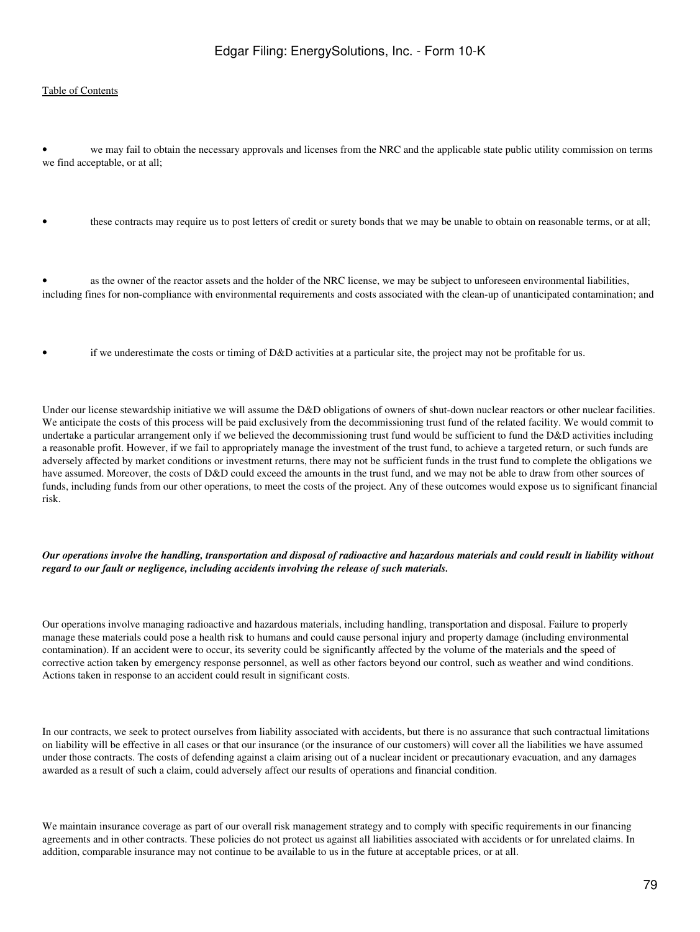• we may fail to obtain the necessary approvals and licenses from the NRC and the applicable state public utility commission on terms we find acceptable, or at all;

• these contracts may require us to post letters of credit or surety bonds that we may be unable to obtain on reasonable terms, or at all;

as the owner of the reactor assets and the holder of the NRC license, we may be subject to unforeseen environmental liabilities, including fines for non-compliance with environmental requirements and costs associated with the clean-up of unanticipated contamination; and

if we underestimate the costs or timing of D&D activities at a particular site, the project may not be profitable for us.

Under our license stewardship initiative we will assume the D&D obligations of owners of shut-down nuclear reactors or other nuclear facilities. We anticipate the costs of this process will be paid exclusively from the decommissioning trust fund of the related facility. We would commit to undertake a particular arrangement only if we believed the decommissioning trust fund would be sufficient to fund the D&D activities including a reasonable profit. However, if we fail to appropriately manage the investment of the trust fund, to achieve a targeted return, or such funds are adversely affected by market conditions or investment returns, there may not be sufficient funds in the trust fund to complete the obligations we have assumed. Moreover, the costs of D&D could exceed the amounts in the trust fund, and we may not be able to draw from other sources of funds, including funds from our other operations, to meet the costs of the project. Any of these outcomes would expose us to significant financial risk.

### *Our operations involve the handling, transportation and disposal of radioactive and hazardous materials and could result in liability without regard to our fault or negligence, including accidents involving the release of such materials.*

Our operations involve managing radioactive and hazardous materials, including handling, transportation and disposal. Failure to properly manage these materials could pose a health risk to humans and could cause personal injury and property damage (including environmental contamination). If an accident were to occur, its severity could be significantly affected by the volume of the materials and the speed of corrective action taken by emergency response personnel, as well as other factors beyond our control, such as weather and wind conditions. Actions taken in response to an accident could result in significant costs.

In our contracts, we seek to protect ourselves from liability associated with accidents, but there is no assurance that such contractual limitations on liability will be effective in all cases or that our insurance (or the insurance of our customers) will cover all the liabilities we have assumed under those contracts. The costs of defending against a claim arising out of a nuclear incident or precautionary evacuation, and any damages awarded as a result of such a claim, could adversely affect our results of operations and financial condition.

We maintain insurance coverage as part of our overall risk management strategy and to comply with specific requirements in our financing agreements and in other contracts. These policies do not protect us against all liabilities associated with accidents or for unrelated claims. In addition, comparable insurance may not continue to be available to us in the future at acceptable prices, or at all.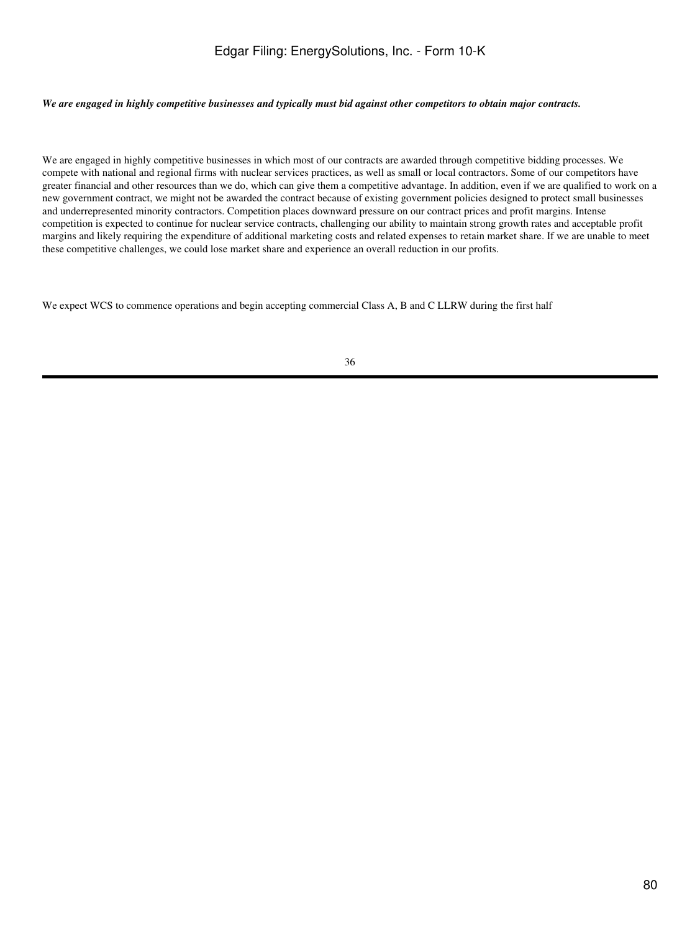## *We are engaged in highly competitive businesses and typically must bid against other competitors to obtain major contracts.*

We are engaged in highly competitive businesses in which most of our contracts are awarded through competitive bidding processes. We compete with national and regional firms with nuclear services practices, as well as small or local contractors. Some of our competitors have greater financial and other resources than we do, which can give them a competitive advantage. In addition, even if we are qualified to work on a new government contract, we might not be awarded the contract because of existing government policies designed to protect small businesses and underrepresented minority contractors. Competition places downward pressure on our contract prices and profit margins. Intense competition is expected to continue for nuclear service contracts, challenging our ability to maintain strong growth rates and acceptable profit margins and likely requiring the expenditure of additional marketing costs and related expenses to retain market share. If we are unable to meet these competitive challenges, we could lose market share and experience an overall reduction in our profits.

We expect WCS to commence operations and begin accepting commercial Class A, B and C LLRW during the first half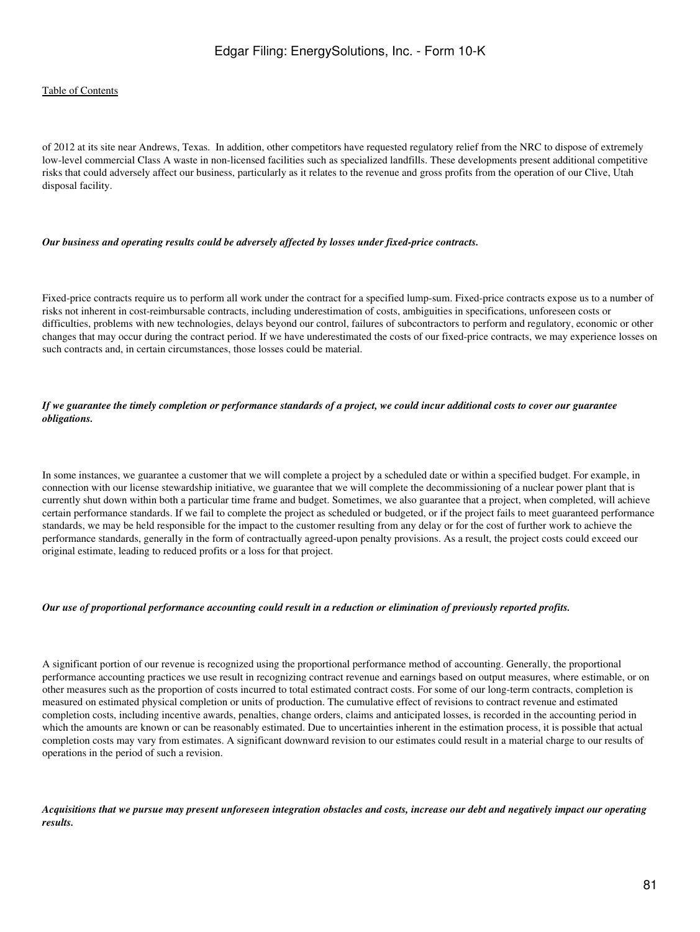of 2012 at its site near Andrews, Texas. In addition, other competitors have requested regulatory relief from the NRC to dispose of extremely low-level commercial Class A waste in non-licensed facilities such as specialized landfills. These developments present additional competitive risks that could adversely affect our business, particularly as it relates to the revenue and gross profits from the operation of our Clive, Utah disposal facility.

### *Our business and operating results could be adversely affected by losses under fixed-price contracts.*

Fixed-price contracts require us to perform all work under the contract for a specified lump-sum. Fixed-price contracts expose us to a number of risks not inherent in cost-reimbursable contracts, including underestimation of costs, ambiguities in specifications, unforeseen costs or difficulties, problems with new technologies, delays beyond our control, failures of subcontractors to perform and regulatory, economic or other changes that may occur during the contract period. If we have underestimated the costs of our fixed-price contracts, we may experience losses on such contracts and, in certain circumstances, those losses could be material.

### *If we guarantee the timely completion or performance standards of a project, we could incur additional costs to cover our guarantee obligations.*

In some instances, we guarantee a customer that we will complete a project by a scheduled date or within a specified budget. For example, in connection with our license stewardship initiative, we guarantee that we will complete the decommissioning of a nuclear power plant that is currently shut down within both a particular time frame and budget. Sometimes, we also guarantee that a project, when completed, will achieve certain performance standards. If we fail to complete the project as scheduled or budgeted, or if the project fails to meet guaranteed performance standards, we may be held responsible for the impact to the customer resulting from any delay or for the cost of further work to achieve the performance standards, generally in the form of contractually agreed-upon penalty provisions. As a result, the project costs could exceed our original estimate, leading to reduced profits or a loss for that project.

### *Our use of proportional performance accounting could result in a reduction or elimination of previously reported profits.*

A significant portion of our revenue is recognized using the proportional performance method of accounting. Generally, the proportional performance accounting practices we use result in recognizing contract revenue and earnings based on output measures, where estimable, or on other measures such as the proportion of costs incurred to total estimated contract costs. For some of our long-term contracts, completion is measured on estimated physical completion or units of production. The cumulative effect of revisions to contract revenue and estimated completion costs, including incentive awards, penalties, change orders, claims and anticipated losses, is recorded in the accounting period in which the amounts are known or can be reasonably estimated. Due to uncertainties inherent in the estimation process, it is possible that actual completion costs may vary from estimates. A significant downward revision to our estimates could result in a material charge to our results of operations in the period of such a revision.

### *Acquisitions that we pursue may present unforeseen integration obstacles and costs, increase our debt and negatively impact our operating results.*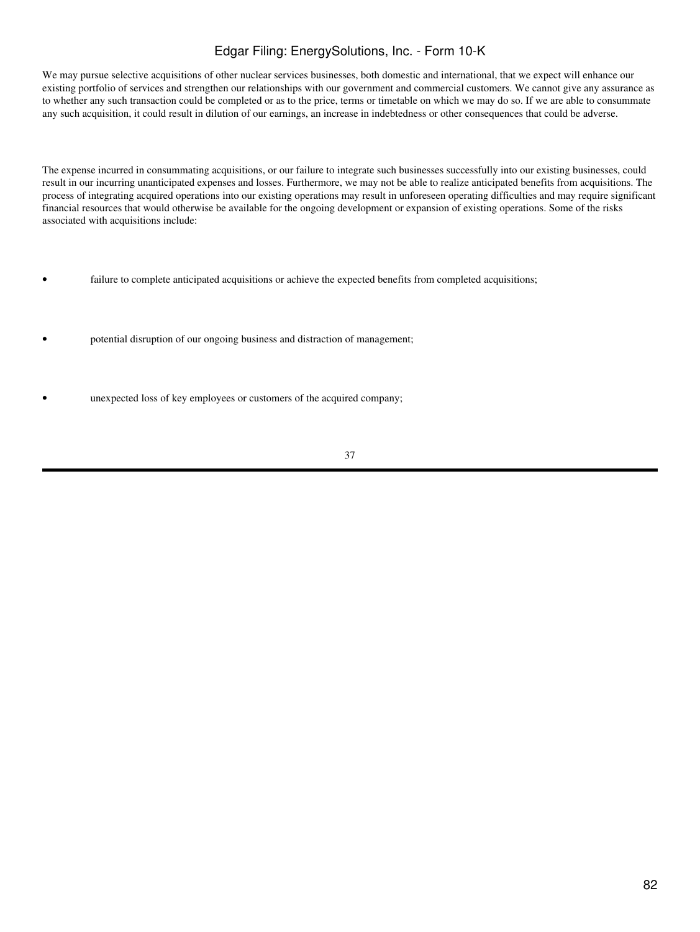We may pursue selective acquisitions of other nuclear services businesses, both domestic and international, that we expect will enhance our existing portfolio of services and strengthen our relationships with our government and commercial customers. We cannot give any assurance as to whether any such transaction could be completed or as to the price, terms or timetable on which we may do so. If we are able to consummate any such acquisition, it could result in dilution of our earnings, an increase in indebtedness or other consequences that could be adverse.

The expense incurred in consummating acquisitions, or our failure to integrate such businesses successfully into our existing businesses, could result in our incurring unanticipated expenses and losses. Furthermore, we may not be able to realize anticipated benefits from acquisitions. The process of integrating acquired operations into our existing operations may result in unforeseen operating difficulties and may require significant financial resources that would otherwise be available for the ongoing development or expansion of existing operations. Some of the risks associated with acquisitions include:

- failure to complete anticipated acquisitions or achieve the expected benefits from completed acquisitions;
- potential disruption of our ongoing business and distraction of management;
- unexpected loss of key employees or customers of the acquired company;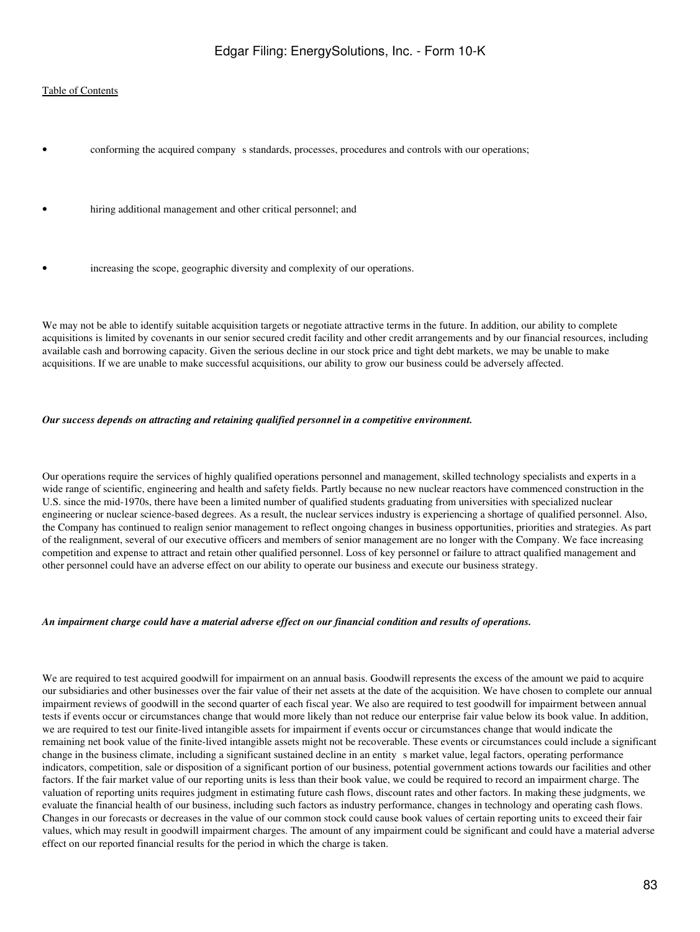- conforming the acquired company s standards, processes, procedures and controls with our operations;
- hiring additional management and other critical personnel; and
- increasing the scope, geographic diversity and complexity of our operations.

We may not be able to identify suitable acquisition targets or negotiate attractive terms in the future. In addition, our ability to complete acquisitions is limited by covenants in our senior secured credit facility and other credit arrangements and by our financial resources, including available cash and borrowing capacity. Given the serious decline in our stock price and tight debt markets, we may be unable to make acquisitions. If we are unable to make successful acquisitions, our ability to grow our business could be adversely affected.

#### *Our success depends on attracting and retaining qualified personnel in a competitive environment.*

Our operations require the services of highly qualified operations personnel and management, skilled technology specialists and experts in a wide range of scientific, engineering and health and safety fields. Partly because no new nuclear reactors have commenced construction in the U.S. since the mid-1970s, there have been a limited number of qualified students graduating from universities with specialized nuclear engineering or nuclear science-based degrees. As a result, the nuclear services industry is experiencing a shortage of qualified personnel. Also, the Company has continued to realign senior management to reflect ongoing changes in business opportunities, priorities and strategies. As part of the realignment, several of our executive officers and members of senior management are no longer with the Company. We face increasing competition and expense to attract and retain other qualified personnel. Loss of key personnel or failure to attract qualified management and other personnel could have an adverse effect on our ability to operate our business and execute our business strategy.

### *An impairment charge could have a material adverse effect on our financial condition and results of operations.*

We are required to test acquired goodwill for impairment on an annual basis. Goodwill represents the excess of the amount we paid to acquire our subsidiaries and other businesses over the fair value of their net assets at the date of the acquisition. We have chosen to complete our annual impairment reviews of goodwill in the second quarter of each fiscal year. We also are required to test goodwill for impairment between annual tests if events occur or circumstances change that would more likely than not reduce our enterprise fair value below its book value. In addition, we are required to test our finite-lived intangible assets for impairment if events occur or circumstances change that would indicate the remaining net book value of the finite-lived intangible assets might not be recoverable. These events or circumstances could include a significant change in the business climate, including a significant sustained decline in an entitys market value, legal factors, operating performance indicators, competition, sale or disposition of a significant portion of our business, potential government actions towards our facilities and other factors. If the fair market value of our reporting units is less than their book value, we could be required to record an impairment charge. The valuation of reporting units requires judgment in estimating future cash flows, discount rates and other factors. In making these judgments, we evaluate the financial health of our business, including such factors as industry performance, changes in technology and operating cash flows. Changes in our forecasts or decreases in the value of our common stock could cause book values of certain reporting units to exceed their fair values, which may result in goodwill impairment charges. The amount of any impairment could be significant and could have a material adverse effect on our reported financial results for the period in which the charge is taken.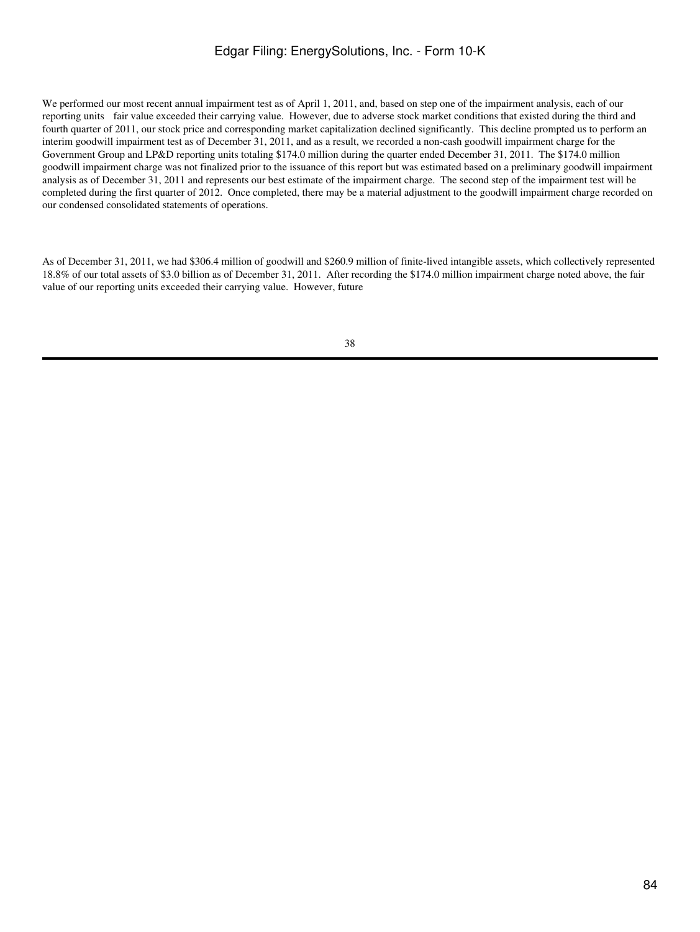We performed our most recent annual impairment test as of April 1, 2011, and, based on step one of the impairment analysis, each of our reporting units fair value exceeded their carrying value. However, due to adverse stock market conditions that existed during the third and fourth quarter of 2011, our stock price and corresponding market capitalization declined significantly. This decline prompted us to perform an interim goodwill impairment test as of December 31, 2011, and as a result, we recorded a non-cash goodwill impairment charge for the Government Group and LP&D reporting units totaling \$174.0 million during the quarter ended December 31, 2011. The \$174.0 million goodwill impairment charge was not finalized prior to the issuance of this report but was estimated based on a preliminary goodwill impairment analysis as of December 31, 2011 and represents our best estimate of the impairment charge. The second step of the impairment test will be completed during the first quarter of 2012. Once completed, there may be a material adjustment to the goodwill impairment charge recorded on our condensed consolidated statements of operations.

As of December 31, 2011, we had \$306.4 million of goodwill and \$260.9 million of finite-lived intangible assets, which collectively represented 18.8% of our total assets of \$3.0 billion as of December 31, 2011. After recording the \$174.0 million impairment charge noted above, the fair value of our reporting units exceeded their carrying value. However, future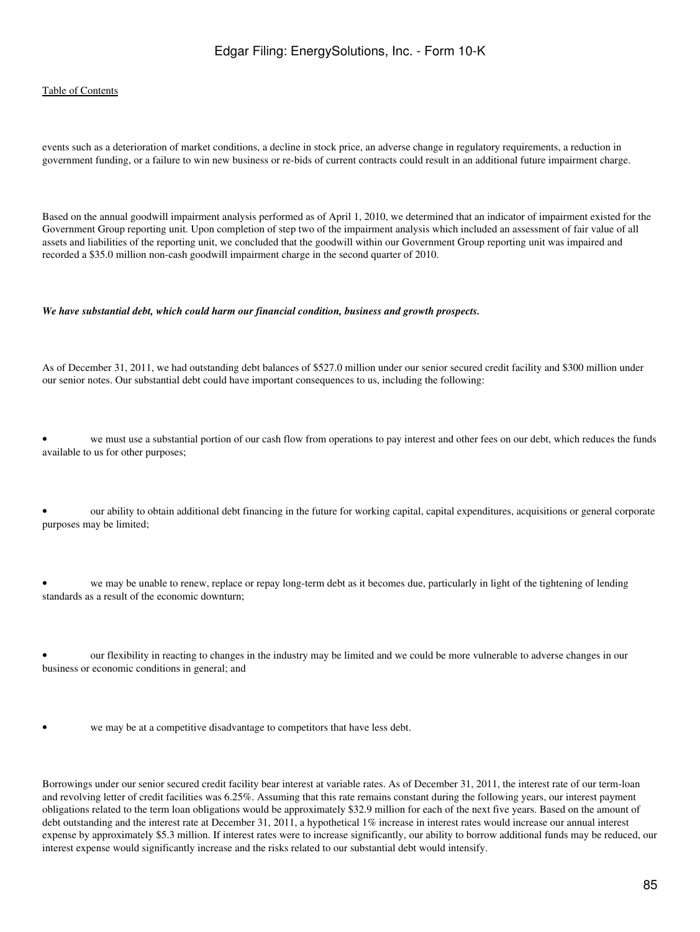events such as a deterioration of market conditions, a decline in stock price, an adverse change in regulatory requirements, a reduction in government funding, or a failure to win new business or re-bids of current contracts could result in an additional future impairment charge.

Based on the annual goodwill impairment analysis performed as of April 1, 2010, we determined that an indicator of impairment existed for the Government Group reporting unit. Upon completion of step two of the impairment analysis which included an assessment of fair value of all assets and liabilities of the reporting unit, we concluded that the goodwill within our Government Group reporting unit was impaired and recorded a \$35.0 million non-cash goodwill impairment charge in the second quarter of 2010.

*We have substantial debt, which could harm our financial condition, business and growth prospects.*

As of December 31, 2011, we had outstanding debt balances of \$527.0 million under our senior secured credit facility and \$300 million under our senior notes. Our substantial debt could have important consequences to us, including the following:

• we must use a substantial portion of our cash flow from operations to pay interest and other fees on our debt, which reduces the funds available to us for other purposes;

• our ability to obtain additional debt financing in the future for working capital, capital expenditures, acquisitions or general corporate purposes may be limited;

• we may be unable to renew, replace or repay long-term debt as it becomes due, particularly in light of the tightening of lending standards as a result of the economic downturn;

• our flexibility in reacting to changes in the industry may be limited and we could be more vulnerable to adverse changes in our business or economic conditions in general; and

we may be at a competitive disadvantage to competitors that have less debt.

Borrowings under our senior secured credit facility bear interest at variable rates. As of December 31, 2011, the interest rate of our term-loan and revolving letter of credit facilities was 6.25%. Assuming that this rate remains constant during the following years, our interest payment obligations related to the term loan obligations would be approximately \$32.9 million for each of the next five years. Based on the amount of debt outstanding and the interest rate at December 31, 2011, a hypothetical 1% increase in interest rates would increase our annual interest expense by approximately \$5.3 million. If interest rates were to increase significantly, our ability to borrow additional funds may be reduced, our interest expense would significantly increase and the risks related to our substantial debt would intensify.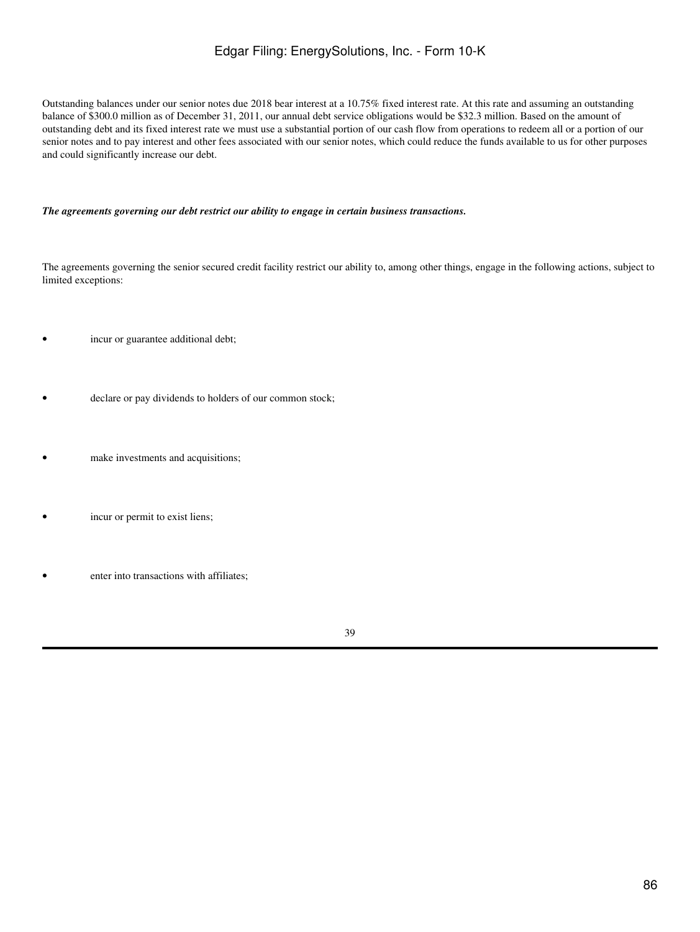Outstanding balances under our senior notes due 2018 bear interest at a 10.75% fixed interest rate. At this rate and assuming an outstanding balance of \$300.0 million as of December 31, 2011, our annual debt service obligations would be \$32.3 million. Based on the amount of outstanding debt and its fixed interest rate we must use a substantial portion of our cash flow from operations to redeem all or a portion of our senior notes and to pay interest and other fees associated with our senior notes, which could reduce the funds available to us for other purposes and could significantly increase our debt.

### *The agreements governing our debt restrict our ability to engage in certain business transactions.*

The agreements governing the senior secured credit facility restrict our ability to, among other things, engage in the following actions, subject to limited exceptions:

- incur or guarantee additional debt;
- declare or pay dividends to holders of our common stock;
- make investments and acquisitions;
- incur or permit to exist liens;
- enter into transactions with affiliates;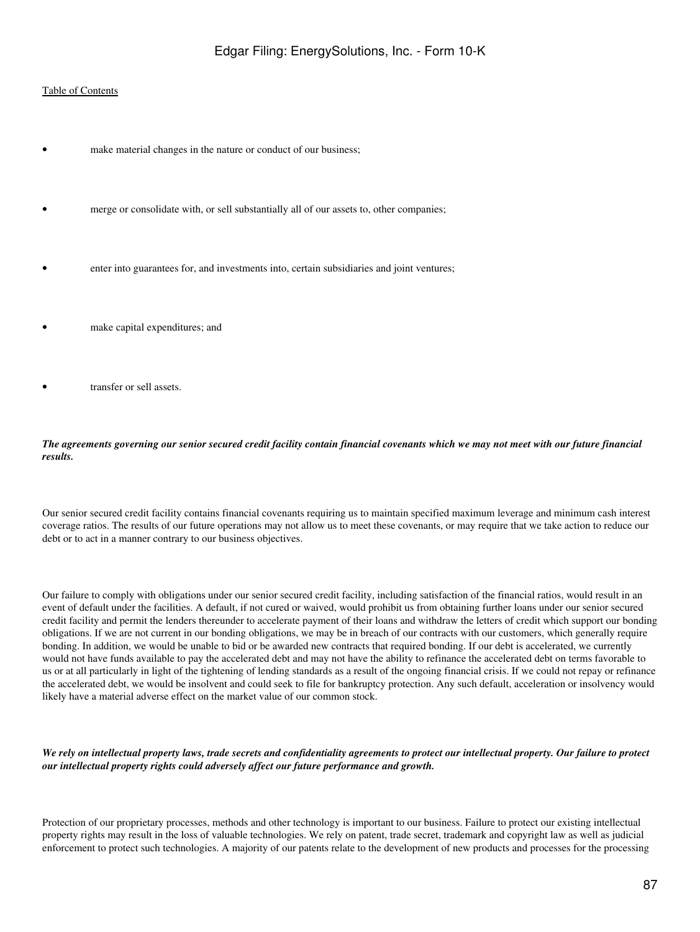- make material changes in the nature or conduct of our business;
- merge or consolidate with, or sell substantially all of our assets to, other companies;
- enter into guarantees for, and investments into, certain subsidiaries and joint ventures;
- make capital expenditures; and
- transfer or sell assets.

*The agreements governing our senior secured credit facility contain financial covenants which we may not meet with our future financial results.*

Our senior secured credit facility contains financial covenants requiring us to maintain specified maximum leverage and minimum cash interest coverage ratios. The results of our future operations may not allow us to meet these covenants, or may require that we take action to reduce our debt or to act in a manner contrary to our business objectives.

Our failure to comply with obligations under our senior secured credit facility, including satisfaction of the financial ratios, would result in an event of default under the facilities. A default, if not cured or waived, would prohibit us from obtaining further loans under our senior secured credit facility and permit the lenders thereunder to accelerate payment of their loans and withdraw the letters of credit which support our bonding obligations. If we are not current in our bonding obligations, we may be in breach of our contracts with our customers, which generally require bonding. In addition, we would be unable to bid or be awarded new contracts that required bonding. If our debt is accelerated, we currently would not have funds available to pay the accelerated debt and may not have the ability to refinance the accelerated debt on terms favorable to us or at all particularly in light of the tightening of lending standards as a result of the ongoing financial crisis. If we could not repay or refinance the accelerated debt, we would be insolvent and could seek to file for bankruptcy protection. Any such default, acceleration or insolvency would likely have a material adverse effect on the market value of our common stock.

*We rely on intellectual property laws, trade secrets and confidentiality agreements to protect our intellectual property. Our failure to protect our intellectual property rights could adversely affect our future performance and growth.*

Protection of our proprietary processes, methods and other technology is important to our business. Failure to protect our existing intellectual property rights may result in the loss of valuable technologies. We rely on patent, trade secret, trademark and copyright law as well as judicial enforcement to protect such technologies. A majority of our patents relate to the development of new products and processes for the processing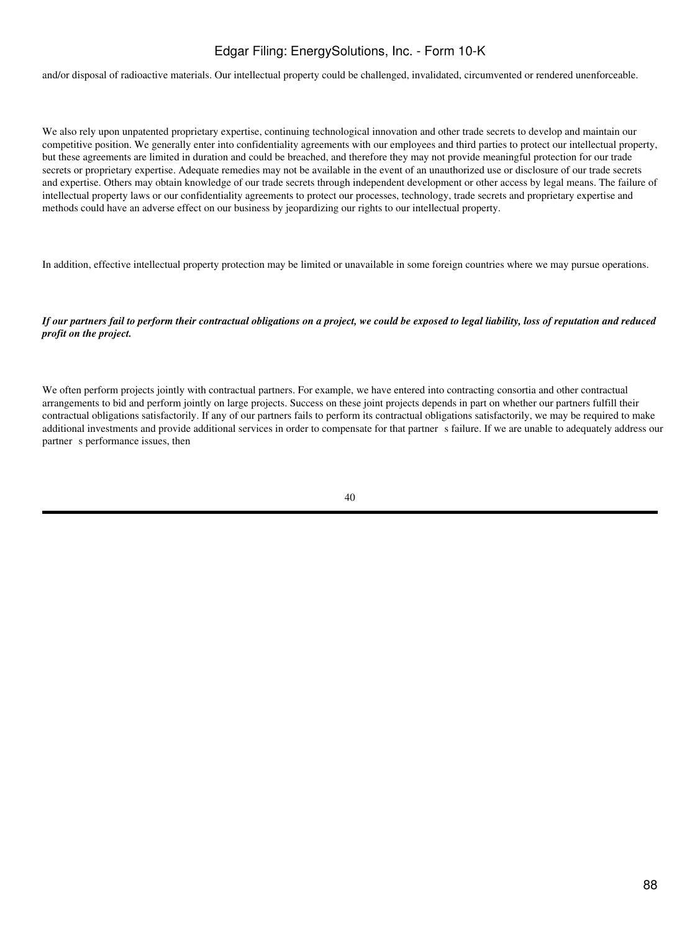and/or disposal of radioactive materials. Our intellectual property could be challenged, invalidated, circumvented or rendered unenforceable.

We also rely upon unpatented proprietary expertise, continuing technological innovation and other trade secrets to develop and maintain our competitive position. We generally enter into confidentiality agreements with our employees and third parties to protect our intellectual property, but these agreements are limited in duration and could be breached, and therefore they may not provide meaningful protection for our trade secrets or proprietary expertise. Adequate remedies may not be available in the event of an unauthorized use or disclosure of our trade secrets and expertise. Others may obtain knowledge of our trade secrets through independent development or other access by legal means. The failure of intellectual property laws or our confidentiality agreements to protect our processes, technology, trade secrets and proprietary expertise and methods could have an adverse effect on our business by jeopardizing our rights to our intellectual property.

In addition, effective intellectual property protection may be limited or unavailable in some foreign countries where we may pursue operations.

### *If our partners fail to perform their contractual obligations on a project, we could be exposed to legal liability, loss of reputation and reduced profit on the project.*

We often perform projects jointly with contractual partners. For example, we have entered into contracting consortia and other contractual arrangements to bid and perform jointly on large projects. Success on these joint projects depends in part on whether our partners fulfill their contractual obligations satisfactorily. If any of our partners fails to perform its contractual obligations satisfactorily, we may be required to make additional investments and provide additional services in order to compensate for that partner s failure. If we are unable to adequately address our partner s performance issues, then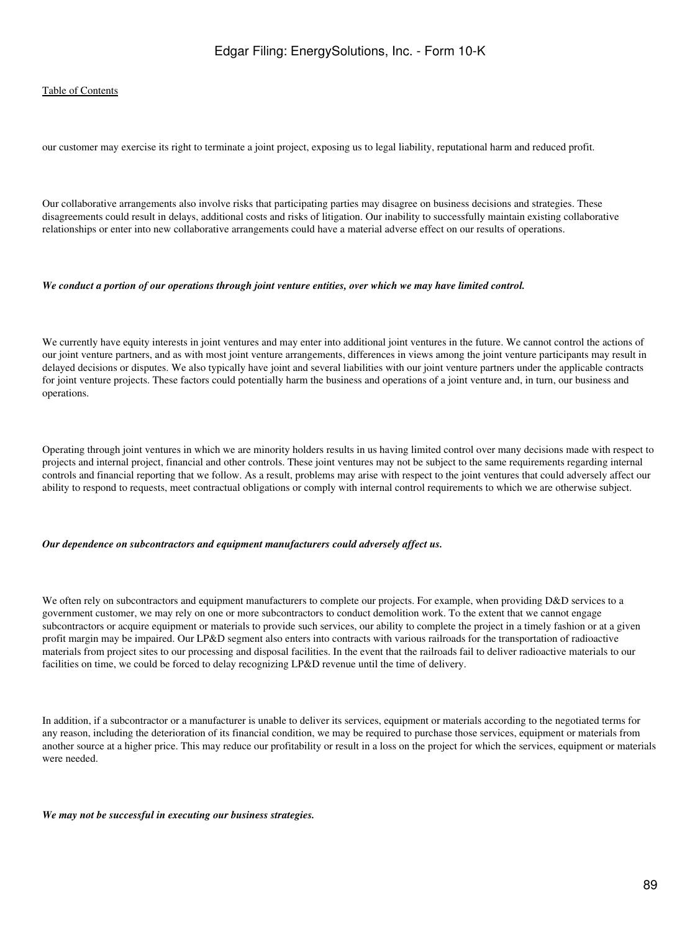our customer may exercise its right to terminate a joint project, exposing us to legal liability, reputational harm and reduced profit.

Our collaborative arrangements also involve risks that participating parties may disagree on business decisions and strategies. These disagreements could result in delays, additional costs and risks of litigation. Our inability to successfully maintain existing collaborative relationships or enter into new collaborative arrangements could have a material adverse effect on our results of operations.

#### *We conduct a portion of our operations through joint venture entities, over which we may have limited control.*

We currently have equity interests in joint ventures and may enter into additional joint ventures in the future. We cannot control the actions of our joint venture partners, and as with most joint venture arrangements, differences in views among the joint venture participants may result in delayed decisions or disputes. We also typically have joint and several liabilities with our joint venture partners under the applicable contracts for joint venture projects. These factors could potentially harm the business and operations of a joint venture and, in turn, our business and operations.

Operating through joint ventures in which we are minority holders results in us having limited control over many decisions made with respect to projects and internal project, financial and other controls. These joint ventures may not be subject to the same requirements regarding internal controls and financial reporting that we follow. As a result, problems may arise with respect to the joint ventures that could adversely affect our ability to respond to requests, meet contractual obligations or comply with internal control requirements to which we are otherwise subject.

### *Our dependence on subcontractors and equipment manufacturers could adversely affect us.*

We often rely on subcontractors and equipment manufacturers to complete our projects. For example, when providing D&D services to a government customer, we may rely on one or more subcontractors to conduct demolition work. To the extent that we cannot engage subcontractors or acquire equipment or materials to provide such services, our ability to complete the project in a timely fashion or at a given profit margin may be impaired. Our LP&D segment also enters into contracts with various railroads for the transportation of radioactive materials from project sites to our processing and disposal facilities. In the event that the railroads fail to deliver radioactive materials to our facilities on time, we could be forced to delay recognizing LP&D revenue until the time of delivery.

In addition, if a subcontractor or a manufacturer is unable to deliver its services, equipment or materials according to the negotiated terms for any reason, including the deterioration of its financial condition, we may be required to purchase those services, equipment or materials from another source at a higher price. This may reduce our profitability or result in a loss on the project for which the services, equipment or materials were needed.

*We may not be successful in executing our business strategies.*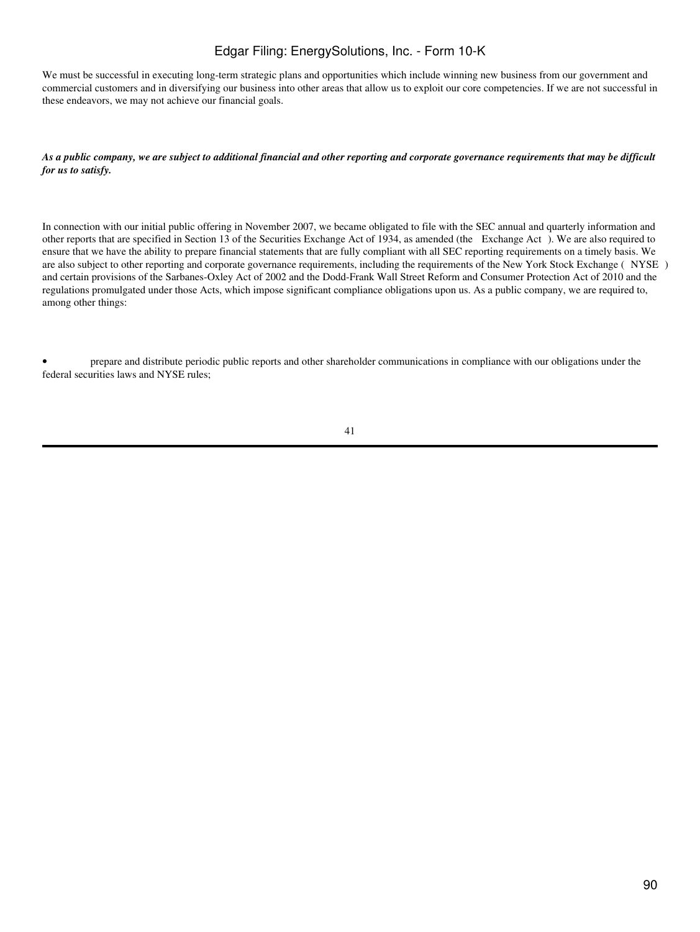We must be successful in executing long-term strategic plans and opportunities which include winning new business from our government and commercial customers and in diversifying our business into other areas that allow us to exploit our core competencies. If we are not successful in these endeavors, we may not achieve our financial goals.

### *As a public company, we are subject to additional financial and other reporting and corporate governance requirements that may be difficult for us to satisfy.*

In connection with our initial public offering in November 2007, we became obligated to file with the SEC annual and quarterly information and other reports that are specified in Section 13 of the Securities Exchange Act of 1934, as amended (the Exchange Act). We are also required to ensure that we have the ability to prepare financial statements that are fully compliant with all SEC reporting requirements on a timely basis. We are also subject to other reporting and corporate governance requirements, including the requirements of the New York Stock Exchange (NYSE) and certain provisions of the Sarbanes-Oxley Act of 2002 and the Dodd-Frank Wall Street Reform and Consumer Protection Act of 2010 and the regulations promulgated under those Acts, which impose significant compliance obligations upon us. As a public company, we are required to, among other things:

• prepare and distribute periodic public reports and other shareholder communications in compliance with our obligations under the federal securities laws and NYSE rules;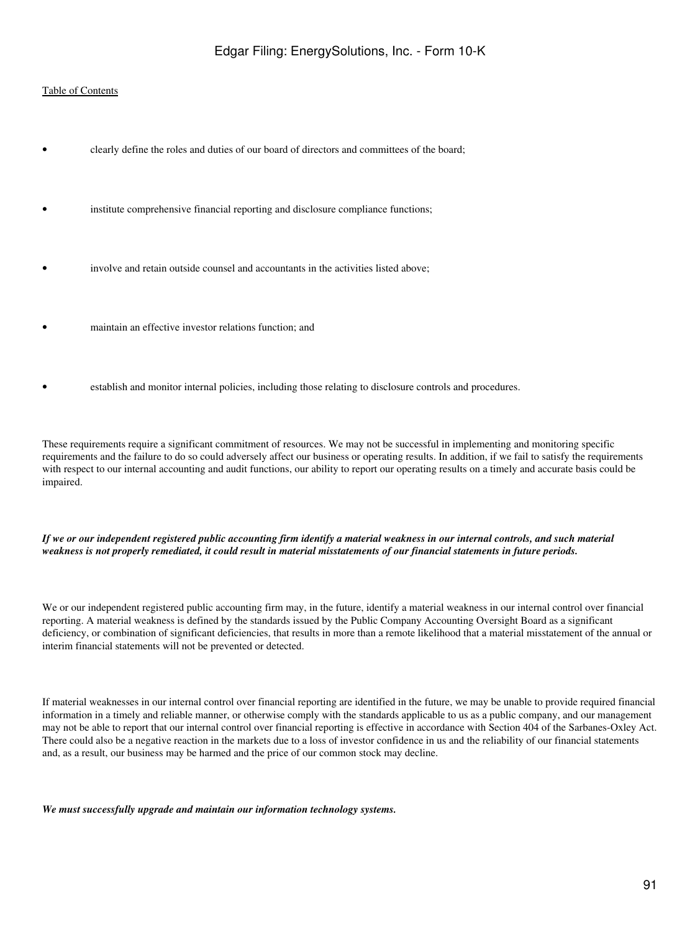- clearly define the roles and duties of our board of directors and committees of the board;
- institute comprehensive financial reporting and disclosure compliance functions;
- involve and retain outside counsel and accountants in the activities listed above;
- maintain an effective investor relations function; and
- establish and monitor internal policies, including those relating to disclosure controls and procedures.

These requirements require a significant commitment of resources. We may not be successful in implementing and monitoring specific requirements and the failure to do so could adversely affect our business or operating results. In addition, if we fail to satisfy the requirements with respect to our internal accounting and audit functions, our ability to report our operating results on a timely and accurate basis could be impaired.

*If we or our independent registered public accounting firm identify a material weakness in our internal controls, and such material weakness is not properly remediated, it could result in material misstatements of our financial statements in future periods.*

We or our independent registered public accounting firm may, in the future, identify a material weakness in our internal control over financial reporting. A material weakness is defined by the standards issued by the Public Company Accounting Oversight Board as a significant deficiency, or combination of significant deficiencies, that results in more than a remote likelihood that a material misstatement of the annual or interim financial statements will not be prevented or detected.

If material weaknesses in our internal control over financial reporting are identified in the future, we may be unable to provide required financial information in a timely and reliable manner, or otherwise comply with the standards applicable to us as a public company, and our management may not be able to report that our internal control over financial reporting is effective in accordance with Section 404 of the Sarbanes-Oxley Act. There could also be a negative reaction in the markets due to a loss of investor confidence in us and the reliability of our financial statements and, as a result, our business may be harmed and the price of our common stock may decline.

*We must successfully upgrade and maintain our information technology systems.*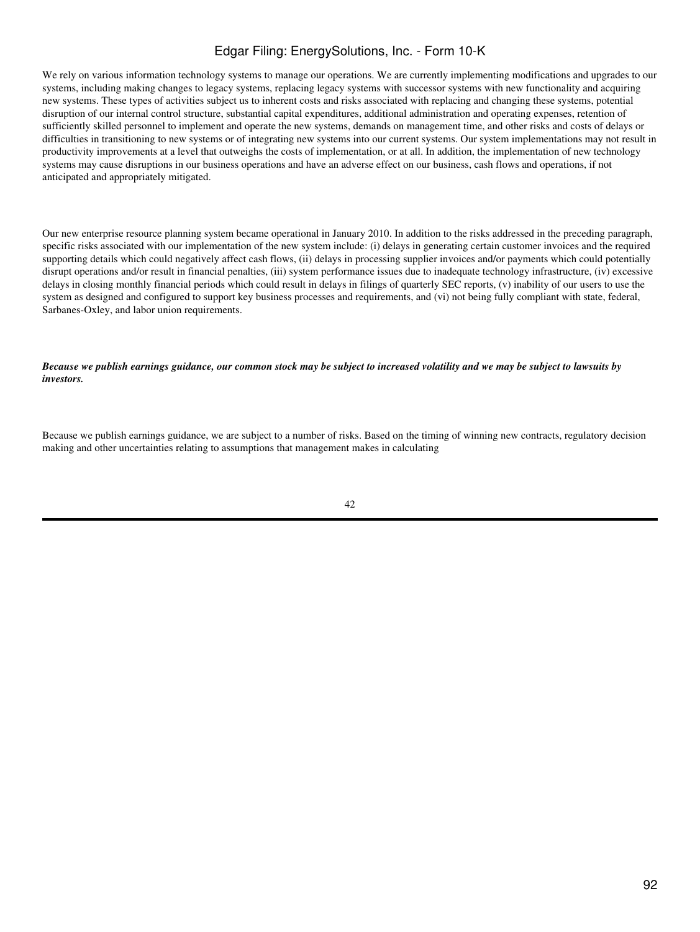We rely on various information technology systems to manage our operations. We are currently implementing modifications and upgrades to our systems, including making changes to legacy systems, replacing legacy systems with successor systems with new functionality and acquiring new systems. These types of activities subject us to inherent costs and risks associated with replacing and changing these systems, potential disruption of our internal control structure, substantial capital expenditures, additional administration and operating expenses, retention of sufficiently skilled personnel to implement and operate the new systems, demands on management time, and other risks and costs of delays or difficulties in transitioning to new systems or of integrating new systems into our current systems. Our system implementations may not result in productivity improvements at a level that outweighs the costs of implementation, or at all. In addition, the implementation of new technology systems may cause disruptions in our business operations and have an adverse effect on our business, cash flows and operations, if not anticipated and appropriately mitigated.

Our new enterprise resource planning system became operational in January 2010. In addition to the risks addressed in the preceding paragraph, specific risks associated with our implementation of the new system include: (i) delays in generating certain customer invoices and the required supporting details which could negatively affect cash flows, (ii) delays in processing supplier invoices and/or payments which could potentially disrupt operations and/or result in financial penalties, (iii) system performance issues due to inadequate technology infrastructure, (iv) excessive delays in closing monthly financial periods which could result in delays in filings of quarterly SEC reports, (v) inability of our users to use the system as designed and configured to support key business processes and requirements, and (vi) not being fully compliant with state, federal, Sarbanes-Oxley, and labor union requirements.

*Because we publish earnings guidance, our common stock may be subject to increased volatility and we may be subject to lawsuits by investors.*

Because we publish earnings guidance, we are subject to a number of risks. Based on the timing of winning new contracts, regulatory decision making and other uncertainties relating to assumptions that management makes in calculating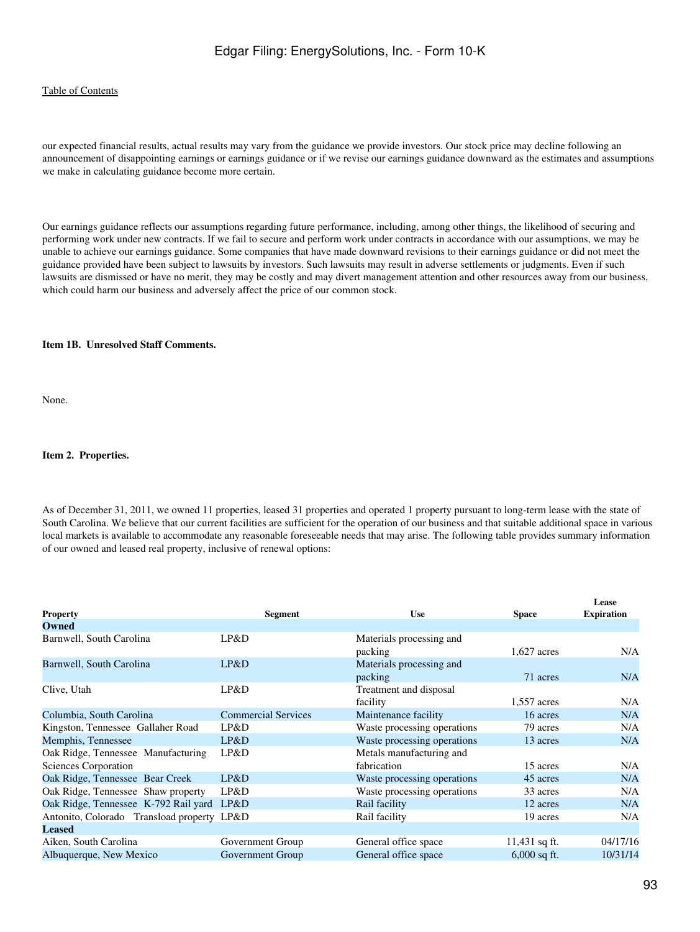### [Table of Contents](#page-3-0)

our expected financial results, actual results may vary from the guidance we provide investors. Our stock price may decline following an announcement of disappointing earnings or earnings guidance or if we revise our earnings guidance downward as the estimates and assumptions we make in calculating guidance become more certain.

Our earnings guidance reflects our assumptions regarding future performance, including, among other things, the likelihood of securing and performing work under new contracts. If we fail to secure and perform work under contracts in accordance with our assumptions, we may be unable to achieve our earnings guidance. Some companies that have made downward revisions to their earnings guidance or did not meet the guidance provided have been subject to lawsuits by investors. Such lawsuits may result in adverse settlements or judgments. Even if such lawsuits are dismissed or have no merit, they may be costly and may divert management attention and other resources away from our business, which could harm our business and adversely affect the price of our common stock.

### **Item 1B. Unresolved Staff Comments.**

None.

#### **Item 2. Properties.**

As of December 31, 2011, we owned 11 properties, leased 31 properties and operated 1 property pursuant to long-term lease with the state of South Carolina. We believe that our current facilities are sufficient for the operation of our business and that suitable additional space in various local markets is available to accommodate any reasonable foreseeable needs that may arise. The following table provides summary information of our owned and leased real property, inclusive of renewal options:

| <b>Property</b>                            | <b>Segment</b>             | <b>Use</b>                  | <b>Space</b>   | Lease<br><b>Expiration</b> |  |
|--------------------------------------------|----------------------------|-----------------------------|----------------|----------------------------|--|
| Owned                                      |                            |                             |                |                            |  |
| Barnwell, South Carolina                   | LP&D                       | Materials processing and    |                |                            |  |
|                                            |                            | packing                     | $1,627$ acres  | N/A                        |  |
| Barnwell, South Carolina                   | LP&D                       | Materials processing and    |                |                            |  |
|                                            |                            | packing                     | 71 acres       | N/A                        |  |
| Clive, Utah                                | LP&D                       | Treatment and disposal      |                |                            |  |
|                                            |                            | facility                    | $1,557$ acres  | N/A                        |  |
| Columbia, South Carolina                   | <b>Commercial Services</b> | Maintenance facility        | 16 acres       | N/A                        |  |
| Kingston, Tennessee Gallaher Road          | LP&D                       | Waste processing operations | 79 acres       | N/A                        |  |
| Memphis, Tennessee                         | LP&D                       | Waste processing operations | 13 acres       | N/A                        |  |
| Oak Ridge, Tennessee Manufacturing         | LP&D                       | Metals manufacturing and    |                |                            |  |
| Sciences Corporation                       |                            | fabrication                 | 15 acres       | N/A                        |  |
| Oak Ridge, Tennessee Bear Creek            | LP&D                       | Waste processing operations | 45 acres       | N/A                        |  |
| Oak Ridge, Tennessee Shaw property         | LP&D                       | Waste processing operations | 33 acres       | N/A                        |  |
| Oak Ridge, Tennessee K-792 Rail yard LP&D  |                            | Rail facility               | 12 acres       | N/A                        |  |
| Antonito, Colorado Transload property LP&D |                            | Rail facility               | 19 acres       | N/A                        |  |
| <b>Leased</b>                              |                            |                             |                |                            |  |
| Aiken, South Carolina                      | Government Group           | General office space        | 11,431 sq ft.  | 04/17/16                   |  |
| Albuquerque, New Mexico                    | Government Group           | General office space        | $6,000$ sq ft. | 10/31/14                   |  |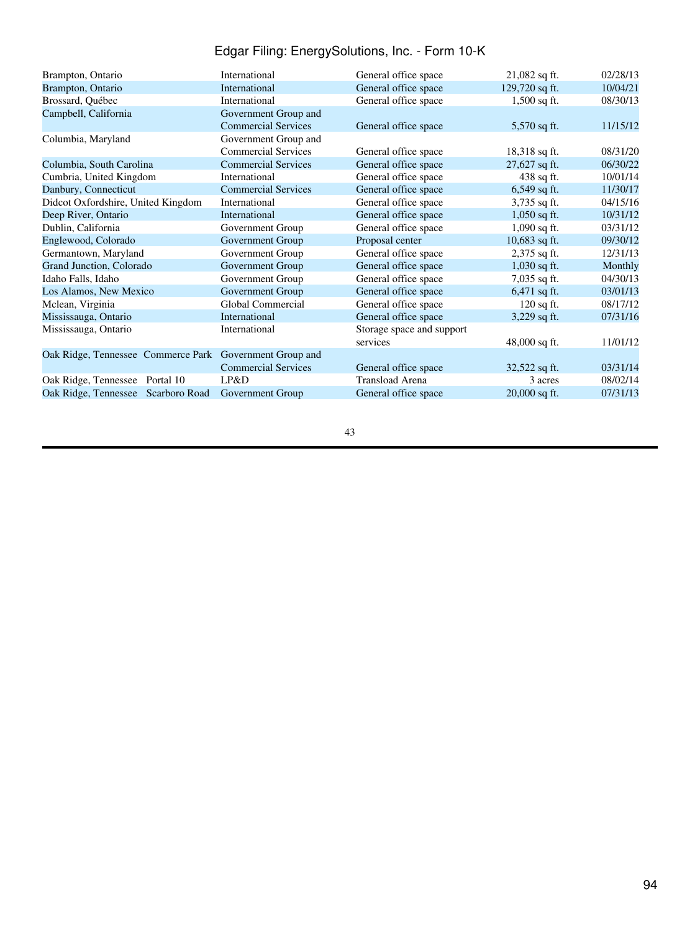| Brampton, Ontario                     | International              | General office space      | $21,082$ sq ft. | 02/28/13 |
|---------------------------------------|----------------------------|---------------------------|-----------------|----------|
| Brampton, Ontario                     | International              | General office space      | 129,720 sq ft.  | 10/04/21 |
| Brossard, Québec                      | International              | General office space      | $1,500$ sq ft.  | 08/30/13 |
| Campbell, California                  | Government Group and       |                           |                 |          |
|                                       | <b>Commercial Services</b> | General office space      | 5,570 sq ft.    | 11/15/12 |
| Columbia, Maryland                    | Government Group and       |                           |                 |          |
|                                       | <b>Commercial Services</b> | General office space      | $18,318$ sq ft. | 08/31/20 |
| Columbia, South Carolina              | <b>Commercial Services</b> | General office space      | $27,627$ sq ft. | 06/30/22 |
| Cumbria, United Kingdom               | International              | General office space      | 438 sq ft.      | 10/01/14 |
| Danbury, Connecticut                  | <b>Commercial Services</b> | General office space      | 6,549 sq ft.    | 11/30/17 |
| Didcot Oxfordshire, United Kingdom    | International              | General office space      | 3,735 sq ft.    | 04/15/16 |
| Deep River, Ontario                   | International              | General office space      | $1,050$ sq ft.  | 10/31/12 |
| Dublin, California                    | Government Group           | General office space      | $1,090$ sq ft.  | 03/31/12 |
| Englewood, Colorado                   | Government Group           | Proposal center           | $10,683$ sq ft. | 09/30/12 |
| Germantown, Maryland                  | Government Group           | General office space      | $2,375$ sq ft.  | 12/31/13 |
| Grand Junction, Colorado              | Government Group           | General office space      | $1,030$ sq ft.  | Monthly  |
| Idaho Falls, Idaho                    | Government Group           | General office space      | $7,035$ sq ft.  | 04/30/13 |
| Los Alamos, New Mexico                | Government Group           | General office space      | $6,471$ sq ft.  | 03/01/13 |
| Mclean, Virginia                      | Global Commercial          | General office space      | $120$ sq ft.    | 08/17/12 |
| Mississauga, Ontario                  | International              | General office space      | $3,229$ sq ft.  | 07/31/16 |
| Mississauga, Ontario                  | International              | Storage space and support |                 |          |
|                                       |                            | services                  | $48,000$ sq ft. | 11/01/12 |
| Oak Ridge, Tennessee Commerce Park    | Government Group and       |                           |                 |          |
|                                       | <b>Commercial Services</b> | General office space      | 32,522 sq ft.   | 03/31/14 |
| Oak Ridge, Tennessee<br>Portal 10     | LP&D                       | Transload Arena           | 3 acres         | 08/02/14 |
| Oak Ridge, Tennessee<br>Scarboro Road | Government Group           | General office space      | 20,000 sq ft.   | 07/31/13 |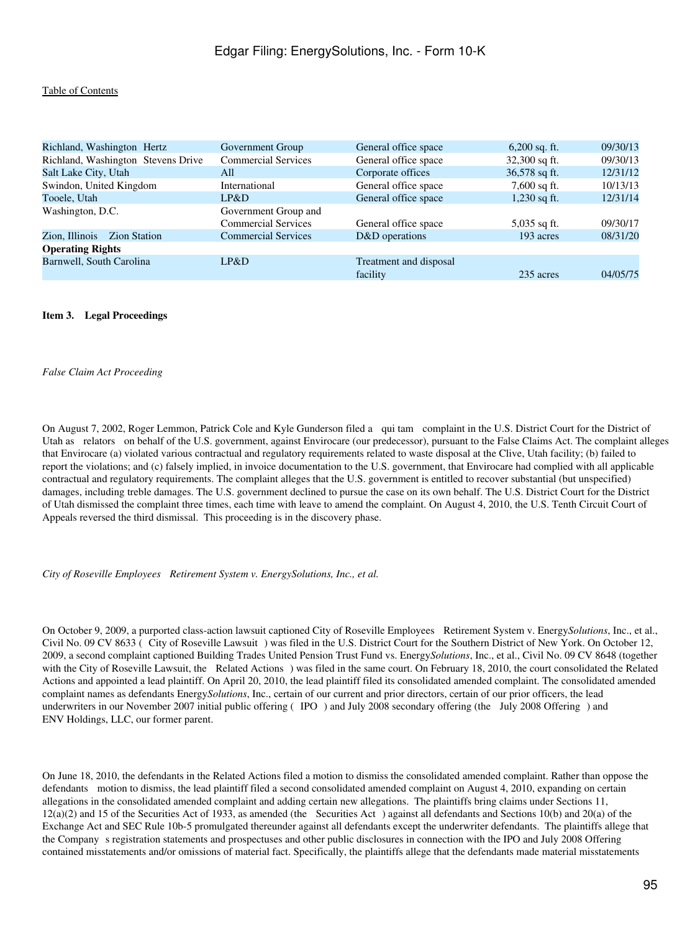| Government Group           | General office space   | $6,200$ sq. ft. | 09/30/13 |
|----------------------------|------------------------|-----------------|----------|
| <b>Commercial Services</b> | General office space   | 32,300 sq ft.   | 09/30/13 |
| All                        | Corporate offices      | 36,578 sq ft.   | 12/31/12 |
| International              | General office space   | $7,600$ sq ft.  | 10/13/13 |
| LP&D                       | General office space   | $1,230$ sq ft.  | 12/31/14 |
| Government Group and       |                        |                 |          |
| <b>Commercial Services</b> | General office space   | $5,035$ sq ft.  | 09/30/17 |
| <b>Commercial Services</b> | D&D operations         | 193 acres       | 08/31/20 |
|                            |                        |                 |          |
| LP&D                       | Treatment and disposal |                 |          |
|                            | facility               | 235 acres       | 04/05/75 |
|                            |                        |                 |          |

### **Item 3. Legal Proceedings**

#### *False Claim Act Proceeding*

On August 7, 2002, Roger Lemmon, Patrick Cole and Kyle Gunderson filed a qui tam complaint in the U.S. District Court for the District of Utah as relators on behalf of the U.S. government, against Envirocare (our predecessor), pursuant to the False Claims Act. The complaint alleges that Envirocare (a) violated various contractual and regulatory requirements related to waste disposal at the Clive, Utah facility; (b) failed to report the violations; and (c) falsely implied, in invoice documentation to the U.S. government, that Envirocare had complied with all applicable contractual and regulatory requirements. The complaint alleges that the U.S. government is entitled to recover substantial (but unspecified) damages, including treble damages. The U.S. government declined to pursue the case on its own behalf. The U.S. District Court for the District of Utah dismissed the complaint three times, each time with leave to amend the complaint. On August 4, 2010, the U.S. Tenth Circuit Court of Appeals reversed the third dismissal. This proceeding is in the discovery phase.

*City of Roseville Employees Retirement System v. EnergySolutions, Inc., et al.*

On October 9, 2009, a purported class-action lawsuit captioned City of Roseville Employees Retirement System v. Energy*Solutions*, Inc., et al., Civil No. 09 CV 8633 (City of Roseville Lawsuit) was filed in the U.S. District Court for the Southern District of New York. On October 12, 2009, a second complaint captioned Building Trades United Pension Trust Fund vs. Energy*Solutions*, Inc., et al., Civil No. 09 CV 8648 (together with the City of Roseville Lawsuit, the Related Actions ) was filed in the same court. On February 18, 2010, the court consolidated the Related Actions and appointed a lead plaintiff. On April 20, 2010, the lead plaintiff filed its consolidated amended complaint. The consolidated amended complaint names as defendants Energy*Solutions*, Inc., certain of our current and prior directors, certain of our prior officers, the lead underwriters in our November 2007 initial public offering (IPO) and July 2008 secondary offering (the July 2008 Offering) and ENV Holdings, LLC, our former parent.

On June 18, 2010, the defendants in the Related Actions filed a motion to dismiss the consolidated amended complaint. Rather than oppose the defendants motion to dismiss, the lead plaintiff filed a second consolidated amended complaint on August 4, 2010, expanding on certain allegations in the consolidated amended complaint and adding certain new allegations. The plaintiffs bring claims under Sections 11,  $12(a)(2)$  and 15 of the Securities Act of 1933, as amended (the Securities Act) against all defendants and Sections 10(b) and 20(a) of the Exchange Act and SEC Rule 10b-5 promulgated thereunder against all defendants except the underwriter defendants. The plaintiffs allege that the Companys registration statements and prospectuses and other public disclosures in connection with the IPO and July 2008 Offering contained misstatements and/or omissions of material fact. Specifically, the plaintiffs allege that the defendants made material misstatements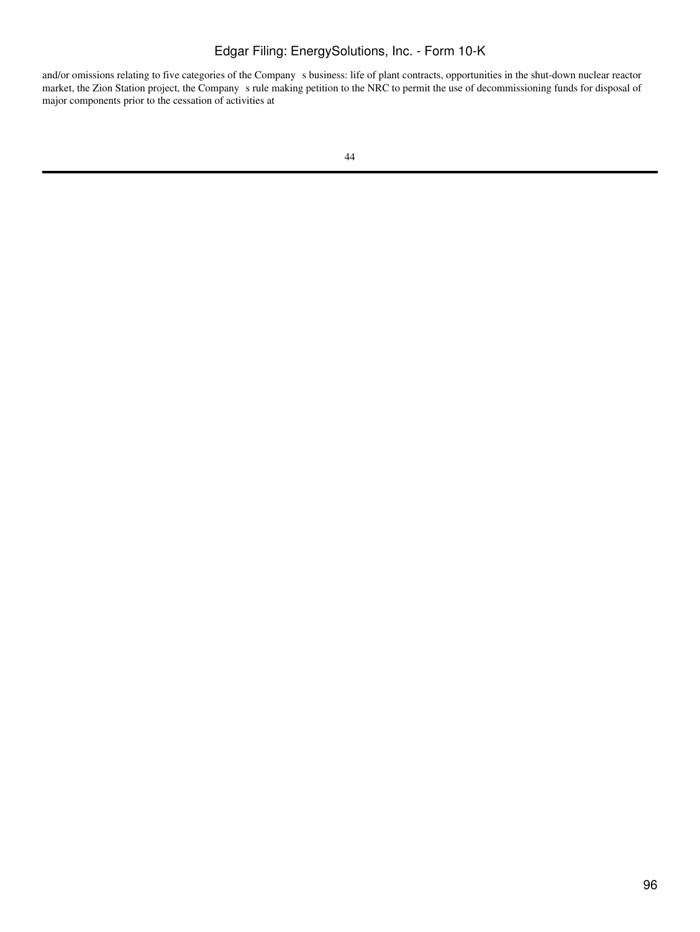and/or omissions relating to five categories of the Company s business: life of plant contracts, opportunities in the shut-down nuclear reactor market, the Zion Station project, the Company s rule making petition to the NRC to permit the use of decommissioning funds for disposal of major components prior to the cessation of activities at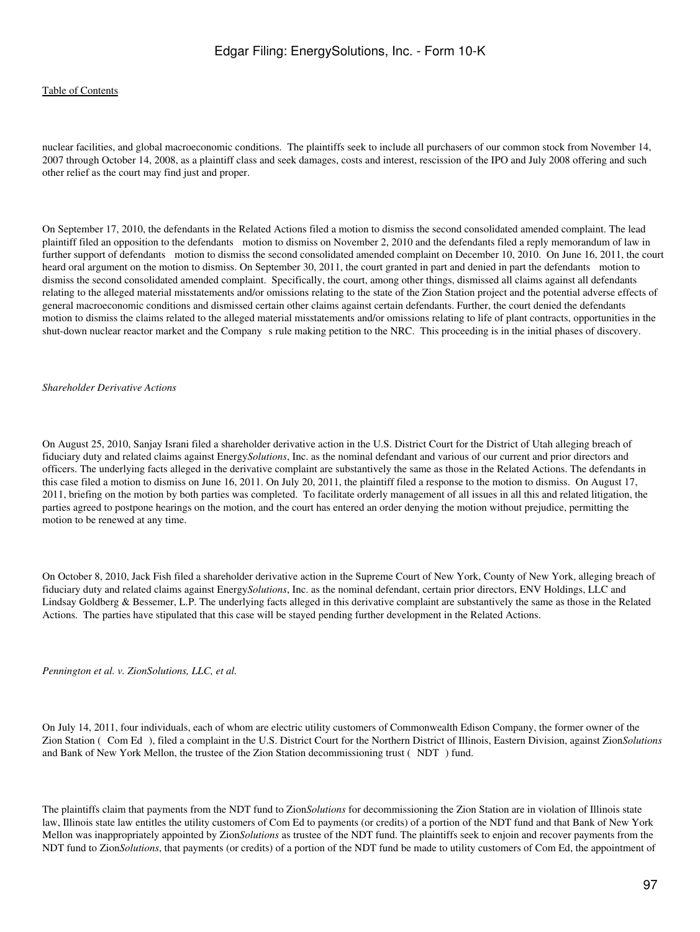### [Table of Contents](#page-3-0)

nuclear facilities, and global macroeconomic conditions. The plaintiffs seek to include all purchasers of our common stock from November 14, 2007 through October 14, 2008, as a plaintiff class and seek damages, costs and interest, rescission of the IPO and July 2008 offering and such other relief as the court may find just and proper.

On September 17, 2010, the defendants in the Related Actions filed a motion to dismiss the second consolidated amended complaint. The lead plaintiff filed an opposition to the defendants motion to dismiss on November 2, 2010 and the defendants filed a reply memorandum of law in further support of defendants motion to dismiss the second consolidated amended complaint on December 10, 2010. On June 16, 2011, the court heard oral argument on the motion to dismiss. On September 30, 2011, the court granted in part and denied in part the defendants motion to dismiss the second consolidated amended complaint. Specifically, the court, among other things, dismissed all claims against all defendants relating to the alleged material misstatements and/or omissions relating to the state of the Zion Station project and the potential adverse effects of general macroeconomic conditions and dismissed certain other claims against certain defendants. Further, the court denied the defendants motion to dismiss the claims related to the alleged material misstatements and/or omissions relating to life of plant contracts, opportunities in the shut-down nuclear reactor market and the Company s rule making petition to the NRC. This proceeding is in the initial phases of discovery.

*Shareholder Derivative Actions*

On August 25, 2010, Sanjay Israni filed a shareholder derivative action in the U.S. District Court for the District of Utah alleging breach of fiduciary duty and related claims against Energy*Solutions*, Inc. as the nominal defendant and various of our current and prior directors and officers. The underlying facts alleged in the derivative complaint are substantively the same as those in the Related Actions. The defendants in this case filed a motion to dismiss on June 16, 2011. On July 20, 2011, the plaintiff filed a response to the motion to dismiss. On August 17, 2011, briefing on the motion by both parties was completed. To facilitate orderly management of all issues in all this and related litigation, the parties agreed to postpone hearings on the motion, and the court has entered an order denying the motion without prejudice, permitting the motion to be renewed at any time.

On October 8, 2010, Jack Fish filed a shareholder derivative action in the Supreme Court of New York, County of New York, alleging breach of fiduciary duty and related claims against Energy*Solutions*, Inc. as the nominal defendant, certain prior directors, ENV Holdings, LLC and Lindsay Goldberg & Bessemer, L.P. The underlying facts alleged in this derivative complaint are substantively the same as those in the Related Actions. The parties have stipulated that this case will be stayed pending further development in the Related Actions.

*Pennington et al. v. ZionSolutions, LLC, et al.*

On July 14, 2011, four individuals, each of whom are electric utility customers of Commonwealth Edison Company, the former owner of the Zion Station (Com Ed), filed a complaint in the U.S. District Court for the Northern District of Illinois, Eastern Division, against Zion*Solutions* and Bank of New York Mellon, the trustee of the Zion Station decommissioning trust (NDT) fund.

The plaintiffs claim that payments from the NDT fund to Zion*Solutions* for decommissioning the Zion Station are in violation of Illinois state law, Illinois state law entitles the utility customers of Com Ed to payments (or credits) of a portion of the NDT fund and that Bank of New York Mellon was inappropriately appointed by Zion*Solutions* as trustee of the NDT fund. The plaintiffs seek to enjoin and recover payments from the NDT fund to Zion*Solutions*, that payments (or credits) of a portion of the NDT fund be made to utility customers of Com Ed, the appointment of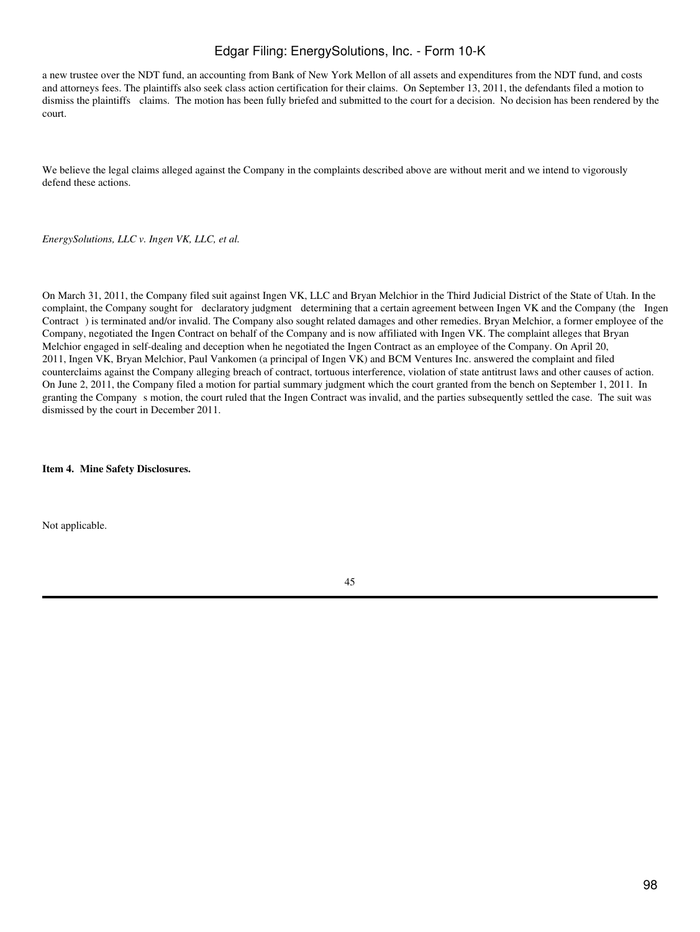a new trustee over the NDT fund, an accounting from Bank of New York Mellon of all assets and expenditures from the NDT fund, and costs and attorneys fees. The plaintiffs also seek class action certification for their claims. On September 13, 2011, the defendants filed a motion to dismiss the plaintiffs claims. The motion has been fully briefed and submitted to the court for a decision. No decision has been rendered by the court.

We believe the legal claims alleged against the Company in the complaints described above are without merit and we intend to vigorously defend these actions.

*EnergySolutions, LLC v. Ingen VK, LLC, et al.*

On March 31, 2011, the Company filed suit against Ingen VK, LLC and Bryan Melchior in the Third Judicial District of the State of Utah. In the complaint, the Company sought for declaratory judgment determining that a certain agreement between Ingen VK and the Company (the Ingen Contract) is terminated and/or invalid. The Company also sought related damages and other remedies. Bryan Melchior, a former employee of the Company, negotiated the Ingen Contract on behalf of the Company and is now affiliated with Ingen VK. The complaint alleges that Bryan Melchior engaged in self-dealing and deception when he negotiated the Ingen Contract as an employee of the Company. On April 20, 2011, Ingen VK, Bryan Melchior, Paul Vankomen (a principal of Ingen VK) and BCM Ventures Inc. answered the complaint and filed counterclaims against the Company alleging breach of contract, tortuous interference, violation of state antitrust laws and other causes of action. On June 2, 2011, the Company filed a motion for partial summary judgment which the court granted from the bench on September 1, 2011. In granting the Companys motion, the court ruled that the Ingen Contract was invalid, and the parties subsequently settled the case. The suit was dismissed by the court in December 2011.

**Item 4. Mine Safety Disclosures.**

Not applicable.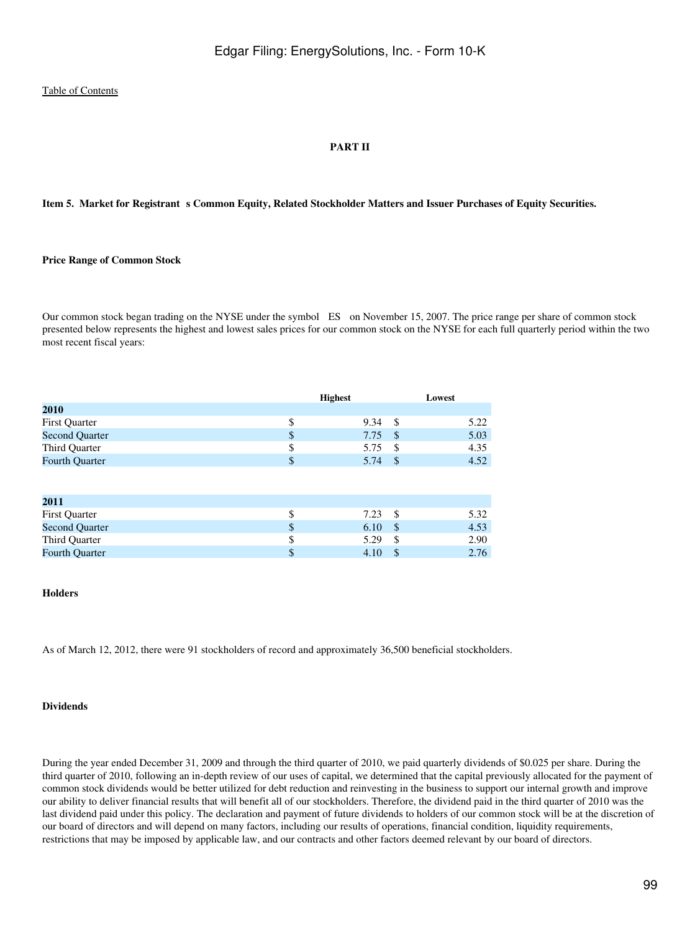### **PART II**

### Item 5. Market for Registrant s Common Equity, Related Stockholder Matters and Issuer Purchases of Equity Securities.

#### **Price Range of Common Stock**

Our common stock began trading on the NYSE under the symbol ES on November 15, 2007. The price range per share of common stock presented below represents the highest and lowest sales prices for our common stock on the NYSE for each full quarterly period within the two most recent fiscal years:

|                       | <b>Highest</b> |               | Lowest |      |
|-----------------------|----------------|---------------|--------|------|
| 2010                  |                |               |        |      |
| First Quarter         | \$<br>9.34     | <sup>\$</sup> |        | 5.22 |
| <b>Second Quarter</b> | \$<br>7.75     | <sup>\$</sup> |        | 5.03 |
| Third Quarter         | \$<br>5.75     | S             |        | 4.35 |
| <b>Fourth Quarter</b> | \$<br>5.74     | <sup>\$</sup> |        | 4.52 |
|                       |                |               |        |      |
|                       |                |               |        |      |
| 2011                  |                |               |        |      |
| <b>First Quarter</b>  | \$<br>7.23     | \$            |        | 5.32 |
| <b>Second Quarter</b> | \$<br>6.10     | <sup>\$</sup> |        | 4.53 |
| Third Quarter         | \$<br>5.29     | S             |        | 2.90 |
| <b>Fourth Quarter</b> | \$<br>4.10     | <sup>\$</sup> |        | 2.76 |

### **Holders**

As of March 12, 2012, there were 91 stockholders of record and approximately 36,500 beneficial stockholders.

#### **Dividends**

During the year ended December 31, 2009 and through the third quarter of 2010, we paid quarterly dividends of \$0.025 per share. During the third quarter of 2010, following an in-depth review of our uses of capital, we determined that the capital previously allocated for the payment of common stock dividends would be better utilized for debt reduction and reinvesting in the business to support our internal growth and improve our ability to deliver financial results that will benefit all of our stockholders. Therefore, the dividend paid in the third quarter of 2010 was the last dividend paid under this policy. The declaration and payment of future dividends to holders of our common stock will be at the discretion of our board of directors and will depend on many factors, including our results of operations, financial condition, liquidity requirements, restrictions that may be imposed by applicable law, and our contracts and other factors deemed relevant by our board of directors.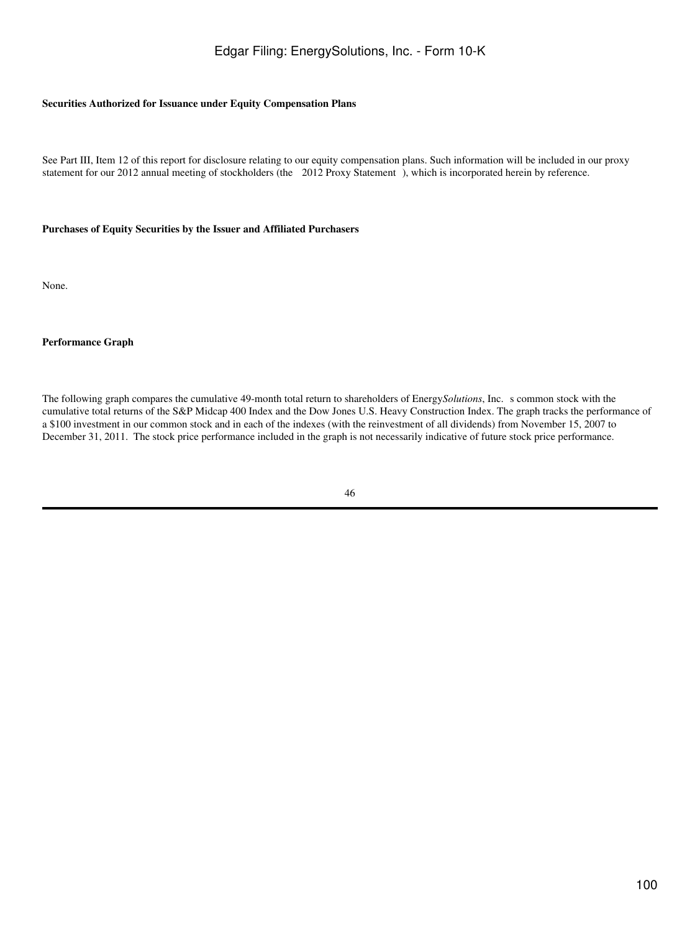## **Securities Authorized for Issuance under Equity Compensation Plans**

See Part III, Item 12 of this report for disclosure relating to our equity compensation plans. Such information will be included in our proxy statement for our 2012 annual meeting of stockholders (the 2012 Proxy Statement), which is incorporated herein by reference.

### **Purchases of Equity Securities by the Issuer and Affiliated Purchasers**

None.

### **Performance Graph**

The following graph compares the cumulative 49-month total return to shareholders of Energy*Solutions*, Inc. s common stock with the cumulative total returns of the S&P Midcap 400 Index and the Dow Jones U.S. Heavy Construction Index. The graph tracks the performance of a \$100 investment in our common stock and in each of the indexes (with the reinvestment of all dividends) from November 15, 2007 to December 31, 2011. The stock price performance included in the graph is not necessarily indicative of future stock price performance.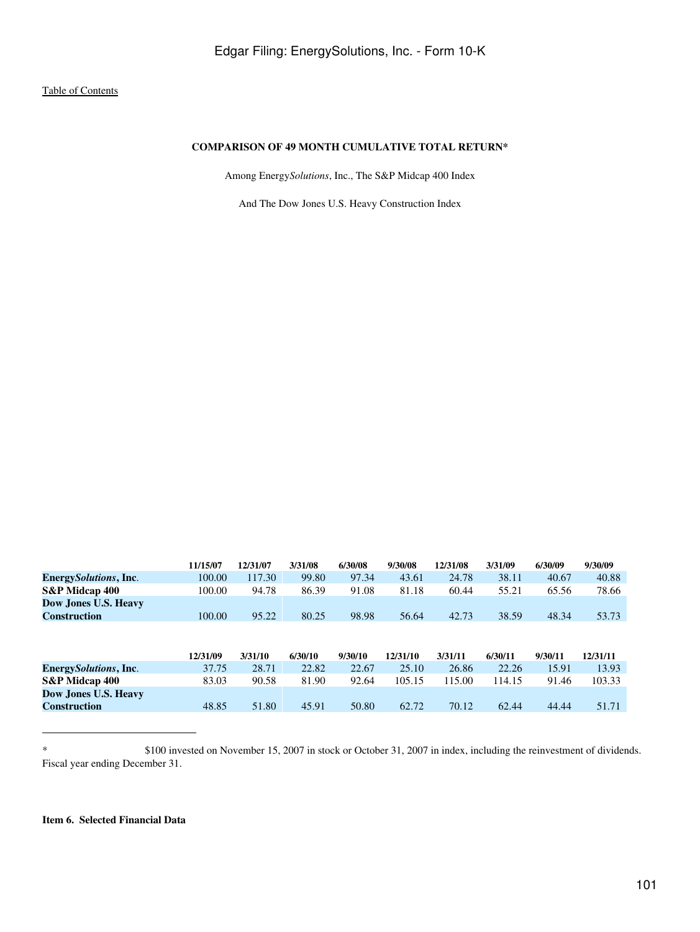## **COMPARISON OF 49 MONTH CUMULATIVE TOTAL RETURN\***

Among Energy*Solutions*, Inc., The S&P Midcap 400 Index

And The Dow Jones U.S. Heavy Construction Index

| 40.88    |
|----------|
|          |
| 78.66    |
|          |
| 53.73    |
|          |
| 12/31/11 |
| 13.93    |
| 103.33   |
|          |
| 51.71    |
|          |

\* \$100 invested on November 15, 2007 in stock or October 31, 2007 in index, including the reinvestment of dividends. Fiscal year ending December 31.

### **Item 6. Selected Financial Data**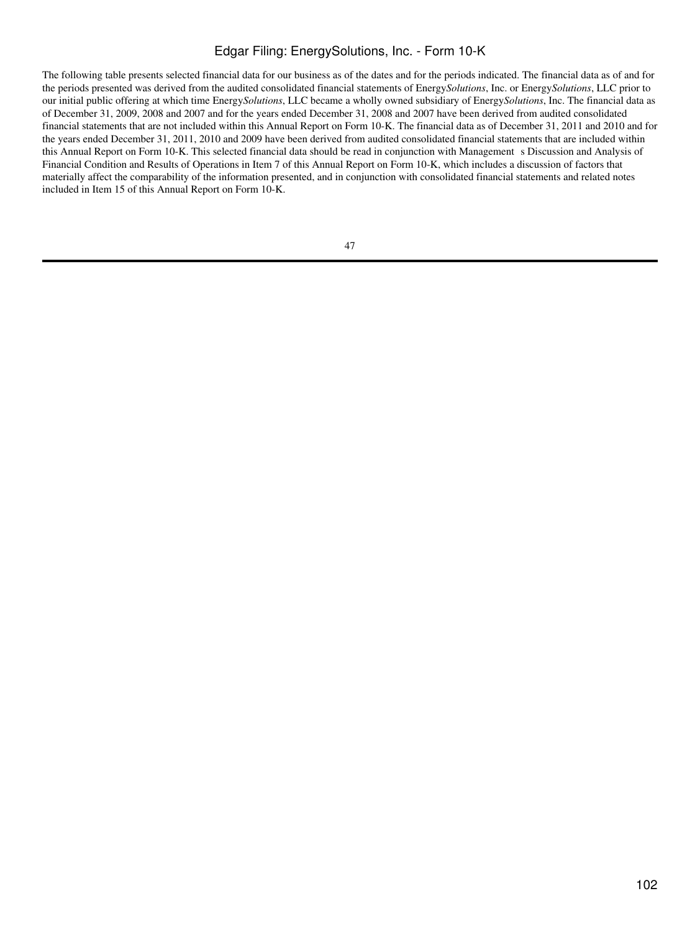The following table presents selected financial data for our business as of the dates and for the periods indicated. The financial data as of and for the periods presented was derived from the audited consolidated financial statements of Energy*Solutions*, Inc. or Energy*Solutions*, LLC prior to our initial public offering at which time Energy*Solutions*, LLC became a wholly owned subsidiary of Energy*Solutions*, Inc. The financial data as of December 31, 2009, 2008 and 2007 and for the years ended December 31, 2008 and 2007 have been derived from audited consolidated financial statements that are not included within this Annual Report on Form 10-K. The financial data as of December 31, 2011 and 2010 and for the years ended December 31, 2011, 2010 and 2009 have been derived from audited consolidated financial statements that are included within this Annual Report on Form 10-K. This selected financial data should be read in conjunction with Management s Discussion and Analysis of Financial Condition and Results of Operations in Item 7 of this Annual Report on Form 10-K, which includes a discussion of factors that materially affect the comparability of the information presented, and in conjunction with consolidated financial statements and related notes included in Item 15 of this Annual Report on Form 10-K.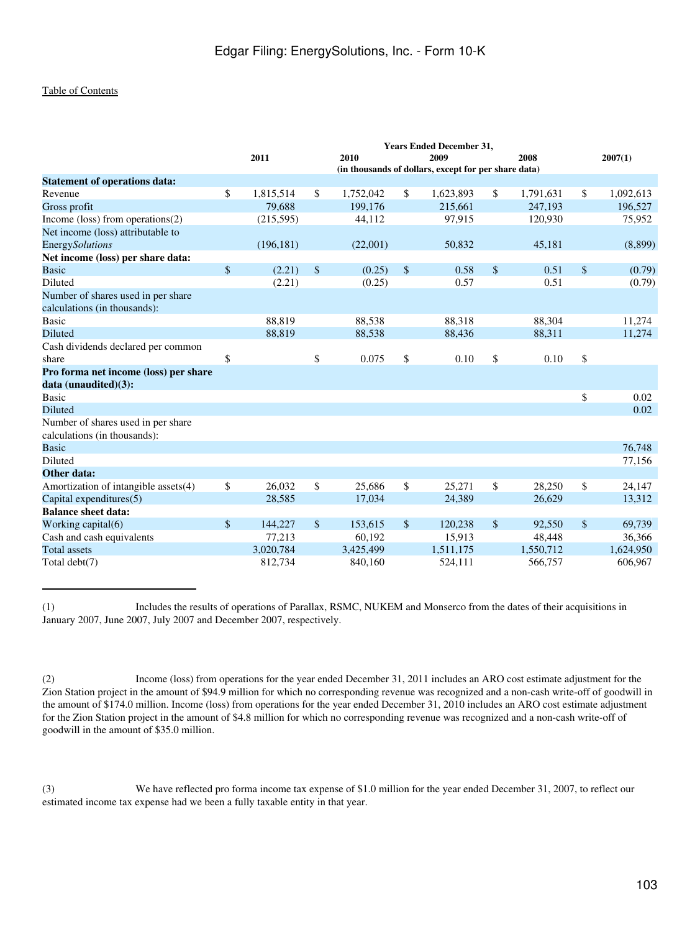|                                       | <b>Years Ended December 31,</b>                      |            |                           |           |      |           |    |           |             |           |
|---------------------------------------|------------------------------------------------------|------------|---------------------------|-----------|------|-----------|----|-----------|-------------|-----------|
|                                       |                                                      | 2011       |                           | 2010      |      | 2009      |    | 2008      |             | 2007(1)   |
|                                       | (in thousands of dollars, except for per share data) |            |                           |           |      |           |    |           |             |           |
| <b>Statement of operations data:</b>  |                                                      |            |                           |           |      |           |    |           |             |           |
| Revenue                               | \$                                                   | 1,815,514  | \$                        | 1,752,042 | \$   | 1,623,893 | \$ | 1,791,631 | \$          | 1,092,613 |
| Gross profit                          |                                                      | 79,688     |                           | 199,176   |      | 215,661   |    | 247,193   |             | 196,527   |
| Income (loss) from operations(2)      |                                                      | (215, 595) |                           | 44,112    |      | 97,915    |    | 120,930   |             | 75,952    |
| Net income (loss) attributable to     |                                                      |            |                           |           |      |           |    |           |             |           |
| <b>EnergySolutions</b>                |                                                      | (196, 181) |                           | (22,001)  |      | 50,832    |    | 45,181    |             | (8,899)   |
| Net income (loss) per share data:     |                                                      |            |                           |           |      |           |    |           |             |           |
| <b>Basic</b>                          | \$                                                   | (2.21)     | $\boldsymbol{\mathsf{S}}$ | (0.25)    | \$   | 0.58      | \$ | 0.51      | $\sqrt{\ }$ | (0.79)    |
| Diluted                               |                                                      | (2.21)     |                           | (0.25)    |      | 0.57      |    | 0.51      |             | (0.79)    |
| Number of shares used in per share    |                                                      |            |                           |           |      |           |    |           |             |           |
| calculations (in thousands):          |                                                      |            |                           |           |      |           |    |           |             |           |
| <b>Basic</b>                          |                                                      | 88,819     |                           | 88,538    |      | 88,318    |    | 88,304    |             | 11,274    |
| Diluted                               |                                                      | 88,819     |                           | 88,538    |      | 88,436    |    | 88,311    |             | 11,274    |
| Cash dividends declared per common    |                                                      |            |                           |           |      |           |    |           |             |           |
| share                                 | \$                                                   |            | \$                        | 0.075     | \$   | 0.10      | \$ | 0.10      | \$          |           |
| Pro forma net income (loss) per share |                                                      |            |                           |           |      |           |    |           |             |           |
| data (unaudited)(3):                  |                                                      |            |                           |           |      |           |    |           |             |           |
| <b>Basic</b>                          |                                                      |            |                           |           |      |           |    |           | \$          | 0.02      |
| Diluted                               |                                                      |            |                           |           |      |           |    |           |             | 0.02      |
| Number of shares used in per share    |                                                      |            |                           |           |      |           |    |           |             |           |
| calculations (in thousands):          |                                                      |            |                           |           |      |           |    |           |             |           |
| <b>Basic</b>                          |                                                      |            |                           |           |      |           |    |           |             | 76,748    |
| Diluted                               |                                                      |            |                           |           |      |           |    |           |             | 77,156    |
| Other data:                           |                                                      |            |                           |           |      |           |    |           |             |           |
| Amortization of intangible assets(4)  | \$                                                   | 26,032     | \$                        | 25,686    | \$   | 25,271    | \$ | 28,250    | \$          | 24,147    |
| Capital expenditures(5)               |                                                      | 28,585     |                           | 17,034    |      | 24,389    |    | 26,629    |             | 13,312    |
| <b>Balance sheet data:</b>            |                                                      |            |                           |           |      |           |    |           |             |           |
| Working capital(6)                    | \$                                                   | 144,227    | \$                        | 153,615   | $\$$ | 120,238   | \$ | 92,550    | $\$$        | 69,739    |
| Cash and cash equivalents             |                                                      | 77,213     |                           | 60,192    |      | 15,913    |    | 48,448    |             | 36,366    |
| <b>Total assets</b>                   |                                                      | 3,020,784  |                           | 3,425,499 |      | 1,511,175 |    | 1,550,712 |             | 1,624,950 |
| Total debt(7)                         |                                                      | 812,734    |                           | 840,160   |      | 524,111   |    | 566,757   |             | 606,967   |

(1) Includes the results of operations of Parallax, RSMC, NUKEM and Monserco from the dates of their acquisitions in January 2007, June 2007, July 2007 and December 2007, respectively.

(2) Income (loss) from operations for the year ended December 31, 2011 includes an ARO cost estimate adjustment for the Zion Station project in the amount of \$94.9 million for which no corresponding revenue was recognized and a non-cash write-off of goodwill in the amount of \$174.0 million. Income (loss) from operations for the year ended December 31, 2010 includes an ARO cost estimate adjustment for the Zion Station project in the amount of \$4.8 million for which no corresponding revenue was recognized and a non-cash write-off of goodwill in the amount of \$35.0 million.

(3) We have reflected pro forma income tax expense of \$1.0 million for the year ended December 31, 2007, to reflect our estimated income tax expense had we been a fully taxable entity in that year.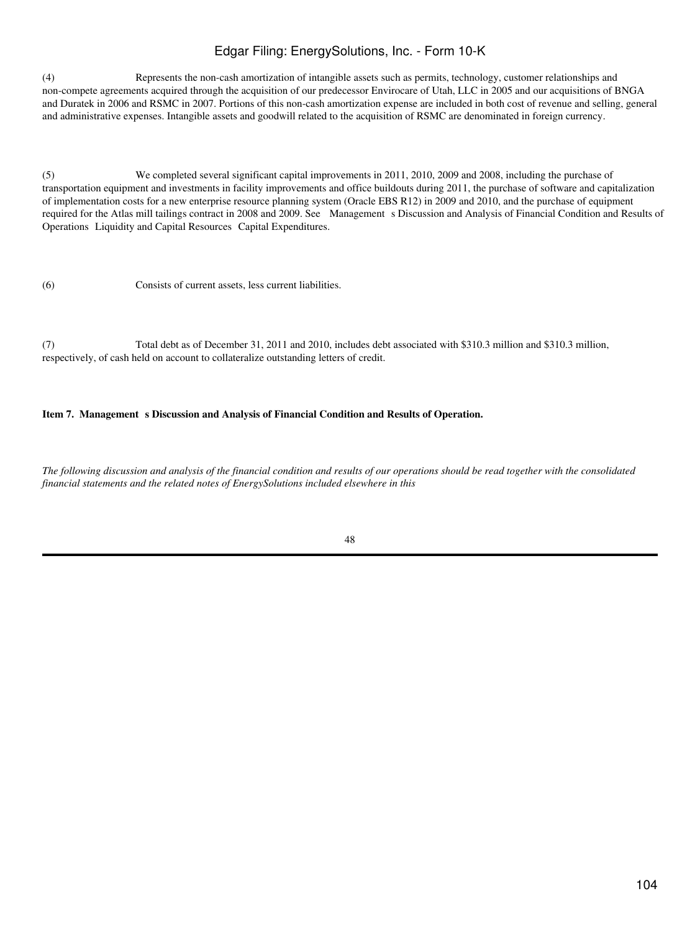(4) Represents the non-cash amortization of intangible assets such as permits, technology, customer relationships and non-compete agreements acquired through the acquisition of our predecessor Envirocare of Utah, LLC in 2005 and our acquisitions of BNGA and Duratek in 2006 and RSMC in 2007. Portions of this non-cash amortization expense are included in both cost of revenue and selling, general and administrative expenses. Intangible assets and goodwill related to the acquisition of RSMC are denominated in foreign currency.

(5) We completed several significant capital improvements in 2011, 2010, 2009 and 2008, including the purchase of transportation equipment and investments in facility improvements and office buildouts during 2011, the purchase of software and capitalization of implementation costs for a new enterprise resource planning system (Oracle EBS R12) in 2009 and 2010, and the purchase of equipment required for the Atlas mill tailings contract in 2008 and 2009. See Management s Discussion and Analysis of Financial Condition and Results of Operations Liquidity and Capital Resources Capital Expenditures.

(6) Consists of current assets, less current liabilities.

(7) Total debt as of December 31, 2011 and 2010, includes debt associated with \$310.3 million and \$310.3 million, respectively, of cash held on account to collateralize outstanding letters of credit.

### Item 7. Management s Discussion and Analysis of Financial Condition and Results of Operation.

*The following discussion and analysis of the financial condition and results of our operations should be read together with the consolidated financial statements and the related notes of EnergySolutions included elsewhere in this*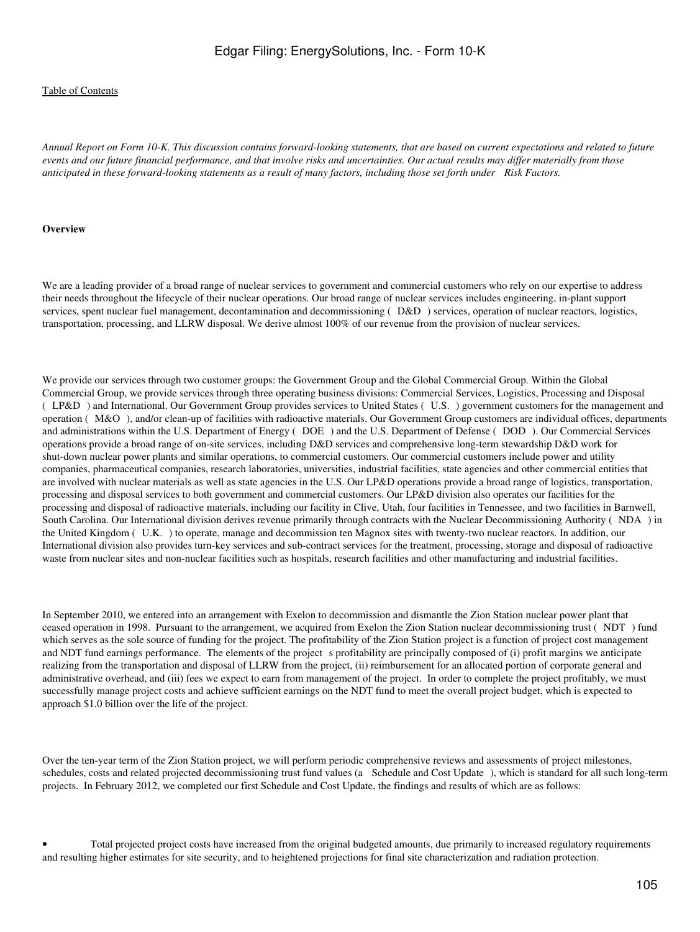*Annual Report on Form 10-K. This discussion contains forward-looking statements, that are based on current expectations and related to future events and our future financial performance, and that involve risks and uncertainties. Our actual results may differ materially from those anticipated in these forward-looking statements as a result of many factors, including those set forth under Risk Factors.*

### **Overview**

We are a leading provider of a broad range of nuclear services to government and commercial customers who rely on our expertise to address their needs throughout the lifecycle of their nuclear operations. Our broad range of nuclear services includes engineering, in-plant support services, spent nuclear fuel management, decontamination and decommissioning (D&D) services, operation of nuclear reactors, logistics, transportation, processing, and LLRW disposal. We derive almost 100% of our revenue from the provision of nuclear services.

We provide our services through two customer groups: the Government Group and the Global Commercial Group. Within the Global Commercial Group, we provide services through three operating business divisions: Commercial Services, Logistics, Processing and Disposal (LP&D) and International. Our Government Group provides services to United States (U.S.) government customers for the management and operation (M&O), and/or clean-up of facilities with radioactive materials. Our Government Group customers are individual offices, departments and administrations within the U.S. Department of Energy (DOE) and the U.S. Department of Defense (DOD). Our Commercial Services operations provide a broad range of on-site services, including D&D services and comprehensive long-term stewardship D&D work for shut-down nuclear power plants and similar operations, to commercial customers. Our commercial customers include power and utility companies, pharmaceutical companies, research laboratories, universities, industrial facilities, state agencies and other commercial entities that are involved with nuclear materials as well as state agencies in the U.S. Our LP&D operations provide a broad range of logistics, transportation, processing and disposal services to both government and commercial customers. Our LP&D division also operates our facilities for the processing and disposal of radioactive materials, including our facility in Clive, Utah, four facilities in Tennessee, and two facilities in Barnwell, South Carolina. Our International division derives revenue primarily through contracts with the Nuclear Decommissioning Authority (NDA) in the United Kingdom (U.K.) to operate, manage and decommission ten Magnox sites with twenty-two nuclear reactors. In addition, our International division also provides turn-key services and sub-contract services for the treatment, processing, storage and disposal of radioactive waste from nuclear sites and non-nuclear facilities such as hospitals, research facilities and other manufacturing and industrial facilities.

In September 2010, we entered into an arrangement with Exelon to decommission and dismantle the Zion Station nuclear power plant that ceased operation in 1998. Pursuant to the arrangement, we acquired from Exelon the Zion Station nuclear decommissioning trust (NDT) fund which serves as the sole source of funding for the project. The profitability of the Zion Station project is a function of project cost management and NDT fund earnings performance. The elements of the project s profitability are principally composed of (i) profit margins we anticipate realizing from the transportation and disposal of LLRW from the project, (ii) reimbursement for an allocated portion of corporate general and administrative overhead, and (iii) fees we expect to earn from management of the project. In order to complete the project profitably, we must successfully manage project costs and achieve sufficient earnings on the NDT fund to meet the overall project budget, which is expected to approach \$1.0 billion over the life of the project.

Over the ten-year term of the Zion Station project, we will perform periodic comprehensive reviews and assessments of project milestones, schedules, costs and related projected decommissioning trust fund values (a Schedule and Cost Update), which is standard for all such long-term projects. In February 2012, we completed our first Schedule and Cost Update, the findings and results of which are as follows:

• Total projected project costs have increased from the original budgeted amounts, due primarily to increased regulatory requirements and resulting higher estimates for site security, and to heightened projections for final site characterization and radiation protection.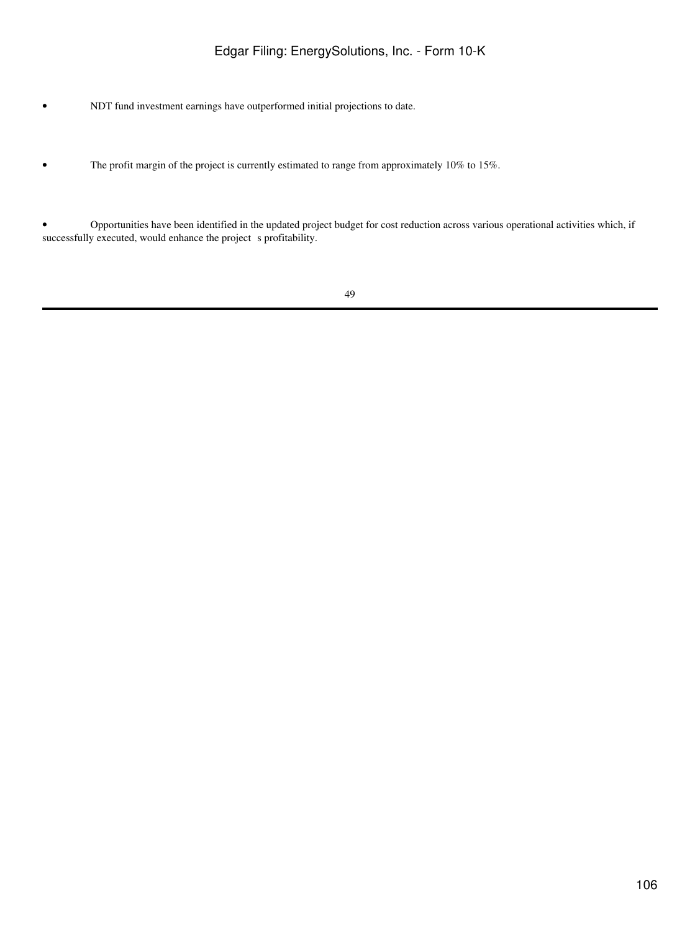- NDT fund investment earnings have outperformed initial projections to date.
- The profit margin of the project is currently estimated to range from approximately 10% to 15%.

• Opportunities have been identified in the updated project budget for cost reduction across various operational activities which, if successfully executed, would enhance the project s profitability.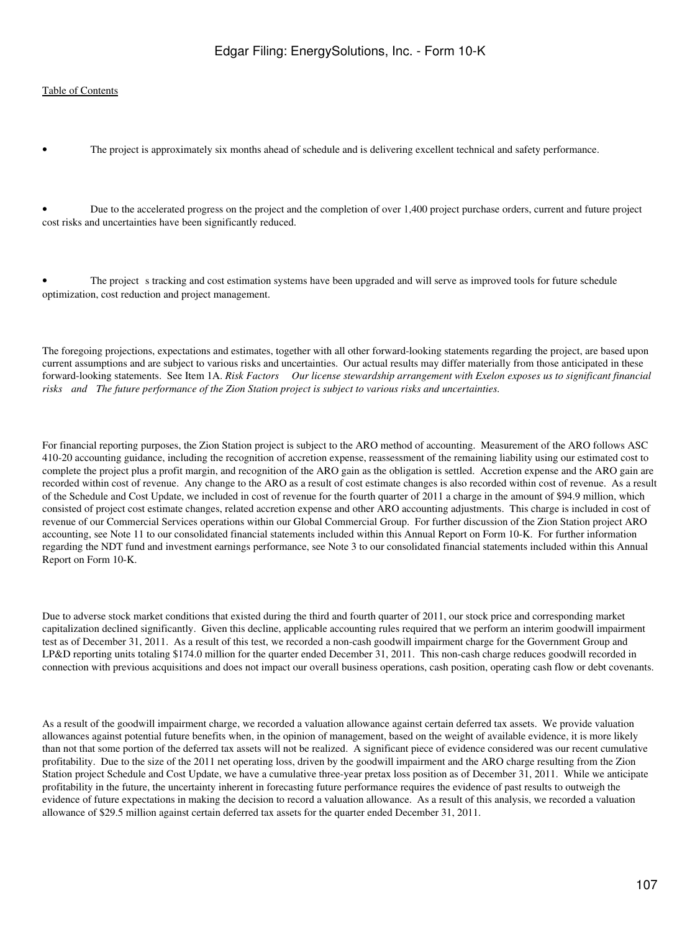• The project is approximately six months ahead of schedule and is delivering excellent technical and safety performance.

• Due to the accelerated progress on the project and the completion of over 1,400 project purchase orders, current and future project cost risks and uncertainties have been significantly reduced.

The project s tracking and cost estimation systems have been upgraded and will serve as improved tools for future schedule optimization, cost reduction and project management.

The foregoing projections, expectations and estimates, together with all other forward-looking statements regarding the project, are based upon current assumptions and are subject to various risks and uncertainties. Our actual results may differ materially from those anticipated in these forward-looking statements. See Item 1A. Risk Factors Our license stewardship arrangement with Exelon exposes us to significant financial *risks and The future performance of the Zion Station project is subject to various risks and uncertainties.*

For financial reporting purposes, the Zion Station project is subject to the ARO method of accounting. Measurement of the ARO follows ASC 410-20 accounting guidance, including the recognition of accretion expense, reassessment of the remaining liability using our estimated cost to complete the project plus a profit margin, and recognition of the ARO gain as the obligation is settled. Accretion expense and the ARO gain are recorded within cost of revenue. Any change to the ARO as a result of cost estimate changes is also recorded within cost of revenue. As a result of the Schedule and Cost Update, we included in cost of revenue for the fourth quarter of 2011 a charge in the amount of \$94.9 million, which consisted of project cost estimate changes, related accretion expense and other ARO accounting adjustments. This charge is included in cost of revenue of our Commercial Services operations within our Global Commercial Group. For further discussion of the Zion Station project ARO accounting, see Note 11 to our consolidated financial statements included within this Annual Report on Form 10-K. For further information regarding the NDT fund and investment earnings performance, see Note 3 to our consolidated financial statements included within this Annual Report on Form 10-K.

Due to adverse stock market conditions that existed during the third and fourth quarter of 2011, our stock price and corresponding market capitalization declined significantly. Given this decline, applicable accounting rules required that we perform an interim goodwill impairment test as of December 31, 2011. As a result of this test, we recorded a non-cash goodwill impairment charge for the Government Group and LP&D reporting units totaling \$174.0 million for the quarter ended December 31, 2011. This non-cash charge reduces goodwill recorded in connection with previous acquisitions and does not impact our overall business operations, cash position, operating cash flow or debt covenants.

As a result of the goodwill impairment charge, we recorded a valuation allowance against certain deferred tax assets. We provide valuation allowances against potential future benefits when, in the opinion of management, based on the weight of available evidence, it is more likely than not that some portion of the deferred tax assets will not be realized. A significant piece of evidence considered was our recent cumulative profitability. Due to the size of the 2011 net operating loss, driven by the goodwill impairment and the ARO charge resulting from the Zion Station project Schedule and Cost Update, we have a cumulative three-year pretax loss position as of December 31, 2011. While we anticipate profitability in the future, the uncertainty inherent in forecasting future performance requires the evidence of past results to outweigh the evidence of future expectations in making the decision to record a valuation allowance. As a result of this analysis, we recorded a valuation allowance of \$29.5 million against certain deferred tax assets for the quarter ended December 31, 2011.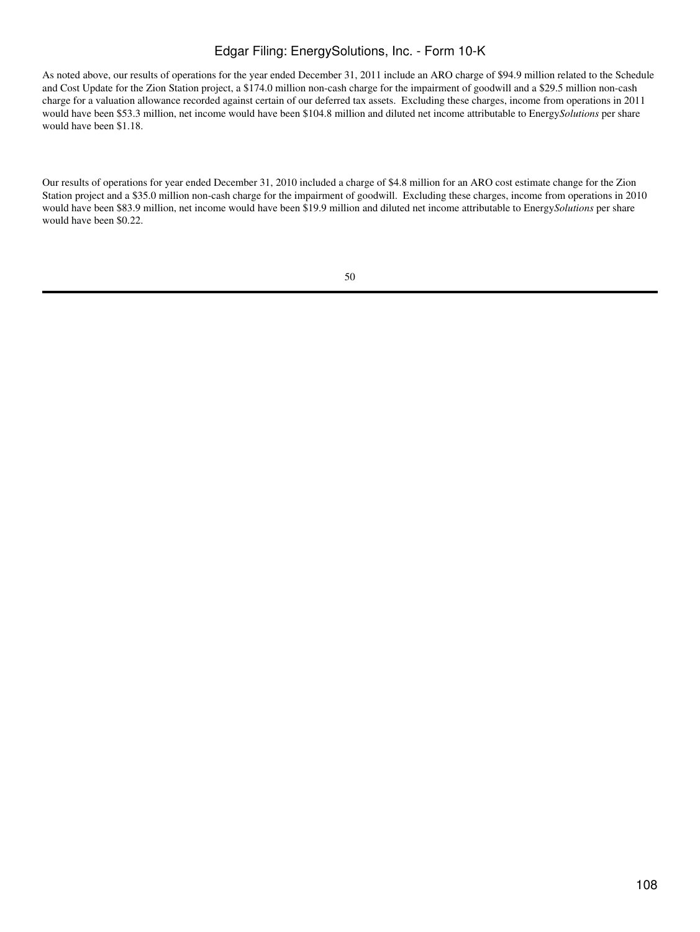As noted above, our results of operations for the year ended December 31, 2011 include an ARO charge of \$94.9 million related to the Schedule and Cost Update for the Zion Station project, a \$174.0 million non-cash charge for the impairment of goodwill and a \$29.5 million non-cash charge for a valuation allowance recorded against certain of our deferred tax assets. Excluding these charges, income from operations in 2011 would have been \$53.3 million, net income would have been \$104.8 million and diluted net income attributable to Energy*Solutions* per share would have been \$1.18.

Our results of operations for year ended December 31, 2010 included a charge of \$4.8 million for an ARO cost estimate change for the Zion Station project and a \$35.0 million non-cash charge for the impairment of goodwill. Excluding these charges, income from operations in 2010 would have been \$83.9 million, net income would have been \$19.9 million and diluted net income attributable to Energy*Solutions* per share would have been \$0.22.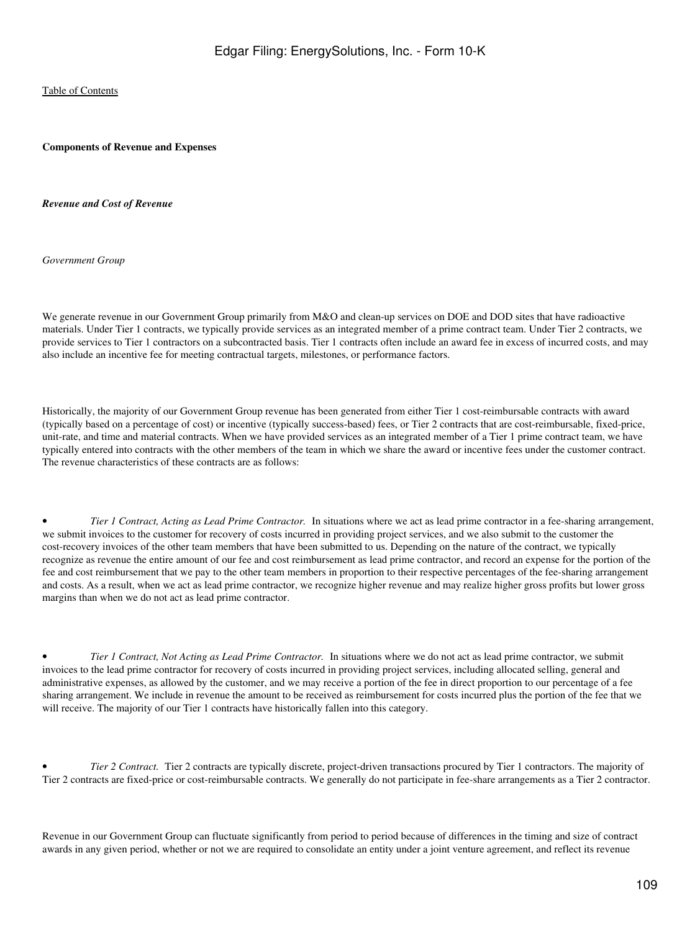#### **Components of Revenue and Expenses**

#### *Revenue and Cost of Revenue*

*Government Group*

We generate revenue in our Government Group primarily from M&O and clean-up services on DOE and DOD sites that have radioactive materials. Under Tier 1 contracts, we typically provide services as an integrated member of a prime contract team. Under Tier 2 contracts, we provide services to Tier 1 contractors on a subcontracted basis. Tier 1 contracts often include an award fee in excess of incurred costs, and may also include an incentive fee for meeting contractual targets, milestones, or performance factors.

Historically, the majority of our Government Group revenue has been generated from either Tier 1 cost-reimbursable contracts with award (typically based on a percentage of cost) or incentive (typically success-based) fees, or Tier 2 contracts that are cost-reimbursable, fixed-price, unit-rate, and time and material contracts. When we have provided services as an integrated member of a Tier 1 prime contract team, we have typically entered into contracts with the other members of the team in which we share the award or incentive fees under the customer contract. The revenue characteristics of these contracts are as follows:

• *Tier 1 Contract, Acting as Lead Prime Contractor.* In situations where we act as lead prime contractor in a fee-sharing arrangement, we submit invoices to the customer for recovery of costs incurred in providing project services, and we also submit to the customer the cost-recovery invoices of the other team members that have been submitted to us. Depending on the nature of the contract, we typically recognize as revenue the entire amount of our fee and cost reimbursement as lead prime contractor, and record an expense for the portion of the fee and cost reimbursement that we pay to the other team members in proportion to their respective percentages of the fee-sharing arrangement and costs. As a result, when we act as lead prime contractor, we recognize higher revenue and may realize higher gross profits but lower gross margins than when we do not act as lead prime contractor.

• *Tier 1 Contract, Not Acting as Lead Prime Contractor.* In situations where we do not act as lead prime contractor, we submit invoices to the lead prime contractor for recovery of costs incurred in providing project services, including allocated selling, general and administrative expenses, as allowed by the customer, and we may receive a portion of the fee in direct proportion to our percentage of a fee sharing arrangement. We include in revenue the amount to be received as reimbursement for costs incurred plus the portion of the fee that we will receive. The majority of our Tier 1 contracts have historically fallen into this category.

• *Tier 2 Contract.* Tier 2 contracts are typically discrete, project-driven transactions procured by Tier 1 contractors. The majority of Tier 2 contracts are fixed-price or cost-reimbursable contracts. We generally do not participate in fee-share arrangements as a Tier 2 contractor.

Revenue in our Government Group can fluctuate significantly from period to period because of differences in the timing and size of contract awards in any given period, whether or not we are required to consolidate an entity under a joint venture agreement, and reflect its revenue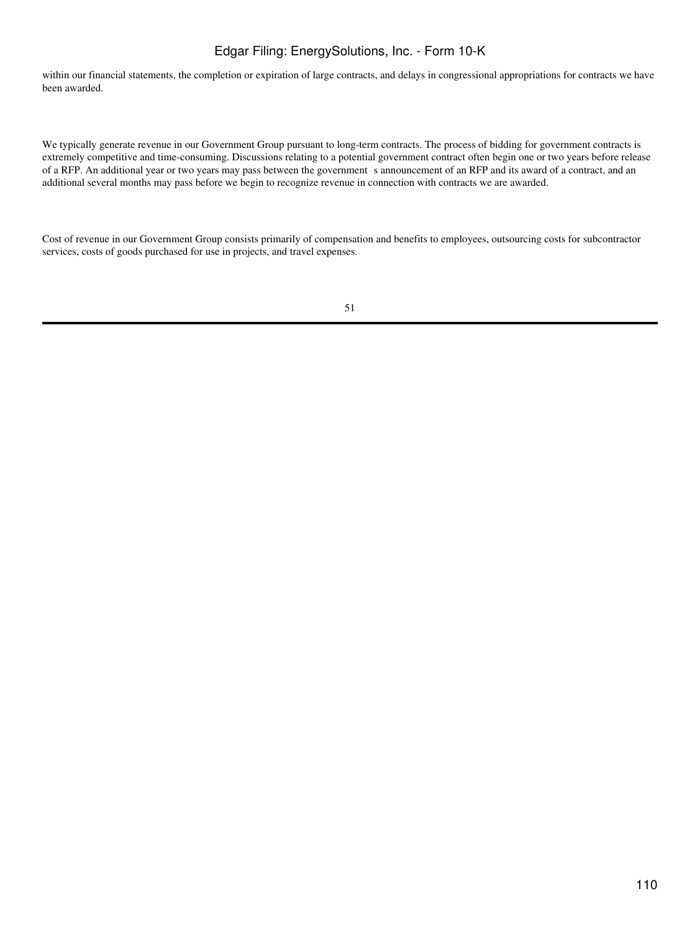within our financial statements, the completion or expiration of large contracts, and delays in congressional appropriations for contracts we have been awarded.

We typically generate revenue in our Government Group pursuant to long-term contracts. The process of bidding for government contracts is extremely competitive and time-consuming. Discussions relating to a potential government contract often begin one or two years before release of a RFP. An additional year or two years may pass between the government s announcement of an RFP and its award of a contract, and an additional several months may pass before we begin to recognize revenue in connection with contracts we are awarded.

Cost of revenue in our Government Group consists primarily of compensation and benefits to employees, outsourcing costs for subcontractor services, costs of goods purchased for use in projects, and travel expenses.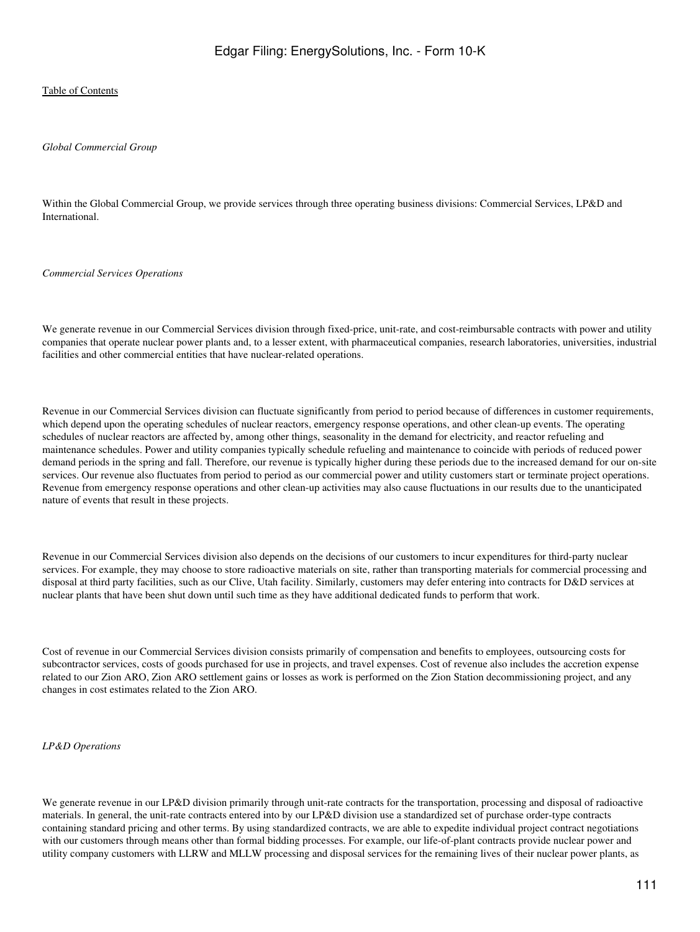*Global Commercial Group*

Within the Global Commercial Group, we provide services through three operating business divisions: Commercial Services, LP&D and International.

*Commercial Services Operations*

We generate revenue in our Commercial Services division through fixed-price, unit-rate, and cost-reimbursable contracts with power and utility companies that operate nuclear power plants and, to a lesser extent, with pharmaceutical companies, research laboratories, universities, industrial facilities and other commercial entities that have nuclear-related operations.

Revenue in our Commercial Services division can fluctuate significantly from period to period because of differences in customer requirements, which depend upon the operating schedules of nuclear reactors, emergency response operations, and other clean-up events. The operating schedules of nuclear reactors are affected by, among other things, seasonality in the demand for electricity, and reactor refueling and maintenance schedules. Power and utility companies typically schedule refueling and maintenance to coincide with periods of reduced power demand periods in the spring and fall. Therefore, our revenue is typically higher during these periods due to the increased demand for our on-site services. Our revenue also fluctuates from period to period as our commercial power and utility customers start or terminate project operations. Revenue from emergency response operations and other clean-up activities may also cause fluctuations in our results due to the unanticipated nature of events that result in these projects.

Revenue in our Commercial Services division also depends on the decisions of our customers to incur expenditures for third-party nuclear services. For example, they may choose to store radioactive materials on site, rather than transporting materials for commercial processing and disposal at third party facilities, such as our Clive, Utah facility. Similarly, customers may defer entering into contracts for D&D services at nuclear plants that have been shut down until such time as they have additional dedicated funds to perform that work.

Cost of revenue in our Commercial Services division consists primarily of compensation and benefits to employees, outsourcing costs for subcontractor services, costs of goods purchased for use in projects, and travel expenses. Cost of revenue also includes the accretion expense related to our Zion ARO, Zion ARO settlement gains or losses as work is performed on the Zion Station decommissioning project, and any changes in cost estimates related to the Zion ARO.

#### *LP&D Operations*

We generate revenue in our LP&D division primarily through unit-rate contracts for the transportation, processing and disposal of radioactive materials. In general, the unit-rate contracts entered into by our LP&D division use a standardized set of purchase order-type contracts containing standard pricing and other terms. By using standardized contracts, we are able to expedite individual project contract negotiations with our customers through means other than formal bidding processes. For example, our life-of-plant contracts provide nuclear power and utility company customers with LLRW and MLLW processing and disposal services for the remaining lives of their nuclear power plants, as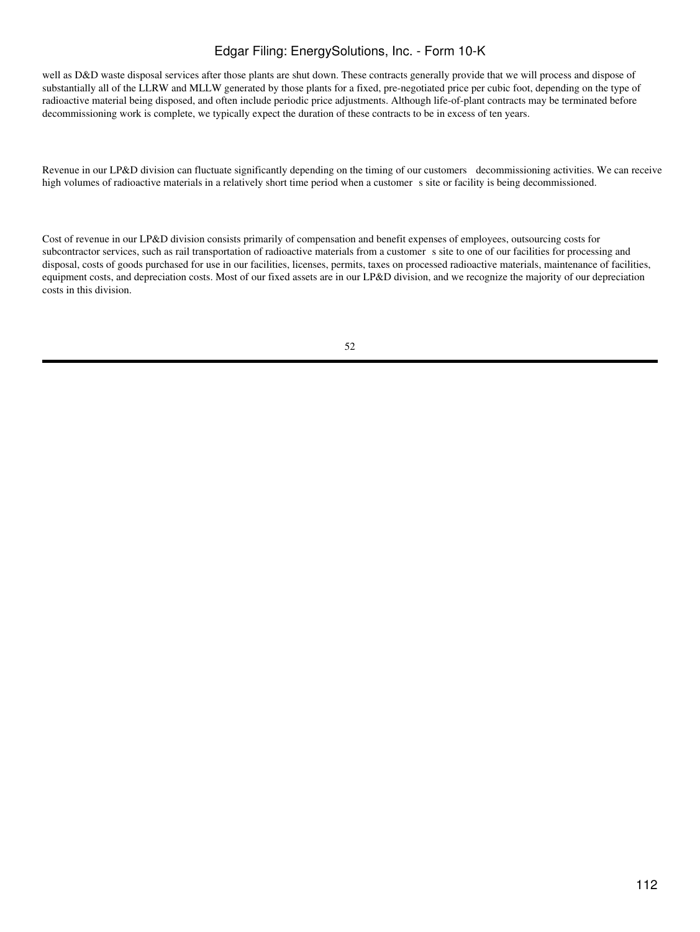well as D&D waste disposal services after those plants are shut down. These contracts generally provide that we will process and dispose of substantially all of the LLRW and MLLW generated by those plants for a fixed, pre-negotiated price per cubic foot, depending on the type of radioactive material being disposed, and often include periodic price adjustments. Although life-of-plant contracts may be terminated before decommissioning work is complete, we typically expect the duration of these contracts to be in excess of ten years.

Revenue in our LP&D division can fluctuate significantly depending on the timing of our customers decommissioning activities. We can receive high volumes of radioactive materials in a relatively short time period when a customer s site or facility is being decommissioned.

Cost of revenue in our LP&D division consists primarily of compensation and benefit expenses of employees, outsourcing costs for subcontractor services, such as rail transportation of radioactive materials from a customer s site to one of our facilities for processing and disposal, costs of goods purchased for use in our facilities, licenses, permits, taxes on processed radioactive materials, maintenance of facilities, equipment costs, and depreciation costs. Most of our fixed assets are in our LP&D division, and we recognize the majority of our depreciation costs in this division.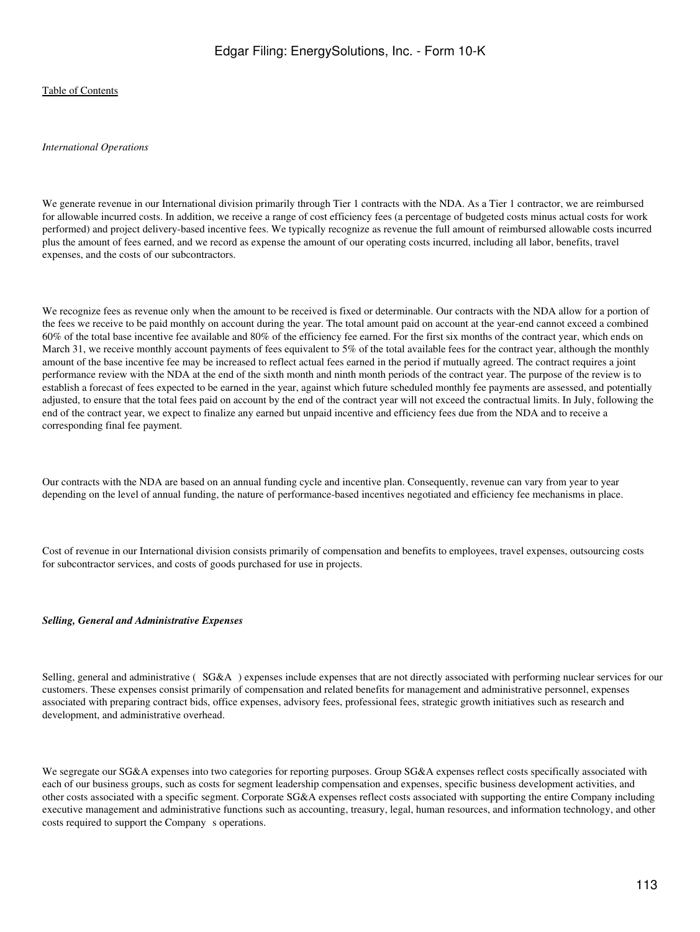#### *International Operations*

We generate revenue in our International division primarily through Tier 1 contracts with the NDA. As a Tier 1 contractor, we are reimbursed for allowable incurred costs. In addition, we receive a range of cost efficiency fees (a percentage of budgeted costs minus actual costs for work performed) and project delivery-based incentive fees. We typically recognize as revenue the full amount of reimbursed allowable costs incurred plus the amount of fees earned, and we record as expense the amount of our operating costs incurred, including all labor, benefits, travel expenses, and the costs of our subcontractors.

We recognize fees as revenue only when the amount to be received is fixed or determinable. Our contracts with the NDA allow for a portion of the fees we receive to be paid monthly on account during the year. The total amount paid on account at the year-end cannot exceed a combined 60% of the total base incentive fee available and 80% of the efficiency fee earned. For the first six months of the contract year, which ends on March 31, we receive monthly account payments of fees equivalent to 5% of the total available fees for the contract year, although the monthly amount of the base incentive fee may be increased to reflect actual fees earned in the period if mutually agreed. The contract requires a joint performance review with the NDA at the end of the sixth month and ninth month periods of the contract year. The purpose of the review is to establish a forecast of fees expected to be earned in the year, against which future scheduled monthly fee payments are assessed, and potentially adjusted, to ensure that the total fees paid on account by the end of the contract year will not exceed the contractual limits. In July, following the end of the contract year, we expect to finalize any earned but unpaid incentive and efficiency fees due from the NDA and to receive a corresponding final fee payment.

Our contracts with the NDA are based on an annual funding cycle and incentive plan. Consequently, revenue can vary from year to year depending on the level of annual funding, the nature of performance-based incentives negotiated and efficiency fee mechanisms in place.

Cost of revenue in our International division consists primarily of compensation and benefits to employees, travel expenses, outsourcing costs for subcontractor services, and costs of goods purchased for use in projects.

#### *Selling, General and Administrative Expenses*

Selling, general and administrative (SG&A) expenses include expenses that are not directly associated with performing nuclear services for our customers. These expenses consist primarily of compensation and related benefits for management and administrative personnel, expenses associated with preparing contract bids, office expenses, advisory fees, professional fees, strategic growth initiatives such as research and development, and administrative overhead.

We segregate our SG&A expenses into two categories for reporting purposes. Group SG&A expenses reflect costs specifically associated with each of our business groups, such as costs for segment leadership compensation and expenses, specific business development activities, and other costs associated with a specific segment. Corporate SG&A expenses reflect costs associated with supporting the entire Company including executive management and administrative functions such as accounting, treasury, legal, human resources, and information technology, and other costs required to support the Company s operations.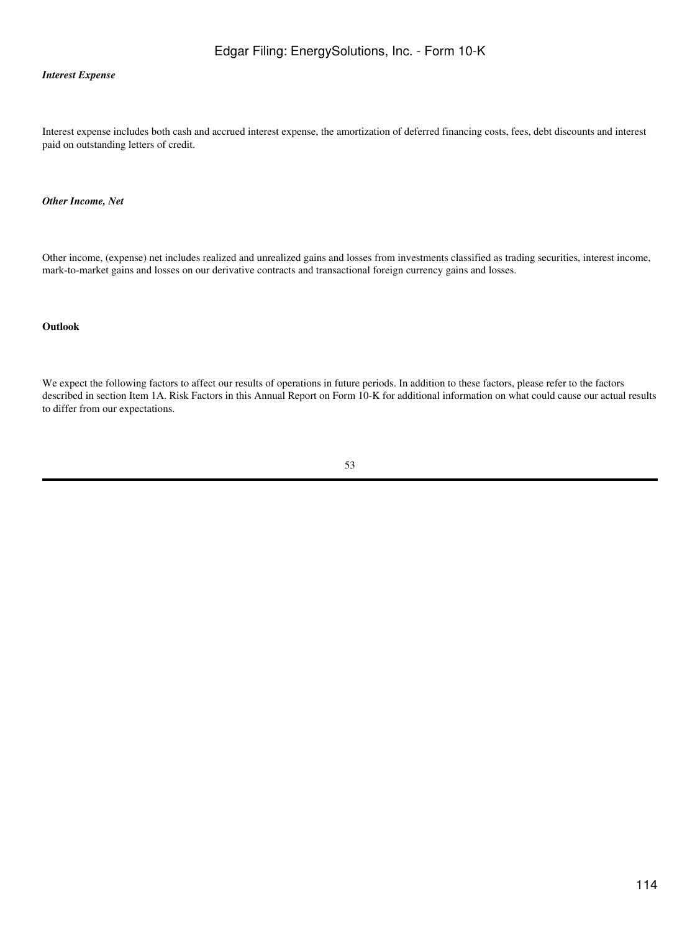## *Interest Expense*

Interest expense includes both cash and accrued interest expense, the amortization of deferred financing costs, fees, debt discounts and interest paid on outstanding letters of credit.

#### *Other Income, Net*

Other income, (expense) net includes realized and unrealized gains and losses from investments classified as trading securities, interest income, mark-to-market gains and losses on our derivative contracts and transactional foreign currency gains and losses.

#### **Outlook**

We expect the following factors to affect our results of operations in future periods. In addition to these factors, please refer to the factors described in section Item 1A. Risk Factors in this Annual Report on Form 10-K for additional information on what could cause our actual results to differ from our expectations.

| i                    |               |
|----------------------|---------------|
| n sa<br>o<br>٧<br>۰. | ۰.<br>۰,<br>٠ |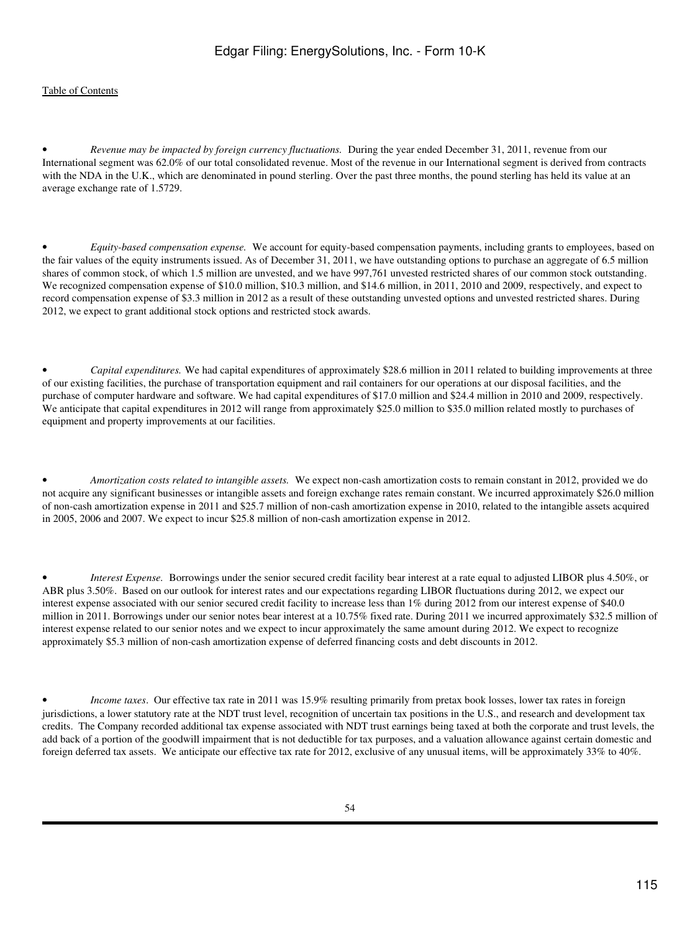• *Revenue may be impacted by foreign currency fluctuations.* During the year ended December 31, 2011, revenue from our International segment was 62.0% of our total consolidated revenue. Most of the revenue in our International segment is derived from contracts with the NDA in the U.K., which are denominated in pound sterling. Over the past three months, the pound sterling has held its value at an average exchange rate of 1.5729.

• *Equity-based compensation expense.* We account for equity-based compensation payments, including grants to employees, based on the fair values of the equity instruments issued. As of December 31, 2011, we have outstanding options to purchase an aggregate of 6.5 million shares of common stock, of which 1.5 million are unvested, and we have 997,761 unvested restricted shares of our common stock outstanding. We recognized compensation expense of \$10.0 million, \$10.3 million, and \$14.6 million, in 2011, 2010 and 2009, respectively, and expect to record compensation expense of \$3.3 million in 2012 as a result of these outstanding unvested options and unvested restricted shares. During 2012, we expect to grant additional stock options and restricted stock awards.

• *Capital expenditures.* We had capital expenditures of approximately \$28.6 million in 2011 related to building improvements at three of our existing facilities, the purchase of transportation equipment and rail containers for our operations at our disposal facilities, and the purchase of computer hardware and software. We had capital expenditures of \$17.0 million and \$24.4 million in 2010 and 2009, respectively. We anticipate that capital expenditures in 2012 will range from approximately \$25.0 million to \$35.0 million related mostly to purchases of equipment and property improvements at our facilities.

• *Amortization costs related to intangible assets.* We expect non-cash amortization costs to remain constant in 2012, provided we do not acquire any significant businesses or intangible assets and foreign exchange rates remain constant. We incurred approximately \$26.0 million of non-cash amortization expense in 2011 and \$25.7 million of non-cash amortization expense in 2010, related to the intangible assets acquired in 2005, 2006 and 2007. We expect to incur \$25.8 million of non-cash amortization expense in 2012.

• *Interest Expense.* Borrowings under the senior secured credit facility bear interest at a rate equal to adjusted LIBOR plus 4.50%, or ABR plus 3.50%. Based on our outlook for interest rates and our expectations regarding LIBOR fluctuations during 2012, we expect our interest expense associated with our senior secured credit facility to increase less than 1% during 2012 from our interest expense of \$40.0 million in 2011. Borrowings under our senior notes bear interest at a 10.75% fixed rate. During 2011 we incurred approximately \$32.5 million of interest expense related to our senior notes and we expect to incur approximately the same amount during 2012. We expect to recognize approximately \$5.3 million of non-cash amortization expense of deferred financing costs and debt discounts in 2012.

• *Income taxes*. Our effective tax rate in 2011 was 15.9% resulting primarily from pretax book losses, lower tax rates in foreign jurisdictions, a lower statutory rate at the NDT trust level, recognition of uncertain tax positions in the U.S., and research and development tax credits. The Company recorded additional tax expense associated with NDT trust earnings being taxed at both the corporate and trust levels, the add back of a portion of the goodwill impairment that is not deductible for tax purposes, and a valuation allowance against certain domestic and foreign deferred tax assets. We anticipate our effective tax rate for 2012, exclusive of any unusual items, will be approximately 33% to 40%.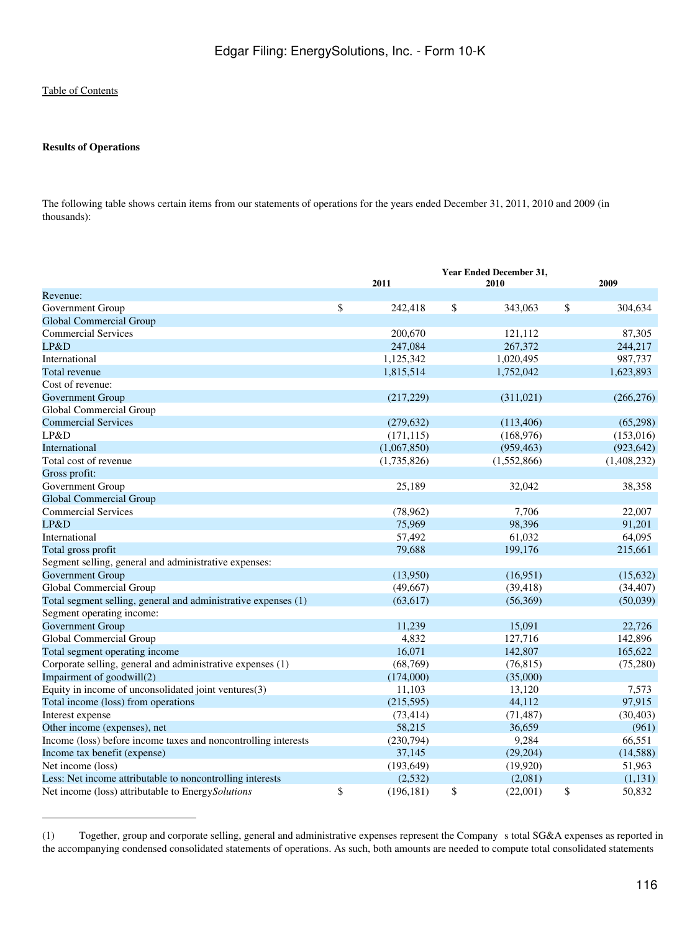### **Results of Operations**

The following table shows certain items from our statements of operations for the years ended December 31, 2011, 2010 and 2009 (in thousands):

|                                                                | 2011             | Year Ended December 31,<br>2010 | 2009 |             |
|----------------------------------------------------------------|------------------|---------------------------------|------|-------------|
| Revenue:                                                       |                  |                                 |      |             |
| Government Group                                               | \$<br>242,418    | \$<br>343,063                   | \$   | 304,634     |
| Global Commercial Group                                        |                  |                                 |      |             |
| <b>Commercial Services</b>                                     | 200,670          | 121,112                         |      | 87,305      |
| LP&D                                                           | 247,084          | 267,372                         |      | 244,217     |
| International                                                  | 1,125,342        | 1,020,495                       |      | 987,737     |
| Total revenue                                                  | 1,815,514        | 1,752,042                       |      | 1,623,893   |
| Cost of revenue:                                               |                  |                                 |      |             |
| Government Group                                               | (217,229)        | (311,021)                       |      | (266, 276)  |
| Global Commercial Group                                        |                  |                                 |      |             |
| <b>Commercial Services</b>                                     | (279, 632)       | (113,406)                       |      | (65,298)    |
| LP&D                                                           | (171, 115)       | (168, 976)                      |      | (153,016)   |
| International                                                  | (1,067,850)      | (959, 463)                      |      | (923, 642)  |
| Total cost of revenue                                          | (1,735,826)      | (1,552,866)                     |      | (1,408,232) |
| Gross profit:                                                  |                  |                                 |      |             |
| Government Group                                               | 25,189           | 32,042                          |      | 38,358      |
| <b>Global Commercial Group</b>                                 |                  |                                 |      |             |
| <b>Commercial Services</b>                                     | (78, 962)        | 7,706                           |      | 22,007      |
| LP&D                                                           | 75,969           | 98,396                          |      | 91,201      |
| International                                                  | 57,492           | 61,032                          |      | 64,095      |
| Total gross profit                                             | 79,688           | 199,176                         |      | 215,661     |
| Segment selling, general and administrative expenses:          |                  |                                 |      |             |
| Government Group                                               | (13,950)         | (16,951)                        |      | (15,632)    |
| Global Commercial Group                                        | (49,667)         | (39, 418)                       |      | (34, 407)   |
| Total segment selling, general and administrative expenses (1) | (63, 617)        | (56, 369)                       |      | (50,039)    |
| Segment operating income:                                      |                  |                                 |      |             |
| Government Group                                               | 11,239           | 15,091                          |      | 22,726      |
| Global Commercial Group                                        | 4,832            | 127,716                         |      | 142,896     |
| Total segment operating income                                 | 16,071           | 142,807                         |      | 165,622     |
| Corporate selling, general and administrative expenses (1)     | (68, 769)        | (76, 815)                       |      | (75,280)    |
| Impairment of goodwill(2)                                      | (174,000)        | (35,000)                        |      |             |
| Equity in income of unconsolidated joint ventures(3)           | 11,103           | 13,120                          |      | 7,573       |
| Total income (loss) from operations                            | (215,595)        | 44,112                          |      | 97,915      |
| Interest expense                                               | (73, 414)        | (71, 487)                       |      | (30, 403)   |
| Other income (expenses), net                                   | 58,215           | 36,659                          |      | (961)       |
| Income (loss) before income taxes and noncontrolling interests | (230,794)        | 9,284                           |      | 66,551      |
| Income tax benefit (expense)                                   | 37,145           | (29, 204)                       |      | (14,588)    |
| Net income (loss)                                              | (193, 649)       | (19,920)                        |      | 51,963      |
| Less: Net income attributable to noncontrolling interests      | (2, 532)         | (2,081)                         |      | (1,131)     |
| Net income (loss) attributable to EnergySolutions              | \$<br>(196, 181) | \$<br>(22,001)                  | \$   | 50,832      |

<sup>(1)</sup> Together, group and corporate selling, general and administrative expenses represent the Company s total SG&A expenses as reported in the accompanying condensed consolidated statements of operations. As such, both amounts are needed to compute total consolidated statements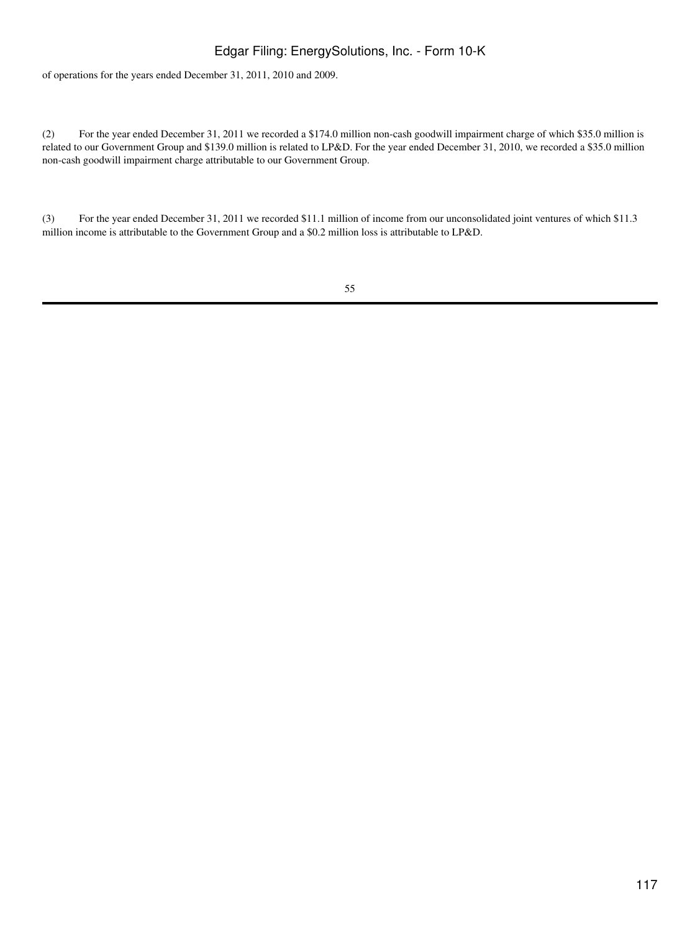of operations for the years ended December 31, 2011, 2010 and 2009.

(2) For the year ended December 31, 2011 we recorded a \$174.0 million non-cash goodwill impairment charge of which \$35.0 million is related to our Government Group and \$139.0 million is related to LP&D. For the year ended December 31, 2010, we recorded a \$35.0 million non-cash goodwill impairment charge attributable to our Government Group.

(3) For the year ended December 31, 2011 we recorded \$11.1 million of income from our unconsolidated joint ventures of which \$11.3 million income is attributable to the Government Group and a \$0.2 million loss is attributable to LP&D.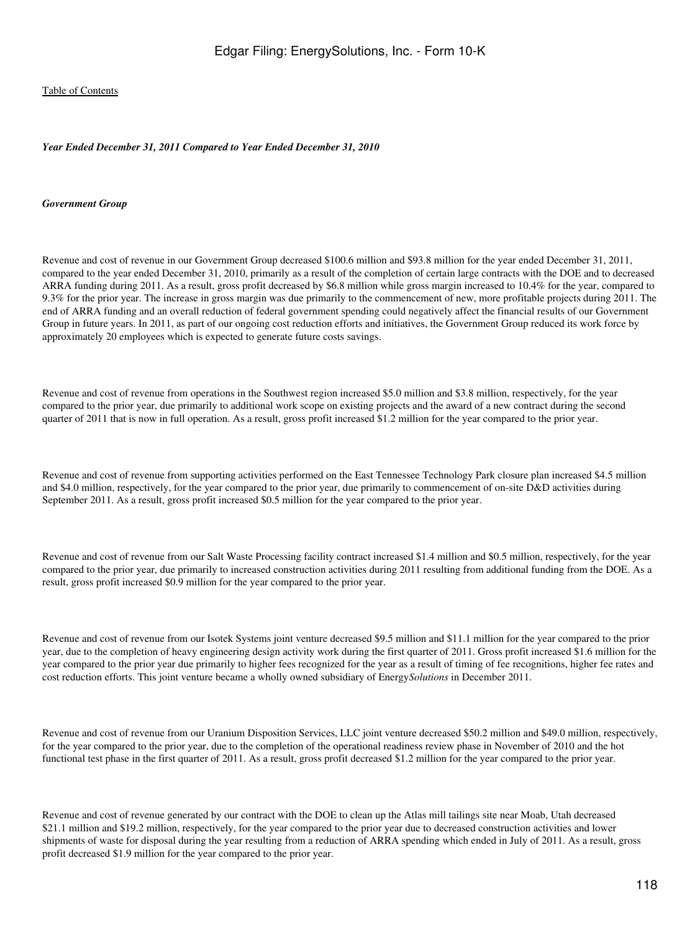## *Year Ended December 31, 2011 Compared to Year Ended December 31, 2010*

## *Government Group*

Revenue and cost of revenue in our Government Group decreased \$100.6 million and \$93.8 million for the year ended December 31, 2011, compared to the year ended December 31, 2010, primarily as a result of the completion of certain large contracts with the DOE and to decreased ARRA funding during 2011. As a result, gross profit decreased by \$6.8 million while gross margin increased to 10.4% for the year, compared to 9.3% for the prior year. The increase in gross margin was due primarily to the commencement of new, more profitable projects during 2011. The end of ARRA funding and an overall reduction of federal government spending could negatively affect the financial results of our Government Group in future years. In 2011, as part of our ongoing cost reduction efforts and initiatives, the Government Group reduced its work force by approximately 20 employees which is expected to generate future costs savings.

Revenue and cost of revenue from operations in the Southwest region increased \$5.0 million and \$3.8 million, respectively, for the year compared to the prior year, due primarily to additional work scope on existing projects and the award of a new contract during the second quarter of 2011 that is now in full operation. As a result, gross profit increased \$1.2 million for the year compared to the prior year.

Revenue and cost of revenue from supporting activities performed on the East Tennessee Technology Park closure plan increased \$4.5 million and \$4.0 million, respectively, for the year compared to the prior year, due primarily to commencement of on-site D&D activities during September 2011. As a result, gross profit increased \$0.5 million for the year compared to the prior year.

Revenue and cost of revenue from our Salt Waste Processing facility contract increased \$1.4 million and \$0.5 million, respectively, for the year compared to the prior year, due primarily to increased construction activities during 2011 resulting from additional funding from the DOE. As a result, gross profit increased \$0.9 million for the year compared to the prior year.

Revenue and cost of revenue from our Isotek Systems joint venture decreased \$9.5 million and \$11.1 million for the year compared to the prior year, due to the completion of heavy engineering design activity work during the first quarter of 2011. Gross profit increased \$1.6 million for the year compared to the prior year due primarily to higher fees recognized for the year as a result of timing of fee recognitions, higher fee rates and cost reduction efforts. This joint venture became a wholly owned subsidiary of Energy*Solutions* in December 2011.

Revenue and cost of revenue from our Uranium Disposition Services, LLC joint venture decreased \$50.2 million and \$49.0 million, respectively, for the year compared to the prior year, due to the completion of the operational readiness review phase in November of 2010 and the hot functional test phase in the first quarter of 2011. As a result, gross profit decreased \$1.2 million for the year compared to the prior year.

Revenue and cost of revenue generated by our contract with the DOE to clean up the Atlas mill tailings site near Moab, Utah decreased \$21.1 million and \$19.2 million, respectively, for the year compared to the prior year due to decreased construction activities and lower shipments of waste for disposal during the year resulting from a reduction of ARRA spending which ended in July of 2011. As a result, gross profit decreased \$1.9 million for the year compared to the prior year.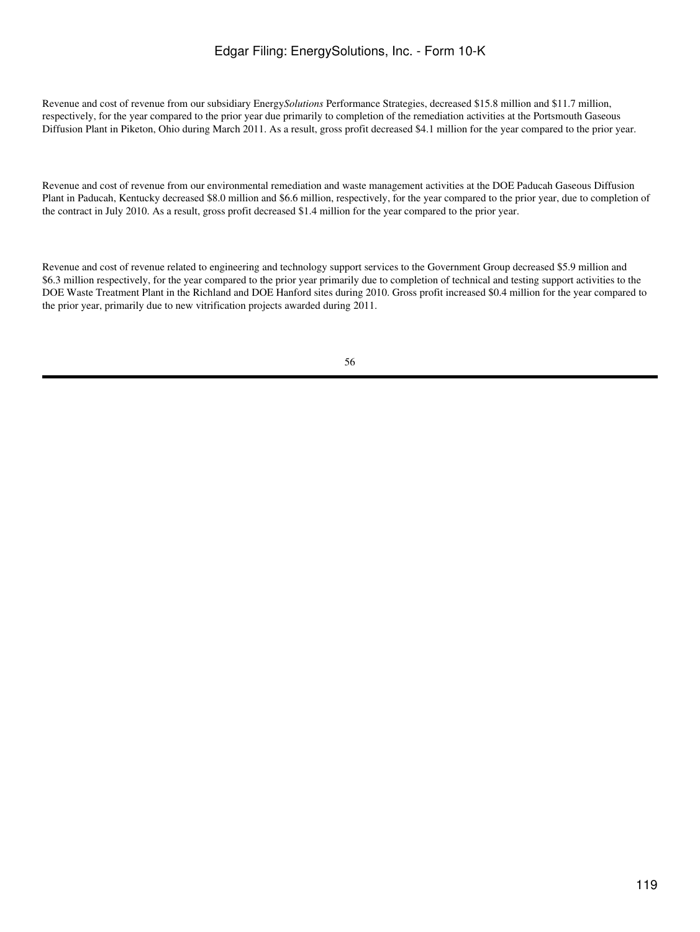Revenue and cost of revenue from our subsidiary Energy*Solutions* Performance Strategies, decreased \$15.8 million and \$11.7 million, respectively, for the year compared to the prior year due primarily to completion of the remediation activities at the Portsmouth Gaseous Diffusion Plant in Piketon, Ohio during March 2011. As a result, gross profit decreased \$4.1 million for the year compared to the prior year.

Revenue and cost of revenue from our environmental remediation and waste management activities at the DOE Paducah Gaseous Diffusion Plant in Paducah, Kentucky decreased \$8.0 million and \$6.6 million, respectively, for the year compared to the prior year, due to completion of the contract in July 2010. As a result, gross profit decreased \$1.4 million for the year compared to the prior year.

Revenue and cost of revenue related to engineering and technology support services to the Government Group decreased \$5.9 million and \$6.3 million respectively, for the year compared to the prior year primarily due to completion of technical and testing support activities to the DOE Waste Treatment Plant in the Richland and DOE Hanford sites during 2010. Gross profit increased \$0.4 million for the year compared to the prior year, primarily due to new vitrification projects awarded during 2011.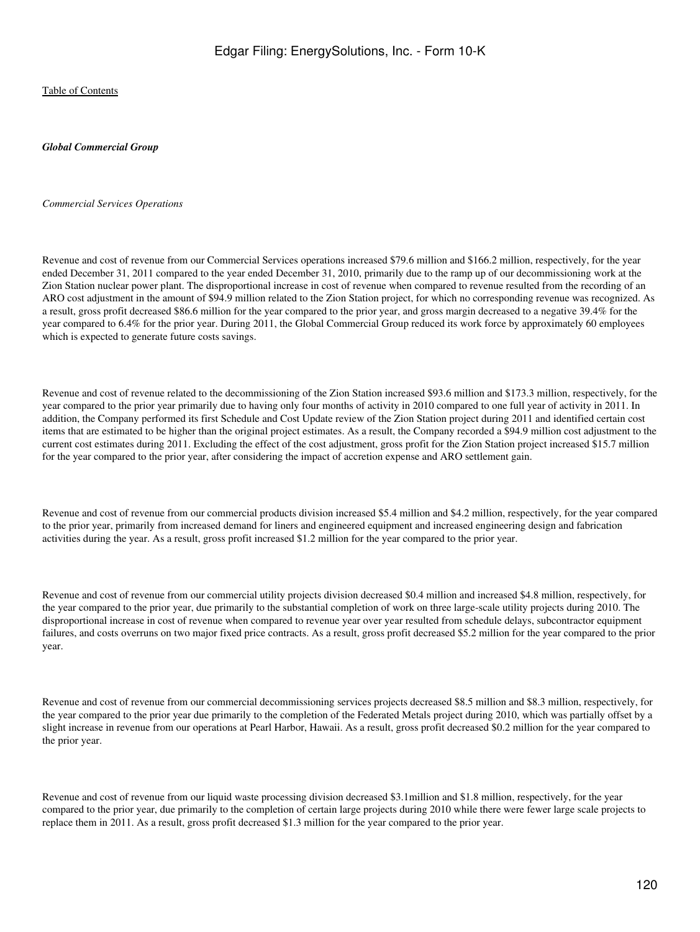*Global Commercial Group*

#### *Commercial Services Operations*

Revenue and cost of revenue from our Commercial Services operations increased \$79.6 million and \$166.2 million, respectively, for the year ended December 31, 2011 compared to the year ended December 31, 2010, primarily due to the ramp up of our decommissioning work at the Zion Station nuclear power plant. The disproportional increase in cost of revenue when compared to revenue resulted from the recording of an ARO cost adjustment in the amount of \$94.9 million related to the Zion Station project, for which no corresponding revenue was recognized. As a result, gross profit decreased \$86.6 million for the year compared to the prior year, and gross margin decreased to a negative 39.4% for the year compared to 6.4% for the prior year. During 2011, the Global Commercial Group reduced its work force by approximately 60 employees which is expected to generate future costs savings.

Revenue and cost of revenue related to the decommissioning of the Zion Station increased \$93.6 million and \$173.3 million, respectively, for the year compared to the prior year primarily due to having only four months of activity in 2010 compared to one full year of activity in 2011. In addition, the Company performed its first Schedule and Cost Update review of the Zion Station project during 2011 and identified certain cost items that are estimated to be higher than the original project estimates. As a result, the Company recorded a \$94.9 million cost adjustment to the current cost estimates during 2011. Excluding the effect of the cost adjustment, gross profit for the Zion Station project increased \$15.7 million for the year compared to the prior year, after considering the impact of accretion expense and ARO settlement gain.

Revenue and cost of revenue from our commercial products division increased \$5.4 million and \$4.2 million, respectively, for the year compared to the prior year, primarily from increased demand for liners and engineered equipment and increased engineering design and fabrication activities during the year. As a result, gross profit increased \$1.2 million for the year compared to the prior year.

Revenue and cost of revenue from our commercial utility projects division decreased \$0.4 million and increased \$4.8 million, respectively, for the year compared to the prior year, due primarily to the substantial completion of work on three large-scale utility projects during 2010. The disproportional increase in cost of revenue when compared to revenue year over year resulted from schedule delays, subcontractor equipment failures, and costs overruns on two major fixed price contracts. As a result, gross profit decreased \$5.2 million for the year compared to the prior year.

Revenue and cost of revenue from our commercial decommissioning services projects decreased \$8.5 million and \$8.3 million, respectively, for the year compared to the prior year due primarily to the completion of the Federated Metals project during 2010, which was partially offset by a slight increase in revenue from our operations at Pearl Harbor, Hawaii. As a result, gross profit decreased \$0.2 million for the year compared to the prior year.

Revenue and cost of revenue from our liquid waste processing division decreased \$3.1million and \$1.8 million, respectively, for the year compared to the prior year, due primarily to the completion of certain large projects during 2010 while there were fewer large scale projects to replace them in 2011. As a result, gross profit decreased \$1.3 million for the year compared to the prior year.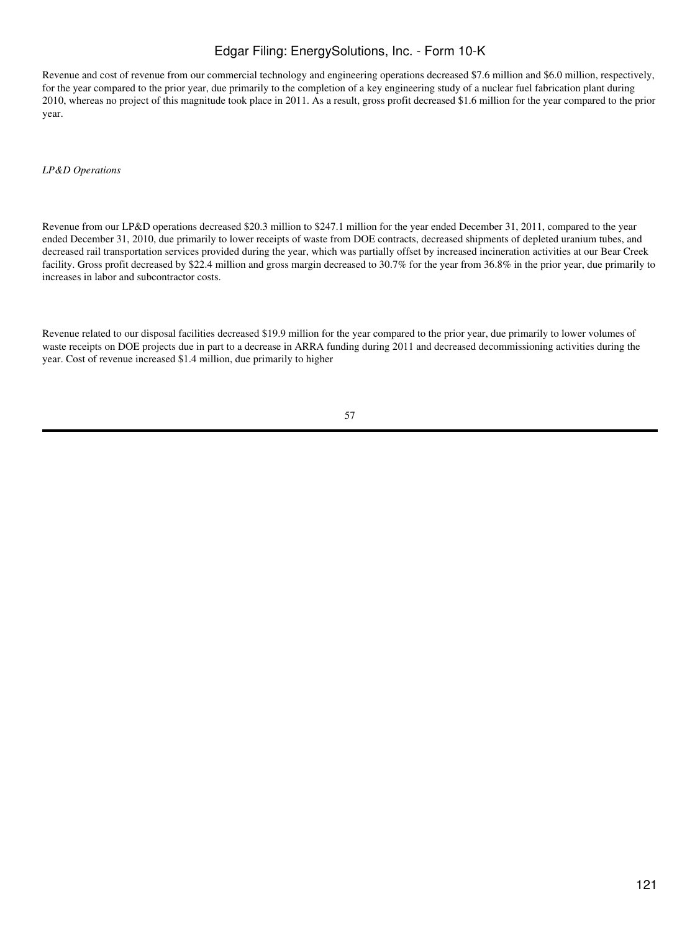Revenue and cost of revenue from our commercial technology and engineering operations decreased \$7.6 million and \$6.0 million, respectively, for the year compared to the prior year, due primarily to the completion of a key engineering study of a nuclear fuel fabrication plant during 2010, whereas no project of this magnitude took place in 2011. As a result, gross profit decreased \$1.6 million for the year compared to the prior year.

*LP&D Operations*

Revenue from our LP&D operations decreased \$20.3 million to \$247.1 million for the year ended December 31, 2011, compared to the year ended December 31, 2010, due primarily to lower receipts of waste from DOE contracts, decreased shipments of depleted uranium tubes, and decreased rail transportation services provided during the year, which was partially offset by increased incineration activities at our Bear Creek facility. Gross profit decreased by \$22.4 million and gross margin decreased to 30.7% for the year from 36.8% in the prior year, due primarily to increases in labor and subcontractor costs.

Revenue related to our disposal facilities decreased \$19.9 million for the year compared to the prior year, due primarily to lower volumes of waste receipts on DOE projects due in part to a decrease in ARRA funding during 2011 and decreased decommissioning activities during the year. Cost of revenue increased \$1.4 million, due primarily to higher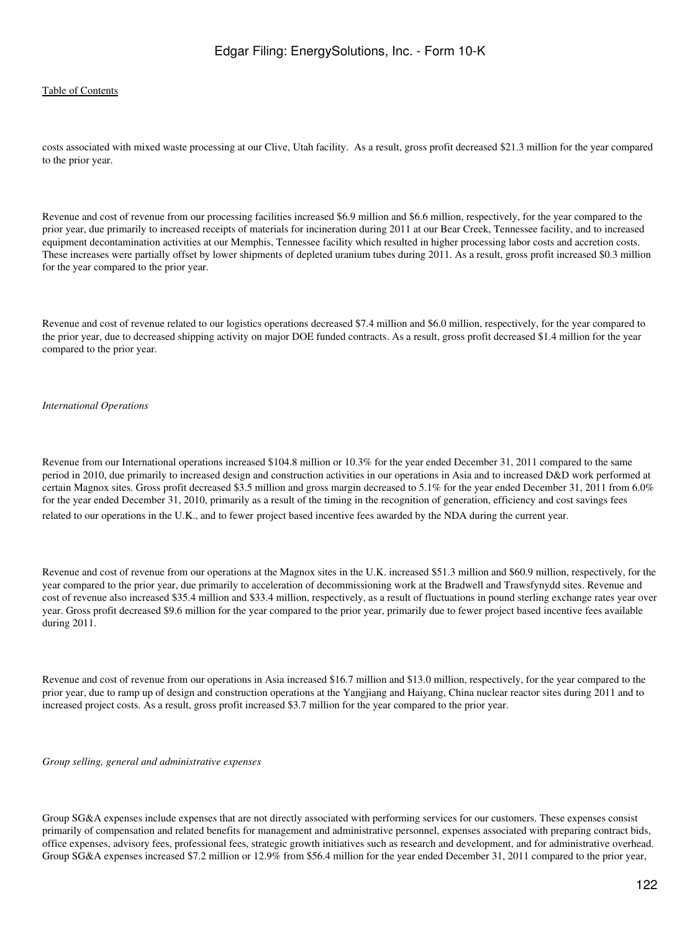costs associated with mixed waste processing at our Clive, Utah facility. As a result, gross profit decreased \$21.3 million for the year compared to the prior year.

Revenue and cost of revenue from our processing facilities increased \$6.9 million and \$6.6 million, respectively, for the year compared to the prior year, due primarily to increased receipts of materials for incineration during 2011 at our Bear Creek, Tennessee facility, and to increased equipment decontamination activities at our Memphis, Tennessee facility which resulted in higher processing labor costs and accretion costs. These increases were partially offset by lower shipments of depleted uranium tubes during 2011. As a result, gross profit increased \$0.3 million for the year compared to the prior year.

Revenue and cost of revenue related to our logistics operations decreased \$7.4 million and \$6.0 million, respectively, for the year compared to the prior year, due to decreased shipping activity on major DOE funded contracts. As a result, gross profit decreased \$1.4 million for the year compared to the prior year.

#### *International Operations*

Revenue from our International operations increased \$104.8 million or 10.3% for the year ended December 31, 2011 compared to the same period in 2010, due primarily to increased design and construction activities in our operations in Asia and to increased D&D work performed at certain Magnox sites. Gross profit decreased \$3.5 million and gross margin decreased to 5.1% for the year ended December 31, 2011 from 6.0% for the year ended December 31, 2010, primarily as a result of the timing in the recognition of generation, efficiency and cost savings fees related to our operations in the U.K., and to fewer project based incentive fees awarded by the NDA during the current year.

Revenue and cost of revenue from our operations at the Magnox sites in the U.K. increased \$51.3 million and \$60.9 million, respectively, for the year compared to the prior year, due primarily to acceleration of decommissioning work at the Bradwell and Trawsfynydd sites. Revenue and cost of revenue also increased \$35.4 million and \$33.4 million, respectively, as a result of fluctuations in pound sterling exchange rates year over year. Gross profit decreased \$9.6 million for the year compared to the prior year, primarily due to fewer project based incentive fees available during 2011.

Revenue and cost of revenue from our operations in Asia increased \$16.7 million and \$13.0 million, respectively, for the year compared to the prior year, due to ramp up of design and construction operations at the Yangjiang and Haiyang, China nuclear reactor sites during 2011 and to increased project costs. As a result, gross profit increased \$3.7 million for the year compared to the prior year.

*Group selling, general and administrative expenses*

Group SG&A expenses include expenses that are not directly associated with performing services for our customers. These expenses consist primarily of compensation and related benefits for management and administrative personnel, expenses associated with preparing contract bids, office expenses, advisory fees, professional fees, strategic growth initiatives such as research and development, and for administrative overhead. Group SG&A expenses increased \$7.2 million or 12.9% from \$56.4 million for the year ended December 31, 2011 compared to the prior year,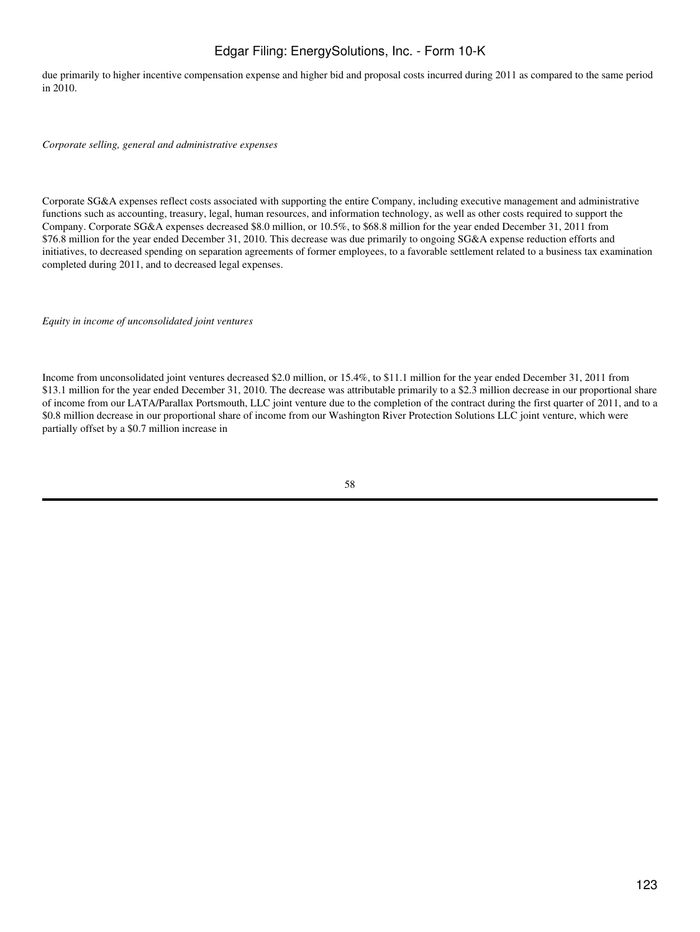due primarily to higher incentive compensation expense and higher bid and proposal costs incurred during 2011 as compared to the same period in 2010.

*Corporate selling, general and administrative expenses*

Corporate SG&A expenses reflect costs associated with supporting the entire Company, including executive management and administrative functions such as accounting, treasury, legal, human resources, and information technology, as well as other costs required to support the Company. Corporate SG&A expenses decreased \$8.0 million, or 10.5%, to \$68.8 million for the year ended December 31, 2011 from \$76.8 million for the year ended December 31, 2010. This decrease was due primarily to ongoing SG&A expense reduction efforts and initiatives, to decreased spending on separation agreements of former employees, to a favorable settlement related to a business tax examination completed during 2011, and to decreased legal expenses.

*Equity in income of unconsolidated joint ventures*

Income from unconsolidated joint ventures decreased \$2.0 million, or 15.4%, to \$11.1 million for the year ended December 31, 2011 from \$13.1 million for the year ended December 31, 2010. The decrease was attributable primarily to a \$2.3 million decrease in our proportional share of income from our LATA/Parallax Portsmouth, LLC joint venture due to the completion of the contract during the first quarter of 2011, and to a \$0.8 million decrease in our proportional share of income from our Washington River Protection Solutions LLC joint venture, which were partially offset by a \$0.7 million increase in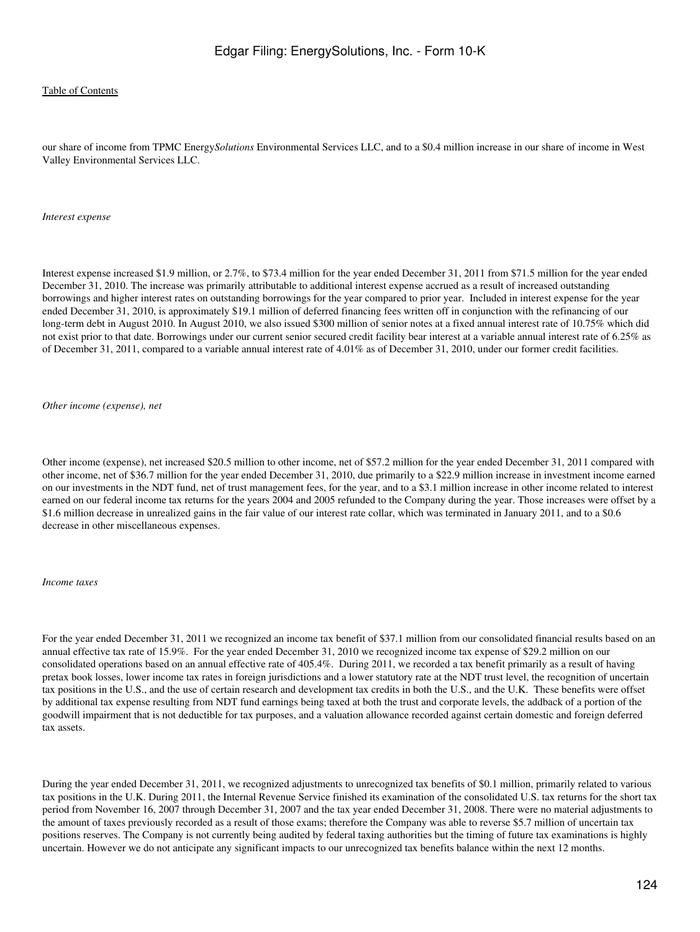our share of income from TPMC Energy*Solutions* Environmental Services LLC, and to a \$0.4 million increase in our share of income in West Valley Environmental Services LLC.

#### *Interest expense*

Interest expense increased \$1.9 million, or 2.7%, to \$73.4 million for the year ended December 31, 2011 from \$71.5 million for the year ended December 31, 2010. The increase was primarily attributable to additional interest expense accrued as a result of increased outstanding borrowings and higher interest rates on outstanding borrowings for the year compared to prior year. Included in interest expense for the year ended December 31, 2010, is approximately \$19.1 million of deferred financing fees written off in conjunction with the refinancing of our long-term debt in August 2010. In August 2010, we also issued \$300 million of senior notes at a fixed annual interest rate of 10.75% which did not exist prior to that date. Borrowings under our current senior secured credit facility bear interest at a variable annual interest rate of 6.25% as of December 31, 2011, compared to a variable annual interest rate of 4.01% as of December 31, 2010, under our former credit facilities.

*Other income (expense), net*

Other income (expense), net increased \$20.5 million to other income, net of \$57.2 million for the year ended December 31, 2011 compared with other income, net of \$36.7 million for the year ended December 31, 2010, due primarily to a \$22.9 million increase in investment income earned on our investments in the NDT fund, net of trust management fees, for the year, and to a \$3.1 million increase in other income related to interest earned on our federal income tax returns for the years 2004 and 2005 refunded to the Company during the year. Those increases were offset by a \$1.6 million decrease in unrealized gains in the fair value of our interest rate collar, which was terminated in January 2011, and to a \$0.6 decrease in other miscellaneous expenses.

#### *Income taxes*

For the year ended December 31, 2011 we recognized an income tax benefit of \$37.1 million from our consolidated financial results based on an annual effective tax rate of 15.9%. For the year ended December 31, 2010 we recognized income tax expense of \$29.2 million on our consolidated operations based on an annual effective rate of 405.4%. During 2011, we recorded a tax benefit primarily as a result of having pretax book losses, lower income tax rates in foreign jurisdictions and a lower statutory rate at the NDT trust level, the recognition of uncertain tax positions in the U.S., and the use of certain research and development tax credits in both the U.S., and the U.K. These benefits were offset by additional tax expense resulting from NDT fund earnings being taxed at both the trust and corporate levels, the addback of a portion of the goodwill impairment that is not deductible for tax purposes, and a valuation allowance recorded against certain domestic and foreign deferred tax assets.

During the year ended December 31, 2011, we recognized adjustments to unrecognized tax benefits of \$0.1 million, primarily related to various tax positions in the U.K. During 2011, the Internal Revenue Service finished its examination of the consolidated U.S. tax returns for the short tax period from November 16, 2007 through December 31, 2007 and the tax year ended December 31, 2008. There were no material adjustments to the amount of taxes previously recorded as a result of those exams; therefore the Company was able to reverse \$5.7 million of uncertain tax positions reserves. The Company is not currently being audited by federal taxing authorities but the timing of future tax examinations is highly uncertain. However we do not anticipate any significant impacts to our unrecognized tax benefits balance within the next 12 months.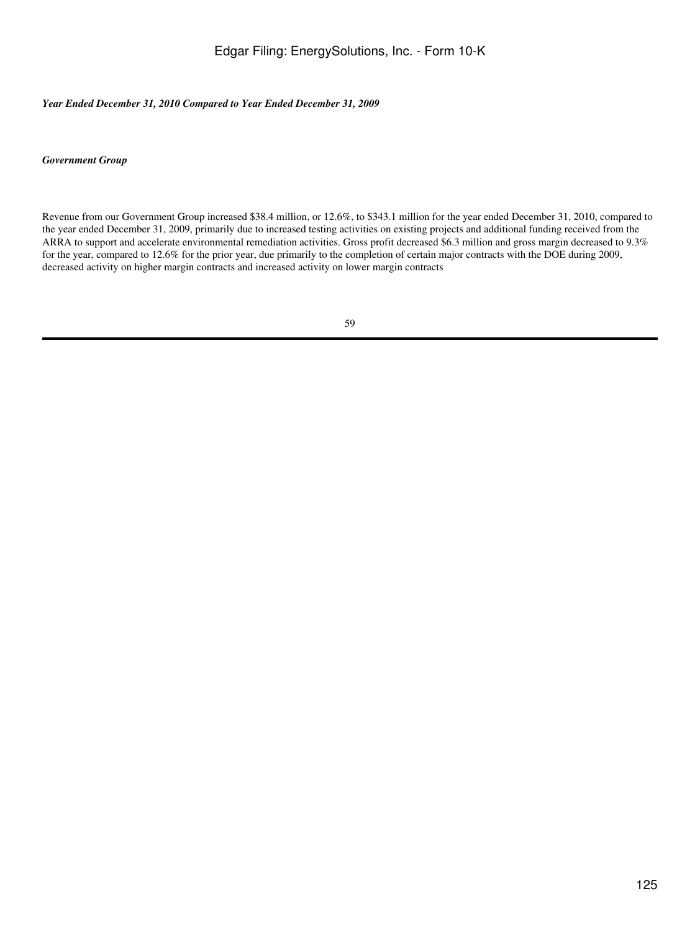## *Year Ended December 31, 2010 Compared to Year Ended December 31, 2009*

#### *Government Group*

Revenue from our Government Group increased \$38.4 million, or 12.6%, to \$343.1 million for the year ended December 31, 2010, compared to the year ended December 31, 2009, primarily due to increased testing activities on existing projects and additional funding received from the ARRA to support and accelerate environmental remediation activities. Gross profit decreased \$6.3 million and gross margin decreased to 9.3% for the year, compared to 12.6% for the prior year, due primarily to the completion of certain major contracts with the DOE during 2009, decreased activity on higher margin contracts and increased activity on lower margin contracts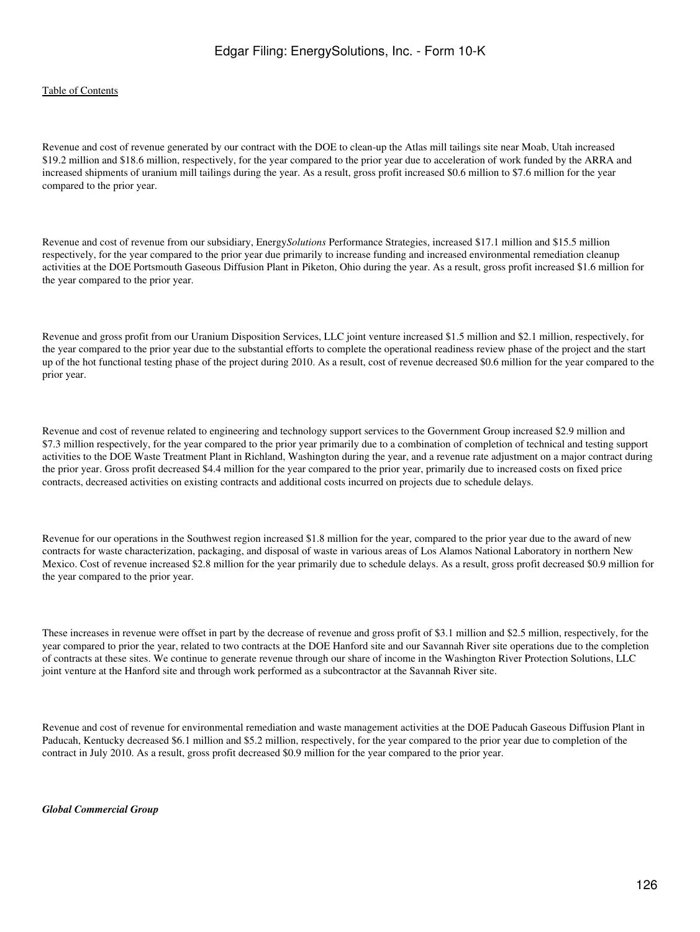Revenue and cost of revenue generated by our contract with the DOE to clean-up the Atlas mill tailings site near Moab, Utah increased \$19.2 million and \$18.6 million, respectively, for the year compared to the prior year due to acceleration of work funded by the ARRA and increased shipments of uranium mill tailings during the year. As a result, gross profit increased \$0.6 million to \$7.6 million for the year compared to the prior year.

Revenue and cost of revenue from our subsidiary, Energy*Solutions* Performance Strategies, increased \$17.1 million and \$15.5 million respectively, for the year compared to the prior year due primarily to increase funding and increased environmental remediation cleanup activities at the DOE Portsmouth Gaseous Diffusion Plant in Piketon, Ohio during the year. As a result, gross profit increased \$1.6 million for the year compared to the prior year.

Revenue and gross profit from our Uranium Disposition Services, LLC joint venture increased \$1.5 million and \$2.1 million, respectively, for the year compared to the prior year due to the substantial efforts to complete the operational readiness review phase of the project and the start up of the hot functional testing phase of the project during 2010. As a result, cost of revenue decreased \$0.6 million for the year compared to the prior year.

Revenue and cost of revenue related to engineering and technology support services to the Government Group increased \$2.9 million and \$7.3 million respectively, for the year compared to the prior year primarily due to a combination of completion of technical and testing support activities to the DOE Waste Treatment Plant in Richland, Washington during the year, and a revenue rate adjustment on a major contract during the prior year. Gross profit decreased \$4.4 million for the year compared to the prior year, primarily due to increased costs on fixed price contracts, decreased activities on existing contracts and additional costs incurred on projects due to schedule delays.

Revenue for our operations in the Southwest region increased \$1.8 million for the year, compared to the prior year due to the award of new contracts for waste characterization, packaging, and disposal of waste in various areas of Los Alamos National Laboratory in northern New Mexico. Cost of revenue increased \$2.8 million for the year primarily due to schedule delays. As a result, gross profit decreased \$0.9 million for the year compared to the prior year.

These increases in revenue were offset in part by the decrease of revenue and gross profit of \$3.1 million and \$2.5 million, respectively, for the year compared to prior the year, related to two contracts at the DOE Hanford site and our Savannah River site operations due to the completion of contracts at these sites. We continue to generate revenue through our share of income in the Washington River Protection Solutions, LLC joint venture at the Hanford site and through work performed as a subcontractor at the Savannah River site.

Revenue and cost of revenue for environmental remediation and waste management activities at the DOE Paducah Gaseous Diffusion Plant in Paducah, Kentucky decreased \$6.1 million and \$5.2 million, respectively, for the year compared to the prior year due to completion of the contract in July 2010. As a result, gross profit decreased \$0.9 million for the year compared to the prior year.

*Global Commercial Group*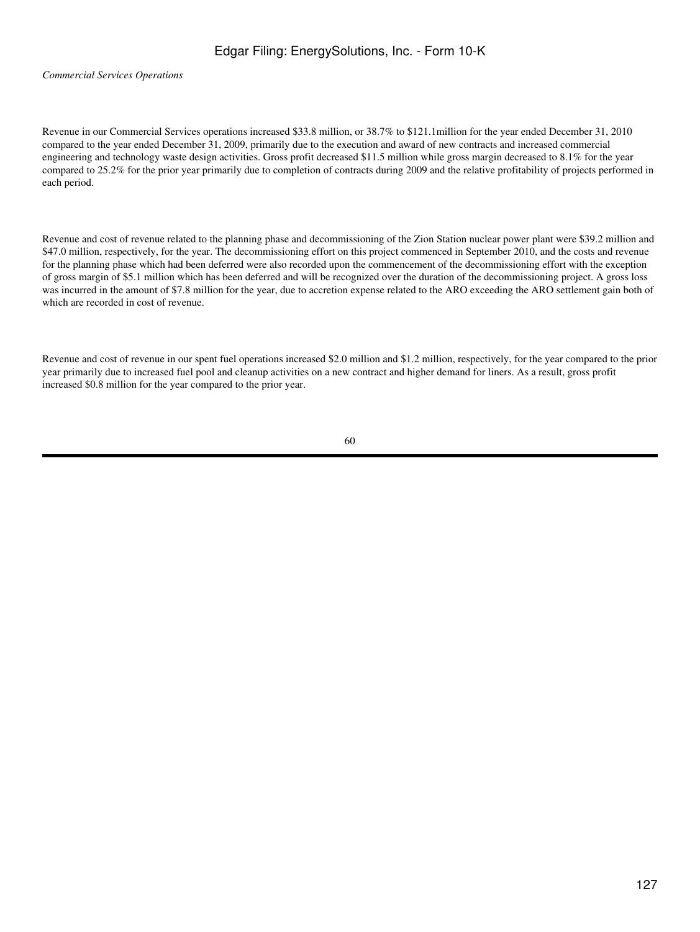#### *Commercial Services Operations*

Revenue in our Commercial Services operations increased \$33.8 million, or 38.7% to \$121.1million for the year ended December 31, 2010 compared to the year ended December 31, 2009, primarily due to the execution and award of new contracts and increased commercial engineering and technology waste design activities. Gross profit decreased \$11.5 million while gross margin decreased to 8.1% for the year compared to 25.2% for the prior year primarily due to completion of contracts during 2009 and the relative profitability of projects performed in each period.

Revenue and cost of revenue related to the planning phase and decommissioning of the Zion Station nuclear power plant were \$39.2 million and \$47.0 million, respectively, for the year. The decommissioning effort on this project commenced in September 2010, and the costs and revenue for the planning phase which had been deferred were also recorded upon the commencement of the decommissioning effort with the exception of gross margin of \$5.1 million which has been deferred and will be recognized over the duration of the decommissioning project. A gross loss was incurred in the amount of \$7.8 million for the year, due to accretion expense related to the ARO exceeding the ARO settlement gain both of which are recorded in cost of revenue.

Revenue and cost of revenue in our spent fuel operations increased \$2.0 million and \$1.2 million, respectively, for the year compared to the prior year primarily due to increased fuel pool and cleanup activities on a new contract and higher demand for liners. As a result, gross profit increased \$0.8 million for the year compared to the prior year.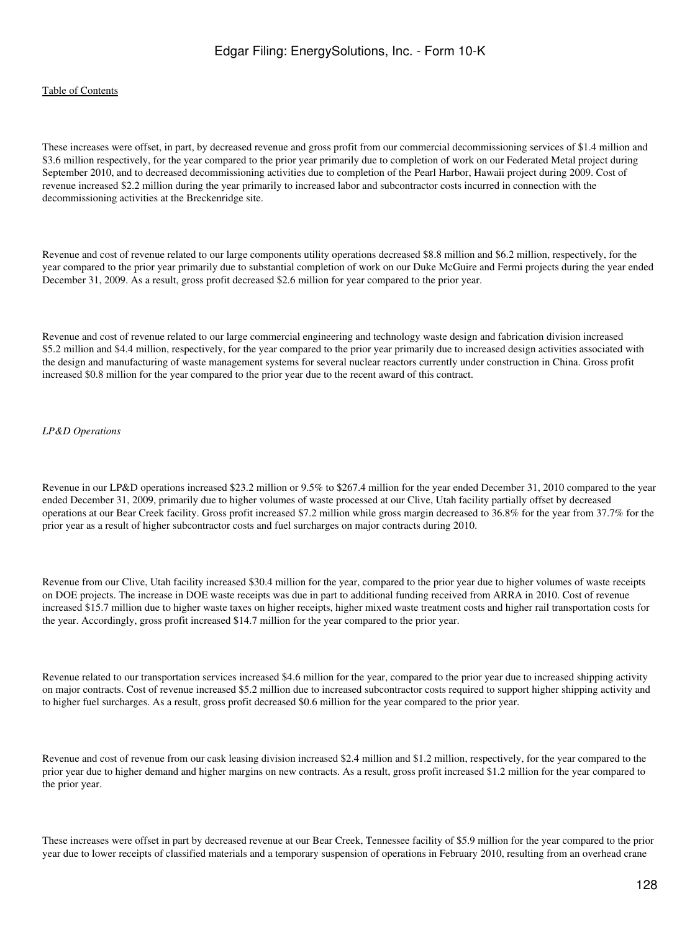These increases were offset, in part, by decreased revenue and gross profit from our commercial decommissioning services of \$1.4 million and \$3.6 million respectively, for the year compared to the prior year primarily due to completion of work on our Federated Metal project during September 2010, and to decreased decommissioning activities due to completion of the Pearl Harbor, Hawaii project during 2009. Cost of revenue increased \$2.2 million during the year primarily to increased labor and subcontractor costs incurred in connection with the decommissioning activities at the Breckenridge site.

Revenue and cost of revenue related to our large components utility operations decreased \$8.8 million and \$6.2 million, respectively, for the year compared to the prior year primarily due to substantial completion of work on our Duke McGuire and Fermi projects during the year ended December 31, 2009. As a result, gross profit decreased \$2.6 million for year compared to the prior year.

Revenue and cost of revenue related to our large commercial engineering and technology waste design and fabrication division increased \$5.2 million and \$4.4 million, respectively, for the year compared to the prior year primarily due to increased design activities associated with the design and manufacturing of waste management systems for several nuclear reactors currently under construction in China. Gross profit increased \$0.8 million for the year compared to the prior year due to the recent award of this contract.

#### *LP&D Operations*

Revenue in our LP&D operations increased \$23.2 million or 9.5% to \$267.4 million for the year ended December 31, 2010 compared to the year ended December 31, 2009, primarily due to higher volumes of waste processed at our Clive, Utah facility partially offset by decreased operations at our Bear Creek facility. Gross profit increased \$7.2 million while gross margin decreased to 36.8% for the year from 37.7% for the prior year as a result of higher subcontractor costs and fuel surcharges on major contracts during 2010.

Revenue from our Clive, Utah facility increased \$30.4 million for the year, compared to the prior year due to higher volumes of waste receipts on DOE projects. The increase in DOE waste receipts was due in part to additional funding received from ARRA in 2010. Cost of revenue increased \$15.7 million due to higher waste taxes on higher receipts, higher mixed waste treatment costs and higher rail transportation costs for the year. Accordingly, gross profit increased \$14.7 million for the year compared to the prior year.

Revenue related to our transportation services increased \$4.6 million for the year, compared to the prior year due to increased shipping activity on major contracts. Cost of revenue increased \$5.2 million due to increased subcontractor costs required to support higher shipping activity and to higher fuel surcharges. As a result, gross profit decreased \$0.6 million for the year compared to the prior year.

Revenue and cost of revenue from our cask leasing division increased \$2.4 million and \$1.2 million, respectively, for the year compared to the prior year due to higher demand and higher margins on new contracts. As a result, gross profit increased \$1.2 million for the year compared to the prior year.

These increases were offset in part by decreased revenue at our Bear Creek, Tennessee facility of \$5.9 million for the year compared to the prior year due to lower receipts of classified materials and a temporary suspension of operations in February 2010, resulting from an overhead crane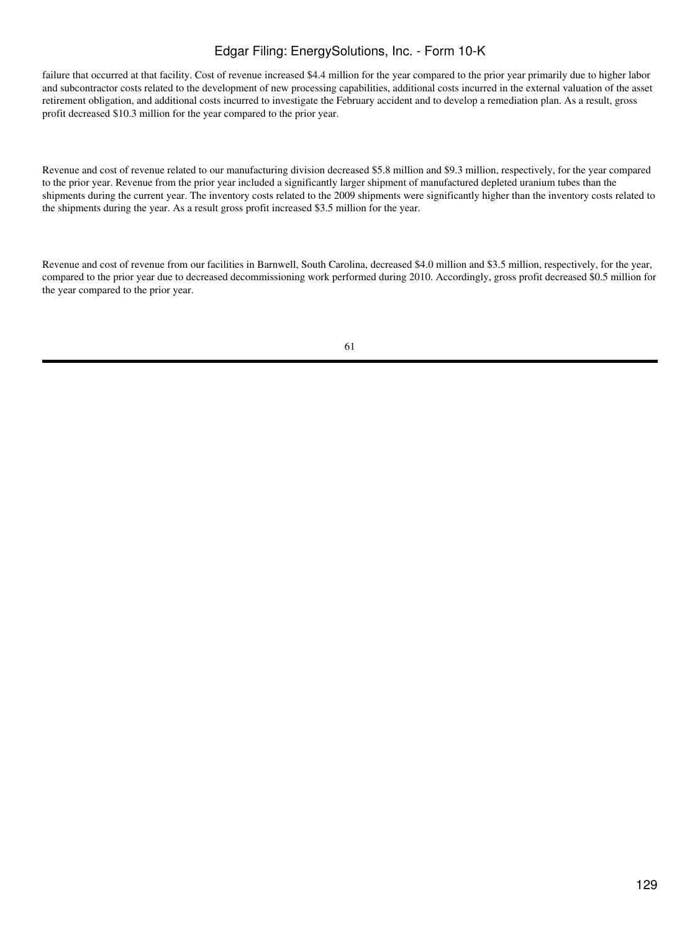failure that occurred at that facility. Cost of revenue increased \$4.4 million for the year compared to the prior year primarily due to higher labor and subcontractor costs related to the development of new processing capabilities, additional costs incurred in the external valuation of the asset retirement obligation, and additional costs incurred to investigate the February accident and to develop a remediation plan. As a result, gross profit decreased \$10.3 million for the year compared to the prior year.

Revenue and cost of revenue related to our manufacturing division decreased \$5.8 million and \$9.3 million, respectively, for the year compared to the prior year. Revenue from the prior year included a significantly larger shipment of manufactured depleted uranium tubes than the shipments during the current year. The inventory costs related to the 2009 shipments were significantly higher than the inventory costs related to the shipments during the year. As a result gross profit increased \$3.5 million for the year.

Revenue and cost of revenue from our facilities in Barnwell, South Carolina, decreased \$4.0 million and \$3.5 million, respectively, for the year, compared to the prior year due to decreased decommissioning work performed during 2010. Accordingly, gross profit decreased \$0.5 million for the year compared to the prior year.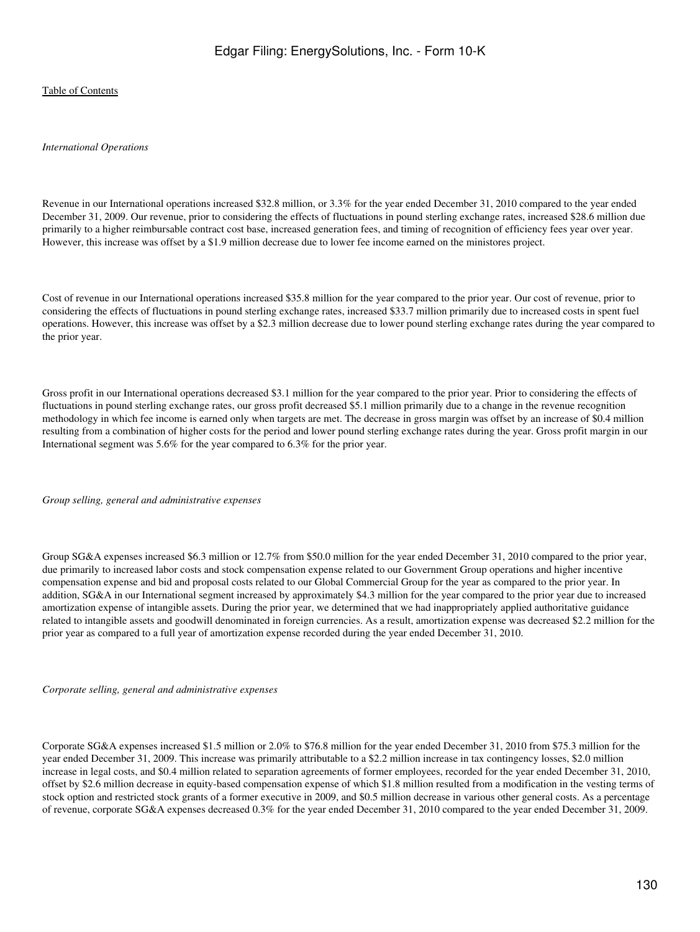#### *International Operations*

Revenue in our International operations increased \$32.8 million, or 3.3% for the year ended December 31, 2010 compared to the year ended December 31, 2009. Our revenue, prior to considering the effects of fluctuations in pound sterling exchange rates, increased \$28.6 million due primarily to a higher reimbursable contract cost base, increased generation fees, and timing of recognition of efficiency fees year over year. However, this increase was offset by a \$1.9 million decrease due to lower fee income earned on the ministores project.

Cost of revenue in our International operations increased \$35.8 million for the year compared to the prior year. Our cost of revenue, prior to considering the effects of fluctuations in pound sterling exchange rates, increased \$33.7 million primarily due to increased costs in spent fuel operations. However, this increase was offset by a \$2.3 million decrease due to lower pound sterling exchange rates during the year compared to the prior year.

Gross profit in our International operations decreased \$3.1 million for the year compared to the prior year. Prior to considering the effects of fluctuations in pound sterling exchange rates, our gross profit decreased \$5.1 million primarily due to a change in the revenue recognition methodology in which fee income is earned only when targets are met. The decrease in gross margin was offset by an increase of \$0.4 million resulting from a combination of higher costs for the period and lower pound sterling exchange rates during the year. Gross profit margin in our International segment was 5.6% for the year compared to 6.3% for the prior year.

*Group selling, general and administrative expenses*

Group SG&A expenses increased \$6.3 million or 12.7% from \$50.0 million for the year ended December 31, 2010 compared to the prior year, due primarily to increased labor costs and stock compensation expense related to our Government Group operations and higher incentive compensation expense and bid and proposal costs related to our Global Commercial Group for the year as compared to the prior year. In addition, SG&A in our International segment increased by approximately \$4.3 million for the year compared to the prior year due to increased amortization expense of intangible assets. During the prior year, we determined that we had inappropriately applied authoritative guidance related to intangible assets and goodwill denominated in foreign currencies. As a result, amortization expense was decreased \$2.2 million for the prior year as compared to a full year of amortization expense recorded during the year ended December 31, 2010.

*Corporate selling, general and administrative expenses*

Corporate SG&A expenses increased \$1.5 million or 2.0% to \$76.8 million for the year ended December 31, 2010 from \$75.3 million for the year ended December 31, 2009. This increase was primarily attributable to a \$2.2 million increase in tax contingency losses, \$2.0 million increase in legal costs, and \$0.4 million related to separation agreements of former employees, recorded for the year ended December 31, 2010, offset by \$2.6 million decrease in equity-based compensation expense of which \$1.8 million resulted from a modification in the vesting terms of stock option and restricted stock grants of a former executive in 2009, and \$0.5 million decrease in various other general costs. As a percentage of revenue, corporate SG&A expenses decreased 0.3% for the year ended December 31, 2010 compared to the year ended December 31, 2009.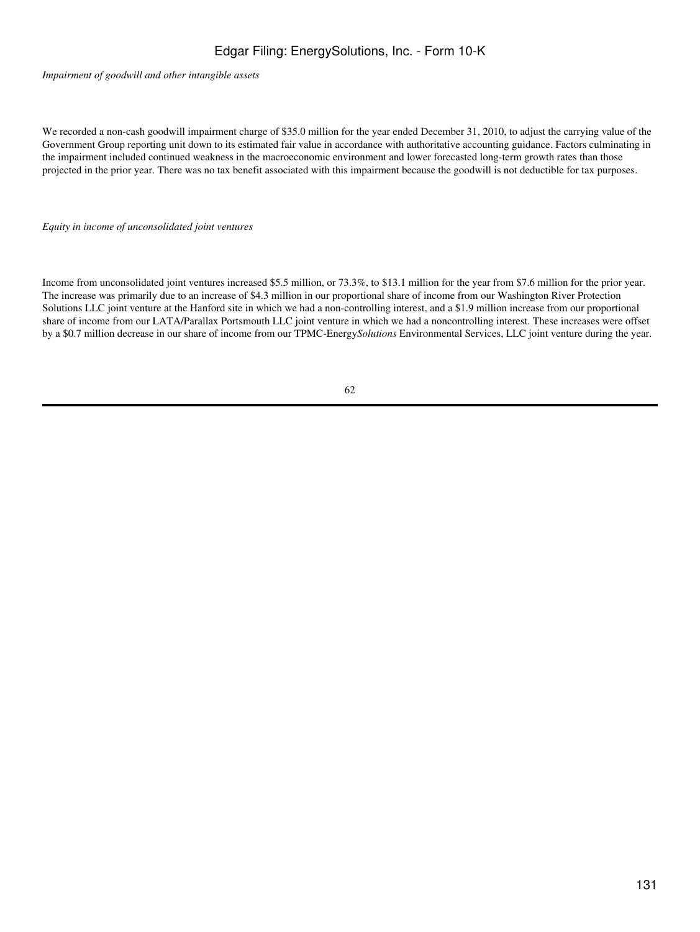*Impairment of goodwill and other intangible assets*

We recorded a non-cash goodwill impairment charge of \$35.0 million for the year ended December 31, 2010, to adjust the carrying value of the Government Group reporting unit down to its estimated fair value in accordance with authoritative accounting guidance. Factors culminating in the impairment included continued weakness in the macroeconomic environment and lower forecasted long-term growth rates than those projected in the prior year. There was no tax benefit associated with this impairment because the goodwill is not deductible for tax purposes.

*Equity in income of unconsolidated joint ventures*

Income from unconsolidated joint ventures increased \$5.5 million, or 73.3%, to \$13.1 million for the year from \$7.6 million for the prior year. The increase was primarily due to an increase of \$4.3 million in our proportional share of income from our Washington River Protection Solutions LLC joint venture at the Hanford site in which we had a non-controlling interest, and a \$1.9 million increase from our proportional share of income from our LATA/Parallax Portsmouth LLC joint venture in which we had a noncontrolling interest. These increases were offset by a \$0.7 million decrease in our share of income from our TPMC-Energy*Solutions* Environmental Services, LLC joint venture during the year.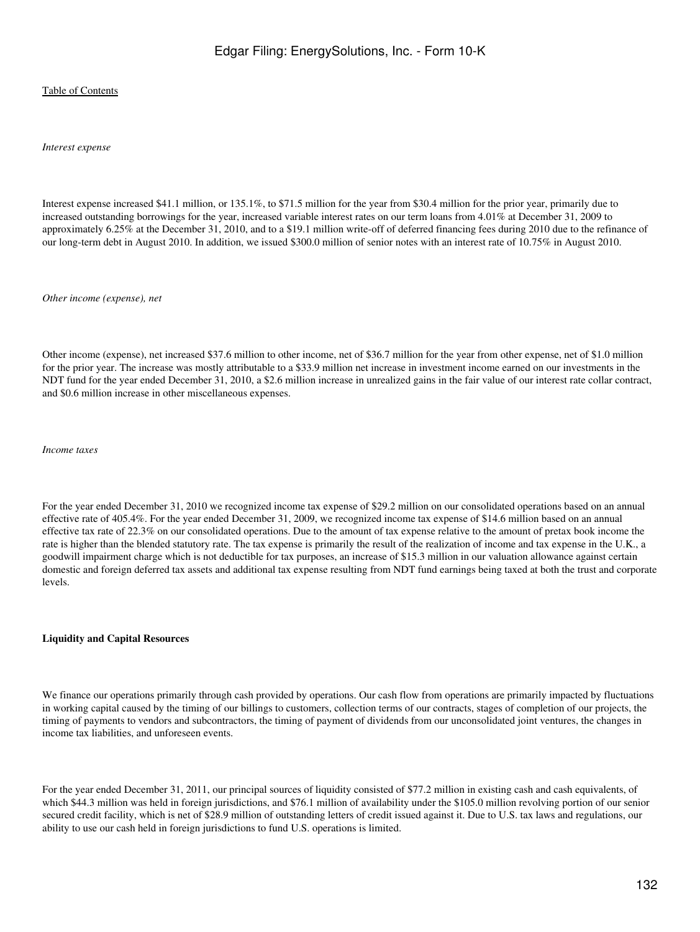*Interest expense*

Interest expense increased \$41.1 million, or 135.1%, to \$71.5 million for the year from \$30.4 million for the prior year, primarily due to increased outstanding borrowings for the year, increased variable interest rates on our term loans from 4.01% at December 31, 2009 to approximately 6.25% at the December 31, 2010, and to a \$19.1 million write-off of deferred financing fees during 2010 due to the refinance of our long-term debt in August 2010. In addition, we issued \$300.0 million of senior notes with an interest rate of 10.75% in August 2010.

*Other income (expense), net*

Other income (expense), net increased \$37.6 million to other income, net of \$36.7 million for the year from other expense, net of \$1.0 million for the prior year. The increase was mostly attributable to a \$33.9 million net increase in investment income earned on our investments in the NDT fund for the year ended December 31, 2010, a \$2.6 million increase in unrealized gains in the fair value of our interest rate collar contract, and \$0.6 million increase in other miscellaneous expenses.

*Income taxes*

For the year ended December 31, 2010 we recognized income tax expense of \$29.2 million on our consolidated operations based on an annual effective rate of 405.4%. For the year ended December 31, 2009, we recognized income tax expense of \$14.6 million based on an annual effective tax rate of 22.3% on our consolidated operations. Due to the amount of tax expense relative to the amount of pretax book income the rate is higher than the blended statutory rate. The tax expense is primarily the result of the realization of income and tax expense in the U.K., a goodwill impairment charge which is not deductible for tax purposes, an increase of \$15.3 million in our valuation allowance against certain domestic and foreign deferred tax assets and additional tax expense resulting from NDT fund earnings being taxed at both the trust and corporate levels.

#### **Liquidity and Capital Resources**

We finance our operations primarily through cash provided by operations. Our cash flow from operations are primarily impacted by fluctuations in working capital caused by the timing of our billings to customers, collection terms of our contracts, stages of completion of our projects, the timing of payments to vendors and subcontractors, the timing of payment of dividends from our unconsolidated joint ventures, the changes in income tax liabilities, and unforeseen events.

For the year ended December 31, 2011, our principal sources of liquidity consisted of \$77.2 million in existing cash and cash equivalents, of which \$44.3 million was held in foreign jurisdictions, and \$76.1 million of availability under the \$105.0 million revolving portion of our senior secured credit facility, which is net of \$28.9 million of outstanding letters of credit issued against it. Due to U.S. tax laws and regulations, our ability to use our cash held in foreign jurisdictions to fund U.S. operations is limited.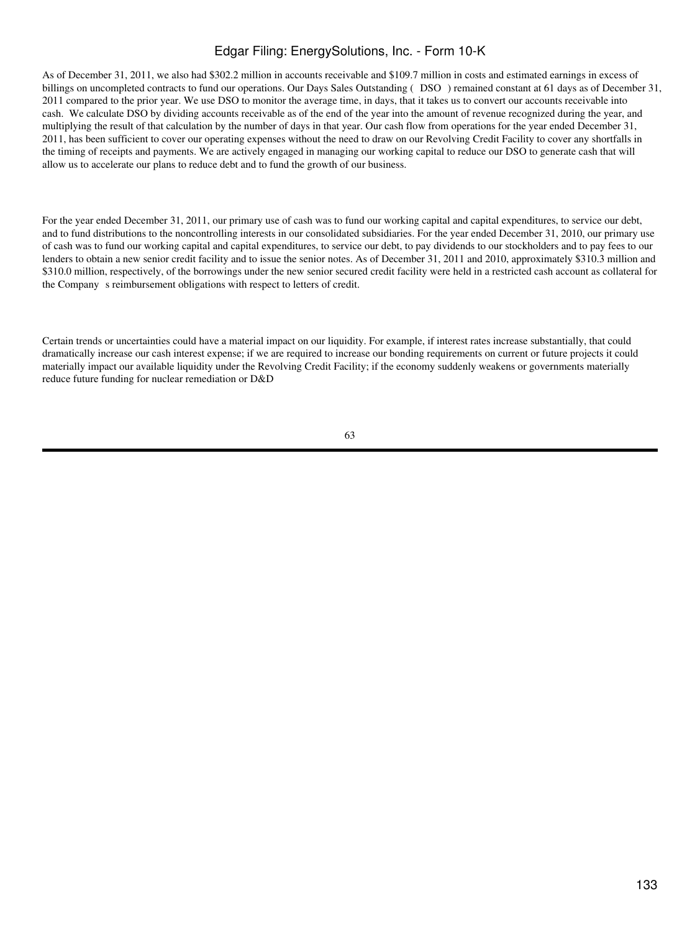As of December 31, 2011, we also had \$302.2 million in accounts receivable and \$109.7 million in costs and estimated earnings in excess of billings on uncompleted contracts to fund our operations. Our Days Sales Outstanding (DSO) remained constant at 61 days as of December 31, 2011 compared to the prior year. We use DSO to monitor the average time, in days, that it takes us to convert our accounts receivable into cash. We calculate DSO by dividing accounts receivable as of the end of the year into the amount of revenue recognized during the year, and multiplying the result of that calculation by the number of days in that year. Our cash flow from operations for the year ended December 31, 2011, has been sufficient to cover our operating expenses without the need to draw on our Revolving Credit Facility to cover any shortfalls in the timing of receipts and payments. We are actively engaged in managing our working capital to reduce our DSO to generate cash that will allow us to accelerate our plans to reduce debt and to fund the growth of our business.

For the year ended December 31, 2011, our primary use of cash was to fund our working capital and capital expenditures, to service our debt, and to fund distributions to the noncontrolling interests in our consolidated subsidiaries. For the year ended December 31, 2010, our primary use of cash was to fund our working capital and capital expenditures, to service our debt, to pay dividends to our stockholders and to pay fees to our lenders to obtain a new senior credit facility and to issue the senior notes. As of December 31, 2011 and 2010, approximately \$310.3 million and \$310.0 million, respectively, of the borrowings under the new senior secured credit facility were held in a restricted cash account as collateral for the Company s reimbursement obligations with respect to letters of credit.

Certain trends or uncertainties could have a material impact on our liquidity. For example, if interest rates increase substantially, that could dramatically increase our cash interest expense; if we are required to increase our bonding requirements on current or future projects it could materially impact our available liquidity under the Revolving Credit Facility; if the economy suddenly weakens or governments materially reduce future funding for nuclear remediation or D&D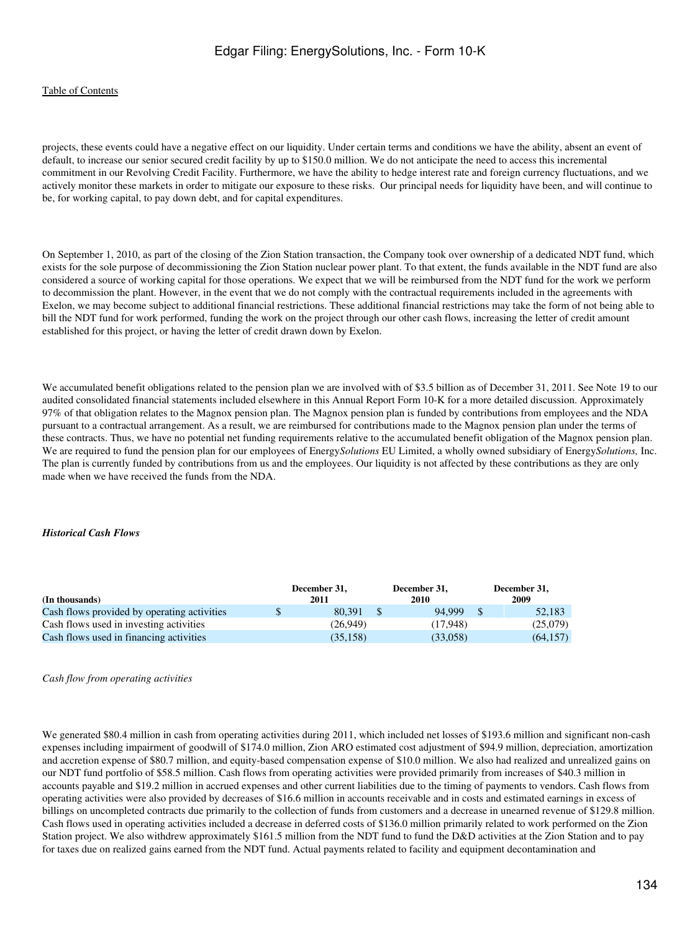## [Table of Contents](#page-3-0)

projects, these events could have a negative effect on our liquidity. Under certain terms and conditions we have the ability, absent an event of default, to increase our senior secured credit facility by up to \$150.0 million. We do not anticipate the need to access this incremental commitment in our Revolving Credit Facility. Furthermore, we have the ability to hedge interest rate and foreign currency fluctuations, and we actively monitor these markets in order to mitigate our exposure to these risks. Our principal needs for liquidity have been, and will continue to be, for working capital, to pay down debt, and for capital expenditures.

On September 1, 2010, as part of the closing of the Zion Station transaction, the Company took over ownership of a dedicated NDT fund, which exists for the sole purpose of decommissioning the Zion Station nuclear power plant. To that extent, the funds available in the NDT fund are also considered a source of working capital for those operations. We expect that we will be reimbursed from the NDT fund for the work we perform to decommission the plant. However, in the event that we do not comply with the contractual requirements included in the agreements with Exelon, we may become subject to additional financial restrictions. These additional financial restrictions may take the form of not being able to bill the NDT fund for work performed, funding the work on the project through our other cash flows, increasing the letter of credit amount established for this project, or having the letter of credit drawn down by Exelon.

We accumulated benefit obligations related to the pension plan we are involved with of \$3.5 billion as of December 31, 2011. See Note 19 to our audited consolidated financial statements included elsewhere in this Annual Report Form 10-K for a more detailed discussion. Approximately 97% of that obligation relates to the Magnox pension plan. The Magnox pension plan is funded by contributions from employees and the NDA pursuant to a contractual arrangement. As a result, we are reimbursed for contributions made to the Magnox pension plan under the terms of these contracts. Thus, we have no potential net funding requirements relative to the accumulated benefit obligation of the Magnox pension plan. We are required to fund the pension plan for our employees of Energy*Solutions* EU Limited, a wholly owned subsidiary of Energy*Solutions,* Inc. The plan is currently funded by contributions from us and the employees. Our liquidity is not affected by these contributions as they are only made when we have received the funds from the NDA.

## *Historical Cash Flows*

| (In thousands)                              |  | December 31,<br>2011 | December 31,<br>2010 |          |      | December 31,<br>2009 |  |  |
|---------------------------------------------|--|----------------------|----------------------|----------|------|----------------------|--|--|
| Cash flows provided by operating activities |  | 80.391               | - \$                 | 94.999   | - \$ | 52.183               |  |  |
| Cash flows used in investing activities     |  | (26.949)             |                      | (17.948) |      | (25,079)             |  |  |
| Cash flows used in financing activities     |  | (35.158)             |                      | (33,058) |      | (64, 157)            |  |  |

#### *Cash flow from operating activities*

We generated \$80.4 million in cash from operating activities during 2011, which included net losses of \$193.6 million and significant non-cash expenses including impairment of goodwill of \$174.0 million, Zion ARO estimated cost adjustment of \$94.9 million, depreciation, amortization and accretion expense of \$80.7 million, and equity-based compensation expense of \$10.0 million. We also had realized and unrealized gains on our NDT fund portfolio of \$58.5 million. Cash flows from operating activities were provided primarily from increases of \$40.3 million in accounts payable and \$19.2 million in accrued expenses and other current liabilities due to the timing of payments to vendors. Cash flows from operating activities were also provided by decreases of \$16.6 million in accounts receivable and in costs and estimated earnings in excess of billings on uncompleted contracts due primarily to the collection of funds from customers and a decrease in unearned revenue of \$129.8 million. Cash flows used in operating activities included a decrease in deferred costs of \$136.0 million primarily related to work performed on the Zion Station project. We also withdrew approximately \$161.5 million from the NDT fund to fund the D&D activities at the Zion Station and to pay for taxes due on realized gains earned from the NDT fund. Actual payments related to facility and equipment decontamination and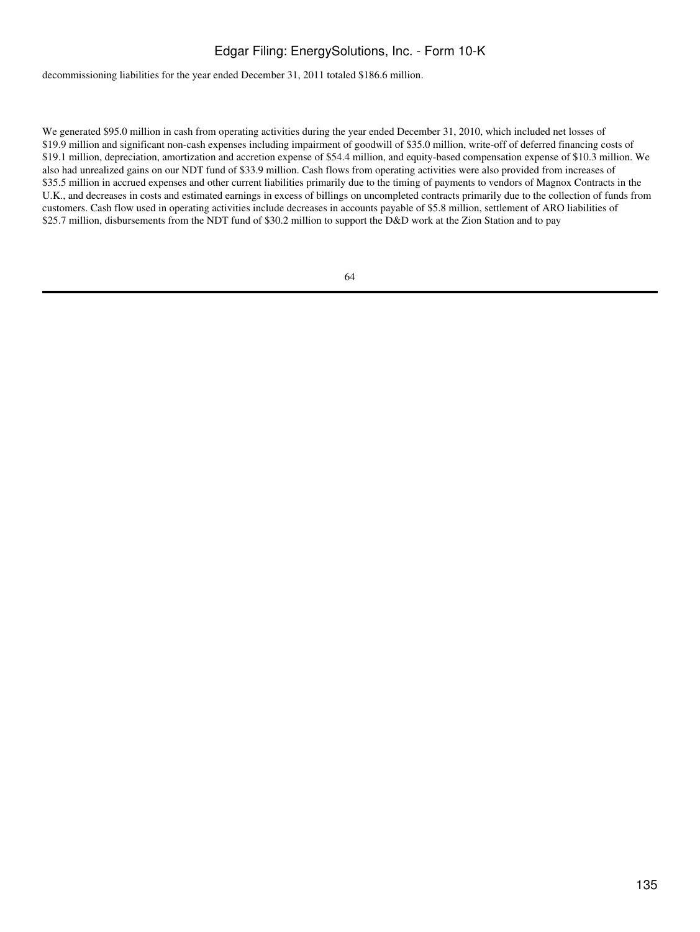decommissioning liabilities for the year ended December 31, 2011 totaled \$186.6 million.

We generated \$95.0 million in cash from operating activities during the year ended December 31, 2010, which included net losses of \$19.9 million and significant non-cash expenses including impairment of goodwill of \$35.0 million, write-off of deferred financing costs of \$19.1 million, depreciation, amortization and accretion expense of \$54.4 million, and equity-based compensation expense of \$10.3 million. We also had unrealized gains on our NDT fund of \$33.9 million. Cash flows from operating activities were also provided from increases of \$35.5 million in accrued expenses and other current liabilities primarily due to the timing of payments to vendors of Magnox Contracts in the U.K., and decreases in costs and estimated earnings in excess of billings on uncompleted contracts primarily due to the collection of funds from customers. Cash flow used in operating activities include decreases in accounts payable of \$5.8 million, settlement of ARO liabilities of \$25.7 million, disbursements from the NDT fund of \$30.2 million to support the D&D work at the Zion Station and to pay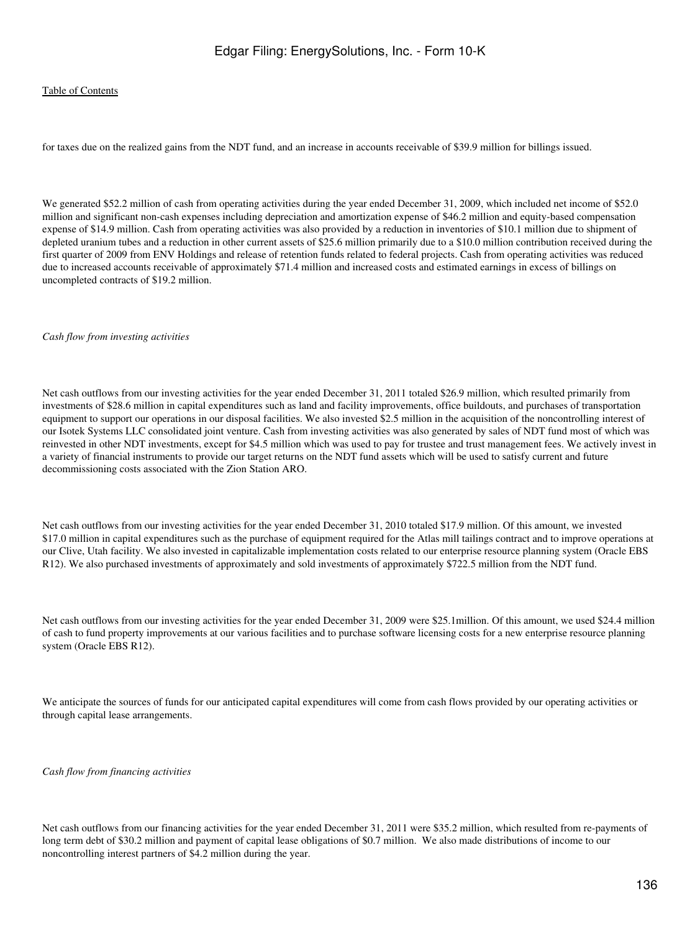for taxes due on the realized gains from the NDT fund, and an increase in accounts receivable of \$39.9 million for billings issued.

We generated \$52.2 million of cash from operating activities during the year ended December 31, 2009, which included net income of \$52.0 million and significant non-cash expenses including depreciation and amortization expense of \$46.2 million and equity-based compensation expense of \$14.9 million. Cash from operating activities was also provided by a reduction in inventories of \$10.1 million due to shipment of depleted uranium tubes and a reduction in other current assets of \$25.6 million primarily due to a \$10.0 million contribution received during the first quarter of 2009 from ENV Holdings and release of retention funds related to federal projects. Cash from operating activities was reduced due to increased accounts receivable of approximately \$71.4 million and increased costs and estimated earnings in excess of billings on uncompleted contracts of \$19.2 million.

*Cash flow from investing activities*

Net cash outflows from our investing activities for the year ended December 31, 2011 totaled \$26.9 million, which resulted primarily from investments of \$28.6 million in capital expenditures such as land and facility improvements, office buildouts, and purchases of transportation equipment to support our operations in our disposal facilities. We also invested \$2.5 million in the acquisition of the noncontrolling interest of our Isotek Systems LLC consolidated joint venture. Cash from investing activities was also generated by sales of NDT fund most of which was reinvested in other NDT investments, except for \$4.5 million which was used to pay for trustee and trust management fees. We actively invest in a variety of financial instruments to provide our target returns on the NDT fund assets which will be used to satisfy current and future decommissioning costs associated with the Zion Station ARO.

Net cash outflows from our investing activities for the year ended December 31, 2010 totaled \$17.9 million. Of this amount, we invested \$17.0 million in capital expenditures such as the purchase of equipment required for the Atlas mill tailings contract and to improve operations at our Clive, Utah facility. We also invested in capitalizable implementation costs related to our enterprise resource planning system (Oracle EBS R12). We also purchased investments of approximately and sold investments of approximately \$722.5 million from the NDT fund.

Net cash outflows from our investing activities for the year ended December 31, 2009 were \$25.1million. Of this amount, we used \$24.4 million of cash to fund property improvements at our various facilities and to purchase software licensing costs for a new enterprise resource planning system (Oracle EBS R12).

We anticipate the sources of funds for our anticipated capital expenditures will come from cash flows provided by our operating activities or through capital lease arrangements.

*Cash flow from financing activities*

Net cash outflows from our financing activities for the year ended December 31, 2011 were \$35.2 million, which resulted from re-payments of long term debt of \$30.2 million and payment of capital lease obligations of \$0.7 million. We also made distributions of income to our noncontrolling interest partners of \$4.2 million during the year.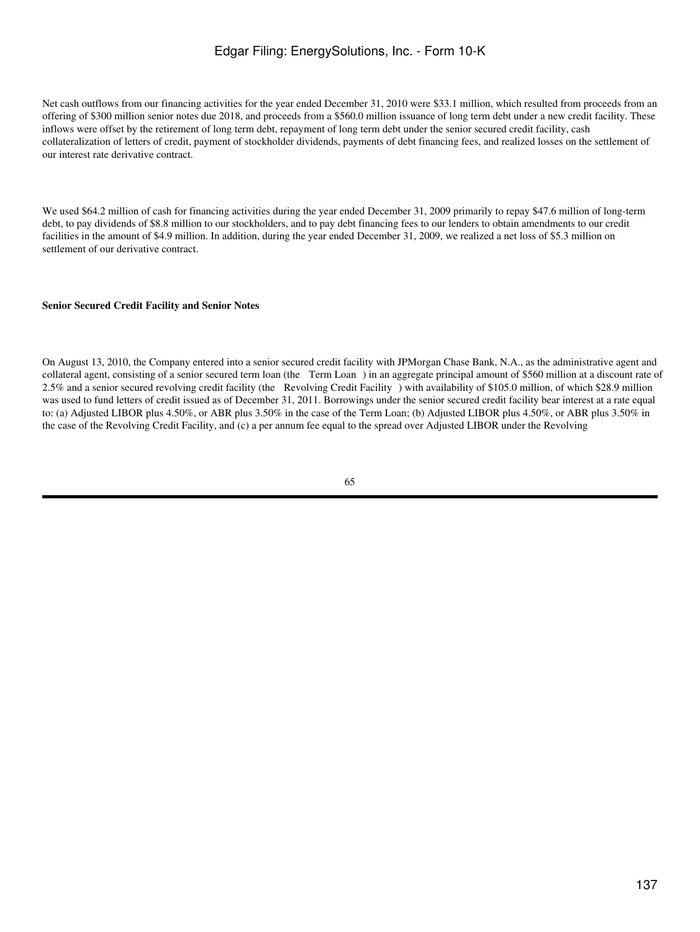Net cash outflows from our financing activities for the year ended December 31, 2010 were \$33.1 million, which resulted from proceeds from an offering of \$300 million senior notes due 2018, and proceeds from a \$560.0 million issuance of long term debt under a new credit facility. These inflows were offset by the retirement of long term debt, repayment of long term debt under the senior secured credit facility, cash collateralization of letters of credit, payment of stockholder dividends, payments of debt financing fees, and realized losses on the settlement of our interest rate derivative contract.

We used \$64.2 million of cash for financing activities during the year ended December 31, 2009 primarily to repay \$47.6 million of long-term debt, to pay dividends of \$8.8 million to our stockholders, and to pay debt financing fees to our lenders to obtain amendments to our credit facilities in the amount of \$4.9 million. In addition, during the year ended December 31, 2009, we realized a net loss of \$5.3 million on settlement of our derivative contract.

#### **Senior Secured Credit Facility and Senior Notes**

On August 13, 2010, the Company entered into a senior secured credit facility with JPMorgan Chase Bank, N.A., as the administrative agent and collateral agent, consisting of a senior secured term loan (the Term Loan) in an aggregate principal amount of \$560 million at a discount rate of 2.5% and a senior secured revolving credit facility (the Revolving Credit Facility) with availability of \$105.0 million, of which \$28.9 million was used to fund letters of credit issued as of December 31, 2011. Borrowings under the senior secured credit facility bear interest at a rate equal to: (a) Adjusted LIBOR plus 4.50%, or ABR plus 3.50% in the case of the Term Loan; (b) Adjusted LIBOR plus 4.50%, or ABR plus 3.50% in the case of the Revolving Credit Facility, and (c) a per annum fee equal to the spread over Adjusted LIBOR under the Revolving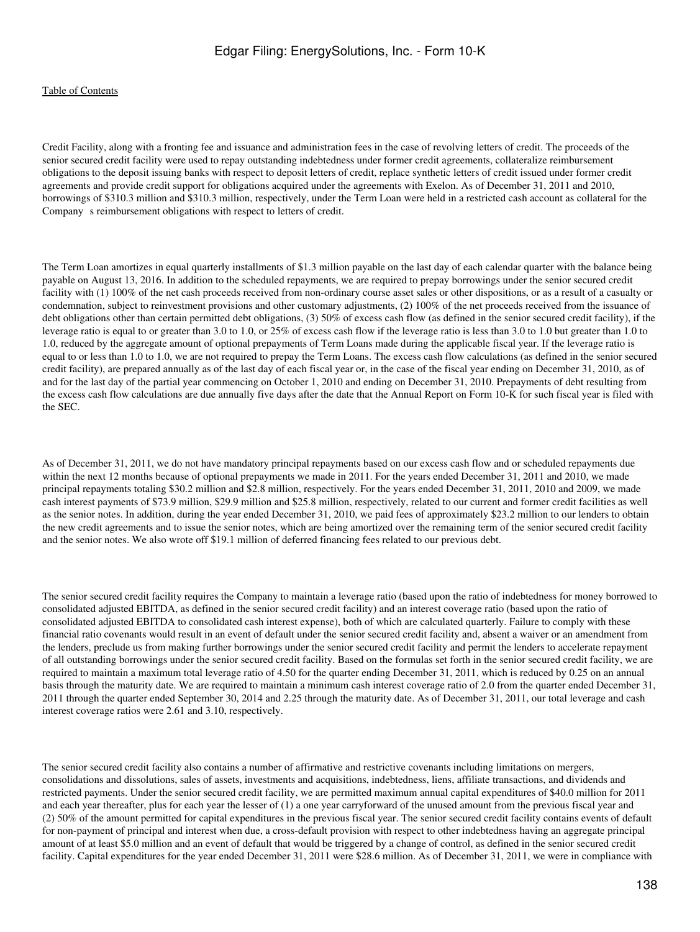Credit Facility, along with a fronting fee and issuance and administration fees in the case of revolving letters of credit. The proceeds of the senior secured credit facility were used to repay outstanding indebtedness under former credit agreements, collateralize reimbursement obligations to the deposit issuing banks with respect to deposit letters of credit, replace synthetic letters of credit issued under former credit agreements and provide credit support for obligations acquired under the agreements with Exelon. As of December 31, 2011 and 2010, borrowings of \$310.3 million and \$310.3 million, respectively, under the Term Loan were held in a restricted cash account as collateral for the Company s reimbursement obligations with respect to letters of credit.

The Term Loan amortizes in equal quarterly installments of \$1.3 million payable on the last day of each calendar quarter with the balance being payable on August 13, 2016. In addition to the scheduled repayments, we are required to prepay borrowings under the senior secured credit facility with (1) 100% of the net cash proceeds received from non-ordinary course asset sales or other dispositions, or as a result of a casualty or condemnation, subject to reinvestment provisions and other customary adjustments, (2) 100% of the net proceeds received from the issuance of debt obligations other than certain permitted debt obligations, (3) 50% of excess cash flow (as defined in the senior secured credit facility), if the leverage ratio is equal to or greater than 3.0 to 1.0, or 25% of excess cash flow if the leverage ratio is less than 3.0 to 1.0 but greater than 1.0 to 1.0, reduced by the aggregate amount of optional prepayments of Term Loans made during the applicable fiscal year. If the leverage ratio is equal to or less than 1.0 to 1.0, we are not required to prepay the Term Loans. The excess cash flow calculations (as defined in the senior secured credit facility), are prepared annually as of the last day of each fiscal year or, in the case of the fiscal year ending on December 31, 2010, as of and for the last day of the partial year commencing on October 1, 2010 and ending on December 31, 2010. Prepayments of debt resulting from the excess cash flow calculations are due annually five days after the date that the Annual Report on Form 10-K for such fiscal year is filed with the SEC.

As of December 31, 2011, we do not have mandatory principal repayments based on our excess cash flow and or scheduled repayments due within the next 12 months because of optional prepayments we made in 2011. For the years ended December 31, 2011 and 2010, we made principal repayments totaling \$30.2 million and \$2.8 million, respectively. For the years ended December 31, 2011, 2010 and 2009, we made cash interest payments of \$73.9 million, \$29.9 million and \$25.8 million, respectively, related to our current and former credit facilities as well as the senior notes. In addition, during the year ended December 31, 2010, we paid fees of approximately \$23.2 million to our lenders to obtain the new credit agreements and to issue the senior notes, which are being amortized over the remaining term of the senior secured credit facility and the senior notes. We also wrote off \$19.1 million of deferred financing fees related to our previous debt.

The senior secured credit facility requires the Company to maintain a leverage ratio (based upon the ratio of indebtedness for money borrowed to consolidated adjusted EBITDA, as defined in the senior secured credit facility) and an interest coverage ratio (based upon the ratio of consolidated adjusted EBITDA to consolidated cash interest expense), both of which are calculated quarterly. Failure to comply with these financial ratio covenants would result in an event of default under the senior secured credit facility and, absent a waiver or an amendment from the lenders, preclude us from making further borrowings under the senior secured credit facility and permit the lenders to accelerate repayment of all outstanding borrowings under the senior secured credit facility. Based on the formulas set forth in the senior secured credit facility, we are required to maintain a maximum total leverage ratio of 4.50 for the quarter ending December 31, 2011, which is reduced by 0.25 on an annual basis through the maturity date. We are required to maintain a minimum cash interest coverage ratio of 2.0 from the quarter ended December 31, 2011 through the quarter ended September 30, 2014 and 2.25 through the maturity date. As of December 31, 2011, our total leverage and cash interest coverage ratios were 2.61 and 3.10, respectively.

The senior secured credit facility also contains a number of affirmative and restrictive covenants including limitations on mergers, consolidations and dissolutions, sales of assets, investments and acquisitions, indebtedness, liens, affiliate transactions, and dividends and restricted payments. Under the senior secured credit facility, we are permitted maximum annual capital expenditures of \$40.0 million for 2011 and each year thereafter, plus for each year the lesser of (1) a one year carryforward of the unused amount from the previous fiscal year and (2) 50% of the amount permitted for capital expenditures in the previous fiscal year. The senior secured credit facility contains events of default for non-payment of principal and interest when due, a cross-default provision with respect to other indebtedness having an aggregate principal amount of at least \$5.0 million and an event of default that would be triggered by a change of control, as defined in the senior secured credit facility. Capital expenditures for the year ended December 31, 2011 were \$28.6 million. As of December 31, 2011, we were in compliance with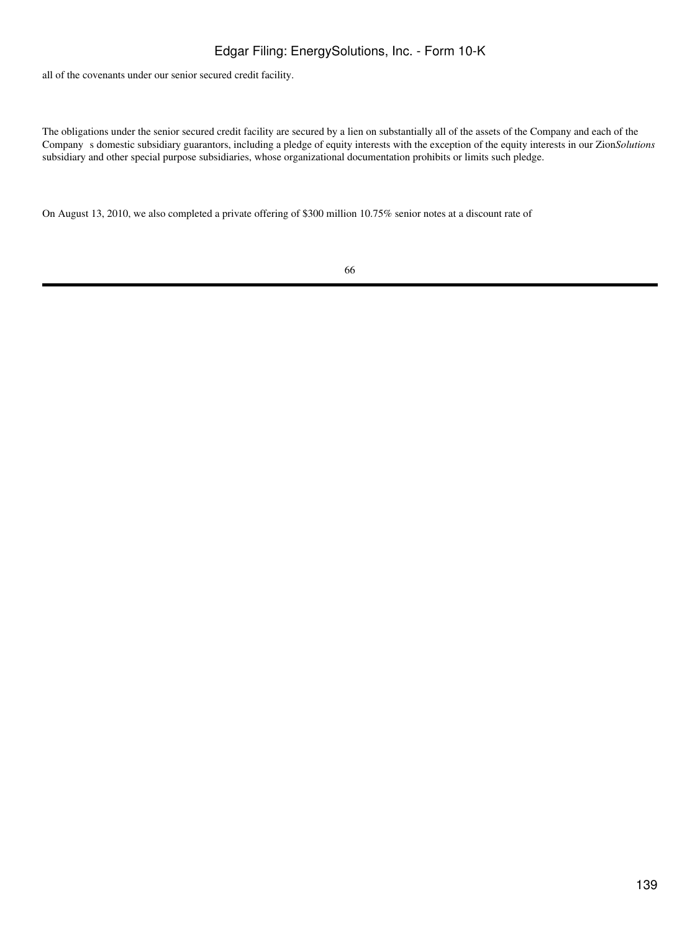all of the covenants under our senior secured credit facility.

The obligations under the senior secured credit facility are secured by a lien on substantially all of the assets of the Company and each of the Companys domestic subsidiary guarantors, including a pledge of equity interests with the exception of the equity interests in our Zion*Solutions* subsidiary and other special purpose subsidiaries, whose organizational documentation prohibits or limits such pledge.

On August 13, 2010, we also completed a private offering of \$300 million 10.75% senior notes at a discount rate of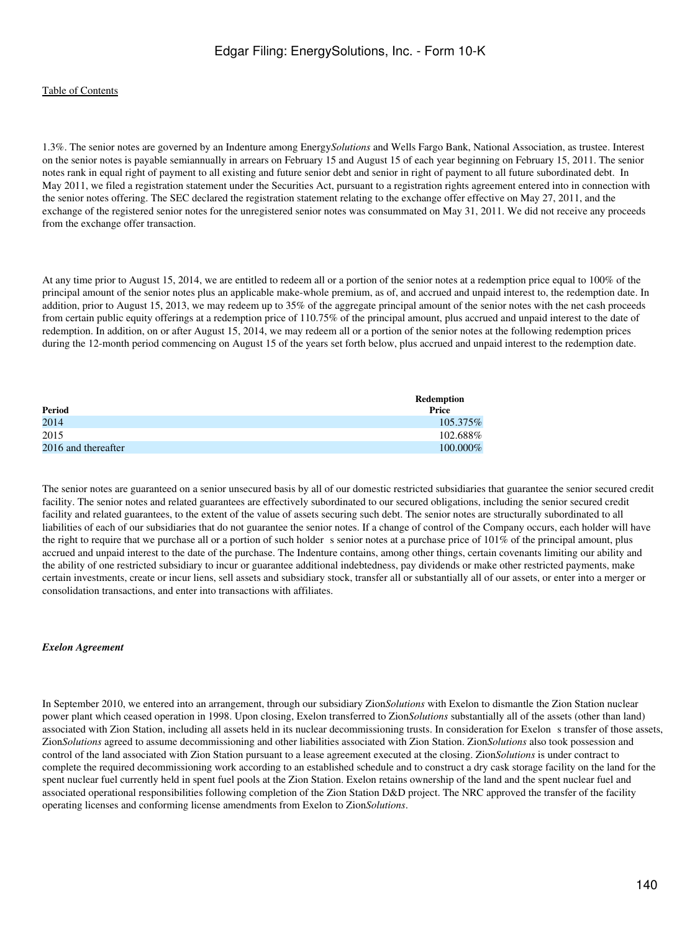1.3%. The senior notes are governed by an Indenture among Energy*Solutions* and Wells Fargo Bank, National Association, as trustee. Interest on the senior notes is payable semiannually in arrears on February 15 and August 15 of each year beginning on February 15, 2011. The senior notes rank in equal right of payment to all existing and future senior debt and senior in right of payment to all future subordinated debt. In May 2011, we filed a registration statement under the Securities Act, pursuant to a registration rights agreement entered into in connection with the senior notes offering. The SEC declared the registration statement relating to the exchange offer effective on May 27, 2011, and the exchange of the registered senior notes for the unregistered senior notes was consummated on May 31, 2011. We did not receive any proceeds from the exchange offer transaction.

At any time prior to August 15, 2014, we are entitled to redeem all or a portion of the senior notes at a redemption price equal to 100% of the principal amount of the senior notes plus an applicable make-whole premium, as of, and accrued and unpaid interest to, the redemption date. In addition, prior to August 15, 2013, we may redeem up to 35% of the aggregate principal amount of the senior notes with the net cash proceeds from certain public equity offerings at a redemption price of 110.75% of the principal amount, plus accrued and unpaid interest to the date of redemption. In addition, on or after August 15, 2014, we may redeem all or a portion of the senior notes at the following redemption prices during the 12-month period commencing on August 15 of the years set forth below, plus accrued and unpaid interest to the redemption date.

|                     | Redemption |
|---------------------|------------|
| Period              | Price      |
| 2014                | 105.375%   |
| 2015                | 102.688%   |
| 2016 and thereafter | 100.000%   |

The senior notes are guaranteed on a senior unsecured basis by all of our domestic restricted subsidiaries that guarantee the senior secured credit facility. The senior notes and related guarantees are effectively subordinated to our secured obligations, including the senior secured credit facility and related guarantees, to the extent of the value of assets securing such debt. The senior notes are structurally subordinated to all liabilities of each of our subsidiaries that do not guarantee the senior notes. If a change of control of the Company occurs, each holder will have the right to require that we purchase all or a portion of such holder s senior notes at a purchase price of  $101\%$  of the principal amount, plus accrued and unpaid interest to the date of the purchase. The Indenture contains, among other things, certain covenants limiting our ability and the ability of one restricted subsidiary to incur or guarantee additional indebtedness, pay dividends or make other restricted payments, make certain investments, create or incur liens, sell assets and subsidiary stock, transfer all or substantially all of our assets, or enter into a merger or consolidation transactions, and enter into transactions with affiliates.

#### *Exelon Agreement*

In September 2010, we entered into an arrangement, through our subsidiary Zion*Solutions* with Exelon to dismantle the Zion Station nuclear power plant which ceased operation in 1998. Upon closing, Exelon transferred to Zion*Solutions* substantially all of the assets (other than land) associated with Zion Station, including all assets held in its nuclear decommissioning trusts. In consideration for Exelons transfer of those assets, Zion*Solutions* agreed to assume decommissioning and other liabilities associated with Zion Station. Zion*Solutions* also took possession and control of the land associated with Zion Station pursuant to a lease agreement executed at the closing. Zion*Solutions* is under contract to complete the required decommissioning work according to an established schedule and to construct a dry cask storage facility on the land for the spent nuclear fuel currently held in spent fuel pools at the Zion Station. Exelon retains ownership of the land and the spent nuclear fuel and associated operational responsibilities following completion of the Zion Station D&D project. The NRC approved the transfer of the facility operating licenses and conforming license amendments from Exelon to Zion*Solutions*.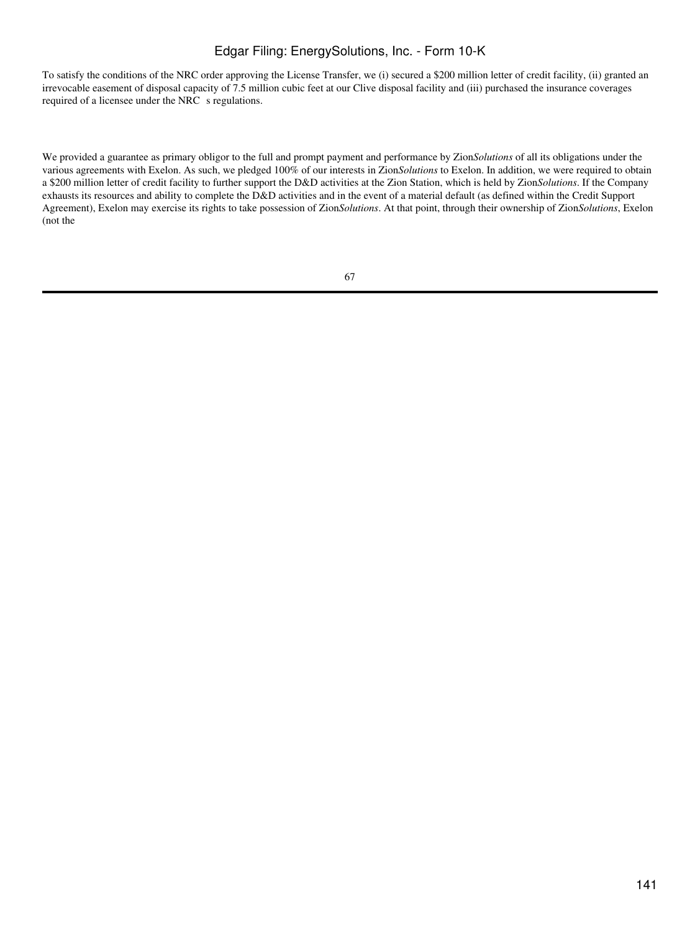To satisfy the conditions of the NRC order approving the License Transfer, we (i) secured a \$200 million letter of credit facility, (ii) granted an irrevocable easement of disposal capacity of 7.5 million cubic feet at our Clive disposal facility and (iii) purchased the insurance coverages required of a licensee under the NRC s regulations.

We provided a guarantee as primary obligor to the full and prompt payment and performance by Zion*Solutions* of all its obligations under the various agreements with Exelon. As such, we pledged 100% of our interests in Zion*Solutions* to Exelon. In addition, we were required to obtain a \$200 million letter of credit facility to further support the D&D activities at the Zion Station, which is held by Zion*Solutions*. If the Company exhausts its resources and ability to complete the D&D activities and in the event of a material default (as defined within the Credit Support Agreement), Exelon may exercise its rights to take possession of Zion*Solutions*. At that point, through their ownership of Zion*Solutions*, Exelon (not the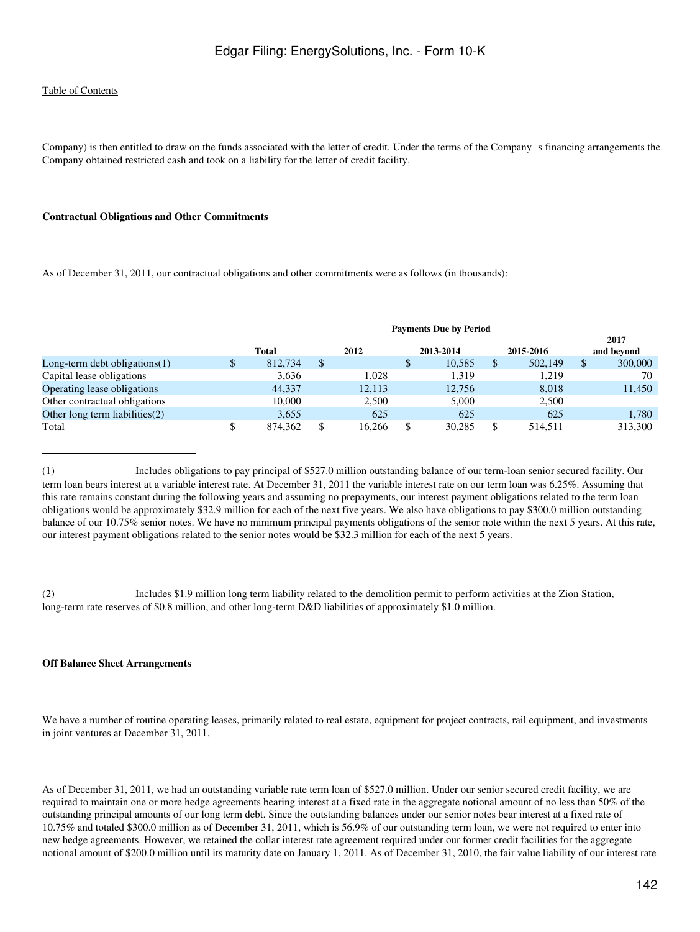Company) is then entitled to draw on the funds associated with the letter of credit. Under the terms of the Company s financing arrangements the Company obtained restricted cash and took on a liability for the letter of credit facility.

### **Contractual Obligations and Other Commitments**

As of December 31, 2011, our contractual obligations and other commitments were as follows (in thousands):

|                                   | <b>Payments Due by Period</b> |         |                   |        |    |        |           |                    |    |         |
|-----------------------------------|-------------------------------|---------|-------------------|--------|----|--------|-----------|--------------------|----|---------|
|                                   | <b>Total</b>                  |         | 2012<br>2013-2014 |        |    |        | 2015-2016 | 2017<br>and beyond |    |         |
| Long-term debt obligations $(1)$  |                               | 812.734 | \$                |        | ۰D | 10.585 |           | 502,149            | \$ | 300,000 |
| Capital lease obligations         |                               | 3,636   |                   | 1.028  |    | 1,319  |           | 1,219              |    | 70      |
| Operating lease obligations       |                               | 44.337  |                   | 12.113 |    | 12.756 |           | 8.018              |    | 11.450  |
| Other contractual obligations     |                               | 10.000  |                   | 2.500  |    | 5.000  |           | 2,500              |    |         |
| Other long term liabilities $(2)$ |                               | 3.655   |                   | 625    |    | 625    |           | 625                |    | 1.780   |
| Total                             |                               | 874.362 |                   | 16.266 |    | 30.285 |           | 514.511            |    | 313,300 |

<sup>(1)</sup> Includes obligations to pay principal of \$527.0 million outstanding balance of our term-loan senior secured facility. Our term loan bears interest at a variable interest rate. At December 31, 2011 the variable interest rate on our term loan was 6.25%. Assuming that this rate remains constant during the following years and assuming no prepayments, our interest payment obligations related to the term loan obligations would be approximately \$32.9 million for each of the next five years. We also have obligations to pay \$300.0 million outstanding balance of our 10.75% senior notes. We have no minimum principal payments obligations of the senior note within the next 5 years. At this rate, our interest payment obligations related to the senior notes would be \$32.3 million for each of the next 5 years.

(2) Includes \$1.9 million long term liability related to the demolition permit to perform activities at the Zion Station, long-term rate reserves of \$0.8 million, and other long-term D&D liabilities of approximately \$1.0 million.

#### **Off Balance Sheet Arrangements**

We have a number of routine operating leases, primarily related to real estate, equipment for project contracts, rail equipment, and investments in joint ventures at December 31, 2011.

As of December 31, 2011, we had an outstanding variable rate term loan of \$527.0 million. Under our senior secured credit facility, we are required to maintain one or more hedge agreements bearing interest at a fixed rate in the aggregate notional amount of no less than 50% of the outstanding principal amounts of our long term debt. Since the outstanding balances under our senior notes bear interest at a fixed rate of 10.75% and totaled \$300.0 million as of December 31, 2011, which is 56.9% of our outstanding term loan, we were not required to enter into new hedge agreements. However, we retained the collar interest rate agreement required under our former credit facilities for the aggregate notional amount of \$200.0 million until its maturity date on January 1, 2011. As of December 31, 2010, the fair value liability of our interest rate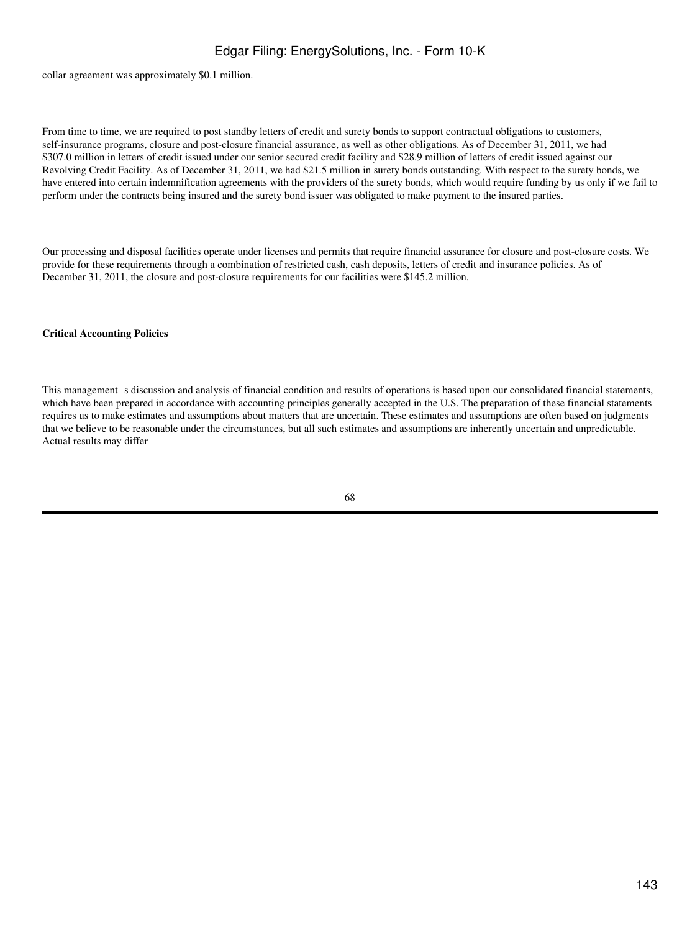collar agreement was approximately \$0.1 million.

From time to time, we are required to post standby letters of credit and surety bonds to support contractual obligations to customers, self-insurance programs, closure and post-closure financial assurance, as well as other obligations. As of December 31, 2011, we had \$307.0 million in letters of credit issued under our senior secured credit facility and \$28.9 million of letters of credit issued against our Revolving Credit Facility. As of December 31, 2011, we had \$21.5 million in surety bonds outstanding. With respect to the surety bonds, we have entered into certain indemnification agreements with the providers of the surety bonds, which would require funding by us only if we fail to perform under the contracts being insured and the surety bond issuer was obligated to make payment to the insured parties.

Our processing and disposal facilities operate under licenses and permits that require financial assurance for closure and post-closure costs. We provide for these requirements through a combination of restricted cash, cash deposits, letters of credit and insurance policies. As of December 31, 2011, the closure and post-closure requirements for our facilities were \$145.2 million.

#### **Critical Accounting Policies**

This management s discussion and analysis of financial condition and results of operations is based upon our consolidated financial statements, which have been prepared in accordance with accounting principles generally accepted in the U.S. The preparation of these financial statements requires us to make estimates and assumptions about matters that are uncertain. These estimates and assumptions are often based on judgments that we believe to be reasonable under the circumstances, but all such estimates and assumptions are inherently uncertain and unpredictable. Actual results may differ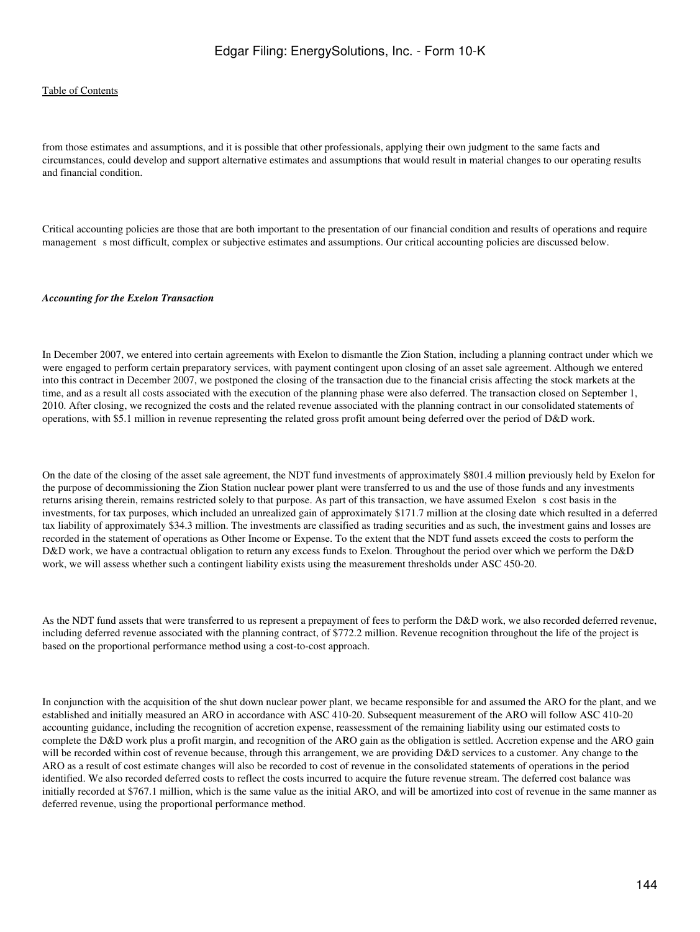from those estimates and assumptions, and it is possible that other professionals, applying their own judgment to the same facts and circumstances, could develop and support alternative estimates and assumptions that would result in material changes to our operating results and financial condition.

Critical accounting policies are those that are both important to the presentation of our financial condition and results of operations and require management s most difficult, complex or subjective estimates and assumptions. Our critical accounting policies are discussed below.

#### *Accounting for the Exelon Transaction*

In December 2007, we entered into certain agreements with Exelon to dismantle the Zion Station, including a planning contract under which we were engaged to perform certain preparatory services, with payment contingent upon closing of an asset sale agreement. Although we entered into this contract in December 2007, we postponed the closing of the transaction due to the financial crisis affecting the stock markets at the time, and as a result all costs associated with the execution of the planning phase were also deferred. The transaction closed on September 1, 2010. After closing, we recognized the costs and the related revenue associated with the planning contract in our consolidated statements of operations, with \$5.1 million in revenue representing the related gross profit amount being deferred over the period of D&D work.

On the date of the closing of the asset sale agreement, the NDT fund investments of approximately \$801.4 million previously held by Exelon for the purpose of decommissioning the Zion Station nuclear power plant were transferred to us and the use of those funds and any investments returns arising therein, remains restricted solely to that purpose. As part of this transaction, we have assumed Exelons cost basis in the investments, for tax purposes, which included an unrealized gain of approximately \$171.7 million at the closing date which resulted in a deferred tax liability of approximately \$34.3 million. The investments are classified as trading securities and as such, the investment gains and losses are recorded in the statement of operations as Other Income or Expense. To the extent that the NDT fund assets exceed the costs to perform the D&D work, we have a contractual obligation to return any excess funds to Exelon. Throughout the period over which we perform the D&D work, we will assess whether such a contingent liability exists using the measurement thresholds under ASC 450-20.

As the NDT fund assets that were transferred to us represent a prepayment of fees to perform the D&D work, we also recorded deferred revenue, including deferred revenue associated with the planning contract, of \$772.2 million. Revenue recognition throughout the life of the project is based on the proportional performance method using a cost-to-cost approach.

In conjunction with the acquisition of the shut down nuclear power plant, we became responsible for and assumed the ARO for the plant, and we established and initially measured an ARO in accordance with ASC 410-20. Subsequent measurement of the ARO will follow ASC 410-20 accounting guidance, including the recognition of accretion expense, reassessment of the remaining liability using our estimated costs to complete the D&D work plus a profit margin, and recognition of the ARO gain as the obligation is settled. Accretion expense and the ARO gain will be recorded within cost of revenue because, through this arrangement, we are providing D&D services to a customer. Any change to the ARO as a result of cost estimate changes will also be recorded to cost of revenue in the consolidated statements of operations in the period identified. We also recorded deferred costs to reflect the costs incurred to acquire the future revenue stream. The deferred cost balance was initially recorded at \$767.1 million, which is the same value as the initial ARO, and will be amortized into cost of revenue in the same manner as deferred revenue, using the proportional performance method.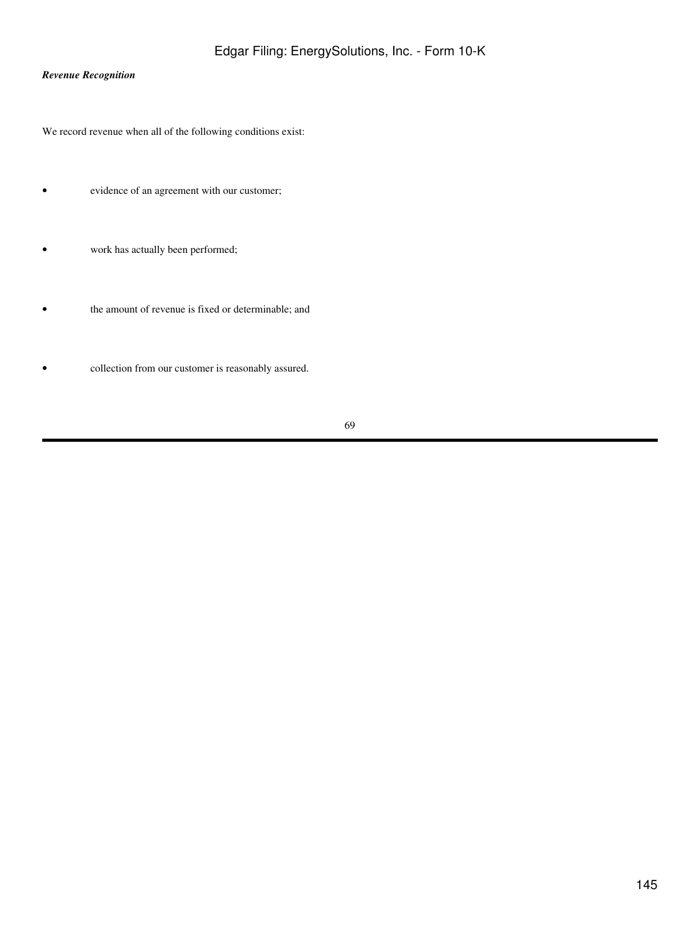## *Revenue Recognition*

We record revenue when all of the following conditions exist:

- evidence of an agreement with our customer;
- work has actually been performed;
- the amount of revenue is fixed or determinable; and
- collection from our customer is reasonably assured.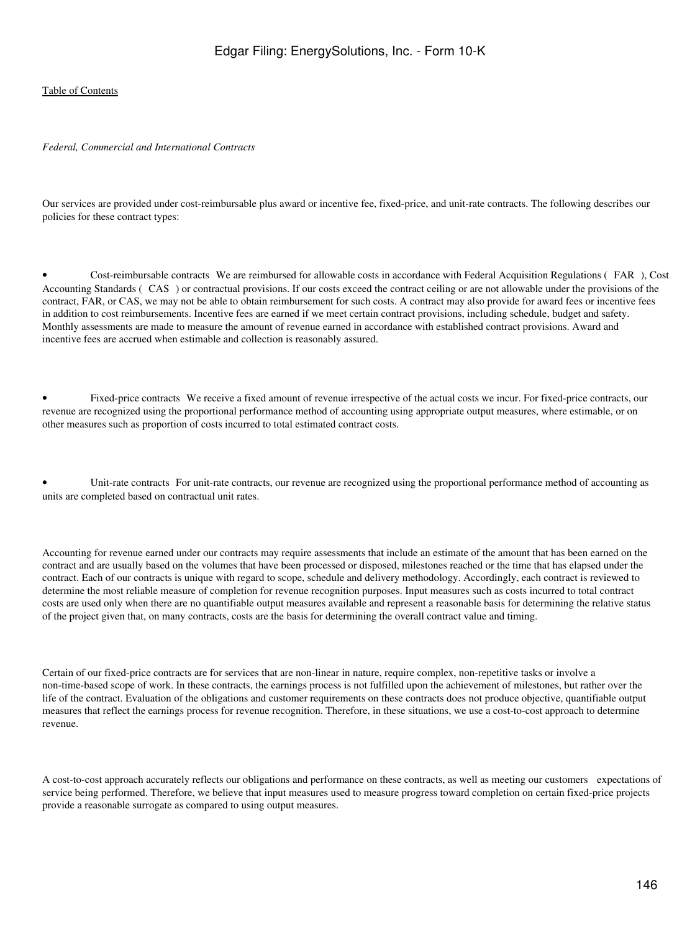*Federal, Commercial and International Contracts*

Our services are provided under cost-reimbursable plus award or incentive fee, fixed-price, and unit-rate contracts. The following describes our policies for these contract types:

• Cost-reimbursable contractsWe are reimbursed for allowable costs in accordance with Federal Acquisition Regulations (FAR), Cost Accounting Standards (CAS) or contractual provisions. If our costs exceed the contract ceiling or are not allowable under the provisions of the contract, FAR, or CAS, we may not be able to obtain reimbursement for such costs. A contract may also provide for award fees or incentive fees in addition to cost reimbursements. Incentive fees are earned if we meet certain contract provisions, including schedule, budget and safety. Monthly assessments are made to measure the amount of revenue earned in accordance with established contract provisions. Award and incentive fees are accrued when estimable and collection is reasonably assured.

Fixed-price contracts We receive a fixed amount of revenue irrespective of the actual costs we incur. For fixed-price contracts, our revenue are recognized using the proportional performance method of accounting using appropriate output measures, where estimable, or on other measures such as proportion of costs incurred to total estimated contract costs.

Unit-rate contracts For unit-rate contracts, our revenue are recognized using the proportional performance method of accounting as units are completed based on contractual unit rates.

Accounting for revenue earned under our contracts may require assessments that include an estimate of the amount that has been earned on the contract and are usually based on the volumes that have been processed or disposed, milestones reached or the time that has elapsed under the contract. Each of our contracts is unique with regard to scope, schedule and delivery methodology. Accordingly, each contract is reviewed to determine the most reliable measure of completion for revenue recognition purposes. Input measures such as costs incurred to total contract costs are used only when there are no quantifiable output measures available and represent a reasonable basis for determining the relative status of the project given that, on many contracts, costs are the basis for determining the overall contract value and timing.

Certain of our fixed-price contracts are for services that are non-linear in nature, require complex, non-repetitive tasks or involve a non-time-based scope of work. In these contracts, the earnings process is not fulfilled upon the achievement of milestones, but rather over the life of the contract. Evaluation of the obligations and customer requirements on these contracts does not produce objective, quantifiable output measures that reflect the earnings process for revenue recognition. Therefore, in these situations, we use a cost-to-cost approach to determine revenue.

A cost-to-cost approach accurately reflects our obligations and performance on these contracts, as well as meeting our customers expectations of service being performed. Therefore, we believe that input measures used to measure progress toward completion on certain fixed-price projects provide a reasonable surrogate as compared to using output measures.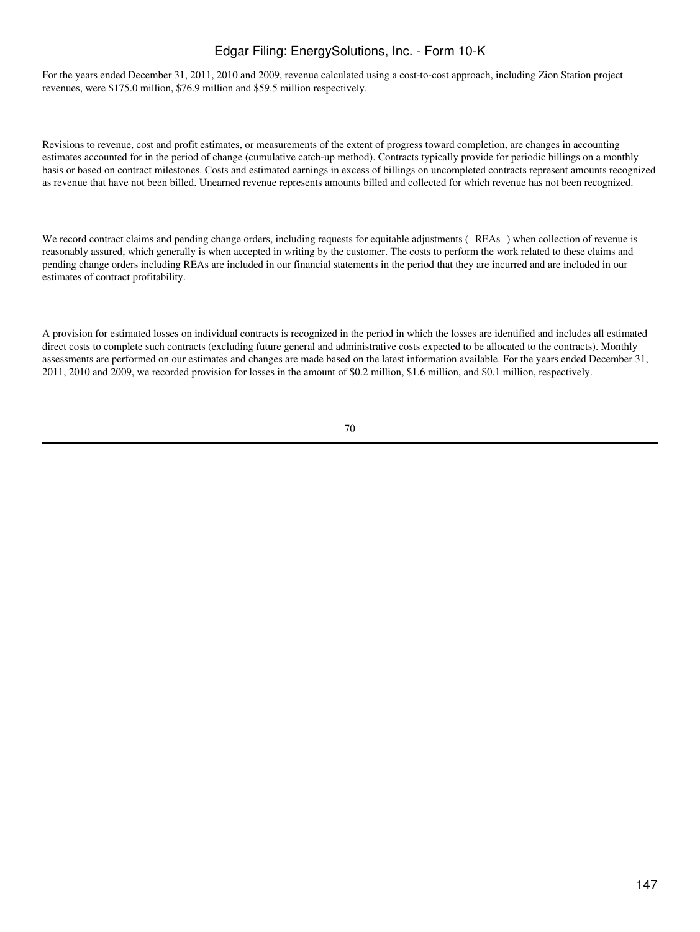For the years ended December 31, 2011, 2010 and 2009, revenue calculated using a cost-to-cost approach, including Zion Station project revenues, were \$175.0 million, \$76.9 million and \$59.5 million respectively.

Revisions to revenue, cost and profit estimates, or measurements of the extent of progress toward completion, are changes in accounting estimates accounted for in the period of change (cumulative catch-up method). Contracts typically provide for periodic billings on a monthly basis or based on contract milestones. Costs and estimated earnings in excess of billings on uncompleted contracts represent amounts recognized as revenue that have not been billed. Unearned revenue represents amounts billed and collected for which revenue has not been recognized.

We record contract claims and pending change orders, including requests for equitable adjustments (REAs) when collection of revenue is reasonably assured, which generally is when accepted in writing by the customer. The costs to perform the work related to these claims and pending change orders including REAs are included in our financial statements in the period that they are incurred and are included in our estimates of contract profitability.

A provision for estimated losses on individual contracts is recognized in the period in which the losses are identified and includes all estimated direct costs to complete such contracts (excluding future general and administrative costs expected to be allocated to the contracts). Monthly assessments are performed on our estimates and changes are made based on the latest information available. For the years ended December 31, 2011, 2010 and 2009, we recorded provision for losses in the amount of \$0.2 million, \$1.6 million, and \$0.1 million, respectively.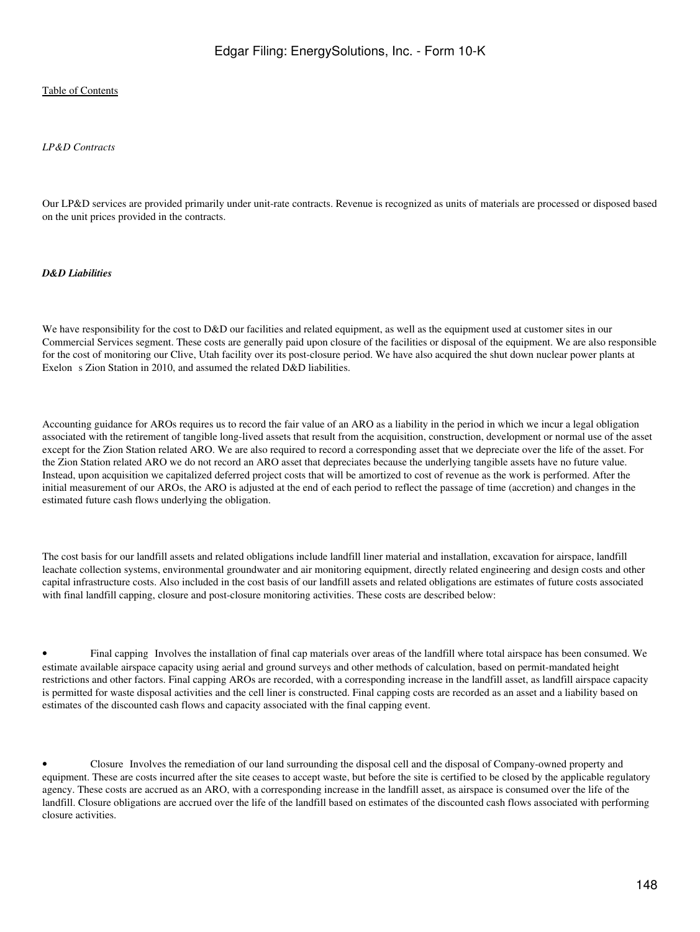*LP&D Contracts*

Our LP&D services are provided primarily under unit-rate contracts. Revenue is recognized as units of materials are processed or disposed based on the unit prices provided in the contracts.

*D&D Liabilities*

We have responsibility for the cost to D&D our facilities and related equipment, as well as the equipment used at customer sites in our Commercial Services segment. These costs are generally paid upon closure of the facilities or disposal of the equipment. We are also responsible for the cost of monitoring our Clive, Utah facility over its post-closure period. We have also acquired the shut down nuclear power plants at Exelon s Zion Station in 2010, and assumed the related D&D liabilities.

Accounting guidance for AROs requires us to record the fair value of an ARO as a liability in the period in which we incur a legal obligation associated with the retirement of tangible long-lived assets that result from the acquisition, construction, development or normal use of the asset except for the Zion Station related ARO. We are also required to record a corresponding asset that we depreciate over the life of the asset. For the Zion Station related ARO we do not record an ARO asset that depreciates because the underlying tangible assets have no future value. Instead, upon acquisition we capitalized deferred project costs that will be amortized to cost of revenue as the work is performed. After the initial measurement of our AROs, the ARO is adjusted at the end of each period to reflect the passage of time (accretion) and changes in the estimated future cash flows underlying the obligation.

The cost basis for our landfill assets and related obligations include landfill liner material and installation, excavation for airspace, landfill leachate collection systems, environmental groundwater and air monitoring equipment, directly related engineering and design costs and other capital infrastructure costs. Also included in the cost basis of our landfill assets and related obligations are estimates of future costs associated with final landfill capping, closure and post-closure monitoring activities. These costs are described below:

Final capping Involves the installation of final cap materials over areas of the landfill where total airspace has been consumed. We estimate available airspace capacity using aerial and ground surveys and other methods of calculation, based on permit-mandated height restrictions and other factors. Final capping AROs are recorded, with a corresponding increase in the landfill asset, as landfill airspace capacity is permitted for waste disposal activities and the cell liner is constructed. Final capping costs are recorded as an asset and a liability based on estimates of the discounted cash flows and capacity associated with the final capping event.

Closure Involves the remediation of our land surrounding the disposal cell and the disposal of Company-owned property and equipment. These are costs incurred after the site ceases to accept waste, but before the site is certified to be closed by the applicable regulatory agency. These costs are accrued as an ARO, with a corresponding increase in the landfill asset, as airspace is consumed over the life of the landfill. Closure obligations are accrued over the life of the landfill based on estimates of the discounted cash flows associated with performing closure activities.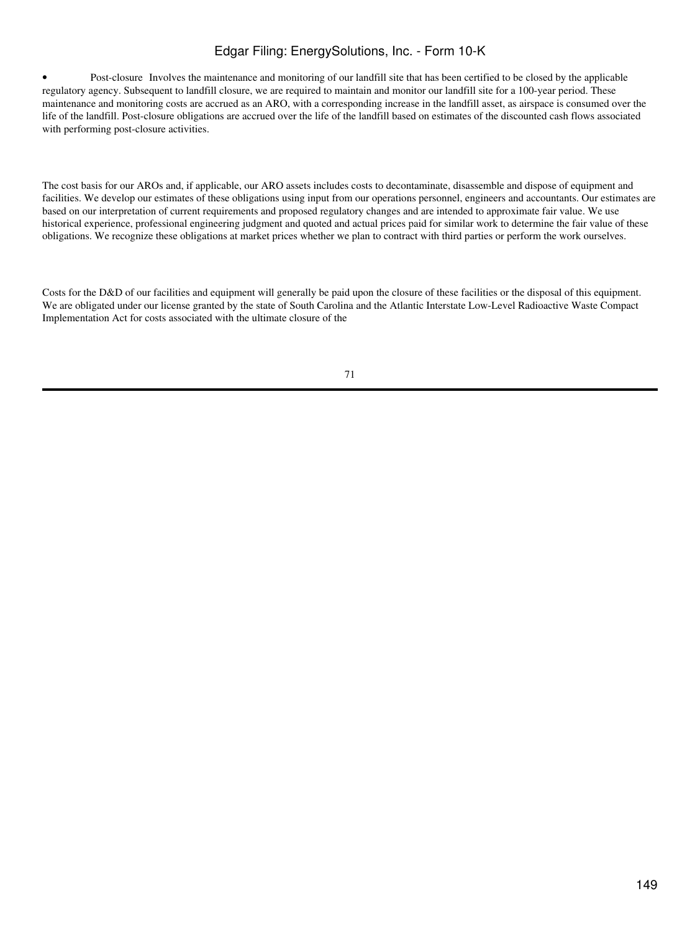• Post-closure Involves the maintenance and monitoring of our landfill site that has been certified to be closed by the applicable regulatory agency. Subsequent to landfill closure, we are required to maintain and monitor our landfill site for a 100-year period. These maintenance and monitoring costs are accrued as an ARO, with a corresponding increase in the landfill asset, as airspace is consumed over the life of the landfill. Post-closure obligations are accrued over the life of the landfill based on estimates of the discounted cash flows associated with performing post-closure activities.

The cost basis for our AROs and, if applicable, our ARO assets includes costs to decontaminate, disassemble and dispose of equipment and facilities. We develop our estimates of these obligations using input from our operations personnel, engineers and accountants. Our estimates are based on our interpretation of current requirements and proposed regulatory changes and are intended to approximate fair value. We use historical experience, professional engineering judgment and quoted and actual prices paid for similar work to determine the fair value of these obligations. We recognize these obligations at market prices whether we plan to contract with third parties or perform the work ourselves.

Costs for the D&D of our facilities and equipment will generally be paid upon the closure of these facilities or the disposal of this equipment. We are obligated under our license granted by the state of South Carolina and the Atlantic Interstate Low-Level Radioactive Waste Compact Implementation Act for costs associated with the ultimate closure of the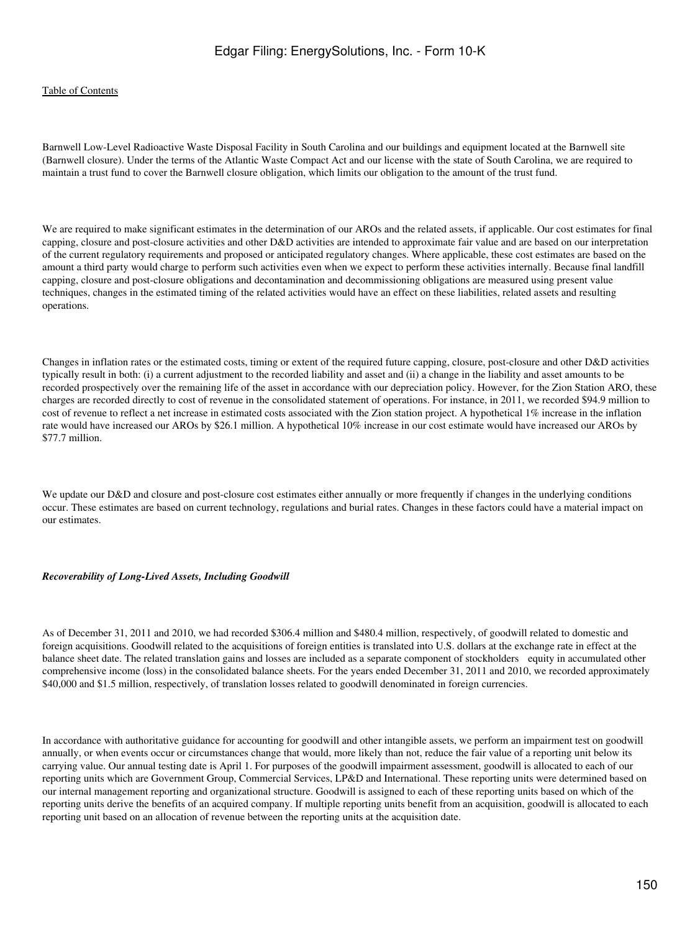Barnwell Low-Level Radioactive Waste Disposal Facility in South Carolina and our buildings and equipment located at the Barnwell site (Barnwell closure). Under the terms of the Atlantic Waste Compact Act and our license with the state of South Carolina, we are required to maintain a trust fund to cover the Barnwell closure obligation, which limits our obligation to the amount of the trust fund.

We are required to make significant estimates in the determination of our AROs and the related assets, if applicable. Our cost estimates for final capping, closure and post-closure activities and other D&D activities are intended to approximate fair value and are based on our interpretation of the current regulatory requirements and proposed or anticipated regulatory changes. Where applicable, these cost estimates are based on the amount a third party would charge to perform such activities even when we expect to perform these activities internally. Because final landfill capping, closure and post-closure obligations and decontamination and decommissioning obligations are measured using present value techniques, changes in the estimated timing of the related activities would have an effect on these liabilities, related assets and resulting operations.

Changes in inflation rates or the estimated costs, timing or extent of the required future capping, closure, post-closure and other D&D activities typically result in both: (i) a current adjustment to the recorded liability and asset and (ii) a change in the liability and asset amounts to be recorded prospectively over the remaining life of the asset in accordance with our depreciation policy. However, for the Zion Station ARO, these charges are recorded directly to cost of revenue in the consolidated statement of operations. For instance, in 2011, we recorded \$94.9 million to cost of revenue to reflect a net increase in estimated costs associated with the Zion station project. A hypothetical 1% increase in the inflation rate would have increased our AROs by \$26.1 million. A hypothetical 10% increase in our cost estimate would have increased our AROs by \$77.7 million.

We update our D&D and closure and post-closure cost estimates either annually or more frequently if changes in the underlying conditions occur. These estimates are based on current technology, regulations and burial rates. Changes in these factors could have a material impact on our estimates.

#### *Recoverability of Long-Lived Assets, Including Goodwill*

As of December 31, 2011 and 2010, we had recorded \$306.4 million and \$480.4 million, respectively, of goodwill related to domestic and foreign acquisitions. Goodwill related to the acquisitions of foreign entities is translated into U.S. dollars at the exchange rate in effect at the balance sheet date. The related translation gains and losses are included as a separate component of stockholders equity in accumulated other comprehensive income (loss) in the consolidated balance sheets. For the years ended December 31, 2011 and 2010, we recorded approximately \$40,000 and \$1.5 million, respectively, of translation losses related to goodwill denominated in foreign currencies.

In accordance with authoritative guidance for accounting for goodwill and other intangible assets, we perform an impairment test on goodwill annually, or when events occur or circumstances change that would, more likely than not, reduce the fair value of a reporting unit below its carrying value. Our annual testing date is April 1. For purposes of the goodwill impairment assessment, goodwill is allocated to each of our reporting units which are Government Group, Commercial Services, LP&D and International. These reporting units were determined based on our internal management reporting and organizational structure. Goodwill is assigned to each of these reporting units based on which of the reporting units derive the benefits of an acquired company. If multiple reporting units benefit from an acquisition, goodwill is allocated to each reporting unit based on an allocation of revenue between the reporting units at the acquisition date.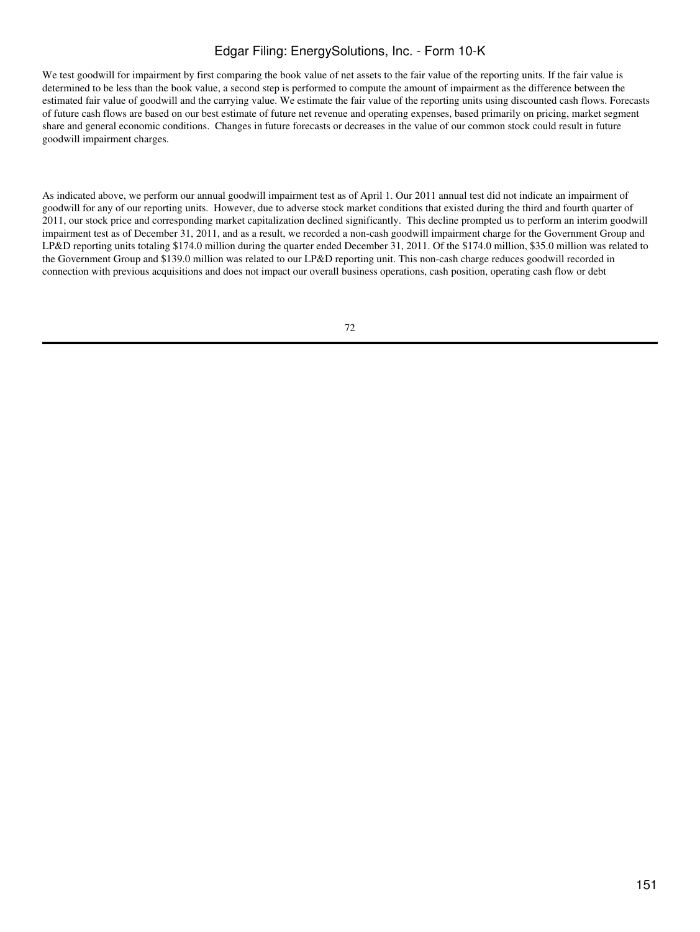We test goodwill for impairment by first comparing the book value of net assets to the fair value of the reporting units. If the fair value is determined to be less than the book value, a second step is performed to compute the amount of impairment as the difference between the estimated fair value of goodwill and the carrying value. We estimate the fair value of the reporting units using discounted cash flows. Forecasts of future cash flows are based on our best estimate of future net revenue and operating expenses, based primarily on pricing, market segment share and general economic conditions. Changes in future forecasts or decreases in the value of our common stock could result in future goodwill impairment charges.

As indicated above, we perform our annual goodwill impairment test as of April 1. Our 2011 annual test did not indicate an impairment of goodwill for any of our reporting units. However, due to adverse stock market conditions that existed during the third and fourth quarter of 2011, our stock price and corresponding market capitalization declined significantly. This decline prompted us to perform an interim goodwill impairment test as of December 31, 2011, and as a result, we recorded a non-cash goodwill impairment charge for the Government Group and LP&D reporting units totaling \$174.0 million during the quarter ended December 31, 2011. Of the \$174.0 million, \$35.0 million was related to the Government Group and \$139.0 million was related to our LP&D reporting unit. This non-cash charge reduces goodwill recorded in connection with previous acquisitions and does not impact our overall business operations, cash position, operating cash flow or debt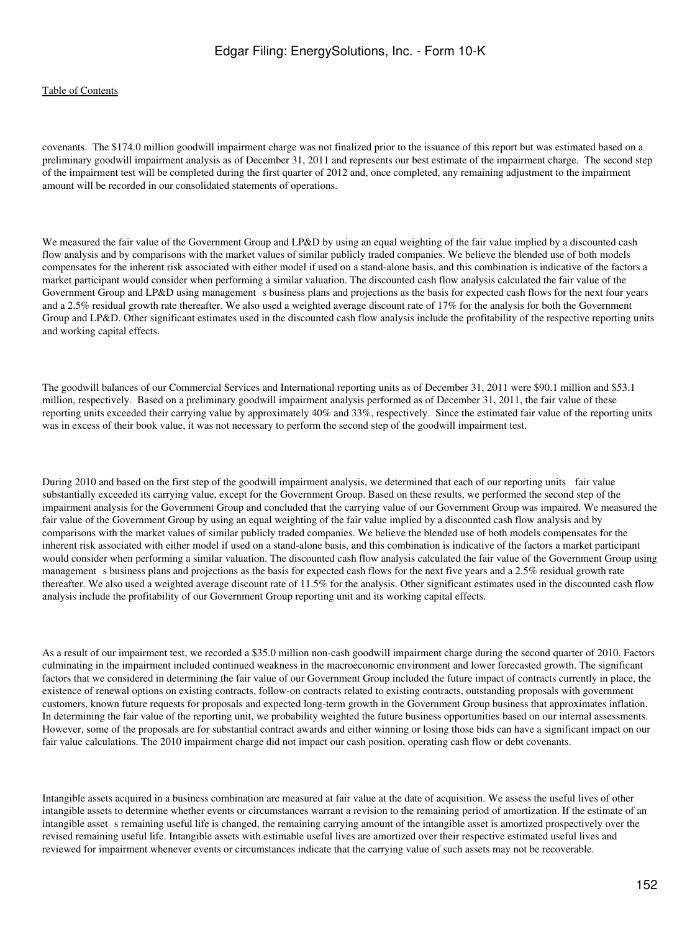### [Table of Contents](#page-3-0)

covenants. The \$174.0 million goodwill impairment charge was not finalized prior to the issuance of this report but was estimated based on a preliminary goodwill impairment analysis as of December 31, 2011 and represents our best estimate of the impairment charge. The second step of the impairment test will be completed during the first quarter of 2012 and, once completed, any remaining adjustment to the impairment amount will be recorded in our consolidated statements of operations.

We measured the fair value of the Government Group and LP&D by using an equal weighting of the fair value implied by a discounted cash flow analysis and by comparisons with the market values of similar publicly traded companies. We believe the blended use of both models compensates for the inherent risk associated with either model if used on a stand-alone basis, and this combination is indicative of the factors a market participant would consider when performing a similar valuation. The discounted cash flow analysis calculated the fair value of the Government Group and LP&D using management s business plans and projections as the basis for expected cash flows for the next four years and a 2.5% residual growth rate thereafter. We also used a weighted average discount rate of 17% for the analysis for both the Government Group and LP&D. Other significant estimates used in the discounted cash flow analysis include the profitability of the respective reporting units and working capital effects.

The goodwill balances of our Commercial Services and International reporting units as of December 31, 2011 were \$90.1 million and \$53.1 million, respectively. Based on a preliminary goodwill impairment analysis performed as of December 31, 2011, the fair value of these reporting units exceeded their carrying value by approximately 40% and 33%, respectively. Since the estimated fair value of the reporting units was in excess of their book value, it was not necessary to perform the second step of the goodwill impairment test.

During 2010 and based on the first step of the goodwill impairment analysis, we determined that each of our reporting units fair value substantially exceeded its carrying value, except for the Government Group. Based on these results, we performed the second step of the impairment analysis for the Government Group and concluded that the carrying value of our Government Group was impaired. We measured the fair value of the Government Group by using an equal weighting of the fair value implied by a discounted cash flow analysis and by comparisons with the market values of similar publicly traded companies. We believe the blended use of both models compensates for the inherent risk associated with either model if used on a stand-alone basis, and this combination is indicative of the factors a market participant would consider when performing a similar valuation. The discounted cash flow analysis calculated the fair value of the Government Group using management s business plans and projections as the basis for expected cash flows for the next five years and a 2.5% residual growth rate thereafter. We also used a weighted average discount rate of 11.5% for the analysis. Other significant estimates used in the discounted cash flow analysis include the profitability of our Government Group reporting unit and its working capital effects.

As a result of our impairment test, we recorded a \$35.0 million non-cash goodwill impairment charge during the second quarter of 2010. Factors culminating in the impairment included continued weakness in the macroeconomic environment and lower forecasted growth. The significant factors that we considered in determining the fair value of our Government Group included the future impact of contracts currently in place, the existence of renewal options on existing contracts, follow-on contracts related to existing contracts, outstanding proposals with government customers, known future requests for proposals and expected long-term growth in the Government Group business that approximates inflation. In determining the fair value of the reporting unit, we probability weighted the future business opportunities based on our internal assessments. However, some of the proposals are for substantial contract awards and either winning or losing those bids can have a significant impact on our fair value calculations. The 2010 impairment charge did not impact our cash position, operating cash flow or debt covenants.

Intangible assets acquired in a business combination are measured at fair value at the date of acquisition. We assess the useful lives of other intangible assets to determine whether events or circumstances warrant a revision to the remaining period of amortization. If the estimate of an intangible asset s remaining useful life is changed, the remaining carrying amount of the intangible asset is amortized prospectively over the revised remaining useful life. Intangible assets with estimable useful lives are amortized over their respective estimated useful lives and reviewed for impairment whenever events or circumstances indicate that the carrying value of such assets may not be recoverable.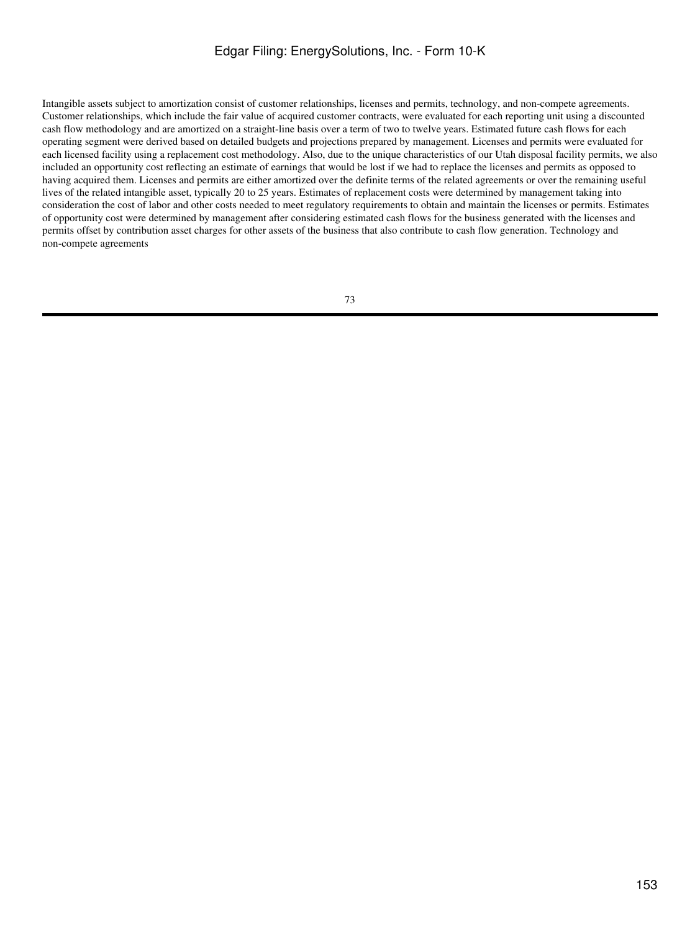Intangible assets subject to amortization consist of customer relationships, licenses and permits, technology, and non-compete agreements. Customer relationships, which include the fair value of acquired customer contracts, were evaluated for each reporting unit using a discounted cash flow methodology and are amortized on a straight-line basis over a term of two to twelve years. Estimated future cash flows for each operating segment were derived based on detailed budgets and projections prepared by management. Licenses and permits were evaluated for each licensed facility using a replacement cost methodology. Also, due to the unique characteristics of our Utah disposal facility permits, we also included an opportunity cost reflecting an estimate of earnings that would be lost if we had to replace the licenses and permits as opposed to having acquired them. Licenses and permits are either amortized over the definite terms of the related agreements or over the remaining useful lives of the related intangible asset, typically 20 to 25 years. Estimates of replacement costs were determined by management taking into consideration the cost of labor and other costs needed to meet regulatory requirements to obtain and maintain the licenses or permits. Estimates of opportunity cost were determined by management after considering estimated cash flows for the business generated with the licenses and permits offset by contribution asset charges for other assets of the business that also contribute to cash flow generation. Technology and non-compete agreements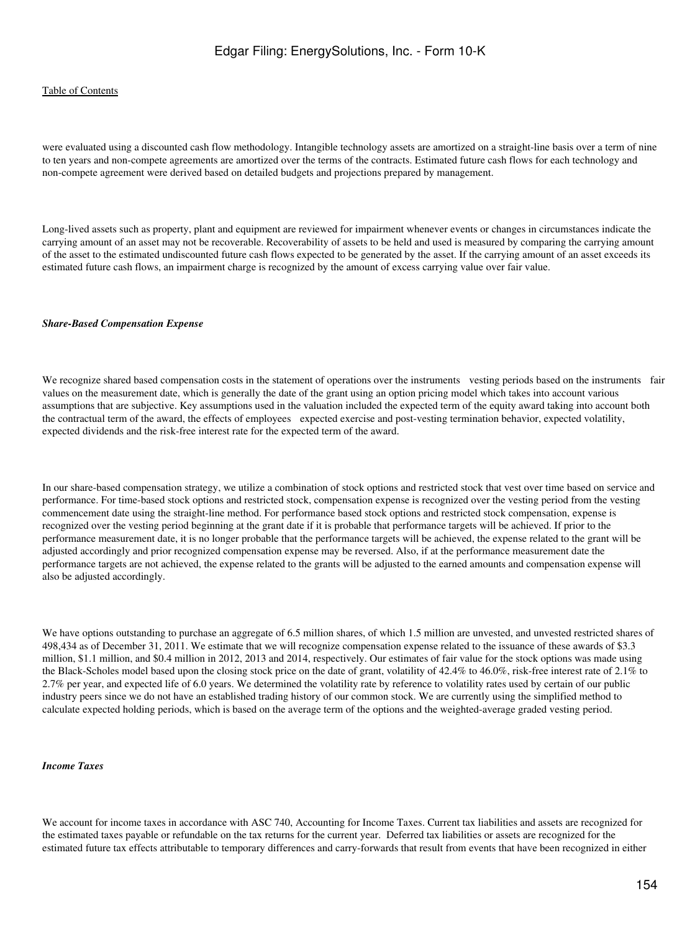were evaluated using a discounted cash flow methodology. Intangible technology assets are amortized on a straight-line basis over a term of nine to ten years and non-compete agreements are amortized over the terms of the contracts. Estimated future cash flows for each technology and non-compete agreement were derived based on detailed budgets and projections prepared by management.

Long-lived assets such as property, plant and equipment are reviewed for impairment whenever events or changes in circumstances indicate the carrying amount of an asset may not be recoverable. Recoverability of assets to be held and used is measured by comparing the carrying amount of the asset to the estimated undiscounted future cash flows expected to be generated by the asset. If the carrying amount of an asset exceeds its estimated future cash flows, an impairment charge is recognized by the amount of excess carrying value over fair value.

#### *Share-Based Compensation Expense*

We recognize shared based compensation costs in the statement of operations over the instruments vesting periods based on the instruments fair values on the measurement date, which is generally the date of the grant using an option pricing model which takes into account various assumptions that are subjective. Key assumptions used in the valuation included the expected term of the equity award taking into account both the contractual term of the award, the effects of employees expected exercise and post-vesting termination behavior, expected volatility, expected dividends and the risk-free interest rate for the expected term of the award.

In our share-based compensation strategy, we utilize a combination of stock options and restricted stock that vest over time based on service and performance. For time-based stock options and restricted stock, compensation expense is recognized over the vesting period from the vesting commencement date using the straight-line method. For performance based stock options and restricted stock compensation, expense is recognized over the vesting period beginning at the grant date if it is probable that performance targets will be achieved. If prior to the performance measurement date, it is no longer probable that the performance targets will be achieved, the expense related to the grant will be adjusted accordingly and prior recognized compensation expense may be reversed. Also, if at the performance measurement date the performance targets are not achieved, the expense related to the grants will be adjusted to the earned amounts and compensation expense will also be adjusted accordingly.

We have options outstanding to purchase an aggregate of 6.5 million shares, of which 1.5 million are unvested, and unvested restricted shares of 498,434 as of December 31, 2011. We estimate that we will recognize compensation expense related to the issuance of these awards of \$3.3 million, \$1.1 million, and \$0.4 million in 2012, 2013 and 2014, respectively. Our estimates of fair value for the stock options was made using the Black-Scholes model based upon the closing stock price on the date of grant, volatility of 42.4% to 46.0%, risk-free interest rate of 2.1% to 2.7% per year, and expected life of 6.0 years. We determined the volatility rate by reference to volatility rates used by certain of our public industry peers since we do not have an established trading history of our common stock. We are currently using the simplified method to calculate expected holding periods, which is based on the average term of the options and the weighted-average graded vesting period.

#### *Income Taxes*

We account for income taxes in accordance with ASC 740, Accounting for Income Taxes. Current tax liabilities and assets are recognized for the estimated taxes payable or refundable on the tax returns for the current year. Deferred tax liabilities or assets are recognized for the estimated future tax effects attributable to temporary differences and carry-forwards that result from events that have been recognized in either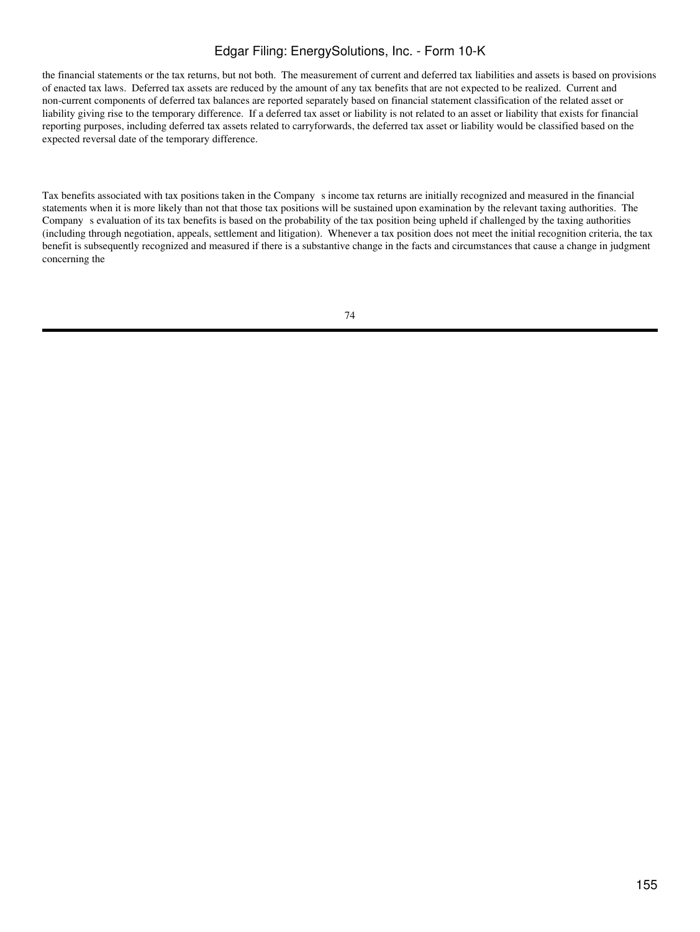the financial statements or the tax returns, but not both. The measurement of current and deferred tax liabilities and assets is based on provisions of enacted tax laws. Deferred tax assets are reduced by the amount of any tax benefits that are not expected to be realized. Current and non-current components of deferred tax balances are reported separately based on financial statement classification of the related asset or liability giving rise to the temporary difference. If a deferred tax asset or liability is not related to an asset or liability that exists for financial reporting purposes, including deferred tax assets related to carryforwards, the deferred tax asset or liability would be classified based on the expected reversal date of the temporary difference.

Tax benefits associated with tax positions taken in the Companys income tax returns are initially recognized and measured in the financial statements when it is more likely than not that those tax positions will be sustained upon examination by the relevant taxing authorities. The Companys evaluation of its tax benefits is based on the probability of the tax position being upheld if challenged by the taxing authorities (including through negotiation, appeals, settlement and litigation). Whenever a tax position does not meet the initial recognition criteria, the tax benefit is subsequently recognized and measured if there is a substantive change in the facts and circumstances that cause a change in judgment concerning the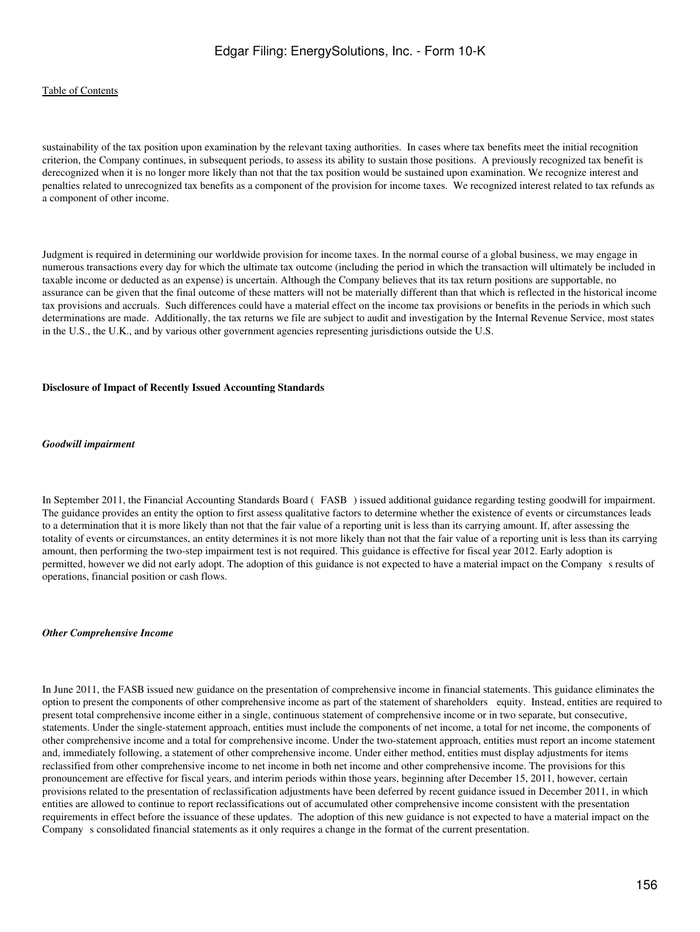### [Table of Contents](#page-3-0)

sustainability of the tax position upon examination by the relevant taxing authorities. In cases where tax benefits meet the initial recognition criterion, the Company continues, in subsequent periods, to assess its ability to sustain those positions. A previously recognized tax benefit is derecognized when it is no longer more likely than not that the tax position would be sustained upon examination. We recognize interest and penalties related to unrecognized tax benefits as a component of the provision for income taxes. We recognized interest related to tax refunds as a component of other income.

Judgment is required in determining our worldwide provision for income taxes. In the normal course of a global business, we may engage in numerous transactions every day for which the ultimate tax outcome (including the period in which the transaction will ultimately be included in taxable income or deducted as an expense) is uncertain. Although the Company believes that its tax return positions are supportable, no assurance can be given that the final outcome of these matters will not be materially different than that which is reflected in the historical income tax provisions and accruals. Such differences could have a material effect on the income tax provisions or benefits in the periods in which such determinations are made. Additionally, the tax returns we file are subject to audit and investigation by the Internal Revenue Service, most states in the U.S., the U.K., and by various other government agencies representing jurisdictions outside the U.S.

#### **Disclosure of Impact of Recently Issued Accounting Standards**

#### *Goodwill impairment*

In September 2011, the Financial Accounting Standards Board (FASB) issued additional guidance regarding testing goodwill for impairment. The guidance provides an entity the option to first assess qualitative factors to determine whether the existence of events or circumstances leads to a determination that it is more likely than not that the fair value of a reporting unit is less than its carrying amount. If, after assessing the totality of events or circumstances, an entity determines it is not more likely than not that the fair value of a reporting unit is less than its carrying amount, then performing the two-step impairment test is not required. This guidance is effective for fiscal year 2012. Early adoption is permitted, however we did not early adopt. The adoption of this guidance is not expected to have a material impact on the Companys results of operations, financial position or cash flows.

#### *Other Comprehensive Income*

In June 2011, the FASB issued new guidance on the presentation of comprehensive income in financial statements. This guidance eliminates the option to present the components of other comprehensive income as part of the statement of shareholders equity. Instead, entities are required to present total comprehensive income either in a single, continuous statement of comprehensive income or in two separate, but consecutive, statements. Under the single-statement approach, entities must include the components of net income, a total for net income, the components of other comprehensive income and a total for comprehensive income. Under the two-statement approach, entities must report an income statement and, immediately following, a statement of other comprehensive income. Under either method, entities must display adjustments for items reclassified from other comprehensive income to net income in both net income and other comprehensive income. The provisions for this pronouncement are effective for fiscal years, and interim periods within those years, beginning after December 15, 2011, however, certain provisions related to the presentation of reclassification adjustments have been deferred by recent guidance issued in December 2011, in which entities are allowed to continue to report reclassifications out of accumulated other comprehensive income consistent with the presentation requirements in effect before the issuance of these updates. The adoption of this new guidance is not expected to have a material impact on the Companys consolidated financial statements as it only requires a change in the format of the current presentation.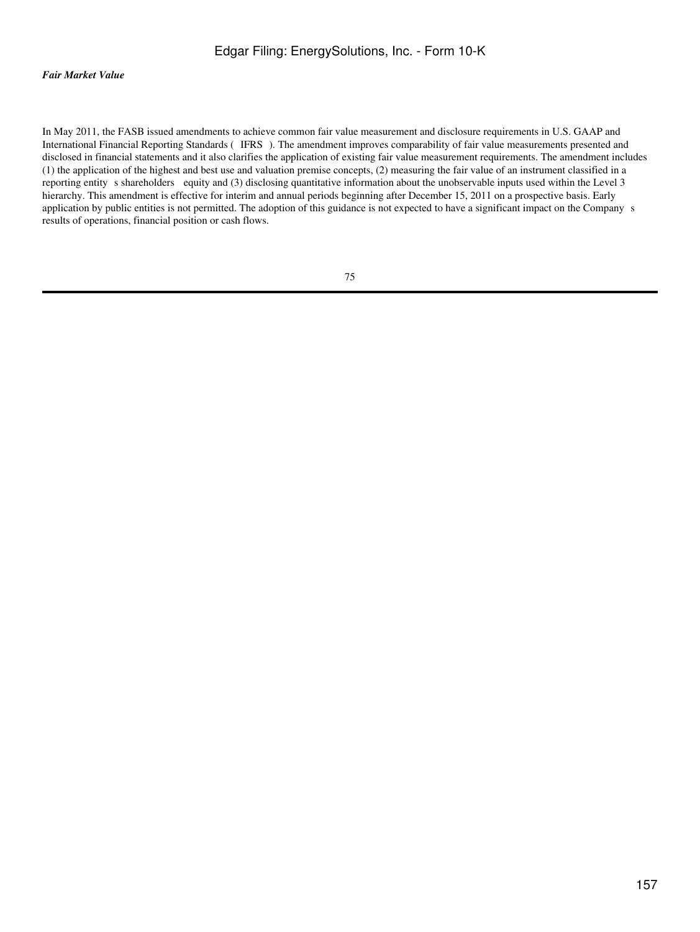## *Fair Market Value*

In May 2011, the FASB issued amendments to achieve common fair value measurement and disclosure requirements in U.S. GAAP and International Financial Reporting Standards (IFRS). The amendment improves comparability of fair value measurements presented and disclosed in financial statements and it also clarifies the application of existing fair value measurement requirements. The amendment includes (1) the application of the highest and best use and valuation premise concepts, (2) measuring the fair value of an instrument classified in a reporting entity s shareholders equity and (3) disclosing quantitative information about the unobservable inputs used within the Level 3 hierarchy. This amendment is effective for interim and annual periods beginning after December 15, 2011 on a prospective basis. Early application by public entities is not permitted. The adoption of this guidance is not expected to have a significant impact on the Companys results of operations, financial position or cash flows.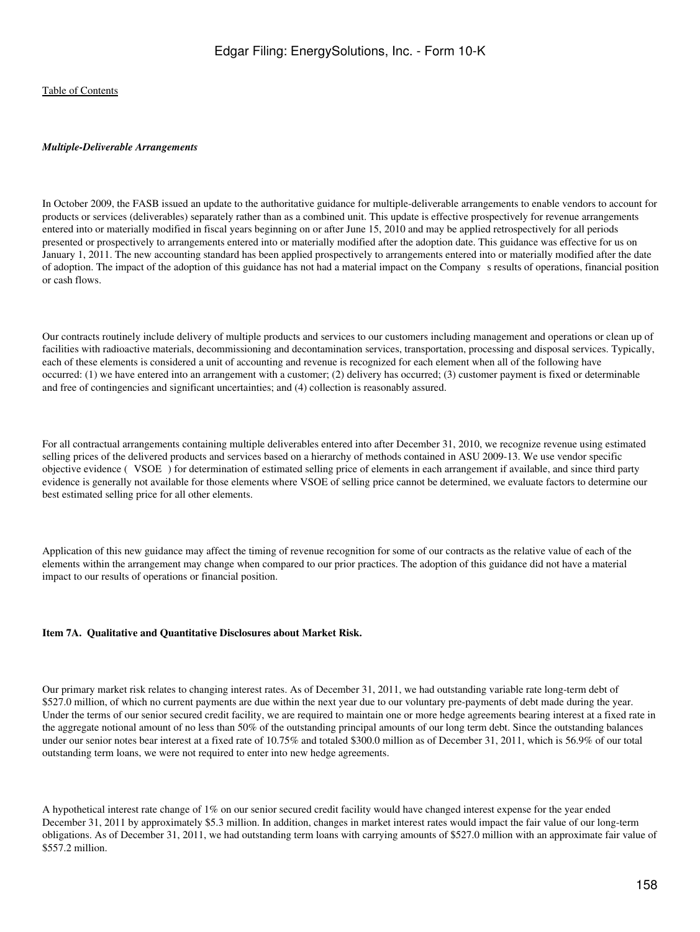#### *Multiple-Deliverable Arrangements*

In October 2009, the FASB issued an update to the authoritative guidance for multiple-deliverable arrangements to enable vendors to account for products or services (deliverables) separately rather than as a combined unit. This update is effective prospectively for revenue arrangements entered into or materially modified in fiscal years beginning on or after June 15, 2010 and may be applied retrospectively for all periods presented or prospectively to arrangements entered into or materially modified after the adoption date. This guidance was effective for us on January 1, 2011. The new accounting standard has been applied prospectively to arrangements entered into or materially modified after the date of adoption. The impact of the adoption of this guidance has not had a material impact on the Companys results of operations, financial position or cash flows.

Our contracts routinely include delivery of multiple products and services to our customers including management and operations or clean up of facilities with radioactive materials, decommissioning and decontamination services, transportation, processing and disposal services. Typically, each of these elements is considered a unit of accounting and revenue is recognized for each element when all of the following have occurred: (1) we have entered into an arrangement with a customer; (2) delivery has occurred; (3) customer payment is fixed or determinable and free of contingencies and significant uncertainties; and (4) collection is reasonably assured.

For all contractual arrangements containing multiple deliverables entered into after December 31, 2010, we recognize revenue using estimated selling prices of the delivered products and services based on a hierarchy of methods contained in ASU 2009-13. We use vendor specific objective evidence (VSOE) for determination of estimated selling price of elements in each arrangement if available, and since third party evidence is generally not available for those elements where VSOE of selling price cannot be determined, we evaluate factors to determine our best estimated selling price for all other elements.

Application of this new guidance may affect the timing of revenue recognition for some of our contracts as the relative value of each of the elements within the arrangement may change when compared to our prior practices. The adoption of this guidance did not have a material impact to our results of operations or financial position.

#### **Item 7A. Qualitative and Quantitative Disclosures about Market Risk.**

Our primary market risk relates to changing interest rates. As of December 31, 2011, we had outstanding variable rate long-term debt of \$527.0 million, of which no current payments are due within the next year due to our voluntary pre-payments of debt made during the year. Under the terms of our senior secured credit facility, we are required to maintain one or more hedge agreements bearing interest at a fixed rate in the aggregate notional amount of no less than 50% of the outstanding principal amounts of our long term debt. Since the outstanding balances under our senior notes bear interest at a fixed rate of 10.75% and totaled \$300.0 million as of December 31, 2011, which is 56.9% of our total outstanding term loans, we were not required to enter into new hedge agreements.

A hypothetical interest rate change of 1% on our senior secured credit facility would have changed interest expense for the year ended December 31, 2011 by approximately \$5.3 million. In addition, changes in market interest rates would impact the fair value of our long-term obligations. As of December 31, 2011, we had outstanding term loans with carrying amounts of \$527.0 million with an approximate fair value of \$557.2 million.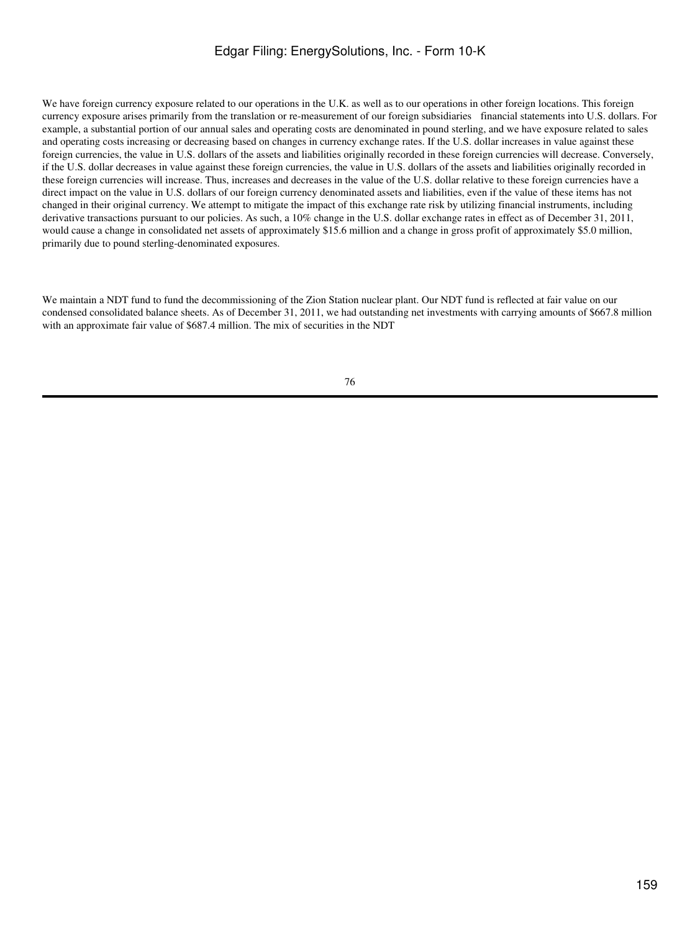We have foreign currency exposure related to our operations in the U.K. as well as to our operations in other foreign locations. This foreign currency exposure arises primarily from the translation or re-measurement of our foreign subsidiaries financial statements into U.S. dollars. For example, a substantial portion of our annual sales and operating costs are denominated in pound sterling, and we have exposure related to sales and operating costs increasing or decreasing based on changes in currency exchange rates. If the U.S. dollar increases in value against these foreign currencies, the value in U.S. dollars of the assets and liabilities originally recorded in these foreign currencies will decrease. Conversely, if the U.S. dollar decreases in value against these foreign currencies, the value in U.S. dollars of the assets and liabilities originally recorded in these foreign currencies will increase. Thus, increases and decreases in the value of the U.S. dollar relative to these foreign currencies have a direct impact on the value in U.S. dollars of our foreign currency denominated assets and liabilities, even if the value of these items has not changed in their original currency. We attempt to mitigate the impact of this exchange rate risk by utilizing financial instruments, including derivative transactions pursuant to our policies. As such, a 10% change in the U.S. dollar exchange rates in effect as of December 31, 2011, would cause a change in consolidated net assets of approximately \$15.6 million and a change in gross profit of approximately \$5.0 million, primarily due to pound sterling-denominated exposures.

We maintain a NDT fund to fund the decommissioning of the Zion Station nuclear plant. Our NDT fund is reflected at fair value on our condensed consolidated balance sheets. As of December 31, 2011, we had outstanding net investments with carrying amounts of \$667.8 million with an approximate fair value of \$687.4 million. The mix of securities in the NDT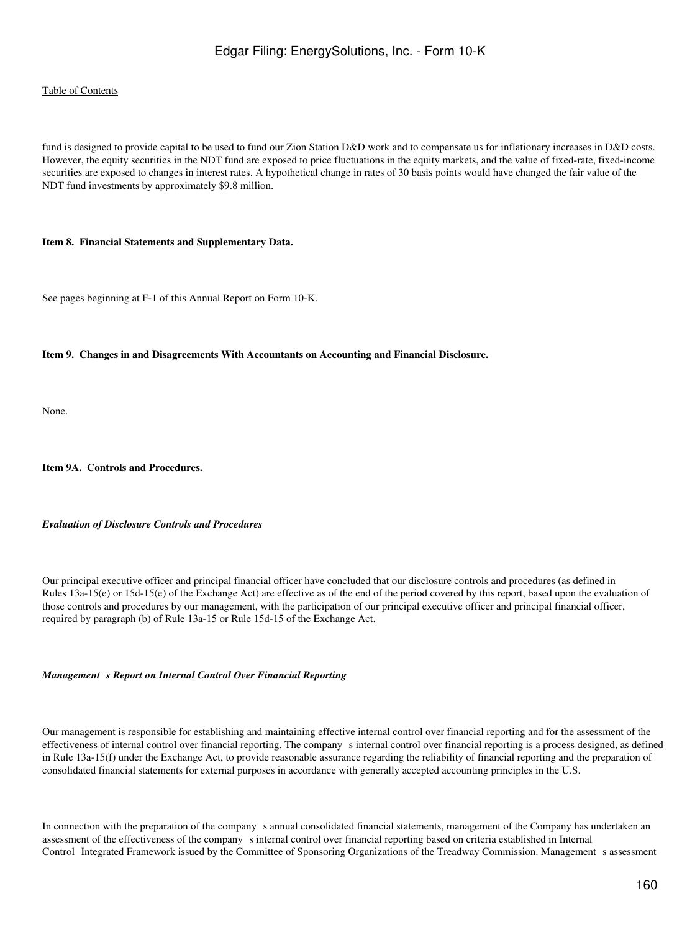### [Table of Contents](#page-3-0)

fund is designed to provide capital to be used to fund our Zion Station D&D work and to compensate us for inflationary increases in D&D costs. However, the equity securities in the NDT fund are exposed to price fluctuations in the equity markets, and the value of fixed-rate, fixed-income securities are exposed to changes in interest rates. A hypothetical change in rates of 30 basis points would have changed the fair value of the NDT fund investments by approximately \$9.8 million.

#### **Item 8. Financial Statements and Supplementary Data.**

See pages beginning at F-1 of this Annual Report on Form 10-K.

#### **Item 9. Changes in and Disagreements With Accountants on Accounting and Financial Disclosure.**

None.

**Item 9A. Controls and Procedures.**

*Evaluation of Disclosure Controls and Procedures*

Our principal executive officer and principal financial officer have concluded that our disclosure controls and procedures (as defined in Rules 13a-15(e) or 15d-15(e) of the Exchange Act) are effective as of the end of the period covered by this report, based upon the evaluation of those controls and procedures by our management, with the participation of our principal executive officer and principal financial officer, required by paragraph (b) of Rule 13a-15 or Rule 15d-15 of the Exchange Act.

*Management s Report on Internal Control Over Financial Reporting* 

Our management is responsible for establishing and maintaining effective internal control over financial reporting and for the assessment of the effectiveness of internal control over financial reporting. The companys internal control over financial reporting is a process designed, as defined in Rule 13a-15(f) under the Exchange Act, to provide reasonable assurance regarding the reliability of financial reporting and the preparation of consolidated financial statements for external purposes in accordance with generally accepted accounting principles in the U.S.

In connection with the preparation of the company s annual consolidated financial statements, management of the Company has undertaken an assessment of the effectiveness of the company s internal control over financial reporting based on criteria established in Internal Control Integrated Framework issued by the Committee of Sponsoring Organizations of the Treadway Commission. Management s assessment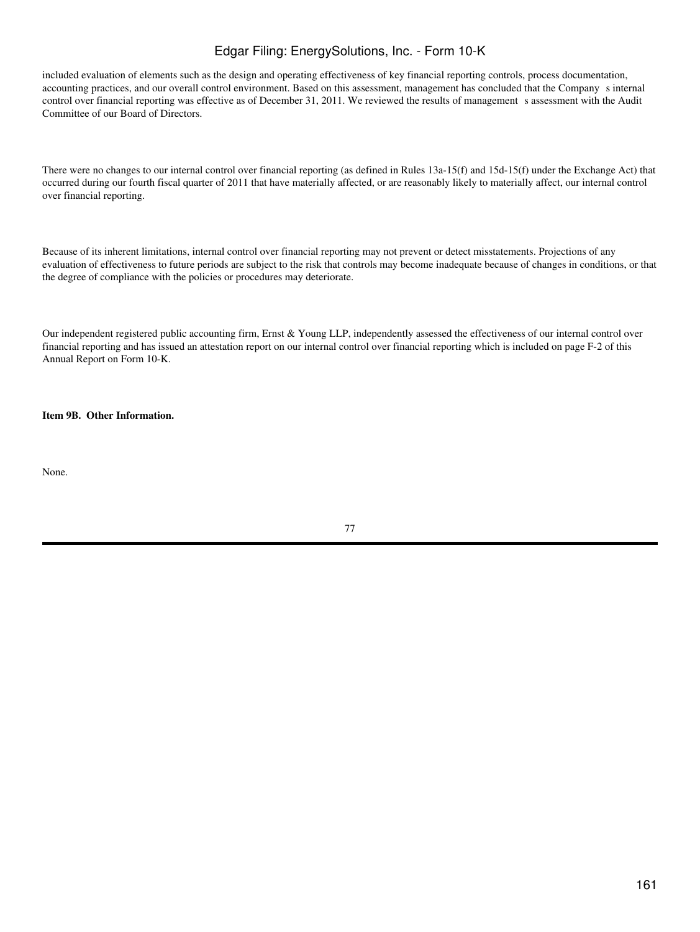included evaluation of elements such as the design and operating effectiveness of key financial reporting controls, process documentation, accounting practices, and our overall control environment. Based on this assessment, management has concluded that the Company s internal control over financial reporting was effective as of December 31, 2011. We reviewed the results of management s assessment with the Audit Committee of our Board of Directors.

There were no changes to our internal control over financial reporting (as defined in Rules 13a-15(f) and 15d-15(f) under the Exchange Act) that occurred during our fourth fiscal quarter of 2011 that have materially affected, or are reasonably likely to materially affect, our internal control over financial reporting.

Because of its inherent limitations, internal control over financial reporting may not prevent or detect misstatements. Projections of any evaluation of effectiveness to future periods are subject to the risk that controls may become inadequate because of changes in conditions, or that the degree of compliance with the policies or procedures may deteriorate.

Our independent registered public accounting firm, Ernst & Young LLP, independently assessed the effectiveness of our internal control over financial reporting and has issued an attestation report on our internal control over financial reporting which is included on page F-2 of this Annual Report on Form 10-K.

## **Item 9B. Other Information.**

None.

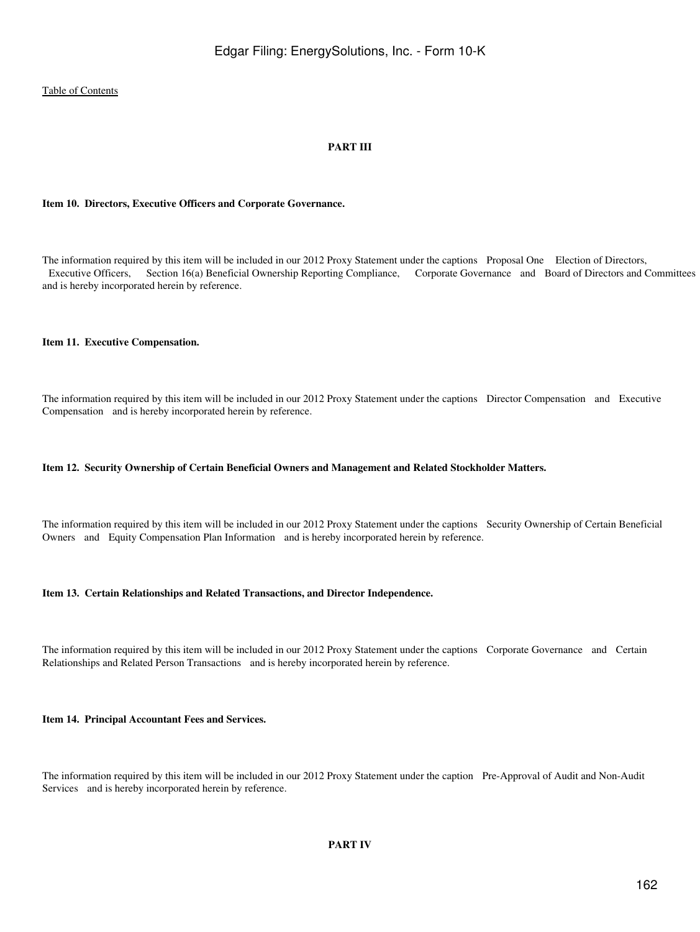### **PART III**

#### **Item 10. Directors, Executive Officers and Corporate Governance.**

The information required by this item will be included in our 2012 Proxy Statement under the captions Proposal One Election of Directors, Executive Officers, Section 16(a) Beneficial Ownership Reporting Compliance, Corporate Governance and Board of Directors and Committees and is hereby incorporated herein by reference.

#### **Item 11. Executive Compensation.**

The information required by this item will be included in our 2012 Proxy Statement under the captions Director Compensation and Executive Compensation and is hereby incorporated herein by reference.

#### **Item 12. Security Ownership of Certain Beneficial Owners and Management and Related Stockholder Matters.**

The information required by this item will be included in our 2012 Proxy Statement under the captions Security Ownership of Certain Beneficial Owners and Equity Compensation Plan Information and is hereby incorporated herein by reference.

### **Item 13. Certain Relationships and Related Transactions, and Director Independence.**

The information required by this item will be included in our 2012 Proxy Statement under the captions Corporate Governance and Certain Relationships and Related Person Transactions and is hereby incorporated herein by reference.

#### **Item 14. Principal Accountant Fees and Services.**

The information required by this item will be included in our 2012 Proxy Statement under the caption Pre-Approval of Audit and Non-Audit Services and is hereby incorporated herein by reference.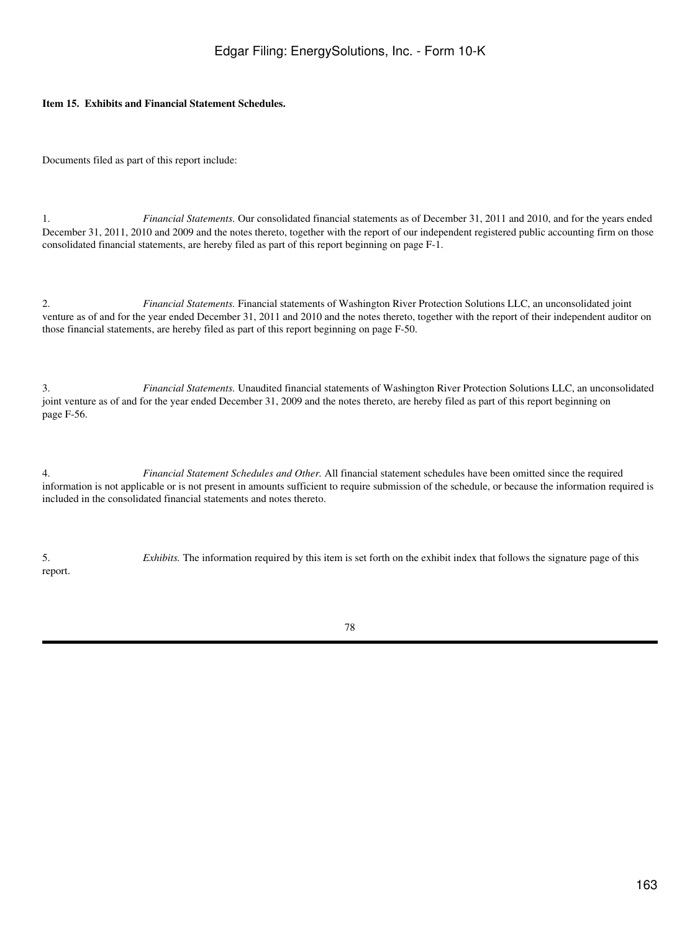## **Item 15. Exhibits and Financial Statement Schedules.**

Documents filed as part of this report include:

1. *Financial Statements.* Our consolidated financial statements as of December 31, 2011 and 2010, and for the years ended December 31, 2011, 2010 and 2009 and the notes thereto, together with the report of our independent registered public accounting firm on those consolidated financial statements, are hereby filed as part of this report beginning on page F-1.

2. *Financial Statements.* Financial statements of Washington River Protection Solutions LLC, an unconsolidated joint venture as of and for the year ended December 31, 2011 and 2010 and the notes thereto, together with the report of their independent auditor on those financial statements, are hereby filed as part of this report beginning on page F-50.

3. *Financial Statements.* Unaudited financial statements of Washington River Protection Solutions LLC, an unconsolidated joint venture as of and for the year ended December 31, 2009 and the notes thereto, are hereby filed as part of this report beginning on page F-56.

4. *Financial Statement Schedules and Other.* All financial statement schedules have been omitted since the required information is not applicable or is not present in amounts sufficient to require submission of the schedule, or because the information required is included in the consolidated financial statements and notes thereto.

5. *Exhibits.* The information required by this item is set forth on the exhibit index that follows the signature page of this report.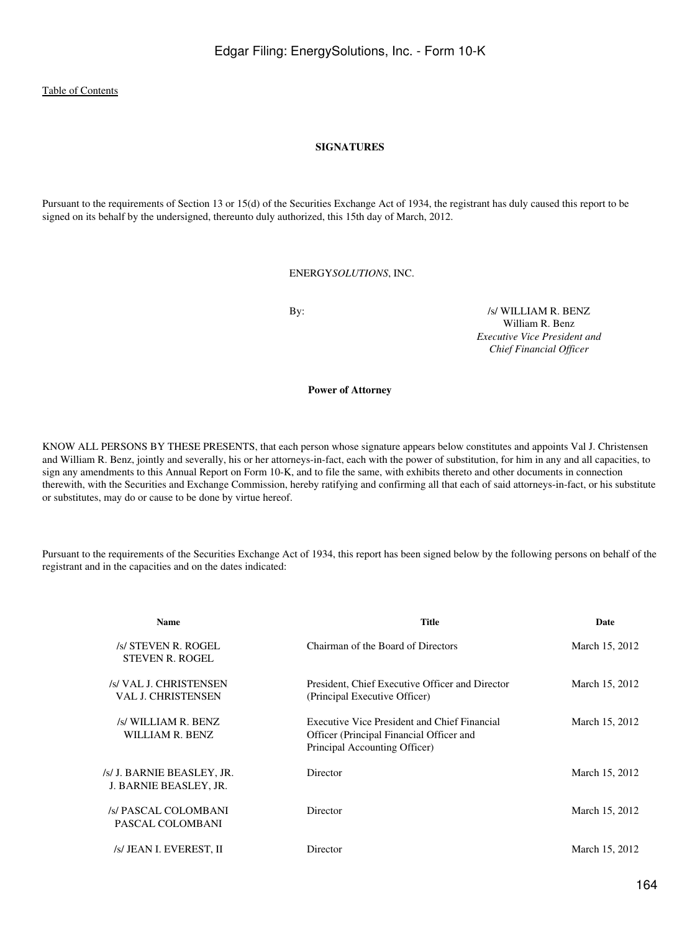## **SIGNATURES**

Pursuant to the requirements of Section 13 or 15(d) of the Securities Exchange Act of 1934, the registrant has duly caused this report to be signed on its behalf by the undersigned, thereunto duly authorized, this 15th day of March, 2012.

#### ENERGY*SOLUTIONS*, INC.

By: /s/ WILLIAM R. BENZ William R. Benz *Executive Vice President and Chief Financial Officer*

#### **Power of Attorney**

KNOW ALL PERSONS BY THESE PRESENTS, that each person whose signature appears below constitutes and appoints Val J. Christensen and William R. Benz, jointly and severally, his or her attorneys-in-fact, each with the power of substitution, for him in any and all capacities, to sign any amendments to this Annual Report on Form 10-K, and to file the same, with exhibits thereto and other documents in connection therewith, with the Securities and Exchange Commission, hereby ratifying and confirming all that each of said attorneys-in-fact, or his substitute or substitutes, may do or cause to be done by virtue hereof.

Pursuant to the requirements of the Securities Exchange Act of 1934, this report has been signed below by the following persons on behalf of the registrant and in the capacities and on the dates indicated:

| <b>Name</b>                                          | <b>Title</b>                                                                                                              | <b>Date</b>    |
|------------------------------------------------------|---------------------------------------------------------------------------------------------------------------------------|----------------|
| /s/ STEVEN R. ROGEL<br>STEVEN R. ROGEL               | Chairman of the Board of Directors                                                                                        | March 15, 2012 |
| /s/ VAL J. CHRISTENSEN<br>VAL J. CHRISTENSEN         | President, Chief Executive Officer and Director<br>(Principal Executive Officer)                                          | March 15, 2012 |
| /s/WILLIAM R. BENZ<br>WILLIAM R. BENZ                | Executive Vice President and Chief Financial<br>Officer (Principal Financial Officer and<br>Principal Accounting Officer) | March 15, 2012 |
| /s/ J. BARNIE BEASLEY, JR.<br>J. BARNIE BEASLEY, JR. | Director                                                                                                                  | March 15, 2012 |
| /s/ PASCAL COLOMBANI<br>PASCAL COLOMBANI             | Director                                                                                                                  | March 15, 2012 |
| /s/ JEAN I. EVEREST, II                              | Director                                                                                                                  | March 15, 2012 |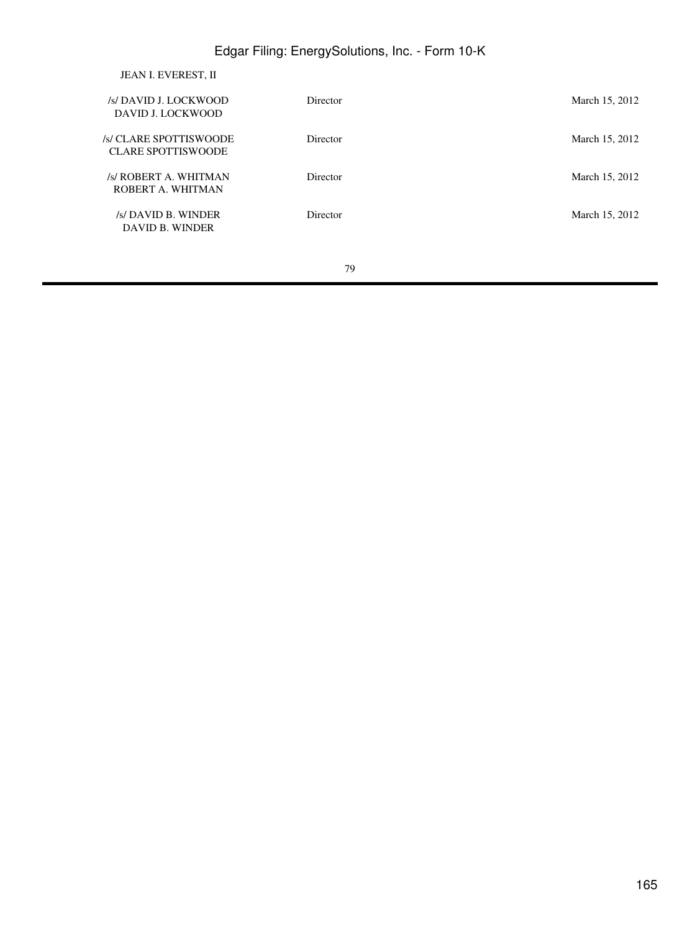| JEAN I. EVEREST, II                                 |          |                |
|-----------------------------------------------------|----------|----------------|
| /s/ DAVID J. LOCKWOOD<br>DAVID J. LOCKWOOD          | Director | March 15, 2012 |
| /s/ CLARE SPOTTISWOODE<br><b>CLARE SPOTTISWOODE</b> | Director | March 15, 2012 |
| /s/ ROBERT A. WHITMAN<br>ROBERT A. WHITMAN          | Director | March 15, 2012 |
| /s/ DAVID B. WINDER<br>DAVID B. WINDER              | Director | March 15, 2012 |
|                                                     |          |                |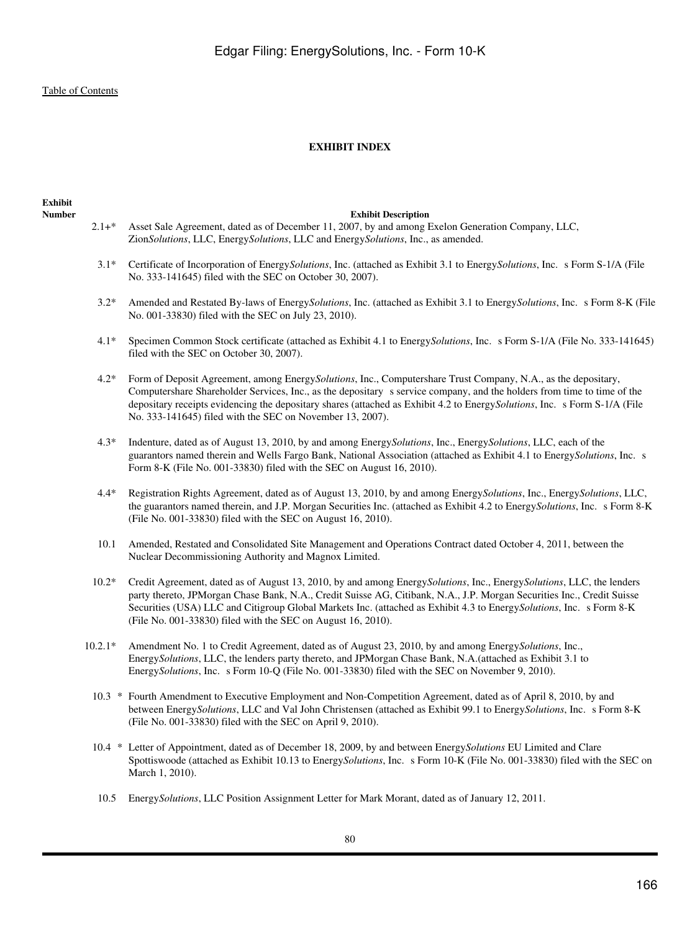### **EXHIBIT INDEX**

# **Exhibit**

#### **Exhibit Description**

- 2.1+\* Asset Sale Agreement, dated as of December 11, 2007, by and among Exelon Generation Company, LLC, Zion*Solutions*, LLC, Energy*Solutions*, LLC and Energy*Solutions*, Inc., as amended.
- 3.1\* Certificate of Incorporation of Energy*Solutions*, Inc. (attached as Exhibit 3.1 to Energy*Solutions*, Inc. s Form S-1/A (File No. 333-141645) filed with the SEC on October 30, 2007).
- 3.2\* Amended and Restated By-laws of Energy*Solutions*, Inc. (attached as Exhibit 3.1 to Energy*Solutions*, Inc.s Form 8-K (File No. 001-33830) filed with the SEC on July 23, 2010).
- 4.1\* Specimen Common Stock certificate (attached as Exhibit 4.1 to Energy*Solutions*, Inc.s Form S-1/A (File No. 333-141645) filed with the SEC on October 30, 2007).
- 4.2\* Form of Deposit Agreement, among Energy*Solutions*, Inc., Computershare Trust Company, N.A., as the depositary, Computershare Shareholder Services, Inc., as the depositary s service company, and the holders from time to time of the depositary receipts evidencing the depositary shares (attached as Exhibit 4.2 to Energy*Solutions*, Inc. s Form S-1/A (File No. 333-141645) filed with the SEC on November 13, 2007).
- 4.3\* Indenture, dated as of August 13, 2010, by and among Energy*Solutions*, Inc., Energy*Solutions*, LLC, each of the guarantors named therein and Wells Fargo Bank, National Association (attached as Exhibit 4.1 to Energy*Solutions*, Inc.s Form 8-K (File No. 001-33830) filed with the SEC on August 16, 2010).
- 4.4\* Registration Rights Agreement, dated as of August 13, 2010, by and among Energy*Solutions*, Inc., Energy*Solutions*, LLC, the guarantors named therein, and J.P. Morgan Securities Inc. (attached as Exhibit 4.2 to Energy*Solutions*, Inc. s Form 8-K (File No. 001-33830) filed with the SEC on August 16, 2010).
- 10.1 Amended, Restated and Consolidated Site Management and Operations Contract dated October 4, 2011, between the Nuclear Decommissioning Authority and Magnox Limited.
- 10.2\* Credit Agreement, dated as of August 13, 2010, by and among Energy*Solutions*, Inc., Energy*Solutions*, LLC, the lenders party thereto, JPMorgan Chase Bank, N.A., Credit Suisse AG, Citibank, N.A., J.P. Morgan Securities Inc., Credit Suisse Securities (USA) LLC and Citigroup Global Markets Inc. (attached as Exhibit 4.3 to Energy*Solutions*, Inc. s Form 8-K (File No. 001-33830) filed with the SEC on August 16, 2010).
- 10.2.1\* Amendment No. 1 to Credit Agreement, dated as of August 23, 2010, by and among Energy*Solutions*, Inc., Energy*Solutions*, LLC, the lenders party thereto, and JPMorgan Chase Bank, N.A.(attached as Exhibit 3.1 to Energy Solutions, Inc. s Form 10-Q (File No. 001-33830) filed with the SEC on November 9, 2010).
	- 10.3\* Fourth Amendment to Executive Employment and Non-Competition Agreement, dated as of April 8, 2010, by and between Energy*Solutions*, LLC and Val John Christensen (attached as Exhibit 99.1 to Energy*Solutions*, Inc. s Form 8-K (File No. 001-33830) filed with the SEC on April 9, 2010).
	- 10.4\* Letter of Appointment, dated as of December 18, 2009, by and between Energy*Solutions* EU Limited and Clare Spottiswoode (attached as Exhibit 10.13 to Energy*Solutions*, Inc. s Form 10-K (File No. 001-33830) filed with the SEC on March 1, 2010).
	- 10.5 Energy*Solutions*, LLC Position Assignment Letter for Mark Morant, dated as of January 12, 2011.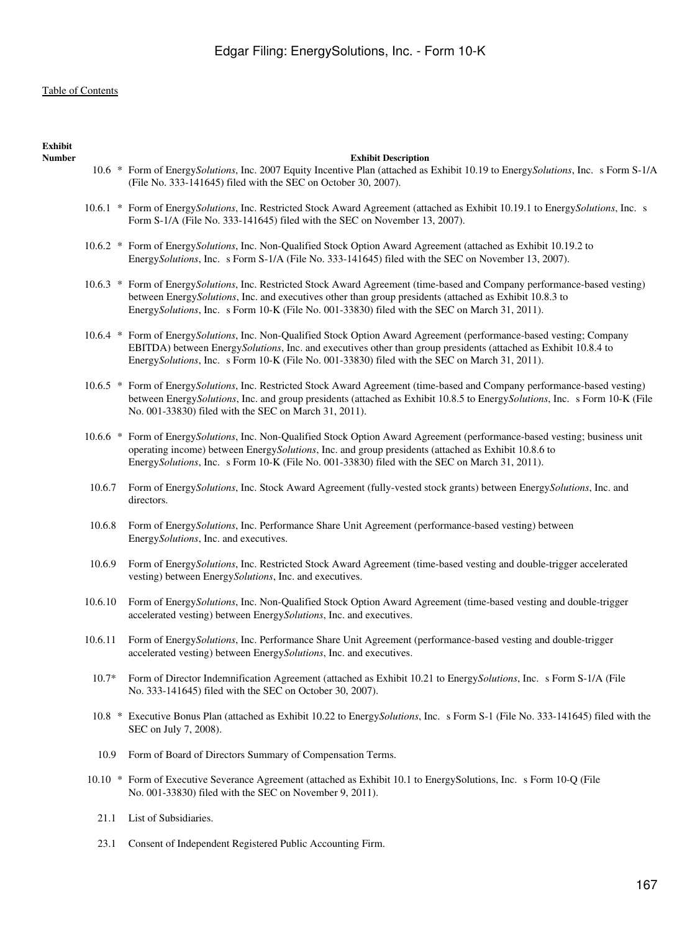## **Exhibit**

#### **Number Exhibit Description**

- 10.6 \* Form of Energy*Solutions*, Inc. 2007 Equity Incentive Plan (attached as Exhibit 10.19 to Energy*Solutions*, Inc. s Form S-1/A (File No. 333-141645) filed with the SEC on October 30, 2007).
- 10.6.1\* Form of Energy*Solutions*, Inc. Restricted Stock Award Agreement (attached as Exhibit 10.19.1 to Energy*Solutions*, Inc.s Form S-1/A (File No. 333-141645) filed with the SEC on November 13, 2007).
- 10.6.2\* Form of Energy*Solutions*, Inc. Non-Qualified Stock Option Award Agreement (attached as Exhibit 10.19.2 to Energy*Solutions*, Inc. s Form S-1/A (File No. 333-141645) filed with the SEC on November 13, 2007).
- 10.6.3\* Form of Energy*Solutions*, Inc. Restricted Stock Award Agreement (time-based and Company performance-based vesting) between Energy*Solutions*, Inc. and executives other than group presidents (attached as Exhibit 10.8.3 to Energy*Solutions*, Inc. s Form 10-K (File No. 001-33830) filed with the SEC on March 31, 2011).
- 10.6.4\* Form of Energy*Solutions*, Inc. Non-Qualified Stock Option Award Agreement (performance-based vesting; Company EBITDA) between Energy*Solutions*, Inc. and executives other than group presidents (attached as Exhibit 10.8.4 to Energy*Solutions*, Inc. s Form 10-K (File No. 001-33830) filed with the SEC on March 31, 2011).
- 10.6.5\* Form of Energy*Solutions*, Inc. Restricted Stock Award Agreement (time-based and Company performance-based vesting) between Energy*Solutions*, Inc. and group presidents (attached as Exhibit 10.8.5 to Energy*Solutions*, Inc. s Form 10-K (File No. 001-33830) filed with the SEC on March 31, 2011).
- 10.6.6\* Form of Energy*Solutions*, Inc. Non-Qualified Stock Option Award Agreement (performance-based vesting; business unit operating income) between Energy*Solutions*, Inc. and group presidents (attached as Exhibit 10.8.6 to Energy*Solutions*, Inc. s Form 10-K (File No. 001-33830) filed with the SEC on March 31, 2011).
- 10.6.7 Form of Energy*Solutions*, Inc. Stock Award Agreement (fully-vested stock grants) between Energy*Solutions*, Inc. and directors.
- 10.6.8 Form of Energy*Solutions*, Inc. Performance Share Unit Agreement (performance-based vesting) between Energy*Solutions*, Inc. and executives.
- 10.6.9 Form of Energy*Solutions*, Inc. Restricted Stock Award Agreement (time-based vesting and double-trigger accelerated vesting) between Energy*Solutions*, Inc. and executives.
- 10.6.10 Form of Energy*Solutions*, Inc. Non-Qualified Stock Option Award Agreement (time-based vesting and double-trigger accelerated vesting) between Energy*Solutions*, Inc. and executives.
- 10.6.11 Form of Energy*Solutions*, Inc. Performance Share Unit Agreement (performance-based vesting and double-trigger accelerated vesting) between Energy*Solutions*, Inc. and executives.
- 10.7\* Form of Director Indemnification Agreement (attached as Exhibit 10.21 to Energy Solutions, Inc. s Form S-1/A (File No. 333-141645) filed with the SEC on October 30, 2007).
- 10.8\* Executive Bonus Plan (attached as Exhibit 10.22 to Energy*Solutions*, Inc.s Form S-1 (File No. 333-141645) filed with the SEC on July 7, 2008).
- 10.9 Form of Board of Directors Summary of Compensation Terms.
- 10.10 \* Form of Executive Severance Agreement (attached as Exhibit 10.1 to EnergySolutions, Inc. s Form 10-Q (File No. 001-33830) filed with the SEC on November 9, 2011).
	- 21.1 List of Subsidiaries.
	- 23.1 Consent of Independent Registered Public Accounting Firm.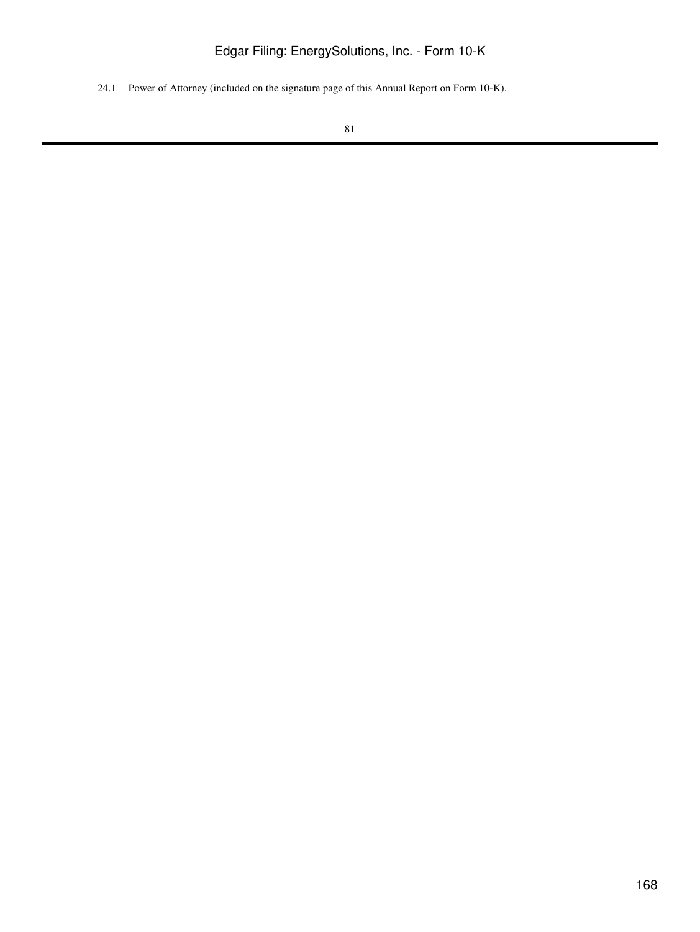24.1 Power of Attorney (included on the signature page of this Annual Report on Form 10-K).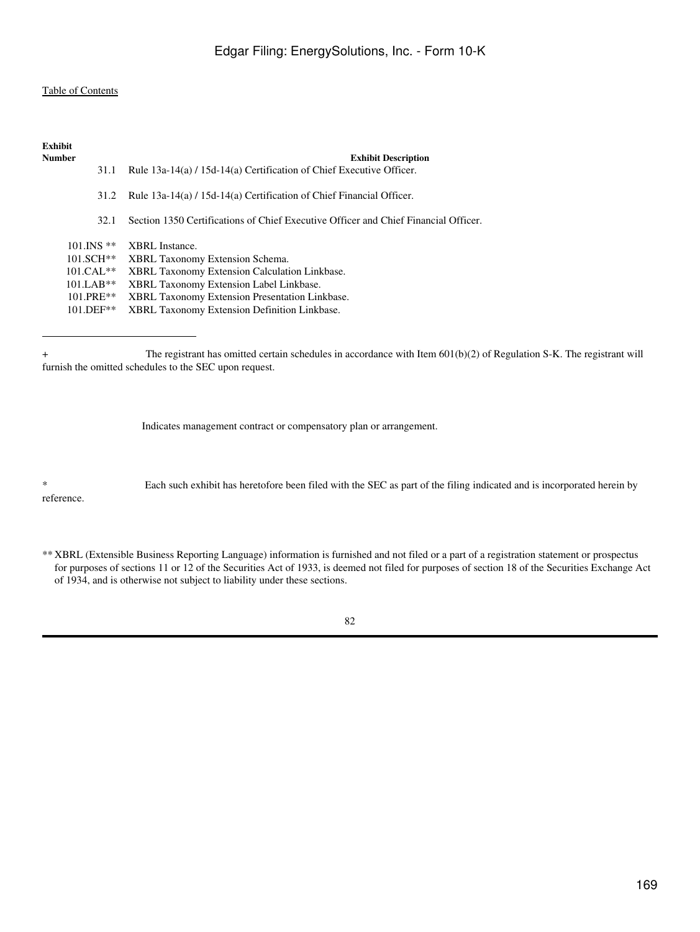## **Exhibit**

#### **Number Exhibit Description**

- 31.1 Rule 13a-14(a) / 15d-14(a) Certification of Chief Executive Officer.
	- 31.2 Rule 13a-14(a) / 15d-14(a) Certification of Chief Financial Officer.
- 32.1 Section 1350 Certifications of Chief Executive Officer and Chief Financial Officer.

101.INS \*\* XBRL Instance.

- 101.SCH\*\* XBRL Taxonomy Extension Schema.
- 101.CAL\*\* XBRL Taxonomy Extension Calculation Linkbase.
- XBRL Taxonomy Extension Label Linkbase.
- 101.PRE\*\* XBRL Taxonomy Extension Presentation Linkbase.
- 101.DEF\*\* XBRL Taxonomy Extension Definition Linkbase.

Indicates management contract or compensatory plan or arrangement.

\* Each such exhibit has heretofore been filed with the SEC as part of the filing indicated and is incorporated herein by

reference.

\*\* XBRL (Extensible Business Reporting Language) information is furnished and not filed or a part of a registration statement or prospectus for purposes of sections 11 or 12 of the Securities Act of 1933, is deemed not filed for purposes of section 18 of the Securities Exchange Act of 1934, and is otherwise not subject to liability under these sections.

<sup>+</sup> The registrant has omitted certain schedules in accordance with Item 601(b)(2) of Regulation S-K. The registrant will furnish the omitted schedules to the SEC upon request.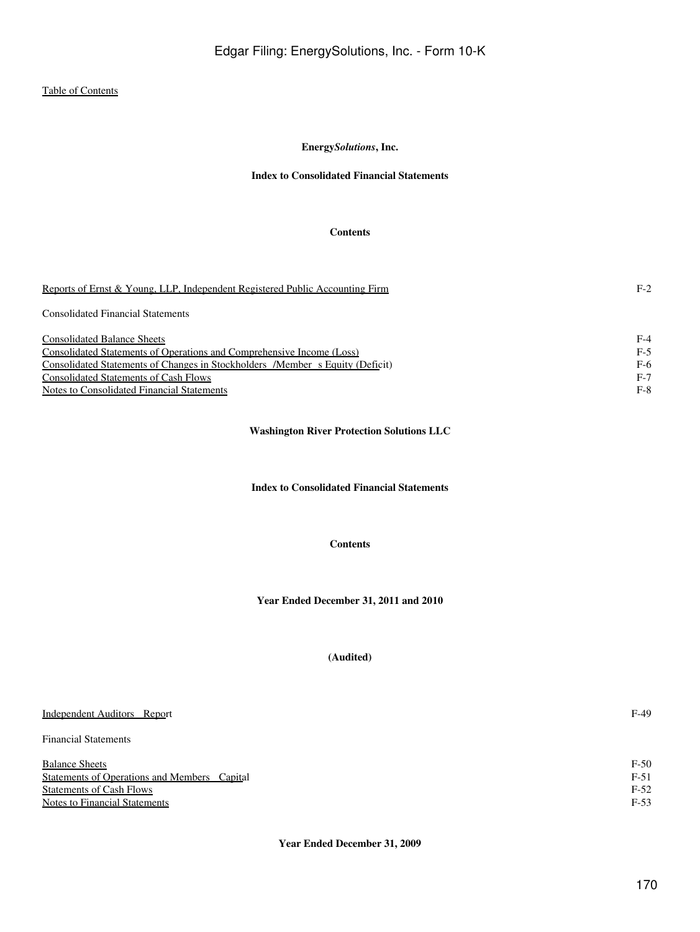## **Energy***Solutions***, Inc.**

## **Index to Consolidated Financial Statements**

**Contents**

| Reports of Ernst & Young, LLP, Independent Registered Public Accounting Firm         | $F-2$ |
|--------------------------------------------------------------------------------------|-------|
| Consolidated Financial Statements                                                    |       |
| <b>Consolidated Balance Sheets</b>                                                   | $F-4$ |
| Consolidated Statements of Operations and Comprehensive Income (Loss)                | $F-5$ |
| <b>Consolidated Statements of Changes in Stockholders /Member s Equity (Deficit)</b> | F-6   |
| Consolidated Statements of Cash Flows                                                | $F-7$ |
| Notes to Consolidated Financial Statements                                           | $F-8$ |

**Washington River Protection Solutions LLC**

**Index to Consolidated Financial Statements**

**Contents**

**Year Ended December 31, 2011 and 2010**

**(Audited)**

#### [Independent Auditors Repor](#page-259-0)t F-49

Financial Statements

[Balance Sheets](#page-260-0)<br>Statements of Operations and Members Capital<br>F-51 [Statements of Operations and Members Capita](#page-261-0)l F-51<br>Statements of Cash Flows F-52 [Statements of Cash Flows](#page-262-0) F-52<br>Notes to Financial Statements F-53 [Notes to Financial Statements](#page-263-0)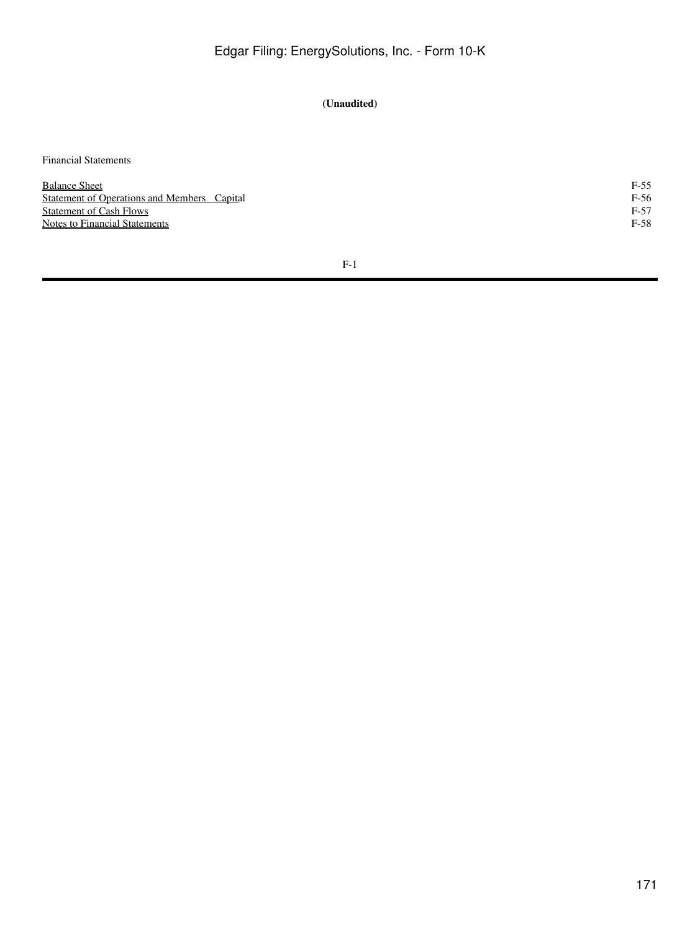## **(Unaudited)**

Financial Statements

[Balance Sheet](#page-266-0) F-55 [Statement of Operations and Members Capita](#page-267-0)l Grand Control of Control of Control of Control of Control of Control of Control of Control of Control of Control of Control of Control of Control of Control of Control of Control [Statement of Cash Flows](#page-268-0) F-57 [Notes to Financial Statements](#page-269-0) F-58

F-1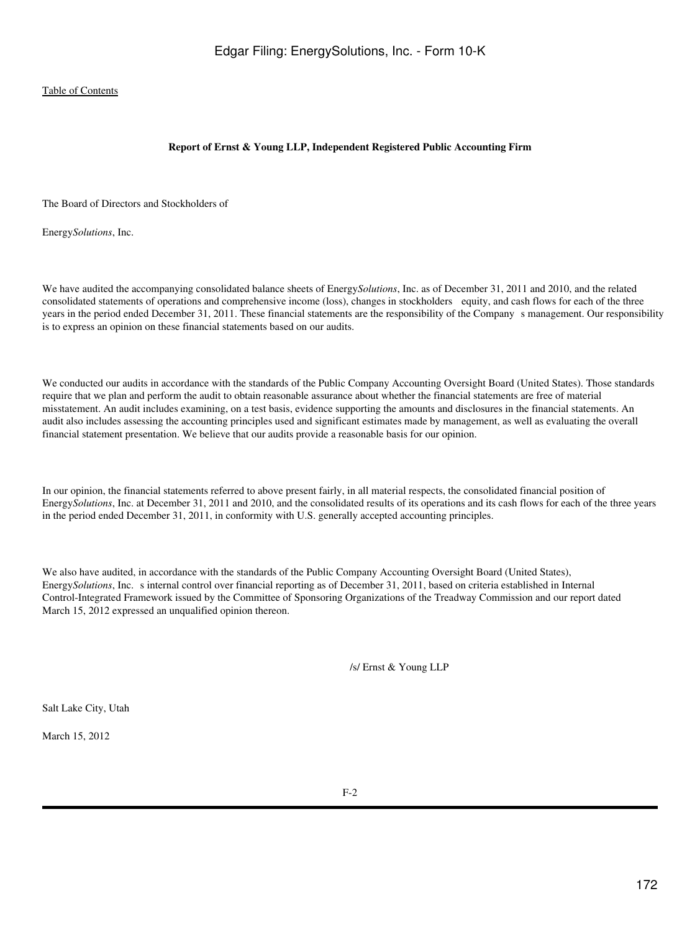### **Report of Ernst & Young LLP, Independent Registered Public Accounting Firm**

<span id="page-171-0"></span>The Board of Directors and Stockholders of

Energy*Solutions*, Inc.

We have audited the accompanying consolidated balance sheets of Energy*Solutions*, Inc. as of December 31, 2011 and 2010, and the related consolidated statements of operations and comprehensive income (loss), changes in stockholders equity, and cash flows for each of the three years in the period ended December 31, 2011. These financial statements are the responsibility of the Company s management. Our responsibility is to express an opinion on these financial statements based on our audits.

We conducted our audits in accordance with the standards of the Public Company Accounting Oversight Board (United States). Those standards require that we plan and perform the audit to obtain reasonable assurance about whether the financial statements are free of material misstatement. An audit includes examining, on a test basis, evidence supporting the amounts and disclosures in the financial statements. An audit also includes assessing the accounting principles used and significant estimates made by management, as well as evaluating the overall financial statement presentation. We believe that our audits provide a reasonable basis for our opinion.

In our opinion, the financial statements referred to above present fairly, in all material respects, the consolidated financial position of Energy*Solutions*, Inc. at December 31, 2011 and 2010, and the consolidated results of its operations and its cash flows for each of the three years in the period ended December 31, 2011, in conformity with U.S. generally accepted accounting principles.

We also have audited, in accordance with the standards of the Public Company Accounting Oversight Board (United States), Energy Solutions, Inc. s internal control over financial reporting as of December 31, 2011, based on criteria established in Internal Control-Integrated Framework issued by the Committee of Sponsoring Organizations of the Treadway Commission and our report dated March 15, 2012 expressed an unqualified opinion thereon.

/s/ Ernst & Young LLP

Salt Lake City, Utah

March 15, 2012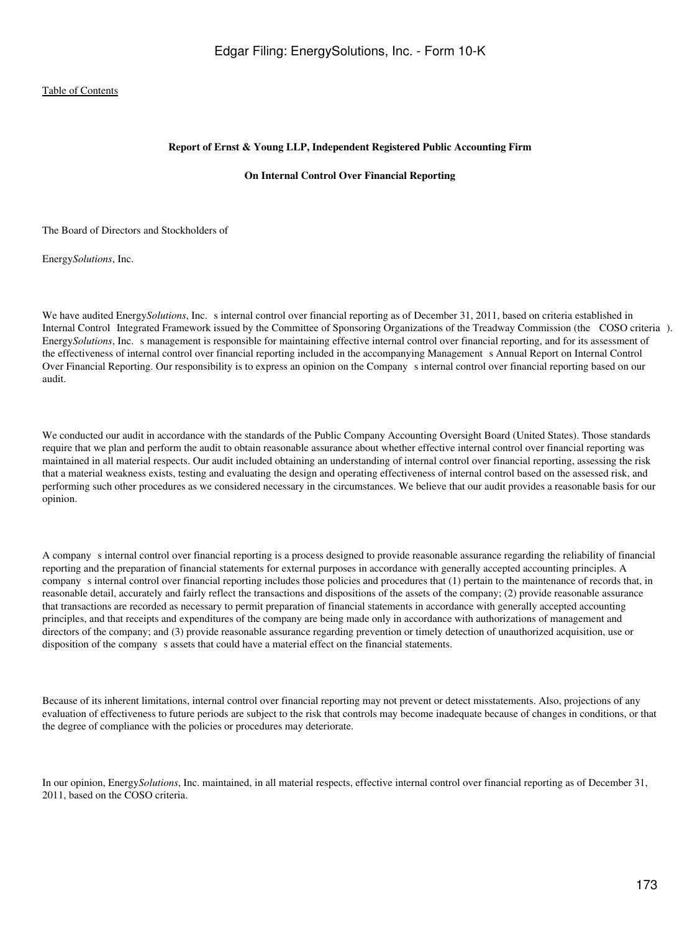#### **Report of Ernst & Young LLP, Independent Registered Public Accounting Firm**

#### **On Internal Control Over Financial Reporting**

The Board of Directors and Stockholders of

Energy*Solutions*, Inc.

We have audited Energy*Solutions*, Inc. s internal control over financial reporting as of December 31, 2011, based on criteria established in Internal Control Integrated Framework issued by the Committee of Sponsoring Organizations of the Treadway Commission (the COSO criteria). Energy*Solutions*, Inc. s management is responsible for maintaining effective internal control over financial reporting, and for its assessment of the effectiveness of internal control over financial reporting included in the accompanying Management s Annual Report on Internal Control Over Financial Reporting. Our responsibility is to express an opinion on the Companys internal control over financial reporting based on our audit.

We conducted our audit in accordance with the standards of the Public Company Accounting Oversight Board (United States). Those standards require that we plan and perform the audit to obtain reasonable assurance about whether effective internal control over financial reporting was maintained in all material respects. Our audit included obtaining an understanding of internal control over financial reporting, assessing the risk that a material weakness exists, testing and evaluating the design and operating effectiveness of internal control based on the assessed risk, and performing such other procedures as we considered necessary in the circumstances. We believe that our audit provides a reasonable basis for our opinion.

A companys internal control over financial reporting is a process designed to provide reasonable assurance regarding the reliability of financial reporting and the preparation of financial statements for external purposes in accordance with generally accepted accounting principles. A companys internal control over financial reporting includes those policies and procedures that (1) pertain to the maintenance of records that, in reasonable detail, accurately and fairly reflect the transactions and dispositions of the assets of the company; (2) provide reasonable assurance that transactions are recorded as necessary to permit preparation of financial statements in accordance with generally accepted accounting principles, and that receipts and expenditures of the company are being made only in accordance with authorizations of management and directors of the company; and (3) provide reasonable assurance regarding prevention or timely detection of unauthorized acquisition, use or disposition of the company s assets that could have a material effect on the financial statements.

Because of its inherent limitations, internal control over financial reporting may not prevent or detect misstatements. Also, projections of any evaluation of effectiveness to future periods are subject to the risk that controls may become inadequate because of changes in conditions, or that the degree of compliance with the policies or procedures may deteriorate.

In our opinion, Energy*Solutions*, Inc. maintained, in all material respects, effective internal control over financial reporting as of December 31, 2011, based on the COSO criteria.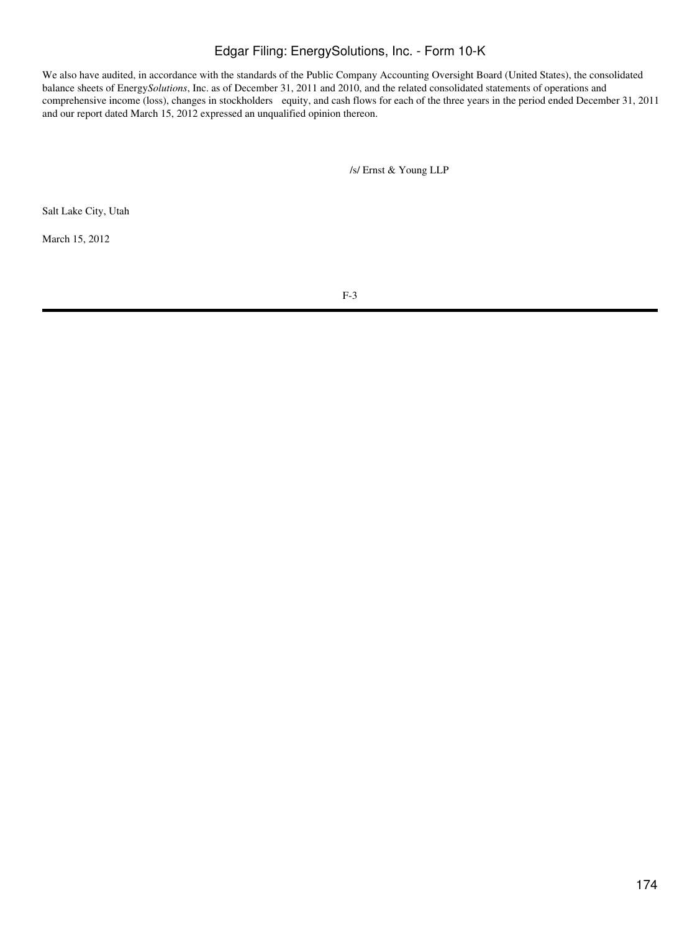We also have audited, in accordance with the standards of the Public Company Accounting Oversight Board (United States), the consolidated balance sheets of Energy*Solutions*, Inc. as of December 31, 2011 and 2010, and the related consolidated statements of operations and comprehensive income (loss), changes in stockholders equity, and cash flows for each of the three years in the period ended December 31, 2011 and our report dated March 15, 2012 expressed an unqualified opinion thereon.

/s/ Ernst & Young LLP

Salt Lake City, Utah

March 15, 2012

F-3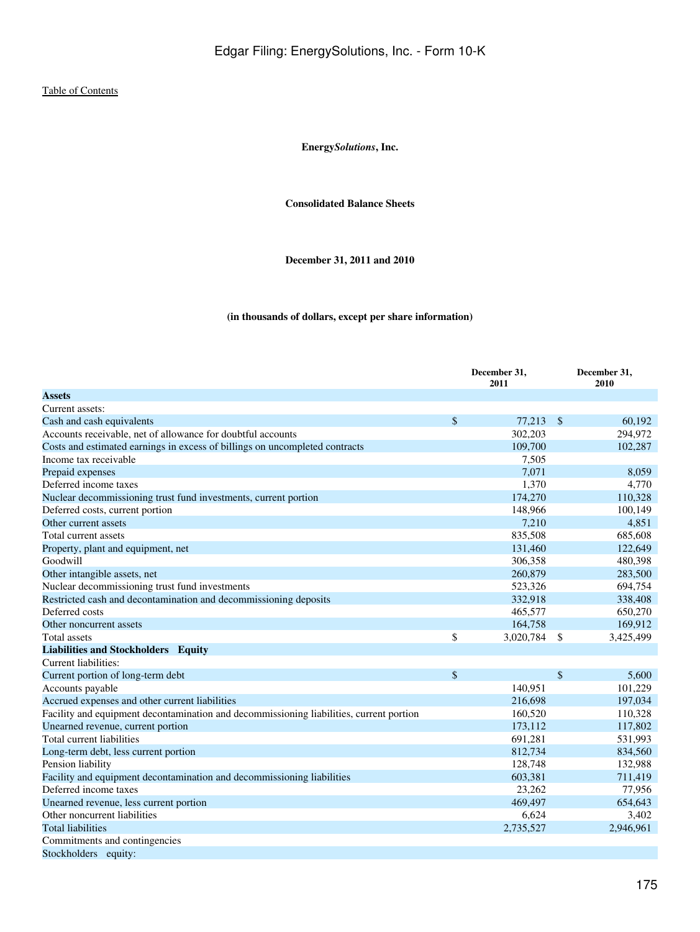**Energy***Solutions***, Inc.**

**Consolidated Balance Sheets**

**December 31, 2011 and 2010**

## **(in thousands of dollars, except per share information)**

<span id="page-174-0"></span>

|                                                                                         |              | December 31,<br>2011 |               | December 31,<br>2010 |
|-----------------------------------------------------------------------------------------|--------------|----------------------|---------------|----------------------|
| Assets                                                                                  |              |                      |               |                      |
| Current assets:                                                                         |              |                      |               |                      |
| Cash and cash equivalents                                                               | \$           | 77,213               | $\mathcal{S}$ | 60.192               |
| Accounts receivable, net of allowance for doubtful accounts                             |              | 302,203              |               | 294,972              |
| Costs and estimated earnings in excess of billings on uncompleted contracts             |              | 109,700              |               | 102,287              |
| Income tax receivable                                                                   |              | 7,505                |               |                      |
| Prepaid expenses                                                                        |              | 7,071                |               | 8,059                |
| Deferred income taxes                                                                   |              | 1,370                |               | 4,770                |
| Nuclear decommissioning trust fund investments, current portion                         |              | 174,270              |               | 110,328              |
| Deferred costs, current portion                                                         |              | 148,966              |               | 100,149              |
| Other current assets                                                                    |              | 7,210                |               | 4,851                |
| Total current assets                                                                    |              | 835,508              |               | 685,608              |
| Property, plant and equipment, net                                                      |              | 131,460              |               | 122,649              |
| Goodwill                                                                                |              | 306,358              |               | 480,398              |
| Other intangible assets, net                                                            |              | 260,879              |               | 283,500              |
| Nuclear decommissioning trust fund investments                                          |              | 523,326              |               | 694,754              |
| Restricted cash and decontamination and decommissioning deposits                        |              | 332,918              |               | 338,408              |
| Deferred costs                                                                          |              | 465,577              |               | 650,270              |
| Other noncurrent assets                                                                 |              | 164,758              |               | 169,912              |
| Total assets                                                                            | \$           | 3,020,784            | \$            | 3,425,499            |
| Liabilities and Stockholders Equity                                                     |              |                      |               |                      |
| Current liabilities:                                                                    |              |                      |               |                      |
| Current portion of long-term debt                                                       | $\mathbb{S}$ |                      | $\mathbb{S}$  | 5.600                |
| Accounts payable                                                                        |              | 140,951              |               | 101,229              |
| Accrued expenses and other current liabilities                                          |              | 216,698              |               | 197,034              |
| Facility and equipment decontamination and decommissioning liabilities, current portion |              | 160,520              |               | 110,328              |
| Unearned revenue, current portion                                                       |              | 173,112              |               | 117,802              |
| Total current liabilities                                                               |              | 691,281              |               | 531,993              |
| Long-term debt, less current portion                                                    |              | 812,734              |               | 834,560              |
| Pension liability                                                                       |              | 128,748              |               | 132,988              |
| Facility and equipment decontamination and decommissioning liabilities                  |              | 603,381              |               | 711,419              |
| Deferred income taxes                                                                   |              | 23,262               |               | 77,956               |
| Unearned revenue, less current portion                                                  |              | 469,497              |               | 654,643              |
| Other noncurrent liabilities                                                            |              | 6,624                |               | 3,402                |
| <b>Total liabilities</b>                                                                |              | 2,735,527            |               | 2,946,961            |
| Commitments and contingencies                                                           |              |                      |               |                      |
| Stockholders equity:                                                                    |              |                      |               |                      |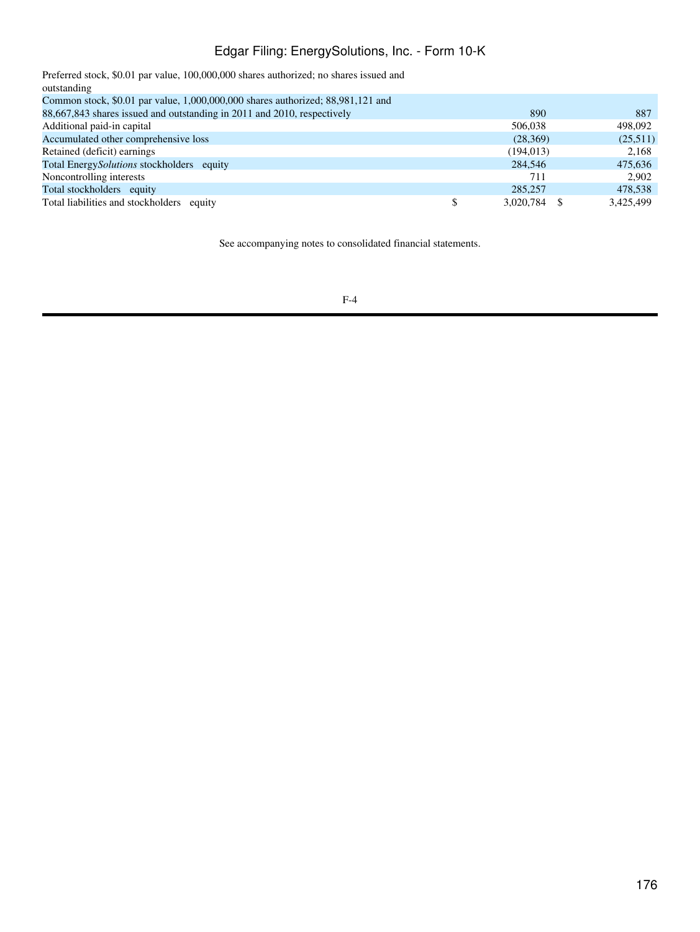Preferred stock, \$0.01 par value, 100,000,000 shares authorized; no shares issued and outstanding

| Common stock, \$0.01 par value, 1,000,000,000 shares authorized; 88,981,121 and |                 |           |
|---------------------------------------------------------------------------------|-----------------|-----------|
| 88,667,843 shares issued and outstanding in 2011 and 2010, respectively         | 890             | 887       |
| Additional paid-in capital                                                      | 506.038         | 498,092   |
| Accumulated other comprehensive loss                                            | (28,369)        | (25,511)  |
| Retained (deficit) earnings                                                     | (194, 013)      | 2.168     |
| Total Energy Solutions stockholders equity                                      | 284,546         | 475.636   |
| Noncontrolling interests                                                        | 711             | 2.902     |
| Total stockholders equity                                                       | 285,257         | 478.538   |
| Total liabilities and stockholders equity                                       | \$<br>3.020.784 | 3.425.499 |

See accompanying notes to consolidated financial statements.

## F-4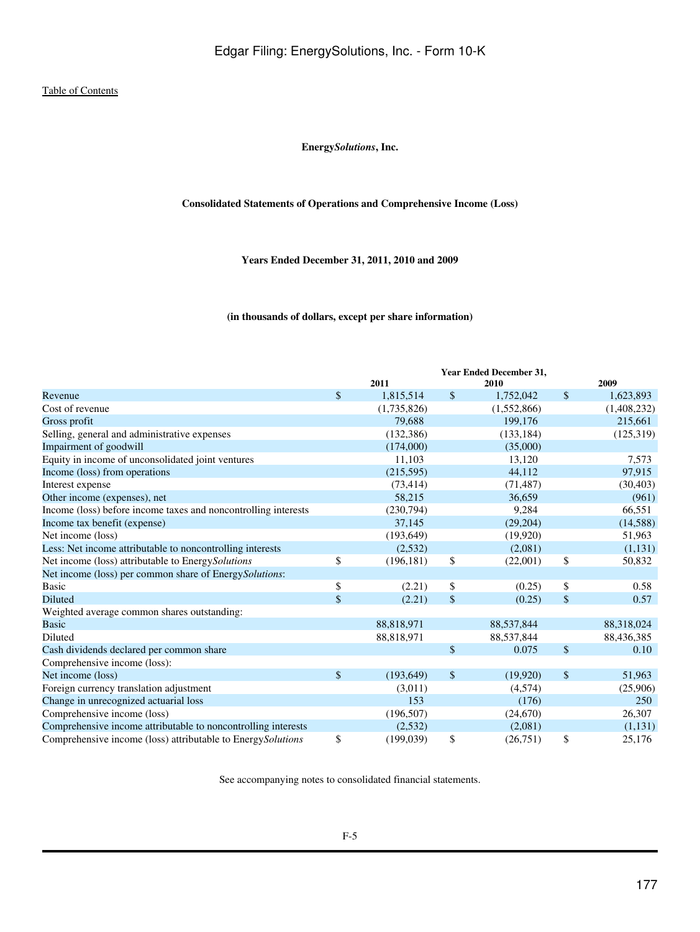**Energy***Solutions***, Inc.**

## **Consolidated Statements of Operations and Comprehensive Income (Loss)**

**Years Ended December 31, 2011, 2010 and 2009**

## **(in thousands of dollars, except per share information)**

<span id="page-176-0"></span>

|                                                                |              | <b>Year Ended December 31,</b> |                           |             |               |             |
|----------------------------------------------------------------|--------------|--------------------------------|---------------------------|-------------|---------------|-------------|
|                                                                |              | 2011                           |                           | 2010        |               | 2009        |
| Revenue                                                        | $\mathbb{S}$ | 1,815,514                      | $\mathbb{S}$              | 1,752,042   | $\mathcal{S}$ | 1,623,893   |
| Cost of revenue                                                |              | (1,735,826)                    |                           | (1,552,866) |               | (1,408,232) |
| Gross profit                                                   |              | 79,688                         |                           | 199,176     |               | 215,661     |
| Selling, general and administrative expenses                   |              | (132, 386)                     |                           | (133, 184)  |               | (125,319)   |
| Impairment of goodwill                                         |              | (174,000)                      |                           | (35,000)    |               |             |
| Equity in income of unconsolidated joint ventures              |              | 11,103                         |                           | 13,120      |               | 7,573       |
| Income (loss) from operations                                  |              | (215,595)                      |                           | 44,112      |               | 97,915      |
| Interest expense                                               |              | (73, 414)                      |                           | (71, 487)   |               | (30, 403)   |
| Other income (expenses), net                                   |              | 58,215                         |                           | 36,659      |               | (961)       |
| Income (loss) before income taxes and noncontrolling interests |              | (230,794)                      |                           | 9,284       |               | 66,551      |
| Income tax benefit (expense)                                   |              | 37,145                         |                           | (29, 204)   |               | (14, 588)   |
| Net income (loss)                                              |              | (193, 649)                     |                           | (19,920)    |               | 51,963      |
| Less: Net income attributable to noncontrolling interests      |              | (2, 532)                       |                           | (2,081)     |               | (1,131)     |
| Net income (loss) attributable to EnergySolutions              | \$           | (196, 181)                     | \$                        | (22,001)    | \$            | 50,832      |
| Net income (loss) per common share of EnergySolutions:         |              |                                |                           |             |               |             |
| <b>Basic</b>                                                   | \$           | (2.21)                         | \$                        | (0.25)      | \$            | 0.58        |
| <b>Diluted</b>                                                 | \$           | (2.21)                         | \$                        | (0.25)      | \$            | 0.57        |
| Weighted average common shares outstanding:                    |              |                                |                           |             |               |             |
| <b>Basic</b>                                                   |              | 88,818,971                     |                           | 88,537,844  |               | 88,318,024  |
| Diluted                                                        |              | 88,818,971                     |                           | 88,537,844  |               | 88,436,385  |
| Cash dividends declared per common share                       |              |                                | $\boldsymbol{\mathsf{S}}$ | 0.075       | $\mathcal{S}$ | 0.10        |
| Comprehensive income (loss):                                   |              |                                |                           |             |               |             |
| Net income (loss)                                              | \$           | (193, 649)                     | \$                        | (19,920)    | \$            | 51,963      |
| Foreign currency translation adjustment                        |              | (3,011)                        |                           | (4,574)     |               | (25,906)    |
| Change in unrecognized actuarial loss                          |              | 153                            |                           | (176)       |               | 250         |
| Comprehensive income (loss)                                    |              | (196, 507)                     |                           | (24,670)    |               | 26,307      |
| Comprehensive income attributable to noncontrolling interests  |              | (2,532)                        |                           | (2,081)     |               | (1,131)     |
| Comprehensive income (loss) attributable to EnergySolutions    | \$           | (199, 039)                     | \$                        | (26,751)    | \$            | 25,176      |

See accompanying notes to consolidated financial statements.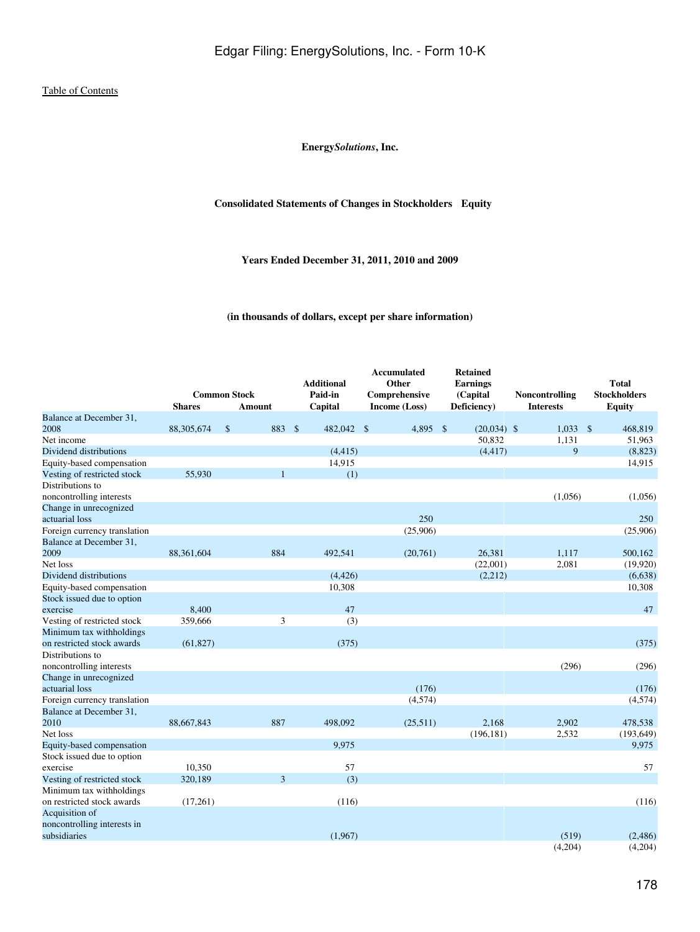**Energy***Solutions***, Inc.**

## **Consolidated Statements of Changes in Stockholders Equity**

**Years Ended December 31, 2011, 2010 and 2009**

**(in thousands of dollars, except per share information)**

<span id="page-177-0"></span>

|                                        |               | <b>Common Stock</b> | <b>Additional</b><br>Paid-in  | <b>Accumulated</b><br>Other<br>Comprehensive | <b>Retained</b><br><b>Earnings</b><br>(Capital | Noncontrolling   | <b>Total</b><br><b>Stockholders</b> |
|----------------------------------------|---------------|---------------------|-------------------------------|----------------------------------------------|------------------------------------------------|------------------|-------------------------------------|
|                                        | <b>Shares</b> | Amount              | Capital                       | Income (Loss)                                | Deficiency)                                    | <b>Interests</b> | <b>Equity</b>                       |
| Balance at December 31,                |               |                     |                               |                                              |                                                |                  |                                     |
| 2008                                   | 88,305,674    | \$<br>883           | $\mathbf{\hat{S}}$<br>482,042 | \$<br>4,895 \$                               | $(20,034)$ \$                                  | $1,033$ \$       | 468,819                             |
| Net income                             |               |                     |                               |                                              | 50,832                                         | 1.131            | 51,963                              |
| Dividend distributions                 |               |                     | (4, 415)                      |                                              | (4, 417)                                       | 9                | (8, 823)                            |
| Equity-based compensation              |               |                     | 14,915                        |                                              |                                                |                  | 14,915                              |
| Vesting of restricted stock            | 55,930        | $\mathbf{1}$        | (1)                           |                                              |                                                |                  |                                     |
| Distributions to                       |               |                     |                               |                                              |                                                |                  |                                     |
| noncontrolling interests               |               |                     |                               |                                              |                                                | (1,056)          | (1,056)                             |
| Change in unrecognized                 |               |                     |                               |                                              |                                                |                  |                                     |
| actuarial loss                         |               |                     |                               | 250                                          |                                                |                  | 250                                 |
| Foreign currency translation           |               |                     |                               | (25,906)                                     |                                                |                  | (25,906)                            |
| Balance at December 31,                |               |                     |                               |                                              |                                                |                  |                                     |
| 2009                                   | 88,361,604    | 884                 | 492,541                       | (20,761)                                     | 26,381                                         | 1,117            | 500,162                             |
| Net loss                               |               |                     |                               |                                              | (22,001)                                       | 2,081            | (19,920)                            |
| Dividend distributions                 |               |                     | (4, 426)                      |                                              | (2,212)                                        |                  | (6,638)                             |
| Equity-based compensation              |               |                     | 10,308                        |                                              |                                                |                  | 10,308                              |
| Stock issued due to option             |               |                     |                               |                                              |                                                |                  |                                     |
| exercise                               | 8,400         |                     | 47                            |                                              |                                                |                  | 47                                  |
| Vesting of restricted stock            | 359,666       | 3                   | (3)                           |                                              |                                                |                  |                                     |
| Minimum tax withholdings               |               |                     |                               |                                              |                                                |                  |                                     |
| on restricted stock awards             | (61, 827)     |                     | (375)                         |                                              |                                                |                  | (375)                               |
| Distributions to                       |               |                     |                               |                                              |                                                |                  |                                     |
| noncontrolling interests               |               |                     |                               |                                              |                                                | (296)            | (296)                               |
| Change in unrecognized                 |               |                     |                               |                                              |                                                |                  |                                     |
| actuarial loss                         |               |                     |                               | (176)                                        |                                                |                  | (176)                               |
| Foreign currency translation           |               |                     |                               | (4,574)                                      |                                                |                  | (4,574)                             |
| Balance at December 31,                |               |                     |                               |                                              |                                                |                  |                                     |
| 2010<br>Net loss                       | 88,667,843    | 887                 | 498.092                       | (25,511)                                     | 2,168                                          | 2,902            | 478,538                             |
| Equity-based compensation              |               |                     | 9,975                         |                                              | (196, 181)                                     | 2,532            | (193, 649)<br>9,975                 |
|                                        |               |                     |                               |                                              |                                                |                  |                                     |
| Stock issued due to option<br>exercise | 10,350        |                     | 57                            |                                              |                                                |                  | 57                                  |
| Vesting of restricted stock            | 320,189       | 3                   | (3)                           |                                              |                                                |                  |                                     |
| Minimum tax withholdings               |               |                     |                               |                                              |                                                |                  |                                     |
| on restricted stock awards             | (17,261)      |                     | (116)                         |                                              |                                                |                  | (116)                               |
| Acquisition of                         |               |                     |                               |                                              |                                                |                  |                                     |
| noncontrolling interests in            |               |                     |                               |                                              |                                                |                  |                                     |
| subsidiaries                           |               |                     | (1,967)                       |                                              |                                                | (519)            | (2,486)                             |
|                                        |               |                     |                               |                                              |                                                | (4,204)          | (4,204)                             |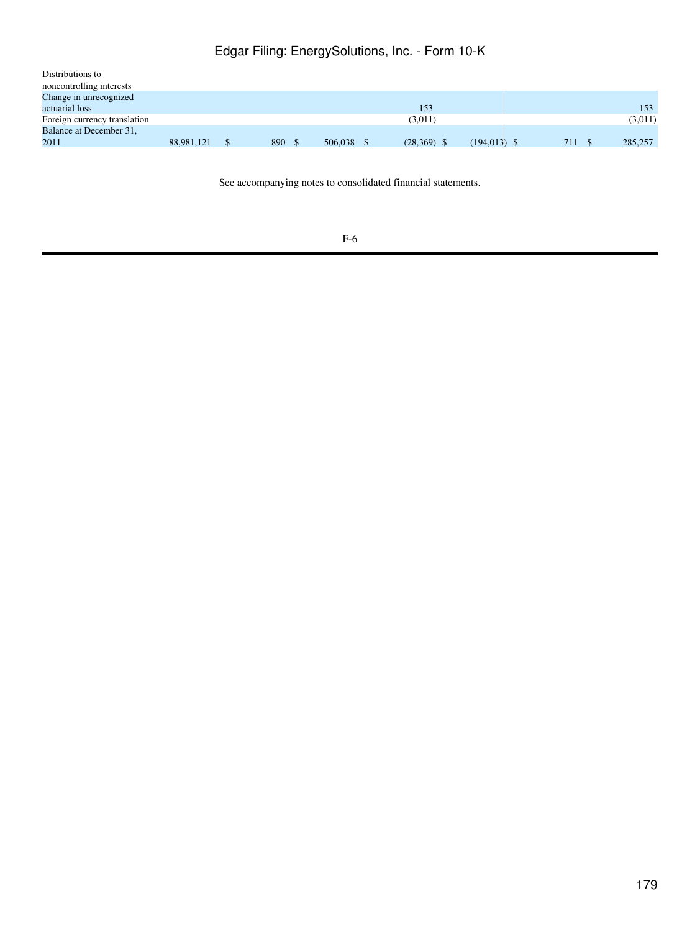| Distributions to             |            |     |            |               |                |     |         |
|------------------------------|------------|-----|------------|---------------|----------------|-----|---------|
| noncontrolling interests     |            |     |            |               |                |     |         |
| Change in unrecognized       |            |     |            |               |                |     |         |
| actuarial loss               |            |     |            | 153           |                |     | 153     |
| Foreign currency translation |            |     |            | (3,011)       |                |     | (3,011) |
| Balance at December 31,      |            |     |            |               |                |     |         |
| 2011                         | 88,981,121 | 890 | 506,038 \$ | $(28.369)$ \$ | $(194,013)$ \$ | 711 | 285,257 |

See accompanying notes to consolidated financial statements.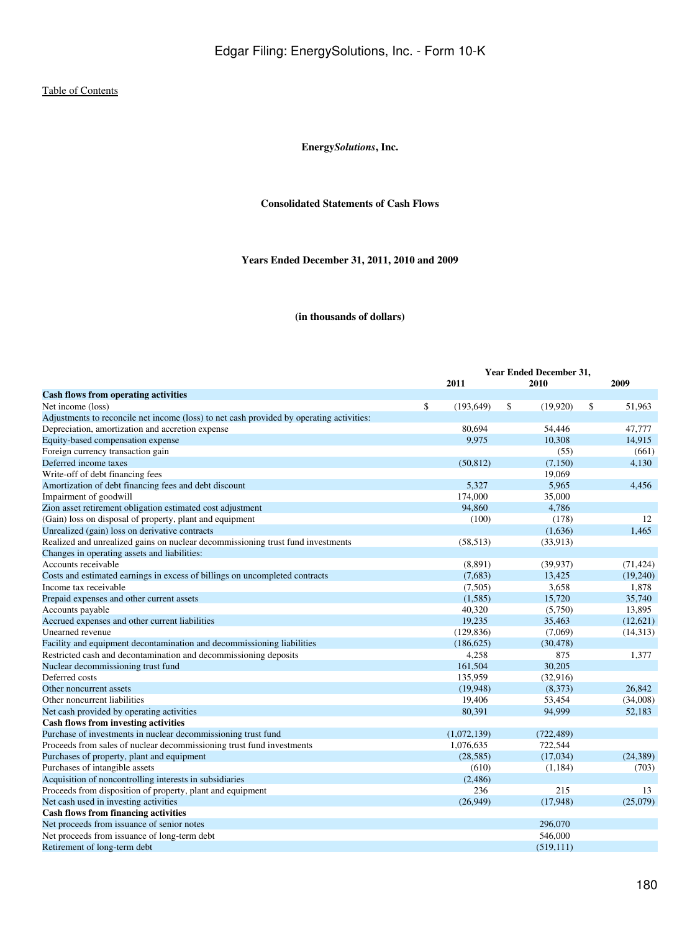**Energy***Solutions***, Inc.**

## **Consolidated Statements of Cash Flows**

**Years Ended December 31, 2011, 2010 and 2009**

## **(in thousands of dollars)**

<span id="page-179-0"></span>

|                                                                                          | <b>Year Ended December 31,</b> |                |              |
|------------------------------------------------------------------------------------------|--------------------------------|----------------|--------------|
|                                                                                          | 2011                           | 2010           | 2009         |
| <b>Cash flows from operating activities</b>                                              |                                |                |              |
| Net income (loss)                                                                        | \$<br>(193, 649)               | (19,920)<br>\$ | \$<br>51,963 |
| Adjustments to reconcile net income (loss) to net cash provided by operating activities: |                                |                |              |
| Depreciation, amortization and accretion expense                                         | 80.694                         | 54,446         | 47,777       |
| Equity-based compensation expense                                                        | 9.975                          | 10,308         | 14,915       |
| Foreign currency transaction gain                                                        |                                | (55)           | (661)        |
| Deferred income taxes                                                                    | (50, 812)                      | (7,150)        | 4,130        |
| Write-off of debt financing fees                                                         |                                | 19,069         |              |
| Amortization of debt financing fees and debt discount                                    | 5,327                          | 5,965          | 4,456        |
| Impairment of goodwill                                                                   | 174,000                        | 35,000         |              |
| Zion asset retirement obligation estimated cost adjustment                               | 94.860                         | 4,786          |              |
| (Gain) loss on disposal of property, plant and equipment                                 | (100)                          | (178)          | 12           |
| Unrealized (gain) loss on derivative contracts                                           |                                | (1,636)        | 1,465        |
| Realized and unrealized gains on nuclear decommissioning trust fund investments          | (58, 513)                      | (33,913)       |              |
| Changes in operating assets and liabilities:                                             |                                |                |              |
| Accounts receivable                                                                      | (8,891)                        | (39, 937)      | (71, 424)    |
| Costs and estimated earnings in excess of billings on uncompleted contracts              | (7,683)                        | 13,425         | (19,240)     |
| Income tax receivable                                                                    | (7,505)                        | 3,658          | 1.878        |
| Prepaid expenses and other current assets                                                | (1,585)                        | 15,720         | 35,740       |
| Accounts payable                                                                         | 40,320                         | (5,750)        | 13,895       |
| Accrued expenses and other current liabilities                                           | 19,235                         | 35,463         | (12,621)     |
| Unearned revenue                                                                         | (129, 836)                     | (7,069)        | (14,313)     |
| Facility and equipment decontamination and decommissioning liabilities                   | (186, 625)                     | (30, 478)      |              |
| Restricted cash and decontamination and decommissioning deposits                         | 4,258                          | 875            | 1,377        |
| Nuclear decommissioning trust fund                                                       | 161,504                        | 30,205         |              |
| Deferred costs                                                                           | 135,959                        | (32,916)       |              |
| Other noncurrent assets                                                                  | (19,948)                       | (8,373)        | 26.842       |
| Other noncurrent liabilities                                                             | 19,406                         | 53,454         | (34,008)     |
| Net cash provided by operating activities                                                | 80,391                         | 94,999         | 52,183       |
| <b>Cash flows from investing activities</b>                                              |                                |                |              |
| Purchase of investments in nuclear decommissioning trust fund                            | (1,072,139)                    | (722, 489)     |              |
| Proceeds from sales of nuclear decommissioning trust fund investments                    | 1,076,635                      | 722,544        |              |
| Purchases of property, plant and equipment                                               | (28, 585)                      | (17,034)       | (24, 389)    |
| Purchases of intangible assets                                                           | (610)                          | (1, 184)       | (703)        |
| Acquisition of noncontrolling interests in subsidiaries                                  | (2,486)                        |                |              |
| Proceeds from disposition of property, plant and equipment                               | 236                            | 215            | 13           |
| Net cash used in investing activities                                                    | (26,949)                       | (17,948)       | (25,079)     |
| <b>Cash flows from financing activities</b>                                              |                                |                |              |
| Net proceeds from issuance of senior notes                                               |                                | 296,070        |              |
| Net proceeds from issuance of long-term debt                                             |                                | 546,000        |              |
| Retirement of long-term debt                                                             |                                | (519, 111)     |              |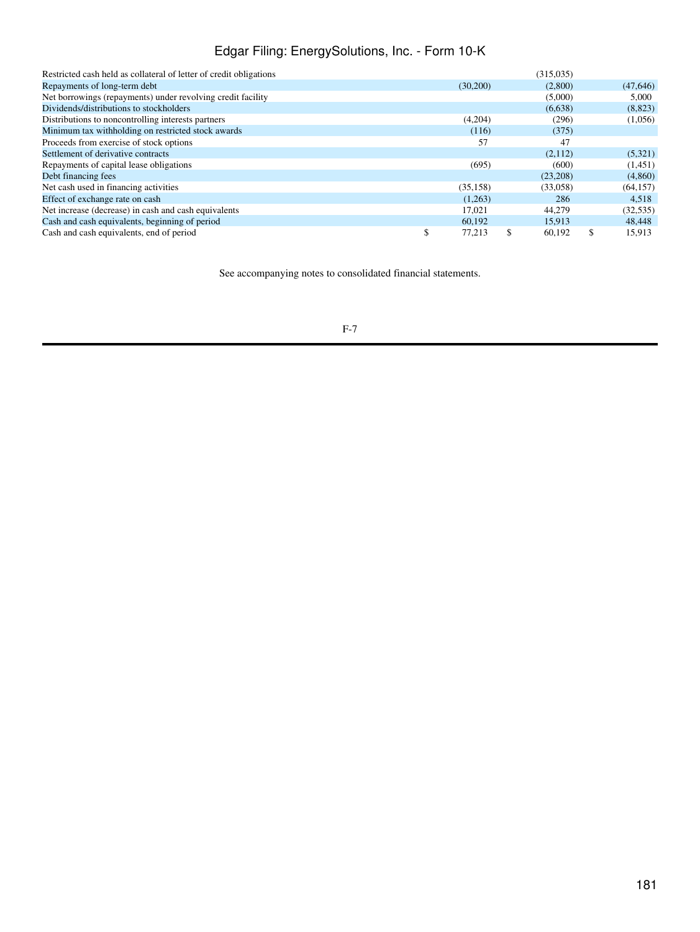| Restricted cash held as collateral of letter of credit obligations |              |     | (315,035) |     |           |
|--------------------------------------------------------------------|--------------|-----|-----------|-----|-----------|
| Repayments of long-term debt                                       | (30,200)     |     | (2,800)   |     | (47, 646) |
| Net borrowings (repayments) under revolving credit facility        |              |     | (5,000)   |     | 5,000     |
| Dividends/distributions to stockholders                            |              |     | (6,638)   |     | (8,823)   |
| Distributions to noncontrolling interests partners                 | (4,204)      |     | (296)     |     | (1,056)   |
| Minimum tax withholding on restricted stock awards                 | (116)        |     | (375)     |     |           |
| Proceeds from exercise of stock options                            | 57           |     | 47        |     |           |
| Settlement of derivative contracts                                 |              |     | (2,112)   |     | (5,321)   |
| Repayments of capital lease obligations                            | (695)        |     | (600)     |     | (1,451)   |
| Debt financing fees                                                |              |     | (23,208)  |     | (4,860)   |
| Net cash used in financing activities                              | (35, 158)    |     | (33,058)  |     | (64, 157) |
| Effect of exchange rate on cash                                    | (1.263)      |     | 286       |     | 4.518     |
| Net increase (decrease) in cash and cash equivalents               | 17,021       |     | 44,279    |     | (32, 535) |
| Cash and cash equivalents, beginning of period                     | 60.192       |     | 15.913    |     | 48,448    |
| Cash and cash equivalents, end of period                           | \$<br>77.213 | \$. | 60.192    | \$. | 15,913    |

See accompanying notes to consolidated financial statements.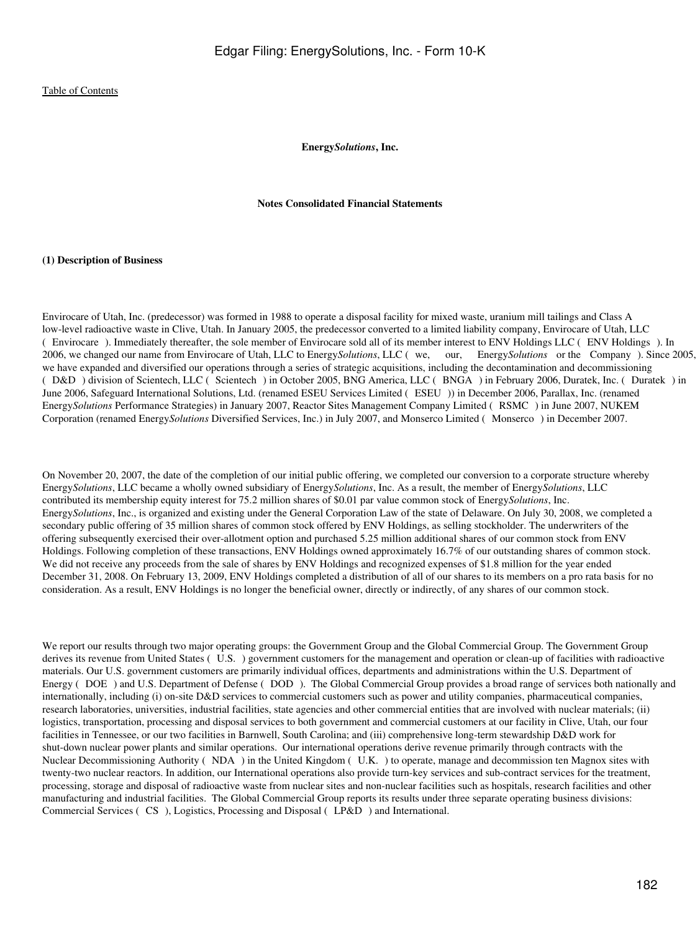**Energy***Solutions***, Inc.**

#### **Notes Consolidated Financial Statements**

#### **(1) Description of Business**

Envirocare of Utah, Inc. (predecessor) was formed in 1988 to operate a disposal facility for mixed waste, uranium mill tailings and Class A low-level radioactive waste in Clive, Utah. In January 2005, the predecessor converted to a limited liability company, Envirocare of Utah, LLC (Envirocare). Immediately thereafter, the sole member of Envirocare sold all of its member interest to ENV Holdings LLC (ENV Holdings). In 2006, we changed our name from Envirocare of Utah, LLC to Energy*Solutions*, LLC (we, our, Energy*Solutions* or the Company). Since 2005, we have expanded and diversified our operations through a series of strategic acquisitions, including the decontamination and decommissioning (D&D) division of Scientech, LLC (Scientech) in October 2005, BNG America, LLC (BNGA) in February 2006, Duratek, Inc. (Duratek) in June 2006, Safeguard International Solutions, Ltd. (renamed ESEU Services Limited (ESEU)) in December 2006, Parallax, Inc. (renamed Energy*Solutions* Performance Strategies) in January 2007, Reactor Sites Management Company Limited (RSMC) in June 2007, NUKEM Corporation (renamed Energy*Solutions* Diversified Services, Inc.) in July 2007, and Monserco Limited (Monserco) in December 2007.

On November 20, 2007, the date of the completion of our initial public offering, we completed our conversion to a corporate structure whereby Energy*Solutions*, LLC became a wholly owned subsidiary of Energy*Solutions*, Inc. As a result, the member of Energy*Solutions*, LLC contributed its membership equity interest for 75.2 million shares of \$0.01 par value common stock of Energy*Solutions*, Inc. Energy*Solutions*, Inc., is organized and existing under the General Corporation Law of the state of Delaware. On July 30, 2008, we completed a secondary public offering of 35 million shares of common stock offered by ENV Holdings, as selling stockholder. The underwriters of the offering subsequently exercised their over-allotment option and purchased 5.25 million additional shares of our common stock from ENV Holdings. Following completion of these transactions, ENV Holdings owned approximately 16.7% of our outstanding shares of common stock. We did not receive any proceeds from the sale of shares by ENV Holdings and recognized expenses of \$1.8 million for the year ended December 31, 2008. On February 13, 2009, ENV Holdings completed a distribution of all of our shares to its members on a pro rata basis for no consideration. As a result, ENV Holdings is no longer the beneficial owner, directly or indirectly, of any shares of our common stock.

We report our results through two major operating groups: the Government Group and the Global Commercial Group. The Government Group derives its revenue from United States (U.S.) government customers for the management and operation or clean-up of facilities with radioactive materials. Our U.S. government customers are primarily individual offices, departments and administrations within the U.S. Department of Energy (DOE) and U.S. Department of Defense (DOD). The Global Commercial Group provides a broad range of services both nationally and internationally, including (i) on-site D&D services to commercial customers such as power and utility companies, pharmaceutical companies, research laboratories, universities, industrial facilities, state agencies and other commercial entities that are involved with nuclear materials; (ii) logistics, transportation, processing and disposal services to both government and commercial customers at our facility in Clive, Utah, our four facilities in Tennessee, or our two facilities in Barnwell, South Carolina; and (iii) comprehensive long-term stewardship D&D work for shut-down nuclear power plants and similar operations. Our international operations derive revenue primarily through contracts with the Nuclear Decommissioning Authority (NDA) in the United Kingdom (U.K.) to operate, manage and decommission ten Magnox sites with twenty-two nuclear reactors. In addition, our International operations also provide turn-key services and sub-contract services for the treatment, processing, storage and disposal of radioactive waste from nuclear sites and non-nuclear facilities such as hospitals, research facilities and other manufacturing and industrial facilities. The Global Commercial Group reports its results under three separate operating business divisions: Commercial Services (CS), Logistics, Processing and Disposal (LP&D) and International.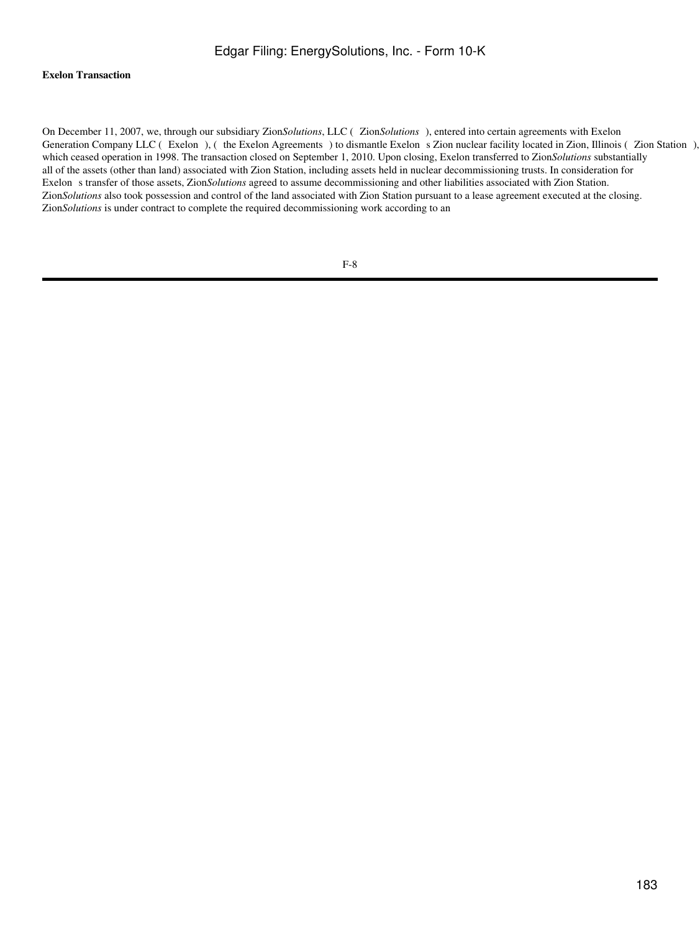### **Exelon Transaction**

On December 11, 2007, we, through our subsidiary Zion*Solutions*, LLC (Zion*Solutions*), entered into certain agreements with Exelon Generation Company LLC (Exelon), (the Exelon Agreements) to dismantle Exelon s Zion nuclear facility located in Zion, Illinois (Zion Station), which ceased operation in 1998. The transaction closed on September 1, 2010. Upon closing, Exelon transferred to Zion*Solutions* substantially all of the assets (other than land) associated with Zion Station, including assets held in nuclear decommissioning trusts. In consideration for Exelon s transfer of those assets, Zion*Solutions* agreed to assume decommissioning and other liabilities associated with Zion Station. Zion*Solutions* also took possession and control of the land associated with Zion Station pursuant to a lease agreement executed at the closing. Zion*Solutions* is under contract to complete the required decommissioning work according to an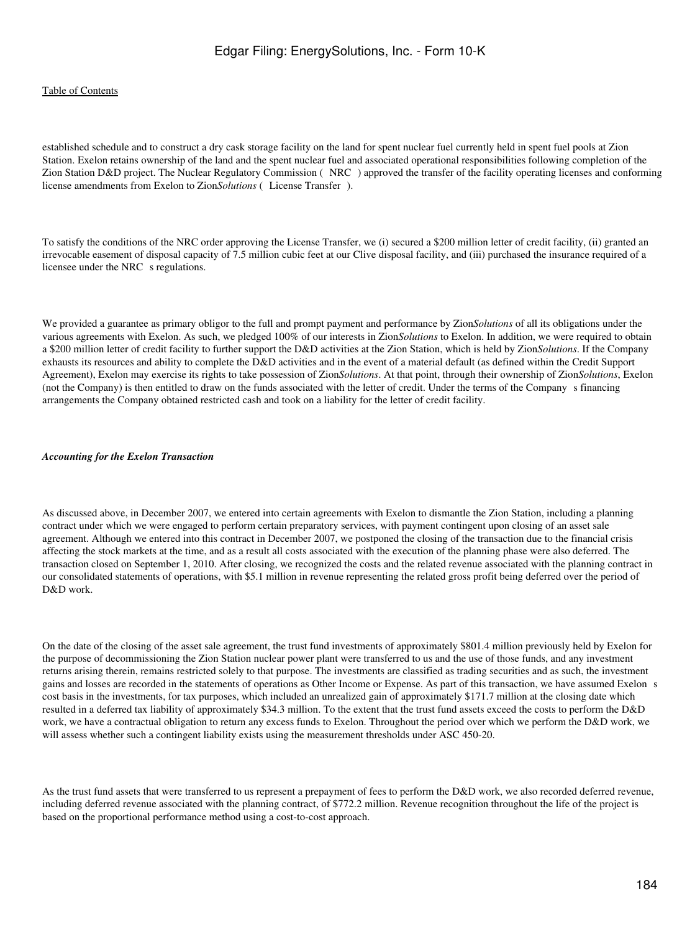### [Table of Contents](#page-3-0)

established schedule and to construct a dry cask storage facility on the land for spent nuclear fuel currently held in spent fuel pools at Zion Station. Exelon retains ownership of the land and the spent nuclear fuel and associated operational responsibilities following completion of the Zion Station D&D project. The Nuclear Regulatory Commission (NRC) approved the transfer of the facility operating licenses and conforming license amendments from Exelon to Zion*Solutions* (License Transfer).

To satisfy the conditions of the NRC order approving the License Transfer, we (i) secured a \$200 million letter of credit facility, (ii) granted an irrevocable easement of disposal capacity of 7.5 million cubic feet at our Clive disposal facility, and (iii) purchased the insurance required of a licensee under the NRC s regulations.

We provided a guarantee as primary obligor to the full and prompt payment and performance by Zion*Solutions* of all its obligations under the various agreements with Exelon. As such, we pledged 100% of our interests in Zion*Solutions* to Exelon. In addition, we were required to obtain a \$200 million letter of credit facility to further support the D&D activities at the Zion Station, which is held by Zion*Solutions*. If the Company exhausts its resources and ability to complete the D&D activities and in the event of a material default (as defined within the Credit Support Agreement), Exelon may exercise its rights to take possession of Zion*Solutions*. At that point, through their ownership of Zion*Solutions*, Exelon (not the Company) is then entitled to draw on the funds associated with the letter of credit. Under the terms of the Companys financing arrangements the Company obtained restricted cash and took on a liability for the letter of credit facility.

#### *Accounting for the Exelon Transaction*

As discussed above, in December 2007, we entered into certain agreements with Exelon to dismantle the Zion Station, including a planning contract under which we were engaged to perform certain preparatory services, with payment contingent upon closing of an asset sale agreement. Although we entered into this contract in December 2007, we postponed the closing of the transaction due to the financial crisis affecting the stock markets at the time, and as a result all costs associated with the execution of the planning phase were also deferred. The transaction closed on September 1, 2010. After closing, we recognized the costs and the related revenue associated with the planning contract in our consolidated statements of operations, with \$5.1 million in revenue representing the related gross profit being deferred over the period of D&D work.

On the date of the closing of the asset sale agreement, the trust fund investments of approximately \$801.4 million previously held by Exelon for the purpose of decommissioning the Zion Station nuclear power plant were transferred to us and the use of those funds, and any investment returns arising therein, remains restricted solely to that purpose. The investments are classified as trading securities and as such, the investment gains and losses are recorded in the statements of operations as Other Income or Expense. As part of this transaction, we have assumed Exelons cost basis in the investments, for tax purposes, which included an unrealized gain of approximately \$171.7 million at the closing date which resulted in a deferred tax liability of approximately \$34.3 million. To the extent that the trust fund assets exceed the costs to perform the D&D work, we have a contractual obligation to return any excess funds to Exelon. Throughout the period over which we perform the D&D work, we will assess whether such a contingent liability exists using the measurement thresholds under ASC 450-20.

As the trust fund assets that were transferred to us represent a prepayment of fees to perform the D&D work, we also recorded deferred revenue, including deferred revenue associated with the planning contract, of \$772.2 million. Revenue recognition throughout the life of the project is based on the proportional performance method using a cost-to-cost approach.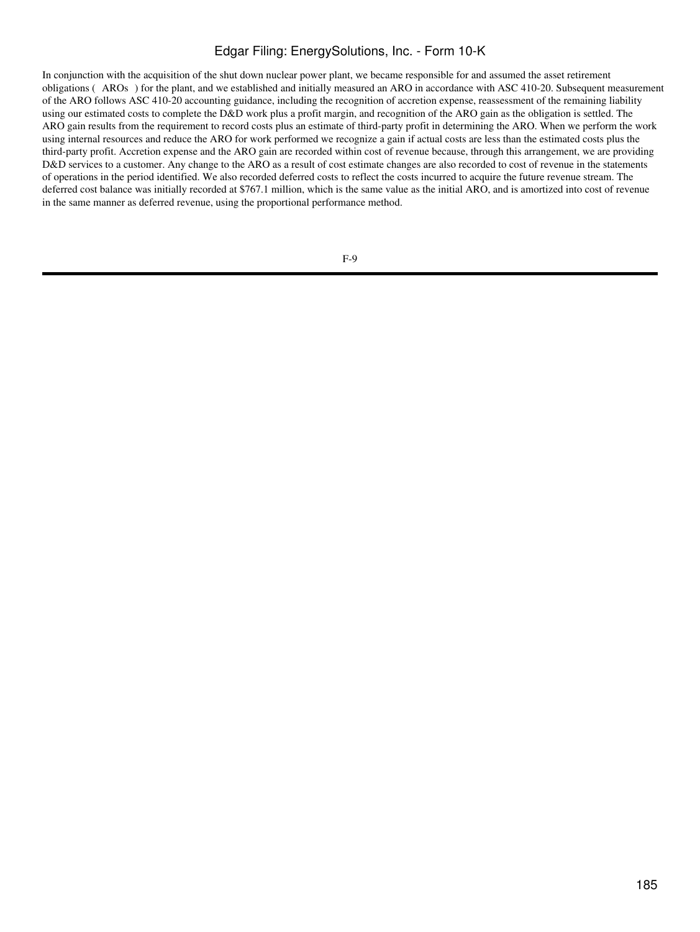In conjunction with the acquisition of the shut down nuclear power plant, we became responsible for and assumed the asset retirement obligations (AROs) for the plant, and we established and initially measured an ARO in accordance with ASC 410-20. Subsequent measurement of the ARO follows ASC 410-20 accounting guidance, including the recognition of accretion expense, reassessment of the remaining liability using our estimated costs to complete the D&D work plus a profit margin, and recognition of the ARO gain as the obligation is settled. The ARO gain results from the requirement to record costs plus an estimate of third-party profit in determining the ARO. When we perform the work using internal resources and reduce the ARO for work performed we recognize a gain if actual costs are less than the estimated costs plus the third-party profit. Accretion expense and the ARO gain are recorded within cost of revenue because, through this arrangement, we are providing D&D services to a customer. Any change to the ARO as a result of cost estimate changes are also recorded to cost of revenue in the statements of operations in the period identified. We also recorded deferred costs to reflect the costs incurred to acquire the future revenue stream. The deferred cost balance was initially recorded at \$767.1 million, which is the same value as the initial ARO, and is amortized into cost of revenue in the same manner as deferred revenue, using the proportional performance method.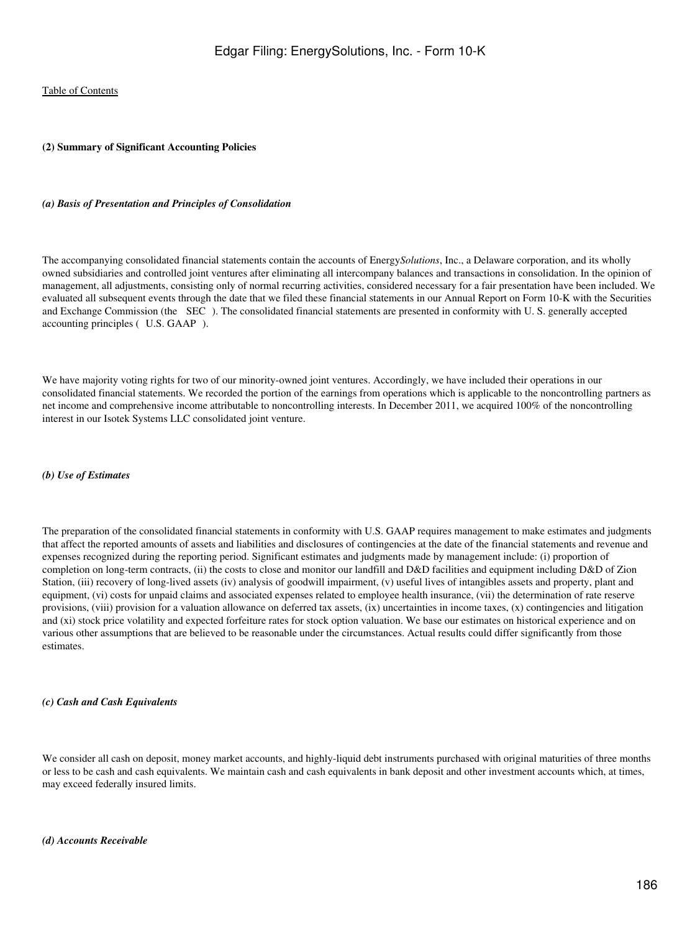#### **(2) Summary of Significant Accounting Policies**

#### *(a) Basis of Presentation and Principles of Consolidation*

The accompanying consolidated financial statements contain the accounts of Energy*Solutions*, Inc., a Delaware corporation, and its wholly owned subsidiaries and controlled joint ventures after eliminating all intercompany balances and transactions in consolidation. In the opinion of management, all adjustments, consisting only of normal recurring activities, considered necessary for a fair presentation have been included. We evaluated all subsequent events through the date that we filed these financial statements in our Annual Report on Form 10-K with the Securities and Exchange Commission (the SEC). The consolidated financial statements are presented in conformity with U. S. generally accepted accounting principles (U.S. GAAP).

We have majority voting rights for two of our minority-owned joint ventures. Accordingly, we have included their operations in our consolidated financial statements. We recorded the portion of the earnings from operations which is applicable to the noncontrolling partners as net income and comprehensive income attributable to noncontrolling interests. In December 2011, we acquired 100% of the noncontrolling interest in our Isotek Systems LLC consolidated joint venture.

#### *(b) Use of Estimates*

The preparation of the consolidated financial statements in conformity with U.S. GAAP requires management to make estimates and judgments that affect the reported amounts of assets and liabilities and disclosures of contingencies at the date of the financial statements and revenue and expenses recognized during the reporting period. Significant estimates and judgments made by management include: (i) proportion of completion on long-term contracts, (ii) the costs to close and monitor our landfill and D&D facilities and equipment including D&D of Zion Station, (iii) recovery of long-lived assets (iv) analysis of goodwill impairment, (v) useful lives of intangibles assets and property, plant and equipment, (vi) costs for unpaid claims and associated expenses related to employee health insurance, (vii) the determination of rate reserve provisions, (viii) provision for a valuation allowance on deferred tax assets, (ix) uncertainties in income taxes, (x) contingencies and litigation and (xi) stock price volatility and expected forfeiture rates for stock option valuation. We base our estimates on historical experience and on various other assumptions that are believed to be reasonable under the circumstances. Actual results could differ significantly from those estimates.

#### *(c) Cash and Cash Equivalents*

We consider all cash on deposit, money market accounts, and highly-liquid debt instruments purchased with original maturities of three months or less to be cash and cash equivalents. We maintain cash and cash equivalents in bank deposit and other investment accounts which, at times, may exceed federally insured limits.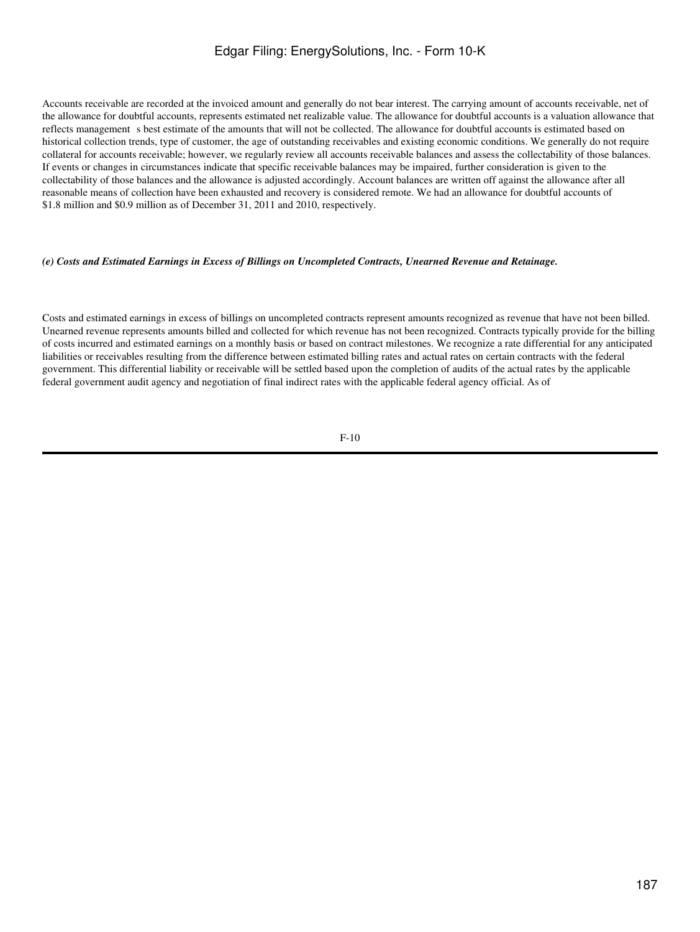Accounts receivable are recorded at the invoiced amount and generally do not bear interest. The carrying amount of accounts receivable, net of the allowance for doubtful accounts, represents estimated net realizable value. The allowance for doubtful accounts is a valuation allowance that reflects management s best estimate of the amounts that will not be collected. The allowance for doubtful accounts is estimated based on historical collection trends, type of customer, the age of outstanding receivables and existing economic conditions. We generally do not require collateral for accounts receivable; however, we regularly review all accounts receivable balances and assess the collectability of those balances. If events or changes in circumstances indicate that specific receivable balances may be impaired, further consideration is given to the collectability of those balances and the allowance is adjusted accordingly. Account balances are written off against the allowance after all reasonable means of collection have been exhausted and recovery is considered remote. We had an allowance for doubtful accounts of \$1.8 million and \$0.9 million as of December 31, 2011 and 2010, respectively.

### *(e) Costs and Estimated Earnings in Excess of Billings on Uncompleted Contracts, Unearned Revenue and Retainage.*

Costs and estimated earnings in excess of billings on uncompleted contracts represent amounts recognized as revenue that have not been billed. Unearned revenue represents amounts billed and collected for which revenue has not been recognized. Contracts typically provide for the billing of costs incurred and estimated earnings on a monthly basis or based on contract milestones. We recognize a rate differential for any anticipated liabilities or receivables resulting from the difference between estimated billing rates and actual rates on certain contracts with the federal government. This differential liability or receivable will be settled based upon the completion of audits of the actual rates by the applicable federal government audit agency and negotiation of final indirect rates with the applicable federal agency official. As of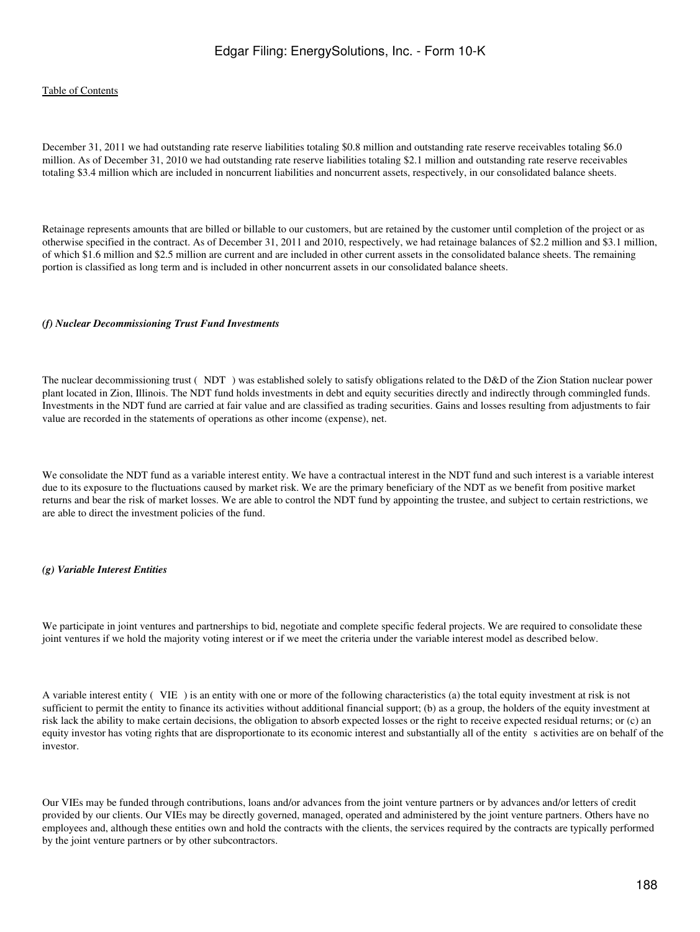December 31, 2011 we had outstanding rate reserve liabilities totaling \$0.8 million and outstanding rate reserve receivables totaling \$6.0 million. As of December 31, 2010 we had outstanding rate reserve liabilities totaling \$2.1 million and outstanding rate reserve receivables totaling \$3.4 million which are included in noncurrent liabilities and noncurrent assets, respectively, in our consolidated balance sheets.

Retainage represents amounts that are billed or billable to our customers, but are retained by the customer until completion of the project or as otherwise specified in the contract. As of December 31, 2011 and 2010, respectively, we had retainage balances of \$2.2 million and \$3.1 million, of which \$1.6 million and \$2.5 million are current and are included in other current assets in the consolidated balance sheets. The remaining portion is classified as long term and is included in other noncurrent assets in our consolidated balance sheets.

#### *(f) Nuclear Decommissioning Trust Fund Investments*

The nuclear decommissioning trust (NDT) was established solely to satisfy obligations related to the D&D of the Zion Station nuclear power plant located in Zion, Illinois. The NDT fund holds investments in debt and equity securities directly and indirectly through commingled funds. Investments in the NDT fund are carried at fair value and are classified as trading securities. Gains and losses resulting from adjustments to fair value are recorded in the statements of operations as other income (expense), net.

We consolidate the NDT fund as a variable interest entity. We have a contractual interest in the NDT fund and such interest is a variable interest due to its exposure to the fluctuations caused by market risk. We are the primary beneficiary of the NDT as we benefit from positive market returns and bear the risk of market losses. We are able to control the NDT fund by appointing the trustee, and subject to certain restrictions, we are able to direct the investment policies of the fund.

#### *(g) Variable Interest Entities*

We participate in joint ventures and partnerships to bid, negotiate and complete specific federal projects. We are required to consolidate these joint ventures if we hold the majority voting interest or if we meet the criteria under the variable interest model as described below.

A variable interest entity (VIE) is an entity with one or more of the following characteristics (a) the total equity investment at risk is not sufficient to permit the entity to finance its activities without additional financial support; (b) as a group, the holders of the equity investment at risk lack the ability to make certain decisions, the obligation to absorb expected losses or the right to receive expected residual returns; or (c) an equity investor has voting rights that are disproportionate to its economic interest and substantially all of the entity s activities are on behalf of the investor.

Our VIEs may be funded through contributions, loans and/or advances from the joint venture partners or by advances and/or letters of credit provided by our clients. Our VIEs may be directly governed, managed, operated and administered by the joint venture partners. Others have no employees and, although these entities own and hold the contracts with the clients, the services required by the contracts are typically performed by the joint venture partners or by other subcontractors.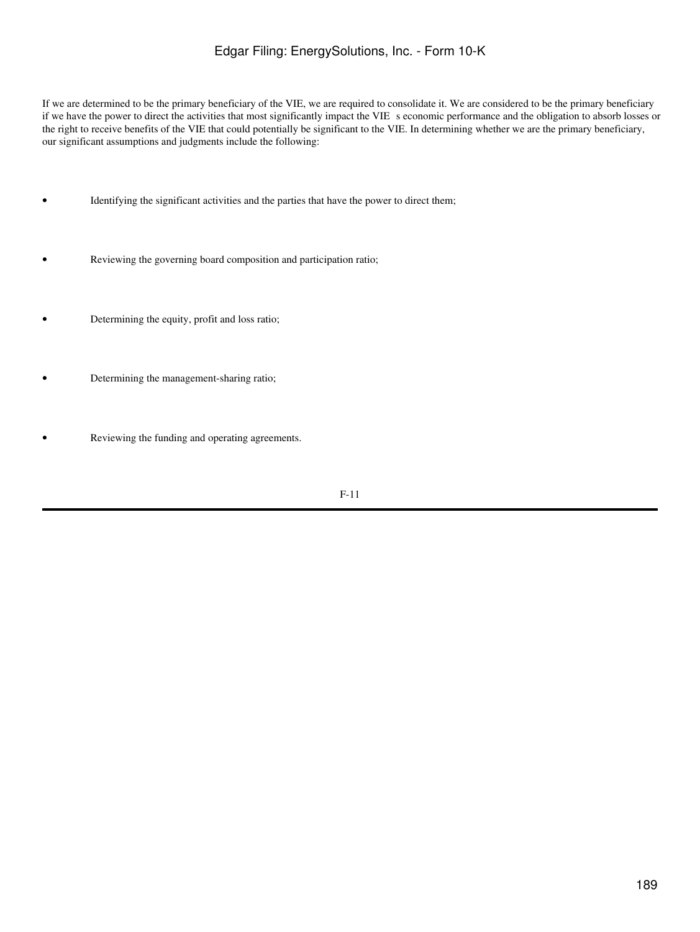If we are determined to be the primary beneficiary of the VIE, we are required to consolidate it. We are considered to be the primary beneficiary if we have the power to direct the activities that most significantly impact the VIE s economic performance and the obligation to absorb losses or the right to receive benefits of the VIE that could potentially be significant to the VIE. In determining whether we are the primary beneficiary, our significant assumptions and judgments include the following:

- Identifying the significant activities and the parties that have the power to direct them;
- Reviewing the governing board composition and participation ratio;
- Determining the equity, profit and loss ratio;
- Determining the management-sharing ratio;
- Reviewing the funding and operating agreements.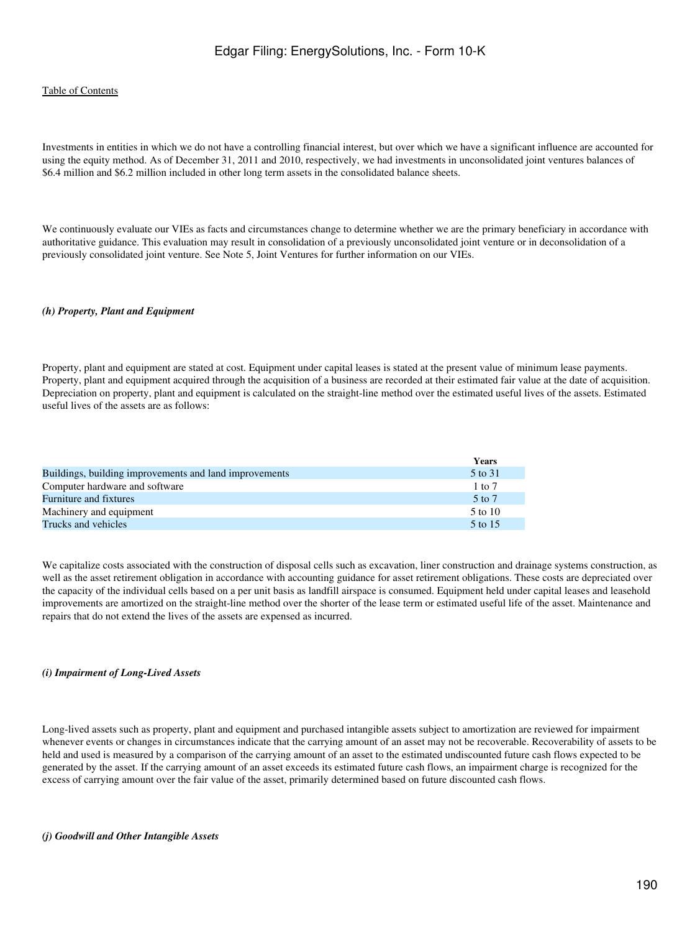Investments in entities in which we do not have a controlling financial interest, but over which we have a significant influence are accounted for using the equity method. As of December 31, 2011 and 2010, respectively, we had investments in unconsolidated joint ventures balances of \$6.4 million and \$6.2 million included in other long term assets in the consolidated balance sheets.

We continuously evaluate our VIEs as facts and circumstances change to determine whether we are the primary beneficiary in accordance with authoritative guidance. This evaluation may result in consolidation of a previously unconsolidated joint venture or in deconsolidation of a previously consolidated joint venture. See Note 5, Joint Ventures for further information on our VIEs.

### *(h) Property, Plant and Equipment*

Property, plant and equipment are stated at cost. Equipment under capital leases is stated at the present value of minimum lease payments. Property, plant and equipment acquired through the acquisition of a business are recorded at their estimated fair value at the date of acquisition. Depreciation on property, plant and equipment is calculated on the straight-line method over the estimated useful lives of the assets. Estimated useful lives of the assets are as follows:

|                                                        | Years      |
|--------------------------------------------------------|------------|
| Buildings, building improvements and land improvements | 5 to 31    |
| Computer hardware and software                         | $1$ to $7$ |
| Furniture and fixtures                                 | 5 to 7     |
| Machinery and equipment                                | 5 to 10    |
| Trucks and vehicles                                    | 5 to 15    |
|                                                        |            |

We capitalize costs associated with the construction of disposal cells such as excavation, liner construction and drainage systems construction, as well as the asset retirement obligation in accordance with accounting guidance for asset retirement obligations. These costs are depreciated over the capacity of the individual cells based on a per unit basis as landfill airspace is consumed. Equipment held under capital leases and leasehold improvements are amortized on the straight-line method over the shorter of the lease term or estimated useful life of the asset. Maintenance and repairs that do not extend the lives of the assets are expensed as incurred.

#### *(i) Impairment of Long-Lived Assets*

Long-lived assets such as property, plant and equipment and purchased intangible assets subject to amortization are reviewed for impairment whenever events or changes in circumstances indicate that the carrying amount of an asset may not be recoverable. Recoverability of assets to be held and used is measured by a comparison of the carrying amount of an asset to the estimated undiscounted future cash flows expected to be generated by the asset. If the carrying amount of an asset exceeds its estimated future cash flows, an impairment charge is recognized for the excess of carrying amount over the fair value of the asset, primarily determined based on future discounted cash flows.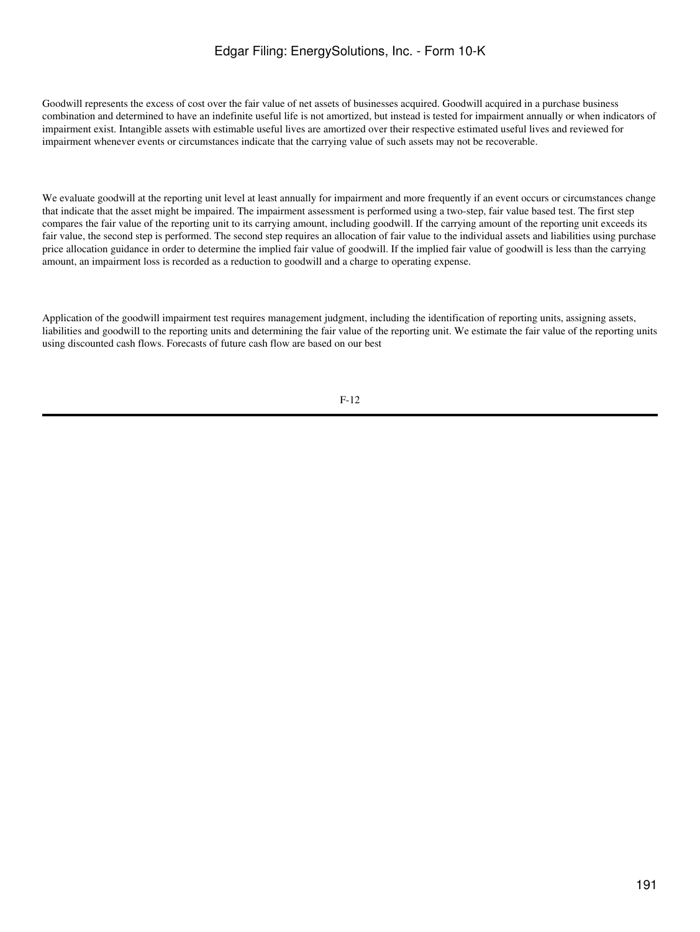Goodwill represents the excess of cost over the fair value of net assets of businesses acquired. Goodwill acquired in a purchase business combination and determined to have an indefinite useful life is not amortized, but instead is tested for impairment annually or when indicators of impairment exist. Intangible assets with estimable useful lives are amortized over their respective estimated useful lives and reviewed for impairment whenever events or circumstances indicate that the carrying value of such assets may not be recoverable.

We evaluate goodwill at the reporting unit level at least annually for impairment and more frequently if an event occurs or circumstances change that indicate that the asset might be impaired. The impairment assessment is performed using a two-step, fair value based test. The first step compares the fair value of the reporting unit to its carrying amount, including goodwill. If the carrying amount of the reporting unit exceeds its fair value, the second step is performed. The second step requires an allocation of fair value to the individual assets and liabilities using purchase price allocation guidance in order to determine the implied fair value of goodwill. If the implied fair value of goodwill is less than the carrying amount, an impairment loss is recorded as a reduction to goodwill and a charge to operating expense.

Application of the goodwill impairment test requires management judgment, including the identification of reporting units, assigning assets, liabilities and goodwill to the reporting units and determining the fair value of the reporting unit. We estimate the fair value of the reporting units using discounted cash flows. Forecasts of future cash flow are based on our best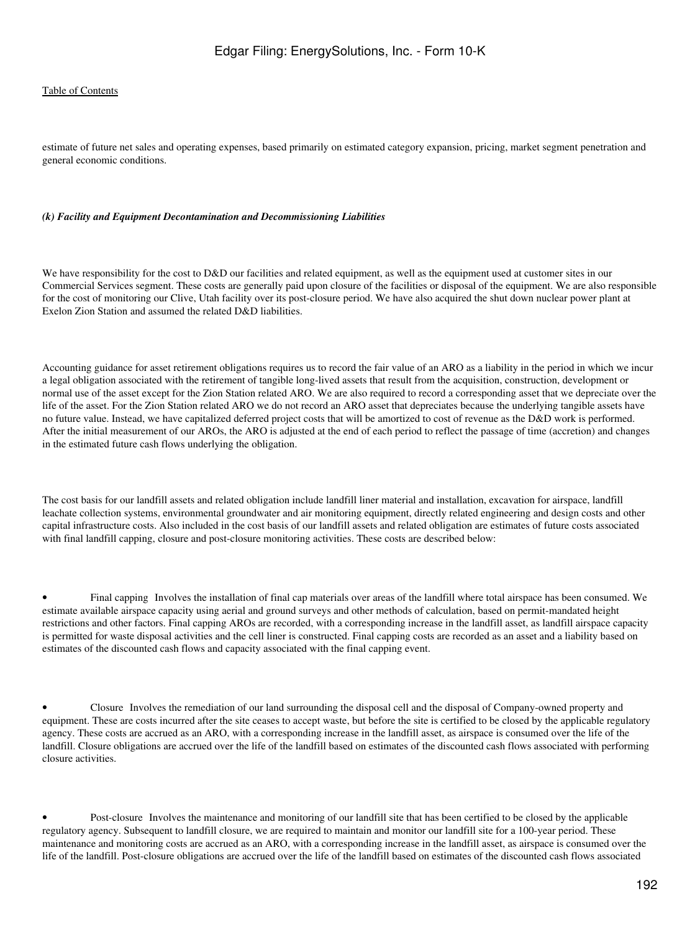estimate of future net sales and operating expenses, based primarily on estimated category expansion, pricing, market segment penetration and general economic conditions.

#### *(k) Facility and Equipment Decontamination and Decommissioning Liabilities*

We have responsibility for the cost to D&D our facilities and related equipment, as well as the equipment used at customer sites in our Commercial Services segment. These costs are generally paid upon closure of the facilities or disposal of the equipment. We are also responsible for the cost of monitoring our Clive, Utah facility over its post-closure period. We have also acquired the shut down nuclear power plant at Exelon Zion Station and assumed the related D&D liabilities.

Accounting guidance for asset retirement obligations requires us to record the fair value of an ARO as a liability in the period in which we incur a legal obligation associated with the retirement of tangible long-lived assets that result from the acquisition, construction, development or normal use of the asset except for the Zion Station related ARO. We are also required to record a corresponding asset that we depreciate over the life of the asset. For the Zion Station related ARO we do not record an ARO asset that depreciates because the underlying tangible assets have no future value. Instead, we have capitalized deferred project costs that will be amortized to cost of revenue as the D&D work is performed. After the initial measurement of our AROs, the ARO is adjusted at the end of each period to reflect the passage of time (accretion) and changes in the estimated future cash flows underlying the obligation.

The cost basis for our landfill assets and related obligation include landfill liner material and installation, excavation for airspace, landfill leachate collection systems, environmental groundwater and air monitoring equipment, directly related engineering and design costs and other capital infrastructure costs. Also included in the cost basis of our landfill assets and related obligation are estimates of future costs associated with final landfill capping, closure and post-closure monitoring activities. These costs are described below:

Final capping Involves the installation of final cap materials over areas of the landfill where total airspace has been consumed. We estimate available airspace capacity using aerial and ground surveys and other methods of calculation, based on permit-mandated height restrictions and other factors. Final capping AROs are recorded, with a corresponding increase in the landfill asset, as landfill airspace capacity is permitted for waste disposal activities and the cell liner is constructed. Final capping costs are recorded as an asset and a liability based on estimates of the discounted cash flows and capacity associated with the final capping event.

Closure Involves the remediation of our land surrounding the disposal cell and the disposal of Company-owned property and equipment. These are costs incurred after the site ceases to accept waste, but before the site is certified to be closed by the applicable regulatory agency. These costs are accrued as an ARO, with a corresponding increase in the landfill asset, as airspace is consumed over the life of the landfill. Closure obligations are accrued over the life of the landfill based on estimates of the discounted cash flows associated with performing closure activities.

Post-closure Involves the maintenance and monitoring of our landfill site that has been certified to be closed by the applicable regulatory agency. Subsequent to landfill closure, we are required to maintain and monitor our landfill site for a 100-year period. These maintenance and monitoring costs are accrued as an ARO, with a corresponding increase in the landfill asset, as airspace is consumed over the life of the landfill. Post-closure obligations are accrued over the life of the landfill based on estimates of the discounted cash flows associated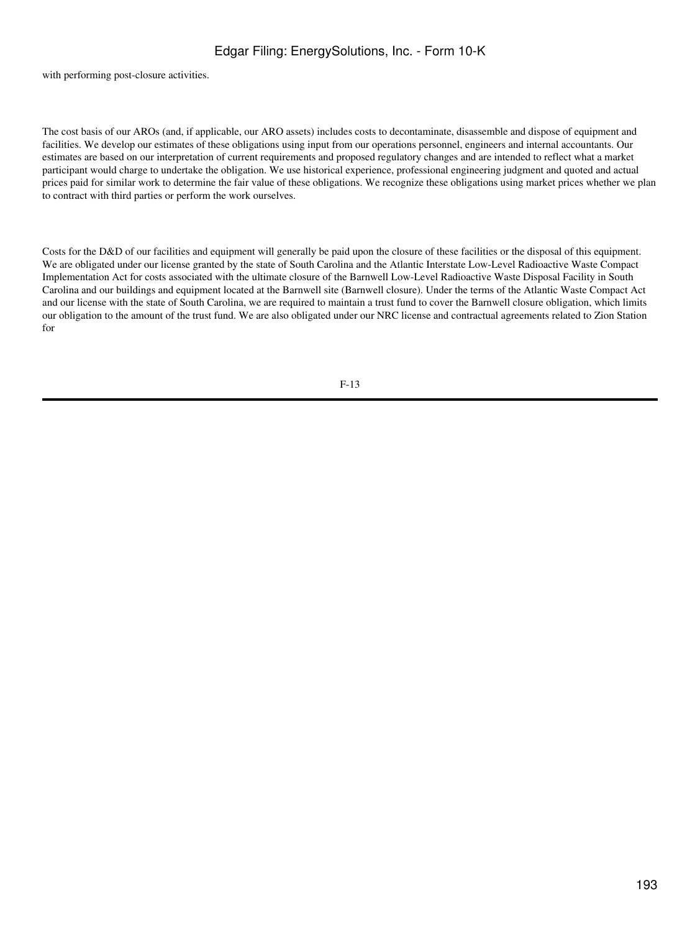with performing post-closure activities.

The cost basis of our AROs (and, if applicable, our ARO assets) includes costs to decontaminate, disassemble and dispose of equipment and facilities. We develop our estimates of these obligations using input from our operations personnel, engineers and internal accountants. Our estimates are based on our interpretation of current requirements and proposed regulatory changes and are intended to reflect what a market participant would charge to undertake the obligation. We use historical experience, professional engineering judgment and quoted and actual prices paid for similar work to determine the fair value of these obligations. We recognize these obligations using market prices whether we plan to contract with third parties or perform the work ourselves.

Costs for the D&D of our facilities and equipment will generally be paid upon the closure of these facilities or the disposal of this equipment. We are obligated under our license granted by the state of South Carolina and the Atlantic Interstate Low-Level Radioactive Waste Compact Implementation Act for costs associated with the ultimate closure of the Barnwell Low-Level Radioactive Waste Disposal Facility in South Carolina and our buildings and equipment located at the Barnwell site (Barnwell closure). Under the terms of the Atlantic Waste Compact Act and our license with the state of South Carolina, we are required to maintain a trust fund to cover the Barnwell closure obligation, which limits our obligation to the amount of the trust fund. We are also obligated under our NRC license and contractual agreements related to Zion Station for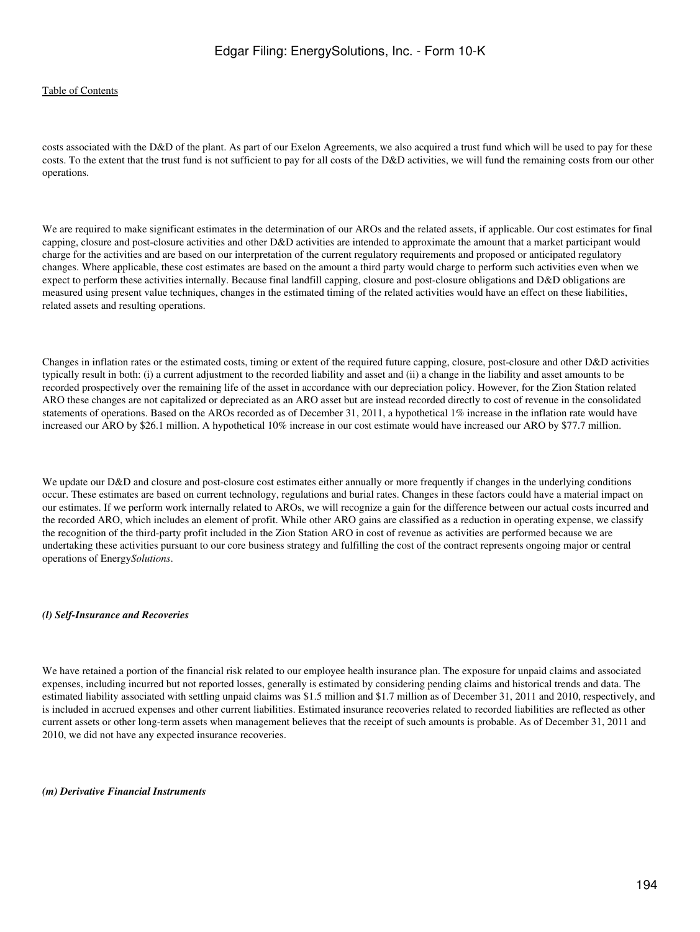costs associated with the D&D of the plant. As part of our Exelon Agreements, we also acquired a trust fund which will be used to pay for these costs. To the extent that the trust fund is not sufficient to pay for all costs of the D&D activities, we will fund the remaining costs from our other operations.

We are required to make significant estimates in the determination of our AROs and the related assets, if applicable. Our cost estimates for final capping, closure and post-closure activities and other D&D activities are intended to approximate the amount that a market participant would charge for the activities and are based on our interpretation of the current regulatory requirements and proposed or anticipated regulatory changes. Where applicable, these cost estimates are based on the amount a third party would charge to perform such activities even when we expect to perform these activities internally. Because final landfill capping, closure and post-closure obligations and D&D obligations are measured using present value techniques, changes in the estimated timing of the related activities would have an effect on these liabilities, related assets and resulting operations.

Changes in inflation rates or the estimated costs, timing or extent of the required future capping, closure, post-closure and other D&D activities typically result in both: (i) a current adjustment to the recorded liability and asset and (ii) a change in the liability and asset amounts to be recorded prospectively over the remaining life of the asset in accordance with our depreciation policy. However, for the Zion Station related ARO these changes are not capitalized or depreciated as an ARO asset but are instead recorded directly to cost of revenue in the consolidated statements of operations. Based on the AROs recorded as of December 31, 2011, a hypothetical 1% increase in the inflation rate would have increased our ARO by \$26.1 million. A hypothetical 10% increase in our cost estimate would have increased our ARO by \$77.7 million.

We update our D&D and closure and post-closure cost estimates either annually or more frequently if changes in the underlying conditions occur. These estimates are based on current technology, regulations and burial rates. Changes in these factors could have a material impact on our estimates. If we perform work internally related to AROs, we will recognize a gain for the difference between our actual costs incurred and the recorded ARO, which includes an element of profit. While other ARO gains are classified as a reduction in operating expense, we classify the recognition of the third-party profit included in the Zion Station ARO in cost of revenue as activities are performed because we are undertaking these activities pursuant to our core business strategy and fulfilling the cost of the contract represents ongoing major or central operations of Energy*Solutions*.

#### *(l) Self-Insurance and Recoveries*

We have retained a portion of the financial risk related to our employee health insurance plan. The exposure for unpaid claims and associated expenses, including incurred but not reported losses, generally is estimated by considering pending claims and historical trends and data. The estimated liability associated with settling unpaid claims was \$1.5 million and \$1.7 million as of December 31, 2011 and 2010, respectively, and is included in accrued expenses and other current liabilities. Estimated insurance recoveries related to recorded liabilities are reflected as other current assets or other long-term assets when management believes that the receipt of such amounts is probable. As of December 31, 2011 and 2010, we did not have any expected insurance recoveries.

#### *(m) Derivative Financial Instruments*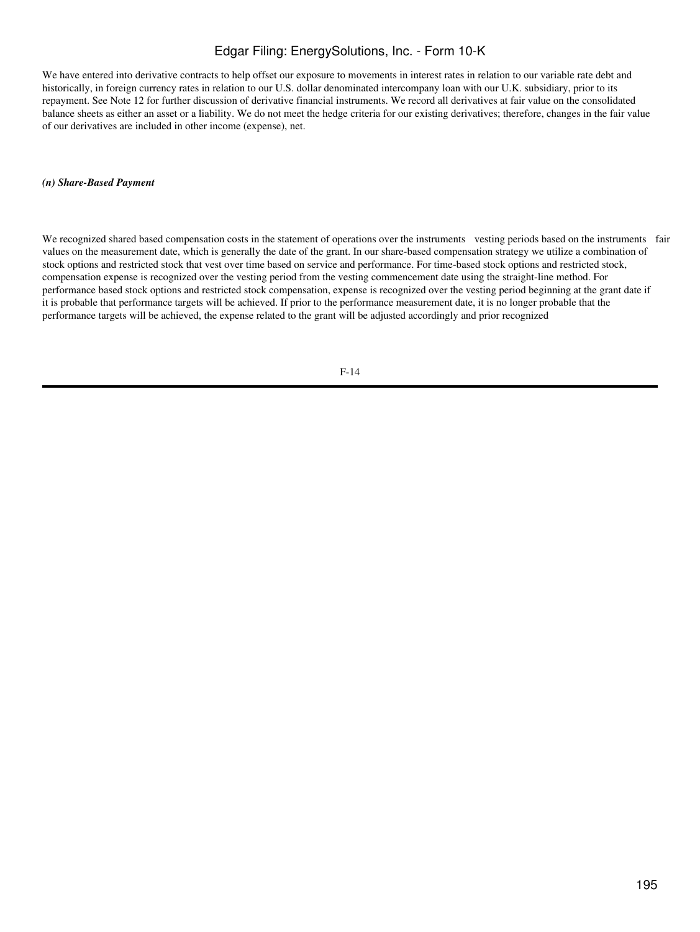We have entered into derivative contracts to help offset our exposure to movements in interest rates in relation to our variable rate debt and historically, in foreign currency rates in relation to our U.S. dollar denominated intercompany loan with our U.K. subsidiary, prior to its repayment. See Note 12 for further discussion of derivative financial instruments. We record all derivatives at fair value on the consolidated balance sheets as either an asset or a liability. We do not meet the hedge criteria for our existing derivatives; therefore, changes in the fair value of our derivatives are included in other income (expense), net.

#### *(n) Share-Based Payment*

We recognized shared based compensation costs in the statement of operations over the instruments vesting periods based on the instruments fair values on the measurement date, which is generally the date of the grant. In our share-based compensation strategy we utilize a combination of stock options and restricted stock that vest over time based on service and performance. For time-based stock options and restricted stock, compensation expense is recognized over the vesting period from the vesting commencement date using the straight-line method. For performance based stock options and restricted stock compensation, expense is recognized over the vesting period beginning at the grant date if it is probable that performance targets will be achieved. If prior to the performance measurement date, it is no longer probable that the performance targets will be achieved, the expense related to the grant will be adjusted accordingly and prior recognized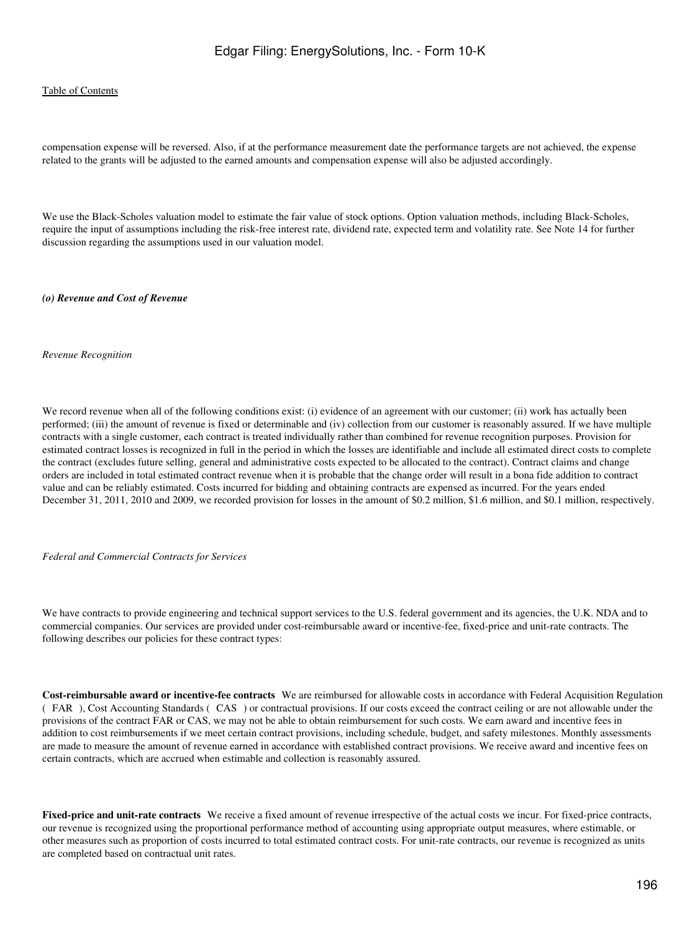compensation expense will be reversed. Also, if at the performance measurement date the performance targets are not achieved, the expense related to the grants will be adjusted to the earned amounts and compensation expense will also be adjusted accordingly.

We use the Black-Scholes valuation model to estimate the fair value of stock options. Option valuation methods, including Black-Scholes, require the input of assumptions including the risk-free interest rate, dividend rate, expected term and volatility rate. See Note 14 for further discussion regarding the assumptions used in our valuation model.

#### *(o) Revenue and Cost of Revenue*

#### *Revenue Recognition*

We record revenue when all of the following conditions exist: (i) evidence of an agreement with our customer; (ii) work has actually been performed; (iii) the amount of revenue is fixed or determinable and (iv) collection from our customer is reasonably assured. If we have multiple contracts with a single customer, each contract is treated individually rather than combined for revenue recognition purposes. Provision for estimated contract losses is recognized in full in the period in which the losses are identifiable and include all estimated direct costs to complete the contract (excludes future selling, general and administrative costs expected to be allocated to the contract). Contract claims and change orders are included in total estimated contract revenue when it is probable that the change order will result in a bona fide addition to contract value and can be reliably estimated. Costs incurred for bidding and obtaining contracts are expensed as incurred. For the years ended December 31, 2011, 2010 and 2009, we recorded provision for losses in the amount of \$0.2 million, \$1.6 million, and \$0.1 million, respectively.

*Federal and Commercial Contracts for Services*

We have contracts to provide engineering and technical support services to the U.S. federal government and its agencies, the U.K. NDA and to commercial companies. Our services are provided under cost-reimbursable award or incentive-fee, fixed-price and unit-rate contracts. The following describes our policies for these contract types:

**Cost-reimbursable award or incentive-fee contracts**We are reimbursed for allowable costs in accordance with Federal Acquisition Regulation (FAR), Cost Accounting Standards (CAS) or contractual provisions. If our costs exceed the contract ceiling or are not allowable under the provisions of the contract FAR or CAS, we may not be able to obtain reimbursement for such costs. We earn award and incentive fees in addition to cost reimbursements if we meet certain contract provisions, including schedule, budget, and safety milestones. Monthly assessments are made to measure the amount of revenue earned in accordance with established contract provisions. We receive award and incentive fees on certain contracts, which are accrued when estimable and collection is reasonably assured.

Fixed-price and unit-rate contracts We receive a fixed amount of revenue irrespective of the actual costs we incur. For fixed-price contracts, our revenue is recognized using the proportional performance method of accounting using appropriate output measures, where estimable, or other measures such as proportion of costs incurred to total estimated contract costs. For unit-rate contracts, our revenue is recognized as units are completed based on contractual unit rates.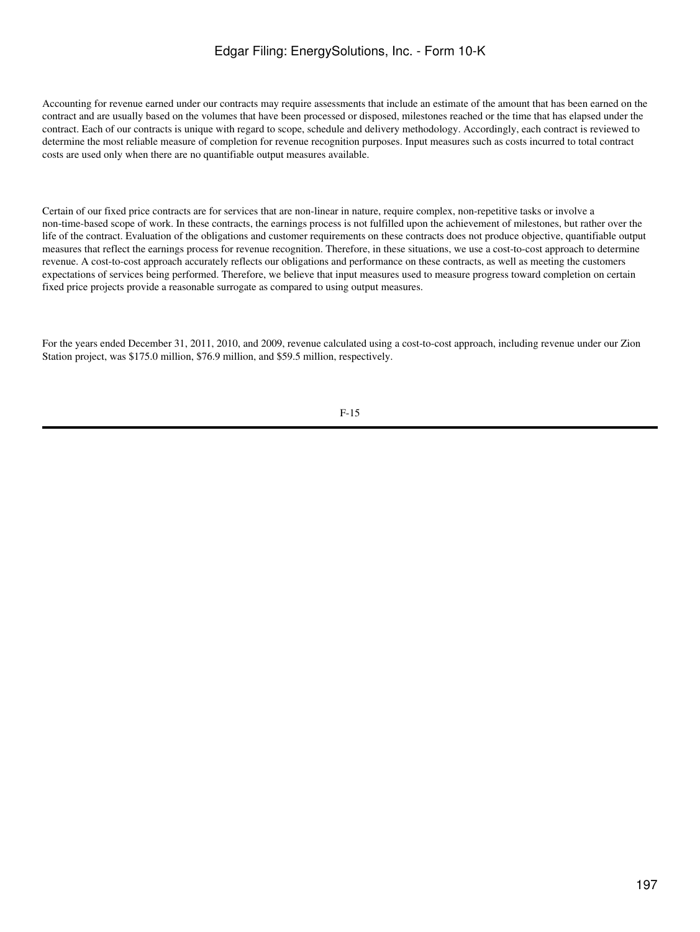Accounting for revenue earned under our contracts may require assessments that include an estimate of the amount that has been earned on the contract and are usually based on the volumes that have been processed or disposed, milestones reached or the time that has elapsed under the contract. Each of our contracts is unique with regard to scope, schedule and delivery methodology. Accordingly, each contract is reviewed to determine the most reliable measure of completion for revenue recognition purposes. Input measures such as costs incurred to total contract costs are used only when there are no quantifiable output measures available.

Certain of our fixed price contracts are for services that are non-linear in nature, require complex, non-repetitive tasks or involve a non-time-based scope of work. In these contracts, the earnings process is not fulfilled upon the achievement of milestones, but rather over the life of the contract. Evaluation of the obligations and customer requirements on these contracts does not produce objective, quantifiable output measures that reflect the earnings process for revenue recognition. Therefore, in these situations, we use a cost-to-cost approach to determine revenue. A cost-to-cost approach accurately reflects our obligations and performance on these contracts, as well as meeting the customers expectations of services being performed. Therefore, we believe that input measures used to measure progress toward completion on certain fixed price projects provide a reasonable surrogate as compared to using output measures.

For the years ended December 31, 2011, 2010, and 2009, revenue calculated using a cost-to-cost approach, including revenue under our Zion Station project, was \$175.0 million, \$76.9 million, and \$59.5 million, respectively.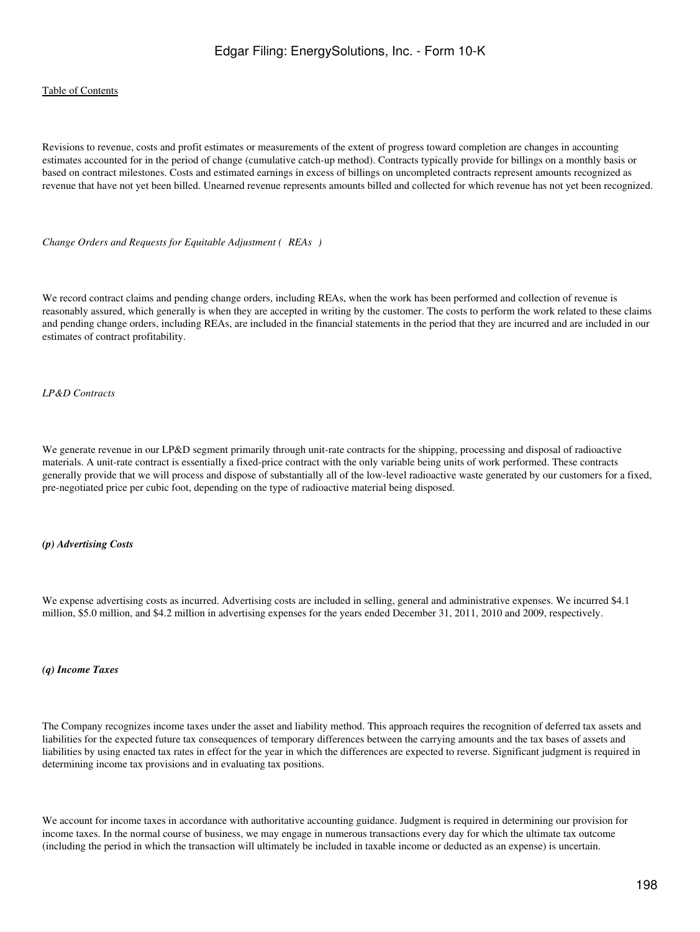Revisions to revenue, costs and profit estimates or measurements of the extent of progress toward completion are changes in accounting estimates accounted for in the period of change (cumulative catch-up method). Contracts typically provide for billings on a monthly basis or based on contract milestones. Costs and estimated earnings in excess of billings on uncompleted contracts represent amounts recognized as revenue that have not yet been billed. Unearned revenue represents amounts billed and collected for which revenue has not yet been recognized.

*Change Orders and Requests for Equitable Adjustment (REAs)*

We record contract claims and pending change orders, including REAs, when the work has been performed and collection of revenue is reasonably assured, which generally is when they are accepted in writing by the customer. The costs to perform the work related to these claims and pending change orders, including REAs, are included in the financial statements in the period that they are incurred and are included in our estimates of contract profitability.

*LP&D Contracts*

We generate revenue in our LP&D segment primarily through unit-rate contracts for the shipping, processing and disposal of radioactive materials. A unit-rate contract is essentially a fixed-price contract with the only variable being units of work performed. These contracts generally provide that we will process and dispose of substantially all of the low-level radioactive waste generated by our customers for a fixed, pre-negotiated price per cubic foot, depending on the type of radioactive material being disposed.

#### *(p) Advertising Costs*

We expense advertising costs as incurred. Advertising costs are included in selling, general and administrative expenses. We incurred \$4.1 million, \$5.0 million, and \$4.2 million in advertising expenses for the years ended December 31, 2011, 2010 and 2009, respectively.

#### *(q) Income Taxes*

The Company recognizes income taxes under the asset and liability method. This approach requires the recognition of deferred tax assets and liabilities for the expected future tax consequences of temporary differences between the carrying amounts and the tax bases of assets and liabilities by using enacted tax rates in effect for the year in which the differences are expected to reverse. Significant judgment is required in determining income tax provisions and in evaluating tax positions.

We account for income taxes in accordance with authoritative accounting guidance. Judgment is required in determining our provision for income taxes. In the normal course of business, we may engage in numerous transactions every day for which the ultimate tax outcome (including the period in which the transaction will ultimately be included in taxable income or deducted as an expense) is uncertain.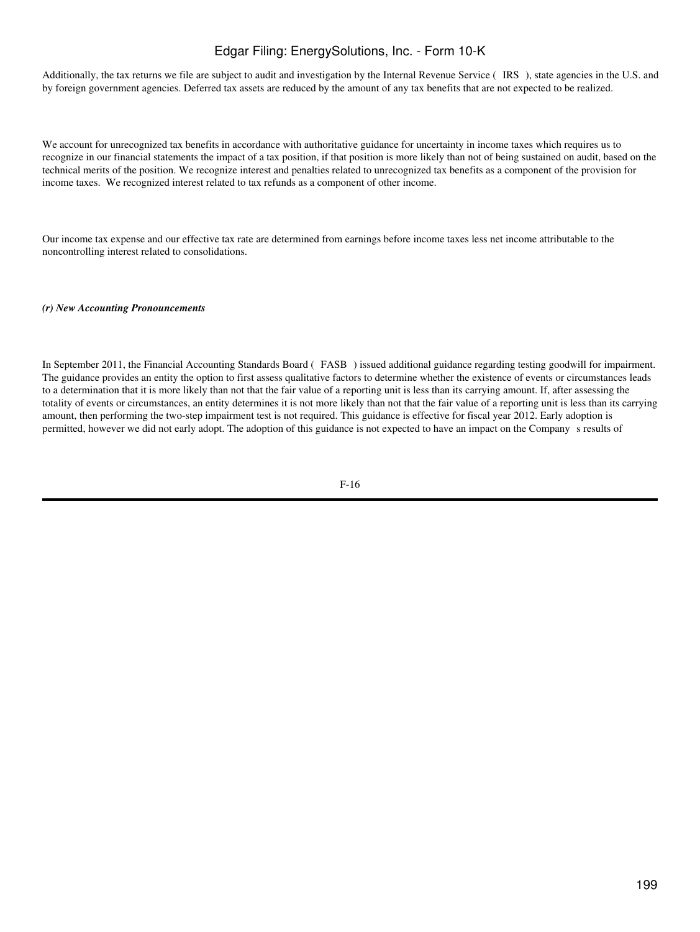Additionally, the tax returns we file are subject to audit and investigation by the Internal Revenue Service (IRS), state agencies in the U.S. and by foreign government agencies. Deferred tax assets are reduced by the amount of any tax benefits that are not expected to be realized.

We account for unrecognized tax benefits in accordance with authoritative guidance for uncertainty in income taxes which requires us to recognize in our financial statements the impact of a tax position, if that position is more likely than not of being sustained on audit, based on the technical merits of the position. We recognize interest and penalties related to unrecognized tax benefits as a component of the provision for income taxes. We recognized interest related to tax refunds as a component of other income.

Our income tax expense and our effective tax rate are determined from earnings before income taxes less net income attributable to the noncontrolling interest related to consolidations.

#### *(r) New Accounting Pronouncements*

In September 2011, the Financial Accounting Standards Board (FASB) issued additional guidance regarding testing goodwill for impairment. The guidance provides an entity the option to first assess qualitative factors to determine whether the existence of events or circumstances leads to a determination that it is more likely than not that the fair value of a reporting unit is less than its carrying amount. If, after assessing the totality of events or circumstances, an entity determines it is not more likely than not that the fair value of a reporting unit is less than its carrying amount, then performing the two-step impairment test is not required. This guidance is effective for fiscal year 2012. Early adoption is permitted, however we did not early adopt. The adoption of this guidance is not expected to have an impact on the Companys results of

$$
F-16
$$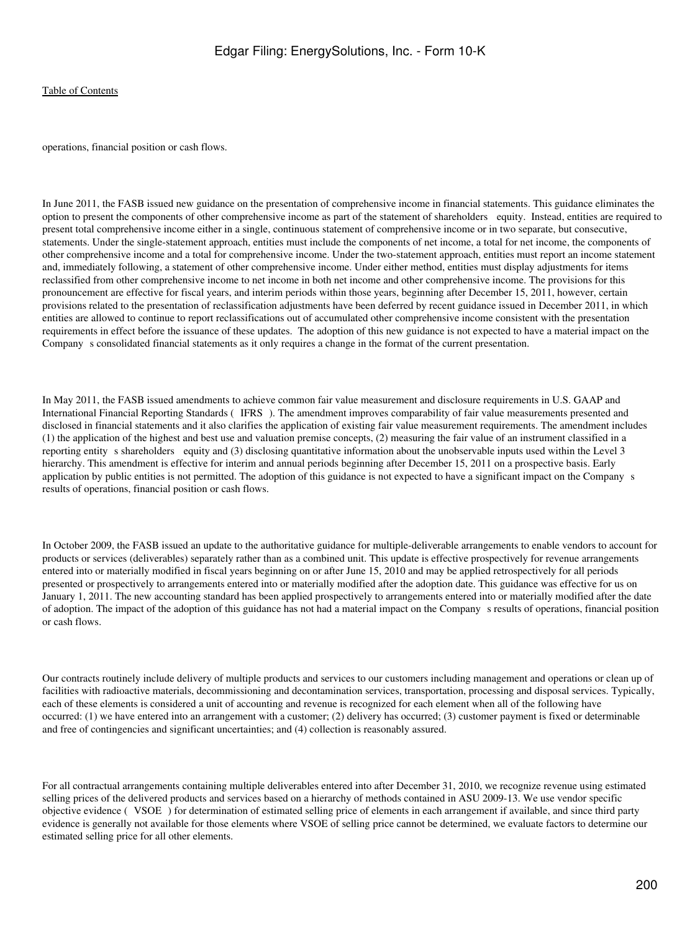operations, financial position or cash flows.

In June 2011, the FASB issued new guidance on the presentation of comprehensive income in financial statements. This guidance eliminates the option to present the components of other comprehensive income as part of the statement of shareholders equity. Instead, entities are required to present total comprehensive income either in a single, continuous statement of comprehensive income or in two separate, but consecutive, statements. Under the single-statement approach, entities must include the components of net income, a total for net income, the components of other comprehensive income and a total for comprehensive income. Under the two-statement approach, entities must report an income statement and, immediately following, a statement of other comprehensive income. Under either method, entities must display adjustments for items reclassified from other comprehensive income to net income in both net income and other comprehensive income. The provisions for this pronouncement are effective for fiscal years, and interim periods within those years, beginning after December 15, 2011, however, certain provisions related to the presentation of reclassification adjustments have been deferred by recent guidance issued in December 2011, in which entities are allowed to continue to report reclassifications out of accumulated other comprehensive income consistent with the presentation requirements in effect before the issuance of these updates. The adoption of this new guidance is not expected to have a material impact on the Company s consolidated financial statements as it only requires a change in the format of the current presentation.

In May 2011, the FASB issued amendments to achieve common fair value measurement and disclosure requirements in U.S. GAAP and International Financial Reporting Standards (IFRS). The amendment improves comparability of fair value measurements presented and disclosed in financial statements and it also clarifies the application of existing fair value measurement requirements. The amendment includes (1) the application of the highest and best use and valuation premise concepts, (2) measuring the fair value of an instrument classified in a reporting entity s shareholders equity and (3) disclosing quantitative information about the unobservable inputs used within the Level 3 hierarchy. This amendment is effective for interim and annual periods beginning after December 15, 2011 on a prospective basis. Early application by public entities is not permitted. The adoption of this guidance is not expected to have a significant impact on the Companys results of operations, financial position or cash flows.

In October 2009, the FASB issued an update to the authoritative guidance for multiple-deliverable arrangements to enable vendors to account for products or services (deliverables) separately rather than as a combined unit. This update is effective prospectively for revenue arrangements entered into or materially modified in fiscal years beginning on or after June 15, 2010 and may be applied retrospectively for all periods presented or prospectively to arrangements entered into or materially modified after the adoption date. This guidance was effective for us on January 1, 2011. The new accounting standard has been applied prospectively to arrangements entered into or materially modified after the date of adoption. The impact of the adoption of this guidance has not had a material impact on the Companys results of operations, financial position or cash flows.

Our contracts routinely include delivery of multiple products and services to our customers including management and operations or clean up of facilities with radioactive materials, decommissioning and decontamination services, transportation, processing and disposal services. Typically, each of these elements is considered a unit of accounting and revenue is recognized for each element when all of the following have occurred: (1) we have entered into an arrangement with a customer; (2) delivery has occurred; (3) customer payment is fixed or determinable and free of contingencies and significant uncertainties; and (4) collection is reasonably assured.

For all contractual arrangements containing multiple deliverables entered into after December 31, 2010, we recognize revenue using estimated selling prices of the delivered products and services based on a hierarchy of methods contained in ASU 2009-13. We use vendor specific objective evidence (VSOE) for determination of estimated selling price of elements in each arrangement if available, and since third party evidence is generally not available for those elements where VSOE of selling price cannot be determined, we evaluate factors to determine our estimated selling price for all other elements.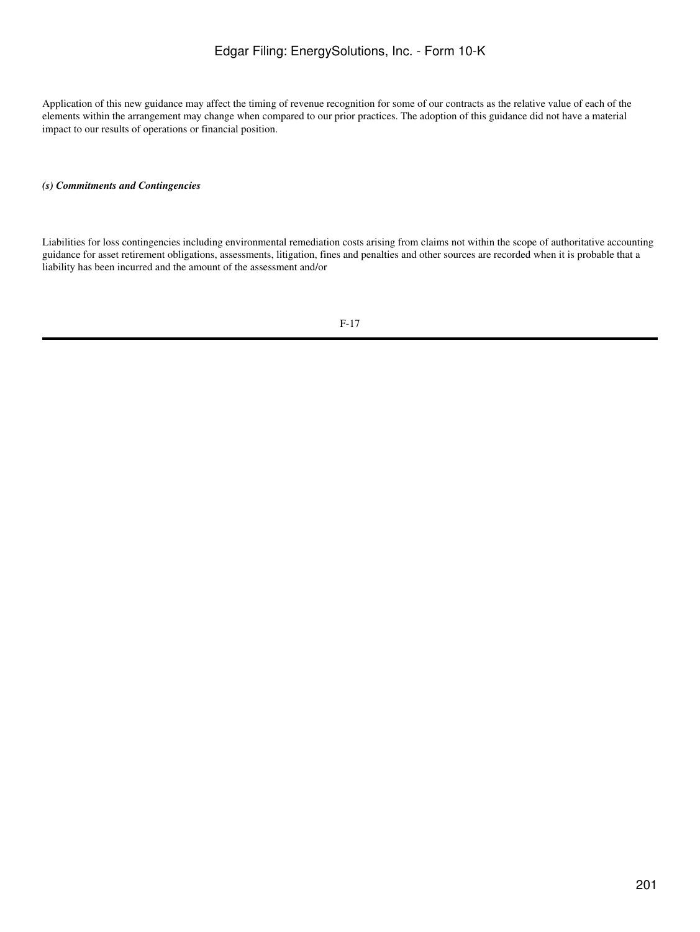Application of this new guidance may affect the timing of revenue recognition for some of our contracts as the relative value of each of the elements within the arrangement may change when compared to our prior practices. The adoption of this guidance did not have a material impact to our results of operations or financial position.

#### *(s) Commitments and Contingencies*

Liabilities for loss contingencies including environmental remediation costs arising from claims not within the scope of authoritative accounting guidance for asset retirement obligations, assessments, litigation, fines and penalties and other sources are recorded when it is probable that a liability has been incurred and the amount of the assessment and/or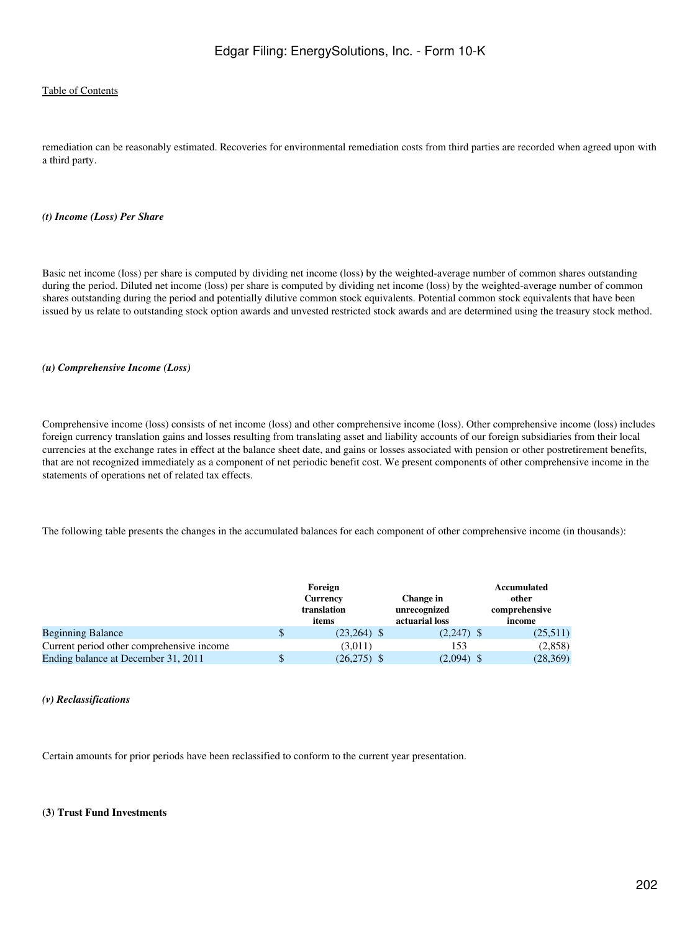remediation can be reasonably estimated. Recoveries for environmental remediation costs from third parties are recorded when agreed upon with a third party.

#### *(t) Income (Loss) Per Share*

Basic net income (loss) per share is computed by dividing net income (loss) by the weighted-average number of common shares outstanding during the period. Diluted net income (loss) per share is computed by dividing net income (loss) by the weighted-average number of common shares outstanding during the period and potentially dilutive common stock equivalents. Potential common stock equivalents that have been issued by us relate to outstanding stock option awards and unvested restricted stock awards and are determined using the treasury stock method.

#### *(u) Comprehensive Income (Loss)*

Comprehensive income (loss) consists of net income (loss) and other comprehensive income (loss). Other comprehensive income (loss) includes foreign currency translation gains and losses resulting from translating asset and liability accounts of our foreign subsidiaries from their local currencies at the exchange rates in effect at the balance sheet date, and gains or losses associated with pension or other postretirement benefits, that are not recognized immediately as a component of net periodic benefit cost. We present components of other comprehensive income in the statements of operations net of related tax effects.

The following table presents the changes in the accumulated balances for each component of other comprehensive income (in thousands):

|                                           | Foreign<br>Currency<br>translation<br>items | Change in<br>unrecognized<br>actuarial loss | Accumulated<br>other<br>comprehensive<br>income |
|-------------------------------------------|---------------------------------------------|---------------------------------------------|-------------------------------------------------|
| <b>Beginning Balance</b>                  | $(23,264)$ \$                               | $(2,247)$ \$                                | (25,511)                                        |
| Current period other comprehensive income | (3,011)                                     | 153                                         | (2,858)                                         |
| Ending balance at December 31, 2011       | $(26,275)$ \$                               | (2,094)                                     | (28, 369)                                       |

#### *(v) Reclassifications*

Certain amounts for prior periods have been reclassified to conform to the current year presentation.

## **(3) Trust Fund Investments**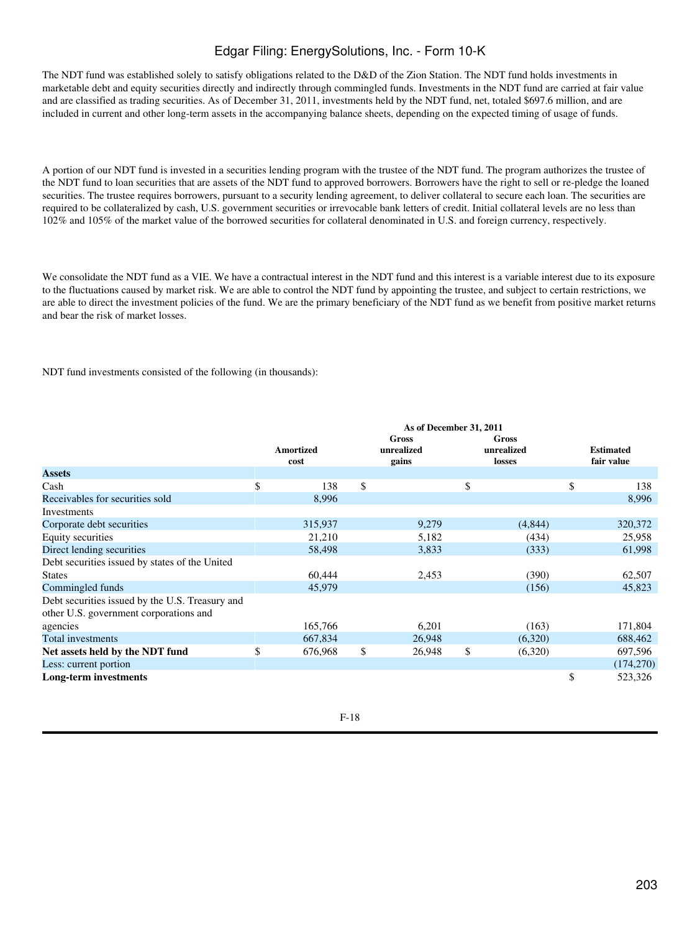The NDT fund was established solely to satisfy obligations related to the D&D of the Zion Station. The NDT fund holds investments in marketable debt and equity securities directly and indirectly through commingled funds. Investments in the NDT fund are carried at fair value and are classified as trading securities. As of December 31, 2011, investments held by the NDT fund, net, totaled \$697.6 million, and are included in current and other long-term assets in the accompanying balance sheets, depending on the expected timing of usage of funds.

A portion of our NDT fund is invested in a securities lending program with the trustee of the NDT fund. The program authorizes the trustee of the NDT fund to loan securities that are assets of the NDT fund to approved borrowers. Borrowers have the right to sell or re-pledge the loaned securities. The trustee requires borrowers, pursuant to a security lending agreement, to deliver collateral to secure each loan. The securities are required to be collateralized by cash, U.S. government securities or irrevocable bank letters of credit. Initial collateral levels are no less than 102% and 105% of the market value of the borrowed securities for collateral denominated in U.S. and foreign currency, respectively.

We consolidate the NDT fund as a VIE. We have a contractual interest in the NDT fund and this interest is a variable interest due to its exposure to the fluctuations caused by market risk. We are able to control the NDT fund by appointing the trustee, and subject to certain restrictions, we are able to direct the investment policies of the fund. We are the primary beneficiary of the NDT fund as we benefit from positive market returns and bear the risk of market losses.

NDT fund investments consisted of the following (in thousands):

|                                                                                           | As of December 31, 2011 |                   |    |                              |    |                               |    |                                |  |  |  |
|-------------------------------------------------------------------------------------------|-------------------------|-------------------|----|------------------------------|----|-------------------------------|----|--------------------------------|--|--|--|
|                                                                                           |                         | Amortized<br>cost |    | Gross<br>unrealized<br>gains |    | Gross<br>unrealized<br>losses |    | <b>Estimated</b><br>fair value |  |  |  |
| <b>Assets</b>                                                                             |                         |                   |    |                              |    |                               |    |                                |  |  |  |
| Cash                                                                                      | \$                      | 138               | \$ |                              | \$ |                               | \$ | 138                            |  |  |  |
| Receivables for securities sold                                                           |                         | 8,996             |    |                              |    |                               |    | 8,996                          |  |  |  |
| Investments                                                                               |                         |                   |    |                              |    |                               |    |                                |  |  |  |
| Corporate debt securities                                                                 |                         | 315,937           |    | 9,279                        |    | (4,844)                       |    | 320,372                        |  |  |  |
| Equity securities                                                                         |                         | 21,210            |    | 5,182                        |    | (434)                         |    | 25,958                         |  |  |  |
| Direct lending securities                                                                 |                         | 58,498            |    | 3,833                        |    | (333)                         |    | 61,998                         |  |  |  |
| Debt securities issued by states of the United                                            |                         |                   |    |                              |    |                               |    |                                |  |  |  |
| <b>States</b>                                                                             |                         | 60,444            |    | 2,453                        |    | (390)                         |    | 62,507                         |  |  |  |
| Commingled funds                                                                          |                         | 45,979            |    |                              |    | (156)                         |    | 45,823                         |  |  |  |
| Debt securities issued by the U.S. Treasury and<br>other U.S. government corporations and |                         |                   |    |                              |    |                               |    |                                |  |  |  |
| agencies                                                                                  |                         | 165,766           |    | 6,201                        |    | (163)                         |    | 171,804                        |  |  |  |
| Total investments                                                                         |                         | 667,834           |    | 26,948                       |    | (6,320)                       |    | 688,462                        |  |  |  |
| Net assets held by the NDT fund                                                           | \$                      | 676,968           | \$ | 26,948                       | \$ | (6,320)                       |    | 697,596                        |  |  |  |
| Less: current portion                                                                     |                         |                   |    |                              |    |                               |    | (174,270)                      |  |  |  |
| Long-term investments                                                                     |                         |                   |    |                              |    |                               | \$ | 523,326                        |  |  |  |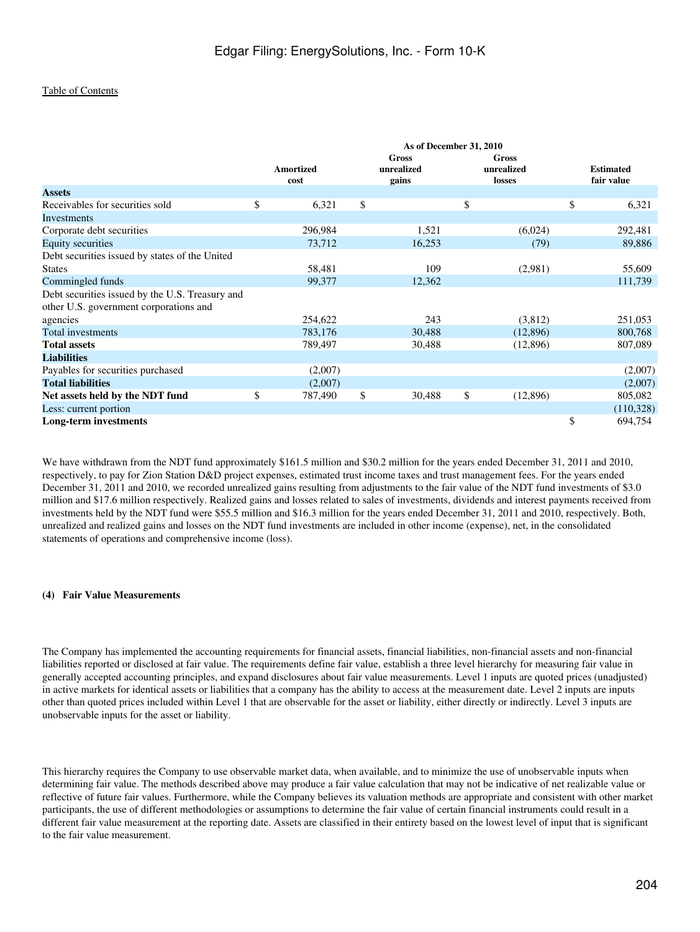|                                                                                           | As of December 31, 2010 |                   |                                     |        |    |                                      |    |                                |  |  |
|-------------------------------------------------------------------------------------------|-------------------------|-------------------|-------------------------------------|--------|----|--------------------------------------|----|--------------------------------|--|--|
|                                                                                           |                         | Amortized<br>cost | <b>Gross</b><br>unrealized<br>gains |        |    | <b>Gross</b><br>unrealized<br>losses |    | <b>Estimated</b><br>fair value |  |  |
| <b>Assets</b>                                                                             |                         |                   |                                     |        |    |                                      |    |                                |  |  |
| Receivables for securities sold                                                           | \$                      | 6,321             | \$                                  |        | \$ |                                      | \$ | 6,321                          |  |  |
| Investments                                                                               |                         |                   |                                     |        |    |                                      |    |                                |  |  |
| Corporate debt securities                                                                 |                         | 296,984           |                                     | 1,521  |    | (6,024)                              |    | 292,481                        |  |  |
| <b>Equity securities</b>                                                                  |                         | 73,712            |                                     | 16,253 |    | (79)                                 |    | 89,886                         |  |  |
| Debt securities issued by states of the United                                            |                         |                   |                                     |        |    |                                      |    |                                |  |  |
| <b>States</b>                                                                             |                         | 58,481            |                                     | 109    |    | (2,981)                              |    | 55,609                         |  |  |
| Commingled funds                                                                          |                         | 99,377            |                                     | 12,362 |    |                                      |    | 111,739                        |  |  |
| Debt securities issued by the U.S. Treasury and<br>other U.S. government corporations and |                         |                   |                                     |        |    |                                      |    |                                |  |  |
| agencies                                                                                  |                         | 254,622           |                                     | 243    |    | (3,812)                              |    | 251,053                        |  |  |
| Total investments                                                                         |                         | 783,176           |                                     | 30,488 |    | (12,896)                             |    | 800,768                        |  |  |
| <b>Total assets</b>                                                                       |                         | 789,497           |                                     | 30,488 |    | (12,896)                             |    | 807,089                        |  |  |
| <b>Liabilities</b>                                                                        |                         |                   |                                     |        |    |                                      |    |                                |  |  |
| Payables for securities purchased                                                         |                         | (2,007)           |                                     |        |    |                                      |    | (2,007)                        |  |  |
| <b>Total liabilities</b>                                                                  |                         | (2,007)           |                                     |        |    |                                      |    | (2,007)                        |  |  |
| Net assets held by the NDT fund                                                           | \$                      | 787,490           | \$                                  | 30,488 | \$ | (12,896)                             |    | 805,082                        |  |  |
| Less: current portion                                                                     |                         |                   |                                     |        |    |                                      |    | (110, 328)                     |  |  |
| Long-term investments                                                                     |                         |                   |                                     |        |    |                                      | \$ | 694,754                        |  |  |

We have withdrawn from the NDT fund approximately \$161.5 million and \$30.2 million for the years ended December 31, 2011 and 2010, respectively, to pay for Zion Station D&D project expenses, estimated trust income taxes and trust management fees. For the years ended December 31, 2011 and 2010, we recorded unrealized gains resulting from adjustments to the fair value of the NDT fund investments of \$3.0 million and \$17.6 million respectively. Realized gains and losses related to sales of investments, dividends and interest payments received from investments held by the NDT fund were \$55.5 million and \$16.3 million for the years ended December 31, 2011 and 2010, respectively. Both, unrealized and realized gains and losses on the NDT fund investments are included in other income (expense), net, in the consolidated statements of operations and comprehensive income (loss).

#### **(4) Fair Value Measurements**

The Company has implemented the accounting requirements for financial assets, financial liabilities, non-financial assets and non-financial liabilities reported or disclosed at fair value. The requirements define fair value, establish a three level hierarchy for measuring fair value in generally accepted accounting principles, and expand disclosures about fair value measurements. Level 1 inputs are quoted prices (unadjusted) in active markets for identical assets or liabilities that a company has the ability to access at the measurement date. Level 2 inputs are inputs other than quoted prices included within Level 1 that are observable for the asset or liability, either directly or indirectly. Level 3 inputs are unobservable inputs for the asset or liability.

This hierarchy requires the Company to use observable market data, when available, and to minimize the use of unobservable inputs when determining fair value. The methods described above may produce a fair value calculation that may not be indicative of net realizable value or reflective of future fair values. Furthermore, while the Company believes its valuation methods are appropriate and consistent with other market participants, the use of different methodologies or assumptions to determine the fair value of certain financial instruments could result in a different fair value measurement at the reporting date. Assets are classified in their entirety based on the lowest level of input that is significant to the fair value measurement.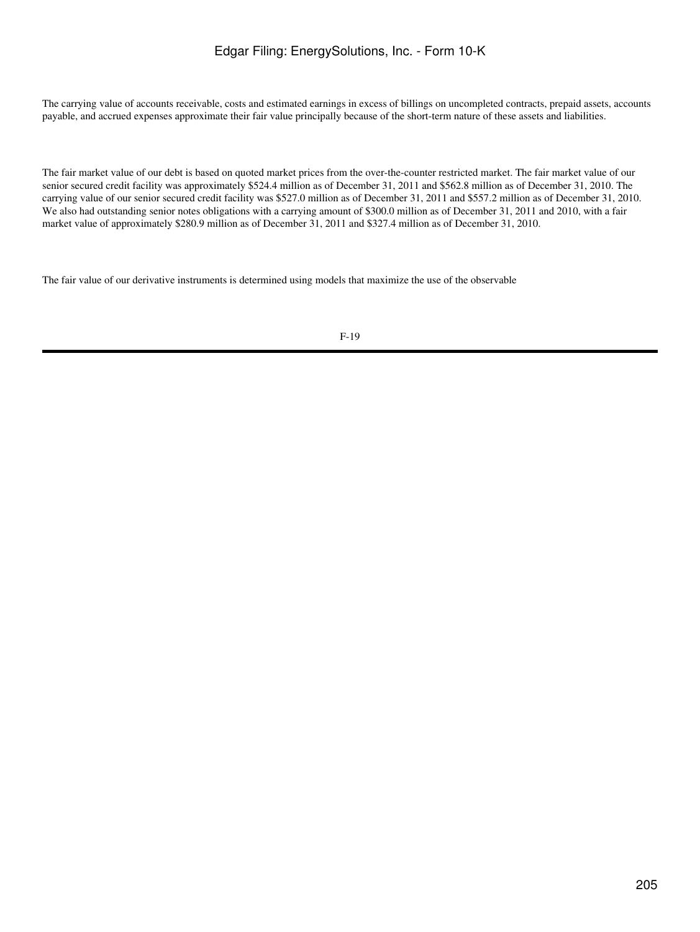The carrying value of accounts receivable, costs and estimated earnings in excess of billings on uncompleted contracts, prepaid assets, accounts payable, and accrued expenses approximate their fair value principally because of the short-term nature of these assets and liabilities.

The fair market value of our debt is based on quoted market prices from the over-the-counter restricted market. The fair market value of our senior secured credit facility was approximately \$524.4 million as of December 31, 2011 and \$562.8 million as of December 31, 2010. The carrying value of our senior secured credit facility was \$527.0 million as of December 31, 2011 and \$557.2 million as of December 31, 2010. We also had outstanding senior notes obligations with a carrying amount of \$300.0 million as of December 31, 2011 and 2010, with a fair market value of approximately \$280.9 million as of December 31, 2011 and \$327.4 million as of December 31, 2010.

The fair value of our derivative instruments is determined using models that maximize the use of the observable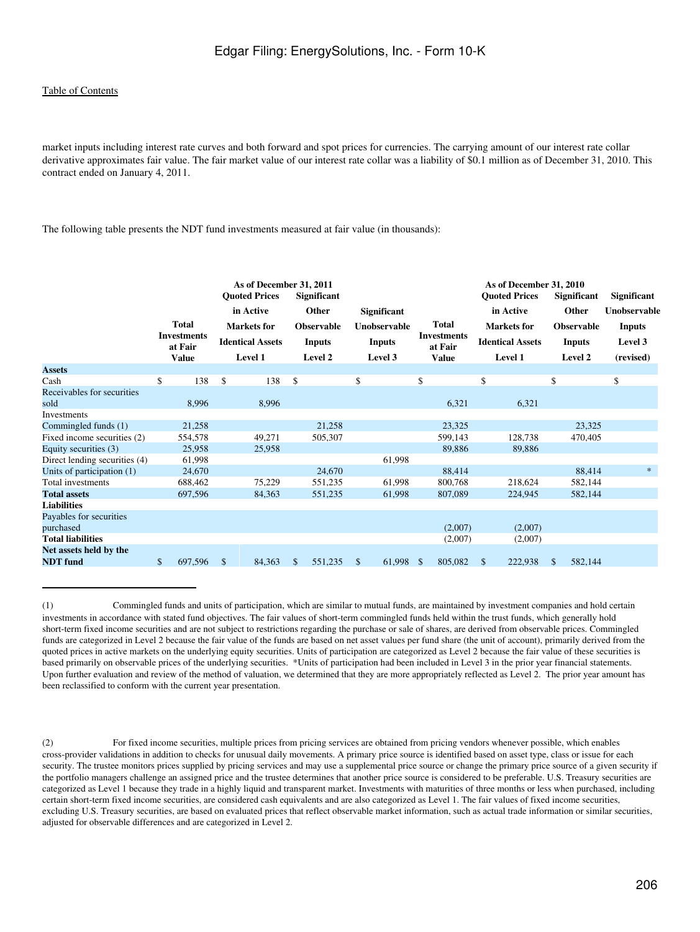market inputs including interest rate curves and both forward and spot prices for currencies. The carrying amount of our interest rate collar derivative approximates fair value. The fair market value of our interest rate collar was a liability of \$0.1 million as of December 31, 2010. This contract ended on January 4, 2011.

The following table presents the NDT fund investments measured at fair value (in thousands):

|                                           | <b>Total</b><br><b>Investments</b><br>at Fair<br><b>Value</b> |               | As of December 31, 2011<br><b>Ouoted Prices</b><br>in Active<br><b>Markets</b> for<br><b>Identical Assets</b><br>Level 1 |                    | <b>Significant</b><br>Other<br><b>Observable</b><br><b>Inputs</b><br>Level 2 | <b>Significant</b><br>Unobservable<br>Inputs<br>Level 3 | <b>Total</b><br><b>Investments</b><br>at Fair<br><b>Value</b> |              | As of December 31, 2010<br><b>Ouoted Prices</b><br>in Active<br><b>Markets</b> for<br><b>Identical Assets</b><br>Level 1 |    | <b>Significant</b><br>Other<br><b>Observable</b><br><b>Inputs</b><br>Level 2 | Significant<br>Unobservable<br><b>Inputs</b><br>Level 3<br>(revised) |
|-------------------------------------------|---------------------------------------------------------------|---------------|--------------------------------------------------------------------------------------------------------------------------|--------------------|------------------------------------------------------------------------------|---------------------------------------------------------|---------------------------------------------------------------|--------------|--------------------------------------------------------------------------------------------------------------------------|----|------------------------------------------------------------------------------|----------------------------------------------------------------------|
| <b>Assets</b>                             |                                                               |               |                                                                                                                          |                    |                                                                              |                                                         |                                                               |              |                                                                                                                          |    |                                                                              |                                                                      |
| Cash                                      | \$<br>138                                                     | $\mathbf{\$}$ | 138                                                                                                                      | $\mathbf{\hat{S}}$ |                                                                              | \$                                                      | \$                                                            | \$           |                                                                                                                          | \$ |                                                                              | \$                                                                   |
| Receivables for securities                |                                                               |               |                                                                                                                          |                    |                                                                              |                                                         |                                                               |              |                                                                                                                          |    |                                                                              |                                                                      |
| sold                                      | 8,996                                                         |               | 8,996                                                                                                                    |                    |                                                                              |                                                         | 6,321                                                         |              | 6,321                                                                                                                    |    |                                                                              |                                                                      |
| Investments                               |                                                               |               |                                                                                                                          |                    |                                                                              |                                                         |                                                               |              |                                                                                                                          |    |                                                                              |                                                                      |
| Commingled funds (1)                      | 21,258                                                        |               |                                                                                                                          |                    | 21,258                                                                       |                                                         | 23,325                                                        |              |                                                                                                                          |    | 23,325                                                                       |                                                                      |
| Fixed income securities (2)               | 554,578                                                       |               | 49,271                                                                                                                   |                    | 505,307                                                                      |                                                         | 599,143                                                       |              | 128,738                                                                                                                  |    | 470,405                                                                      |                                                                      |
| Equity securities (3)                     | 25,958                                                        |               | 25,958                                                                                                                   |                    |                                                                              |                                                         | 89,886                                                        |              | 89,886                                                                                                                   |    |                                                                              |                                                                      |
| Direct lending securities (4)             | 61,998                                                        |               |                                                                                                                          |                    |                                                                              | 61,998                                                  |                                                               |              |                                                                                                                          |    |                                                                              |                                                                      |
| Units of participation (1)                | 24,670                                                        |               |                                                                                                                          |                    | 24,670                                                                       |                                                         | 88,414                                                        |              |                                                                                                                          |    | 88,414                                                                       | $\ast$                                                               |
| Total investments                         | 688,462                                                       |               | 75,229                                                                                                                   |                    | 551,235                                                                      | 61,998                                                  | 800,768                                                       |              | 218,624                                                                                                                  |    | 582,144                                                                      |                                                                      |
| <b>Total assets</b>                       | 697,596                                                       |               | 84,363                                                                                                                   |                    | 551,235                                                                      | 61,998                                                  | 807,089                                                       |              | 224,945                                                                                                                  |    | 582,144                                                                      |                                                                      |
| <b>Liabilities</b>                        |                                                               |               |                                                                                                                          |                    |                                                                              |                                                         |                                                               |              |                                                                                                                          |    |                                                                              |                                                                      |
| Payables for securities                   |                                                               |               |                                                                                                                          |                    |                                                                              |                                                         |                                                               |              |                                                                                                                          |    |                                                                              |                                                                      |
| purchased                                 |                                                               |               |                                                                                                                          |                    |                                                                              |                                                         | (2,007)                                                       |              | (2,007)                                                                                                                  |    |                                                                              |                                                                      |
| <b>Total liabilities</b>                  |                                                               |               |                                                                                                                          |                    |                                                                              |                                                         | (2,007)                                                       |              | (2,007)                                                                                                                  |    |                                                                              |                                                                      |
| Net assets held by the<br><b>NDT</b> fund | \$<br>697,596                                                 | \$            | 84,363                                                                                                                   | <sup>\$</sup>      | 551,235                                                                      | \$<br>61,998 \$                                         | 805,082                                                       | $\mathbb{S}$ | 222,938                                                                                                                  | S. | 582,144                                                                      |                                                                      |

<sup>(1)</sup> Commingled funds and units of participation, which are similar to mutual funds, are maintained by investment companies and hold certain investments in accordance with stated fund objectives. The fair values of short-term commingled funds held within the trust funds, which generally hold short-term fixed income securities and are not subject to restrictions regarding the purchase or sale of shares, are derived from observable prices. Commingled funds are categorized in Level 2 because the fair value of the funds are based on net asset values per fund share (the unit of account), primarily derived from the quoted prices in active markets on the underlying equity securities. Units of participation are categorized as Level 2 because the fair value of these securities is based primarily on observable prices of the underlying securities. \*Units of participation had been included in Level 3 in the prior year financial statements. Upon further evaluation and review of the method of valuation, we determined that they are more appropriately reflected as Level 2. The prior year amount has been reclassified to conform with the current year presentation.

<sup>(2)</sup> For fixed income securities, multiple prices from pricing services are obtained from pricing vendors whenever possible, which enables cross-provider validations in addition to checks for unusual daily movements. A primary price source is identified based on asset type, class or issue for each security. The trustee monitors prices supplied by pricing services and may use a supplemental price source or change the primary price source of a given security if the portfolio managers challenge an assigned price and the trustee determines that another price source is considered to be preferable. U.S. Treasury securities are categorized as Level 1 because they trade in a highly liquid and transparent market. Investments with maturities of three months or less when purchased, including certain short-term fixed income securities, are considered cash equivalents and are also categorized as Level 1. The fair values of fixed income securities, excluding U.S. Treasury securities, are based on evaluated prices that reflect observable market information, such as actual trade information or similar securities, adjusted for observable differences and are categorized in Level 2.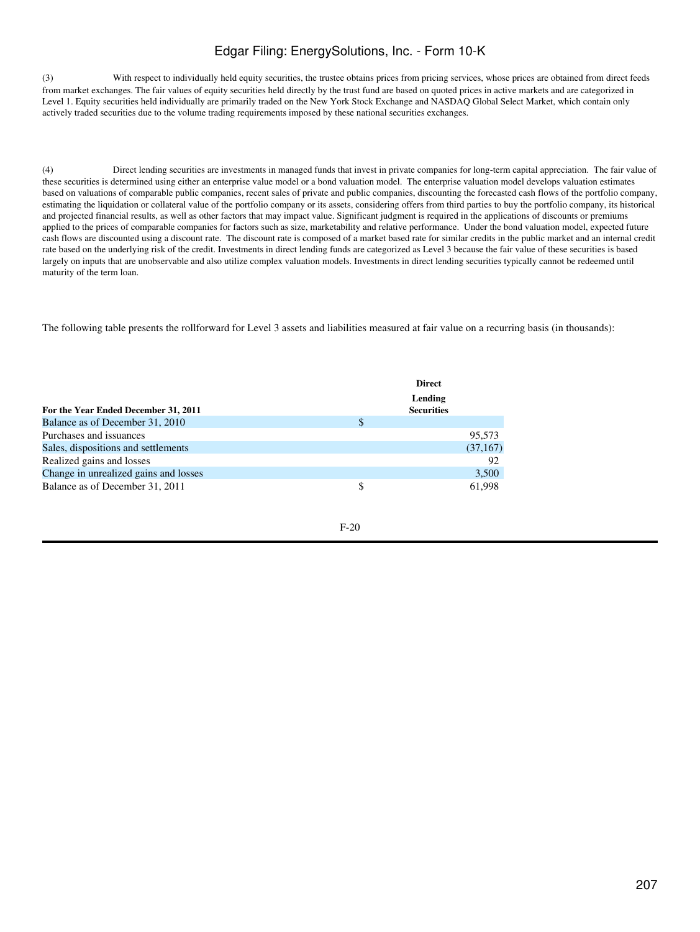(3) With respect to individually held equity securities, the trustee obtains prices from pricing services, whose prices are obtained from direct feeds from market exchanges. The fair values of equity securities held directly by the trust fund are based on quoted prices in active markets and are categorized in Level 1. Equity securities held individually are primarily traded on the New York Stock Exchange and NASDAQ Global Select Market, which contain only actively traded securities due to the volume trading requirements imposed by these national securities exchanges.

(4) Direct lending securities are investments in managed funds that invest in private companies for long-term capital appreciation. The fair value of these securities is determined using either an enterprise value model or a bond valuation model. The enterprise valuation model develops valuation estimates based on valuations of comparable public companies, recent sales of private and public companies, discounting the forecasted cash flows of the portfolio company, estimating the liquidation or collateral value of the portfolio company or its assets, considering offers from third parties to buy the portfolio company, its historical and projected financial results, as well as other factors that may impact value. Significant judgment is required in the applications of discounts or premiums applied to the prices of comparable companies for factors such as size, marketability and relative performance. Under the bond valuation model, expected future cash flows are discounted using a discount rate. The discount rate is composed of a market based rate for similar credits in the public market and an internal credit rate based on the underlying risk of the credit. Investments in direct lending funds are categorized as Level 3 because the fair value of these securities is based largely on inputs that are unobservable and also utilize complex valuation models. Investments in direct lending securities typically cannot be redeemed until maturity of the term loan.

The following table presents the rollforward for Level 3 assets and liabilities measured at fair value on a recurring basis (in thousands):

|                                       | <b>Direct</b> |                   |          |  |  |  |  |
|---------------------------------------|---------------|-------------------|----------|--|--|--|--|
|                                       |               | Lending           |          |  |  |  |  |
| For the Year Ended December 31, 2011  |               | <b>Securities</b> |          |  |  |  |  |
| Balance as of December 31, 2010       | \$            |                   |          |  |  |  |  |
| Purchases and issuances               |               |                   | 95,573   |  |  |  |  |
| Sales, dispositions and settlements   |               |                   | (37,167) |  |  |  |  |
| Realized gains and losses             |               |                   | 92       |  |  |  |  |
| Change in unrealized gains and losses |               |                   | 3,500    |  |  |  |  |
| Balance as of December 31, 2011       | \$            |                   | 61.998   |  |  |  |  |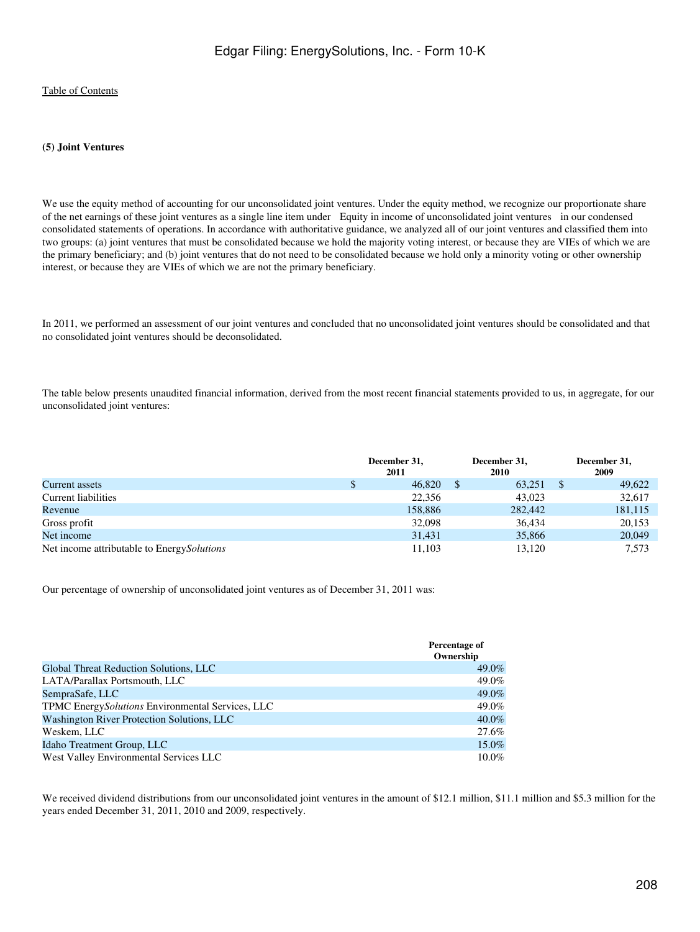### **(5) Joint Ventures**

We use the equity method of accounting for our unconsolidated joint ventures. Under the equity method, we recognize our proportionate share of the net earnings of these joint ventures as a single line item under Equity in income of unconsolidated joint ventures in our condensed consolidated statements of operations. In accordance with authoritative guidance, we analyzed all of our joint ventures and classified them into two groups: (a) joint ventures that must be consolidated because we hold the majority voting interest, or because they are VIEs of which we are the primary beneficiary; and (b) joint ventures that do not need to be consolidated because we hold only a minority voting or other ownership interest, or because they are VIEs of which we are not the primary beneficiary.

In 2011, we performed an assessment of our joint ventures and concluded that no unconsolidated joint ventures should be consolidated and that no consolidated joint ventures should be deconsolidated.

The table below presents unaudited financial information, derived from the most recent financial statements provided to us, in aggregate, for our unconsolidated joint ventures:

|                                                    | December 31,<br>2011 | December 31,<br><b>2010</b> |         |  | December 31,<br>2009 |
|----------------------------------------------------|----------------------|-----------------------------|---------|--|----------------------|
| Current assets                                     | 46,820               |                             | 63.251  |  | 49,622               |
| Current liabilities                                | 22,356               |                             | 43,023  |  | 32,617               |
| Revenue                                            | 158,886              |                             | 282,442 |  | 181,115              |
| Gross profit                                       | 32,098               |                             | 36,434  |  | 20,153               |
| Net income                                         | 31,431               |                             | 35,866  |  | 20,049               |
| Net income attributable to Energy <i>Solutions</i> | 11.103               |                             | 13,120  |  | 7,573                |

Our percentage of ownership of unconsolidated joint ventures as of December 31, 2011 was:

|                                                   | Percentage of<br>Ownership |
|---------------------------------------------------|----------------------------|
| Global Threat Reduction Solutions, LLC            | 49.0%                      |
| LATA/Parallax Portsmouth, LLC                     | 49.0%                      |
| SempraSafe, LLC                                   | 49.0%                      |
| TPMC Energy Solutions Environmental Services, LLC | 49.0%                      |
| Washington River Protection Solutions, LLC        | $40.0\%$                   |
| Weskem, LLC                                       | 27.6%                      |
| Idaho Treatment Group, LLC                        | 15.0%                      |
| West Valley Environmental Services LLC            | $10.0\%$                   |

We received dividend distributions from our unconsolidated joint ventures in the amount of \$12.1 million, \$11.1 million and \$5.3 million for the years ended December 31, 2011, 2010 and 2009, respectively.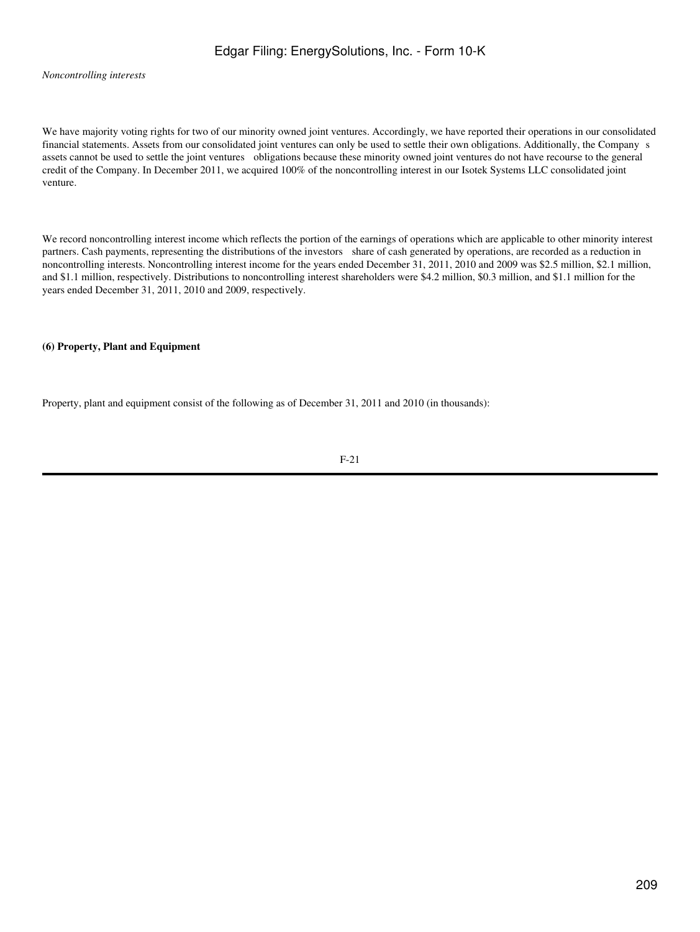#### *Noncontrolling interests*

We have majority voting rights for two of our minority owned joint ventures. Accordingly, we have reported their operations in our consolidated financial statements. Assets from our consolidated joint ventures can only be used to settle their own obligations. Additionally, the Companys assets cannot be used to settle the joint ventures obligations because these minority owned joint ventures do not have recourse to the general credit of the Company. In December 2011, we acquired 100% of the noncontrolling interest in our Isotek Systems LLC consolidated joint venture.

We record noncontrolling interest income which reflects the portion of the earnings of operations which are applicable to other minority interest partners. Cash payments, representing the distributions of the investors share of cash generated by operations, are recorded as a reduction in noncontrolling interests. Noncontrolling interest income for the years ended December 31, 2011, 2010 and 2009 was \$2.5 million, \$2.1 million, and \$1.1 million, respectively. Distributions to noncontrolling interest shareholders were \$4.2 million, \$0.3 million, and \$1.1 million for the years ended December 31, 2011, 2010 and 2009, respectively.

#### **(6) Property, Plant and Equipment**

Property, plant and equipment consist of the following as of December 31, 2011 and 2010 (in thousands):

$$
F-21
$$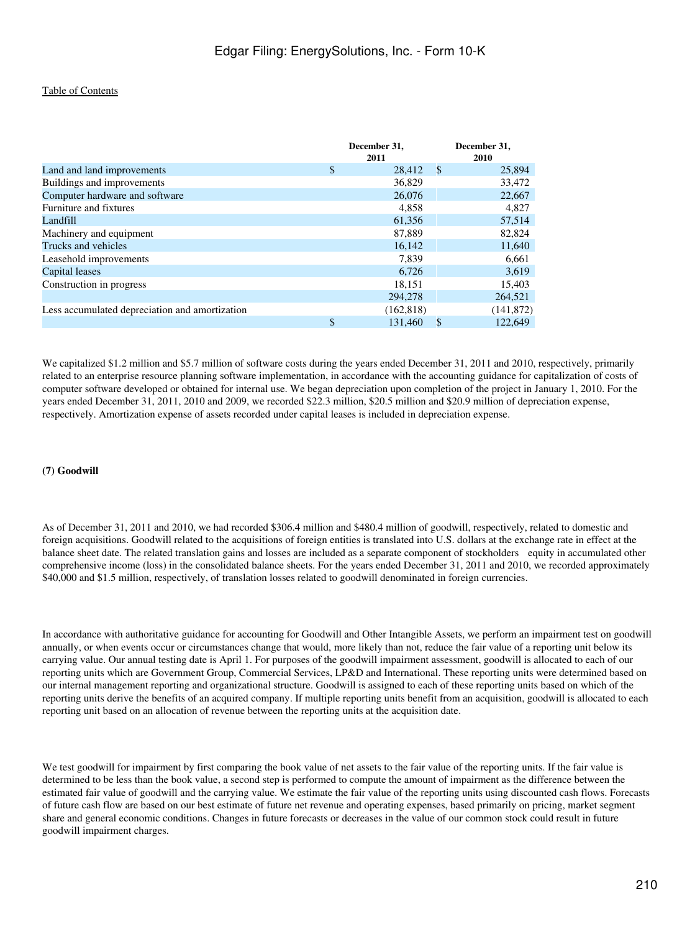|                                                | December 31,<br>2011 | December 31,<br>2010     |
|------------------------------------------------|----------------------|--------------------------|
| Land and land improvements                     | \$<br>28,412         | - \$<br>25,894           |
| Buildings and improvements                     | 36,829               | 33,472                   |
| Computer hardware and software                 | 26,076               | 22,667                   |
| Furniture and fixtures                         | 4.858                | 4,827                    |
| Landfill                                       | 61,356               | 57,514                   |
| Machinery and equipment                        | 87,889               | 82,824                   |
| Trucks and vehicles                            | 16,142               | 11,640                   |
| Leasehold improvements                         | 7.839                | 6,661                    |
| Capital leases                                 | 6.726                | 3,619                    |
| Construction in progress                       | 18,151               | 15,403                   |
|                                                | 294,278              | 264,521                  |
| Less accumulated depreciation and amortization | (162, 818)           | (141, 872)               |
|                                                | \$<br>131.460        | 122,649<br><sup>\$</sup> |

We capitalized \$1.2 million and \$5.7 million of software costs during the years ended December 31, 2011 and 2010, respectively, primarily related to an enterprise resource planning software implementation, in accordance with the accounting guidance for capitalization of costs of computer software developed or obtained for internal use. We began depreciation upon completion of the project in January 1, 2010. For the years ended December 31, 2011, 2010 and 2009, we recorded \$22.3 million, \$20.5 million and \$20.9 million of depreciation expense, respectively. Amortization expense of assets recorded under capital leases is included in depreciation expense.

#### **(7) Goodwill**

As of December 31, 2011 and 2010, we had recorded \$306.4 million and \$480.4 million of goodwill, respectively, related to domestic and foreign acquisitions. Goodwill related to the acquisitions of foreign entities is translated into U.S. dollars at the exchange rate in effect at the balance sheet date. The related translation gains and losses are included as a separate component of stockholders equity in accumulated other comprehensive income (loss) in the consolidated balance sheets. For the years ended December 31, 2011 and 2010, we recorded approximately \$40,000 and \$1.5 million, respectively, of translation losses related to goodwill denominated in foreign currencies.

In accordance with authoritative guidance for accounting for Goodwill and Other Intangible Assets, we perform an impairment test on goodwill annually, or when events occur or circumstances change that would, more likely than not, reduce the fair value of a reporting unit below its carrying value. Our annual testing date is April 1. For purposes of the goodwill impairment assessment, goodwill is allocated to each of our reporting units which are Government Group, Commercial Services, LP&D and International. These reporting units were determined based on our internal management reporting and organizational structure. Goodwill is assigned to each of these reporting units based on which of the reporting units derive the benefits of an acquired company. If multiple reporting units benefit from an acquisition, goodwill is allocated to each reporting unit based on an allocation of revenue between the reporting units at the acquisition date.

We test goodwill for impairment by first comparing the book value of net assets to the fair value of the reporting units. If the fair value is determined to be less than the book value, a second step is performed to compute the amount of impairment as the difference between the estimated fair value of goodwill and the carrying value. We estimate the fair value of the reporting units using discounted cash flows. Forecasts of future cash flow are based on our best estimate of future net revenue and operating expenses, based primarily on pricing, market segment share and general economic conditions. Changes in future forecasts or decreases in the value of our common stock could result in future goodwill impairment charges.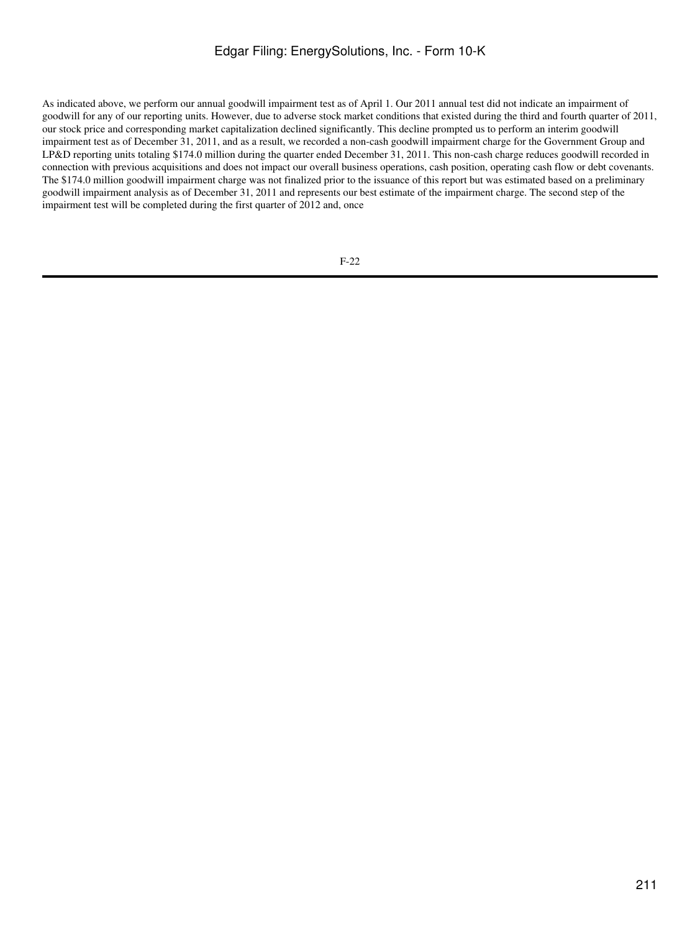As indicated above, we perform our annual goodwill impairment test as of April 1. Our 2011 annual test did not indicate an impairment of goodwill for any of our reporting units. However, due to adverse stock market conditions that existed during the third and fourth quarter of 2011, our stock price and corresponding market capitalization declined significantly. This decline prompted us to perform an interim goodwill impairment test as of December 31, 2011, and as a result, we recorded a non-cash goodwill impairment charge for the Government Group and LP&D reporting units totaling \$174.0 million during the quarter ended December 31, 2011. This non-cash charge reduces goodwill recorded in connection with previous acquisitions and does not impact our overall business operations, cash position, operating cash flow or debt covenants. The \$174.0 million goodwill impairment charge was not finalized prior to the issuance of this report but was estimated based on a preliminary goodwill impairment analysis as of December 31, 2011 and represents our best estimate of the impairment charge. The second step of the impairment test will be completed during the first quarter of 2012 and, once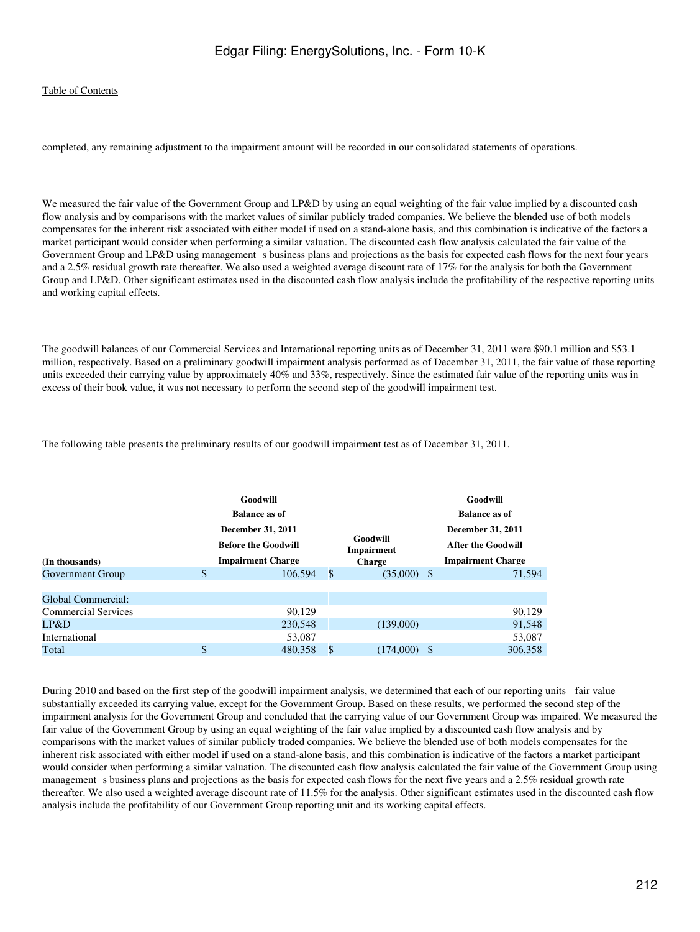completed, any remaining adjustment to the impairment amount will be recorded in our consolidated statements of operations.

We measured the fair value of the Government Group and LP&D by using an equal weighting of the fair value implied by a discounted cash flow analysis and by comparisons with the market values of similar publicly traded companies. We believe the blended use of both models compensates for the inherent risk associated with either model if used on a stand-alone basis, and this combination is indicative of the factors a market participant would consider when performing a similar valuation. The discounted cash flow analysis calculated the fair value of the Government Group and LP&D using management s business plans and projections as the basis for expected cash flows for the next four years and a 2.5% residual growth rate thereafter. We also used a weighted average discount rate of 17% for the analysis for both the Government Group and LP&D. Other significant estimates used in the discounted cash flow analysis include the profitability of the respective reporting units and working capital effects.

The goodwill balances of our Commercial Services and International reporting units as of December 31, 2011 were \$90.1 million and \$53.1 million, respectively. Based on a preliminary goodwill impairment analysis performed as of December 31, 2011, the fair value of these reporting units exceeded their carrying value by approximately 40% and 33%, respectively. Since the estimated fair value of the reporting units was in excess of their book value, it was not necessary to perform the second step of the goodwill impairment test.

The following table presents the preliminary results of our goodwill impairment test as of December 31, 2011.

|                            | Goodwill                   |               | Goodwill                      |      |                                                |  |  |
|----------------------------|----------------------------|---------------|-------------------------------|------|------------------------------------------------|--|--|
|                            | <b>Balance as of</b>       |               |                               |      | <b>Balance as of</b>                           |  |  |
|                            | December 31, 2011          |               |                               |      | December 31, 2011<br><b>After the Goodwill</b> |  |  |
|                            | <b>Before the Goodwill</b> |               | Goodwill<br><b>Impairment</b> |      |                                                |  |  |
| (In thousands)             | <b>Impairment Charge</b>   |               |                               |      | <b>Impairment Charge</b>                       |  |  |
| Government Group           | \$<br>106.594              | $\mathbb{S}$  | (35,000)                      | - \$ | 71.594                                         |  |  |
|                            |                            |               |                               |      |                                                |  |  |
| Global Commercial:         |                            |               |                               |      |                                                |  |  |
| <b>Commercial Services</b> | 90.129                     |               |                               |      | 90.129                                         |  |  |
| LP&D                       | 230,548                    |               | (139,000)                     |      | 91,548                                         |  |  |
| International              | 53,087                     |               |                               |      | 53,087                                         |  |  |
| Total                      | \$<br>480,358              | $\mathcal{S}$ | (174,000)                     | -S   | 306,358                                        |  |  |
|                            |                            |               |                               |      |                                                |  |  |

During 2010 and based on the first step of the goodwill impairment analysis, we determined that each of our reporting units fair value substantially exceeded its carrying value, except for the Government Group. Based on these results, we performed the second step of the impairment analysis for the Government Group and concluded that the carrying value of our Government Group was impaired. We measured the fair value of the Government Group by using an equal weighting of the fair value implied by a discounted cash flow analysis and by comparisons with the market values of similar publicly traded companies. We believe the blended use of both models compensates for the inherent risk associated with either model if used on a stand-alone basis, and this combination is indicative of the factors a market participant would consider when performing a similar valuation. The discounted cash flow analysis calculated the fair value of the Government Group using management s business plans and projections as the basis for expected cash flows for the next five years and a 2.5% residual growth rate thereafter. We also used a weighted average discount rate of 11.5% for the analysis. Other significant estimates used in the discounted cash flow analysis include the profitability of our Government Group reporting unit and its working capital effects.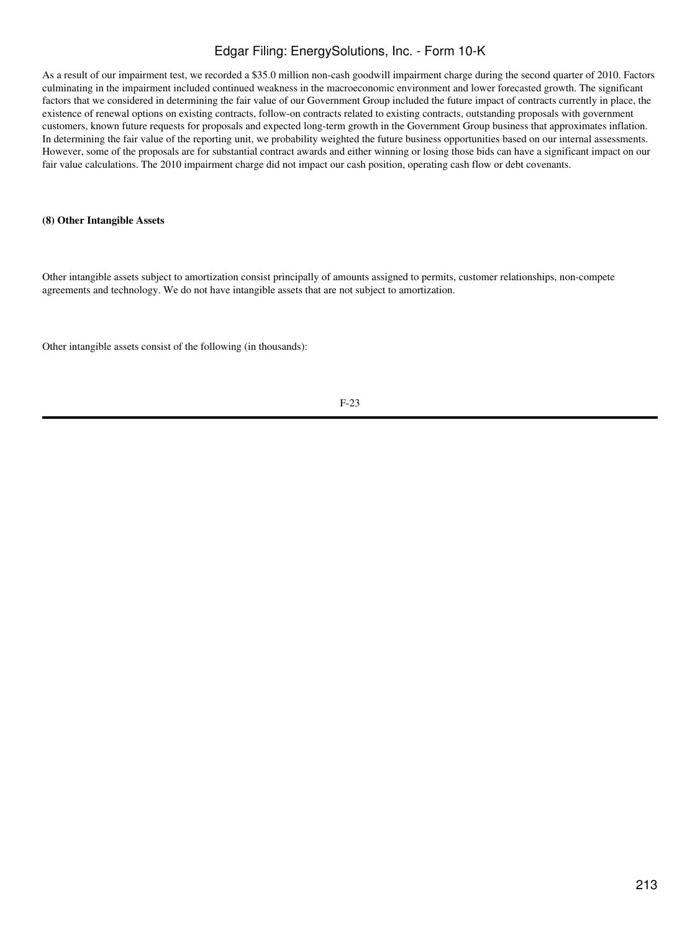As a result of our impairment test, we recorded a \$35.0 million non-cash goodwill impairment charge during the second quarter of 2010. Factors culminating in the impairment included continued weakness in the macroeconomic environment and lower forecasted growth. The significant factors that we considered in determining the fair value of our Government Group included the future impact of contracts currently in place, the existence of renewal options on existing contracts, follow-on contracts related to existing contracts, outstanding proposals with government customers, known future requests for proposals and expected long-term growth in the Government Group business that approximates inflation. In determining the fair value of the reporting unit, we probability weighted the future business opportunities based on our internal assessments. However, some of the proposals are for substantial contract awards and either winning or losing those bids can have a significant impact on our fair value calculations. The 2010 impairment charge did not impact our cash position, operating cash flow or debt covenants.

### **(8) Other Intangible Assets**

Other intangible assets subject to amortization consist principally of amounts assigned to permits, customer relationships, non-compete agreements and technology. We do not have intangible assets that are not subject to amortization.

Other intangible assets consist of the following (in thousands):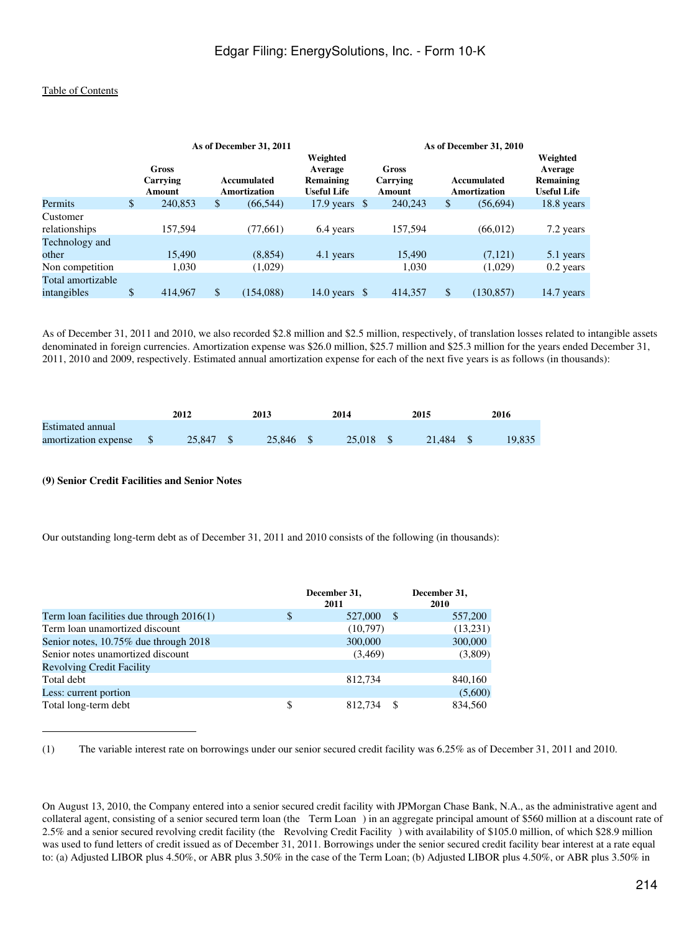|                   |              |                             | As of December 31, 2011            | As of December 31, 2010                                |  |                             |    |                                    |                                                        |  |
|-------------------|--------------|-----------------------------|------------------------------------|--------------------------------------------------------|--|-----------------------------|----|------------------------------------|--------------------------------------------------------|--|
|                   |              | Gross<br>Carrying<br>Amount | Accumulated<br><b>Amortization</b> | Weighted<br>Average<br>Remaining<br><b>Useful Life</b> |  | Gross<br>Carrying<br>Amount |    | Accumulated<br><b>Amortization</b> | Weighted<br>Average<br>Remaining<br><b>Useful Life</b> |  |
| <b>Permits</b>    | $\mathbb{S}$ | 240,853                     | \$<br>(66, 544)                    | 17.9 years $$$                                         |  | 240.243                     | \$ | (56, 694)                          | 18.8 years                                             |  |
| Customer          |              |                             |                                    |                                                        |  |                             |    |                                    |                                                        |  |
| relationships     |              | 157.594                     | (77,661)                           | 6.4 years                                              |  | 157,594                     |    | (66, 012)                          | 7.2 years                                              |  |
| Technology and    |              |                             |                                    |                                                        |  |                             |    |                                    |                                                        |  |
| other             |              | 15,490                      | (8, 854)                           | 4.1 years                                              |  | 15.490                      |    | (7,121)                            | 5.1 years                                              |  |
| Non competition   |              | 1,030                       | (1,029)                            |                                                        |  | 1,030                       |    | (1,029)                            | $0.2$ years                                            |  |
| Total amortizable |              |                             |                                    |                                                        |  |                             |    |                                    |                                                        |  |
| intangibles       | \$           | 414,967                     | \$<br>(154.088)                    | 14.0 years $\$\$                                       |  | 414,357                     | \$ | (130, 857)                         | 14.7 years                                             |  |

As of December 31, 2011 and 2010, we also recorded \$2.8 million and \$2.5 million, respectively, of translation losses related to intangible assets denominated in foreign currencies. Amortization expense was \$26.0 million, \$25.7 million and \$25.3 million for the years ended December 31, 2011, 2010 and 2009, respectively. Estimated annual amortization expense for each of the next five years is as follows (in thousands):

|                      | 2012      | 2013      | 2014      | 2015   | 2016   |
|----------------------|-----------|-----------|-----------|--------|--------|
| Estimated annual     |           |           |           |        |        |
| amortization expense | 25.847 \$ | 25.846 \$ | 25.018 \$ | 21.484 | 19.835 |

#### **(9) Senior Credit Facilities and Senior Notes**

Our outstanding long-term debt as of December 31, 2011 and 2010 consists of the following (in thousands):

|                                            | December 31,<br>2011 |     | December 31,<br>2010 |
|--------------------------------------------|----------------------|-----|----------------------|
| Term loan facilities due through $2016(1)$ | \$<br>527,000        | -\$ | 557,200              |
| Term loan unamortized discount             | (10,797)             |     | (13,231)             |
| Senior notes, 10.75% due through 2018      | 300,000              |     | 300,000              |
| Senior notes unamortized discount          | (3,469)              |     | (3,809)              |
| <b>Revolving Credit Facility</b>           |                      |     |                      |
| Total debt                                 | 812.734              |     | 840,160              |
| Less: current portion                      |                      |     | (5,600)              |
| Total long-term debt                       | \$<br>812.734        |     | 834,560              |

(1) The variable interest rate on borrowings under our senior secured credit facility was 6.25% as of December 31, 2011 and 2010.

On August 13, 2010, the Company entered into a senior secured credit facility with JPMorgan Chase Bank, N.A., as the administrative agent and collateral agent, consisting of a senior secured term loan (the Term Loan) in an aggregate principal amount of \$560 million at a discount rate of 2.5% and a senior secured revolving credit facility (the Revolving Credit Facility) with availability of \$105.0 million, of which \$28.9 million was used to fund letters of credit issued as of December 31, 2011. Borrowings under the senior secured credit facility bear interest at a rate equal to: (a) Adjusted LIBOR plus 4.50%, or ABR plus 3.50% in the case of the Term Loan; (b) Adjusted LIBOR plus 4.50%, or ABR plus 3.50% in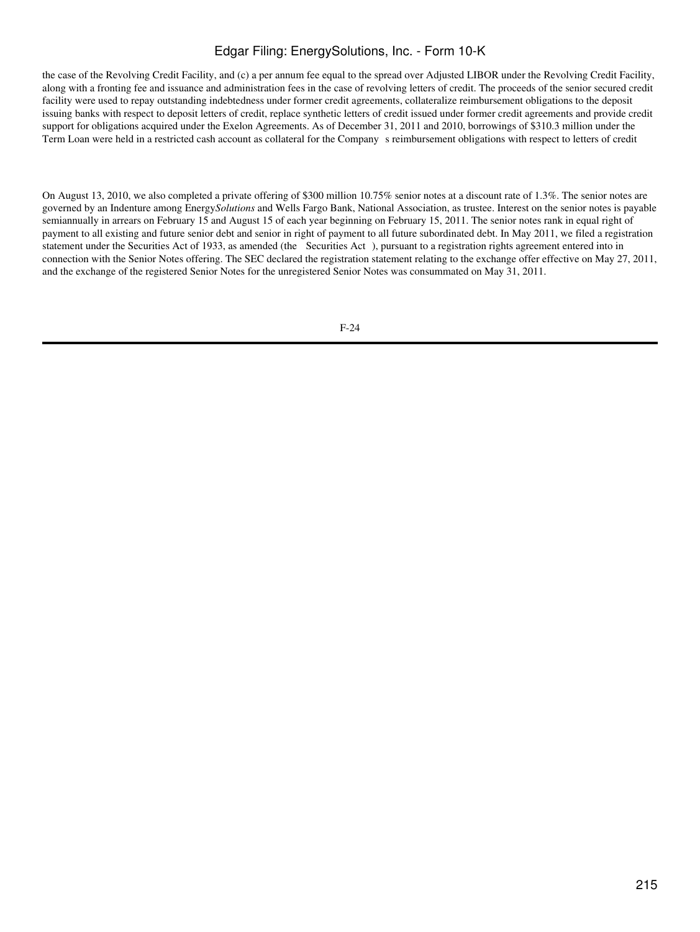the case of the Revolving Credit Facility, and (c) a per annum fee equal to the spread over Adjusted LIBOR under the Revolving Credit Facility, along with a fronting fee and issuance and administration fees in the case of revolving letters of credit. The proceeds of the senior secured credit facility were used to repay outstanding indebtedness under former credit agreements, collateralize reimbursement obligations to the deposit issuing banks with respect to deposit letters of credit, replace synthetic letters of credit issued under former credit agreements and provide credit support for obligations acquired under the Exelon Agreements. As of December 31, 2011 and 2010, borrowings of \$310.3 million under the Term Loan were held in a restricted cash account as collateral for the Companys reimbursement obligations with respect to letters of credit

On August 13, 2010, we also completed a private offering of \$300 million 10.75% senior notes at a discount rate of 1.3%. The senior notes are governed by an Indenture among Energy*Solutions* and Wells Fargo Bank, National Association, as trustee. Interest on the senior notes is payable semiannually in arrears on February 15 and August 15 of each year beginning on February 15, 2011. The senior notes rank in equal right of payment to all existing and future senior debt and senior in right of payment to all future subordinated debt. In May 2011, we filed a registration statement under the Securities Act of 1933, as amended (the Securities Act), pursuant to a registration rights agreement entered into in connection with the Senior Notes offering. The SEC declared the registration statement relating to the exchange offer effective on May 27, 2011, and the exchange of the registered Senior Notes for the unregistered Senior Notes was consummated on May 31, 2011.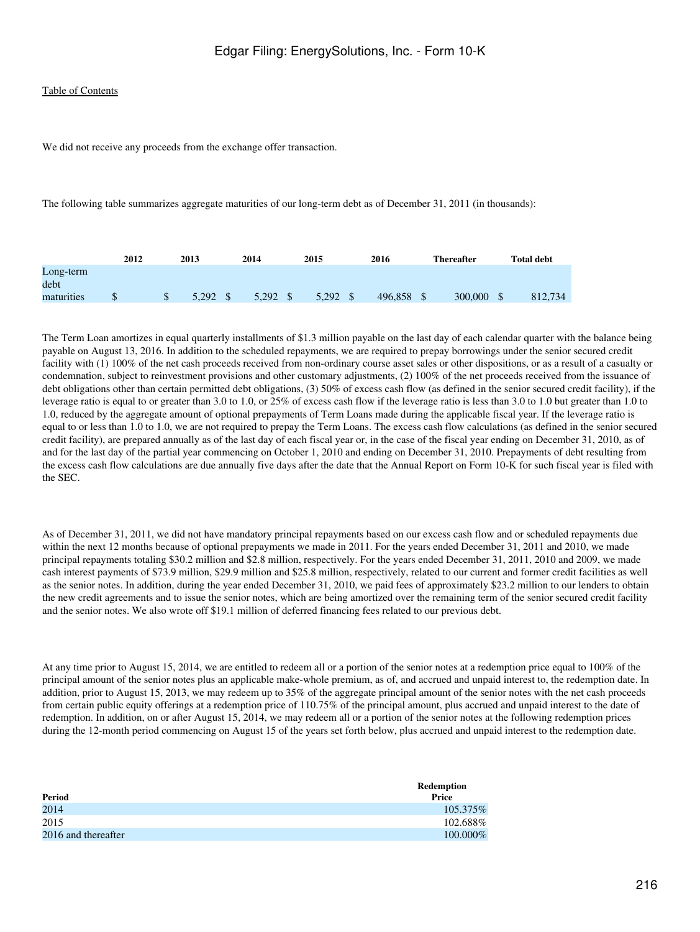We did not receive any proceeds from the exchange offer transaction.

The following table summarizes aggregate maturities of our long-term debt as of December 31, 2011 (in thousands):

|                                                                                                    | <b>Total debt</b> |
|----------------------------------------------------------------------------------------------------|-------------------|
| Long-term                                                                                          |                   |
| debt                                                                                               |                   |
| $5.292 \text{ } $s$<br>300,000<br>maturities<br>5.292 \$<br>$5.292 \text{ } $s$<br>496.858<br>- \$ | 812.734           |

The Term Loan amortizes in equal quarterly installments of \$1.3 million payable on the last day of each calendar quarter with the balance being payable on August 13, 2016. In addition to the scheduled repayments, we are required to prepay borrowings under the senior secured credit facility with (1) 100% of the net cash proceeds received from non-ordinary course asset sales or other dispositions, or as a result of a casualty or condemnation, subject to reinvestment provisions and other customary adjustments, (2) 100% of the net proceeds received from the issuance of debt obligations other than certain permitted debt obligations, (3) 50% of excess cash flow (as defined in the senior secured credit facility), if the leverage ratio is equal to or greater than 3.0 to 1.0, or 25% of excess cash flow if the leverage ratio is less than 3.0 to 1.0 but greater than 1.0 to 1.0, reduced by the aggregate amount of optional prepayments of Term Loans made during the applicable fiscal year. If the leverage ratio is equal to or less than 1.0 to 1.0, we are not required to prepay the Term Loans. The excess cash flow calculations (as defined in the senior secured credit facility), are prepared annually as of the last day of each fiscal year or, in the case of the fiscal year ending on December 31, 2010, as of and for the last day of the partial year commencing on October 1, 2010 and ending on December 31, 2010. Prepayments of debt resulting from the excess cash flow calculations are due annually five days after the date that the Annual Report on Form 10-K for such fiscal year is filed with the SEC.

As of December 31, 2011, we did not have mandatory principal repayments based on our excess cash flow and or scheduled repayments due within the next 12 months because of optional prepayments we made in 2011. For the years ended December 31, 2011 and 2010, we made principal repayments totaling \$30.2 million and \$2.8 million, respectively. For the years ended December 31, 2011, 2010 and 2009, we made cash interest payments of \$73.9 million, \$29.9 million and \$25.8 million, respectively, related to our current and former credit facilities as well as the senior notes. In addition, during the year ended December 31, 2010, we paid fees of approximately \$23.2 million to our lenders to obtain the new credit agreements and to issue the senior notes, which are being amortized over the remaining term of the senior secured credit facility and the senior notes. We also wrote off \$19.1 million of deferred financing fees related to our previous debt.

At any time prior to August 15, 2014, we are entitled to redeem all or a portion of the senior notes at a redemption price equal to 100% of the principal amount of the senior notes plus an applicable make-whole premium, as of, and accrued and unpaid interest to, the redemption date. In addition, prior to August 15, 2013, we may redeem up to 35% of the aggregate principal amount of the senior notes with the net cash proceeds from certain public equity offerings at a redemption price of 110.75% of the principal amount, plus accrued and unpaid interest to the date of redemption. In addition, on or after August 15, 2014, we may redeem all or a portion of the senior notes at the following redemption prices during the 12-month period commencing on August 15 of the years set forth below, plus accrued and unpaid interest to the redemption date.

| Period              | Redemption<br>Price |
|---------------------|---------------------|
| 2014                | 105.375%            |
| 2015                | 102.688%            |
| 2016 and thereafter | 100.000%            |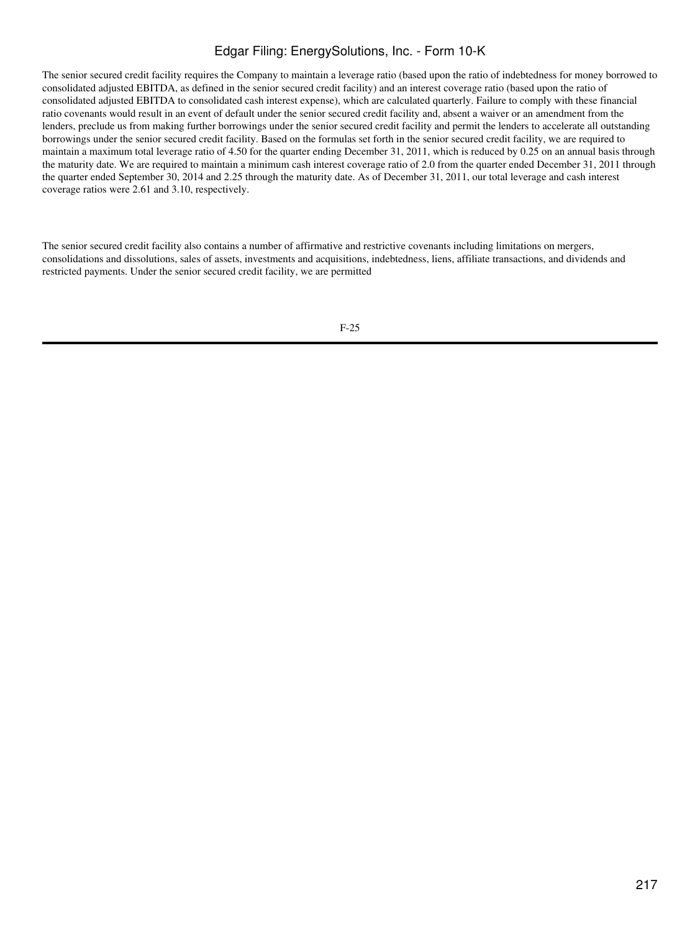The senior secured credit facility requires the Company to maintain a leverage ratio (based upon the ratio of indebtedness for money borrowed to consolidated adjusted EBITDA, as defined in the senior secured credit facility) and an interest coverage ratio (based upon the ratio of consolidated adjusted EBITDA to consolidated cash interest expense), which are calculated quarterly. Failure to comply with these financial ratio covenants would result in an event of default under the senior secured credit facility and, absent a waiver or an amendment from the lenders, preclude us from making further borrowings under the senior secured credit facility and permit the lenders to accelerate all outstanding borrowings under the senior secured credit facility. Based on the formulas set forth in the senior secured credit facility, we are required to maintain a maximum total leverage ratio of 4.50 for the quarter ending December 31, 2011, which is reduced by 0.25 on an annual basis through the maturity date. We are required to maintain a minimum cash interest coverage ratio of 2.0 from the quarter ended December 31, 2011 through the quarter ended September 30, 2014 and 2.25 through the maturity date. As of December 31, 2011, our total leverage and cash interest coverage ratios were 2.61 and 3.10, respectively.

The senior secured credit facility also contains a number of affirmative and restrictive covenants including limitations on mergers, consolidations and dissolutions, sales of assets, investments and acquisitions, indebtedness, liens, affiliate transactions, and dividends and restricted payments. Under the senior secured credit facility, we are permitted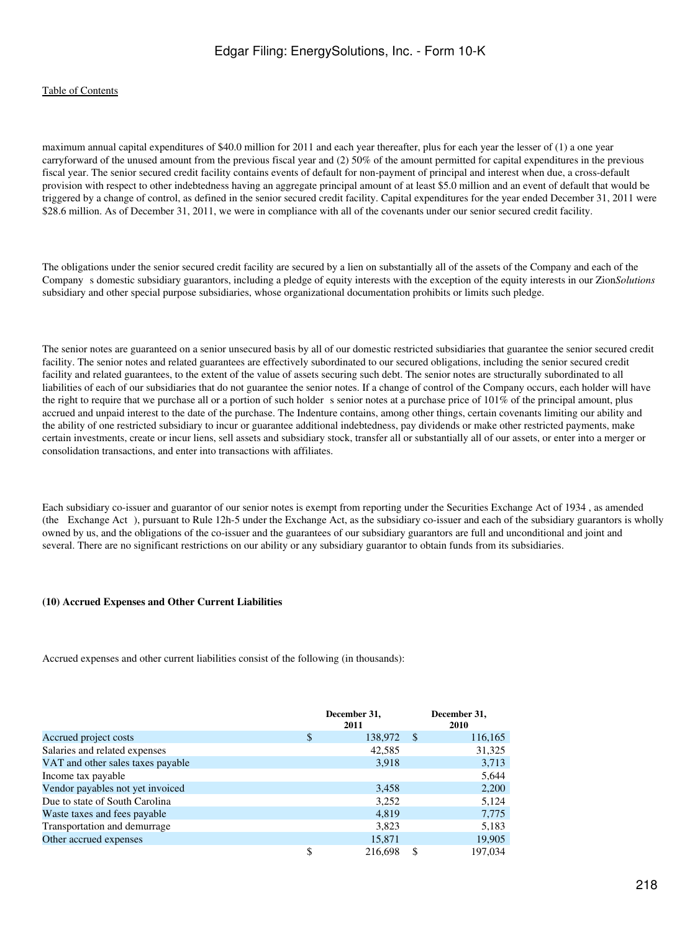maximum annual capital expenditures of \$40.0 million for 2011 and each year thereafter, plus for each year the lesser of (1) a one year carryforward of the unused amount from the previous fiscal year and (2) 50% of the amount permitted for capital expenditures in the previous fiscal year. The senior secured credit facility contains events of default for non-payment of principal and interest when due, a cross-default provision with respect to other indebtedness having an aggregate principal amount of at least \$5.0 million and an event of default that would be triggered by a change of control, as defined in the senior secured credit facility. Capital expenditures for the year ended December 31, 2011 were \$28.6 million. As of December 31, 2011, we were in compliance with all of the covenants under our senior secured credit facility.

The obligations under the senior secured credit facility are secured by a lien on substantially all of the assets of the Company and each of the Companys domestic subsidiary guarantors, including a pledge of equity interests with the exception of the equity interests in our Zion*Solutions* subsidiary and other special purpose subsidiaries, whose organizational documentation prohibits or limits such pledge.

The senior notes are guaranteed on a senior unsecured basis by all of our domestic restricted subsidiaries that guarantee the senior secured credit facility. The senior notes and related guarantees are effectively subordinated to our secured obligations, including the senior secured credit facility and related guarantees, to the extent of the value of assets securing such debt. The senior notes are structurally subordinated to all liabilities of each of our subsidiaries that do not guarantee the senior notes. If a change of control of the Company occurs, each holder will have the right to require that we purchase all or a portion of such holder s senior notes at a purchase price of  $101\%$  of the principal amount, plus accrued and unpaid interest to the date of the purchase. The Indenture contains, among other things, certain covenants limiting our ability and the ability of one restricted subsidiary to incur or guarantee additional indebtedness, pay dividends or make other restricted payments, make certain investments, create or incur liens, sell assets and subsidiary stock, transfer all or substantially all of our assets, or enter into a merger or consolidation transactions, and enter into transactions with affiliates.

Each subsidiary co-issuer and guarantor of our senior notes is exempt from reporting under the Securities Exchange Act of 1934 , as amended (the Exchange Act), pursuant to Rule 12h-5 under the Exchange Act, as the subsidiary co-issuer and each of the subsidiary guarantors is wholly owned by us, and the obligations of the co-issuer and the guarantees of our subsidiary guarantors are full and unconditional and joint and several. There are no significant restrictions on our ability or any subsidiary guarantor to obtain funds from its subsidiaries.

#### **(10) Accrued Expenses and Other Current Liabilities**

Accrued expenses and other current liabilities consist of the following (in thousands):

|                                   | December 31,<br>2011 |     | December 31,<br>2010 |
|-----------------------------------|----------------------|-----|----------------------|
| Accrued project costs             | \$<br>138,972        | -\$ | 116,165              |
| Salaries and related expenses     | 42,585               |     | 31,325               |
| VAT and other sales taxes payable | 3,918                |     | 3,713                |
| Income tax payable                |                      |     | 5,644                |
| Vendor payables not yet invoiced  | 3,458                |     | 2,200                |
| Due to state of South Carolina    | 3,252                |     | 5,124                |
| Waste taxes and fees payable      | 4,819                |     | 7,775                |
| Transportation and demurrage      | 3,823                |     | 5,183                |
| Other accrued expenses            | 15,871               |     | 19,905               |
|                                   | \$<br>216,698        | S   | 197.034              |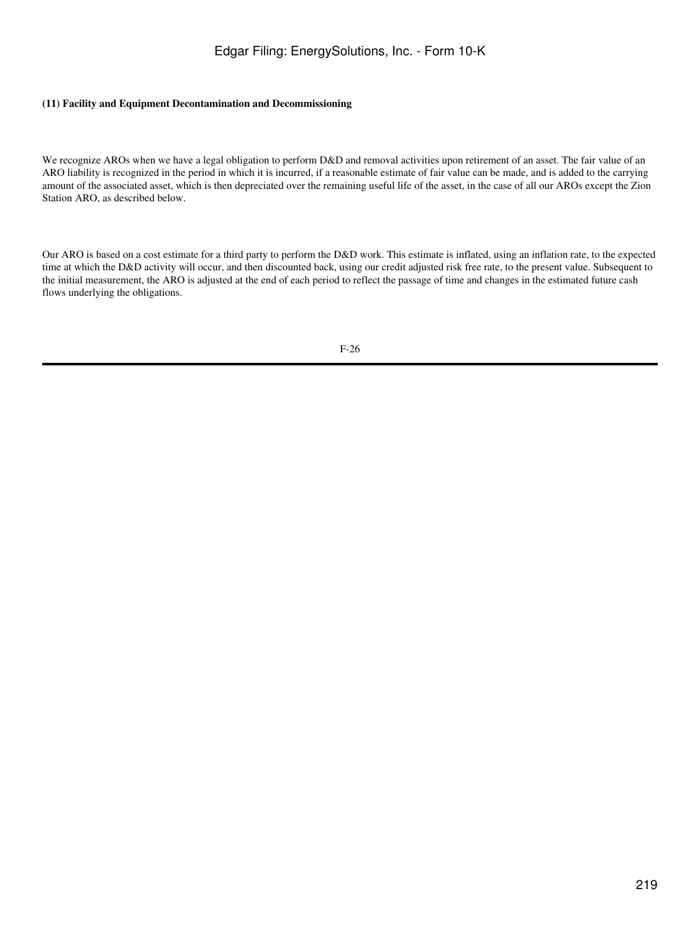### **(11) Facility and Equipment Decontamination and Decommissioning**

We recognize AROs when we have a legal obligation to perform D&D and removal activities upon retirement of an asset. The fair value of an ARO liability is recognized in the period in which it is incurred, if a reasonable estimate of fair value can be made, and is added to the carrying amount of the associated asset, which is then depreciated over the remaining useful life of the asset, in the case of all our AROs except the Zion Station ARO, as described below.

Our ARO is based on a cost estimate for a third party to perform the D&D work. This estimate is inflated, using an inflation rate, to the expected time at which the D&D activity will occur, and then discounted back, using our credit adjusted risk free rate, to the present value. Subsequent to the initial measurement, the ARO is adjusted at the end of each period to reflect the passage of time and changes in the estimated future cash flows underlying the obligations.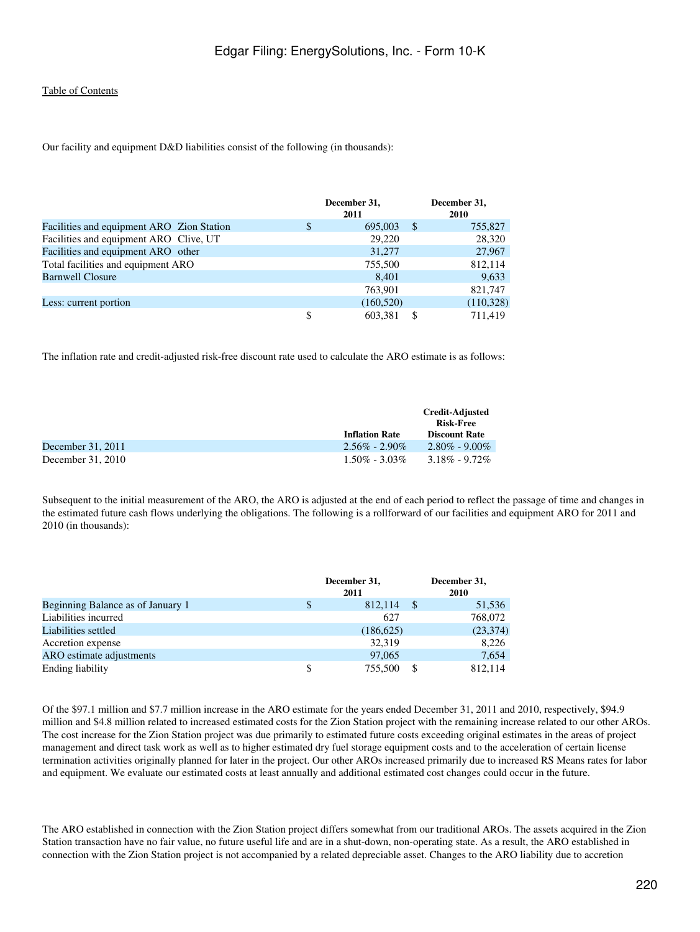Our facility and equipment D&D liabilities consist of the following (in thousands):

|                                           | December 31,<br>2011 |                    | December 31,<br>2010 |
|-------------------------------------------|----------------------|--------------------|----------------------|
| Facilities and equipment ARO Zion Station | \$<br>695,003        | $\mathbf{\hat{s}}$ | 755,827              |
| Facilities and equipment ARO Clive, UT    | 29,220               |                    | 28,320               |
| Facilities and equipment ARO other        | 31,277               |                    | 27,967               |
| Total facilities and equipment ARO        | 755,500              |                    | 812,114              |
| <b>Barnwell Closure</b>                   | 8,401                |                    | 9,633                |
|                                           | 763,901              |                    | 821,747              |
| Less: current portion                     | (160, 520)           |                    | (110,328)            |
|                                           | \$<br>603,381        |                    | 711.419              |

The inflation rate and credit-adjusted risk-free discount rate used to calculate the ARO estimate is as follows:

|                   |                       | <b>Credit-Adjusted</b><br><b>Risk-Free</b> |
|-------------------|-----------------------|--------------------------------------------|
|                   | <b>Inflation Rate</b> | <b>Discount Rate</b>                       |
| December 31, 2011 | $2.56\% - 2.90\%$     | $2.80\%$ - 9.00%                           |
| December 31, 2010 | $1.50\% - 3.03\%$     | $3.18\% - 9.72\%$                          |

Subsequent to the initial measurement of the ARO, the ARO is adjusted at the end of each period to reflect the passage of time and changes in the estimated future cash flows underlying the obligations. The following is a rollforward of our facilities and equipment ARO for 2011 and 2010 (in thousands):

|                                   |          | December 31,<br>2011 | December 31,<br>2010 |
|-----------------------------------|----------|----------------------|----------------------|
| Beginning Balance as of January 1 | <b>S</b> | 812,114              | -\$<br>51,536        |
| Liabilities incurred              |          | 627                  | 768,072              |
| Liabilities settled               |          | (186, 625)           | (23, 374)            |
| Accretion expense                 |          | 32,319               | 8,226                |
| ARO estimate adjustments          |          | 97,065               | 7.654                |
| Ending liability                  |          | 755,500              | 812,114              |

Of the \$97.1 million and \$7.7 million increase in the ARO estimate for the years ended December 31, 2011 and 2010, respectively, \$94.9 million and \$4.8 million related to increased estimated costs for the Zion Station project with the remaining increase related to our other AROs. The cost increase for the Zion Station project was due primarily to estimated future costs exceeding original estimates in the areas of project management and direct task work as well as to higher estimated dry fuel storage equipment costs and to the acceleration of certain license termination activities originally planned for later in the project. Our other AROs increased primarily due to increased RS Means rates for labor and equipment. We evaluate our estimated costs at least annually and additional estimated cost changes could occur in the future.

The ARO established in connection with the Zion Station project differs somewhat from our traditional AROs. The assets acquired in the Zion Station transaction have no fair value, no future useful life and are in a shut-down, non-operating state. As a result, the ARO established in connection with the Zion Station project is not accompanied by a related depreciable asset. Changes to the ARO liability due to accretion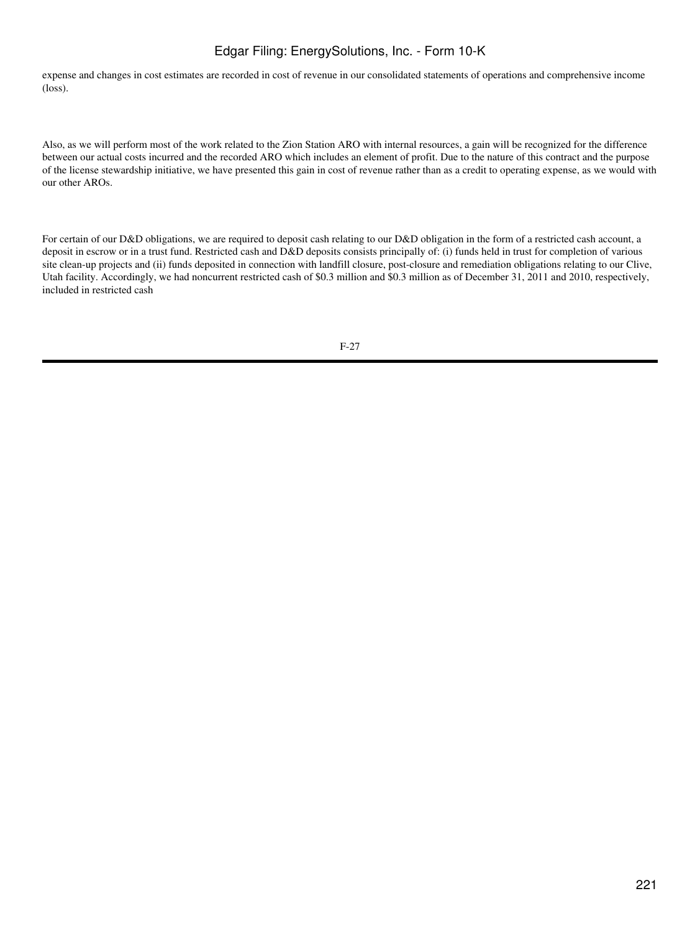expense and changes in cost estimates are recorded in cost of revenue in our consolidated statements of operations and comprehensive income (loss).

Also, as we will perform most of the work related to the Zion Station ARO with internal resources, a gain will be recognized for the difference between our actual costs incurred and the recorded ARO which includes an element of profit. Due to the nature of this contract and the purpose of the license stewardship initiative, we have presented this gain in cost of revenue rather than as a credit to operating expense, as we would with our other AROs.

For certain of our D&D obligations, we are required to deposit cash relating to our D&D obligation in the form of a restricted cash account, a deposit in escrow or in a trust fund. Restricted cash and D&D deposits consists principally of: (i) funds held in trust for completion of various site clean-up projects and (ii) funds deposited in connection with landfill closure, post-closure and remediation obligations relating to our Clive, Utah facility. Accordingly, we had noncurrent restricted cash of \$0.3 million and \$0.3 million as of December 31, 2011 and 2010, respectively, included in restricted cash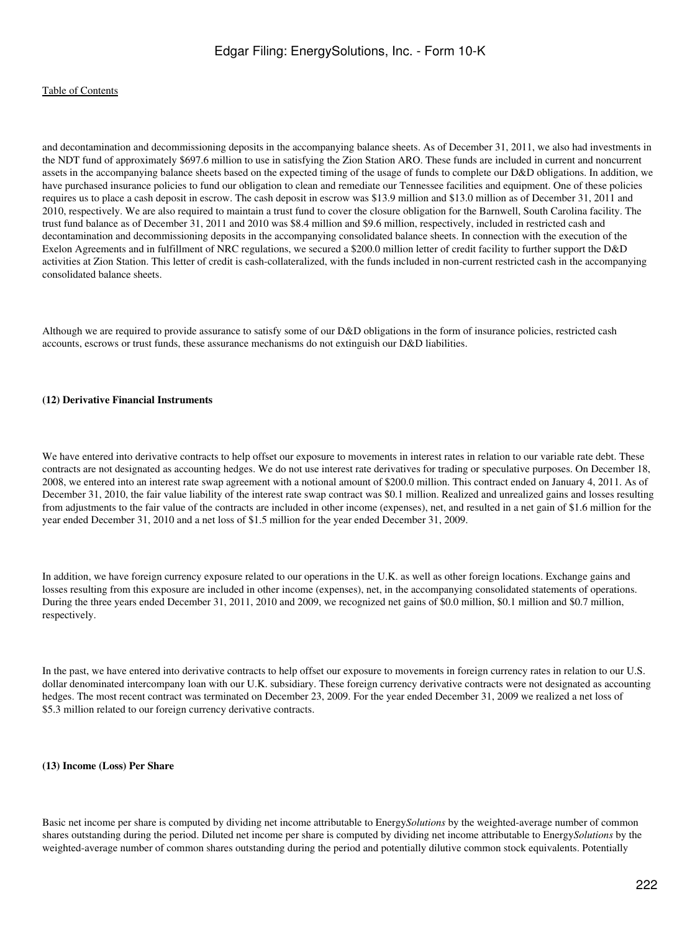and decontamination and decommissioning deposits in the accompanying balance sheets. As of December 31, 2011, we also had investments in the NDT fund of approximately \$697.6 million to use in satisfying the Zion Station ARO. These funds are included in current and noncurrent assets in the accompanying balance sheets based on the expected timing of the usage of funds to complete our D&D obligations. In addition, we have purchased insurance policies to fund our obligation to clean and remediate our Tennessee facilities and equipment. One of these policies requires us to place a cash deposit in escrow. The cash deposit in escrow was \$13.9 million and \$13.0 million as of December 31, 2011 and 2010, respectively. We are also required to maintain a trust fund to cover the closure obligation for the Barnwell, South Carolina facility. The trust fund balance as of December 31, 2011 and 2010 was \$8.4 million and \$9.6 million, respectively, included in restricted cash and decontamination and decommissioning deposits in the accompanying consolidated balance sheets. In connection with the execution of the Exelon Agreements and in fulfillment of NRC regulations, we secured a \$200.0 million letter of credit facility to further support the D&D activities at Zion Station. This letter of credit is cash-collateralized, with the funds included in non-current restricted cash in the accompanying consolidated balance sheets.

Although we are required to provide assurance to satisfy some of our D&D obligations in the form of insurance policies, restricted cash accounts, escrows or trust funds, these assurance mechanisms do not extinguish our D&D liabilities.

#### **(12) Derivative Financial Instruments**

We have entered into derivative contracts to help offset our exposure to movements in interest rates in relation to our variable rate debt. These contracts are not designated as accounting hedges. We do not use interest rate derivatives for trading or speculative purposes. On December 18, 2008, we entered into an interest rate swap agreement with a notional amount of \$200.0 million. This contract ended on January 4, 2011. As of December 31, 2010, the fair value liability of the interest rate swap contract was \$0.1 million. Realized and unrealized gains and losses resulting from adjustments to the fair value of the contracts are included in other income (expenses), net, and resulted in a net gain of \$1.6 million for the year ended December 31, 2010 and a net loss of \$1.5 million for the year ended December 31, 2009.

In addition, we have foreign currency exposure related to our operations in the U.K. as well as other foreign locations. Exchange gains and losses resulting from this exposure are included in other income (expenses), net, in the accompanying consolidated statements of operations. During the three years ended December 31, 2011, 2010 and 2009, we recognized net gains of \$0.0 million, \$0.1 million and \$0.7 million, respectively.

In the past, we have entered into derivative contracts to help offset our exposure to movements in foreign currency rates in relation to our U.S. dollar denominated intercompany loan with our U.K. subsidiary. These foreign currency derivative contracts were not designated as accounting hedges. The most recent contract was terminated on December 23, 2009. For the year ended December 31, 2009 we realized a net loss of \$5.3 million related to our foreign currency derivative contracts.

#### **(13) Income (Loss) Per Share**

Basic net income per share is computed by dividing net income attributable to Energy*Solutions* by the weighted-average number of common shares outstanding during the period. Diluted net income per share is computed by dividing net income attributable to Energy*Solutions* by the weighted-average number of common shares outstanding during the period and potentially dilutive common stock equivalents. Potentially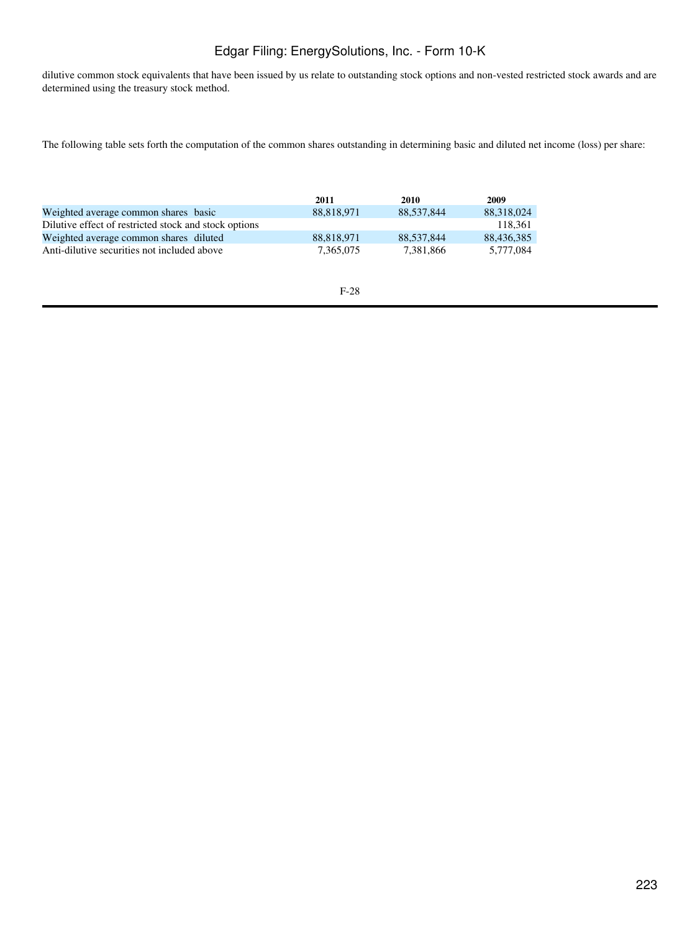dilutive common stock equivalents that have been issued by us relate to outstanding stock options and non-vested restricted stock awards and are determined using the treasury stock method.

The following table sets forth the computation of the common shares outstanding in determining basic and diluted net income (loss) per share:

|                                                       | 2011       | 2010       | 2009       |
|-------------------------------------------------------|------------|------------|------------|
| Weighted average common shares basic                  | 88.818.971 | 88.537.844 | 88.318.024 |
| Dilutive effect of restricted stock and stock options |            |            | 118.361    |
| Weighted average common shares diluted                | 88.818.971 | 88.537.844 | 88.436.385 |
| Anti-dilutive securities not included above           | 7.365.075  | 7.381.866  | 5,777,084  |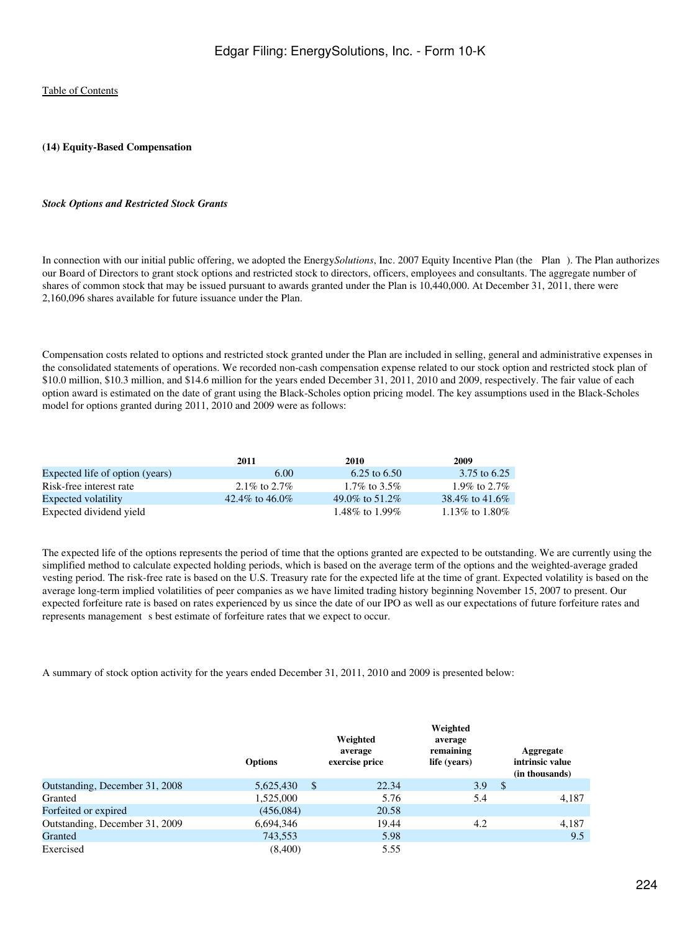#### **(14) Equity-Based Compensation**

#### *Stock Options and Restricted Stock Grants*

In connection with our initial public offering, we adopted the Energy*Solutions*, Inc. 2007 Equity Incentive Plan (the Plan). The Plan authorizes our Board of Directors to grant stock options and restricted stock to directors, officers, employees and consultants. The aggregate number of shares of common stock that may be issued pursuant to awards granted under the Plan is 10,440,000. At December 31, 2011, there were 2,160,096 shares available for future issuance under the Plan.

Compensation costs related to options and restricted stock granted under the Plan are included in selling, general and administrative expenses in the consolidated statements of operations. We recorded non-cash compensation expense related to our stock option and restricted stock plan of \$10.0 million, \$10.3 million, and \$14.6 million for the years ended December 31, 2011, 2010 and 2009, respectively. The fair value of each option award is estimated on the date of grant using the Black-Scholes option pricing model. The key assumptions used in the Black-Scholes model for options granted during 2011, 2010 and 2009 were as follows:

|                                 | 2011             | 2010             | 2009             |
|---------------------------------|------------------|------------------|------------------|
| Expected life of option (years) | 6.00             | 6.25 to $6.50$   | 3.75 to 6.25     |
| Risk-free interest rate         | 2.1\% to 2.7\%   | 1.7\% to 3.5\%   | 1.9% to 2.7%     |
| Expected volatility             | 42.4\% to 46.0\% | 49.0\% to 51.2\% | 38.4\% to 41.6\% |
| Expected dividend yield         |                  | 1.48\% to 1.99\% | 1.13\% to 1.80\% |

The expected life of the options represents the period of time that the options granted are expected to be outstanding. We are currently using the simplified method to calculate expected holding periods, which is based on the average term of the options and the weighted-average graded vesting period. The risk-free rate is based on the U.S. Treasury rate for the expected life at the time of grant. Expected volatility is based on the average long-term implied volatilities of peer companies as we have limited trading history beginning November 15, 2007 to present. Our expected forfeiture rate is based on rates experienced by us since the date of our IPO as well as our expectations of future forfeiture rates and represents management s best estimate of forfeiture rates that we expect to occur.

A summary of stock option activity for the years ended December 31, 2011, 2010 and 2009 is presented below:

|                                | <b>Options</b> | Weighted<br>average<br>exercise price | Weighted<br>average<br>remaining<br>life (years) |    | Aggregate<br>intrinsic value<br>(in thousands) |
|--------------------------------|----------------|---------------------------------------|--------------------------------------------------|----|------------------------------------------------|
| Outstanding, December 31, 2008 | 5,625,430      | \$<br>22.34                           | 3.9                                              | -S |                                                |
| Granted                        | 1,525,000      | 5.76                                  | 5.4                                              |    | 4,187                                          |
| Forfeited or expired           | (456, 084)     | 20.58                                 |                                                  |    |                                                |
| Outstanding, December 31, 2009 | 6,694,346      | 19.44                                 | 4.2                                              |    | 4,187                                          |
| Granted                        | 743,553        | 5.98                                  |                                                  |    | 9.5                                            |
| Exercised                      | (8,400)        | 5.55                                  |                                                  |    |                                                |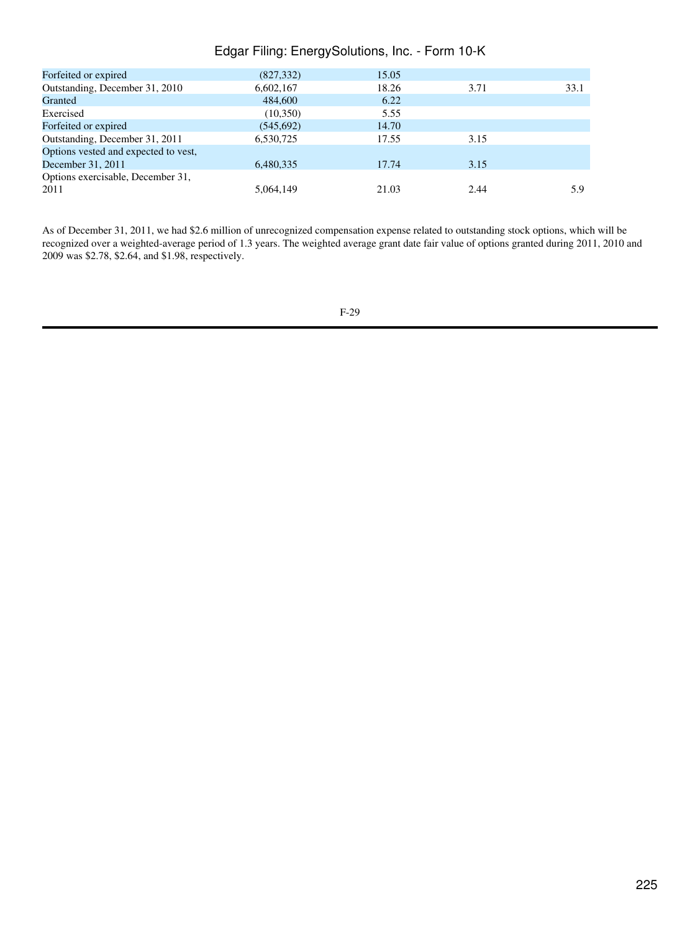| Forfeited or expired                 | (827, 332) | 15.05 |      |      |
|--------------------------------------|------------|-------|------|------|
| Outstanding, December 31, 2010       | 6,602,167  | 18.26 | 3.71 | 33.1 |
| Granted                              | 484,600    | 6.22  |      |      |
| Exercised                            | (10,350)   | 5.55  |      |      |
| Forfeited or expired                 | (545,692)  | 14.70 |      |      |
| Outstanding, December 31, 2011       | 6,530,725  | 17.55 | 3.15 |      |
| Options vested and expected to vest, |            |       |      |      |
| December 31, 2011                    | 6,480,335  | 17.74 | 3.15 |      |
| Options exercisable, December 31,    |            |       |      |      |
| 2011                                 | 5,064,149  | 21.03 | 2.44 | 5.9  |
|                                      |            |       |      |      |

As of December 31, 2011, we had \$2.6 million of unrecognized compensation expense related to outstanding stock options, which will be recognized over a weighted-average period of 1.3 years. The weighted average grant date fair value of options granted during 2011, 2010 and 2009 was \$2.78, \$2.64, and \$1.98, respectively.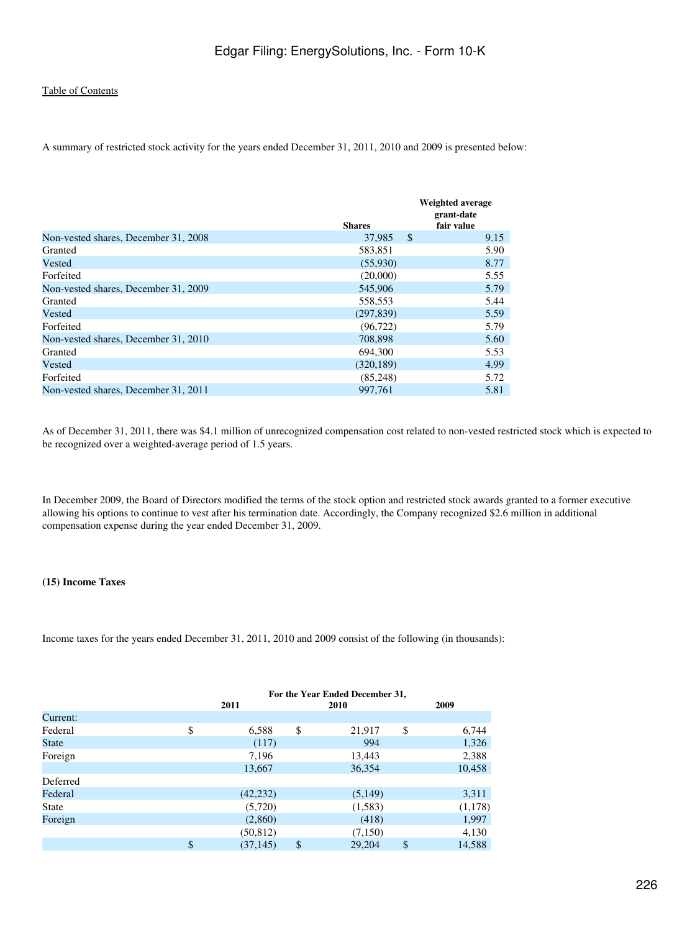A summary of restricted stock activity for the years ended December 31, 2011, 2010 and 2009 is presented below:

|                                      |               | <b>Weighted average</b><br>grant-date |
|--------------------------------------|---------------|---------------------------------------|
|                                      | <b>Shares</b> | fair value                            |
| Non-vested shares, December 31, 2008 | 37.985        | $\mathcal{S}$<br>9.15                 |
| Granted                              | 583,851       | 5.90                                  |
| Vested                               | (55,930)      | 8.77                                  |
| Forfeited                            | (20,000)      | 5.55                                  |
| Non-vested shares, December 31, 2009 | 545,906       | 5.79                                  |
| Granted                              | 558,553       | 5.44                                  |
| Vested                               | (297, 839)    | 5.59                                  |
| Forfeited                            | (96, 722)     | 5.79                                  |
| Non-vested shares, December 31, 2010 | 708,898       | 5.60                                  |
| Granted                              | 694,300       | 5.53                                  |
| Vested                               | (320.189)     | 4.99                                  |
| Forfeited                            | (85,248)      | 5.72                                  |
| Non-vested shares, December 31, 2011 | 997.761       | 5.81                                  |

As of December 31, 2011, there was \$4.1 million of unrecognized compensation cost related to non-vested restricted stock which is expected to be recognized over a weighted-average period of 1.5 years.

In December 2009, the Board of Directors modified the terms of the stock option and restricted stock awards granted to a former executive allowing his options to continue to vest after his termination date. Accordingly, the Company recognized \$2.6 million in additional compensation expense during the year ended December 31, 2009.

### **(15) Income Taxes**

Income taxes for the years ended December 31, 2011, 2010 and 2009 consist of the following (in thousands):

|              | For the Year Ended December 31, |                           |         |    |         |
|--------------|---------------------------------|---------------------------|---------|----|---------|
|              | 2011                            |                           | 2010    |    | 2009    |
| Current:     |                                 |                           |         |    |         |
| Federal      | \$<br>6,588                     | \$                        | 21,917  | \$ | 6,744   |
| State        | (117)                           |                           | 994     |    | 1,326   |
| Foreign      | 7,196                           |                           | 13,443  |    | 2,388   |
|              | 13,667                          |                           | 36,354  |    | 10,458  |
| Deferred     |                                 |                           |         |    |         |
| Federal      | (42, 232)                       |                           | (5,149) |    | 3,311   |
| <b>State</b> | (5,720)                         |                           | (1,583) |    | (1,178) |
| Foreign      | (2,860)                         |                           | (418)   |    | 1,997   |
|              | (50, 812)                       |                           | (7,150) |    | 4,130   |
|              | \$<br>(37, 145)                 | $\boldsymbol{\mathsf{S}}$ | 29,204  | \$ | 14.588  |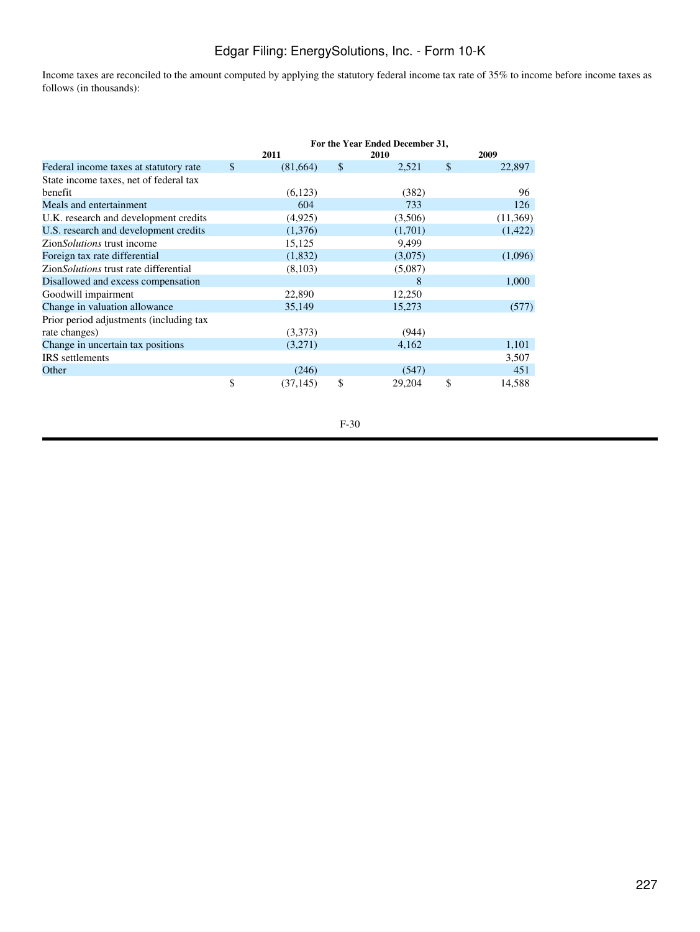Income taxes are reconciled to the amount computed by applying the statutory federal income tax rate of 35% to income before income taxes as follows (in thousands):

|                                               |              | For the Year Ended December 31, |              |         |              |
|-----------------------------------------------|--------------|---------------------------------|--------------|---------|--------------|
|                                               |              | 2011                            |              | 2010    | 2009         |
| Federal income taxes at statutory rate        | $\mathbb{S}$ | (81,664)                        | $\mathbb{S}$ | 2,521   | \$<br>22,897 |
| State income taxes, net of federal tax        |              |                                 |              |         |              |
| henefit                                       |              | (6,123)                         |              | (382)   | 96           |
| Meals and entertainment                       |              | 604                             |              | 733     | 126          |
| U.K. research and development credits         |              | (4,925)                         |              | (3,506) | (11,369)     |
| U.S. research and development credits         |              | (1,376)                         |              | (1,701) | (1, 422)     |
| ZionSolutions trust income                    |              | 15,125                          |              | 9,499   |              |
| Foreign tax rate differential                 |              | (1,832)                         |              | (3,075) | (1,096)      |
| ZionS <i>olutions</i> trust rate differential |              | (8,103)                         |              | (5,087) |              |
| Disallowed and excess compensation            |              |                                 |              | 8       | 1,000        |
| Goodwill impairment                           |              | 22,890                          |              | 12,250  |              |
| Change in valuation allowance                 |              | 35,149                          |              | 15,273  | (577)        |
| Prior period adjustments (including tax       |              |                                 |              |         |              |
| rate changes)                                 |              | (3,373)                         |              | (944)   |              |
| Change in uncertain tax positions             |              | (3,271)                         |              | 4,162   | 1,101        |
| IRS settlements                               |              |                                 |              |         | 3,507        |
| Other                                         |              | (246)                           |              | (547)   | 451          |
|                                               | \$           | (37, 145)                       | \$           | 29,204  | \$<br>14,588 |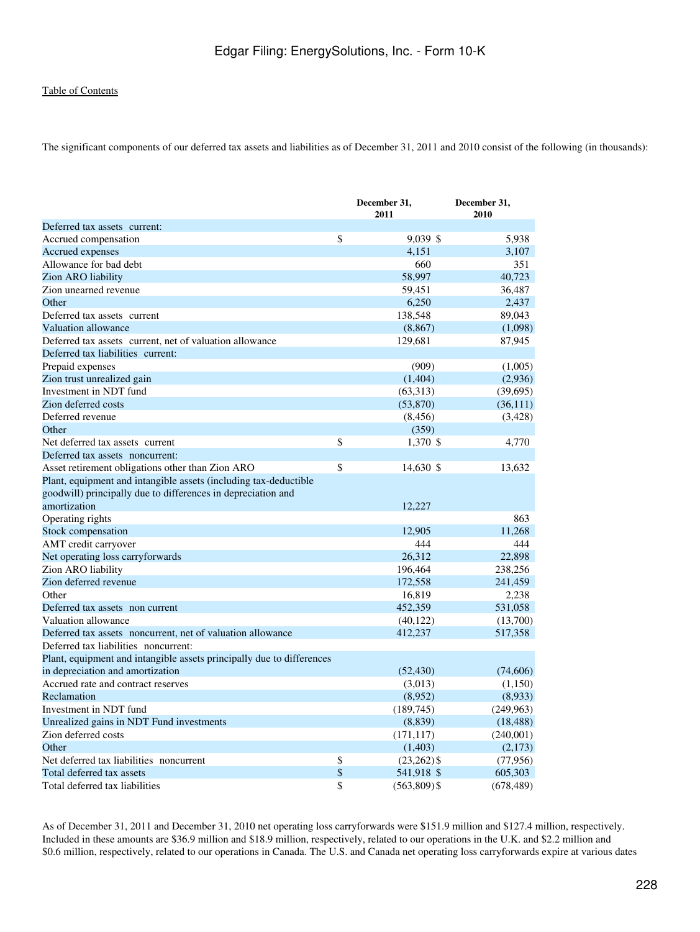The significant components of our deferred tax assets and liabilities as of December 31, 2011 and 2010 consist of the following (in thousands):

|                                                                       | December 31,<br>2011 | December 31,<br>2010 |
|-----------------------------------------------------------------------|----------------------|----------------------|
| Deferred tax assets current:                                          |                      |                      |
| Accrued compensation                                                  | \$<br>$9,039$ \$     | 5,938                |
| Accrued expenses                                                      | 4,151                | 3,107                |
| Allowance for bad debt                                                | 660                  | 351                  |
| Zion ARO liability                                                    | 58,997               | 40,723               |
| Zion unearned revenue                                                 | 59,451               | 36,487               |
| Other                                                                 | 6,250                | 2,437                |
| Deferred tax assets current                                           | 138,548              | 89,043               |
| Valuation allowance                                                   | (8, 867)             | (1,098)              |
| Deferred tax assets current, net of valuation allowance               | 129,681              | 87,945               |
| Deferred tax liabilities current:                                     |                      |                      |
| Prepaid expenses                                                      | (909)                | (1,005)              |
| Zion trust unrealized gain                                            | (1,404)              | (2,936)              |
| Investment in NDT fund                                                | (63,313)             | (39,695)             |
| Zion deferred costs                                                   | (53, 870)            | (36, 111)            |
| Deferred revenue                                                      | (8, 456)             | (3,428)              |
| Other                                                                 | (359)                |                      |
| Net deferred tax assets current                                       | \$<br>1,370 \$       | 4,770                |
| Deferred tax assets noncurrent:                                       |                      |                      |
| Asset retirement obligations other than Zion ARO                      | \$<br>14,630 \$      | 13,632               |
| Plant, equipment and intangible assets (including tax-deductible      |                      |                      |
| goodwill) principally due to differences in depreciation and          |                      |                      |
| amortization                                                          | 12,227               |                      |
| Operating rights                                                      |                      | 863                  |
| Stock compensation                                                    | 12,905               | 11,268               |
| AMT credit carryover                                                  | 444                  | 444                  |
| Net operating loss carryforwards                                      | 26,312               | 22,898               |
| Zion ARO liability                                                    | 196,464              | 238,256              |
| Zion deferred revenue                                                 | 172,558              | 241,459              |
| Other                                                                 | 16,819               | 2,238                |
| Deferred tax assets non current                                       | 452,359              | 531,058              |
| Valuation allowance                                                   | (40, 122)            | (13,700)             |
| Deferred tax assets noncurrent, net of valuation allowance            | 412,237              | 517,358              |
| Deferred tax liabilities noncurrent:                                  |                      |                      |
| Plant, equipment and intangible assets principally due to differences |                      |                      |
| in depreciation and amortization                                      | (52, 430)            | (74,606)             |
| Accrued rate and contract reserves                                    | (3,013)              | (1,150)              |
| Reclamation                                                           | (8,952)              | (8,933)              |
| Investment in NDT fund                                                | (189, 745)           | (249, 963)           |
| Unrealized gains in NDT Fund investments                              | (8,839)              | (18, 488)            |
| Zion deferred costs                                                   | (171, 117)           | (240,001)            |
| Other                                                                 | (1,403)              | (2,173)              |
| Net deferred tax liabilities noncurrent                               | \$<br>$(23,262)$ \$  | (77, 956)            |
| Total deferred tax assets                                             | \$<br>541,918 \$     | 605,303              |
| Total deferred tax liabilities                                        | \$<br>$(563,809)$ \$ | (678, 489)           |

As of December 31, 2011 and December 31, 2010 net operating loss carryforwards were \$151.9 million and \$127.4 million, respectively. Included in these amounts are \$36.9 million and \$18.9 million, respectively, related to our operations in the U.K. and \$2.2 million and \$0.6 million, respectively, related to our operations in Canada. The U.S. and Canada net operating loss carryforwards expire at various dates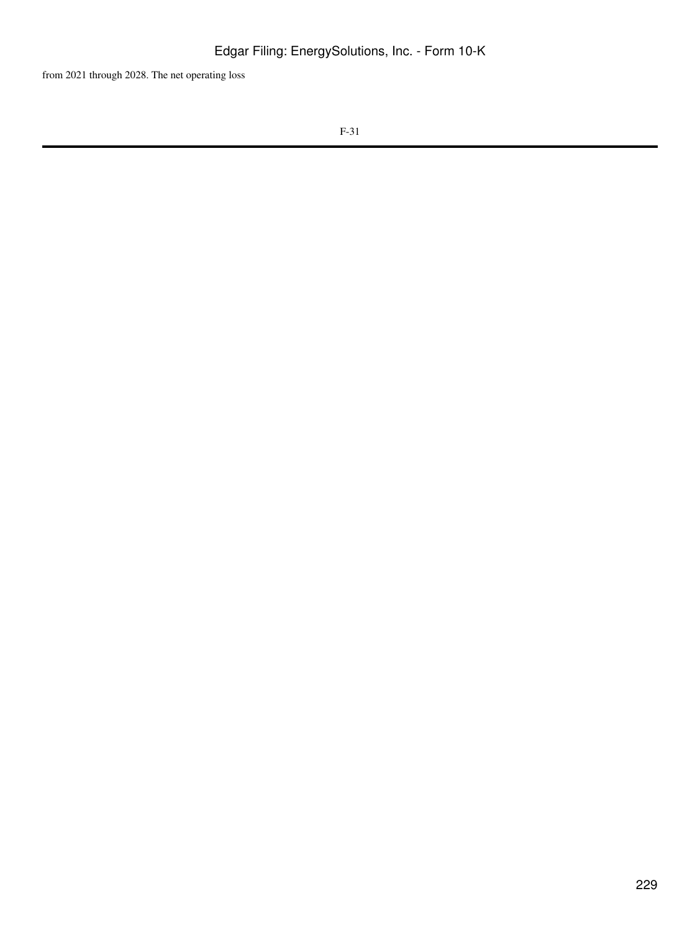from 2021 through 2028. The net operating loss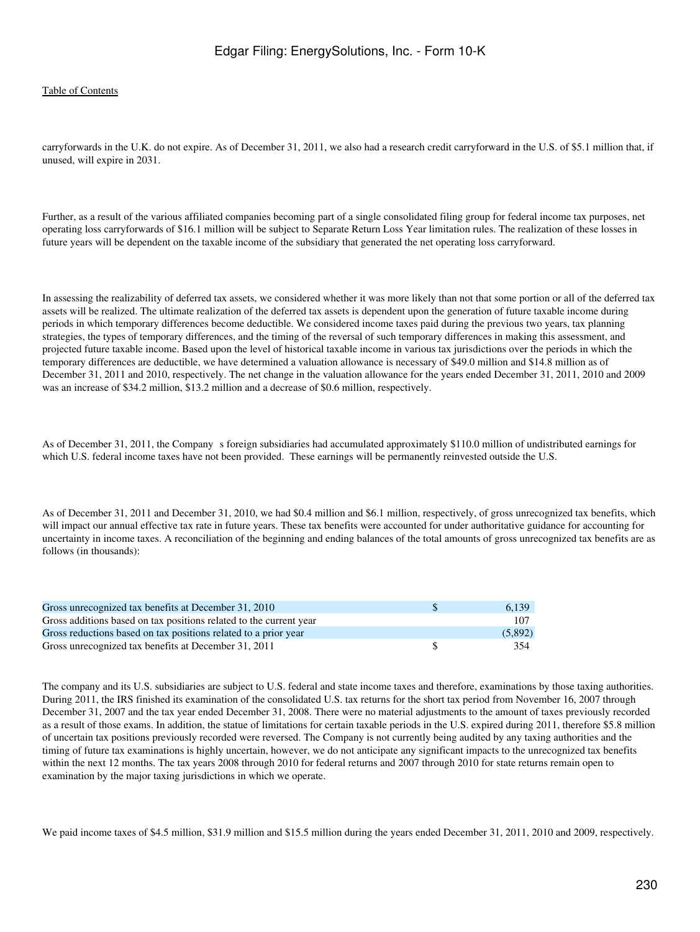carryforwards in the U.K. do not expire. As of December 31, 2011, we also had a research credit carryforward in the U.S. of \$5.1 million that, if unused, will expire in 2031.

Further, as a result of the various affiliated companies becoming part of a single consolidated filing group for federal income tax purposes, net operating loss carryforwards of \$16.1 million will be subject to Separate Return Loss Year limitation rules. The realization of these losses in future years will be dependent on the taxable income of the subsidiary that generated the net operating loss carryforward.

In assessing the realizability of deferred tax assets, we considered whether it was more likely than not that some portion or all of the deferred tax assets will be realized. The ultimate realization of the deferred tax assets is dependent upon the generation of future taxable income during periods in which temporary differences become deductible. We considered income taxes paid during the previous two years, tax planning strategies, the types of temporary differences, and the timing of the reversal of such temporary differences in making this assessment, and projected future taxable income. Based upon the level of historical taxable income in various tax jurisdictions over the periods in which the temporary differences are deductible, we have determined a valuation allowance is necessary of \$49.0 million and \$14.8 million as of December 31, 2011 and 2010, respectively. The net change in the valuation allowance for the years ended December 31, 2011, 2010 and 2009 was an increase of \$34.2 million, \$13.2 million and a decrease of \$0.6 million, respectively.

As of December 31, 2011, the Company s foreign subsidiaries had accumulated approximately \$110.0 million of undistributed earnings for which U.S. federal income taxes have not been provided. These earnings will be permanently reinvested outside the U.S.

As of December 31, 2011 and December 31, 2010, we had \$0.4 million and \$6.1 million, respectively, of gross unrecognized tax benefits, which will impact our annual effective tax rate in future years. These tax benefits were accounted for under authoritative guidance for accounting for uncertainty in income taxes. A reconciliation of the beginning and ending balances of the total amounts of gross unrecognized tax benefits are as follows (in thousands):

| Gross unrecognized tax benefits at December 31, 2010               | 6.139   |
|--------------------------------------------------------------------|---------|
| Gross additions based on tax positions related to the current year | 107     |
| Gross reductions based on tax positions related to a prior year    | (5,892) |
| Gross unrecognized tax benefits at December 31, 2011               | 354     |

The company and its U.S. subsidiaries are subject to U.S. federal and state income taxes and therefore, examinations by those taxing authorities. During 2011, the IRS finished its examination of the consolidated U.S. tax returns for the short tax period from November 16, 2007 through December 31, 2007 and the tax year ended December 31, 2008. There were no material adjustments to the amount of taxes previously recorded as a result of those exams. In addition, the statue of limitations for certain taxable periods in the U.S. expired during 2011, therefore \$5.8 million of uncertain tax positions previously recorded were reversed. The Company is not currently being audited by any taxing authorities and the timing of future tax examinations is highly uncertain, however, we do not anticipate any significant impacts to the unrecognized tax benefits within the next 12 months. The tax years 2008 through 2010 for federal returns and 2007 through 2010 for state returns remain open to examination by the major taxing jurisdictions in which we operate.

We paid income taxes of \$4.5 million, \$31.9 million and \$15.5 million during the years ended December 31, 2011, 2010 and 2009, respectively.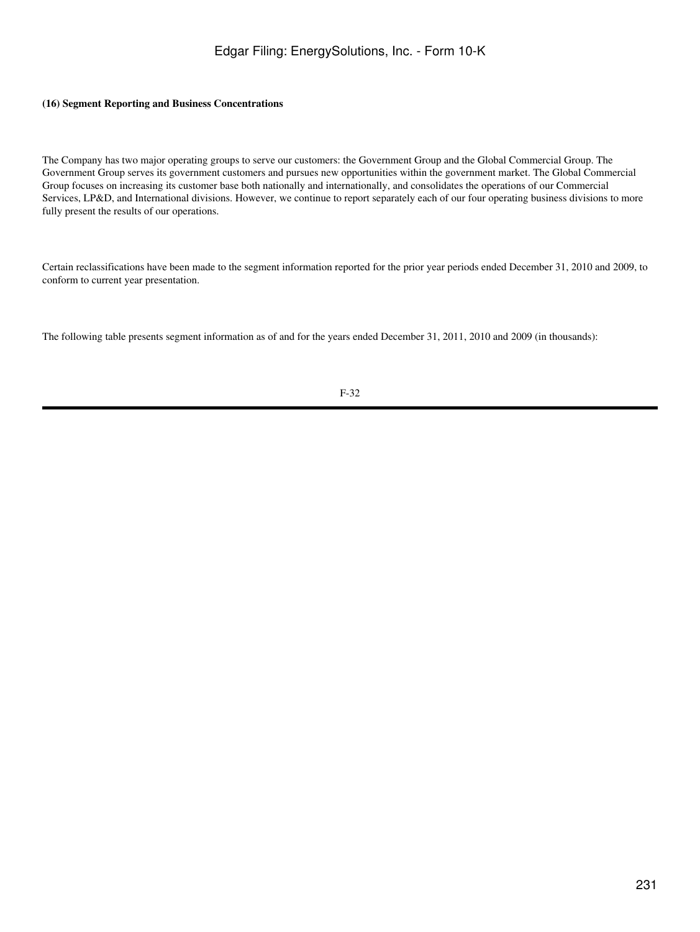### **(16) Segment Reporting and Business Concentrations**

The Company has two major operating groups to serve our customers: the Government Group and the Global Commercial Group. The Government Group serves its government customers and pursues new opportunities within the government market. The Global Commercial Group focuses on increasing its customer base both nationally and internationally, and consolidates the operations of our Commercial Services, LP&D, and International divisions. However, we continue to report separately each of our four operating business divisions to more fully present the results of our operations.

Certain reclassifications have been made to the segment information reported for the prior year periods ended December 31, 2010 and 2009, to conform to current year presentation.

The following table presents segment information as of and for the years ended December 31, 2011, 2010 and 2009 (in thousands):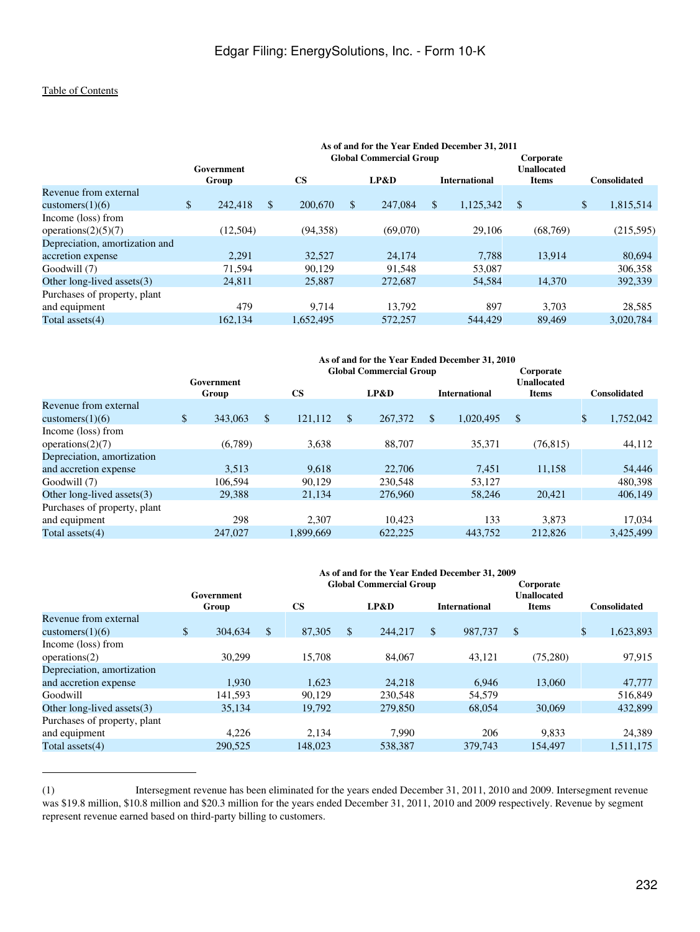|                                | As of and for the Year Ended December 31, 2011<br><b>Global Commercial Group</b> |              |                        |     |          |    |                      |                                                 |    |                     |
|--------------------------------|----------------------------------------------------------------------------------|--------------|------------------------|-----|----------|----|----------------------|-------------------------------------------------|----|---------------------|
|                                | Government<br>Group                                                              |              | $\mathbf{C}\mathbf{S}$ |     | LP&D     |    | <b>International</b> | Corporate<br><b>Unallocated</b><br><b>Items</b> |    | <b>Consolidated</b> |
| Revenue from external          |                                                                                  |              |                        |     |          |    |                      |                                                 |    |                     |
| customers $(1)(6)$             | \$<br>242,418                                                                    | $\mathbb{S}$ | 200,670                | \$. | 247,084  | \$ | 1,125,342            | <sup>\$</sup>                                   | \$ | 1,815,514           |
| Income (loss) from             |                                                                                  |              |                        |     |          |    |                      |                                                 |    |                     |
| operations $(2)(5)(7)$         | (12,504)                                                                         |              | (94, 358)              |     | (69,070) |    | 29,106               | (68, 769)                                       |    | (215,595)           |
| Depreciation, amortization and |                                                                                  |              |                        |     |          |    |                      |                                                 |    |                     |
| accretion expense              | 2,291                                                                            |              | 32,527                 |     | 24,174   |    | 7.788                | 13.914                                          |    | 80,694              |
| Goodwill (7)                   | 71.594                                                                           |              | 90.129                 |     | 91.548   |    | 53,087               |                                                 |    | 306,358             |
| Other long-lived assets $(3)$  | 24.811                                                                           |              | 25,887                 |     | 272,687  |    | 54,584               | 14,370                                          |    | 392,339             |
| Purchases of property, plant   |                                                                                  |              |                        |     |          |    |                      |                                                 |    |                     |
| and equipment                  | 479                                                                              |              | 9.714                  |     | 13.792   |    | 897                  | 3.703                                           |    | 28,585              |
| Total assets(4)                | 162.134                                                                          |              | 1.652.495              |     | 572,257  |    | 544,429              | 89,469                                          |    | 3.020.784           |

|                               | As of and for the Year Ended December 31, 2010 |    |           |    |                                        |    |                      |                                                 |    |                     |
|-------------------------------|------------------------------------------------|----|-----------|----|----------------------------------------|----|----------------------|-------------------------------------------------|----|---------------------|
|                               | Government<br>Group                            |    | <b>CS</b> |    | <b>Global Commercial Group</b><br>LP&D |    | <b>International</b> | Corporate<br><b>Unallocated</b><br><b>Items</b> |    | <b>Consolidated</b> |
| Revenue from external         |                                                |    |           |    |                                        |    |                      |                                                 |    |                     |
| customers $(1)(6)$            | \$<br>343,063                                  | \$ | 121,112   | \$ | 267,372                                | \$ | 1.020.495            | $\mathcal{S}$                                   | \$ | 1,752,042           |
| Income (loss) from            |                                                |    |           |    |                                        |    |                      |                                                 |    |                     |
| operations(2)(7)              | (6,789)                                        |    | 3.638     |    | 88,707                                 |    | 35,371               | (76, 815)                                       |    | 44,112              |
| Depreciation, amortization    |                                                |    |           |    |                                        |    |                      |                                                 |    |                     |
| and accretion expense         | 3.513                                          |    | 9.618     |    | 22,706                                 |    | 7.451                | 11,158                                          |    | 54,446              |
| Goodwill (7)                  | 106.594                                        |    | 90.129    |    | 230,548                                |    | 53,127               |                                                 |    | 480,398             |
| Other long-lived assets $(3)$ | 29,388                                         |    | 21,134    |    | 276,960                                |    | 58.246               | 20.421                                          |    | 406,149             |
| Purchases of property, plant  |                                                |    |           |    |                                        |    |                      |                                                 |    |                     |
| and equipment                 | 298                                            |    | 2.307     |    | 10.423                                 |    | 133                  | 3.873                                           |    | 17,034              |
| Total assets $(4)$            | 247,027                                        |    | 1.899.669 |    | 622,225                                |    | 443.752              | 212,826                                         |    | 3,425,499           |

|                               | As of and for the Year Ended December 31, 2009<br><b>Global Commercial Group</b><br>Corporate |                     |    |           |    |         |    |                      |                                    |                     |
|-------------------------------|-----------------------------------------------------------------------------------------------|---------------------|----|-----------|----|---------|----|----------------------|------------------------------------|---------------------|
|                               |                                                                                               | Government<br>Group |    | <b>CS</b> |    | LP&D    |    | <b>International</b> | <b>Unallocated</b><br><b>Items</b> | <b>Consolidated</b> |
| Revenue from external         |                                                                                               |                     |    |           |    |         |    |                      |                                    |                     |
| customers $(1)(6)$            | \$                                                                                            | 304,634             | \$ | 87,305    | \$ | 244,217 | \$ | 987,737              | \$.                                | \$<br>1,623,893     |
| Income (loss) from            |                                                                                               |                     |    |           |    |         |    |                      |                                    |                     |
| operations(2)                 |                                                                                               | 30.299              |    | 15.708    |    | 84,067  |    | 43.121               | (75,280)                           | 97,915              |
| Depreciation, amortization    |                                                                                               |                     |    |           |    |         |    |                      |                                    |                     |
| and accretion expense         |                                                                                               | 1,930               |    | 1,623     |    | 24.218  |    | 6.946                | 13,060                             | 47,777              |
| Goodwill                      |                                                                                               | 141.593             |    | 90.129    |    | 230,548 |    | 54,579               |                                    | 516,849             |
| Other long-lived assets $(3)$ |                                                                                               | 35,134              |    | 19,792    |    | 279,850 |    | 68,054               | 30,069                             | 432,899             |
| Purchases of property, plant  |                                                                                               |                     |    |           |    |         |    |                      |                                    |                     |
| and equipment                 |                                                                                               | 4,226               |    | 2.134     |    | 7.990   |    | 206                  | 9,833                              | 24,389              |
| Total assets $(4)$            |                                                                                               | 290,525             |    | 148,023   |    | 538,387 |    | 379,743              | 154.497                            | 1.511.175           |

<sup>(1)</sup> Intersegment revenue has been eliminated for the years ended December 31, 2011, 2010 and 2009. Intersegment revenue was \$19.8 million, \$10.8 million and \$20.3 million for the years ended December 31, 2011, 2010 and 2009 respectively. Revenue by segment represent revenue earned based on third-party billing to customers.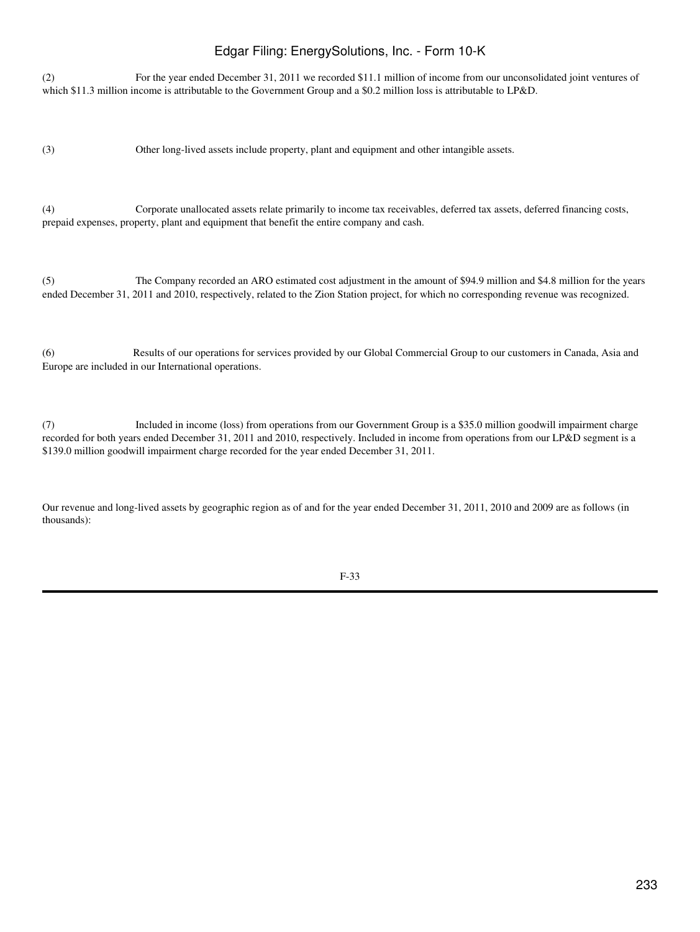(2) For the year ended December 31, 2011 we recorded \$11.1 million of income from our unconsolidated joint ventures of which \$11.3 million income is attributable to the Government Group and a \$0.2 million loss is attributable to LP&D.

(3) Other long-lived assets include property, plant and equipment and other intangible assets.

(4) Corporate unallocated assets relate primarily to income tax receivables, deferred tax assets, deferred financing costs, prepaid expenses, property, plant and equipment that benefit the entire company and cash.

(5) The Company recorded an ARO estimated cost adjustment in the amount of \$94.9 million and \$4.8 million for the years ended December 31, 2011 and 2010, respectively, related to the Zion Station project, for which no corresponding revenue was recognized.

(6) Results of our operations for services provided by our Global Commercial Group to our customers in Canada, Asia and Europe are included in our International operations.

(7) Included in income (loss) from operations from our Government Group is a \$35.0 million goodwill impairment charge recorded for both years ended December 31, 2011 and 2010, respectively. Included in income from operations from our LP&D segment is a \$139.0 million goodwill impairment charge recorded for the year ended December 31, 2011.

Our revenue and long-lived assets by geographic region as of and for the year ended December 31, 2011, 2010 and 2009 are as follows (in thousands):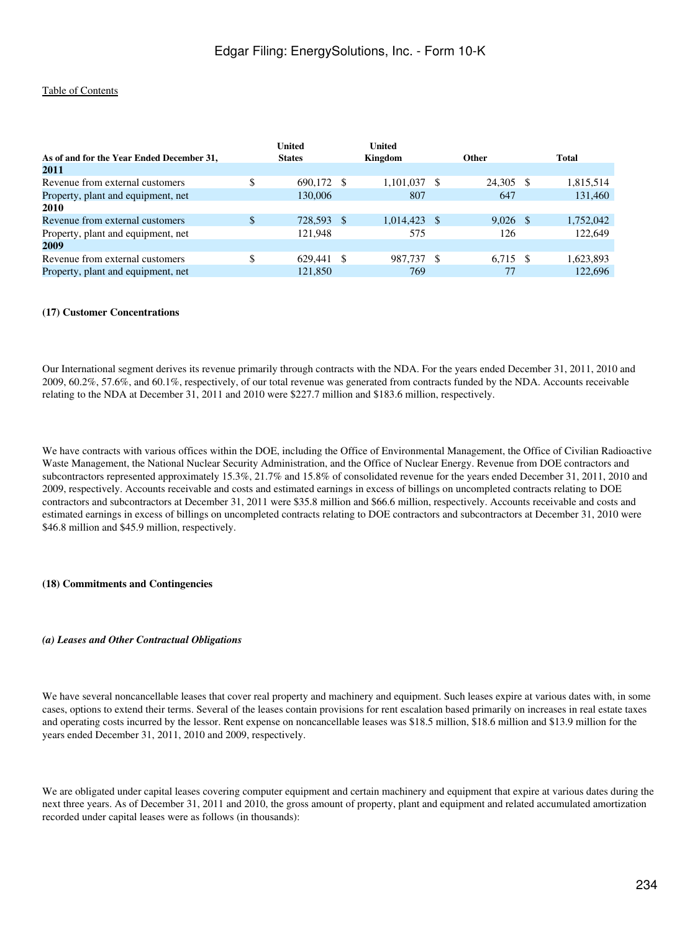|                                           | <b>United</b> |      | United    |      |              |              |
|-------------------------------------------|---------------|------|-----------|------|--------------|--------------|
| As of and for the Year Ended December 31, | <b>States</b> |      | Kingdom   |      | <b>Other</b> | <b>Total</b> |
| 2011                                      |               |      |           |      |              |              |
| Revenue from external customers           | 690,172       | -S   | 1,101,037 |      | 24,305       | 1,815,514    |
| Property, plant and equipment, net        | 130,006       |      | 807       |      | 647          | 131,460      |
| 2010                                      |               |      |           |      |              |              |
| Revenue from external customers           | 728,593       | - \$ | 1.014.423 | - \$ | $9,026$ \$   | 1,752,042    |
| Property, plant and equipment, net        | 121,948       |      | 575       |      | 126          | 122,649      |
| 2009                                      |               |      |           |      |              |              |
| Revenue from external customers           | 629.441       | - \$ | 987,737   | - \$ | 6.715 \$     | 1,623,893    |
| Property, plant and equipment, net        | 121.850       |      | 769       |      |              | 122.696      |

### **(17) Customer Concentrations**

Our International segment derives its revenue primarily through contracts with the NDA. For the years ended December 31, 2011, 2010 and 2009, 60.2%, 57.6%, and 60.1%, respectively, of our total revenue was generated from contracts funded by the NDA. Accounts receivable relating to the NDA at December 31, 2011 and 2010 were \$227.7 million and \$183.6 million, respectively.

We have contracts with various offices within the DOE, including the Office of Environmental Management, the Office of Civilian Radioactive Waste Management, the National Nuclear Security Administration, and the Office of Nuclear Energy. Revenue from DOE contractors and subcontractors represented approximately 15.3%, 21.7% and 15.8% of consolidated revenue for the years ended December 31, 2011, 2010 and 2009, respectively. Accounts receivable and costs and estimated earnings in excess of billings on uncompleted contracts relating to DOE contractors and subcontractors at December 31, 2011 were \$35.8 million and \$66.6 million, respectively. Accounts receivable and costs and estimated earnings in excess of billings on uncompleted contracts relating to DOE contractors and subcontractors at December 31, 2010 were \$46.8 million and \$45.9 million, respectively.

#### **(18) Commitments and Contingencies**

#### *(a) Leases and Other Contractual Obligations*

We have several noncancellable leases that cover real property and machinery and equipment. Such leases expire at various dates with, in some cases, options to extend their terms. Several of the leases contain provisions for rent escalation based primarily on increases in real estate taxes and operating costs incurred by the lessor. Rent expense on noncancellable leases was \$18.5 million, \$18.6 million and \$13.9 million for the years ended December 31, 2011, 2010 and 2009, respectively.

We are obligated under capital leases covering computer equipment and certain machinery and equipment that expire at various dates during the next three years. As of December 31, 2011 and 2010, the gross amount of property, plant and equipment and related accumulated amortization recorded under capital leases were as follows (in thousands):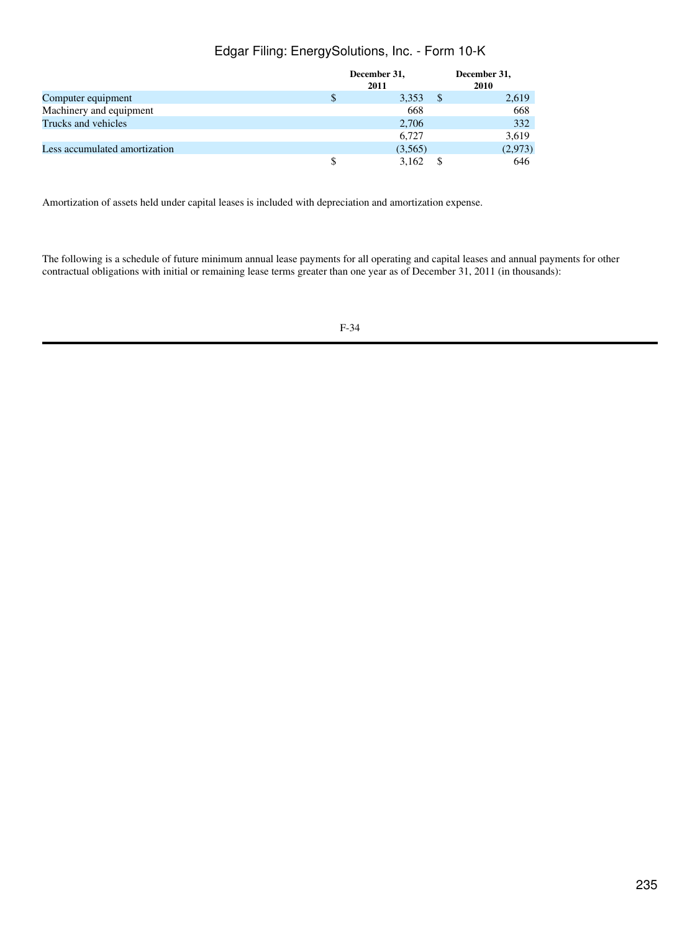|                               |    | December 31,<br>2011   | December 31,<br>2010 |  |  |
|-------------------------------|----|------------------------|----------------------|--|--|
| Computer equipment            | S  | 3,353<br><sup>\$</sup> | 2,619                |  |  |
| Machinery and equipment       |    | 668                    | 668                  |  |  |
| Trucks and vehicles           |    | 2,706                  | 332                  |  |  |
|                               |    | 6.727                  | 3,619                |  |  |
| Less accumulated amortization |    | (3,565)                | (2,973)              |  |  |
|                               | \$ | 3,162                  | 646                  |  |  |

Amortization of assets held under capital leases is included with depreciation and amortization expense.

The following is a schedule of future minimum annual lease payments for all operating and capital leases and annual payments for other contractual obligations with initial or remaining lease terms greater than one year as of December 31, 2011 (in thousands):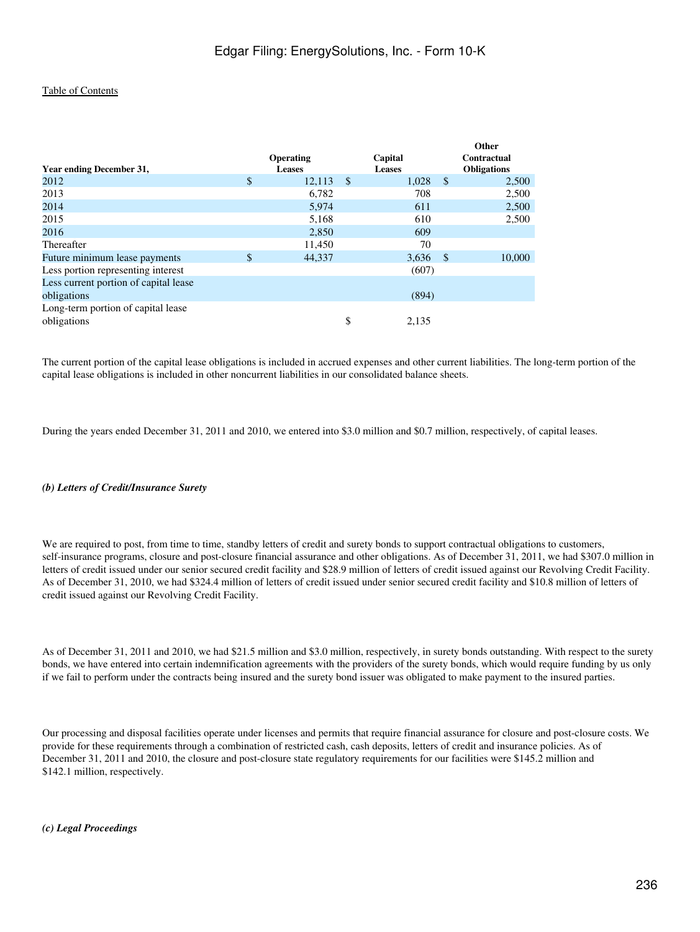|                                       |               |      |               |     | Other              |
|---------------------------------------|---------------|------|---------------|-----|--------------------|
|                                       | Operating     |      | Capital       |     | Contractual        |
| Year ending December 31,              | <b>Leases</b> |      | <b>Leases</b> |     | <b>Obligations</b> |
| 2012                                  | \$<br>12,113  | - \$ | 1,028         | -S  | 2,500              |
| 2013                                  | 6,782         |      | 708           |     | 2,500              |
| 2014                                  | 5,974         |      | 611           |     | 2,500              |
| 2015                                  | 5,168         |      | 610           |     | 2,500              |
| 2016                                  | 2,850         |      | 609           |     |                    |
| Thereafter                            | 11,450        |      | 70            |     |                    |
| Future minimum lease payments         | \$<br>44,337  |      | 3,636         | -\$ | 10,000             |
| Less portion representing interest    |               |      | (607)         |     |                    |
| Less current portion of capital lease |               |      |               |     |                    |
| obligations                           |               |      | (894)         |     |                    |
| Long-term portion of capital lease    |               |      |               |     |                    |
| obligations                           |               | \$   | 2,135         |     |                    |

The current portion of the capital lease obligations is included in accrued expenses and other current liabilities. The long-term portion of the capital lease obligations is included in other noncurrent liabilities in our consolidated balance sheets.

During the years ended December 31, 2011 and 2010, we entered into \$3.0 million and \$0.7 million, respectively, of capital leases.

#### *(b) Letters of Credit/Insurance Surety*

We are required to post, from time to time, standby letters of credit and surety bonds to support contractual obligations to customers, self-insurance programs, closure and post-closure financial assurance and other obligations. As of December 31, 2011, we had \$307.0 million in letters of credit issued under our senior secured credit facility and \$28.9 million of letters of credit issued against our Revolving Credit Facility. As of December 31, 2010, we had \$324.4 million of letters of credit issued under senior secured credit facility and \$10.8 million of letters of credit issued against our Revolving Credit Facility.

As of December 31, 2011 and 2010, we had \$21.5 million and \$3.0 million, respectively, in surety bonds outstanding. With respect to the surety bonds, we have entered into certain indemnification agreements with the providers of the surety bonds, which would require funding by us only if we fail to perform under the contracts being insured and the surety bond issuer was obligated to make payment to the insured parties.

Our processing and disposal facilities operate under licenses and permits that require financial assurance for closure and post-closure costs. We provide for these requirements through a combination of restricted cash, cash deposits, letters of credit and insurance policies. As of December 31, 2011 and 2010, the closure and post-closure state regulatory requirements for our facilities were \$145.2 million and \$142.1 million, respectively.

#### *(c) Legal Proceedings*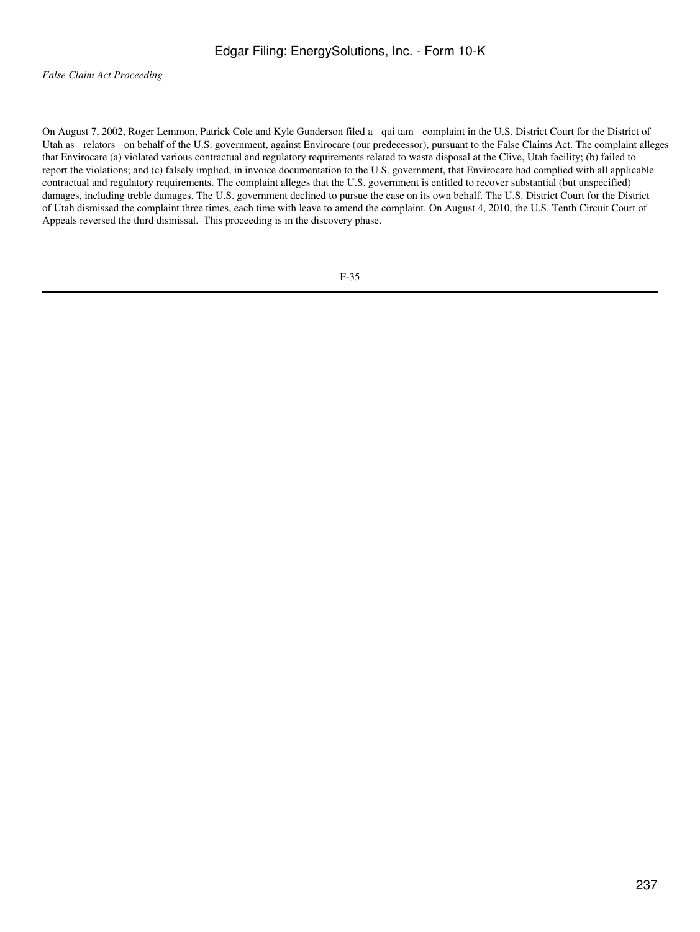*False Claim Act Proceeding*

On August 7, 2002, Roger Lemmon, Patrick Cole and Kyle Gunderson filed a qui tam complaint in the U.S. District Court for the District of Utah as relators on behalf of the U.S. government, against Envirocare (our predecessor), pursuant to the False Claims Act. The complaint alleges that Envirocare (a) violated various contractual and regulatory requirements related to waste disposal at the Clive, Utah facility; (b) failed to report the violations; and (c) falsely implied, in invoice documentation to the U.S. government, that Envirocare had complied with all applicable contractual and regulatory requirements. The complaint alleges that the U.S. government is entitled to recover substantial (but unspecified) damages, including treble damages. The U.S. government declined to pursue the case on its own behalf. The U.S. District Court for the District of Utah dismissed the complaint three times, each time with leave to amend the complaint. On August 4, 2010, the U.S. Tenth Circuit Court of Appeals reversed the third dismissal. This proceeding is in the discovery phase.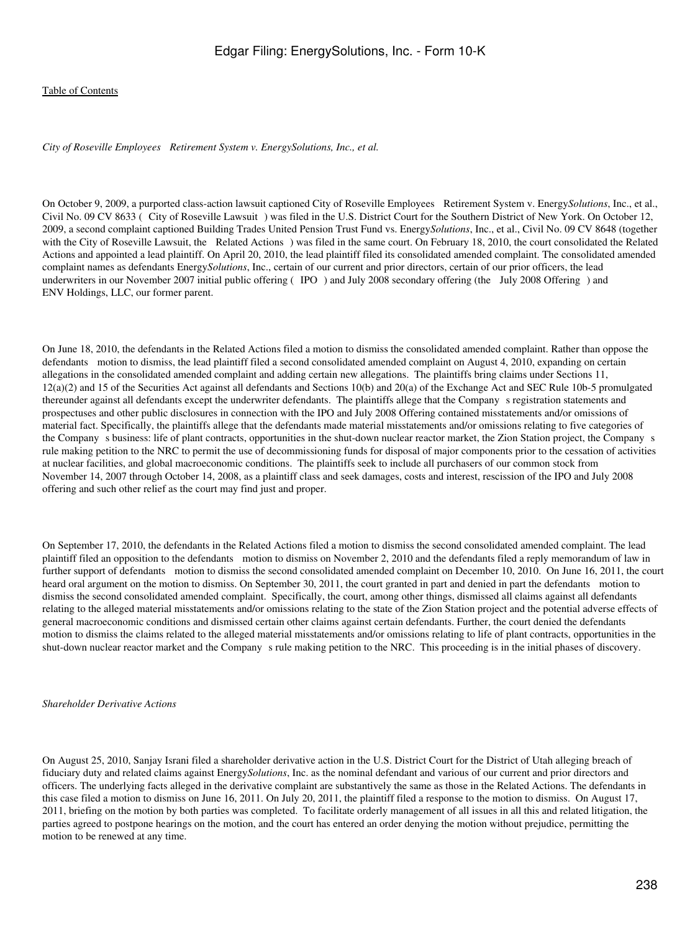*City of Roseville Employees Retirement System v. EnergySolutions, Inc., et al.*

On October 9, 2009, a purported class-action lawsuit captioned City of Roseville Employees Retirement System v. Energy*Solutions*, Inc., et al., Civil No. 09 CV 8633 (City of Roseville Lawsuit) was filed in the U.S. District Court for the Southern District of New York. On October 12, 2009, a second complaint captioned Building Trades United Pension Trust Fund vs. Energy*Solutions*, Inc., et al., Civil No. 09 CV 8648 (together with the City of Roseville Lawsuit, the Related Actions ) was filed in the same court. On February 18, 2010, the court consolidated the Related Actions and appointed a lead plaintiff. On April 20, 2010, the lead plaintiff filed its consolidated amended complaint. The consolidated amended complaint names as defendants Energy*Solutions*, Inc., certain of our current and prior directors, certain of our prior officers, the lead underwriters in our November 2007 initial public offering (IPO) and July 2008 secondary offering (the July 2008 Offering) and ENV Holdings, LLC, our former parent.

On June 18, 2010, the defendants in the Related Actions filed a motion to dismiss the consolidated amended complaint. Rather than oppose the defendants motion to dismiss, the lead plaintiff filed a second consolidated amended complaint on August 4, 2010, expanding on certain allegations in the consolidated amended complaint and adding certain new allegations. The plaintiffs bring claims under Sections 11, 12(a)(2) and 15 of the Securities Act against all defendants and Sections 10(b) and 20(a) of the Exchange Act and SEC Rule 10b-5 promulgated thereunder against all defendants except the underwriter defendants. The plaintiffs allege that the Companys registration statements and prospectuses and other public disclosures in connection with the IPO and July 2008 Offering contained misstatements and/or omissions of material fact. Specifically, the plaintiffs allege that the defendants made material misstatements and/or omissions relating to five categories of the Company s business: life of plant contracts, opportunities in the shut-down nuclear reactor market, the Zion Station project, the Company s rule making petition to the NRC to permit the use of decommissioning funds for disposal of major components prior to the cessation of activities at nuclear facilities, and global macroeconomic conditions. The plaintiffs seek to include all purchasers of our common stock from November 14, 2007 through October 14, 2008, as a plaintiff class and seek damages, costs and interest, rescission of the IPO and July 2008 offering and such other relief as the court may find just and proper.

On September 17, 2010, the defendants in the Related Actions filed a motion to dismiss the second consolidated amended complaint. The lead plaintiff filed an opposition to the defendants motion to dismiss on November 2, 2010 and the defendants filed a reply memorandum of law in further support of defendants motion to dismiss the second consolidated amended complaint on December 10, 2010. On June 16, 2011, the court heard oral argument on the motion to dismiss. On September 30, 2011, the court granted in part and denied in part the defendants motion to dismiss the second consolidated amended complaint. Specifically, the court, among other things, dismissed all claims against all defendants relating to the alleged material misstatements and/or omissions relating to the state of the Zion Station project and the potential adverse effects of general macroeconomic conditions and dismissed certain other claims against certain defendants. Further, the court denied the defendants motion to dismiss the claims related to the alleged material misstatements and/or omissions relating to life of plant contracts, opportunities in the shut-down nuclear reactor market and the Company s rule making petition to the NRC. This proceeding is in the initial phases of discovery.

*Shareholder Derivative Actions*

On August 25, 2010, Sanjay Israni filed a shareholder derivative action in the U.S. District Court for the District of Utah alleging breach of fiduciary duty and related claims against Energy*Solutions*, Inc. as the nominal defendant and various of our current and prior directors and officers. The underlying facts alleged in the derivative complaint are substantively the same as those in the Related Actions. The defendants in this case filed a motion to dismiss on June 16, 2011. On July 20, 2011, the plaintiff filed a response to the motion to dismiss. On August 17, 2011, briefing on the motion by both parties was completed. To facilitate orderly management of all issues in all this and related litigation, the parties agreed to postpone hearings on the motion, and the court has entered an order denying the motion without prejudice, permitting the motion to be renewed at any time.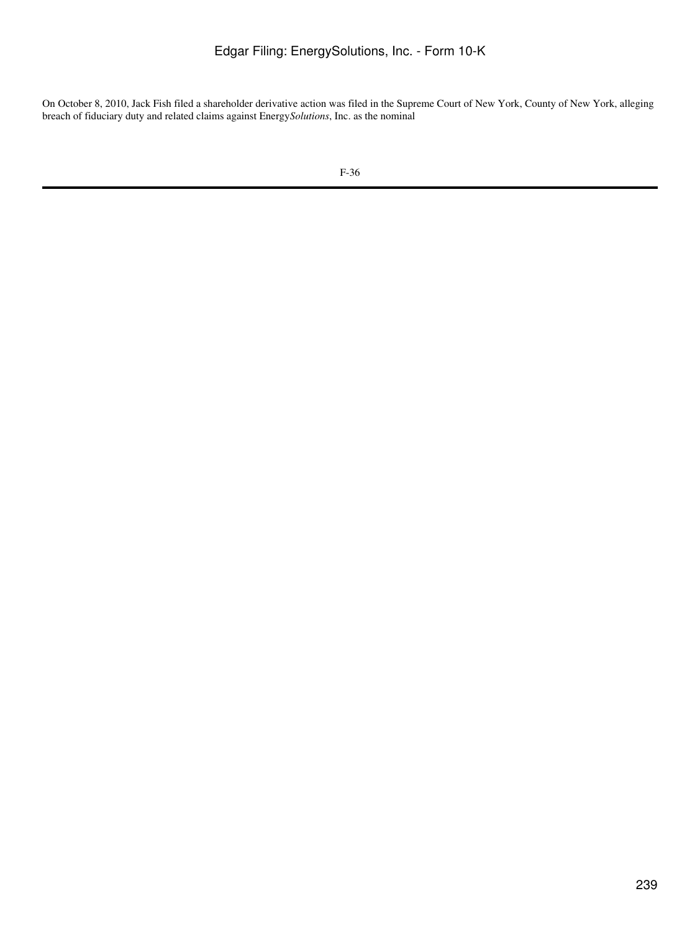On October 8, 2010, Jack Fish filed a shareholder derivative action was filed in the Supreme Court of New York, County of New York, alleging breach of fiduciary duty and related claims against Energy*Solutions*, Inc. as the nominal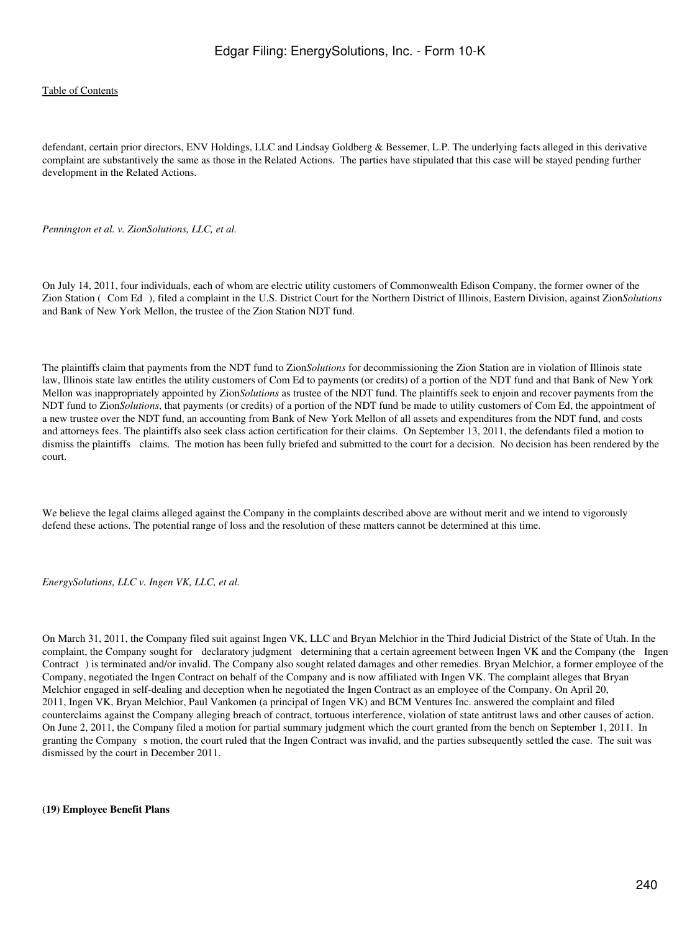defendant, certain prior directors, ENV Holdings, LLC and Lindsay Goldberg & Bessemer, L.P. The underlying facts alleged in this derivative complaint are substantively the same as those in the Related Actions. The parties have stipulated that this case will be stayed pending further development in the Related Actions.

*Pennington et al. v. ZionSolutions, LLC, et al.*

On July 14, 2011, four individuals, each of whom are electric utility customers of Commonwealth Edison Company, the former owner of the Zion Station (Com Ed), filed a complaint in the U.S. District Court for the Northern District of Illinois, Eastern Division, against Zion*Solutions* and Bank of New York Mellon, the trustee of the Zion Station NDT fund.

The plaintiffs claim that payments from the NDT fund to Zion*Solutions* for decommissioning the Zion Station are in violation of Illinois state law, Illinois state law entitles the utility customers of Com Ed to payments (or credits) of a portion of the NDT fund and that Bank of New York Mellon was inappropriately appointed by Zion*Solutions* as trustee of the NDT fund. The plaintiffs seek to enjoin and recover payments from the NDT fund to Zion*Solutions*, that payments (or credits) of a portion of the NDT fund be made to utility customers of Com Ed, the appointment of a new trustee over the NDT fund, an accounting from Bank of New York Mellon of all assets and expenditures from the NDT fund, and costs and attorneys fees. The plaintiffs also seek class action certification for their claims. On September 13, 2011, the defendants filed a motion to dismiss the plaintiffs claims. The motion has been fully briefed and submitted to the court for a decision. No decision has been rendered by the court.

We believe the legal claims alleged against the Company in the complaints described above are without merit and we intend to vigorously defend these actions. The potential range of loss and the resolution of these matters cannot be determined at this time.

*EnergySolutions, LLC v. Ingen VK, LLC, et al.*

On March 31, 2011, the Company filed suit against Ingen VK, LLC and Bryan Melchior in the Third Judicial District of the State of Utah. In the complaint, the Company sought for declaratory judgment determining that a certain agreement between Ingen VK and the Company (the Ingen Contract) is terminated and/or invalid. The Company also sought related damages and other remedies. Bryan Melchior, a former employee of the Company, negotiated the Ingen Contract on behalf of the Company and is now affiliated with Ingen VK. The complaint alleges that Bryan Melchior engaged in self-dealing and deception when he negotiated the Ingen Contract as an employee of the Company. On April 20, 2011, Ingen VK, Bryan Melchior, Paul Vankomen (a principal of Ingen VK) and BCM Ventures Inc. answered the complaint and filed counterclaims against the Company alleging breach of contract, tortuous interference, violation of state antitrust laws and other causes of action. On June 2, 2011, the Company filed a motion for partial summary judgment which the court granted from the bench on September 1, 2011. In granting the Company s motion, the court ruled that the Ingen Contract was invalid, and the parties subsequently settled the case. The suit was dismissed by the court in December 2011.

**(19) Employee Benefit Plans**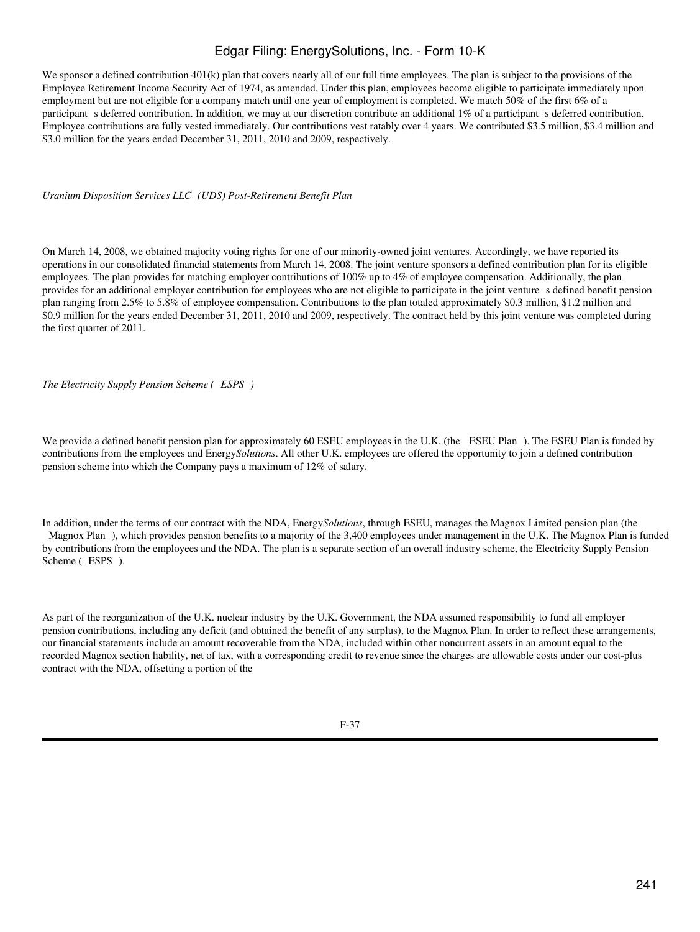We sponsor a defined contribution 401(k) plan that covers nearly all of our full time employees. The plan is subject to the provisions of the Employee Retirement Income Security Act of 1974, as amended. Under this plan, employees become eligible to participate immediately upon employment but are not eligible for a company match until one year of employment is completed. We match 50% of the first 6% of a participant s deferred contribution. In addition, we may at our discretion contribute an additional 1% of a participant s deferred contribution. Employee contributions are fully vested immediately. Our contributions vest ratably over 4 years. We contributed \$3.5 million, \$3.4 million and \$3.0 million for the years ended December 31, 2011, 2010 and 2009, respectively.

*Uranium Disposition Services LLC(UDS) Post-Retirement Benefit Plan*

On March 14, 2008, we obtained majority voting rights for one of our minority-owned joint ventures. Accordingly, we have reported its operations in our consolidated financial statements from March 14, 2008. The joint venture sponsors a defined contribution plan for its eligible employees. The plan provides for matching employer contributions of 100% up to 4% of employee compensation. Additionally, the plan provides for an additional employer contribution for employees who are not eligible to participate in the joint venture s defined benefit pension plan ranging from 2.5% to 5.8% of employee compensation. Contributions to the plan totaled approximately \$0.3 million, \$1.2 million and \$0.9 million for the years ended December 31, 2011, 2010 and 2009, respectively. The contract held by this joint venture was completed during the first quarter of 2011.

*The Electricity Supply Pension Scheme (ESPS)*

We provide a defined benefit pension plan for approximately 60 ESEU employees in the U.K. (the ESEU Plan). The ESEU Plan is funded by contributions from the employees and Energy*Solutions*. All other U.K. employees are offered the opportunity to join a defined contribution pension scheme into which the Company pays a maximum of 12% of salary.

In addition, under the terms of our contract with the NDA, Energy*Solutions*, through ESEU, manages the Magnox Limited pension plan (the Magnox Plan), which provides pension benefits to a majority of the 3,400 employees under management in the U.K. The Magnox Plan is funded by contributions from the employees and the NDA. The plan is a separate section of an overall industry scheme, the Electricity Supply Pension Scheme (ESPS).

As part of the reorganization of the U.K. nuclear industry by the U.K. Government, the NDA assumed responsibility to fund all employer pension contributions, including any deficit (and obtained the benefit of any surplus), to the Magnox Plan. In order to reflect these arrangements, our financial statements include an amount recoverable from the NDA, included within other noncurrent assets in an amount equal to the recorded Magnox section liability, net of tax, with a corresponding credit to revenue since the charges are allowable costs under our cost-plus contract with the NDA, offsetting a portion of the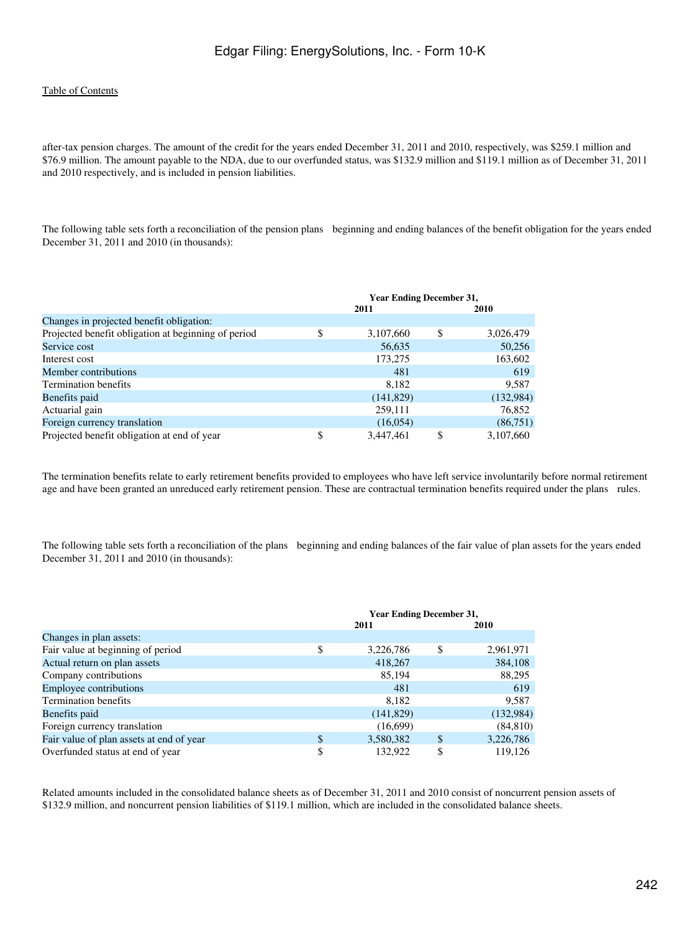after-tax pension charges. The amount of the credit for the years ended December 31, 2011 and 2010, respectively, was \$259.1 million and \$76.9 million. The amount payable to the NDA, due to our overfunded status, was \$132.9 million and \$119.1 million as of December 31, 2011 and 2010 respectively, and is included in pension liabilities.

The following table sets forth a reconciliation of the pension plans beginning and ending balances of the benefit obligation for the years ended December 31, 2011 and 2010 (in thousands):

|                                                     | <b>Year Ending December 31,</b><br>2011<br>2010 |    |            |
|-----------------------------------------------------|-------------------------------------------------|----|------------|
| Changes in projected benefit obligation:            |                                                 |    |            |
| Projected benefit obligation at beginning of period | \$<br>3,107,660                                 | \$ | 3,026,479  |
| Service cost                                        | 56,635                                          |    | 50,256     |
| Interest cost                                       | 173,275                                         |    | 163,602    |
| Member contributions                                | 481                                             |    | 619        |
| Termination benefits                                | 8,182                                           |    | 9,587      |
| Benefits paid                                       | (141, 829)                                      |    | (132, 984) |
| Actuarial gain                                      | 259,111                                         |    | 76,852     |
| Foreign currency translation                        | (16,054)                                        |    | (86,751)   |
| Projected benefit obligation at end of year         | \$<br>3.447.461                                 | S  | 3.107.660  |

The termination benefits relate to early retirement benefits provided to employees who have left service involuntarily before normal retirement age and have been granted an unreduced early retirement pension. These are contractual termination benefits required under the plans rules.

The following table sets forth a reconciliation of the plans beginning and ending balances of the fair value of plan assets for the years ended December 31, 2011 and 2010 (in thousands):

|                                          | <b>Year Ending December 31,</b> |    |            |  |
|------------------------------------------|---------------------------------|----|------------|--|
|                                          | 2011                            |    | 2010       |  |
| Changes in plan assets:                  |                                 |    |            |  |
| Fair value at beginning of period        | \$<br>3,226,786                 | \$ | 2,961,971  |  |
| Actual return on plan assets             | 418,267                         |    | 384,108    |  |
| Company contributions                    | 85,194                          |    | 88,295     |  |
| <b>Employee contributions</b>            | 481                             |    | 619        |  |
| <b>Termination benefits</b>              | 8,182                           |    | 9,587      |  |
| Benefits paid                            | (141, 829)                      |    | (132, 984) |  |
| Foreign currency translation             | (16,699)                        |    | (84, 810)  |  |
| Fair value of plan assets at end of year | \$<br>3,580,382                 | \$ | 3,226,786  |  |
| Overfunded status at end of year         | \$<br>132.922                   | \$ | 119.126    |  |

Related amounts included in the consolidated balance sheets as of December 31, 2011 and 2010 consist of noncurrent pension assets of \$132.9 million, and noncurrent pension liabilities of \$119.1 million, which are included in the consolidated balance sheets.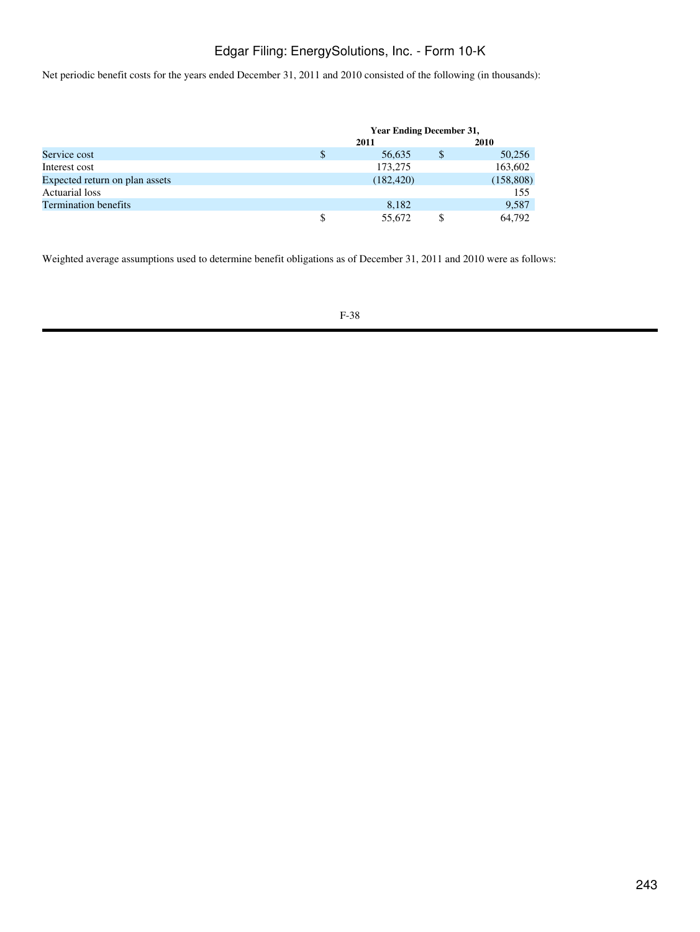Net periodic benefit costs for the years ended December 31, 2011 and 2010 consisted of the following (in thousands):

|                                |          | <b>Year Ending December 31,</b> |  |            |  |
|--------------------------------|----------|---------------------------------|--|------------|--|
|                                |          | 2011                            |  | 2010       |  |
| Service cost                   | <b>S</b> | 56,635                          |  | 50,256     |  |
| Interest cost                  |          | 173,275                         |  | 163,602    |  |
| Expected return on plan assets |          | (182, 420)                      |  | (158, 808) |  |
| <b>Actuarial loss</b>          |          |                                 |  | 155        |  |
| <b>Termination benefits</b>    |          | 8.182                           |  | 9,587      |  |
|                                |          | 55,672                          |  | 64.792     |  |

Weighted average assumptions used to determine benefit obligations as of December 31, 2011 and 2010 were as follows: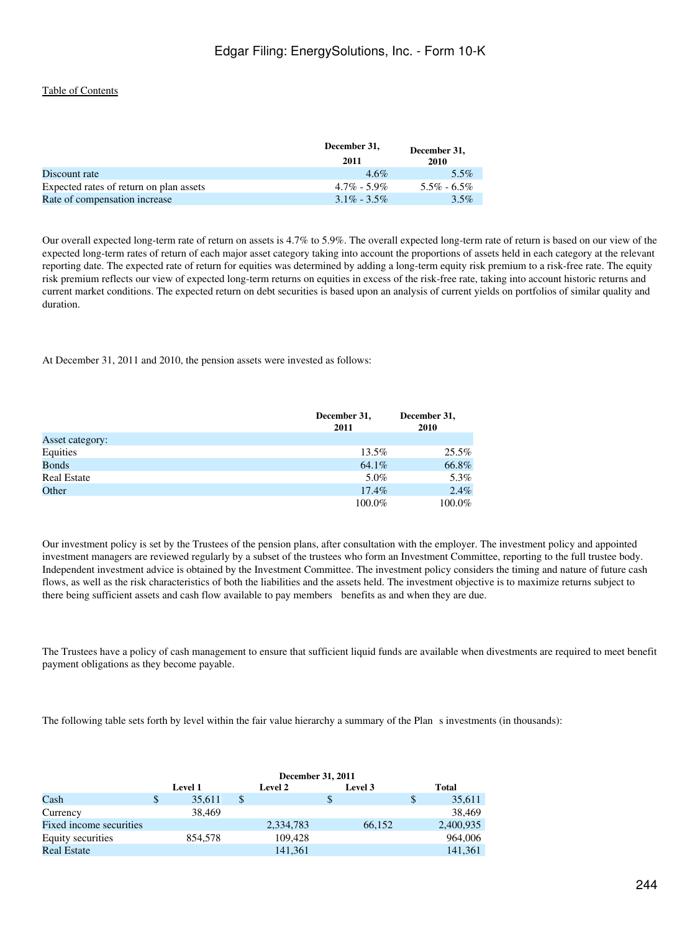|                                         | December 31,<br>2011 | December 31,<br>2010 |
|-----------------------------------------|----------------------|----------------------|
| Discount rate                           | $4.6\%$              | $5.5\%$              |
| Expected rates of return on plan assets | $4.7\% - 5.9\%$      | $5.5\% - 6.5\%$      |
| Rate of compensation increase           | $3.1\% - 3.5\%$      | $3.5\%$              |

Our overall expected long-term rate of return on assets is 4.7% to 5.9%. The overall expected long-term rate of return is based on our view of the expected long-term rates of return of each major asset category taking into account the proportions of assets held in each category at the relevant reporting date. The expected rate of return for equities was determined by adding a long-term equity risk premium to a risk-free rate. The equity risk premium reflects our view of expected long-term returns on equities in excess of the risk-free rate, taking into account historic returns and current market conditions. The expected return on debt securities is based upon an analysis of current yields on portfolios of similar quality and duration.

At December 31, 2011 and 2010, the pension assets were invested as follows:

|                    | December 31,<br>2011 | December 31,<br>2010 |
|--------------------|----------------------|----------------------|
| Asset category:    |                      |                      |
| Equities           | $13.5\%$             | 25.5%                |
| <b>Bonds</b>       | 64.1%                | 66.8%                |
| <b>Real Estate</b> | 5.0%                 | 5.3%                 |
| Other              | 17.4%                | 2.4%                 |
|                    | 100.0%               | 100.0%               |

Our investment policy is set by the Trustees of the pension plans, after consultation with the employer. The investment policy and appointed investment managers are reviewed regularly by a subset of the trustees who form an Investment Committee, reporting to the full trustee body. Independent investment advice is obtained by the Investment Committee. The investment policy considers the timing and nature of future cash flows, as well as the risk characteristics of both the liabilities and the assets held. The investment objective is to maximize returns subject to there being sufficient assets and cash flow available to pay members benefits as and when they are due.

The Trustees have a policy of cash management to ensure that sufficient liquid funds are available when divestments are required to meet benefit payment obligations as they become payable.

The following table sets forth by level within the fair value hierarchy a summary of the Plan s investments (in thousands):

|                         | December 31, 2011 |                |    |                |  |         |  |           |  |  |  |  |  |
|-------------------------|-------------------|----------------|----|----------------|--|---------|--|-----------|--|--|--|--|--|
|                         |                   | <b>Level 1</b> |    | <b>Level 2</b> |  | Level 3 |  | Total     |  |  |  |  |  |
| Cash                    | S                 | 35,611         | \$ |                |  |         |  | 35,611    |  |  |  |  |  |
| Currency                |                   | 38,469         |    |                |  |         |  | 38,469    |  |  |  |  |  |
| Fixed income securities |                   |                |    | 2,334,783      |  | 66.152  |  | 2,400,935 |  |  |  |  |  |
| Equity securities       |                   | 854,578        |    | 109.428        |  |         |  | 964,006   |  |  |  |  |  |
| <b>Real Estate</b>      |                   |                |    | 141.361        |  |         |  | 141.361   |  |  |  |  |  |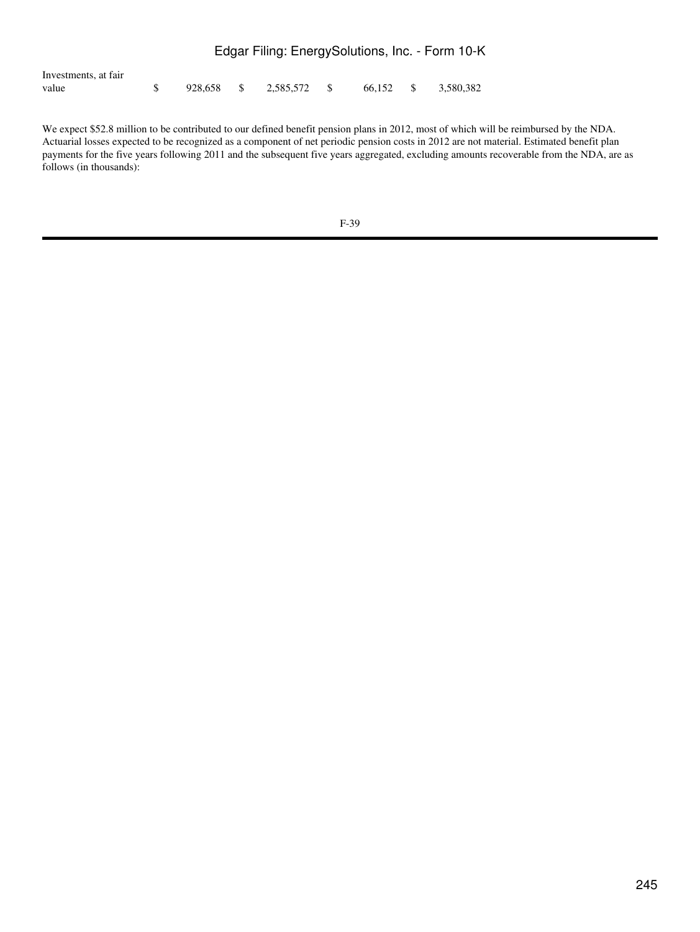| Investments, at fair |  |                                                |  |  |
|----------------------|--|------------------------------------------------|--|--|
| value                |  | $$928,658$ $$2,585,572$ $$66,152$ $$3,580,382$ |  |  |

We expect \$52.8 million to be contributed to our defined benefit pension plans in 2012, most of which will be reimbursed by the NDA. Actuarial losses expected to be recognized as a component of net periodic pension costs in 2012 are not material. Estimated benefit plan payments for the five years following 2011 and the subsequent five years aggregated, excluding amounts recoverable from the NDA, are as follows (in thousands):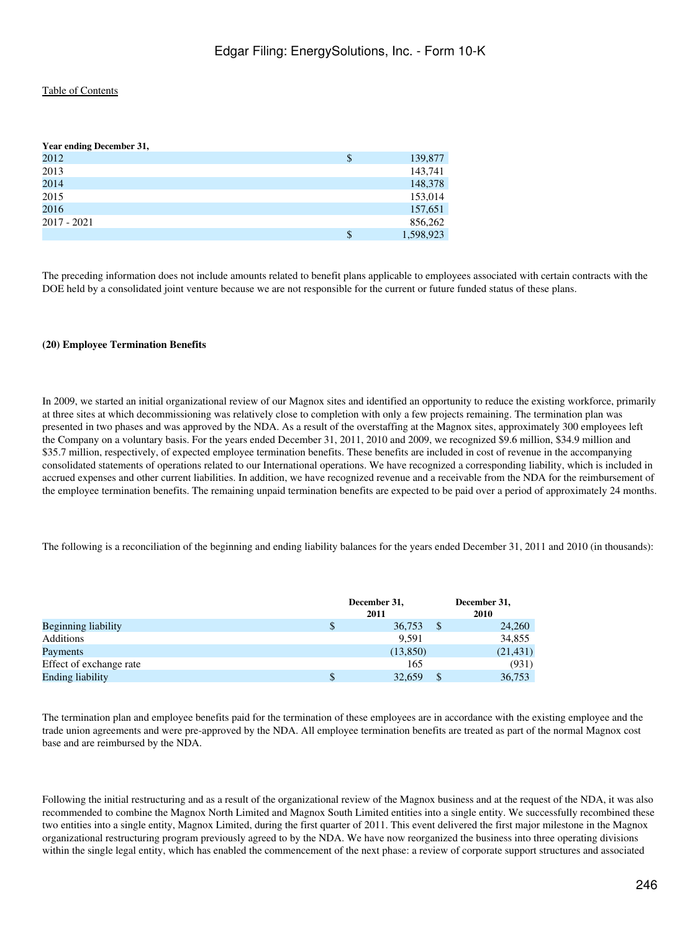| Year ending December 31, |                 |
|--------------------------|-----------------|
| 2012                     | \$<br>139,877   |
| 2013                     | 143,741         |
| 2014                     | 148,378         |
| 2015                     | 153,014         |
| 2016                     | 157,651         |
| $2017 - 2021$            | 856,262         |
|                          | \$<br>1,598,923 |

The preceding information does not include amounts related to benefit plans applicable to employees associated with certain contracts with the DOE held by a consolidated joint venture because we are not responsible for the current or future funded status of these plans.

#### **(20) Employee Termination Benefits**

In 2009, we started an initial organizational review of our Magnox sites and identified an opportunity to reduce the existing workforce, primarily at three sites at which decommissioning was relatively close to completion with only a few projects remaining. The termination plan was presented in two phases and was approved by the NDA. As a result of the overstaffing at the Magnox sites, approximately 300 employees left the Company on a voluntary basis. For the years ended December 31, 2011, 2010 and 2009, we recognized \$9.6 million, \$34.9 million and \$35.7 million, respectively, of expected employee termination benefits. These benefits are included in cost of revenue in the accompanying consolidated statements of operations related to our International operations. We have recognized a corresponding liability, which is included in accrued expenses and other current liabilities. In addition, we have recognized revenue and a receivable from the NDA for the reimbursement of the employee termination benefits. The remaining unpaid termination benefits are expected to be paid over a period of approximately 24 months.

The following is a reconciliation of the beginning and ending liability balances for the years ended December 31, 2011 and 2010 (in thousands):

|                         | December 31,<br>2011 |   | December 31,<br><b>2010</b> |
|-------------------------|----------------------|---|-----------------------------|
| Beginning liability     | \$<br>36,753         | S | 24,260                      |
| Additions               | 9.591                |   | 34,855                      |
| Payments                | (13, 850)            |   | (21, 431)                   |
| Effect of exchange rate | 165                  |   | (931)                       |
| <b>Ending liability</b> | 32,659               |   | 36,753                      |

The termination plan and employee benefits paid for the termination of these employees are in accordance with the existing employee and the trade union agreements and were pre-approved by the NDA. All employee termination benefits are treated as part of the normal Magnox cost base and are reimbursed by the NDA.

Following the initial restructuring and as a result of the organizational review of the Magnox business and at the request of the NDA, it was also recommended to combine the Magnox North Limited and Magnox South Limited entities into a single entity. We successfully recombined these two entities into a single entity, Magnox Limited, during the first quarter of 2011. This event delivered the first major milestone in the Magnox organizational restructuring program previously agreed to by the NDA. We have now reorganized the business into three operating divisions within the single legal entity, which has enabled the commencement of the next phase: a review of corporate support structures and associated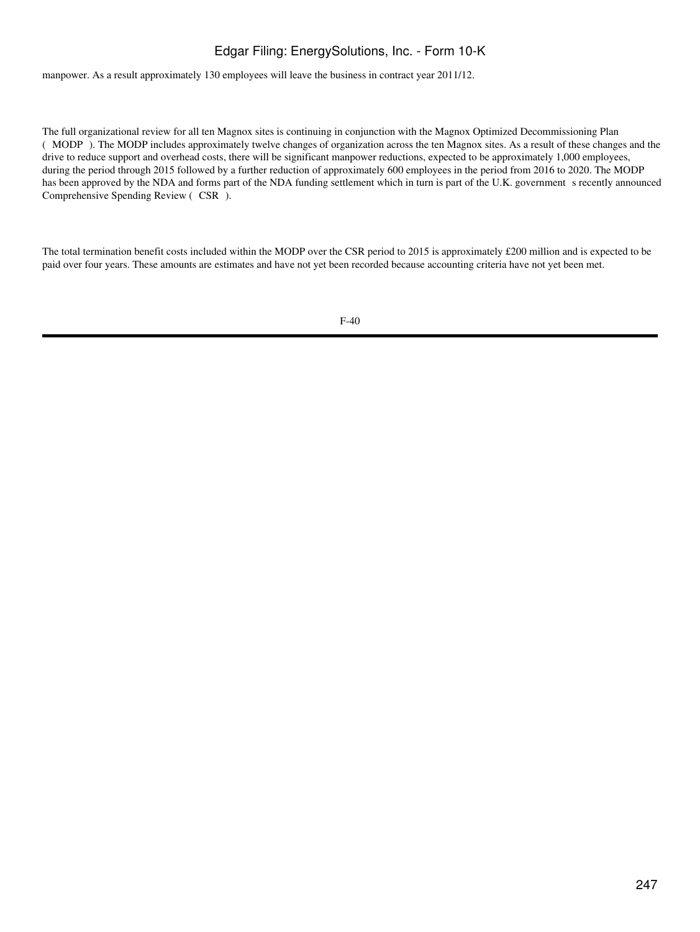manpower. As a result approximately 130 employees will leave the business in contract year 2011/12.

The full organizational review for all ten Magnox sites is continuing in conjunction with the Magnox Optimized Decommissioning Plan (MODP). The MODP includes approximately twelve changes of organization across the ten Magnox sites. As a result of these changes and the drive to reduce support and overhead costs, there will be significant manpower reductions, expected to be approximately 1,000 employees, during the period through 2015 followed by a further reduction of approximately 600 employees in the period from 2016 to 2020. The MODP has been approved by the NDA and forms part of the NDA funding settlement which in turn is part of the U.K. government s recently announced Comprehensive Spending Review (CSR).

The total termination benefit costs included within the MODP over the CSR period to 2015 is approximately £200 million and is expected to be paid over four years. These amounts are estimates and have not yet been recorded because accounting criteria have not yet been met.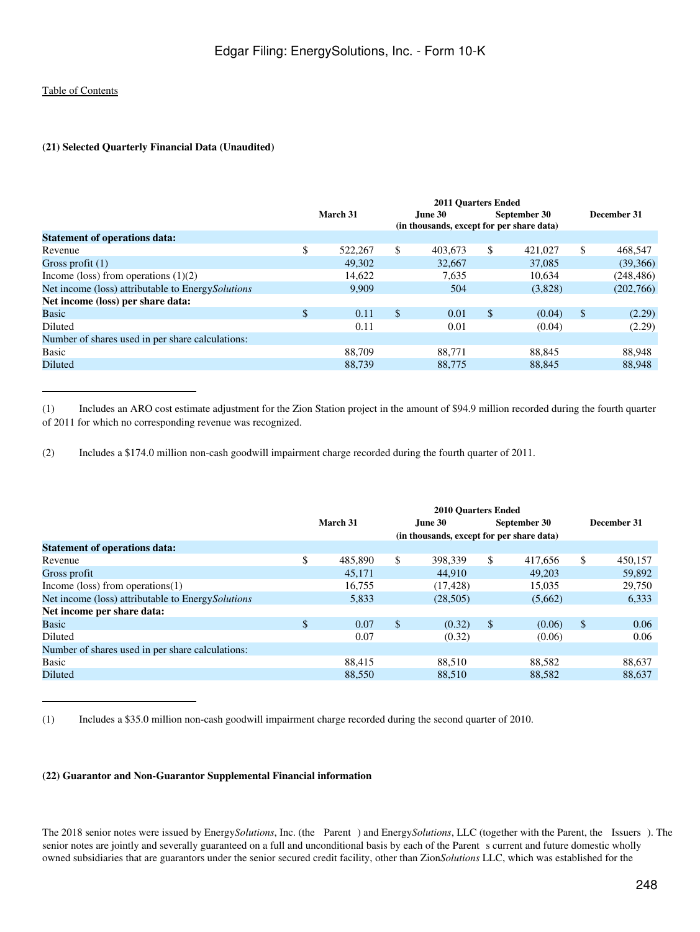### **(21) Selected Quarterly Financial Data (Unaudited)**

|                                                    | <b>2011 Quarters Ended</b> |         |    |                                                             |    |              |              |             |  |  |  |  |  |
|----------------------------------------------------|----------------------------|---------|----|-------------------------------------------------------------|----|--------------|--------------|-------------|--|--|--|--|--|
|                                                    | March 31                   |         |    | <b>June 30</b><br>(in thousands, except for per share data) |    | September 30 |              | December 31 |  |  |  |  |  |
| <b>Statement of operations data:</b>               |                            |         |    |                                                             |    |              |              |             |  |  |  |  |  |
| Revenue                                            | \$                         | 522,267 | \$ | 403,673                                                     | \$ | 421,027      | \$           | 468,547     |  |  |  |  |  |
| Gross profit $(1)$                                 |                            | 49.302  |    | 32,667                                                      |    | 37,085       |              | (39,366)    |  |  |  |  |  |
| Income (loss) from operations $(1)(2)$             |                            | 14.622  |    | 7.635                                                       |    | 10.634       |              | (248, 486)  |  |  |  |  |  |
| Net income (loss) attributable to Energy Solutions |                            | 9,909   |    | 504                                                         |    | (3,828)      |              | (202,766)   |  |  |  |  |  |
| Net income (loss) per share data:                  |                            |         |    |                                                             |    |              |              |             |  |  |  |  |  |
| Basic                                              | \$                         | 0.11    | \$ | 0.01                                                        | \$ | (0.04)       | $\mathbb{S}$ | (2.29)      |  |  |  |  |  |
| Diluted                                            |                            | 0.11    |    | 0.01                                                        |    | (0.04)       |              | (2.29)      |  |  |  |  |  |
| Number of shares used in per share calculations:   |                            |         |    |                                                             |    |              |              |             |  |  |  |  |  |
| Basic                                              |                            | 88,709  |    | 88.771                                                      |    | 88,845       |              | 88,948      |  |  |  |  |  |
| Diluted                                            |                            | 88.739  |    | 88.775                                                      |    | 88,845       |              | 88,948      |  |  |  |  |  |

(1) Includes an ARO cost estimate adjustment for the Zion Station project in the amount of \$94.9 million recorded during the fourth quarter of 2011 for which no corresponding revenue was recognized.

(2) Includes a \$174.0 million non-cash goodwill impairment charge recorded during the fourth quarter of 2011.

|                                                           | <b>2010 Quarters Ended</b> |          |              |                                           |               |              |              |             |  |  |  |  |  |
|-----------------------------------------------------------|----------------------------|----------|--------------|-------------------------------------------|---------------|--------------|--------------|-------------|--|--|--|--|--|
|                                                           |                            | March 31 |              | <b>June 30</b>                            |               | September 30 |              | December 31 |  |  |  |  |  |
|                                                           |                            |          |              | (in thousands, except for per share data) |               |              |              |             |  |  |  |  |  |
| <b>Statement of operations data:</b>                      |                            |          |              |                                           |               |              |              |             |  |  |  |  |  |
| Revenue                                                   | \$                         | 485,890  | \$           | 398,339                                   | <sup>\$</sup> | 417,656      | \$           | 450,157     |  |  |  |  |  |
| Gross profit                                              |                            | 45,171   |              | 44.910                                    |               | 49,203       |              | 59,892      |  |  |  |  |  |
| Income (loss) from operations $(1)$                       |                            | 16.755   |              | (17, 428)                                 |               | 15,035       |              | 29,750      |  |  |  |  |  |
| Net income (loss) attributable to Energy <i>Solutions</i> |                            | 5,833    |              | (28,505)                                  |               | (5,662)      |              | 6,333       |  |  |  |  |  |
| Net income per share data:                                |                            |          |              |                                           |               |              |              |             |  |  |  |  |  |
| Basic                                                     | \$                         | 0.07     | $\mathbb{S}$ | (0.32)                                    | $\mathbb{S}$  | (0.06)       | $\mathbb{S}$ | 0.06        |  |  |  |  |  |
| Diluted                                                   |                            | 0.07     |              | (0.32)                                    |               | (0.06)       |              | 0.06        |  |  |  |  |  |
| Number of shares used in per share calculations:          |                            |          |              |                                           |               |              |              |             |  |  |  |  |  |
| Basic                                                     |                            | 88.415   |              | 88.510                                    |               | 88.582       |              | 88.637      |  |  |  |  |  |
| Diluted                                                   |                            | 88,550   |              | 88.510                                    |               | 88,582       |              | 88.637      |  |  |  |  |  |
|                                                           |                            |          |              |                                           |               |              |              |             |  |  |  |  |  |

(1) Includes a \$35.0 million non-cash goodwill impairment charge recorded during the second quarter of 2010.

#### **(22) Guarantor and Non-Guarantor Supplemental Financial information**

The 2018 senior notes were issued by Energy*Solutions*, Inc. (the Parent) and Energy*Solutions*, LLC (together with the Parent, the Issuers). The senior notes are jointly and severally guaranteed on a full and unconditional basis by each of the Parent s current and future domestic wholly owned subsidiaries that are guarantors under the senior secured credit facility, other than Zion*Solutions* LLC, which was established for the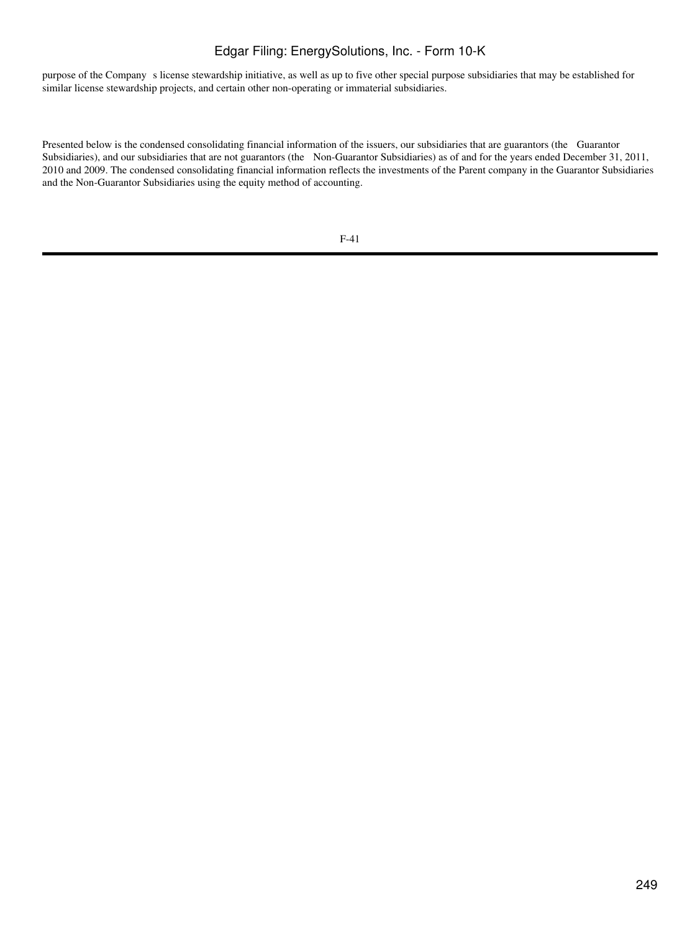purpose of the Company s license stewardship initiative, as well as up to five other special purpose subsidiaries that may be established for similar license stewardship projects, and certain other non-operating or immaterial subsidiaries.

Presented below is the condensed consolidating financial information of the issuers, our subsidiaries that are guarantors (the Guarantor Subsidiaries), and our subsidiaries that are not guarantors (the Non-Guarantor Subsidiaries) as of and for the years ended December 31, 2011, 2010 and 2009. The condensed consolidating financial information reflects the investments of the Parent company in the Guarantor Subsidiaries and the Non-Guarantor Subsidiaries using the equity method of accounting.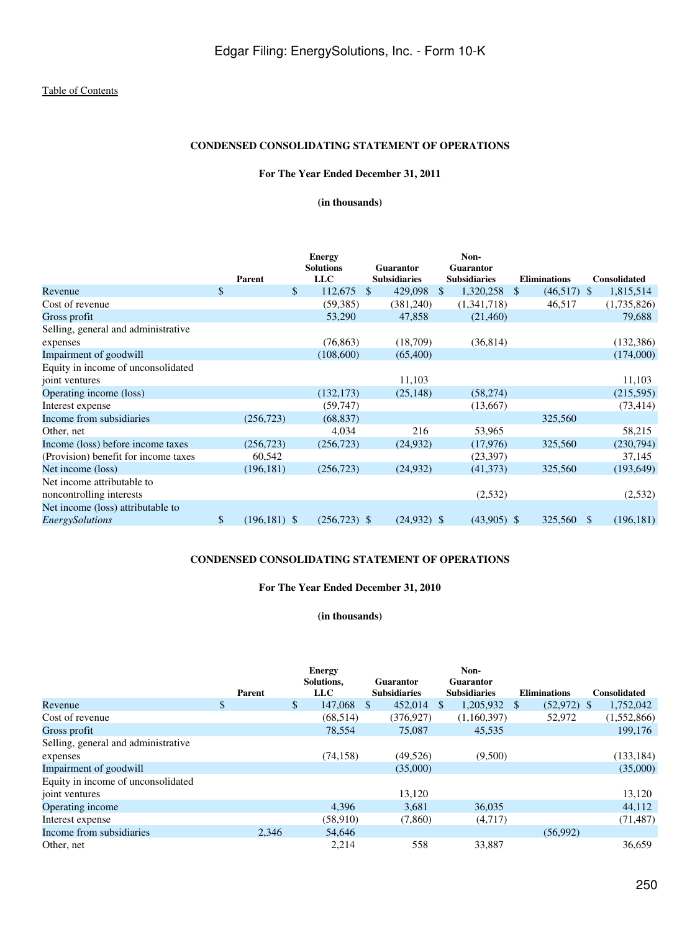## **CONDENSED CONSOLIDATING STATEMENT OF OPERATIONS**

### **For The Year Ended December 31, 2011**

#### **(in thousands)**

|                                      |                       |              | <b>Energy</b>    |      |                     |               | Non-                |               |                     |    |                     |
|--------------------------------------|-----------------------|--------------|------------------|------|---------------------|---------------|---------------------|---------------|---------------------|----|---------------------|
|                                      |                       |              | <b>Solutions</b> |      | Guarantor           |               | <b>Guarantor</b>    |               |                     |    |                     |
|                                      | Parent                |              | <b>LLC</b>       |      | <b>Subsidiaries</b> |               | <b>Subsidiaries</b> |               | <b>Eliminations</b> |    | <b>Consolidated</b> |
| Revenue                              | \$                    | $\mathbb{S}$ | 112,675          | - \$ | 429,098             | $\mathcal{S}$ | 1,320,258           | <sup>\$</sup> | $(46,517)$ \$       |    | 1,815,514           |
| Cost of revenue                      |                       |              | (59, 385)        |      | (381,240)           |               | (1,341,718)         |               | 46,517              |    | (1,735,826)         |
| Gross profit                         |                       |              | 53,290           |      | 47,858              |               | (21,460)            |               |                     |    | 79,688              |
| Selling, general and administrative  |                       |              |                  |      |                     |               |                     |               |                     |    |                     |
| expenses                             |                       |              | (76, 863)        |      | (18,709)            |               | (36,814)            |               |                     |    | (132, 386)          |
| Impairment of goodwill               |                       |              | (108,600)        |      | (65,400)            |               |                     |               |                     |    | (174,000)           |
| Equity in income of unconsolidated   |                       |              |                  |      |                     |               |                     |               |                     |    |                     |
| joint ventures                       |                       |              |                  |      | 11,103              |               |                     |               |                     |    | 11,103              |
| Operating income (loss)              |                       |              | (132, 173)       |      | (25, 148)           |               | (58, 274)           |               |                     |    | (215,595)           |
| Interest expense                     |                       |              | (59,747)         |      |                     |               | (13,667)            |               |                     |    | (73, 414)           |
| Income from subsidiaries             | (256, 723)            |              | (68, 837)        |      |                     |               |                     |               | 325,560             |    |                     |
| Other, net                           |                       |              | 4,034            |      | 216                 |               | 53,965              |               |                     |    | 58,215              |
| Income (loss) before income taxes    | (256, 723)            |              | (256, 723)       |      | (24, 932)           |               | (17,976)            |               | 325,560             |    | (230,794)           |
| (Provision) benefit for income taxes | 60,542                |              |                  |      |                     |               | (23,397)            |               |                     |    | 37,145              |
| Net income (loss)                    | (196, 181)            |              | (256, 723)       |      | (24, 932)           |               | (41,373)            |               | 325,560             |    | (193, 649)          |
| Net income attributable to           |                       |              |                  |      |                     |               |                     |               |                     |    |                     |
| noncontrolling interests             |                       |              |                  |      |                     |               | (2,532)             |               |                     |    | (2,532)             |
| Net income (loss) attributable to    |                       |              |                  |      |                     |               |                     |               |                     |    |                     |
| <i>EnergySolutions</i>               | \$<br>$(196, 181)$ \$ |              | $(256, 723)$ \$  |      | $(24,932)$ \$       |               | $(43,905)$ \$       |               | 325,560             | -S | (196, 181)          |

## **CONDENSED CONSOLIDATING STATEMENT OF OPERATIONS**

### **For The Year Ended December 31, 2010**

### **(in thousands)**

|                                     |        |              | <b>Energy</b><br>Solutions, |     | <b>Guarantor</b>    |     | Non-<br>Guarantor   |                     |                     |
|-------------------------------------|--------|--------------|-----------------------------|-----|---------------------|-----|---------------------|---------------------|---------------------|
|                                     | Parent |              | LLC                         |     | <b>Subsidiaries</b> |     | <b>Subsidiaries</b> | <b>Eliminations</b> | <b>Consolidated</b> |
| Revenue                             | \$     | $\mathbb{S}$ | 147,068                     | -\$ | 452,014             | -\$ | $1,205,932$ \$      | $(52,972)$ \$       | 1,752,042           |
| Cost of revenue                     |        |              | (68, 514)                   |     | (376, 927)          |     | (1,160,397)         | 52,972              | (1,552,866)         |
| Gross profit                        |        |              | 78.554                      |     | 75,087              |     | 45,535              |                     | 199,176             |
| Selling, general and administrative |        |              |                             |     |                     |     |                     |                     |                     |
| expenses                            |        |              | (74, 158)                   |     | (49,526)            |     | (9,500)             |                     | (133, 184)          |
| Impairment of goodwill              |        |              |                             |     | (35,000)            |     |                     |                     | (35,000)            |
| Equity in income of unconsolidated  |        |              |                             |     |                     |     |                     |                     |                     |
| joint ventures                      |        |              |                             |     | 13,120              |     |                     |                     | 13,120              |
| Operating income                    |        |              | 4.396                       |     | 3,681               |     | 36,035              |                     | 44,112              |
| Interest expense                    |        |              | (58,910)                    |     | (7,860)             |     | (4,717)             |                     | (71, 487)           |
| Income from subsidiaries            | 2.346  |              | 54,646                      |     |                     |     |                     | (56,992)            |                     |
| Other, net                          |        |              | 2.214                       |     | 558                 |     | 33,887              |                     | 36.659              |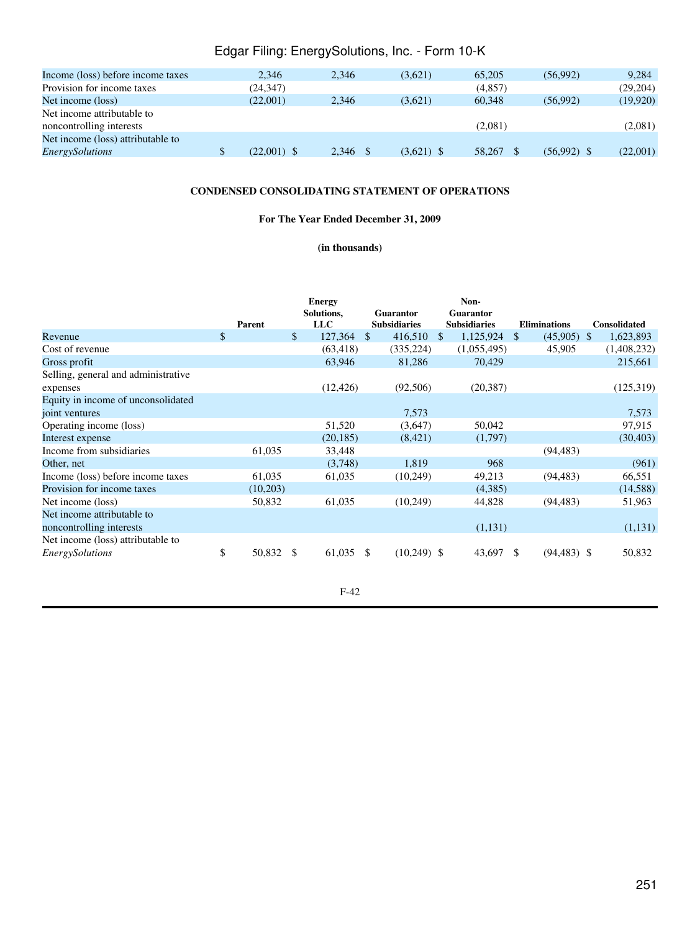| Income (loss) before income taxes | 2.346         | 2.346    | (3,621)      | 65,205   | (56.992)      | 9.284    |
|-----------------------------------|---------------|----------|--------------|----------|---------------|----------|
| Provision for income taxes        | (24, 347)     |          |              | (4, 857) |               | (29,204) |
| Net income (loss)                 | (22.001)      | 2.346    | (3,621)      | 60.348   | (56.992)      | (19,920) |
| Net income attributable to        |               |          |              |          |               |          |
| noncontrolling interests          |               |          |              | (2,081)  |               | (2,081)  |
| Net income (loss) attributable to |               |          |              |          |               |          |
| <i>EnergySolutions</i>            | $(22,001)$ \$ | 2.346 \$ | $(3,621)$ \$ | 58,267   | $(56,992)$ \$ | (22,001) |
|                                   |               |          |              |          |               |          |

## **CONDENSED CONSOLIDATING STATEMENT OF OPERATIONS**

## **For The Year Ended December 31, 2009**

## **(in thousands)**

|                                     | <b>Energy</b><br>Solutions, |    |            | Non-<br><b>Guarantor</b><br><b>Guarantor</b> |                     |      |                     |     |                     |                     |
|-------------------------------------|-----------------------------|----|------------|----------------------------------------------|---------------------|------|---------------------|-----|---------------------|---------------------|
|                                     | Parent                      |    | <b>LLC</b> |                                              | <b>Subsidiaries</b> |      | <b>Subsidiaries</b> |     | <b>Eliminations</b> | <b>Consolidated</b> |
| Revenue                             | \$                          | \$ | 127,364    | <sup>S</sup>                                 | 416,510             | - \$ | 1,125,924           | -S  | $(45,905)$ \$       | 1,623,893           |
| Cost of revenue                     |                             |    | (63, 418)  |                                              | (335, 224)          |      | (1,055,495)         |     | 45,905              | (1,408,232)         |
| Gross profit                        |                             |    | 63,946     |                                              | 81,286              |      | 70,429              |     |                     | 215,661             |
| Selling, general and administrative |                             |    |            |                                              |                     |      |                     |     |                     |                     |
| expenses                            |                             |    | (12, 426)  |                                              | (92,506)            |      | (20, 387)           |     |                     | (125,319)           |
| Equity in income of unconsolidated  |                             |    |            |                                              |                     |      |                     |     |                     |                     |
| joint ventures                      |                             |    |            |                                              | 7,573               |      |                     |     |                     | 7,573               |
| Operating income (loss)             |                             |    | 51,520     |                                              | (3,647)             |      | 50,042              |     |                     | 97,915              |
| Interest expense                    |                             |    | (20, 185)  |                                              | (8,421)             |      | (1,797)             |     |                     | (30, 403)           |
| Income from subsidiaries            | 61,035                      |    | 33,448     |                                              |                     |      |                     |     | (94, 483)           |                     |
| Other, net                          |                             |    | (3,748)    |                                              | 1.819               |      | 968                 |     |                     | (961)               |
| Income (loss) before income taxes   | 61,035                      |    | 61,035     |                                              | (10,249)            |      | 49,213              |     | (94, 483)           | 66,551              |
| Provision for income taxes          | (10,203)                    |    |            |                                              |                     |      | (4,385)             |     |                     | (14,588)            |
| Net income (loss)                   | 50,832                      |    | 61,035     |                                              | (10,249)            |      | 44,828              |     | (94, 483)           | 51,963              |
| Net income attributable to          |                             |    |            |                                              |                     |      |                     |     |                     |                     |
| noncontrolling interests            |                             |    |            |                                              |                     |      | (1,131)             |     |                     | (1,131)             |
| Net income (loss) attributable to   |                             |    |            |                                              |                     |      |                     |     |                     |                     |
| EnergySolutions                     | \$<br>50,832 \$             |    | 61,035     | \$                                           | $(10,249)$ \$       |      | 43,697              | \$. | $(94, 483)$ \$      | 50,832              |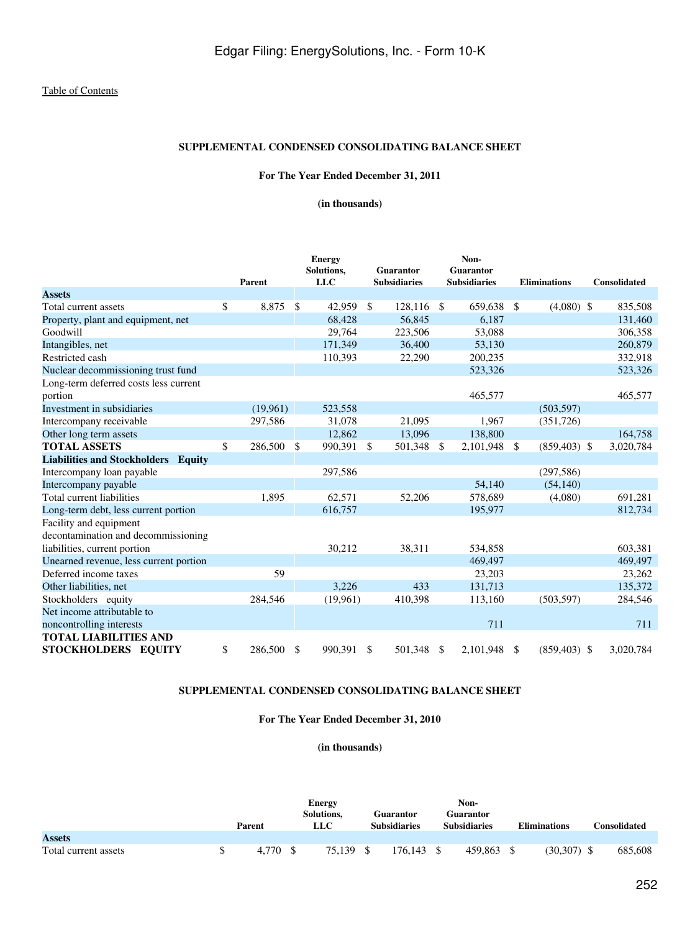### **SUPPLEMENTAL CONDENSED CONSOLIDATING BALANCE SHEET**

## **For The Year Ended December 31, 2011**

#### **(in thousands)**

|                                            | <b>Energy</b> |               |            |            |                     | Non-         |                     |      |                     |                     |
|--------------------------------------------|---------------|---------------|------------|------------|---------------------|--------------|---------------------|------|---------------------|---------------------|
|                                            |               |               | Solutions, |            | <b>Guarantor</b>    |              | Guarantor           |      |                     |                     |
|                                            | Parent        |               | <b>LLC</b> |            | <b>Subsidiaries</b> |              | <b>Subsidiaries</b> |      | <b>Eliminations</b> | <b>Consolidated</b> |
| <b>Assets</b>                              |               |               |            |            |                     |              |                     |      |                     |                     |
| Total current assets                       | \$<br>8,875   | \$            | 42,959     | -\$        | 128,116 \$          |              | 659,638             | - \$ | $(4,080)$ \$        | 835,508             |
| Property, plant and equipment, net         |               |               | 68,428     |            | 56.845              |              | 6,187               |      |                     | 131,460             |
| Goodwill                                   |               |               | 29,764     |            | 223,506             |              | 53,088              |      |                     | 306,358             |
| Intangibles, net                           |               |               | 171,349    |            | 36,400              |              | 53,130              |      |                     | 260,879             |
| Restricted cash                            |               |               | 110,393    |            | 22,290              |              | 200,235             |      |                     | 332,918             |
| Nuclear decommissioning trust fund         |               |               |            |            |                     |              | 523,326             |      |                     | 523,326             |
| Long-term deferred costs less current      |               |               |            |            |                     |              |                     |      |                     |                     |
| portion                                    |               |               |            |            |                     |              | 465,577             |      |                     | 465,577             |
| Investment in subsidiaries                 | (19,961)      |               | 523,558    |            |                     |              |                     |      | (503, 597)          |                     |
| Intercompany receivable                    | 297,586       |               | 31,078     |            | 21,095              |              | 1,967               |      | (351,726)           |                     |
| Other long term assets                     |               |               | 12,862     |            | 13,096              |              | 138,800             |      |                     | 164,758             |
| <b>TOTAL ASSETS</b>                        | \$<br>286,500 | <sup>\$</sup> | 990,391    | $^{\circ}$ | 501,348 \$          |              | 2,101,948 \$        |      | $(859, 403)$ \$     | 3,020,784           |
| <b>Liabilities and Stockholders Equity</b> |               |               |            |            |                     |              |                     |      |                     |                     |
| Intercompany loan payable                  |               |               | 297,586    |            |                     |              |                     |      | (297, 586)          |                     |
| Intercompany payable                       |               |               |            |            |                     |              | 54,140              |      | (54, 140)           |                     |
| Total current liabilities                  | 1,895         |               | 62,571     |            | 52,206              |              | 578,689             |      | (4,080)             | 691,281             |
| Long-term debt, less current portion       |               |               | 616,757    |            |                     |              | 195,977             |      |                     | 812,734             |
| Facility and equipment                     |               |               |            |            |                     |              |                     |      |                     |                     |
| decontamination and decommissioning        |               |               |            |            |                     |              |                     |      |                     |                     |
| liabilities, current portion               |               |               | 30,212     |            | 38,311              |              | 534,858             |      |                     | 603,381             |
| Unearned revenue, less current portion     |               |               |            |            |                     |              | 469,497             |      |                     | 469,497             |
| Deferred income taxes                      | 59            |               |            |            |                     |              | 23,203              |      |                     | 23,262              |
| Other liabilities, net                     |               |               | 3,226      |            | 433                 |              | 131,713             |      |                     | 135,372             |
| Stockholders equity                        | 284,546       |               | (19,961)   |            | 410,398             |              | 113,160             |      | (503, 597)          | 284,546             |
| Net income attributable to                 |               |               |            |            |                     |              |                     |      |                     |                     |
| noncontrolling interests                   |               |               |            |            |                     |              | 711                 |      |                     | 711                 |
| <b>TOTAL LIABILITIES AND</b>               |               |               |            |            |                     |              |                     |      |                     |                     |
| STOCKHOLDERS EQUITY                        | \$<br>286,500 | \$            | 990,391    | \$         | 501,348             | $\mathbb{S}$ | 2,101,948           | \$   | $(859, 403)$ \$     | 3,020,784           |

### **SUPPLEMENTAL CONDENSED CONSOLIDATING BALANCE SHEET**

### **For The Year Ended December 31, 2010**

#### **(in thousands)**

|                      | Parent | Energy<br>Solutions,<br>LLC | Guarantor<br><b>Subsidiaries</b> | Non-<br>Guarantor<br><b>Subsidiaries</b> | <b>Eliminations</b> | Consolidated |
|----------------------|--------|-----------------------------|----------------------------------|------------------------------------------|---------------------|--------------|
| <b>Assets</b>        |        |                             |                                  |                                          |                     |              |
| Total current assets | 4.770  | 75,139                      | 176.143                          | 459.863                                  | (30,307)            | 685,608      |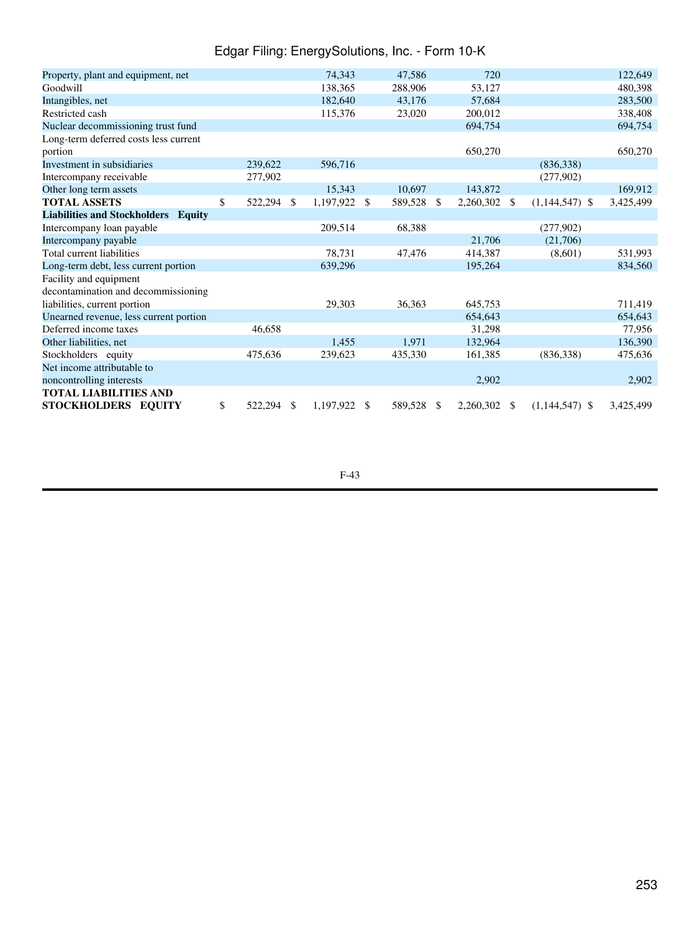| Property, plant and equipment, net     |               |               | 74,343    |               | 47,586  |               | 720       |               |                  | 122,649   |
|----------------------------------------|---------------|---------------|-----------|---------------|---------|---------------|-----------|---------------|------------------|-----------|
| Goodwill                               |               |               | 138,365   |               | 288,906 |               | 53,127    |               |                  | 480,398   |
| Intangibles, net                       |               |               | 182,640   |               | 43.176  |               | 57.684    |               |                  | 283,500   |
| Restricted cash                        |               |               | 115,376   |               | 23,020  |               | 200,012   |               |                  | 338,408   |
| Nuclear decommissioning trust fund     |               |               |           |               |         |               | 694,754   |               |                  | 694,754   |
| Long-term deferred costs less current  |               |               |           |               |         |               |           |               |                  |           |
| portion                                |               |               |           |               |         |               | 650,270   |               |                  | 650,270   |
| Investment in subsidiaries             | 239,622       |               | 596,716   |               |         |               |           |               | (836,338)        |           |
| Intercompany receivable                | 277,902       |               |           |               |         |               |           |               | (277,902)        |           |
| Other long term assets                 |               |               | 15,343    |               | 10.697  |               | 143,872   |               |                  | 169,912   |
| <b>TOTAL ASSETS</b>                    | \$<br>522,294 | -S            | 1,197,922 | - \$          | 589,528 | -S            | 2,260,302 | <sup>\$</sup> | $(1,144,547)$ \$ | 3,425,499 |
| Liabilities and Stockholders Equity    |               |               |           |               |         |               |           |               |                  |           |
| Intercompany loan payable              |               |               | 209,514   |               | 68,388  |               |           |               | (277,902)        |           |
| Intercompany payable                   |               |               |           |               |         |               | 21,706    |               | (21,706)         |           |
| Total current liabilities              |               |               | 78,731    |               | 47,476  |               | 414,387   |               | (8,601)          | 531,993   |
| Long-term debt, less current portion   |               |               | 639,296   |               |         |               | 195,264   |               |                  | 834,560   |
| Facility and equipment                 |               |               |           |               |         |               |           |               |                  |           |
| decontamination and decommissioning    |               |               |           |               |         |               |           |               |                  |           |
| liabilities, current portion           |               |               | 29,303    |               | 36,363  |               | 645,753   |               |                  | 711,419   |
| Unearned revenue, less current portion |               |               |           |               |         |               | 654.643   |               |                  | 654,643   |
| Deferred income taxes                  | 46,658        |               |           |               |         |               | 31,298    |               |                  | 77,956    |
| Other liabilities, net                 |               |               | 1.455     |               | 1.971   |               | 132,964   |               |                  | 136,390   |
| Stockholders equity                    | 475,636       |               | 239,623   |               | 435,330 |               | 161,385   |               | (836,338)        | 475,636   |
| Net income attributable to             |               |               |           |               |         |               |           |               |                  |           |
| noncontrolling interests               |               |               |           |               |         |               | 2,902     |               |                  | 2,902     |
| <b>TOTAL LIABILITIES AND</b>           |               |               |           |               |         |               |           |               |                  |           |
| STOCKHOLDERS EQUITY                    | \$<br>522,294 | <sup>\$</sup> | 1.197.922 | <sup>\$</sup> | 589.528 | $\mathcal{S}$ | 2,260,302 | <sup>\$</sup> | $(1.144.547)$ \$ | 3,425,499 |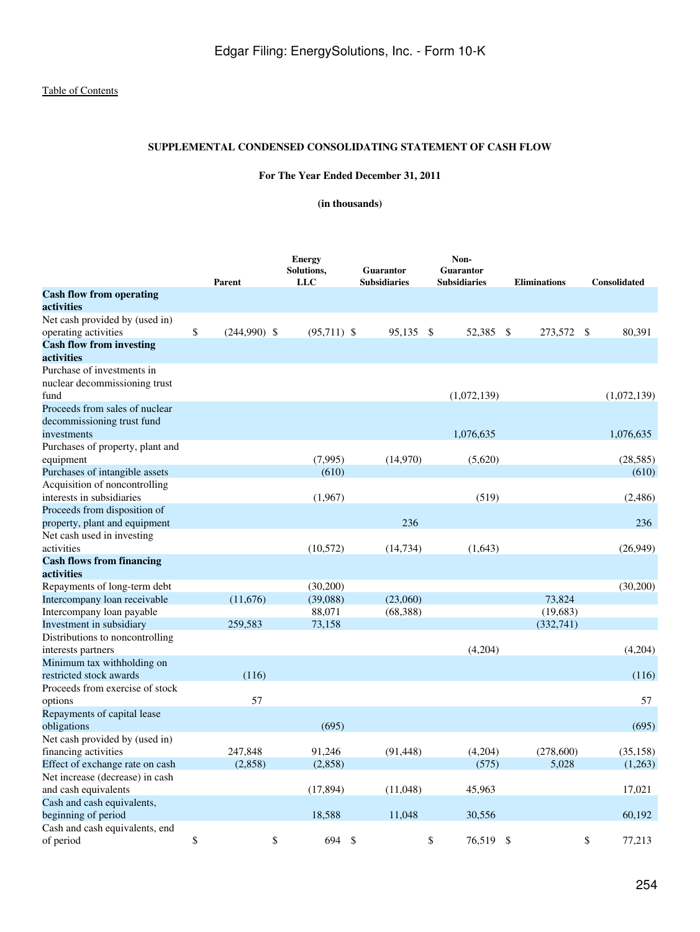## **SUPPLEMENTAL CONDENSED CONSOLIDATING STATEMENT OF CASH FLOW**

## **For The Year Ended December 31, 2011**

## **(in thousands)**

|                                               | Parent               | <b>Energy</b><br>Solutions,<br><b>LLC</b> |               | Guarantor<br><b>Subsidiaries</b> | Non-<br>Guarantor<br><b>Subsidiaries</b> | <b>Eliminations</b> | <b>Consolidated</b> |
|-----------------------------------------------|----------------------|-------------------------------------------|---------------|----------------------------------|------------------------------------------|---------------------|---------------------|
| <b>Cash flow from operating</b><br>activities |                      |                                           |               |                                  |                                          |                     |                     |
| Net cash provided by (used in)                |                      |                                           |               |                                  |                                          |                     |                     |
| operating activities                          | \$<br>$(244,990)$ \$ | $(95,711)$ \$                             |               | 95,135 \$                        | 52,385 \$                                | 273,572 \$          | 80,391              |
| <b>Cash flow from investing</b><br>activities |                      |                                           |               |                                  |                                          |                     |                     |
| Purchase of investments in                    |                      |                                           |               |                                  |                                          |                     |                     |
| nuclear decommissioning trust<br>fund         |                      |                                           |               |                                  | (1,072,139)                              |                     | (1,072,139)         |
| Proceeds from sales of nuclear                |                      |                                           |               |                                  |                                          |                     |                     |
| decommissioning trust fund<br>investments     |                      |                                           |               |                                  | 1,076,635                                |                     | 1,076,635           |
| Purchases of property, plant and              |                      |                                           |               |                                  |                                          |                     |                     |
| equipment                                     |                      | (7,995)                                   |               | (14,970)                         | (5,620)                                  |                     | (28, 585)           |
| Purchases of intangible assets                |                      | (610)                                     |               |                                  |                                          |                     | (610)               |
| Acquisition of noncontrolling                 |                      |                                           |               |                                  |                                          |                     |                     |
| interests in subsidiaries                     |                      | (1,967)                                   |               |                                  | (519)                                    |                     | (2,486)             |
| Proceeds from disposition of                  |                      |                                           |               |                                  |                                          |                     |                     |
| property, plant and equipment                 |                      |                                           |               | 236                              |                                          |                     | 236                 |
| Net cash used in investing                    |                      |                                           |               |                                  |                                          |                     |                     |
| activities                                    |                      | (10,572)                                  |               | (14, 734)                        | (1,643)                                  |                     | (26,949)            |
| <b>Cash flows from financing</b>              |                      |                                           |               |                                  |                                          |                     |                     |
| activities                                    |                      |                                           |               |                                  |                                          |                     |                     |
| Repayments of long-term debt                  |                      | (30,200)                                  |               |                                  |                                          |                     | (30, 200)           |
| Intercompany loan receivable                  | (11,676)             | (39,088)                                  |               | (23,060)                         |                                          | 73,824              |                     |
| Intercompany loan payable                     |                      | 88,071                                    |               | (68, 388)                        |                                          | (19, 683)           |                     |
| Investment in subsidiary                      | 259,583              | 73,158                                    |               |                                  |                                          | (332,741)           |                     |
| Distributions to noncontrolling               |                      |                                           |               |                                  |                                          |                     |                     |
| interests partners                            |                      |                                           |               |                                  | (4,204)                                  |                     | (4,204)             |
| Minimum tax withholding on                    |                      |                                           |               |                                  |                                          |                     |                     |
| restricted stock awards                       | (116)                |                                           |               |                                  |                                          |                     | (116)               |
| Proceeds from exercise of stock               | 57                   |                                           |               |                                  |                                          |                     | 57                  |
| options<br>Repayments of capital lease        |                      |                                           |               |                                  |                                          |                     |                     |
| obligations                                   |                      | (695)                                     |               |                                  |                                          |                     | (695)               |
| Net cash provided by (used in)                |                      |                                           |               |                                  |                                          |                     |                     |
| financing activities                          | 247,848              | 91,246                                    |               | (91, 448)                        | (4,204)                                  | (278,600)           | (35, 158)           |
| Effect of exchange rate on cash               | (2,858)              | (2,858)                                   |               |                                  | (575)                                    | 5,028               | (1,263)             |
| Net increase (decrease) in cash               |                      |                                           |               |                                  |                                          |                     |                     |
| and cash equivalents                          |                      | (17, 894)                                 |               | (11,048)                         | 45,963                                   |                     | 17,021              |
| Cash and cash equivalents,                    |                      |                                           |               |                                  |                                          |                     |                     |
| beginning of period                           |                      | 18,588                                    |               | 11,048                           | 30,556                                   |                     | 60,192              |
| Cash and cash equivalents, end                |                      |                                           |               |                                  |                                          |                     |                     |
| of period                                     | \$                   | \$<br>694                                 | $\mathcal{S}$ |                                  | \$<br>76,519                             | \$                  | \$<br>77.213        |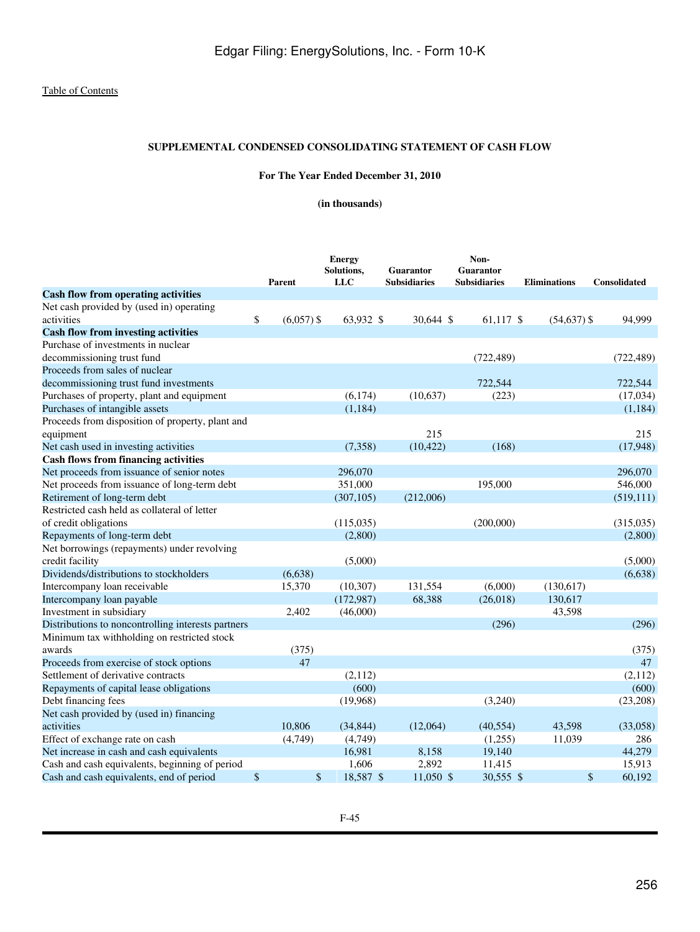### **SUPPLEMENTAL CONDENSED CONSOLIDATING STATEMENT OF CASH FLOW**

## **For The Year Ended December 31, 2010**

### **(in thousands)**

|                                                    |                    | <b>Energy</b><br>Solutions, | <b>Guarantor</b>    | Non-<br>Guarantor   |                     |              |
|----------------------------------------------------|--------------------|-----------------------------|---------------------|---------------------|---------------------|--------------|
|                                                    | Parent             | <b>LLC</b>                  | <b>Subsidiaries</b> | <b>Subsidiaries</b> | <b>Eliminations</b> | Consolidated |
| <b>Cash flow from operating activities</b>         |                    |                             |                     |                     |                     |              |
| Net cash provided by (used in) operating           |                    |                             |                     |                     |                     |              |
| activities                                         | \$<br>$(6,057)$ \$ | 63,932 \$                   | 30,644 \$           | 61,117 \$           | $(54,637)$ \$       | 94,999       |
| <b>Cash flow from investing activities</b>         |                    |                             |                     |                     |                     |              |
| Purchase of investments in nuclear                 |                    |                             |                     |                     |                     |              |
| decommissioning trust fund                         |                    |                             |                     | (722, 489)          |                     | (722, 489)   |
| Proceeds from sales of nuclear                     |                    |                             |                     |                     |                     |              |
| decommissioning trust fund investments             |                    |                             |                     | 722,544             |                     | 722,544      |
| Purchases of property, plant and equipment         |                    | (6,174)                     | (10,637)            | (223)               |                     | (17,034)     |
| Purchases of intangible assets                     |                    | (1, 184)                    |                     |                     |                     | (1, 184)     |
| Proceeds from disposition of property, plant and   |                    |                             |                     |                     |                     |              |
| equipment                                          |                    |                             | 215                 |                     |                     | 215          |
| Net cash used in investing activities              |                    | (7,358)                     | (10, 422)           | (168)               |                     | (17, 948)    |
| <b>Cash flows from financing activities</b>        |                    |                             |                     |                     |                     |              |
| Net proceeds from issuance of senior notes         |                    | 296,070                     |                     |                     |                     | 296,070      |
| Net proceeds from issuance of long-term debt       |                    | 351,000                     |                     | 195,000             |                     | 546,000      |
| Retirement of long-term debt                       |                    | (307, 105)                  | (212,006)           |                     |                     | (519, 111)   |
| Restricted cash held as collateral of letter       |                    |                             |                     |                     |                     |              |
| of credit obligations                              |                    | (115,035)                   |                     | (200,000)           |                     | (315,035)    |
| Repayments of long-term debt                       |                    | (2,800)                     |                     |                     |                     | (2,800)      |
| Net borrowings (repayments) under revolving        |                    |                             |                     |                     |                     |              |
| credit facility                                    |                    | (5,000)                     |                     |                     |                     | (5,000)      |
| Dividends/distributions to stockholders            | (6,638)            |                             |                     |                     |                     | (6,638)      |
| Intercompany loan receivable                       | 15,370             | (10, 307)                   | 131,554             | (6,000)             | (130,617)           |              |
| Intercompany loan payable                          |                    | (172, 987)                  | 68,388              | (26, 018)           | 130,617             |              |
| Investment in subsidiary                           | 2,402              | (46,000)                    |                     |                     | 43,598              |              |
| Distributions to noncontrolling interests partners |                    |                             |                     | (296)               |                     | (296)        |
| Minimum tax withholding on restricted stock        |                    |                             |                     |                     |                     |              |
| awards                                             | (375)              |                             |                     |                     |                     | (375)        |
| Proceeds from exercise of stock options            | 47                 |                             |                     |                     |                     | 47           |
| Settlement of derivative contracts                 |                    | (2,112)                     |                     |                     |                     | (2,112)      |
| Repayments of capital lease obligations            |                    | (600)                       |                     |                     |                     | (600)        |
| Debt financing fees                                |                    | (19,968)                    |                     | (3,240)             |                     | (23,208)     |
| Net cash provided by (used in) financing           |                    |                             |                     |                     |                     |              |
| activities                                         | 10,806             | (34, 844)                   | (12,064)            | (40, 554)           | 43,598              | (33,058)     |
| Effect of exchange rate on cash                    | (4,749)            | (4,749)                     |                     | (1,255)             | 11,039              | 286          |
| Net increase in cash and cash equivalents          |                    | 16,981                      | 8,158               | 19,140              |                     | 44,279       |
| Cash and cash equivalents, beginning of period     |                    | 1,606                       | 2,892               | 11,415              |                     | 15,913       |
| Cash and cash equivalents, end of period           | $\$$               | \$<br>18,587 \$             | $11,050$ \$         | 30,555 \$           |                     | \$<br>60,192 |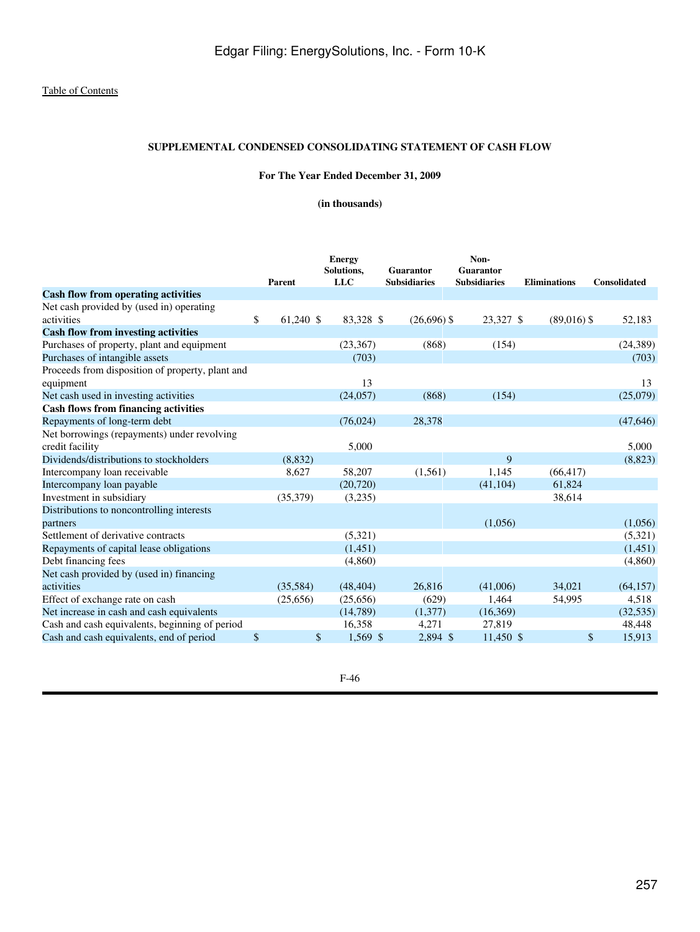## **SUPPLEMENTAL CONDENSED CONSOLIDATING STATEMENT OF CASH FLOW**

## **For The Year Ended December 31, 2009**

## **(in thousands)**

|                                                  |                 | <b>Energy</b>            |                                         | Non-                                    |                     |                     |
|--------------------------------------------------|-----------------|--------------------------|-----------------------------------------|-----------------------------------------|---------------------|---------------------|
|                                                  |                 | Solutions,<br><b>LLC</b> | <b>Guarantor</b><br><b>Subsidiaries</b> | <b>Guarantor</b><br><b>Subsidiaries</b> | <b>Eliminations</b> | <b>Consolidated</b> |
| <b>Cash flow from operating activities</b>       | <b>Parent</b>   |                          |                                         |                                         |                     |                     |
| Net cash provided by (used in) operating         |                 |                          |                                         |                                         |                     |                     |
| activities                                       | \$<br>61,240 \$ | 83,328 \$                | $(26,696)$ \$                           | 23,327 \$                               | $(89,016)$ \$       | 52,183              |
| <b>Cash flow from investing activities</b>       |                 |                          |                                         |                                         |                     |                     |
| Purchases of property, plant and equipment       |                 | (23, 367)                | (868)                                   | (154)                                   |                     | (24, 389)           |
| Purchases of intangible assets                   |                 | (703)                    |                                         |                                         |                     | (703)               |
| Proceeds from disposition of property, plant and |                 |                          |                                         |                                         |                     |                     |
| equipment                                        |                 | 13                       |                                         |                                         |                     | 13                  |
| Net cash used in investing activities            |                 | (24, 057)                | (868)                                   | (154)                                   |                     | (25,079)            |
|                                                  |                 |                          |                                         |                                         |                     |                     |
| <b>Cash flows from financing activities</b>      |                 |                          |                                         |                                         |                     |                     |
| Repayments of long-term debt                     |                 | (76,024)                 | 28,378                                  |                                         |                     | (47, 646)           |
| Net borrowings (repayments) under revolving      |                 |                          |                                         |                                         |                     |                     |
| credit facility                                  |                 | 5,000                    |                                         |                                         |                     | 5,000               |
| Dividends/distributions to stockholders          | (8, 832)        |                          |                                         | 9                                       |                     | (8, 823)            |
| Intercompany loan receivable                     | 8,627           | 58,207                   | (1,561)                                 | 1,145                                   | (66, 417)           |                     |
| Intercompany loan payable                        |                 | (20, 720)                |                                         | (41, 104)                               | 61,824              |                     |
| Investment in subsidiary                         | (35,379)        | (3,235)                  |                                         |                                         | 38,614              |                     |
| Distributions to noncontrolling interests        |                 |                          |                                         |                                         |                     |                     |
| partners                                         |                 |                          |                                         | (1,056)                                 |                     | (1,056)             |
| Settlement of derivative contracts               |                 | (5,321)                  |                                         |                                         |                     | (5,321)             |
| Repayments of capital lease obligations          |                 | (1,451)                  |                                         |                                         |                     | (1,451)             |
| Debt financing fees                              |                 | (4,860)                  |                                         |                                         |                     | (4,860)             |
| Net cash provided by (used in) financing         |                 |                          |                                         |                                         |                     |                     |
| activities                                       | (35,584)        | (48, 404)                | 26,816                                  | (41,006)                                | 34,021              | (64, 157)           |
| Effect of exchange rate on cash                  | (25,656)        | (25,656)                 | (629)                                   | 1,464                                   | 54,995              | 4,518               |
| Net increase in cash and cash equivalents        |                 | (14,789)                 | (1,377)                                 | (16,369)                                |                     | (32, 535)           |
| Cash and cash equivalents, beginning of period   |                 | 16,358                   | 4,271                                   | 27,819                                  |                     | 48,448              |
| \$<br>Cash and cash equivalents, end of period   |                 | \$<br>1,569 \$           | 2,894 \$                                | 11,450 \$                               | \$                  | 15,913              |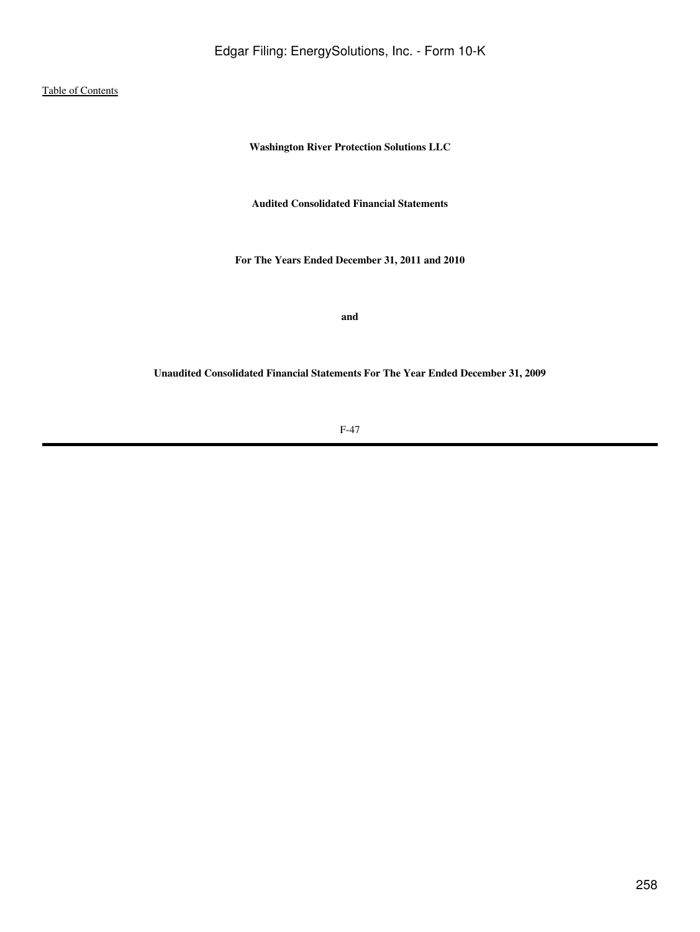[Table of Contents](#page-3-0)

**Washington River Protection Solutions LLC**

**Audited Consolidated Financial Statements**

**For The Years Ended December 31, 2011 and 2010**

**and**

**Unaudited Consolidated Financial Statements For The Year Ended December 31, 2009**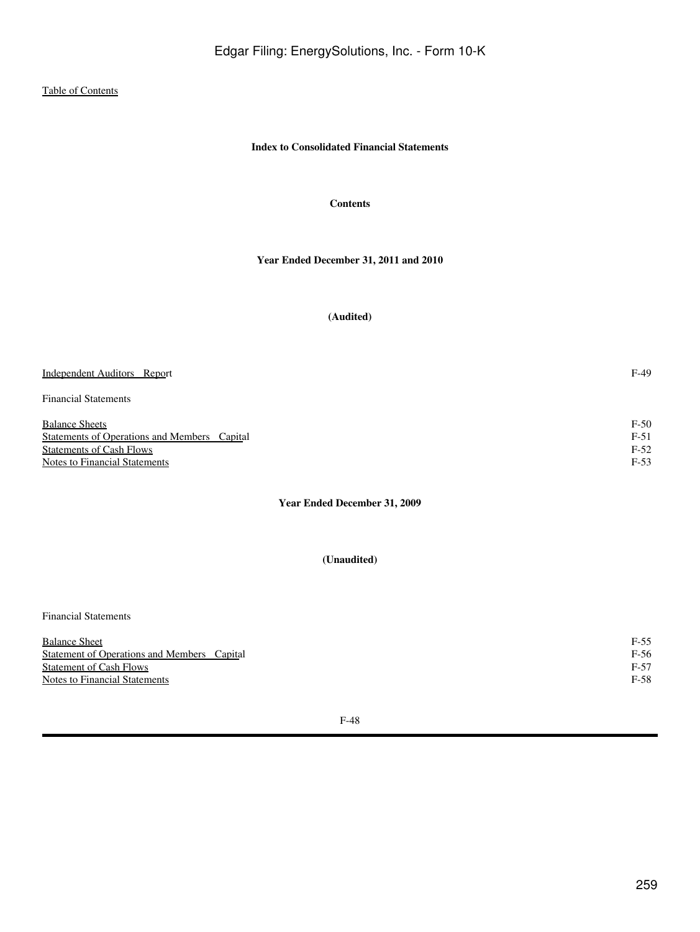### **Index to Consolidated Financial Statements**

### **Contents**

**Year Ended December 31, 2011 and 2010**

### **(Audited)**

| <b>Independent Auditors Report</b>           | $F-49$ |
|----------------------------------------------|--------|
| <b>Financial Statements</b>                  |        |
| <b>Balance Sheets</b>                        | $F-50$ |
| Statements of Operations and Members Capital | $F-51$ |
| <b>Statements of Cash Flows</b>              | $F-52$ |
| Notes to Financial Statements                | $F-53$ |

**Year Ended December 31, 2009**

### **(Unaudited)**

Financial Statements

**[Balance Sheet](#page-266-0)** F-55 [Statement of Operations and Members Capita](#page-267-0)l F-56<br>Statement of Cash Flows F-57 [Statement of Cash Flows](#page-268-0) [Notes to Financial Statements](#page-269-0) F-58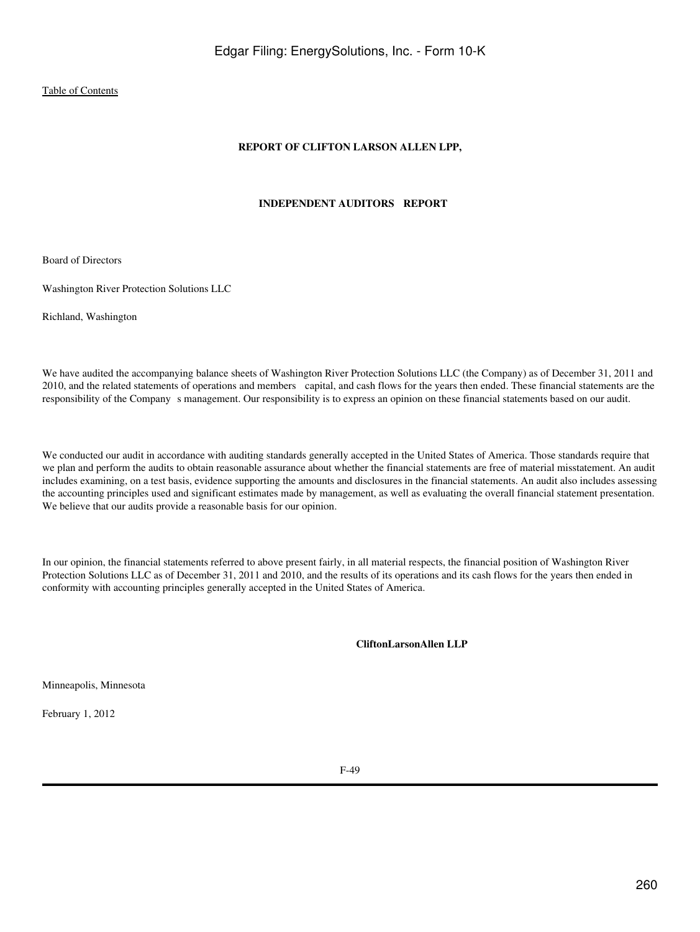### **REPORT OF CLIFTON LARSON ALLEN LPP,**

## **INDEPENDENT AUDITORS REPORT**

<span id="page-259-0"></span>Board of Directors

Washington River Protection Solutions LLC

Richland, Washington

We have audited the accompanying balance sheets of Washington River Protection Solutions LLC (the Company) as of December 31, 2011 and 2010, and the related statements of operations and members capital, and cash flows for the years then ended. These financial statements are the responsibility of the Companys management. Our responsibility is to express an opinion on these financial statements based on our audit.

We conducted our audit in accordance with auditing standards generally accepted in the United States of America. Those standards require that we plan and perform the audits to obtain reasonable assurance about whether the financial statements are free of material misstatement. An audit includes examining, on a test basis, evidence supporting the amounts and disclosures in the financial statements. An audit also includes assessing the accounting principles used and significant estimates made by management, as well as evaluating the overall financial statement presentation. We believe that our audits provide a reasonable basis for our opinion.

In our opinion, the financial statements referred to above present fairly, in all material respects, the financial position of Washington River Protection Solutions LLC as of December 31, 2011 and 2010, and the results of its operations and its cash flows for the years then ended in conformity with accounting principles generally accepted in the United States of America.

**CliftonLarsonAllen LLP**

Minneapolis, Minnesota

February 1, 2012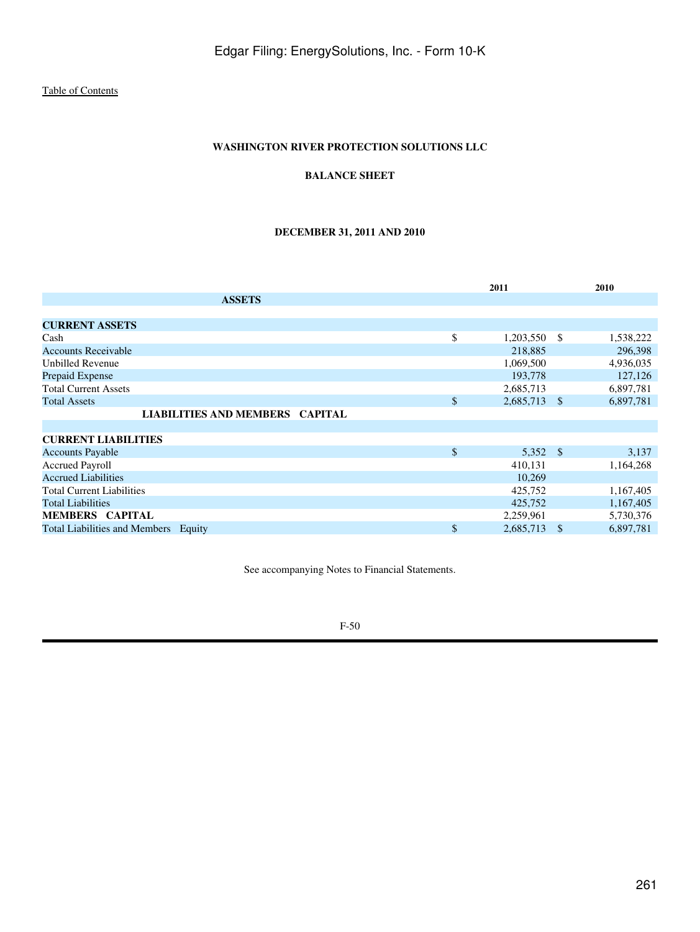## **WASHINGTON RIVER PROTECTION SOLUTIONS LLC**

## **BALANCE SHEET**

## **DECEMBER 31, 2011 AND 2010**

<span id="page-260-0"></span>

|                                                | 2011 |              |      | 2010      |  |
|------------------------------------------------|------|--------------|------|-----------|--|
| <b>ASSETS</b>                                  |      |              |      |           |  |
|                                                |      |              |      |           |  |
| <b>CURRENT ASSETS</b>                          |      |              |      |           |  |
| Cash                                           | \$   | 1,203,550    | - \$ | 1,538,222 |  |
| <b>Accounts Receivable</b>                     |      | 218,885      |      | 296,398   |  |
| <b>Unbilled Revenue</b>                        |      | 1,069,500    |      | 4,936,035 |  |
| Prepaid Expense                                |      | 193,778      |      | 127,126   |  |
| <b>Total Current Assets</b>                    |      | 2,685,713    |      | 6,897,781 |  |
| <b>Total Assets</b>                            | \$   | 2,685,713 \$ |      | 6,897,781 |  |
| LIABILITIES AND MEMBERS CAPITAL                |      |              |      |           |  |
|                                                |      |              |      |           |  |
| <b>CURRENT LIABILITIES</b>                     |      |              |      |           |  |
| <b>Accounts Payable</b>                        | \$   | 5,352 \$     |      | 3,137     |  |
| <b>Accrued Payroll</b>                         |      | 410,131      |      | 1,164,268 |  |
| <b>Accrued Liabilities</b>                     |      | 10.269       |      |           |  |
| <b>Total Current Liabilities</b>               |      | 425,752      |      | 1,167,405 |  |
| <b>Total Liabilities</b>                       |      | 425,752      |      | 1,167,405 |  |
| <b>MEMBERS CAPITAL</b>                         |      | 2,259,961    |      | 5,730,376 |  |
| <b>Total Liabilities and Members</b><br>Equity | \$   | 2,685,713    | - \$ | 6,897,781 |  |
|                                                |      |              |      |           |  |

See accompanying Notes to Financial Statements.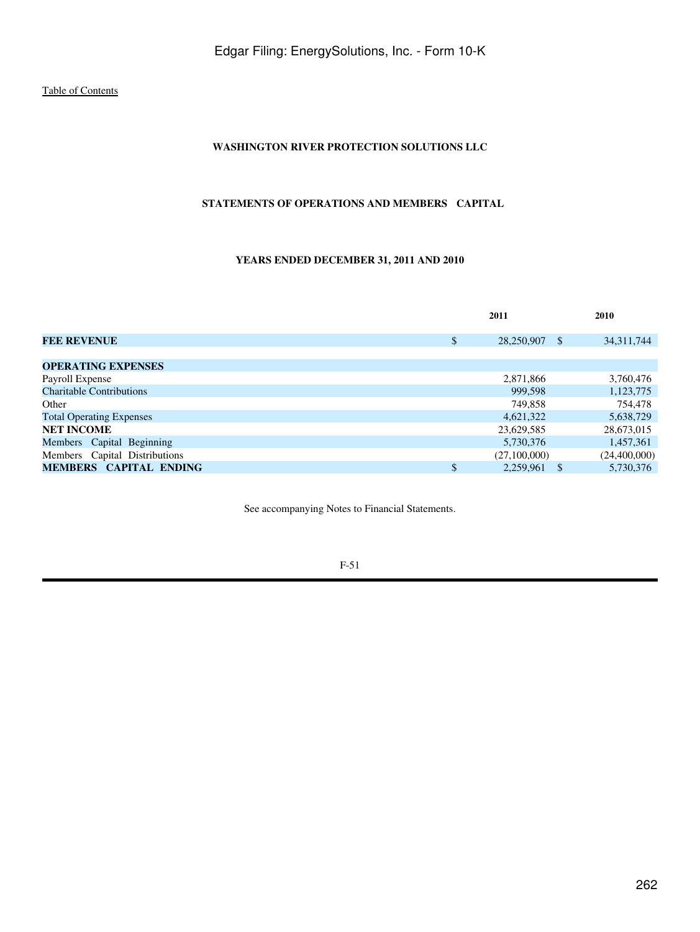### **WASHINGTON RIVER PROTECTION SOLUTIONS LLC**

## **STATEMENTS OF OPERATIONS AND MEMBERS CAPITAL**

## **YEARS ENDED DECEMBER 31, 2011 AND 2010**

<span id="page-261-0"></span>

|                                 | 2011                           | 2010           |
|---------------------------------|--------------------------------|----------------|
|                                 |                                |                |
| <b>FEE REVENUE</b>              | \$<br>28,250,907<br>$^{\circ}$ | 34, 311, 744   |
|                                 |                                |                |
| <b>OPERATING EXPENSES</b>       |                                |                |
| Payroll Expense                 | 2,871,866                      | 3,760,476      |
| <b>Charitable Contributions</b> | 999,598                        | 1,123,775      |
| Other                           | 749.858                        | 754,478        |
| <b>Total Operating Expenses</b> | 4,621,322                      | 5,638,729      |
| <b>NET INCOME</b>               | 23,629,585                     | 28,673,015     |
| Members Capital Beginning       | 5,730,376                      | 1,457,361      |
| Members Capital Distributions   | (27,100,000)                   | (24, 400, 000) |
| MEMBERS CAPITAL ENDING          | \$<br>2.259.961                | 5,730,376      |

See accompanying Notes to Financial Statements.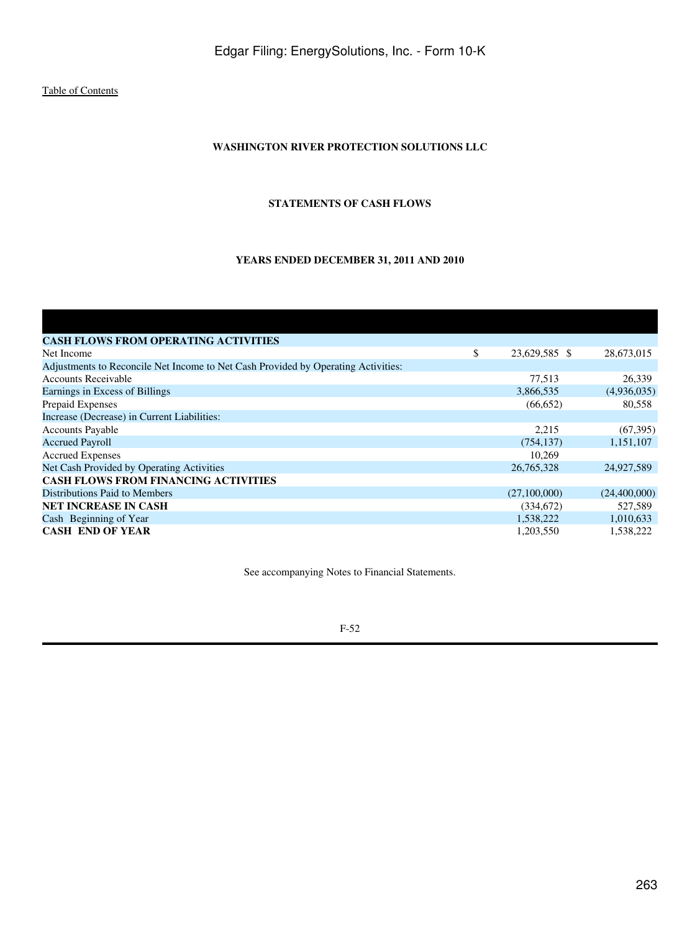## **WASHINGTON RIVER PROTECTION SOLUTIONS LLC**

## **STATEMENTS OF CASH FLOWS**

## **YEARS ENDED DECEMBER 31, 2011 AND 2010**

<span id="page-262-0"></span>

| <b>CASH FLOWS FROM OPERATING ACTIVITIES</b>                                       |                     |              |
|-----------------------------------------------------------------------------------|---------------------|--------------|
| Net Income                                                                        | \$<br>23,629,585 \$ | 28,673,015   |
| Adjustments to Reconcile Net Income to Net Cash Provided by Operating Activities: |                     |              |
| <b>Accounts Receivable</b>                                                        | 77,513              | 26,339       |
| Earnings in Excess of Billings                                                    | 3,866,535           | (4,936,035)  |
| Prepaid Expenses                                                                  | (66, 652)           | 80,558       |
| Increase (Decrease) in Current Liabilities:                                       |                     |              |
| <b>Accounts Payable</b>                                                           | 2,215               | (67, 395)    |
| <b>Accrued Payroll</b>                                                            | (754, 137)          | 1,151,107    |
| <b>Accrued Expenses</b>                                                           | 10,269              |              |
| Net Cash Provided by Operating Activities                                         | 26,765,328          | 24,927,589   |
| <b>CASH FLOWS FROM FINANCING ACTIVITIES</b>                                       |                     |              |
| Distributions Paid to Members                                                     | (27,100,000)        | (24,400,000) |
| <b>NET INCREASE IN CASH</b>                                                       | (334,672)           | 527,589      |
| Cash Beginning of Year                                                            | 1,538,222           | 1,010,633    |
| <b>CASH END OF YEAR</b>                                                           | 1,203,550           | 1,538,222    |
|                                                                                   |                     |              |

See accompanying Notes to Financial Statements.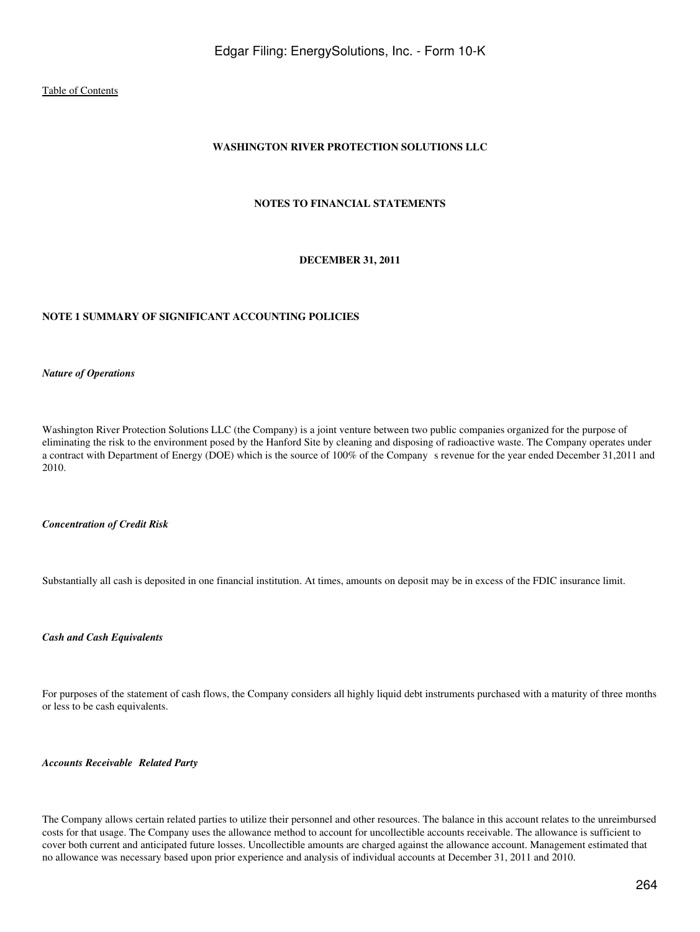### **WASHINGTON RIVER PROTECTION SOLUTIONS LLC**

### **NOTES TO FINANCIAL STATEMENTS**

### **DECEMBER 31, 2011**

### <span id="page-263-0"></span>**NOTE 1 SUMMARY OF SIGNIFICANT ACCOUNTING POLICIES**

*Nature of Operations*

Washington River Protection Solutions LLC (the Company) is a joint venture between two public companies organized for the purpose of eliminating the risk to the environment posed by the Hanford Site by cleaning and disposing of radioactive waste. The Company operates under a contract with Department of Energy (DOE) which is the source of 100% of the Companys revenue for the year ended December 31,2011 and 2010.

*Concentration of Credit Risk*

Substantially all cash is deposited in one financial institution. At times, amounts on deposit may be in excess of the FDIC insurance limit.

### *Cash and Cash Equivalents*

For purposes of the statement of cash flows, the Company considers all highly liquid debt instruments purchased with a maturity of three months or less to be cash equivalents.

*Accounts Receivable Related Party* 

The Company allows certain related parties to utilize their personnel and other resources. The balance in this account relates to the unreimbursed costs for that usage. The Company uses the allowance method to account for uncollectible accounts receivable. The allowance is sufficient to cover both current and anticipated future losses. Uncollectible amounts are charged against the allowance account. Management estimated that no allowance was necessary based upon prior experience and analysis of individual accounts at December 31, 2011 and 2010.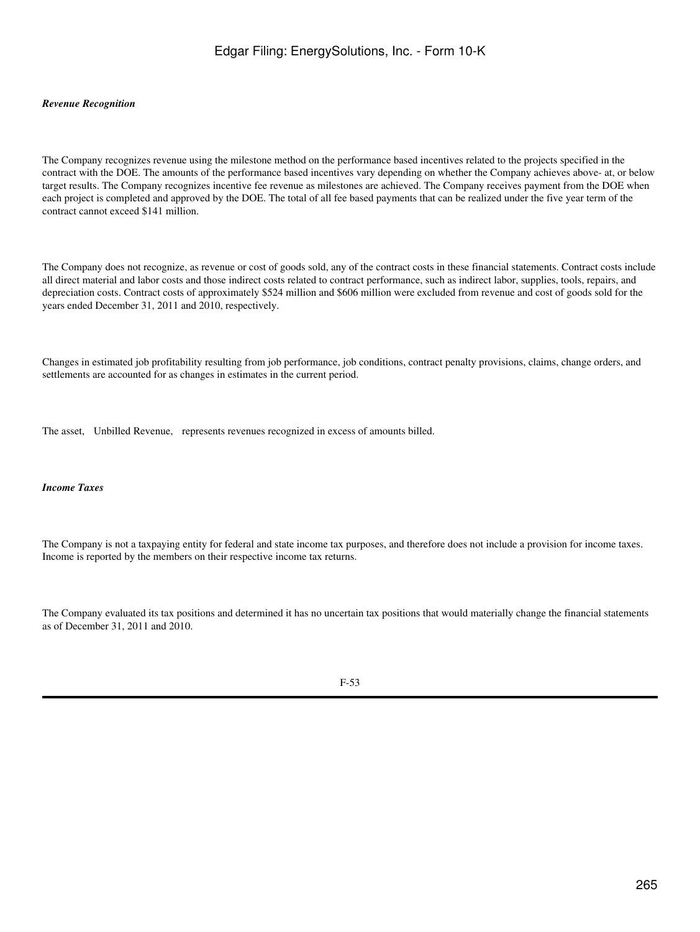### *Revenue Recognition*

The Company recognizes revenue using the milestone method on the performance based incentives related to the projects specified in the contract with the DOE. The amounts of the performance based incentives vary depending on whether the Company achieves above- at, or below target results. The Company recognizes incentive fee revenue as milestones are achieved. The Company receives payment from the DOE when each project is completed and approved by the DOE. The total of all fee based payments that can be realized under the five year term of the contract cannot exceed \$141 million.

The Company does not recognize, as revenue or cost of goods sold, any of the contract costs in these financial statements. Contract costs include all direct material and labor costs and those indirect costs related to contract performance, such as indirect labor, supplies, tools, repairs, and depreciation costs. Contract costs of approximately \$524 million and \$606 million were excluded from revenue and cost of goods sold for the years ended December 31, 2011 and 2010, respectively.

Changes in estimated job profitability resulting from job performance, job conditions, contract penalty provisions, claims, change orders, and settlements are accounted for as changes in estimates in the current period.

The asset, Unbilled Revenue, represents revenues recognized in excess of amounts billed.

### *Income Taxes*

The Company is not a taxpaying entity for federal and state income tax purposes, and therefore does not include a provision for income taxes. Income is reported by the members on their respective income tax returns.

The Company evaluated its tax positions and determined it has no uncertain tax positions that would materially change the financial statements as of December 31, 2011 and 2010.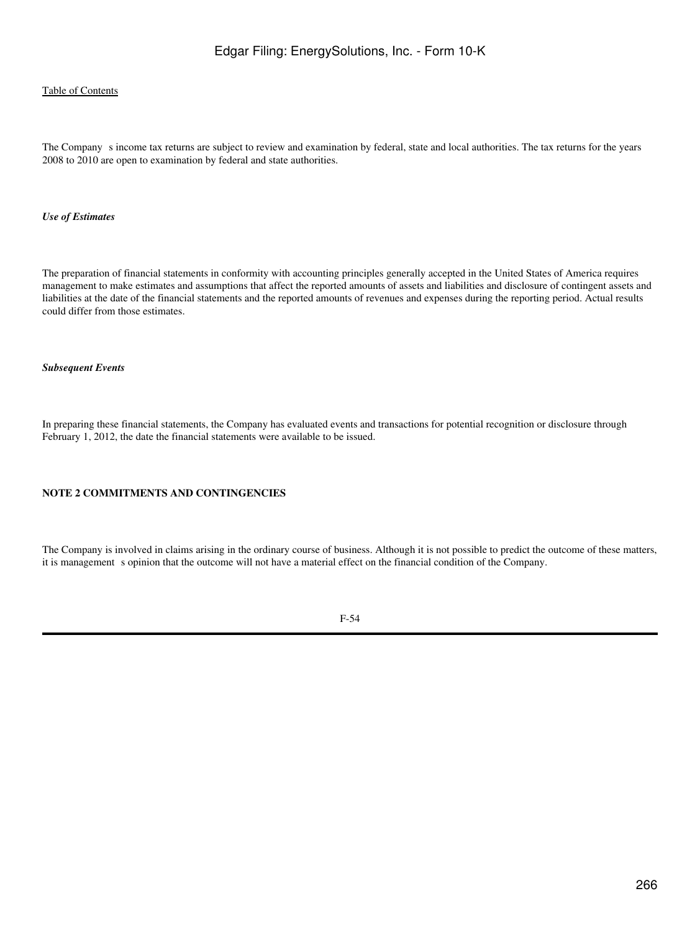The Company s income tax returns are subject to review and examination by federal, state and local authorities. The tax returns for the years 2008 to 2010 are open to examination by federal and state authorities.

### *Use of Estimates*

The preparation of financial statements in conformity with accounting principles generally accepted in the United States of America requires management to make estimates and assumptions that affect the reported amounts of assets and liabilities and disclosure of contingent assets and liabilities at the date of the financial statements and the reported amounts of revenues and expenses during the reporting period. Actual results could differ from those estimates.

### *Subsequent Events*

In preparing these financial statements, the Company has evaluated events and transactions for potential recognition or disclosure through February 1, 2012, the date the financial statements were available to be issued.

### **NOTE 2 COMMITMENTS AND CONTINGENCIES**

The Company is involved in claims arising in the ordinary course of business. Although it is not possible to predict the outcome of these matters, it is management s opinion that the outcome will not have a material effect on the financial condition of the Company.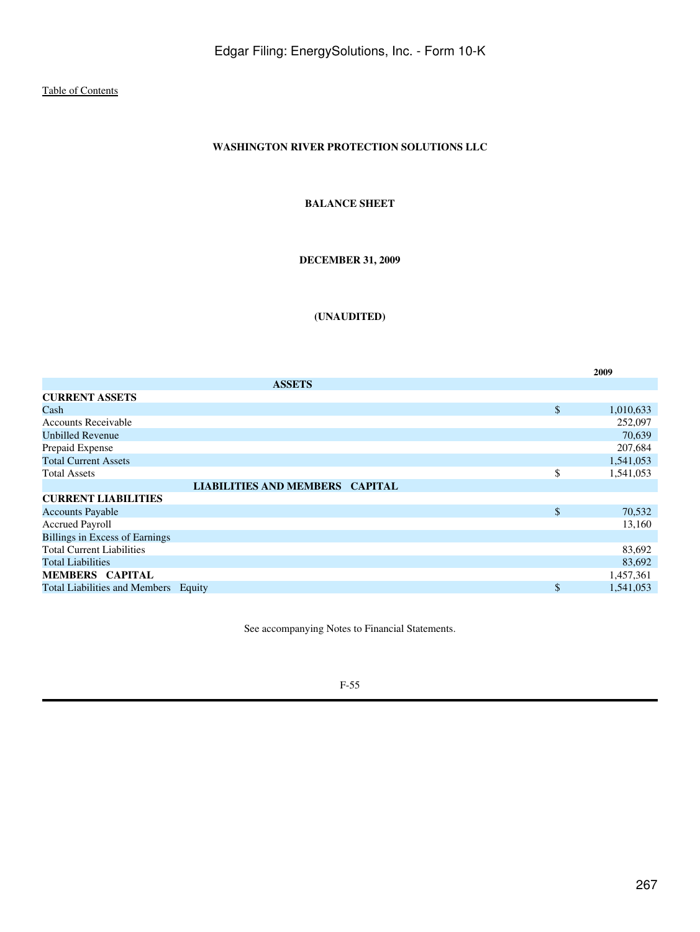## **WASHINGTON RIVER PROTECTION SOLUTIONS LLC**

## **BALANCE SHEET**

**DECEMBER 31, 2009**

### **(UNAUDITED)**

<span id="page-266-0"></span>

|                                        | 2009            |
|----------------------------------------|-----------------|
| <b>ASSETS</b>                          |                 |
| <b>CURRENT ASSETS</b>                  |                 |
| Cash                                   | \$<br>1,010,633 |
| <b>Accounts Receivable</b>             | 252,097         |
| <b>Unbilled Revenue</b>                | 70,639          |
| Prepaid Expense                        | 207,684         |
| <b>Total Current Assets</b>            | 1,541,053       |
| <b>Total Assets</b>                    | \$<br>1,541,053 |
| <b>LIABILITIES AND MEMBERS CAPITAL</b> |                 |
| <b>CURRENT LIABILITIES</b>             |                 |
| <b>Accounts Payable</b>                | \$<br>70,532    |
| <b>Accrued Payroll</b>                 | 13,160          |
| <b>Billings in Excess of Earnings</b>  |                 |
| <b>Total Current Liabilities</b>       | 83,692          |
| <b>Total Liabilities</b>               | 83,692          |
| MEMBERS CAPITAL                        | 1,457,361       |
| Total Liabilities and Members Equity   | \$<br>1,541,053 |

See accompanying Notes to Financial Statements.

F-55

**2009**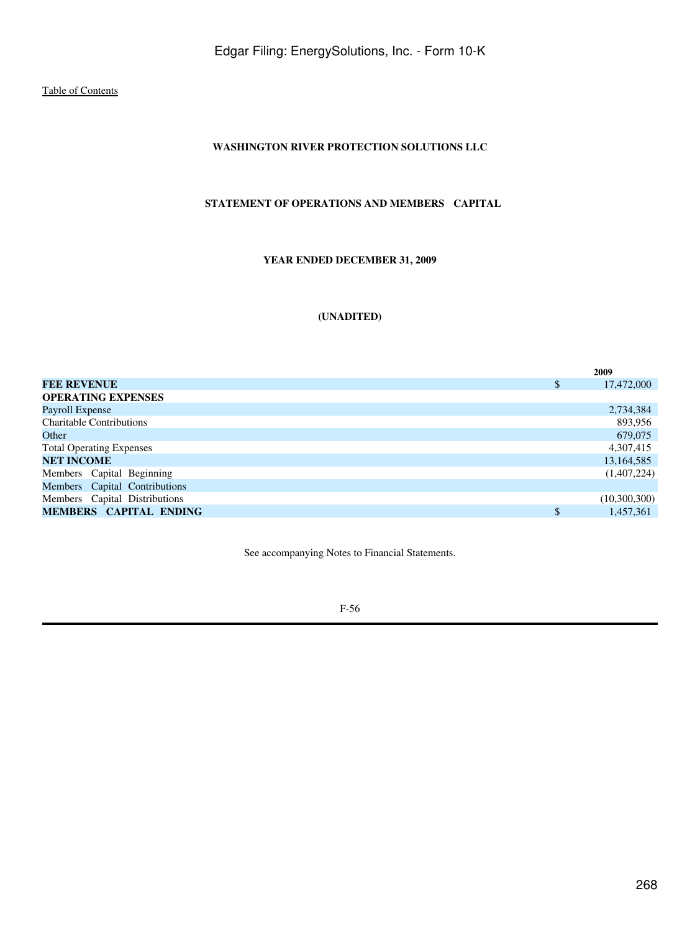### **WASHINGTON RIVER PROTECTION SOLUTIONS LLC**

## **STATEMENT OF OPERATIONS AND MEMBERS CAPITAL**

**YEAR ENDED DECEMBER 31, 2009**

**(UNADITED)**

<span id="page-267-0"></span>

|                                 | 2009         |
|---------------------------------|--------------|
| <b>FEE REVENUE</b><br>\$        | 17,472,000   |
| <b>OPERATING EXPENSES</b>       |              |
| Payroll Expense                 | 2,734,384    |
| <b>Charitable Contributions</b> | 893,956      |
| Other                           | 679,075      |
| <b>Total Operating Expenses</b> | 4,307,415    |
| <b>NET INCOME</b>               | 13, 164, 585 |
| Members Capital Beginning       | (1,407,224)  |
| Members Capital Contributions   |              |
| Members Capital Distributions   | (10,300,300) |
| <b>MEMBERS CAPITAL ENDING</b>   | 1.457.361    |

See accompanying Notes to Financial Statements.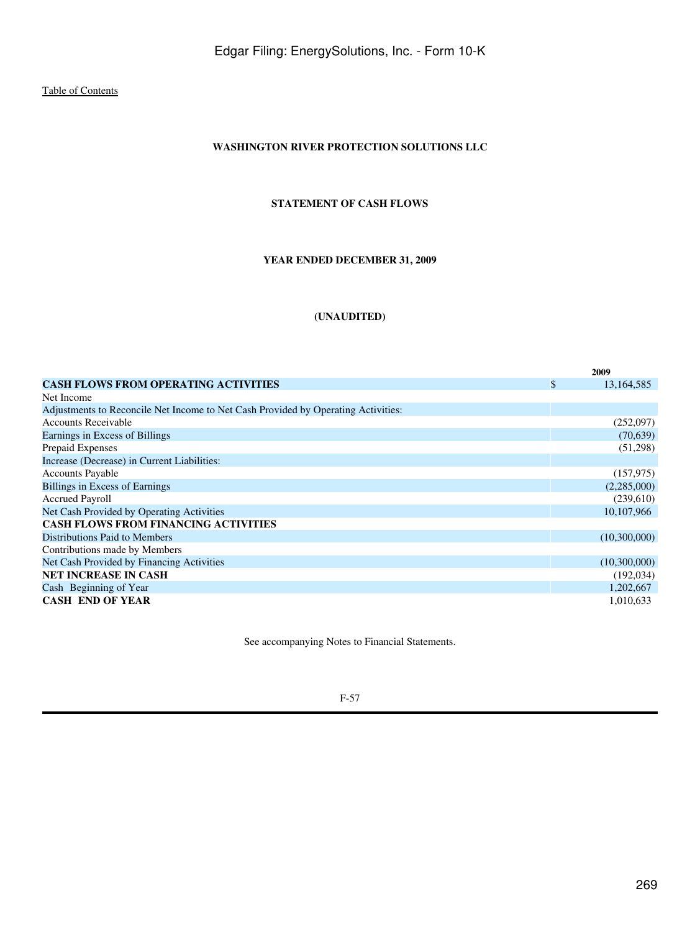## **WASHINGTON RIVER PROTECTION SOLUTIONS LLC**

## **STATEMENT OF CASH FLOWS**

## **YEAR ENDED DECEMBER 31, 2009**

## **(UNAUDITED)**

<span id="page-268-0"></span>

|                                                                                   | 2009             |
|-----------------------------------------------------------------------------------|------------------|
| <b>CASH FLOWS FROM OPERATING ACTIVITIES</b>                                       | \$<br>13,164,585 |
| Net Income                                                                        |                  |
| Adjustments to Reconcile Net Income to Net Cash Provided by Operating Activities: |                  |
| <b>Accounts Receivable</b>                                                        | (252,097)        |
| Earnings in Excess of Billings                                                    | (70,639)         |
| Prepaid Expenses                                                                  | (51,298)         |
| Increase (Decrease) in Current Liabilities:                                       |                  |
| <b>Accounts Payable</b>                                                           | (157, 975)       |
| <b>Billings in Excess of Earnings</b>                                             | (2,285,000)      |
| <b>Accrued Payroll</b>                                                            | (239,610)        |
| Net Cash Provided by Operating Activities                                         | 10.107.966       |
| <b>CASH FLOWS FROM FINANCING ACTIVITIES</b>                                       |                  |
| Distributions Paid to Members                                                     | (10,300,000)     |
| Contributions made by Members                                                     |                  |
| Net Cash Provided by Financing Activities                                         | (10,300,000)     |
| <b>NET INCREASE IN CASH</b>                                                       | (192, 034)       |
| Cash Beginning of Year                                                            | 1,202,667        |
| <b>CASH END OF YEAR</b>                                                           | 1.010.633        |

See accompanying Notes to Financial Statements.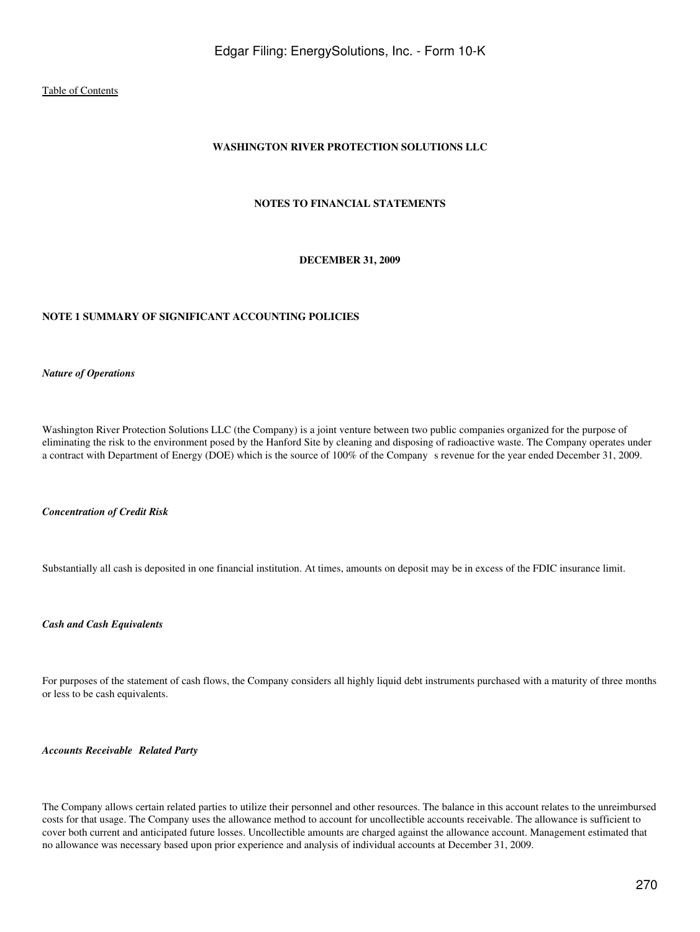### **WASHINGTON RIVER PROTECTION SOLUTIONS LLC**

### **NOTES TO FINANCIAL STATEMENTS**

### **DECEMBER 31, 2009**

### <span id="page-269-0"></span>**NOTE 1 SUMMARY OF SIGNIFICANT ACCOUNTING POLICIES**

*Nature of Operations*

Washington River Protection Solutions LLC (the Company) is a joint venture between two public companies organized for the purpose of eliminating the risk to the environment posed by the Hanford Site by cleaning and disposing of radioactive waste. The Company operates under a contract with Department of Energy (DOE) which is the source of 100% of the Companys revenue for the year ended December 31, 2009.

### *Concentration of Credit Risk*

Substantially all cash is deposited in one financial institution. At times, amounts on deposit may be in excess of the FDIC insurance limit.

*Cash and Cash Equivalents*

For purposes of the statement of cash flows, the Company considers all highly liquid debt instruments purchased with a maturity of three months or less to be cash equivalents.

*Accounts Receivable Related Party* 

The Company allows certain related parties to utilize their personnel and other resources. The balance in this account relates to the unreimbursed costs for that usage. The Company uses the allowance method to account for uncollectible accounts receivable. The allowance is sufficient to cover both current and anticipated future losses. Uncollectible amounts are charged against the allowance account. Management estimated that no allowance was necessary based upon prior experience and analysis of individual accounts at December 31, 2009.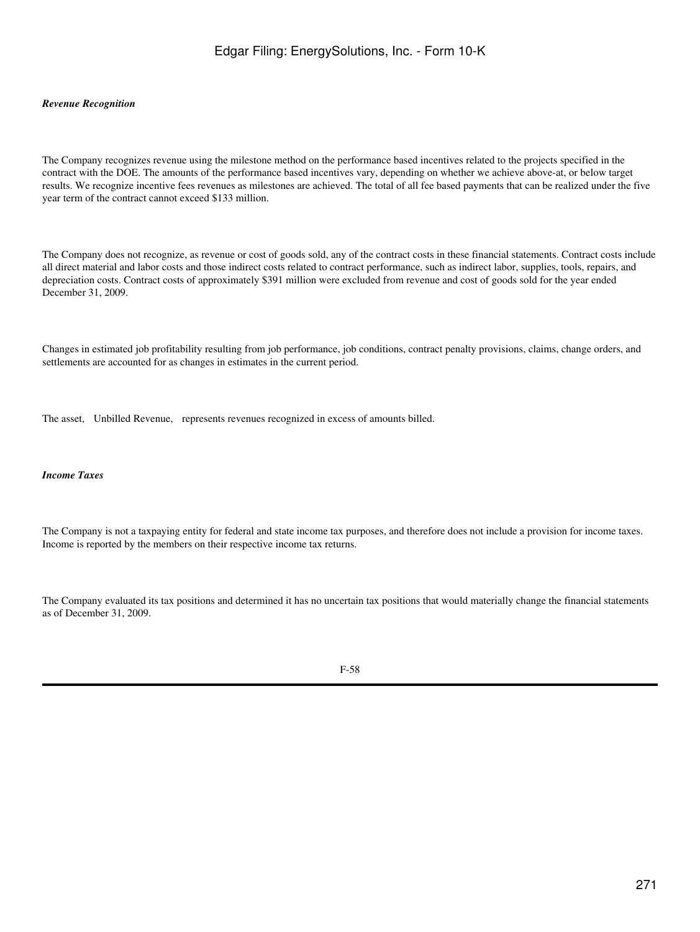### *Revenue Recognition*

The Company recognizes revenue using the milestone method on the performance based incentives related to the projects specified in the contract with the DOE. The amounts of the performance based incentives vary, depending on whether we achieve above-at, or below target results. We recognize incentive fees revenues as milestones are achieved. The total of all fee based payments that can be realized under the five year term of the contract cannot exceed \$133 million.

The Company does not recognize, as revenue or cost of goods sold, any of the contract costs in these financial statements. Contract costs include all direct material and labor costs and those indirect costs related to contract performance, such as indirect labor, supplies, tools, repairs, and depreciation costs. Contract costs of approximately \$391 million were excluded from revenue and cost of goods sold for the year ended December 31, 2009.

Changes in estimated job profitability resulting from job performance, job conditions, contract penalty provisions, claims, change orders, and settlements are accounted for as changes in estimates in the current period.

The asset, Unbilled Revenue, represents revenues recognized in excess of amounts billed.

### *Income Taxes*

The Company is not a taxpaying entity for federal and state income tax purposes, and therefore does not include a provision for income taxes. Income is reported by the members on their respective income tax returns.

The Company evaluated its tax positions and determined it has no uncertain tax positions that would materially change the financial statements as of December 31, 2009.